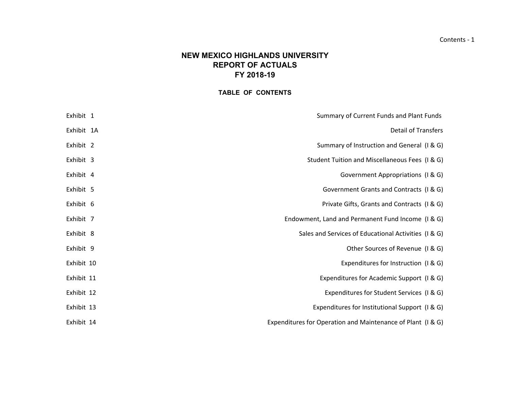# **NEW MEXICO HIGHLANDS UNIVERSITYREPORT OF ACTUALS FY 2018-19**

# **TABLE OF CONTENTS**

| Summary of Current Funds and Plant Funds                    | Exhibit 1  |  |
|-------------------------------------------------------------|------------|--|
| <b>Detail of Transfers</b>                                  | Exhibit 1A |  |
| Summary of Instruction and General (I & G)                  | Exhibit 2  |  |
| Student Tuition and Miscellaneous Fees (I & G)              | Exhibit 3  |  |
| Government Appropriations (I & G)                           | Exhibit 4  |  |
| Government Grants and Contracts (I & G)                     | Exhibit 5  |  |
| Private Gifts, Grants and Contracts (I & G)                 | Exhibit 6  |  |
| Endowment, Land and Permanent Fund Income (I & G)           | Exhibit 7  |  |
| Sales and Services of Educational Activities (I & G)        | Exhibit 8  |  |
| Other Sources of Revenue (I & G)                            | Exhibit 9  |  |
| Expenditures for Instruction (I & G)                        | Exhibit 10 |  |
| Expenditures for Academic Support (I & G)                   | Exhibit 11 |  |
| Expenditures for Student Services (I & G)                   | Exhibit 12 |  |
| Expenditures for Institutional Support (I & G)              | Exhibit 13 |  |
| Expenditures for Operation and Maintenance of Plant (I & G) | Exhibit 14 |  |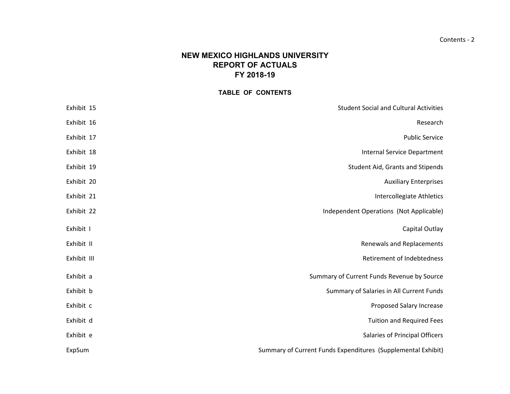# **NEW MEXICO HIGHLANDS UNIVERSITYREPORT OF ACTUALS FY 2018-19**

## **TABLE OF CONTENTS**

| Exhibit 15  | <b>Student Social and Cultural Activities</b>                |
|-------------|--------------------------------------------------------------|
| Exhibit 16  | Research                                                     |
| Exhibit 17  | <b>Public Service</b>                                        |
| Exhibit 18  | <b>Internal Service Department</b>                           |
| Exhibit 19  | Student Aid, Grants and Stipends                             |
| Exhibit 20  | <b>Auxiliary Enterprises</b>                                 |
| Exhibit 21  | Intercollegiate Athletics                                    |
| Exhibit 22  | Independent Operations (Not Applicable)                      |
| Exhibit I   | Capital Outlay                                               |
| Exhibit II  | Renewals and Replacements                                    |
| Exhibit III | Retirement of Indebtedness                                   |
| Exhibit a   | Summary of Current Funds Revenue by Source                   |
| Exhibit b   | Summary of Salaries in All Current Funds                     |
| Exhibit c   | Proposed Salary Increase                                     |
| Exhibit d   | <b>Tuition and Required Fees</b>                             |
| Exhibit e   | Salaries of Principal Officers                               |
| ExpSum      | Summary of Current Funds Expenditures (Supplemental Exhibit) |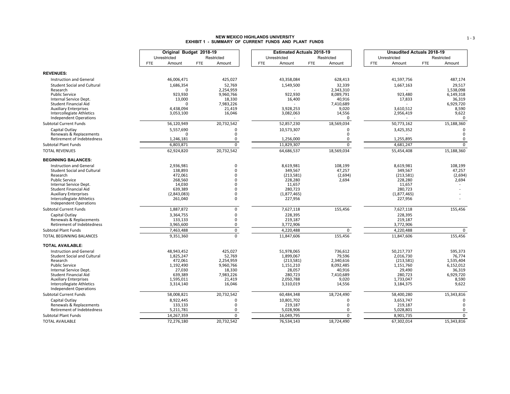# **NEW MEXICO HIGHLANDS UNIVERSITY EXHIBIT 1 - SUMMARY OF CURRENT FUNDS AND PLANT FUNDS**

|                                                            |                        | Original Budget 2018-19 | <b>Estimated Actuals 2018-19</b> |                      |                         | <b>Unaudited Actuals 2018-19</b> |
|------------------------------------------------------------|------------------------|-------------------------|----------------------------------|----------------------|-------------------------|----------------------------------|
|                                                            | Unrestricted           | Restricted              | Unrestricted                     | Restricted           | Unrestricted            | Restricted                       |
|                                                            | <b>FTE</b><br>Amount   | <b>FTE</b><br>Amount    | <b>FTE</b><br>Amount             | <b>FTE</b><br>Amount | FTE<br>Amount           | <b>FTE</b><br>Amount             |
| <b>REVENUES:</b>                                           |                        |                         |                                  |                      |                         |                                  |
| <b>Instruction and General</b>                             | 46,006,471             | 425,027                 | 43,358,084                       | 628,413              | 41,597,756              | 487,174                          |
| <b>Student Social and Cultural</b>                         | 1,686,354              | 52,769                  | 1,549,500                        | 32,339               | 1,667,163               | 29,517                           |
| Research                                                   |                        | 2,254,959               |                                  | 2,343,310            |                         | 1,538,098                        |
| <b>Public Service</b>                                      | 923,930                | 9,960,766               | 922,930                          | 8,089,791            | 923,480                 | 6,149,318                        |
| Internal Service Dept.                                     | 13,000                 | 18,330                  | 16,400                           | 40,916               | 17,833                  | 36,319                           |
| <b>Student Financial Aid</b>                               | $\Omega$               | 7,983,226               |                                  | 7,410,689            |                         | 6,929,720                        |
| <b>Auxiliary Enterprises</b>                               | 4,438,094              | 21,419                  | 3,928,253                        | 9,020                | 3,610,512               | 8,590                            |
| Intercollegiate Athletics<br><b>Independent Operations</b> | 3,053,100              | 16,046                  | 3,082,063                        | 14,556<br>$\Omega$   | 2,956,419               | 9,622<br>$\Omega$                |
| <b>Subtotal Current Funds</b>                              | 56,120,949             | 20,732,542              | 52,857,230                       | 18,569,034           | 50,773,162              | 15,188,360                       |
| Capital Outlay                                             | 5,557,690              | $\Omega$                | 10,573,307                       | $\Omega$             | 3,425,352               | $\Omega$                         |
| Renewals & Replacements                                    |                        | 0                       |                                  | $\Omega$             |                         | 0                                |
| Retirement of Indebtedness                                 | 1,246,181              | 0                       | 1,256,000                        | $\Omega$             | 1,255,895               | 0                                |
| <b>Subtotal Plant Funds</b>                                | 6,803,871              | $\mathbf 0$             | 11,829,307                       | $\mathbf 0$          | 4,681,247               | $\mathbf 0$                      |
| <b>TOTAL REVENUES</b>                                      | 62,924,820             | 20,732,542              | 64,686,537                       | 18,569,034           | 55,454,408              | 15,188,360                       |
| <b>BEGINNING BALANCES:</b>                                 |                        |                         |                                  |                      |                         |                                  |
| Instruction and General                                    | 2,936,981              | $\Omega$                | 8,619,981                        | 108,199              | 8,619,981               | 108,199                          |
| <b>Student Social and Cultural</b>                         | 138,893                | $\Omega$                | 349,567                          | 47,257               | 349,567                 | 47,257                           |
| Research                                                   | 472,061                | $\Omega$<br>$\Omega$    | (213, 581)                       | (2,694)              | (213, 581)              | (2,694)                          |
| <b>Public Service</b><br>Internal Service Dept.            | 268,560<br>14,030      | $\Omega$                | 228,280<br>11,657                | 2,694                | 228,280<br>11,657       | 2,694                            |
| <b>Student Financial Aid</b>                               | 639,389                | $\Omega$                | 280,723                          |                      | 280,723                 |                                  |
| <b>Auxiliary Enterprises</b>                               | (2,843,083)            | $\Omega$                | (1,877,465)                      |                      | (1,877,465)             |                                  |
| Intercollegiate Athletics                                  | 261,040                | $\Omega$                | 227,956                          |                      | 227,956                 |                                  |
| <b>Independent Operations</b>                              |                        |                         |                                  |                      |                         |                                  |
| <b>Subtotal Current Funds</b>                              | 1,887,872              | $\pmb{0}$               | 7,627,118                        | 155,456              | 7,627,118               | 155,456                          |
| Capital Outlay                                             | 3,364,755              | 0                       | 228,395                          |                      | 228,395                 |                                  |
| Renewals & Replacements                                    | 133,133                | $\mathbf 0$             | 219,187                          |                      | 219,187                 |                                  |
| Retirement of Indebtedness                                 | 3,965,600              | 0                       | 3,772,906                        |                      | 3,772,906               |                                  |
| Subtotal Plant Funds<br>TOTAL BEGINNING BALANCES           | 7,463,488<br>9,351,360 | $\pmb{0}$<br>$\Omega$   | 4,220,488<br>11,847,606          | 0<br>155,456         | 4,220,488<br>11,847,606 | 0<br>155,456                     |
|                                                            |                        |                         |                                  |                      |                         |                                  |
| <b>TOTAL AVAILABLE:</b>                                    |                        |                         |                                  |                      |                         |                                  |
| Instruction and General                                    | 48.943.452             | 425,027                 | 51,978,065                       | 736,612              | 50,217,737              | 595,373                          |
| <b>Student Social and Cultural</b><br>Research             | 1,825,247<br>472,061   | 52,769<br>2,254,959     | 1,899,067<br>(213, 581)          | 79,596<br>2,340,616  | 2,016,730<br>(213, 581) | 76,774<br>1,535,404              |
| <b>Public Service</b>                                      | 1,192,490              | 9,960,766               | 1,151,210                        | 8,092,485            | 1,151,760               | 6,152,012                        |
| Internal Service Dept.                                     | 27,030                 | 18,330                  | 28,057                           | 40,916               | 29,490                  | 36,319                           |
| <b>Student Financial Aid</b>                               | 639.389                | 7,983,226               | 280.723                          | 7,410,689            | 280.723                 | 6,929,720                        |
| <b>Auxiliary Enterprises</b>                               | 1,595,011              | 21,419                  | 2,050,788                        | 9,020                | 1,733,047               | 8,590                            |
| Intercollegiate Athletics                                  | 3,314,140              | 16,046                  | 3,310,019                        | 14,556               | 3,184,375               | 9,622                            |
| <b>Independent Operations</b>                              |                        |                         |                                  |                      |                         |                                  |
| <b>Subtotal Current Funds</b>                              | 58,008,821             | 20,732,542              | 60,484,348                       | 18,724,490           | 58,400,280              | 15,343,816                       |
| Capital Outlay<br>Renewals & Replacements                  | 8,922,445<br>133,133   | $\Omega$<br>$\Omega$    | 10,801,702<br>219,187            | 0<br>$\Omega$        | 3,653,747<br>219,187    | $\Omega$<br>$\Omega$             |
| Retirement of Indebtedness                                 | 5,211,781              | 0                       | 5,028,906                        | 0                    | 5,028,801               | 0                                |
| <b>Subtotal Plant Funds</b>                                | 14,267,359             | $\mathbf 0$             | 16,049,795                       | $\mathbf 0$          | 8,901,735               | $\mathbf 0$                      |
| <b>TOTAL AVAILABLE</b>                                     | 72,276,180             | 20,732,542              | 76,534,143                       | 18,724,490           | 67,302,014              | 15,343,816                       |
|                                                            |                        |                         |                                  |                      |                         |                                  |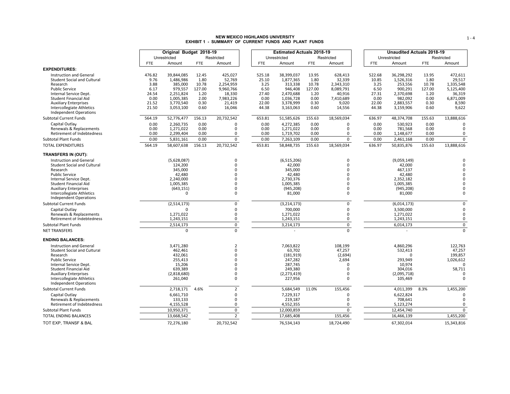# **NEW MEXICO HIGHLANDS UNIVERSITY EXHIBIT 1 - SUMMARY OF CURRENT FUNDS AND PLANT FUNDS**

|                                                                                                                                     | Original Budget 2018-19<br>Unrestricted<br>Restricted |                                                            |                                          |                                                       | <b>Estimated Actuals 2018-19</b> |                                          |                                                            |                                          |                                                       | <b>Unaudited Actuals 2018-19</b> |                                          |                                                            |                                          |                                                       |
|-------------------------------------------------------------------------------------------------------------------------------------|-------------------------------------------------------|------------------------------------------------------------|------------------------------------------|-------------------------------------------------------|----------------------------------|------------------------------------------|------------------------------------------------------------|------------------------------------------|-------------------------------------------------------|----------------------------------|------------------------------------------|------------------------------------------------------------|------------------------------------------|-------------------------------------------------------|
|                                                                                                                                     |                                                       |                                                            |                                          |                                                       |                                  |                                          | Unrestricted                                               |                                          | Restricted                                            |                                  |                                          | Unrestricted                                               |                                          | Restricted                                            |
|                                                                                                                                     | <b>FTE</b>                                            | Amount                                                     | <b>FTE</b>                               | Amount                                                |                                  | <b>FTE</b>                               | Amount                                                     | <b>FTE</b>                               | Amount                                                |                                  | <b>FTE</b>                               | Amount                                                     | <b>FTE</b>                               | Amount                                                |
| <b>EXPENDITURES:</b>                                                                                                                |                                                       |                                                            |                                          |                                                       |                                  |                                          |                                                            |                                          |                                                       |                                  |                                          |                                                            |                                          |                                                       |
| <b>Instruction and General</b><br><b>Student Social and Cultural</b><br>Research<br><b>Public Service</b><br>Internal Service Dept. | 476.82<br>9.76<br>3.88<br>6.17<br>24.54               | 39,844,085<br>1.486.986<br>385,000<br>979,557<br>2,251,824 | 12.45<br>1.80<br>10.78<br>127.00<br>1.20 | 425,027<br>52,769<br>2,254,959<br>9,960,766<br>18,330 |                                  | 525.18<br>25.10<br>3.25<br>6.50<br>27.40 | 38,399,037<br>1,877,365<br>313,338<br>946,408<br>2,470,688 | 13.95<br>1.80<br>10.78<br>127.00<br>1.20 | 628,413<br>32,339<br>2,343,310<br>8,089,791<br>40,916 |                                  | 522.68<br>10.85<br>3.25<br>6.50<br>27.31 | 36.298.292<br>1,526,316<br>253,556<br>900,291<br>2,370,698 | 13.95<br>1.80<br>10.78<br>127.00<br>1.20 | 472,611<br>29,517<br>1,335,548<br>5,125,400<br>36,319 |
| <b>Student Financial Aid</b><br><b>Auxiliary Enterprises</b><br>Intercollegiate Athletics<br><b>Independent Operations</b>          | 0.00<br>21.52<br>21.50                                | 1,005,385<br>3,770,540<br>3,053,100                        | 2.00<br>0.30<br>0.60                     | 7,983,226<br>21,419<br>16,046                         |                                  | 0.00<br>22.00<br>44.38                   | 1,036,728<br>3,378,999<br>3,163,063                        | 0.00<br>0.30<br>0.60                     | 7,410,689<br>9,020<br>14,556                          |                                  | 0.00<br>22.00<br>44.38                   | 982,092<br>2,883,557<br>3,159,906                          | 0.00<br>0.30<br>0.60                     | 6,871,009<br>8,590<br>9,622                           |
| Subtotal Current Funds                                                                                                              | 564.19                                                | 52,776,477                                                 | 156.13                                   | 20,732,542                                            |                                  | 653.81                                   | 51,585,626                                                 | 155.63                                   | 18,569,034                                            |                                  | 636.97                                   | 48,374,708                                                 | 155.63                                   | 13,888,616                                            |
| Capital Outlay<br>Renewals & Replacements<br>Retirement of Indebtedness                                                             | 0.00<br>0.00<br>0.00                                  | 2,260,735<br>1,271,022<br>2,299,404                        | 0.00<br>0.00<br>0.00                     | $\Omega$<br>$\Omega$<br>$\mathbf 0$                   |                                  | 0.00<br>0.00<br>0.00                     | 4,272,385<br>1,271,022<br>1,719,702                        | 0.00<br>0.00<br>0.00                     | $\Omega$<br>0<br>$\mathbf 0$                          |                                  | 0.00<br>0.00<br>0.00                     | 530,923<br>781,568<br>1,148,677                            | 0.00<br>0.00<br>0.00                     | $\Omega$<br>0<br>$\mathbf 0$                          |
| <b>Subtotal Plant Funds</b>                                                                                                         | 0.00                                                  | 5,831,161                                                  | 0.00                                     | $\mathbf 0$                                           |                                  | 0.00                                     | 7,263,109                                                  | 0.00                                     | $\mathbf 0$                                           |                                  | 0.00                                     | 2,461,168                                                  | 0.00                                     | $\mathbf 0$                                           |
| <b>TOTAL EXPENDITURES</b>                                                                                                           | 564.19                                                | 58,607,638                                                 | 156.13                                   | 20,732,542                                            |                                  | 653.81                                   | 58,848,735                                                 | 155.63                                   | 18,569,034                                            |                                  | 636.97                                   | 50,835,876                                                 | 155.63                                   | 13,888,616                                            |
| <b>TRANSFERS IN (OUT):</b>                                                                                                          |                                                       |                                                            |                                          |                                                       |                                  |                                          |                                                            |                                          |                                                       |                                  |                                          |                                                            |                                          |                                                       |
| <b>Instruction and General</b><br><b>Student Social and Cultural</b><br>Research                                                    |                                                       | (5,628,087)<br>124,200<br>345,000                          |                                          | $\Omega$<br>$\mathbf 0$<br>$\Omega$                   |                                  |                                          | (6,515,206)<br>42,000<br>345,000                           |                                          | 0<br>0<br>$\Omega$                                    |                                  |                                          | (9,059,149)<br>42,000<br>467,137                           |                                          | $\Omega$<br>$\Omega$<br>$\Omega$                      |
| <b>Public Service</b>                                                                                                               |                                                       | 42,480                                                     |                                          | $\Omega$                                              |                                  |                                          | 42,480                                                     |                                          | $\Omega$                                              |                                  |                                          | 42,480                                                     |                                          | $\Omega$                                              |
| Internal Service Dept.                                                                                                              |                                                       | 2,240,000                                                  |                                          | $\Omega$                                              |                                  |                                          | 2,730,376                                                  |                                          | $\Omega$                                              |                                  |                                          | 2,352,182                                                  |                                          | $\Omega$                                              |
| <b>Student Financial Aid</b>                                                                                                        |                                                       | 1,005,385                                                  |                                          | $\Omega$                                              |                                  |                                          | 1,005,385                                                  |                                          | 0                                                     |                                  |                                          | 1,005,385                                                  |                                          | $\Omega$                                              |
| <b>Auxiliary Enterprises</b><br>Intercollegiate Athletics<br><b>Independent Operations</b>                                          |                                                       | (643, 151)<br>$\Omega$                                     |                                          | $\Omega$<br>$\mathbf 0$                               |                                  |                                          | (945, 208)<br>81,000                                       |                                          | $\Omega$<br>0                                         |                                  |                                          | (945, 208)<br>81,000                                       |                                          | $\mathbf 0$<br>$\Omega$                               |
| <b>Subtotal Current Funds</b>                                                                                                       |                                                       | (2,514,173)                                                |                                          | $\mathbf 0$                                           |                                  |                                          | (3, 214, 173)                                              |                                          | $\mathbf 0$                                           |                                  |                                          | (6,014,173)                                                |                                          | $\mathsf 0$                                           |
| Capital Outlay<br>Renewals & Replacements<br>Retirement of Indebtedness                                                             |                                                       | n<br>1,271,022<br>1,243,151                                |                                          | $\Omega$<br>$\Omega$<br>0                             |                                  |                                          | 700,000<br>1,271,022<br>1,243,151                          |                                          | 0<br>$\Omega$<br>0                                    |                                  |                                          | 3,500,000<br>1,271,022<br>1,243,151                        |                                          | $\mathbf 0$<br>$\mathbf 0$<br>$\mathbf 0$             |
| <b>Subtotal Plant Funds</b>                                                                                                         |                                                       | 2,514,173                                                  |                                          | $\mathsf 0$                                           |                                  |                                          | 3,214,173                                                  |                                          | $\mathbf 0$                                           |                                  |                                          | 6,014,173                                                  |                                          | $\mathsf 0$                                           |
| <b>NET TRANSFERS</b>                                                                                                                |                                                       | $\Omega$                                                   |                                          | $\Omega$                                              |                                  |                                          |                                                            |                                          | $\Omega$                                              |                                  |                                          |                                                            |                                          | $\mathbf 0$                                           |
| <b>ENDING BALANCES:</b>                                                                                                             |                                                       |                                                            |                                          |                                                       |                                  |                                          |                                                            |                                          |                                                       |                                  |                                          |                                                            |                                          |                                                       |
| <b>Instruction and General</b><br><b>Student Social and Cultural</b>                                                                |                                                       | 3,471,280<br>462,461                                       |                                          | $\overline{2}$<br>$\Omega$                            |                                  |                                          | 7,063,822<br>63,702                                        |                                          | 108,199<br>47,257                                     |                                  |                                          | 4,860,296<br>532,413                                       |                                          | 122,763<br>47,257                                     |
| Research                                                                                                                            |                                                       | 432,061                                                    |                                          | $\Omega$                                              |                                  |                                          | (181, 919)                                                 |                                          | (2,694)                                               |                                  |                                          | $\Omega$                                                   |                                          | 199,857                                               |
| <b>Public Service</b>                                                                                                               |                                                       | 255,413                                                    |                                          | $\Omega$                                              |                                  |                                          | 247,282                                                    |                                          | 2,694                                                 |                                  |                                          | 293,949                                                    |                                          | 1,026,612                                             |
| Internal Service Dept.                                                                                                              |                                                       | 15,206                                                     |                                          | $\Omega$                                              |                                  |                                          | 287,745                                                    |                                          | $\Omega$                                              |                                  |                                          | 10,974                                                     |                                          | $\Omega$                                              |
| Student Financial Aid<br><b>Auxiliary Enterprises</b>                                                                               |                                                       | 639,389<br>(2,818,680)                                     |                                          | $\Omega$<br>$\Omega$                                  |                                  |                                          | 249,380<br>(2, 273, 419)                                   |                                          | $\Omega$<br>$\Omega$                                  |                                  |                                          | 304,016<br>(2,095,718)                                     |                                          | 58,711<br>$\Omega$                                    |
| Intercollegiate Athletics<br><b>Independent Operations</b>                                                                          |                                                       | 261,040                                                    |                                          | 0                                                     |                                  |                                          | 227,956                                                    |                                          | 0                                                     |                                  |                                          | 105,469                                                    |                                          | $\Omega$                                              |
| <b>Subtotal Current Funds</b>                                                                                                       |                                                       | 2,718,171                                                  | 4.6%                                     | $\overline{2}$                                        |                                  |                                          | 5,684,549                                                  | 11.0%                                    | 155,456                                               |                                  |                                          | 4,011,399                                                  | 8.3%                                     | 1,455,200                                             |
| Capital Outlay                                                                                                                      |                                                       | 6,661,710                                                  |                                          | 0                                                     |                                  |                                          | 7,229,317                                                  |                                          | 0                                                     |                                  |                                          | 6,622,824                                                  |                                          | $\Omega$                                              |
| Renewals & Replacements                                                                                                             |                                                       | 133,133                                                    |                                          | $\Omega$                                              |                                  |                                          | 219,187                                                    |                                          | $\Omega$                                              |                                  |                                          | 708,641                                                    |                                          | $\Omega$<br>$\mathbf 0$                               |
| Retirement of Indebtedness<br><b>Subtotal Plant Funds</b>                                                                           |                                                       | 4,155,528<br>10,950,371                                    |                                          | 0<br>$\mathsf 0$                                      |                                  |                                          | 4,552,355<br>12,000,859                                    |                                          | 0<br>$\mathsf 0$                                      |                                  |                                          | 5,123,274<br>12,454,740                                    |                                          | $\mathbf 0$                                           |
| <b>TOTAL ENDING BALANCES</b>                                                                                                        |                                                       | 13,668,542                                                 |                                          | $\overline{2}$                                        |                                  |                                          | 17,685,408                                                 |                                          | 155,456                                               |                                  |                                          | 16,466,139                                                 |                                          | 1,455,200                                             |
| TOT EXP, TRANSF & BAL                                                                                                               |                                                       |                                                            |                                          | 20,732,542                                            |                                  |                                          |                                                            |                                          |                                                       |                                  |                                          |                                                            |                                          |                                                       |
|                                                                                                                                     |                                                       | 72,276,180                                                 |                                          |                                                       |                                  |                                          | 76,534,143                                                 |                                          | 18,724,490                                            |                                  |                                          | 67,302,014                                                 |                                          | 15,343,816                                            |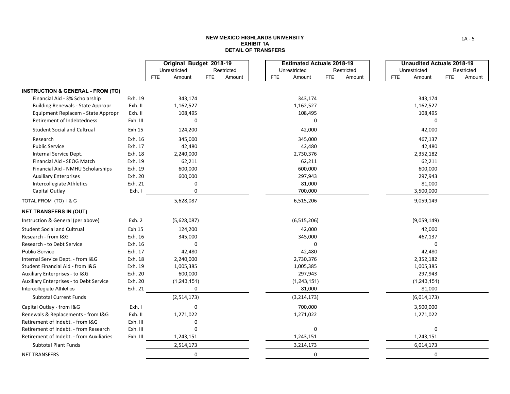#### **NEW MEXICO HIGHLANDS UNIVERSITY EXHIBIT 1ADETAIL OF TRANSFERS**

|                                              |          | Original Budget 2018-19 |                      |            | <b>Estimated Actuals 2018-19</b> |            |            |            | <b>Unaudited Actuals 2018-19</b> |            |            |
|----------------------------------------------|----------|-------------------------|----------------------|------------|----------------------------------|------------|------------|------------|----------------------------------|------------|------------|
|                                              |          | Unrestricted            | Restricted           |            | Unrestricted                     |            | Restricted |            | Unrestricted                     |            | Restricted |
|                                              |          | Amount<br><b>FTE</b>    | <b>FTE</b><br>Amount | <b>FTE</b> | Amount                           | <b>FTE</b> | Amount     | <b>FTE</b> | Amount                           | <b>FTE</b> | Amount     |
| <b>INSTRUCTION &amp; GENERAL - FROM (TO)</b> |          |                         |                      |            |                                  |            |            |            |                                  |            |            |
| Financial Aid - 3% Scholarship               | Exh. 19  | 343,174                 |                      |            | 343,174                          |            |            |            | 343,174                          |            |            |
| <b>Building Renewals - State Appropr</b>     | Exh. II  | 1,162,527               |                      |            | 1,162,527                        |            |            |            | 1,162,527                        |            |            |
| Equipment Replacem - State Appropr           | Exh. II  | 108,495                 |                      |            | 108,495                          |            |            |            | 108,495                          |            |            |
| Retirement of Indebtedness                   | Exh. III | 0                       |                      |            | 0                                |            |            |            | $\Omega$                         |            |            |
| <b>Student Social and Cultrual</b>           | Exh 15   | 124,200                 |                      |            | 42,000                           |            |            |            | 42,000                           |            |            |
| Research                                     | Exh. 16  | 345,000                 |                      |            | 345,000                          |            |            |            | 467,137                          |            |            |
| <b>Public Service</b>                        | Exh. 17  | 42,480                  |                      |            | 42,480                           |            |            |            | 42,480                           |            |            |
| Internal Service Dept.                       | Exh. 18  | 2,240,000               |                      |            | 2,730,376                        |            |            |            | 2,352,182                        |            |            |
| Financial Aid - SEOG Match                   | Exh. 19  | 62,211                  |                      |            | 62,211                           |            |            |            | 62,211                           |            |            |
| Financial Aid - NMHU Scholarships            | Exh. 19  | 600,000                 |                      |            | 600,000                          |            |            |            | 600,000                          |            |            |
| <b>Auxiliary Enterprises</b>                 | Exh. 20  | 600,000                 |                      |            | 297,943                          |            |            |            | 297,943                          |            |            |
| Intercollegiate Athletics                    | Exh. 21  | 0                       |                      |            | 81,000                           |            |            |            | 81,000                           |            |            |
| Capital Outlay                               | Exh. I   | $\Omega$                |                      |            | 700,000                          |            |            |            | 3,500,000                        |            |            |
| TOTAL FROM (TO) 1& G                         |          | 5,628,087               |                      |            | 6,515,206                        |            |            |            | 9,059,149                        |            |            |
| <b>NET TRANSFERS IN (OUT)</b>                |          |                         |                      |            |                                  |            |            |            |                                  |            |            |
| Instruction & General (per above)            | Exh. 2   | (5,628,087)             |                      |            | (6, 515, 206)                    |            |            |            | (9,059,149)                      |            |            |
| <b>Student Social and Cultrual</b>           | Exh 15   | 124,200                 |                      |            | 42,000                           |            |            |            | 42,000                           |            |            |
| Research - from I&G                          | Exh. 16  | 345,000                 |                      |            | 345,000                          |            |            |            | 467,137                          |            |            |
| Research - to Debt Service                   | Exh. 16  | 0                       |                      |            | 0                                |            |            |            | 0                                |            |            |
| <b>Public Service</b>                        | Exh. 17  | 42,480                  |                      |            | 42,480                           |            |            |            | 42,480                           |            |            |
| Internal Service Dept. - from I&G            | Exh. 18  | 2,240,000               |                      |            | 2,730,376                        |            |            |            | 2,352,182                        |            |            |
| Student Financial Aid - from I&G             | Exh. 19  | 1,005,385               |                      |            | 1,005,385                        |            |            |            | 1,005,385                        |            |            |
| Auxiliary Enterprises - to I&G               | Exh. 20  | 600,000                 |                      |            | 297,943                          |            |            |            | 297,943                          |            |            |
| Auxiliary Enterprises - to Debt Service      | Exh. 20  | (1, 243, 151)           |                      |            | (1, 243, 151)                    |            |            |            | (1,243,151)                      |            |            |
| Intercollegiate Athletics                    | Exh. 21  | 0                       |                      |            | 81,000                           |            |            |            | 81,000                           |            |            |
| <b>Subtotal Current Funds</b>                |          | (2,514,173)             |                      |            | (3, 214, 173)                    |            |            |            | (6,014,173)                      |            |            |
| Capital Outlay - from I&G                    | Exh. I   | 0                       |                      |            | 700,000                          |            |            |            | 3,500,000                        |            |            |
| Renewals & Replacements - from I&G           | Exh. II  | 1,271,022               |                      |            | 1,271,022                        |            |            |            | 1,271,022                        |            |            |
| Retirement of Indebt. - from I&G             | Exh. III | $\mathbf 0$             |                      |            |                                  |            |            |            |                                  |            |            |
| Retirement of Indebt. - from Research        | Exh. III | $\Omega$                |                      |            | 0                                |            |            |            | 0                                |            |            |
| Retirement of Indebt. - from Auxiliaries     | Exh. III | 1,243,151               |                      |            | 1,243,151                        |            |            |            | 1,243,151                        |            |            |
| <b>Subtotal Plant Funds</b>                  |          | 2,514,173               |                      |            | 3,214,173                        |            |            |            | 6,014,173                        |            |            |
| <b>NET TRANSFERS</b>                         |          | 0                       |                      |            | 0                                |            |            |            | 0                                |            |            |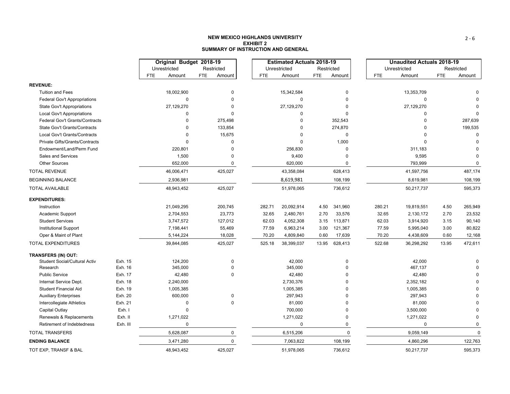### **NEW MEXICO HIGHLANDS UNIVERSITYEXHIBIT 2SUMMARY OF INSTRUCTION AND GENERAL**

|                                             |                    |            | Original Budget 2018-19 |     |             |            | <b>Estimated Actuals 2018-19</b> |            |             |            | <b>Unaudited Actuals 2018-19</b> |            |        |
|---------------------------------------------|--------------------|------------|-------------------------|-----|-------------|------------|----------------------------------|------------|-------------|------------|----------------------------------|------------|--------|
|                                             |                    |            | Unrestricted            |     | Restricted  |            | Unrestricted                     | Restricted |             |            | Unrestricted                     | Restricted |        |
|                                             |                    | <b>FTE</b> | Amount                  | FTE | Amount      | <b>FTE</b> | Amount                           | <b>FTE</b> | Amount      | <b>FTE</b> | Amount                           | <b>FTE</b> | Amount |
| <b>REVENUE:</b>                             |                    |            |                         |     |             |            |                                  |            |             |            |                                  |            |        |
| <b>Tuition and Fees</b>                     |                    |            | 18,002,900              |     | $\Omega$    |            | 15,342,584                       |            | $\mathbf 0$ |            | 13,353,709                       |            |        |
| <b>Federal Gov't Appropriations</b>         |                    |            | $\Omega$                |     | $\Omega$    |            | 0                                |            | $\Omega$    |            | $\mathbf 0$                      |            |        |
| State Gov't Appropriations                  |                    |            | 27,129,270              |     | $\Omega$    |            | 27,129,270                       |            | $\Omega$    |            | 27,129,270                       |            |        |
| Local Gov't Appropriations                  |                    |            | $\Omega$                |     | $\Omega$    |            | $\Omega$                         |            | $\Omega$    |            | $\Omega$                         |            |        |
| Federal Gov't Grants/Contracts              |                    |            | $\Omega$                |     | 275,498     |            | 0                                |            | 352,543     |            |                                  |            |        |
| <b>State Gov't Grants/Contracts</b>         |                    |            | $\Omega$                |     | 133,854     |            | $\Omega$                         |            | 274,870     |            |                                  |            |        |
| Local Gov't Grants/Contracts                |                    |            | $\Omega$                |     | 15,675      |            | $\Omega$                         |            | $\mathbf 0$ |            |                                  |            |        |
| Private Gifts/Grants/Contracts              |                    |            | $\Omega$                |     | $\Omega$    |            | $\Omega$                         |            | 1,000       |            |                                  |            |        |
| Endowment/Land/Perm Fund                    |                    |            | 220,801                 |     | $\Omega$    |            | 256,830                          |            | $\mathbf 0$ |            | 311,183                          |            |        |
| Sales and Services                          |                    |            | 1,500                   |     | $\Omega$    |            | 9,400                            |            | $\Omega$    |            | 9,595                            |            |        |
| <b>Other Sources</b>                        |                    |            | 652,000                 |     | $\mathbf 0$ |            | 620,000                          |            | 0           |            | 793,999                          |            |        |
| <b>TOTAL REVENUE</b>                        |                    |            | 46,006,471              |     | 425,027     |            | 43,358,084                       |            | 628,413     |            | 41,597,756                       |            |        |
| <b>BEGINNING BALANCE</b>                    |                    |            | 2,936,981               |     |             |            | 8,619,981                        |            | 108,199     |            | 8,619,981                        |            |        |
| <b>TOTAL AVAILABLE</b>                      |                    |            | 48,943,452              |     | 425,027     |            | 51,978,065                       |            | 736,612     |            | 50,217,737                       |            |        |
| <b>EXPENDITURES:</b>                        |                    |            |                         |     |             |            |                                  |            |             |            |                                  |            |        |
| Instruction                                 |                    |            | 21,049,295              |     | 200,745     | 282.71     | 20,092,914                       | 4.50       | 341,960     | 280.21     | 19,819,551                       | 4.50       |        |
| Academic Support                            |                    |            | 2,704,553               |     | 23,773      | 32.65      | 2,480,761                        | 2.70       | 33,576      | 32.65      | 2,130,172                        | 2.70       |        |
| <b>Student Services</b>                     |                    |            | 3,747,572               |     | 127,012     | 62.03      | 4,052,308                        | 3.15       | 113,871     | 62.03      | 3,914,920                        | 3.15       |        |
| <b>Institutional Support</b>                |                    |            | 7,198,441               |     | 55,469      | 77.59      | 6,963,214                        | 3.00       | 121,367     | 77.59      | 5,995,040                        | 3.00       |        |
| Oper & Maint of Plant                       |                    |            | 5, 144, 224             |     | 18,028      | 70.20      | 4,809,840                        | 0.60       | 17,639      | 70.20      | 4,438,609                        | 0.60       |        |
| <b>TOTAL EXPENDITURES</b>                   |                    |            | 39,844,085              |     | 425,027     | 525.18     | 38,399,037                       | 13.95      | 628,413     | 522.68     | 36,298,292                       | 13.95      |        |
| TRANSFERS (IN) OUT:                         |                    |            |                         |     |             |            |                                  |            |             |            |                                  |            |        |
| Student Social/Cultural Activ               | Exh. 15            |            | 124,200                 |     | $\mathbf 0$ |            | 42,000                           |            | $\mathbf 0$ |            | 42,000                           |            |        |
| Research                                    | Exh. 16            |            | 345,000                 |     | $\Omega$    |            | 345,000                          |            | $\mathbf 0$ |            | 467,137                          |            |        |
| <b>Public Service</b>                       | Exh. 17            |            | 42,480                  |     | $\Omega$    |            | 42,480                           |            | $\Omega$    |            | 42,480                           |            |        |
| Internal Service Dept.                      | Exh. 18            |            | 2,240,000               |     |             |            | 2,730,376                        |            | $\Omega$    |            | 2,352,182                        |            |        |
| <b>Student Financial Aid</b>                | Exh. 19<br>Exh. 20 |            | 1,005,385               |     | $\Omega$    |            | 1,005,385<br>297,943             |            | U           |            | 1,005,385<br>297,943             |            |        |
| <b>Auxiliary Enterprises</b>                | Exh. 21            |            | 600,000<br>$\Omega$     |     | $\Omega$    |            | 81,000                           |            | O           |            |                                  |            |        |
| Intercollegiate Athletics<br>Capital Outlay | Exh. I             |            | $\Omega$                |     |             |            | 700,000                          |            | $\Omega$    |            | 81,000<br>3,500,000              |            |        |
| Renewals & Replacements                     | Exh. II            |            | 1,271,022               |     |             |            | 1,271,022                        |            | 0           |            | 1,271,022                        |            |        |
| Retirement of Indebtedness                  | Exh. III           |            | $\Omega$                |     |             |            | $\pmb{0}$                        |            | 0           |            | $\pmb{0}$                        |            |        |
| <b>TOTAL TRANSFERS</b>                      |                    |            | 5,628,087               |     | $\mathbf 0$ |            | 6,515,206                        |            | $\mathbf 0$ |            | 9,059,149                        |            |        |
| <b>ENDING BALANCE</b>                       |                    |            | 3,471,280               |     | $\mathbf 0$ |            | 7,063,822                        |            | 108,199     |            | 4,860,296                        |            |        |
|                                             |                    |            |                         |     |             |            |                                  |            |             |            |                                  |            |        |
| TOT EXP, TRANSF & BAL                       |                    |            | 48,943,452              |     | 425,027     |            | 51,978,065                       |            | 736,612     |            | 50,217,737                       |            |        |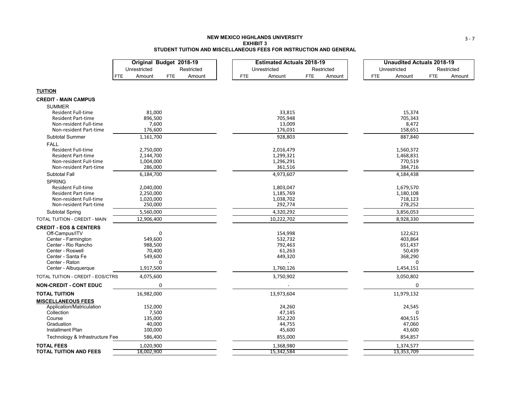### **NEW MEXICO HIGHLANDS UNIVERSITYEXHIBIT 3STUDENT TUITION AND MISCELLANEOUS FEES FOR INSTRUCTION AND GENERAL**

|                                   | Original Budget 2018-19                      | <b>Estimated Actuals 2018-19</b>             | <b>Unaudited Actuals 2018-19</b>             |
|-----------------------------------|----------------------------------------------|----------------------------------------------|----------------------------------------------|
|                                   | Unrestricted<br>Restricted                   | Unrestricted<br>Restricted                   | Unrestricted<br>Restricted                   |
|                                   | Amount<br><b>FTE</b><br>Amount<br><b>FTE</b> | <b>FTE</b><br>Amount<br><b>FTE</b><br>Amount | <b>FTE</b><br>Amount<br><b>FTE</b><br>Amount |
|                                   |                                              |                                              |                                              |
| <b>TUITION</b>                    |                                              |                                              |                                              |
| <b>CREDIT - MAIN CAMPUS</b>       |                                              |                                              |                                              |
| <b>SUMMER</b>                     |                                              |                                              |                                              |
| Resident Full-time                | 81,000                                       | 33,815                                       | 15,374                                       |
| <b>Resident Part-time</b>         | 896,500                                      | 705,948                                      | 705,343                                      |
| Non-resident Full-time            | 7,600                                        | 13,009                                       | 8,472                                        |
| Non-resident Part-time            | 176,600                                      | 176,031                                      | 158,651                                      |
| <b>Subtotal Summer</b>            | 1,161,700                                    | 928,803                                      | 887,840                                      |
| <b>FALL</b>                       |                                              |                                              |                                              |
| <b>Resident Full-time</b>         | 2,750,000                                    | 2,016,479                                    | 1,560,372                                    |
| <b>Resident Part-time</b>         | 2,144,700                                    | 1,299,321                                    | 1,468,831                                    |
| Non-resident Full-time            | 1,004,000                                    | 1,296,291                                    | 770,519                                      |
| Non-resident Part-time            | 286,000                                      | 361,516                                      | 384,716                                      |
| <b>Subtotal Fall</b>              | 6,184,700                                    | 4,973,607                                    | 4,184,438                                    |
| <b>SPRING</b>                     |                                              |                                              |                                              |
| <b>Resident Full-time</b>         | 2,040,000                                    | 1,803,047                                    | 1,679,570                                    |
| <b>Resident Part-time</b>         | 2,250,000                                    | 1,185,769                                    | 1,180,108                                    |
| Non-resident Full-time            | 1,020,000                                    | 1,038,702                                    | 718,123                                      |
| Non-resident Part-time            | 250,000                                      | 292,774                                      | 278,252                                      |
| <b>Subtotal Spring</b>            | 5,560,000                                    | 4,320,292                                    | 3,856,053                                    |
| TOTAL TUITION - CREDIT - MAIN     | 12,906,400                                   | 10,222,702                                   | 8,928,330                                    |
| <b>CREDIT - EOS &amp; CENTERS</b> |                                              |                                              |                                              |
| Off-Campus/ITV                    | 0                                            | 154,998                                      | 122,621                                      |
| Center - Farmington               | 549,600                                      | 532,732                                      | 403,864                                      |
| Center - Rio Rancho               | 988,500                                      | 792,463                                      | 651,437                                      |
| Center - Roswell                  | 70,400                                       | 61,263                                       | 50,439                                       |
| Center - Santa Fe                 | 549,600                                      | 449,320                                      | 368,290                                      |
| Center - Raton                    | 0                                            |                                              | 0                                            |
| Center - Albuquerque              | 1,917,500                                    | 1,760,126                                    | 1,454,151                                    |
| TOTAL TUITION - CREDIT - EOS/CTRS | 4,075,600                                    | 3,750,902                                    | 3,050,802                                    |
| <b>NON-CREDIT - CONT EDUC</b>     | 0                                            |                                              | 0                                            |
| <b>TOTAL TUITION</b>              | 16,982,000                                   | 13,973,604                                   | 11,979,132                                   |
| <b>MISCELLANEOUS FEES</b>         |                                              |                                              |                                              |
| Application/Matriculation         | 152,000                                      | 24,260                                       | 24,545                                       |
| Collection                        | 7,500                                        | 47,145                                       | $\Omega$                                     |
| Course                            | 135,000                                      | 352,220                                      | 404,515                                      |
| Graduation<br>Installment Plan    | 40,000<br>100,000                            | 44,755<br>45,600                             | 47,060<br>43,600                             |
|                                   | 586,400                                      | 855,000                                      | 854,857                                      |
| Technology & Infrastructure Fee   |                                              |                                              |                                              |
| <b>TOTAL FEES</b>                 | 1,020,900                                    | 1,368,980                                    | 1,374,577                                    |
| <b>TOTAL TUITION AND FEES</b>     | 18,002,900                                   | 15,342,584                                   | 13,353,709                                   |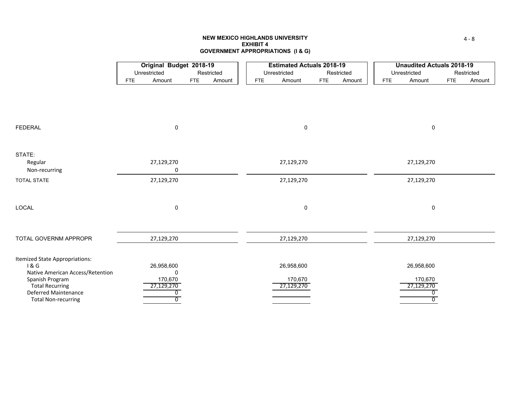## **NEW MEXICO HIGHLANDS UNIVERSITYEXHIBIT 4GOVERNMENT APPROPRIATIONS (I & G)**

|                                       |            | Original Budget 2018-19 |            |            |     | <b>Estimated Actuals 2018-19</b> |            |            |            | <b>Unaudited Actuals 2018-19</b> |            |            |
|---------------------------------------|------------|-------------------------|------------|------------|-----|----------------------------------|------------|------------|------------|----------------------------------|------------|------------|
|                                       |            | Unrestricted            |            | Restricted |     | Unrestricted                     |            | Restricted |            | Unrestricted                     |            | Restricted |
|                                       | <b>FTE</b> | Amount                  | <b>FTE</b> | Amount     | FTE | Amount                           | <b>FTE</b> | Amount     | <b>FTE</b> | Amount                           | <b>FTE</b> | Amount     |
|                                       |            |                         |            |            |     |                                  |            |            |            |                                  |            |            |
|                                       |            |                         |            |            |     |                                  |            |            |            |                                  |            |            |
|                                       |            |                         |            |            |     |                                  |            |            |            |                                  |            |            |
|                                       |            |                         |            |            |     |                                  |            |            |            |                                  |            |            |
| <b>FEDERAL</b>                        |            | 0                       |            |            |     | 0                                |            |            |            | 0                                |            |            |
|                                       |            |                         |            |            |     |                                  |            |            |            |                                  |            |            |
| STATE:                                |            |                         |            |            |     |                                  |            |            |            |                                  |            |            |
| Regular                               |            | 27,129,270              |            |            |     | 27,129,270                       |            |            |            | 27,129,270                       |            |            |
| Non-recurring                         |            | 0                       |            |            |     |                                  |            |            |            |                                  |            |            |
| <b>TOTAL STATE</b>                    |            | 27,129,270              |            |            |     | 27,129,270                       |            |            |            | 27,129,270                       |            |            |
|                                       |            |                         |            |            |     |                                  |            |            |            |                                  |            |            |
|                                       |            |                         |            |            |     |                                  |            |            |            |                                  |            |            |
| LOCAL                                 |            | 0                       |            |            |     | $\mathbf 0$                      |            |            |            | 0                                |            |            |
|                                       |            |                         |            |            |     |                                  |            |            |            |                                  |            |            |
|                                       |            |                         |            |            |     |                                  |            |            |            |                                  |            |            |
| TOTAL GOVERNM APPROPR                 |            | 27,129,270              |            |            |     | 27,129,270                       |            |            |            | 27,129,270                       |            |            |
|                                       |            |                         |            |            |     |                                  |            |            |            |                                  |            |            |
| Itemized State Appropriations:<br>1&6 |            | 26,958,600              |            |            |     | 26,958,600                       |            |            |            | 26,958,600                       |            |            |
| Native American Access/Retention      |            | 0                       |            |            |     |                                  |            |            |            |                                  |            |            |
| Spanish Program                       |            | 170,670                 |            |            |     | 170,670                          |            |            |            | 170,670                          |            |            |
| <b>Total Recurring</b>                |            | 27,129,270              |            |            |     | 27,129,270                       |            |            |            | 27,129,270                       |            |            |
| Deferred Maintenance                  |            | 0                       |            |            |     |                                  |            |            |            | 0                                |            |            |
| <b>Total Non-recurring</b>            |            | $\overline{0}$          |            |            |     |                                  |            |            |            | $\overline{0}$                   |            |            |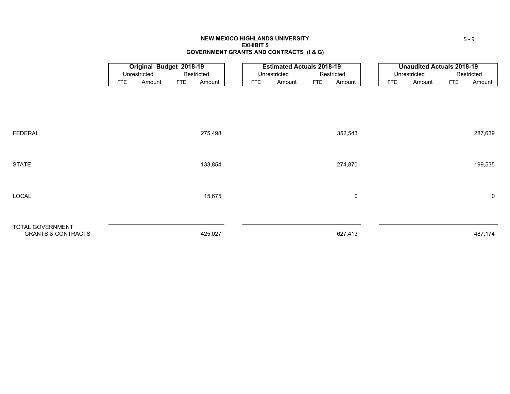### **NEW MEXICO HIGHLANDS UNIVERSITY EXHIBIT 5GOVERNMENT GRANTS AND CONTRACTS (I & G)**

|                                                          |            | <b>Original Budget 2018-19</b> |            |            |                            |            | <b>Estimated Actuals 2018-19</b> |            |         |            | <b>Unaudited Actuals 2018-19</b> |            |             |
|----------------------------------------------------------|------------|--------------------------------|------------|------------|----------------------------|------------|----------------------------------|------------|---------|------------|----------------------------------|------------|-------------|
|                                                          |            | Unrestricted                   |            | Restricted | Unrestricted<br>Restricted |            |                                  |            |         |            | Unrestricted                     |            | Restricted  |
|                                                          | <b>FTE</b> | Amount                         | <b>FTE</b> | Amount     |                            | <b>FTE</b> | Amount                           | <b>FTE</b> | Amount  | <b>FTE</b> | Amount                           | <b>FTE</b> | Amount      |
|                                                          |            |                                |            |            |                            |            |                                  |            |         |            |                                  |            |             |
| <b>FEDERAL</b>                                           |            |                                |            | 275,498    |                            |            |                                  |            | 352,543 |            |                                  |            | 287,639     |
| <b>STATE</b>                                             |            |                                |            | 133,854    |                            |            |                                  |            | 274,870 |            |                                  |            | 199,535     |
| LOCAL                                                    |            |                                |            | 15,675     |                            |            |                                  |            | 0       |            |                                  |            | $\mathbf 0$ |
| <b>TOTAL GOVERNMENT</b><br><b>GRANTS &amp; CONTRACTS</b> |            |                                |            | 425,027    |                            |            |                                  |            | 627,413 |            |                                  |            | 487,174     |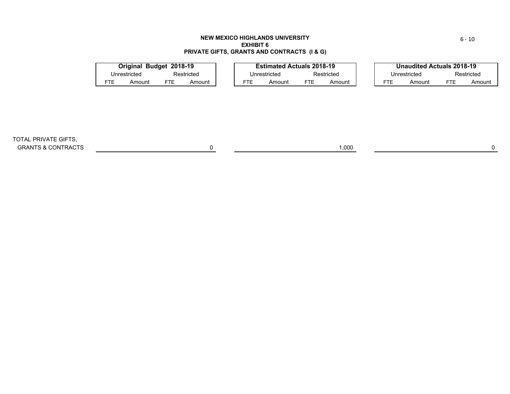### **NEW MEXICO HIGHLANDS UNIVERSITY EXHIBIT 6PRIVATE GIFTS, GRANTS AND CONTRACTS (I & G)**

|            | Original Budget 2018-19 |     |            |     | <b>Estimated Actuals 2018-19</b> |            |            |     | <b>Unaudited Actuals 2018-19</b> |     |            |
|------------|-------------------------|-----|------------|-----|----------------------------------|------------|------------|-----|----------------------------------|-----|------------|
|            | Unrestricted            |     | Restricted |     | Unrestricted                     |            | Restricted |     | Unrestricted                     |     | Restricted |
| <b>FTE</b> | Amount                  | FTE | Amount     | FTE | Amount                           | <b>FTE</b> | Amount     | FTE | Amount                           | FTE | Amount     |
|            |                         |     |            |     |                                  |            |            |     |                                  |     |            |

TOTAL PRIVATE GIFTS, GRANTS & CONTRACTS 0 1,000 0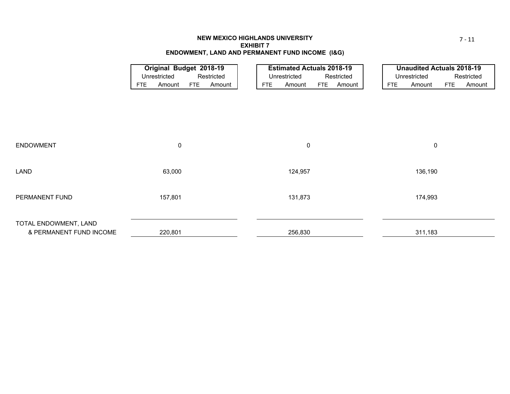## **NEW MEXICO HIGHLANDS UNIVERSITY EXHIBIT 7ENDOWMENT, LAND AND PERMANENT FUND INCOME (I&G)**

|                         |            | <b>Original Budget 2018-19</b> |            |            |                            | <b>Estimated Actuals 2018-19</b> |            |        |  |            | <b>Unaudited Actuals 2018-19</b> |            |            |
|-------------------------|------------|--------------------------------|------------|------------|----------------------------|----------------------------------|------------|--------|--|------------|----------------------------------|------------|------------|
|                         |            | Unrestricted                   |            | Restricted | Unrestricted<br>Restricted |                                  |            |        |  |            | Unrestricted                     |            | Restricted |
|                         | <b>FTE</b> | Amount                         | <b>FTE</b> | Amount     | <b>FTE</b>                 | Amount                           | <b>FTE</b> | Amount |  | <b>FTE</b> | Amount                           | <b>FTE</b> | Amount     |
|                         |            |                                |            |            |                            |                                  |            |        |  |            |                                  |            |            |
|                         |            |                                |            |            |                            |                                  |            |        |  |            |                                  |            |            |
|                         |            |                                |            |            |                            |                                  |            |        |  |            |                                  |            |            |
|                         |            |                                |            |            |                            |                                  |            |        |  |            |                                  |            |            |
|                         |            |                                |            |            |                            |                                  |            |        |  |            |                                  |            |            |
|                         |            |                                |            |            |                            |                                  |            |        |  |            |                                  |            |            |
| <b>ENDOWMENT</b>        |            | $\mathbf 0$                    |            |            |                            | $\boldsymbol{0}$                 |            |        |  |            | $\mathbf 0$                      |            |            |
|                         |            |                                |            |            |                            |                                  |            |        |  |            |                                  |            |            |
|                         |            |                                |            |            |                            |                                  |            |        |  |            |                                  |            |            |
| LAND                    |            | 63,000                         |            |            |                            | 124,957                          |            |        |  |            | 136,190                          |            |            |
|                         |            |                                |            |            |                            |                                  |            |        |  |            |                                  |            |            |
|                         |            |                                |            |            |                            |                                  |            |        |  |            |                                  |            |            |
| PERMANENT FUND          |            | 157,801                        |            |            |                            | 131,873                          |            |        |  |            | 174,993                          |            |            |
|                         |            |                                |            |            |                            |                                  |            |        |  |            |                                  |            |            |
|                         |            |                                |            |            |                            |                                  |            |        |  |            |                                  |            |            |
| TOTAL ENDOWMENT, LAND   |            |                                |            |            |                            |                                  |            |        |  |            |                                  |            |            |
| & PERMANENT FUND INCOME |            | 220,801                        |            |            |                            | 256,830                          |            |        |  |            | 311,183                          |            |            |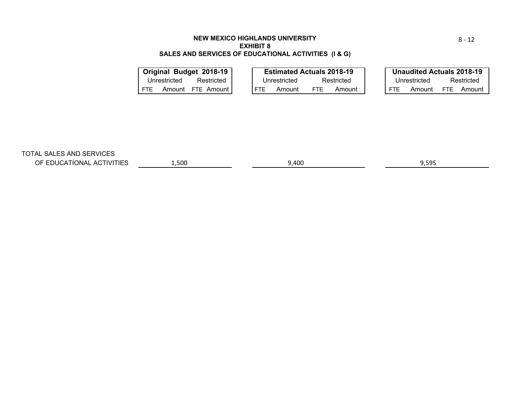## **NEW MEXICO HIGHLANDS UNIVERSITYEXHIBIT 8SALES AND SERVICES OF EDUCATIONAL ACTIVITIES (I & G)**

|            |              | Original Budget 2018-19 |            | <b>Estimated Actuals 2018-19</b> |            |            |     | <b>Unaudited Actuals 2018-19</b> |            |            |
|------------|--------------|-------------------------|------------|----------------------------------|------------|------------|-----|----------------------------------|------------|------------|
|            | Unrestricted | Restricted              |            | Unrestricted                     |            | Restricted |     | Unrestricted                     |            | Restricted |
| <b>FTE</b> | Amount       | FTE Amount I            | <b>FTF</b> | Amount                           | <b>FTF</b> | Amount     | FTF | Amount                           | <b>FTE</b> | Amount     |
|            |              |                         |            |                                  |            |            |     |                                  |            |            |

TOTAL SALES AND SERVICES

OF EDUCATIONAL ACTIVITIES

1,500 9,400 9,595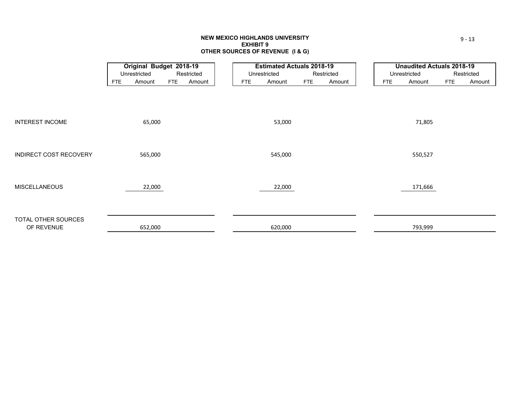### **NEW MEXICO HIGHLANDS UNIVERSITY EXHIBIT 9OTHER SOURCES OF REVENUE (I & G)**

|                        |            | <b>Original Budget 2018-19</b> |            |            |            | <b>Estimated Actuals 2018-19</b> |            |            |            | <b>Unaudited Actuals 2018-19</b> |            |            |
|------------------------|------------|--------------------------------|------------|------------|------------|----------------------------------|------------|------------|------------|----------------------------------|------------|------------|
|                        |            | Unrestricted                   |            | Restricted |            | Unrestricted                     |            | Restricted |            | Unrestricted                     |            | Restricted |
|                        | <b>FTE</b> | Amount                         | <b>FTE</b> | Amount     | <b>FTE</b> | Amount                           | <b>FTE</b> | Amount     | <b>FTE</b> | Amount                           | <b>FTE</b> | Amount     |
|                        |            |                                |            |            |            |                                  |            |            |            |                                  |            |            |
|                        |            |                                |            |            |            |                                  |            |            |            |                                  |            |            |
|                        |            |                                |            |            |            |                                  |            |            |            |                                  |            |            |
| <b>INTEREST INCOME</b> |            | 65,000                         |            |            |            | 53,000                           |            |            |            | 71,805                           |            |            |
|                        |            |                                |            |            |            |                                  |            |            |            |                                  |            |            |
|                        |            |                                |            |            |            |                                  |            |            |            |                                  |            |            |
| INDIRECT COST RECOVERY |            |                                |            |            |            |                                  |            |            |            |                                  |            |            |
|                        |            | 565,000                        |            |            |            | 545,000                          |            |            |            | 550,527                          |            |            |
|                        |            |                                |            |            |            |                                  |            |            |            |                                  |            |            |
|                        |            |                                |            |            |            |                                  |            |            |            |                                  |            |            |
| <b>MISCELLANEOUS</b>   |            | 22,000                         |            |            |            | 22,000                           |            |            |            | 171,666                          |            |            |
|                        |            |                                |            |            |            |                                  |            |            |            |                                  |            |            |
|                        |            |                                |            |            |            |                                  |            |            |            |                                  |            |            |
| TOTAL OTHER SOURCES    |            |                                |            |            |            |                                  |            |            |            |                                  |            |            |
| OF REVENUE             |            | 652,000                        |            |            |            | 620,000                          |            |            |            | 793,999                          |            |            |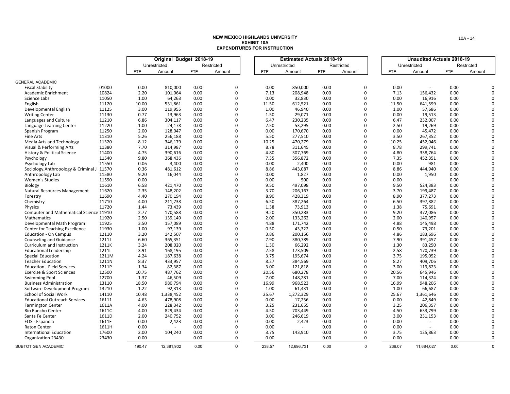|                                            |                |              | Original Budget 2018-19 |              |            |              | <b>Estimated Actuals 2018-19</b> |              |             |              | <b>Unaudited Actuals 2018-19</b> |              |            |             |
|--------------------------------------------|----------------|--------------|-------------------------|--------------|------------|--------------|----------------------------------|--------------|-------------|--------------|----------------------------------|--------------|------------|-------------|
|                                            |                |              | Unrestricted            |              | Restricted |              | Unrestricted                     |              | Restricted  |              | Unrestricted                     |              | Restricted |             |
|                                            |                | <b>FTE</b>   | Amount                  | <b>FTE</b>   | Amount     | <b>FTE</b>   | Amount                           | <b>FTE</b>   | Amount      | <b>FTE</b>   | Amount                           | <b>FTE</b>   | Amount     |             |
|                                            |                |              |                         |              |            |              |                                  |              |             |              |                                  |              |            |             |
| <b>GENERAL ACADEMIC</b>                    |                |              |                         |              |            |              |                                  |              |             |              |                                  |              |            |             |
| <b>Fiscal Stability</b>                    | 01000          | 0.00         | 810,000                 | 0.00         | 0          | 0.00         | 850,000                          | 0.00         | 0           | 0.00         |                                  | 0.00         |            |             |
| Academic Enrichment                        | 10824          | 2.20         | 101,064                 | 0.00         | 0          | 7.13         | 208,948                          | 0.00         | $\mathbf 0$ | 7.13         | 156,432                          | 0.00         |            | $\Omega$    |
| Science Labs                               | 11050          | 1.00         | 64,263                  | 0.00         | 0          | 0.00         | 32,830                           | 0.00         | $\Omega$    | 0.00         | 16,916                           | 0.00         |            |             |
| English                                    | 11120          | 10.00        | 531,861                 | 0.00         | 0          | 11.50        | 612,521                          | 0.00         | $\Omega$    | 11.50        | 641,599                          | 0.00         |            | 0           |
| Developmental English                      | 11125          | 3.00         | 119,955                 | 0.00         | 0          | 1.00         | 46,940                           | 0.00         | $\Omega$    | 1.00         | 57,686                           | 0.00         |            | $\Omega$    |
| <b>Writing Center</b>                      | 11130          | 0.77         | 13,963                  | 0.00         | 0          | 1.50         | 29,071                           | 0.00         | $\Omega$    | 0.00         | 19,513                           | 0.00         |            | $\Omega$    |
| Languages and Culture                      | 11210          | 6.86         | 304,117                 | 0.00         | 0          | 6.47         | 230,235                          | 0.00         | $\Omega$    | 6.47         | 232,007                          | 0.00         |            | $\Omega$    |
| Language Learning Center                   | 11220          | 1.00         | 24,178                  | 0.00         | 0          | 2.50         | 53,295                           | 0.00         | 0           | 2.50         | 19,269                           | 0.00         |            |             |
| Spanish Program                            | 11250          | 2.00         | 128,047                 | 0.00         | 0          | 0.00         | 170,670                          | 0.00         | $\mathbf 0$ | 0.00         | 45,472                           | 0.00         |            | $\Omega$    |
| Fine Arts                                  | 11310          | 5.26         | 256,188                 | 0.00         | 0          | 5.50         | 277,510                          | 0.00         | 0           | 3.50         | 267,352                          | 0.00         |            | 0           |
| Media Arts and Technology                  | 11320          | 8.12         | 346,179                 | 0.00         | 0          | 10.25        | 470,279                          | 0.00         | 0           | 10.25        | 452,046                          | 0.00         |            |             |
| Visual & Performing Arts                   | 11380          | 7.70         | 314,987                 | 0.00         | 0          | 8.78         | 311,645                          | 0.00         | $\mathbf 0$ | 8.78         | 299,741                          | 0.00         |            | $\Omega$    |
| History & Political Science                | 11400          | 4.75         | 390,616                 | 0.00         | 0          | 4.80         | 307,769                          | 0.00         | 0           | 4.80         | 338,764                          | 0.00         |            |             |
| Psychology                                 | 11540          | 9.80         | 368,436                 | 0.00         | 0          | 7.35         | 356,872                          | 0.00         | $\Omega$    | 7.35         | 452,351                          | 0.00         |            | $\Omega$    |
| Psychology Lab                             | 11550          | 0.06         | 3,400                   | 0.00         | 0          | 0.00         | 2,400                            | 0.00         | $\mathbf 0$ | 0.00         | 981                              | 0.00         |            | 0           |
| Sociology, Anthropology & Criminal J 11570 |                | 0.36         | 481,612                 | 0.00         | 0          | 8.86         | 443,087                          | 0.00         | 0           | 8.86         | 444,940                          | 0.00         |            |             |
| Anthropology Lab                           | 11580          | 9.20         | 16,044                  | 0.00         | 0          | 0.00         | 1,827                            | 0.00         | $\Omega$    | 0.00         | 1,950                            | 0.00         |            | 0           |
| <b>Women's Studies</b>                     | 11590          | 0.00         |                         | 0.00         | 0          | 0.00         | 500                              | 0.00         | $\mathbf 0$ | 0.00         |                                  | 0.00         |            |             |
| Biology                                    | 11610          | 6.58         | 421,470                 | 0.00         | 0          | 9.50         | 497,098                          | 0.00         | 0           | 9.50         | 524,383                          | 0.00         |            | 0           |
| Natural Resources Management               | 11620          | 2.35         | 148,202                 | 0.00         | 0          | 3.70         | 206,167                          | 0.00         | $\Omega$    | 3.70         | 199,487                          | 0.00         |            | 0           |
|                                            | 11690          | 4.40         | 270,194                 | 0.00         | 0          | 8.90         | 428,319                          | 0.00         | 0           | 8.90         |                                  | 0.00         |            |             |
| Forestry                                   |                |              |                         |              | 0          |              |                                  |              | $\Omega$    |              | 377,273                          |              |            | $\Omega$    |
| Chemistry                                  | 11710<br>11720 | 4.00<br>1.44 | 211,738                 | 0.00<br>0.00 | 0          | 6.50<br>1.38 | 387,264                          | 0.00<br>0.00 | $\Omega$    | 6.50<br>1.38 | 397,882                          | 0.00<br>0.00 |            | $\Omega$    |
| Physics                                    |                |              | 73,439                  |              |            |              | 73,913                           |              |             |              | 75,691                           |              |            |             |
| Computer and Mathematical Science 11910    |                | 2.77         | 170,588                 | 0.00         | 0          | 9.20         | 350,283                          | 0.00         | 0           | 9.20         | 372,086                          | 0.00         |            |             |
| <b>Mathematics</b>                         | 11920          | 2.50         | 139.149                 | 0.00         | 0          | 2.00         | 133,262                          | 0.00         | $\Omega$    | 2.00         | 140,957                          | 0.00         |            | $\Omega$    |
| Developmental Math Program                 | 11925          | 3.50         | 157,089                 | 0.00         | 0          | 4.88         | 171,742                          | 0.00         | 0           | 4.88         | 145,498                          | 0.00         |            |             |
| <b>Center for Teaching Excellence</b>      | 11930          | 1.00         | 97,139                  | 0.00         | 0          | 0.50         | 43,322                           | 0.00         | $\Omega$    | 0.50         | 73,201                           | 0.00         |            | $\Omega$    |
| Education - On Campus                      | 12110          | 3.20         | 142,507                 | 0.00         | 0          | 3.86         | 200,156                          | 0.00         | $\Omega$    | 4.86         | 183,696                          | 0.00         |            | 0           |
| <b>Counseling and Guidance</b>             | <b>1211J</b>   | 6.60         | 365,351                 | 0.00         | 0          | 7.90         | 380,789                          | 0.00         | $\mathbf 0$ | 7.90         | 391,457                          | 0.00         |            |             |
| Curriculum and Instruction                 | 1211K          | 3.24         | 208,020                 | 0.00         | 0          | 1.30         | 66,292                           | 0.00         | $\Omega$    | 1.30         | 83,250                           | 0.00         |            | $\Omega$    |
| <b>Educational Leadership</b>              | 1211L          | 3.91         | 168,195                 | 0.00         | 0          | 2.58         | 173,509                          | 0.00         | $\Omega$    | 2.58         | 170,739                          | 0.00         |            |             |
| <b>Special Education</b>                   | 1211M          | 4.24         | 187,638                 | 0.00         | 0          | 3.75         | 195,674                          | 0.00         | 0           | 3.75         | 195,052                          | 0.00         |            | $\Omega$    |
| <b>Teacher Education</b>                   | 1211N          | 8.37         | 433,957                 | 0.00         | 0          | 8.27         | 384,569                          | 0.00         | 0           | 8.27         | 409,706                          | 0.00         |            | 0           |
| <b>Education - Field Services</b>          | 1211P          | 1.34         | 82.387                  | 0.00         | 0          | 3.00         | 121,818                          | 0.00         | $\mathbf 0$ | 3.00         | 119.823                          | 0.00         |            | $\Omega$    |
| <b>Exercise &amp; Sport Sciences</b>       | 12500          | 10.75        | 487,762                 | 0.00         | 0          | 20.56        | 680,278                          | 0.00         | $\Omega$    | 20.56        | 645,946                          | 0.00         |            | $\Omega$    |
| <b>Swimming Pool</b>                       | 12700          | 1.37         | 46,509                  | 0.00         | 0          | 7.00         | 148,281                          | 0.00         | $\Omega$    | 7.00         | 114,324                          | 0.00         |            | $\Omega$    |
| <b>Business Administration</b>             | 13110          | 18.50        | 980,794                 | 0.00         | 0          | 16.99        | 968,523                          | 0.00         | $\Omega$    | 16.99        | 948,206                          | 0.00         |            | 0           |
| Software Development Program               | 13210          | 1.22         | 92,313                  | 0.00         | 0          | 1.00         | 61,431                           | 0.00         | 0           | 1.00         | 66,687                           | 0.00         |            | $\Omega$    |
| School of Social Work                      | 14110          | 10.48        | 1,338,452               | 0.00         | 0          | 25.67        | 1,272,329                        | 0.00         | 0           | 25.67        | 1,361,646                        | 0.00         |            |             |
| <b>Educational Outreach Services</b>       | 16111          | 4.63         | 478,908                 | 0.00         | 0          | 0.00         | 17,256                           | 0.00         | $\Omega$    | 0.00         | 42,849                           | 0.00         |            | $\Omega$    |
| <b>Farmington Center</b>                   | 1611A          | 4.00         | 228,342                 | 0.00         | 0          | 3.25         | 231,655                          | 0.00         | $\Omega$    | 3.25         | 206,357                          | 0.00         |            | $\Omega$    |
| Rio Rancho Center                          | 1611C          | 4.00         | 829,434                 | 0.00         | 0          | 4.50         | 703,449                          | 0.00         | 0           | 4.50         | 633,799                          | 0.00         |            |             |
| Santa Fe Center                            | 1611D          | 2.00         | 240,752                 | 0.00         | 0          | 3.00         | 246,619                          | 0.00         | $\mathbf 0$ | 3.00         | 231,153                          | 0.00         |            | $\Omega$    |
| EOS - Espanola                             | 1611F          | 0.00         | 2,423                   | 0.00         | 0          | 0.00         | 2,423                            | 0.00         | 0           | 0.00         | ٠                                | 0.00         |            |             |
| <b>Raton Center</b>                        | 1611H          | 0.00         |                         | 0.00         | 0          | 0.00         |                                  | 0.00         | $\Omega$    | 0.00         | $\sim$                           | 0.00         |            | $\Omega$    |
| <b>International Education</b>             | 17600          | 2.00         | 104,240                 | 0.00         | 0          | 3.75         | 143,910                          | 0.00         | 0           | 3.75         | 125,863                          | 0.00         |            | 0           |
| Organization 23430                         | 23430          | 0.00         |                         | 0.00         | 0          | 0.00         |                                  | 0.00         | 0           | 0.00         |                                  | 0.00         |            | $\mathbf 0$ |
| SUBTOT GEN ACADEMIC                        |                | 190.47       | 12.381.902              | 0.00         | $\Omega$   | 238.57       | 12,696,731                       | 0.00         | $\Omega$    | 236.07       | 11,684,027                       | 0.00         |            | $\Omega$    |
|                                            |                |              |                         |              |            |              |                                  |              |             |              |                                  |              |            |             |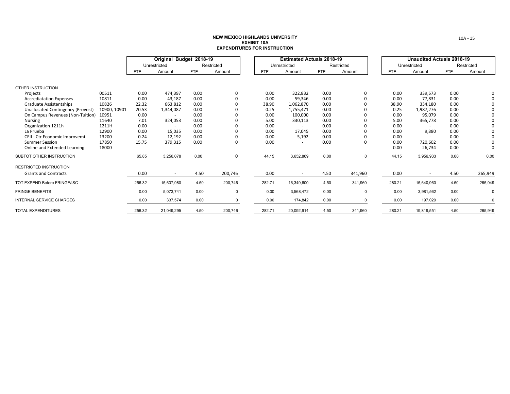|                                   |              | Original Budget 2018-19 |              |      |             | <b>Estimated Actuals 2018-19</b> |              |            |             | <b>Unaudited Actuals 2018-19</b> |              |            |            |
|-----------------------------------|--------------|-------------------------|--------------|------|-------------|----------------------------------|--------------|------------|-------------|----------------------------------|--------------|------------|------------|
|                                   |              |                         | Unrestricted |      | Restricted  |                                  | Unrestricted |            | Restricted  |                                  | Unrestricted |            | Restricted |
|                                   |              | FTE.                    | Amount       | FTE  | Amount      | FTE.                             | Amount       | <b>FTE</b> | Amount      | <b>FTE</b>                       | Amount       | <b>FTE</b> | Amount     |
|                                   |              |                         |              |      |             |                                  |              |            |             |                                  |              |            |            |
| OTHER INSTRUCTION                 |              |                         |              |      |             |                                  |              |            |             |                                  |              |            |            |
| Projects                          | 00511        | 0.00                    | 474,397      | 0.00 | 0           | 0.00                             | 322,832      | 0.00       | 0           | 0.00                             | 339,573      | 0.00       |            |
| <b>Accrediatation Expenses</b>    | 10811        | 0.00                    | 43,187       | 0.00 | 0           | 0.00                             | 59,346       | 0.00       | 0           | 0.00                             | 77,831       | 0.00       |            |
| Graduate Assistantships           | 10826        | 22.32                   | 663,812      | 0.00 |             | 38.90                            | 1,062,870    | 0.00       |             | 38.90                            | 334,180      | 0.00       |            |
| Unallocated Contingency (Provost) | 10900, 10901 | 20.53                   | 1,344,087    | 0.00 |             | 0.25                             | 1,755,471    | 0.00       |             | 0.25                             | 1,987,276    | 0.00       |            |
| On Campus Revenues (Non-Tuition)  | 10951        | 0.00                    |              | 0.00 |             | 0.00                             | 100,000      | 0.00       | $\Omega$    | 0.00                             | 95,079       | 0.00       |            |
| Nursing                           | 11640        | 7.01                    | 324,053      | 0.00 |             | 5.00                             | 330,113      | 0.00       |             | 5.00                             | 365,778      | 0.00       |            |
| Organization 1211h                | 1211H        | 0.00                    |              | 0.00 | 0           | 0.00                             |              | 0.00       | 0           | 0.00                             |              | 0.00       |            |
| La Prueba                         | 12900        | 0.00                    | 15,035       | 0.00 | $\Omega$    | 0.00                             | 17,045       | 0.00       | $\Omega$    | 0.00                             | 9,880        | 0.00       |            |
| CEII - Ctr Economic Improvemt     | 13200        | 0.24                    | 12,192       | 0.00 |             | 0.00                             | 5,192        | 0.00       |             | 0.00                             |              | 0.00       |            |
| <b>Summer Session</b>             | 17850        | 15.75                   | 379,315      | 0.00 | 0           | 0.00                             |              | 0.00       | $\Omega$    | 0.00                             | 720,602      | 0.00       |            |
| Online and Extended Learning      | 18000        |                         |              |      |             |                                  |              |            |             | 0.00                             | 26,734       | 0.00       | 0          |
| SUBTOT OTHER INSTRUCTION          |              | 65.85                   | 3,256,078    | 0.00 | 0           | 44.15                            | 3,652,869    | 0.00       | $\mathbf 0$ | 44.15                            | 3,956,933    | 0.00       | 0.00       |
| <b>RESTRICTED INSTRUCTION</b>     |              |                         |              |      |             |                                  |              |            |             |                                  |              |            |            |
| <b>Grants and Contracts</b>       |              | 0.00                    | $\sim$       | 4.50 | 200,746     | 0.00                             | $\sim$       | 4.50       | 341,960     | 0.00                             | $\sim$       | 4.50       | 265,949    |
| TOT EXPEND Before FRINGE/ISC      |              | 256.32                  | 15,637,980   | 4.50 | 200,746     | 282.71                           | 16,349,600   | 4.50       | 341,960     | 280.21                           | 15,640,960   | 4.50       | 265,949    |
| <b>FRINGE BENEFITS</b>            |              | 0.00                    | 5,073,741    | 0.00 | $\mathbf 0$ | 0.00                             | 3,568,472    | 0.00       | $\Omega$    | 0.00                             | 3,981,562    | 0.00       | 0          |
| <b>INTERNAL SERVICE CHARGES</b>   |              | 0.00                    | 337,574      | 0.00 | $\Omega$    | 0.00                             | 174.842      | 0.00       | $\Omega$    | 0.00                             | 197,029      | 0.00       | $\Omega$   |
| <b>TOTAL EXPENDITURES</b>         |              | 256.32                  | 21,049,295   | 4.50 | 200,746     | 282.71                           | 20,092,914   | 4.50       | 341,960     | 280.21                           | 19,819,551   | 4.50       | 265,949    |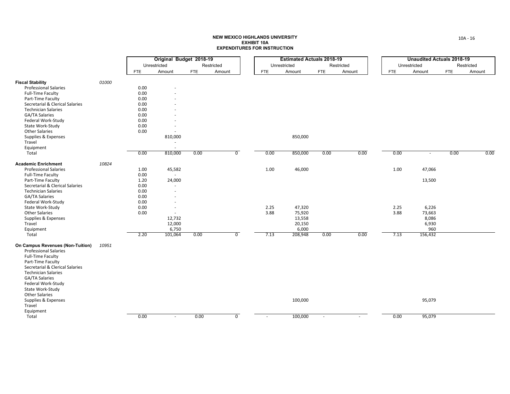|                                  |       |            | Original Budget 2018-19  |            |                |                          |              | <b>Estimated Actuals 2018-19</b> |                |            |            |      | <b>Unaudited Actuals 2018-19</b> |            |            |
|----------------------------------|-------|------------|--------------------------|------------|----------------|--------------------------|--------------|----------------------------------|----------------|------------|------------|------|----------------------------------|------------|------------|
|                                  |       |            | Unrestricted             |            | Restricted     |                          | Unrestricted |                                  |                | Restricted |            |      | Unrestricted                     |            | Restricted |
|                                  |       | <b>FTE</b> | Amount                   | <b>FTE</b> | Amount         | <b>FTE</b>               |              | Amount                           | <b>FTE</b>     | Amount     | <b>FTE</b> |      | Amount                           | <b>FTE</b> | Amount     |
| <b>Fiscal Stability</b>          | 01000 |            |                          |            |                |                          |              |                                  |                |            |            |      |                                  |            |            |
| <b>Professional Salaries</b>     |       | 0.00       |                          |            |                |                          |              |                                  |                |            |            |      |                                  |            |            |
| <b>Full-Time Faculty</b>         |       | 0.00       |                          |            |                |                          |              |                                  |                |            |            |      |                                  |            |            |
| Part-Time Faculty                |       | 0.00       |                          |            |                |                          |              |                                  |                |            |            |      |                                  |            |            |
| Secretarial & Clerical Salaries  |       | 0.00       |                          |            |                |                          |              |                                  |                |            |            |      |                                  |            |            |
| <b>Technician Salaries</b>       |       | 0.00       |                          |            |                |                          |              |                                  |                |            |            |      |                                  |            |            |
| GA/TA Salaries                   |       | 0.00       |                          |            |                |                          |              |                                  |                |            |            |      |                                  |            |            |
| Federal Work-Study               |       | 0.00       |                          |            |                |                          |              |                                  |                |            |            |      |                                  |            |            |
| State Work-Study                 |       | 0.00       |                          |            |                |                          |              |                                  |                |            |            |      |                                  |            |            |
| <b>Other Salaries</b>            |       | 0.00       |                          |            |                |                          |              |                                  |                |            |            |      |                                  |            |            |
| Supplies & Expenses              |       |            | 810,000                  |            |                |                          |              | 850,000                          |                |            |            |      |                                  |            |            |
| Travel                           |       |            | $\overline{a}$           |            |                |                          |              |                                  |                |            |            |      |                                  |            |            |
| Equipment                        |       |            | $\sim$                   |            |                |                          |              |                                  |                |            |            |      |                                  |            |            |
| Total                            |       | 0.00       | 810,000                  | 0.00       | $\overline{0}$ | 0.00                     |              | 850,000                          | 0.00           | 0.00       |            | 0.00 | $\sim$                           | 0.00       | 0.00       |
| <b>Academic Enrichment</b>       | 10824 |            |                          |            |                |                          |              |                                  |                |            |            |      |                                  |            |            |
| <b>Professional Salaries</b>     |       | 1.00       | 45,582                   |            |                | 1.00                     |              | 46,000                           |                |            |            | 1.00 | 47,066                           |            |            |
| <b>Full-Time Faculty</b>         |       | 0.00       | $\sim$                   |            |                |                          |              |                                  |                |            |            |      |                                  |            |            |
| Part-Time Faculty                |       | 1.20       | 24,000                   |            |                |                          |              |                                  |                |            |            |      | 13,500                           |            |            |
| Secretarial & Clerical Salaries  |       | 0.00       | ×.                       |            |                |                          |              |                                  |                |            |            |      |                                  |            |            |
| <b>Technician Salaries</b>       |       | 0.00       |                          |            |                |                          |              |                                  |                |            |            |      |                                  |            |            |
| GA/TA Salaries                   |       | 0.00       |                          |            |                |                          |              |                                  |                |            |            |      |                                  |            |            |
| Federal Work-Study               |       | 0.00       |                          |            |                |                          |              |                                  |                |            |            |      |                                  |            |            |
| State Work-Study                 |       | 0.00       |                          |            |                | 2.25                     |              | 47,320                           |                |            |            | 2.25 | 6,226                            |            |            |
| <b>Other Salaries</b>            |       | 0.00       | $\overline{\phantom{a}}$ |            |                | 3.88                     |              | 75,920                           |                |            |            | 3.88 | 73,663                           |            |            |
| Supplies & Expenses              |       |            | 12,732                   |            |                |                          |              | 13,558                           |                |            |            |      | 8,086                            |            |            |
| Travel                           |       |            | 12,000                   |            |                |                          |              | 20,150                           |                |            |            |      | 6,930                            |            |            |
| Equipment                        |       |            | 6,750                    |            |                |                          |              | 6,000                            |                |            |            |      | 960                              |            |            |
| Total                            |       | 2.20       | 101,064                  | 0.00       | $\overline{0}$ | 7.13                     |              | 208,948                          | 0.00           | 0.00       |            | 7.13 | 156,432                          |            |            |
| On Campus Revenues (Non-Tuition) | 10951 |            |                          |            |                |                          |              |                                  |                |            |            |      |                                  |            |            |
| <b>Professional Salaries</b>     |       |            |                          |            |                |                          |              |                                  |                |            |            |      |                                  |            |            |
| Full-Time Faculty                |       |            |                          |            |                |                          |              |                                  |                |            |            |      |                                  |            |            |
| Part-Time Faculty                |       |            |                          |            |                |                          |              |                                  |                |            |            |      |                                  |            |            |
| Secretarial & Clerical Salaries  |       |            |                          |            |                |                          |              |                                  |                |            |            |      |                                  |            |            |
| <b>Technician Salaries</b>       |       |            |                          |            |                |                          |              |                                  |                |            |            |      |                                  |            |            |
| GA/TA Salaries                   |       |            |                          |            |                |                          |              |                                  |                |            |            |      |                                  |            |            |
| Federal Work-Study               |       |            |                          |            |                |                          |              |                                  |                |            |            |      |                                  |            |            |
| State Work-Study                 |       |            |                          |            |                |                          |              |                                  |                |            |            |      |                                  |            |            |
| <b>Other Salaries</b>            |       |            |                          |            |                |                          |              |                                  |                |            |            |      |                                  |            |            |
| Supplies & Expenses<br>Travel    |       |            |                          |            |                |                          |              | 100,000                          |                |            |            |      | 95,079                           |            |            |
|                                  |       |            |                          |            |                |                          |              |                                  |                |            |            |      |                                  |            |            |
| Equipment<br>Total               |       | 0.00       | $\overline{\phantom{a}}$ | 0.00       | $\overline{0}$ | $\overline{\phantom{a}}$ |              | 100,000                          | $\blacksquare$ |            |            | 0.00 | 95,079                           |            |            |
|                                  |       |            |                          |            |                |                          |              |                                  |                |            |            |      |                                  |            |            |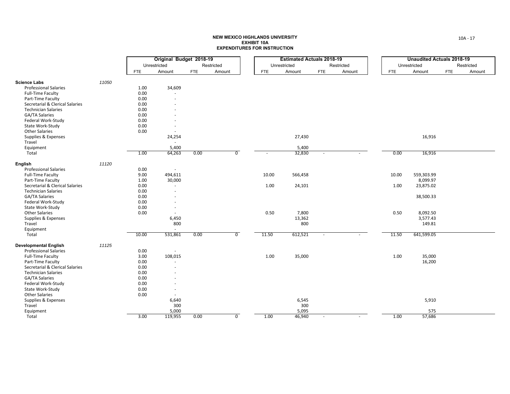|                                 |       |            | Original Budget 2018-19  |            |                |            | <b>Estimated Actuals 2018-19</b> |                          |            |            | <b>Unaudited Actuals 2018-19</b> |            |            |
|---------------------------------|-------|------------|--------------------------|------------|----------------|------------|----------------------------------|--------------------------|------------|------------|----------------------------------|------------|------------|
|                                 |       |            | Unrestricted             |            | Restricted     |            | Unrestricted                     |                          | Restricted |            | Unrestricted                     |            | Restricted |
|                                 |       | <b>FTE</b> | Amount                   | <b>FTE</b> | Amount         | <b>FTE</b> | Amount                           | <b>FTE</b>               | Amount     | <b>FTE</b> | Amount                           | <b>FTE</b> | Amount     |
| <b>Science Labs</b>             | 11050 |            |                          |            |                |            |                                  |                          |            |            |                                  |            |            |
| <b>Professional Salaries</b>    |       | 1.00       | 34,609                   |            |                |            |                                  |                          |            |            |                                  |            |            |
| Full-Time Faculty               |       | 0.00       | $\sim$                   |            |                |            |                                  |                          |            |            |                                  |            |            |
| Part-Time Faculty               |       | 0.00       | $\sim$                   |            |                |            |                                  |                          |            |            |                                  |            |            |
| Secretarial & Clerical Salaries |       | 0.00       |                          |            |                |            |                                  |                          |            |            |                                  |            |            |
| <b>Technician Salaries</b>      |       | 0.00       |                          |            |                |            |                                  |                          |            |            |                                  |            |            |
| GA/TA Salaries                  |       | 0.00       |                          |            |                |            |                                  |                          |            |            |                                  |            |            |
| Federal Work-Study              |       | 0.00       |                          |            |                |            |                                  |                          |            |            |                                  |            |            |
| State Work-Study                |       | 0.00       |                          |            |                |            |                                  |                          |            |            |                                  |            |            |
| <b>Other Salaries</b>           |       | 0.00       | $\sim$                   |            |                |            |                                  |                          |            |            |                                  |            |            |
| Supplies & Expenses             |       |            | 24,254                   |            |                |            | 27,430                           |                          |            |            | 16,916                           |            |            |
| Travel                          |       |            | $\sim$                   |            |                |            |                                  |                          |            |            |                                  |            |            |
| Equipment                       |       |            | 5,400                    |            |                |            | 5,400                            |                          |            |            |                                  |            |            |
| Total                           |       | 1.00       | 64,263                   | 0.00       | $\overline{0}$ |            | 32,830                           | $\sim$                   | ÷          | 0.00       | 16,916                           |            |            |
| English                         | 11120 |            |                          |            |                |            |                                  |                          |            |            |                                  |            |            |
| <b>Professional Salaries</b>    |       | 0.00       | $\sim$                   |            |                |            |                                  |                          |            |            |                                  |            |            |
| <b>Full-Time Faculty</b>        |       | 9.00       | 494,611                  |            |                | 10.00      | 566,458                          |                          |            | 10.00      | 559,303.99                       |            |            |
| Part-Time Faculty               |       | 1.00       | 30,000                   |            |                |            |                                  |                          |            |            | 8,099.97                         |            |            |
| Secretarial & Clerical Salaries |       | 0.00       | $\overline{\phantom{a}}$ |            |                | 1.00       | 24,101                           |                          |            | 1.00       | 23,875.02                        |            |            |
| <b>Technician Salaries</b>      |       | 0.00       | $\overline{\phantom{a}}$ |            |                |            |                                  |                          |            |            |                                  |            |            |
| <b>GA/TA Salaries</b>           |       | 0.00       |                          |            |                |            |                                  |                          |            |            | 38,500.33                        |            |            |
| Federal Work-Study              |       | 0.00       |                          |            |                |            |                                  |                          |            |            |                                  |            |            |
| State Work-Study                |       | 0.00       |                          |            |                |            |                                  |                          |            |            |                                  |            |            |
| <b>Other Salaries</b>           |       | 0.00       | $\sim$                   |            |                | 0.50       | 7,800                            |                          |            | 0.50       | 8,092.50                         |            |            |
| Supplies & Expenses             |       |            | 6,450                    |            |                |            | 13,362                           |                          |            |            | 3,577.43                         |            |            |
| Travel                          |       |            | 800                      |            |                |            | 800                              |                          |            |            | 149.81                           |            |            |
| Equipment                       |       |            | $\sim$                   |            |                |            |                                  |                          |            |            |                                  |            |            |
| Total                           |       | 10.00      | 531,861                  | 0.00       | $\overline{0}$ | 11.50      | 612,521                          | $\omega$                 | ÷          | 11.50      | 641,599.05                       |            |            |
| <b>Developmental English</b>    | 11125 |            |                          |            |                |            |                                  |                          |            |            |                                  |            |            |
| <b>Professional Salaries</b>    |       | 0.00       | $\sim$                   |            |                |            |                                  |                          |            |            |                                  |            |            |
| <b>Full-Time Faculty</b>        |       | 3.00       | 108,015                  |            |                | 1.00       | 35,000                           |                          |            | 1.00       | 35,000                           |            |            |
| Part-Time Faculty               |       | 0.00       | $\sim$                   |            |                |            |                                  |                          |            |            | 16,200                           |            |            |
| Secretarial & Clerical Salaries |       | 0.00       |                          |            |                |            |                                  |                          |            |            |                                  |            |            |
| <b>Technician Salaries</b>      |       | 0.00       |                          |            |                |            |                                  |                          |            |            |                                  |            |            |
| GA/TA Salaries                  |       | 0.00       |                          |            |                |            |                                  |                          |            |            |                                  |            |            |
| Federal Work-Study              |       | 0.00       |                          |            |                |            |                                  |                          |            |            |                                  |            |            |
| State Work-Study                |       | 0.00       | $\overline{\phantom{a}}$ |            |                |            |                                  |                          |            |            |                                  |            |            |
| <b>Other Salaries</b>           |       | 0.00       | $\sim$                   |            |                |            |                                  |                          |            |            |                                  |            |            |
| Supplies & Expenses             |       |            | 6,640                    |            |                |            | 6,545                            |                          |            |            | 5,910                            |            |            |
| Travel                          |       |            | 300                      |            |                |            | 300                              |                          |            |            |                                  |            |            |
| Equipment                       |       |            | 5,000                    |            |                |            | 5,095                            |                          |            |            | 575                              |            |            |
| Total                           |       | 3.00       | 119,955                  | 0.00       | $\overline{0}$ | 1.00       | 46,940                           | $\overline{\phantom{a}}$ |            | 1.00       | 57,686                           |            |            |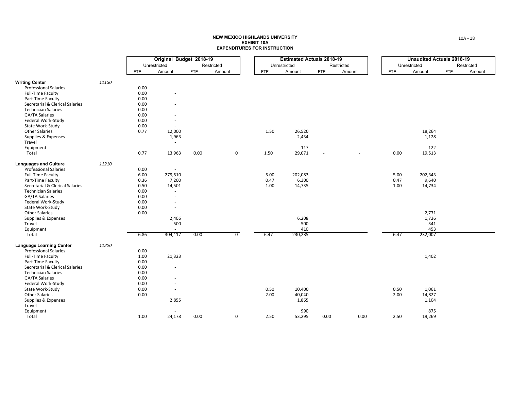|                                 |       |              | Original Budget 2018-19  |            |                |      | <b>Estimated Actuals 2018-19</b> |            |            |              | <b>Unaudited Actuals 2018-19</b> |            |            |
|---------------------------------|-------|--------------|--------------------------|------------|----------------|------|----------------------------------|------------|------------|--------------|----------------------------------|------------|------------|
|                                 |       | Unrestricted |                          |            | Restricted     |      | Unrestricted                     |            | Restricted | Unrestricted |                                  |            | Restricted |
|                                 |       | <b>FTE</b>   | Amount                   | <b>FTE</b> | Amount         | FTE  | Amount                           | <b>FTE</b> | Amount     | <b>FTE</b>   | Amount                           | <b>FTE</b> | Amount     |
|                                 |       |              |                          |            |                |      |                                  |            |            |              |                                  |            |            |
| <b>Writing Center</b>           | 11130 |              |                          |            |                |      |                                  |            |            |              |                                  |            |            |
| <b>Professional Salaries</b>    |       | 0.00         |                          |            |                |      |                                  |            |            |              |                                  |            |            |
| <b>Full-Time Faculty</b>        |       | 0.00         |                          |            |                |      |                                  |            |            |              |                                  |            |            |
| Part-Time Faculty               |       | 0.00         |                          |            |                |      |                                  |            |            |              |                                  |            |            |
| Secretarial & Clerical Salaries |       | 0.00         |                          |            |                |      |                                  |            |            |              |                                  |            |            |
| <b>Technician Salaries</b>      |       | 0.00         |                          |            |                |      |                                  |            |            |              |                                  |            |            |
| GA/TA Salaries                  |       | 0.00         |                          |            |                |      |                                  |            |            |              |                                  |            |            |
| Federal Work-Study              |       | 0.00         | $\overline{\phantom{a}}$ |            |                |      |                                  |            |            |              |                                  |            |            |
| State Work-Study                |       | 0.00         |                          |            |                |      |                                  |            |            |              |                                  |            |            |
| <b>Other Salaries</b>           |       | 0.77         | 12,000                   |            |                | 1.50 | 26,520                           |            |            |              | 18,264                           |            |            |
| Supplies & Expenses             |       |              | 1,963                    |            |                |      | 2,434                            |            |            |              | 1,128                            |            |            |
| Travel                          |       |              | $\sim$                   |            |                |      |                                  |            |            |              |                                  |            |            |
| Equipment                       |       |              | $\sim$                   |            |                |      | 117                              |            |            |              | 122                              |            |            |
| Total                           |       | 0.77         | 13,963                   | 0.00       | $\overline{0}$ | 1.50 | 29,071                           |            |            | 0.00         | 19,513                           |            |            |
| <b>Languages and Culture</b>    | 11210 |              |                          |            |                |      |                                  |            |            |              |                                  |            |            |
| <b>Professional Salaries</b>    |       | 0.00         | $\sim$                   |            |                |      |                                  |            |            |              |                                  |            |            |
| <b>Full-Time Faculty</b>        |       | 6.00         | 279,510                  |            |                | 5.00 | 202,083                          |            |            | 5.00         | 202,343                          |            |            |
| Part-Time Faculty               |       | 0.36         | 7,200                    |            |                | 0.47 | 6,300                            |            |            | 0.47         | 9,640                            |            |            |
| Secretarial & Clerical Salaries |       | 0.50         | 14,501                   |            |                | 1.00 | 14,735                           |            |            | 1.00         | 14,734                           |            |            |
| <b>Technician Salaries</b>      |       | 0.00         | $\sim$                   |            |                |      |                                  |            |            |              |                                  |            |            |
| <b>GA/TA Salaries</b>           |       | 0.00         | $\overline{\phantom{a}}$ |            |                |      |                                  |            |            |              |                                  |            |            |
| Federal Work-Study              |       | 0.00         | $\sim$                   |            |                |      |                                  |            |            |              |                                  |            |            |
| State Work-Study                |       | 0.00         | $\overline{\phantom{a}}$ |            |                |      |                                  |            |            |              |                                  |            |            |
| <b>Other Salaries</b>           |       | 0.00         | $\sim$                   |            |                |      |                                  |            |            |              | 2,771                            |            |            |
| Supplies & Expenses             |       |              | 2,406                    |            |                |      | 6,208                            |            |            |              | 1,726                            |            |            |
| Travel                          |       |              | 500                      |            |                |      | 500                              |            |            |              | 341                              |            |            |
| Equipment                       |       |              | $\sim$                   |            |                |      | 410                              |            |            |              | 453                              |            |            |
| Total                           |       | 6.86         | 304,117                  | 0.00       | $\overline{0}$ | 6.47 | 230,235                          |            |            | 6.47         | 232,007                          |            |            |
| <b>Language Learning Center</b> | 11220 |              |                          |            |                |      |                                  |            |            |              |                                  |            |            |
| <b>Professional Salaries</b>    |       | 0.00         | $\sim$                   |            |                |      |                                  |            |            |              |                                  |            |            |
| <b>Full-Time Faculty</b>        |       | 1.00         | 21,323                   |            |                |      |                                  |            |            |              | 1,402                            |            |            |
| Part-Time Faculty               |       | 0.00         | $\sim$                   |            |                |      |                                  |            |            |              |                                  |            |            |
| Secretarial & Clerical Salaries |       | 0.00         | $\sim$                   |            |                |      |                                  |            |            |              |                                  |            |            |
| <b>Technician Salaries</b>      |       | 0.00         |                          |            |                |      |                                  |            |            |              |                                  |            |            |
| <b>GA/TA Salaries</b>           |       | 0.00         |                          |            |                |      |                                  |            |            |              |                                  |            |            |
| Federal Work-Study              |       | 0.00         |                          |            |                |      |                                  |            |            |              |                                  |            |            |
| State Work-Study                |       | 0.00         | $\sim$                   |            |                | 0.50 | 10,400                           |            |            | 0.50         | 1,061                            |            |            |
| <b>Other Salaries</b>           |       | 0.00         | $\sim$                   |            |                | 2.00 | 40,040                           |            |            | 2.00         | 14,827                           |            |            |
| Supplies & Expenses             |       |              | 2,855                    |            |                |      | 1,865                            |            |            |              | 1,104                            |            |            |
| Travel                          |       |              | $\sim$                   |            |                |      |                                  |            |            |              |                                  |            |            |
| Equipment                       |       |              |                          |            |                |      | 990                              |            |            |              | 875                              |            |            |
| Total                           |       | 1.00         | 24,178                   | 0.00       | $\overline{0}$ | 2.50 | 53,295                           | 0.00       | 0.00       | 2.50         | 19,269                           |            |            |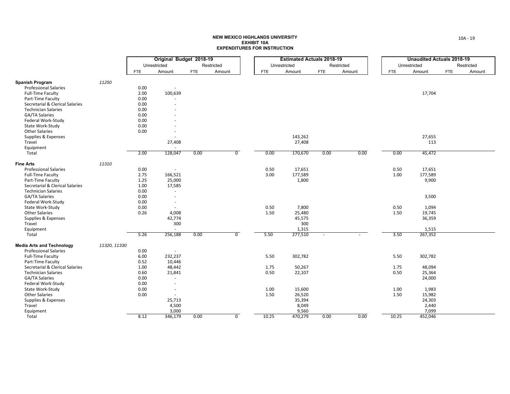|                                  |              |      | Original Budget 2018-19  |            |                |       | <b>Estimated Actuals 2018-19</b> |            |            |      |            | <b>Unaudited Actuals 2018-19</b> |            |            |
|----------------------------------|--------------|------|--------------------------|------------|----------------|-------|----------------------------------|------------|------------|------|------------|----------------------------------|------------|------------|
|                                  |              |      | Unrestricted             |            | Restricted     |       | Unrestricted                     |            | Restricted |      |            | Unrestricted                     |            | Restricted |
|                                  |              | FTE  | Amount                   | <b>FTE</b> | Amount         | FTE   | Amount                           | <b>FTE</b> | Amount     |      | <b>FTE</b> | Amount                           | <b>FTE</b> | Amount     |
|                                  |              |      |                          |            |                |       |                                  |            |            |      |            |                                  |            |            |
| <b>Spanish Program</b>           | 11250        |      |                          |            |                |       |                                  |            |            |      |            |                                  |            |            |
| <b>Professional Salaries</b>     |              | 0.00 |                          |            |                |       |                                  |            |            |      |            |                                  |            |            |
| <b>Full-Time Faculty</b>         |              | 2.00 | 100,639                  |            |                |       |                                  |            |            |      |            | 17,704                           |            |            |
| Part-Time Faculty                |              | 0.00 | $\sim$                   |            |                |       |                                  |            |            |      |            |                                  |            |            |
| Secretarial & Clerical Salaries  |              | 0.00 | $\sim$                   |            |                |       |                                  |            |            |      |            |                                  |            |            |
| <b>Technician Salaries</b>       |              | 0.00 |                          |            |                |       |                                  |            |            |      |            |                                  |            |            |
| GA/TA Salaries                   |              | 0.00 |                          |            |                |       |                                  |            |            |      |            |                                  |            |            |
| Federal Work-Study               |              | 0.00 |                          |            |                |       |                                  |            |            |      |            |                                  |            |            |
| State Work-Study                 |              | 0.00 |                          |            |                |       |                                  |            |            |      |            |                                  |            |            |
| <b>Other Salaries</b>            |              | 0.00 | $\overline{\phantom{a}}$ |            |                |       |                                  |            |            |      |            |                                  |            |            |
| Supplies & Expenses              |              |      |                          |            |                |       | 143,262                          |            |            |      |            | 27,655                           |            |            |
| Travel                           |              |      | 27,408                   |            |                |       | 27,408                           |            |            |      |            | 113                              |            |            |
| Equipment                        |              |      | $\sim$                   |            |                |       |                                  |            |            |      |            |                                  |            |            |
| Total                            |              | 2.00 | 128,047                  | 0.00       | $\overline{0}$ | 0.00  | 170,670                          | 0.00       |            | 0.00 | 0.00       | 45,472                           |            |            |
| <b>Fine Arts</b>                 | 11310        |      |                          |            |                |       |                                  |            |            |      |            |                                  |            |            |
| <b>Professional Salaries</b>     |              | 0.00 | $\sim$                   |            |                | 0.50  | 17,651                           |            |            |      | 0.50       | 17,651                           |            |            |
| <b>Full-Time Faculty</b>         |              | 2.75 | 166,521                  |            |                | 3.00  | 177,589                          |            |            |      | 1.00       | 177,589                          |            |            |
| Part-Time Faculty                |              | 1.25 | 25,000                   |            |                |       | 1,800                            |            |            |      |            | 9,900                            |            |            |
| Secretarial & Clerical Salaries  |              | 1.00 | 17,585                   |            |                |       |                                  |            |            |      |            |                                  |            |            |
| <b>Technician Salaries</b>       |              | 0.00 | $\sim$                   |            |                |       |                                  |            |            |      |            |                                  |            |            |
| GA/TA Salaries                   |              | 0.00 | $\sim$                   |            |                |       |                                  |            |            |      |            | 3,500                            |            |            |
| Federal Work-Study               |              | 0.00 | $\overline{\phantom{a}}$ |            |                |       |                                  |            |            |      |            |                                  |            |            |
| State Work-Study                 |              | 0.00 | $\sim$                   |            |                | 0.50  | 7,800                            |            |            |      | 0.50       | 1,094                            |            |            |
| <b>Other Salaries</b>            |              | 0.26 | 4,008                    |            |                | 1.50  | 25,480                           |            |            |      | 1.50       | 19,745                           |            |            |
| Supplies & Expenses              |              |      | 42,774                   |            |                |       | 45,575                           |            |            |      |            | 36,359                           |            |            |
| Travel                           |              |      | 300                      |            |                |       | 300                              |            |            |      |            |                                  |            |            |
| Equipment                        |              |      | $\sim$                   |            |                |       | 1,315                            |            |            |      |            | 1,515                            |            |            |
| Total                            |              | 5.26 | 256,188                  | 0.00       | $\overline{0}$ | 5.50  | 277,510                          |            |            |      | 3.50       | 267,352                          |            |            |
| <b>Media Arts and Technology</b> | 11320, 11330 |      |                          |            |                |       |                                  |            |            |      |            |                                  |            |            |
| <b>Professional Salaries</b>     |              | 0.00 |                          |            |                |       |                                  |            |            |      |            |                                  |            |            |
| <b>Full-Time Faculty</b>         |              | 6.00 | 232,237                  |            |                | 5.50  | 302,782                          |            |            |      | 5.50       | 302,782                          |            |            |
| Part-Time Faculty                |              | 0.52 | 10,446                   |            |                |       |                                  |            |            |      |            |                                  |            |            |
| Secretarial & Clerical Salaries  |              | 1.00 | 48,442                   |            |                | 1.75  | 50,267                           |            |            |      | 1.75       | 48,094                           |            |            |
| <b>Technician Salaries</b>       |              | 0.60 | 21,841                   |            |                | 0.50  | 22,107                           |            |            |      | 0.50       | 25,364                           |            |            |
| GA/TA Salaries                   |              | 0.00 | $\sim$                   |            |                |       |                                  |            |            |      |            | 24,000                           |            |            |
| Federal Work-Study               |              | 0.00 | ×.                       |            |                |       |                                  |            |            |      |            |                                  |            |            |
| State Work-Study                 |              | 0.00 | $\sim$                   |            |                | 1.00  | 15,600                           |            |            |      | 1.00       | 1,983                            |            |            |
| <b>Other Salaries</b>            |              | 0.00 | $\sim$                   |            |                | 1.50  | 26,520                           |            |            |      | 1.50       | 15,982                           |            |            |
| Supplies & Expenses              |              |      | 25,713                   |            |                |       | 35,394                           |            |            |      |            | 24,303                           |            |            |
| Travel                           |              |      | 4,500                    |            |                |       | 8,049                            |            |            |      |            | 2,440                            |            |            |
| Equipment                        |              |      | 3,000                    |            |                |       | 9,560                            |            |            |      |            | 7,099                            |            |            |
| Total                            |              | 8.12 | 346,179                  | 0.00       | $\overline{0}$ | 10.25 | 470,279                          | 0.00       |            | 0.00 | 10.25      | 452,046                          |            |            |
|                                  |              |      |                          |            |                |       |                                  |            |            |      |            |                                  |            |            |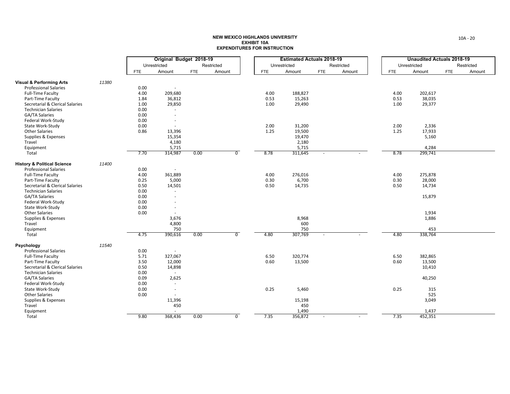| Original Budget 2018-19<br><b>Estimated Actuals 2018-19</b><br>Unrestricted<br>Restricted<br>Unrestricted<br>Restricted<br><b>FTE</b><br>Amount<br><b>FTE</b><br>Amount<br>Amount<br><b>FTE</b><br><b>FTE</b><br>Amount<br>11380<br><b>Visual &amp; Performing Arts</b><br><b>Professional Salaries</b><br>0.00 | <b>FTE</b><br>4.00<br>0.53<br>1.00 | <b>Unaudited Actuals 2018-19</b><br>Unrestricted<br>Amount<br>202,617<br>38,035<br>29,377 | Restricted<br><b>FTE</b><br>Amount |
|-----------------------------------------------------------------------------------------------------------------------------------------------------------------------------------------------------------------------------------------------------------------------------------------------------------------|------------------------------------|-------------------------------------------------------------------------------------------|------------------------------------|
|                                                                                                                                                                                                                                                                                                                 |                                    |                                                                                           |                                    |
|                                                                                                                                                                                                                                                                                                                 |                                    |                                                                                           |                                    |
|                                                                                                                                                                                                                                                                                                                 |                                    |                                                                                           |                                    |
|                                                                                                                                                                                                                                                                                                                 |                                    |                                                                                           |                                    |
|                                                                                                                                                                                                                                                                                                                 |                                    |                                                                                           |                                    |
| 4.00<br>4.00<br>188,827<br><b>Full-Time Faculty</b><br>209,680                                                                                                                                                                                                                                                  |                                    |                                                                                           |                                    |
| 0.53<br>15,263<br>Part-Time Faculty<br>1.84<br>36,812                                                                                                                                                                                                                                                           |                                    |                                                                                           |                                    |
| 1.00<br>Secretarial & Clerical Salaries<br>1.00<br>29,850<br>29,490                                                                                                                                                                                                                                             |                                    |                                                                                           |                                    |
| <b>Technician Salaries</b><br>0.00<br>$\sim$                                                                                                                                                                                                                                                                    |                                    |                                                                                           |                                    |
| GA/TA Salaries<br>0.00<br>$\overline{\phantom{a}}$                                                                                                                                                                                                                                                              |                                    |                                                                                           |                                    |
| 0.00<br>Federal Work-Study<br>$\overline{\phantom{a}}$                                                                                                                                                                                                                                                          |                                    |                                                                                           |                                    |
| 0.00<br>2.00<br>State Work-Study<br>31,200                                                                                                                                                                                                                                                                      | 2.00                               | 2,336                                                                                     |                                    |
| <b>Other Salaries</b><br>1.25<br>0.86<br>13,396<br>19,500                                                                                                                                                                                                                                                       | 1.25                               | 17,933                                                                                    |                                    |
| Supplies & Expenses<br>15,354<br>19,470                                                                                                                                                                                                                                                                         |                                    | 5,160                                                                                     |                                    |
| Travel<br>4,180<br>2,180                                                                                                                                                                                                                                                                                        |                                    |                                                                                           |                                    |
| 5,715<br>5,715<br>Equipment                                                                                                                                                                                                                                                                                     |                                    | 4,284                                                                                     |                                    |
| 7.70<br>$\overline{0}$<br>8.78<br>311,645<br>Total<br>314,987<br>0.00                                                                                                                                                                                                                                           | 8.78                               | 299,741                                                                                   |                                    |
| 11400<br><b>History &amp; Political Science</b>                                                                                                                                                                                                                                                                 |                                    |                                                                                           |                                    |
| <b>Professional Salaries</b><br>0.00<br>$\sim$                                                                                                                                                                                                                                                                  |                                    |                                                                                           |                                    |
| 276,016<br><b>Full-Time Faculty</b><br>4.00<br>361,889<br>4.00                                                                                                                                                                                                                                                  | 4.00                               | 275,878                                                                                   |                                    |
| Part-Time Faculty<br>0.25<br>5,000<br>0.30<br>6,700                                                                                                                                                                                                                                                             | 0.30                               | 28,000                                                                                    |                                    |
| 14,501<br>0.50<br>Secretarial & Clerical Salaries<br>0.50<br>14,735                                                                                                                                                                                                                                             | 0.50                               | 14,734                                                                                    |                                    |
| <b>Technician Salaries</b><br>0.00<br>$\sim$                                                                                                                                                                                                                                                                    |                                    |                                                                                           |                                    |
| 0.00<br>GA/TA Salaries<br>$\sim$                                                                                                                                                                                                                                                                                |                                    | 15,879                                                                                    |                                    |
| 0.00<br>Federal Work-Study                                                                                                                                                                                                                                                                                      |                                    |                                                                                           |                                    |
| 0.00<br>State Work-Study<br>$\overline{\phantom{a}}$                                                                                                                                                                                                                                                            |                                    |                                                                                           |                                    |
| <b>Other Salaries</b><br>0.00<br>$\sim$                                                                                                                                                                                                                                                                         |                                    | 1,934                                                                                     |                                    |
|                                                                                                                                                                                                                                                                                                                 |                                    |                                                                                           |                                    |
| 3,676<br>8,968<br>Supplies & Expenses                                                                                                                                                                                                                                                                           |                                    | 1,886                                                                                     |                                    |
| Travel<br>4,800<br>600                                                                                                                                                                                                                                                                                          |                                    |                                                                                           |                                    |
| 750<br>750<br>Equipment                                                                                                                                                                                                                                                                                         |                                    | 453                                                                                       |                                    |
| $\overline{0}$<br>307,769<br>390,616<br>Total<br>4.75<br>0.00<br>4.80<br>٠                                                                                                                                                                                                                                      | 4.80                               | 338,764                                                                                   |                                    |
| 11540<br>Psychology                                                                                                                                                                                                                                                                                             |                                    |                                                                                           |                                    |
| <b>Professional Salaries</b><br>0.00<br>$\sim$                                                                                                                                                                                                                                                                  |                                    |                                                                                           |                                    |
| 320,774<br>5.71<br>327,067<br>6.50<br><b>Full-Time Faculty</b>                                                                                                                                                                                                                                                  | 6.50                               | 382,865                                                                                   |                                    |
| 3.50<br>12,000<br>0.60<br>13,500<br>Part-Time Faculty                                                                                                                                                                                                                                                           | 0.60                               | 13,500                                                                                    |                                    |
| Secretarial & Clerical Salaries<br>0.50<br>14,898                                                                                                                                                                                                                                                               |                                    | 10,410                                                                                    |                                    |
| <b>Technician Salaries</b><br>0.00<br>$\sim$                                                                                                                                                                                                                                                                    |                                    |                                                                                           |                                    |
| 2,625<br>GA/TA Salaries<br>0.09                                                                                                                                                                                                                                                                                 |                                    | 40,250                                                                                    |                                    |
| Federal Work-Study<br>0.00<br>$\sim$                                                                                                                                                                                                                                                                            |                                    |                                                                                           |                                    |
| 0.25<br>State Work-Study<br>0.00<br>5,460<br>$\sim$                                                                                                                                                                                                                                                             | 0.25                               | 315                                                                                       |                                    |
| 0.00<br><b>Other Salaries</b>                                                                                                                                                                                                                                                                                   |                                    | 525                                                                                       |                                    |
| Supplies & Expenses<br>11,396<br>15,198                                                                                                                                                                                                                                                                         |                                    | 3,049                                                                                     |                                    |
| 450<br>450<br>Travel                                                                                                                                                                                                                                                                                            |                                    |                                                                                           |                                    |
| 1,490<br>Equipment                                                                                                                                                                                                                                                                                              |                                    | 1,437                                                                                     |                                    |
| 368,436<br>$\overline{0}$<br>9.80<br>0.00<br>7.35<br>356,872<br>Total                                                                                                                                                                                                                                           | 7.35                               | 452,351                                                                                   |                                    |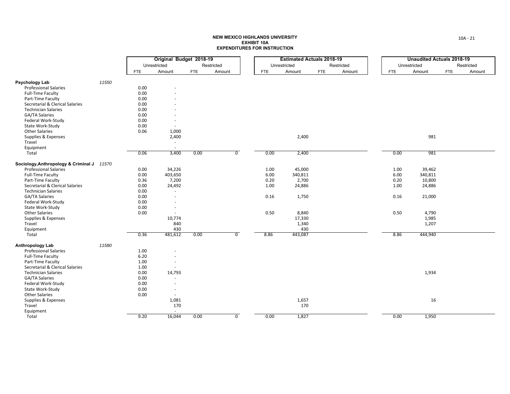|                                                      |       |            | Original Budget 2018-19 |            |                |            | <b>Estimated Actuals 2018-19</b> |            |            |            | <b>Unaudited Actuals 2018-19</b> |            |            |
|------------------------------------------------------|-------|------------|-------------------------|------------|----------------|------------|----------------------------------|------------|------------|------------|----------------------------------|------------|------------|
|                                                      |       |            | Unrestricted            |            | Restricted     |            | Unrestricted                     |            | Restricted |            | Unrestricted                     |            | Restricted |
|                                                      |       | <b>FTE</b> | Amount                  | <b>FTE</b> | Amount         | <b>FTE</b> | Amount                           | <b>FTE</b> | Amount     | <b>FTE</b> | Amount                           | <b>FTE</b> | Amount     |
|                                                      |       |            |                         |            |                |            |                                  |            |            |            |                                  |            |            |
| Psychology Lab                                       | 11550 |            |                         |            |                |            |                                  |            |            |            |                                  |            |            |
| <b>Professional Salaries</b>                         |       | 0.00       |                         |            |                |            |                                  |            |            |            |                                  |            |            |
| <b>Full-Time Faculty</b>                             |       | 0.00       |                         |            |                |            |                                  |            |            |            |                                  |            |            |
| Part-Time Faculty                                    |       | 0.00       |                         |            |                |            |                                  |            |            |            |                                  |            |            |
| Secretarial & Clerical Salaries                      |       | 0.00       |                         |            |                |            |                                  |            |            |            |                                  |            |            |
| <b>Technician Salaries</b>                           |       | 0.00       |                         |            |                |            |                                  |            |            |            |                                  |            |            |
| GA/TA Salaries                                       |       | 0.00       |                         |            |                |            |                                  |            |            |            |                                  |            |            |
| Federal Work-Study                                   |       | 0.00       |                         |            |                |            |                                  |            |            |            |                                  |            |            |
| State Work-Study                                     |       | 0.00       |                         |            |                |            |                                  |            |            |            |                                  |            |            |
| <b>Other Salaries</b>                                |       | 0.06       | 1,000                   |            |                |            |                                  |            |            |            |                                  |            |            |
| Supplies & Expenses                                  |       |            | 2,400                   |            |                |            | 2,400                            |            |            |            | 981                              |            |            |
| Travel                                               |       |            | $\sim$                  |            |                |            |                                  |            |            |            |                                  |            |            |
| Equipment                                            |       |            |                         |            |                |            |                                  |            |            |            |                                  |            |            |
| Total                                                |       | 0.06       | 3,400                   | 0.00       | $\overline{0}$ | 0.00       | 2,400                            |            |            | 0.00       | 981                              |            |            |
| Sociology, Anthropology & Criminal J 11570           |       |            |                         |            |                |            |                                  |            |            |            |                                  |            |            |
| <b>Professional Salaries</b>                         |       | 0.00       | 34,226                  |            |                | 1.00       | 45,000                           |            |            | 1.00       | 39,462                           |            |            |
| <b>Full-Time Faculty</b>                             |       | 0.00       | 403,650                 |            |                | 6.00       | 340,811                          |            |            | 6.00       | 340,811                          |            |            |
| Part-Time Faculty                                    |       | 0.36       | 7,200                   |            |                | 0.20       | 2,700                            |            |            | 0.20       | 10,800                           |            |            |
| Secretarial & Clerical Salaries                      |       | 0.00       | 24,492                  |            |                | 1.00       | 24,886                           |            |            | 1.00       | 24,886                           |            |            |
| <b>Technician Salaries</b>                           |       | 0.00       | $\sim$                  |            |                |            |                                  |            |            |            |                                  |            |            |
| <b>GA/TA Salaries</b>                                |       | 0.00       |                         |            |                | 0.16       | 1,750                            |            |            | 0.16       | 21,000                           |            |            |
| Federal Work-Study                                   |       | 0.00       |                         |            |                |            |                                  |            |            |            |                                  |            |            |
| State Work-Study                                     |       | 0.00       |                         |            |                |            |                                  |            |            |            |                                  |            |            |
| <b>Other Salaries</b>                                |       | 0.00       | $\sim$                  |            |                | 0.50       | 8,840                            |            |            | 0.50       | 4,790                            |            |            |
| Supplies & Expenses                                  |       |            | 10,774                  |            |                |            | 17,330                           |            |            |            | 1,985                            |            |            |
| Travel                                               |       |            | 840                     |            |                |            | 1,340                            |            |            |            | 1,207                            |            |            |
| Equipment                                            |       |            | 430                     |            |                |            | 430                              |            |            |            |                                  |            |            |
| Total                                                |       | 0.36       | 481,612                 | 0.00       | $\overline{0}$ | 8.86       | 443,087                          |            |            | 8.86       | 444,940                          |            |            |
|                                                      | 11580 |            |                         |            |                |            |                                  |            |            |            |                                  |            |            |
| Anthropology Lab<br><b>Professional Salaries</b>     |       | 1.00       |                         |            |                |            |                                  |            |            |            |                                  |            |            |
|                                                      |       | 6.20       |                         |            |                |            |                                  |            |            |            |                                  |            |            |
| Full-Time Faculty                                    |       |            |                         |            |                |            |                                  |            |            |            |                                  |            |            |
| Part-Time Faculty<br>Secretarial & Clerical Salaries |       | 1.00       | $\sim$                  |            |                |            |                                  |            |            |            |                                  |            |            |
|                                                      |       | 1.00       |                         |            |                |            |                                  |            |            |            |                                  |            |            |
| <b>Technician Salaries</b>                           |       | 0.00       | 14,793                  |            |                |            |                                  |            |            |            | 1,934                            |            |            |
| GA/TA Salaries                                       |       | 0.00       | $\sim$                  |            |                |            |                                  |            |            |            |                                  |            |            |
| Federal Work-Study                                   |       | 0.00       |                         |            |                |            |                                  |            |            |            |                                  |            |            |
| State Work-Study                                     |       | 0.00       |                         |            |                |            |                                  |            |            |            |                                  |            |            |
| <b>Other Salaries</b>                                |       | 0.00       | $\sim$                  |            |                |            |                                  |            |            |            |                                  |            |            |
| Supplies & Expenses                                  |       |            | 1,081                   |            |                |            | 1,657                            |            |            |            | 16                               |            |            |
| Travel                                               |       |            | 170                     |            |                |            | 170                              |            |            |            |                                  |            |            |
| Equipment                                            |       |            | $\sim$                  |            |                |            |                                  |            |            |            |                                  |            |            |
| Total                                                |       | 9.20       | 16,044                  | 0.00       | $\overline{0}$ | 0.00       | 1,827                            |            |            | 0.00       | 1,950                            |            |            |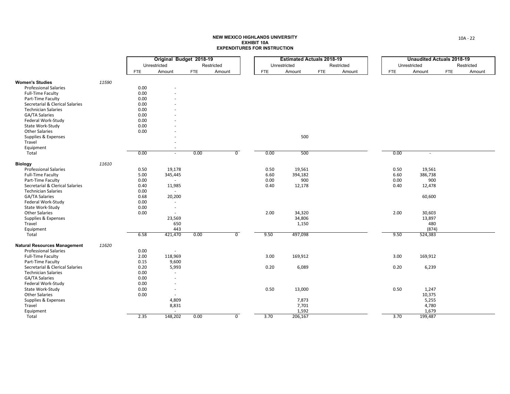|                                           |       |              | Original Budget 2018-19  |            |                |            | <b>Estimated Actuals 2018-19</b> |            |            |            | <b>Unaudited Actuals 2018-19</b> |            |            |
|-------------------------------------------|-------|--------------|--------------------------|------------|----------------|------------|----------------------------------|------------|------------|------------|----------------------------------|------------|------------|
|                                           |       | Unrestricted |                          |            | Restricted     |            | Unrestricted                     |            | Restricted |            | Unrestricted                     |            | Restricted |
|                                           |       | <b>FTE</b>   | Amount                   | <b>FTE</b> | Amount         | <b>FTE</b> | Amount                           | <b>FTE</b> | Amount     | <b>FTE</b> | Amount                           | <b>FTE</b> | Amount     |
|                                           |       |              |                          |            |                |            |                                  |            |            |            |                                  |            |            |
| <b>Women's Studies</b>                    | 11590 |              |                          |            |                |            |                                  |            |            |            |                                  |            |            |
| <b>Professional Salaries</b>              |       | 0.00         |                          |            |                |            |                                  |            |            |            |                                  |            |            |
| <b>Full-Time Faculty</b>                  |       | 0.00         |                          |            |                |            |                                  |            |            |            |                                  |            |            |
| Part-Time Faculty                         |       | 0.00         |                          |            |                |            |                                  |            |            |            |                                  |            |            |
| Secretarial & Clerical Salaries           |       | 0.00         |                          |            |                |            |                                  |            |            |            |                                  |            |            |
| <b>Technician Salaries</b>                |       | 0.00         |                          |            |                |            |                                  |            |            |            |                                  |            |            |
| GA/TA Salaries                            |       | 0.00         |                          |            |                |            |                                  |            |            |            |                                  |            |            |
| Federal Work-Study                        |       | 0.00         |                          |            |                |            |                                  |            |            |            |                                  |            |            |
| State Work-Study                          |       | 0.00         |                          |            |                |            |                                  |            |            |            |                                  |            |            |
|                                           |       |              |                          |            |                |            |                                  |            |            |            |                                  |            |            |
| <b>Other Salaries</b>                     |       | 0.00         |                          |            |                |            |                                  |            |            |            |                                  |            |            |
| Supplies & Expenses                       |       |              |                          |            |                |            | 500                              |            |            |            |                                  |            |            |
| Travel                                    |       |              |                          |            |                |            |                                  |            |            |            |                                  |            |            |
| Equipment                                 |       |              |                          |            |                |            |                                  |            |            |            |                                  |            |            |
| Total                                     |       | 0.00         | $\sim$                   | 0.00       | $\overline{0}$ | 0.00       | 500                              |            |            | 0.00       | $\sim$                           |            |            |
| <b>Biology</b>                            | 11610 |              |                          |            |                |            |                                  |            |            |            |                                  |            |            |
| <b>Professional Salaries</b>              |       | 0.50         | 19,178                   |            |                | 0.50       | 19,561                           |            |            | 0.50       | 19,561                           |            |            |
| <b>Full-Time Faculty</b>                  |       | 5.00         | 345,445                  |            |                | 6.60       | 394,182                          |            |            | 6.60       | 386,738                          |            |            |
| Part-Time Faculty                         |       | 0.00         | $\sim$                   |            |                | 0.00       | 900                              |            |            | 0.00       | 900                              |            |            |
| Secretarial & Clerical Salaries           |       | 0.40         | 11,985                   |            |                | 0.40       | 12,178                           |            |            | 0.40       | 12,478                           |            |            |
| <b>Technician Salaries</b>                |       | 0.00         | $\sim$                   |            |                |            |                                  |            |            |            |                                  |            |            |
| GA/TA Salaries                            |       | 0.68         |                          |            |                |            |                                  |            |            |            |                                  |            |            |
| Federal Work-Study                        |       | 0.00         | 20,200<br>$\sim$         |            |                |            |                                  |            |            |            | 60,600                           |            |            |
|                                           |       | 0.00         |                          |            |                |            |                                  |            |            |            |                                  |            |            |
| State Work-Study<br><b>Other Salaries</b> |       | 0.00         | $\overline{\phantom{a}}$ |            |                | 2.00       |                                  |            |            | 2.00       |                                  |            |            |
|                                           |       |              | $\sim$                   |            |                |            | 34,320                           |            |            |            | 30,603                           |            |            |
| Supplies & Expenses                       |       |              | 23,569                   |            |                |            | 34,806                           |            |            |            | 13,897                           |            |            |
| Travel                                    |       |              | 650                      |            |                |            | 1,150                            |            |            |            | 480                              |            |            |
| Equipment                                 |       |              | 443                      |            |                |            |                                  |            |            |            | (874)                            |            |            |
| Total                                     |       | 6.58         | 421,470                  | 0.00       | $\overline{0}$ | 9.50       | 497,098                          |            |            | 9.50       | 524,383                          |            |            |
| <b>Natural Resources Management</b>       | 11620 |              |                          |            |                |            |                                  |            |            |            |                                  |            |            |
| <b>Professional Salaries</b>              |       | 0.00         | $\sim$                   |            |                |            |                                  |            |            |            |                                  |            |            |
| Full-Time Faculty                         |       | 2.00         | 118,969                  |            |                | 3.00       | 169,912                          |            |            | 3.00       | 169,912                          |            |            |
| Part-Time Faculty                         |       | 0.15         | 9,600                    |            |                |            |                                  |            |            |            |                                  |            |            |
| Secretarial & Clerical Salaries           |       | 0.20         | 5,993                    |            |                | 0.20       | 6,089                            |            |            | 0.20       | 6,239                            |            |            |
| <b>Technician Salaries</b>                |       | 0.00         | $\sim$                   |            |                |            |                                  |            |            |            |                                  |            |            |
| GA/TA Salaries                            |       | 0.00         |                          |            |                |            |                                  |            |            |            |                                  |            |            |
| Federal Work-Study                        |       | 0.00         |                          |            |                |            |                                  |            |            |            |                                  |            |            |
| State Work-Study                          |       | 0.00         |                          |            |                | 0.50       | 13,000                           |            |            | 0.50       | 1,247                            |            |            |
| <b>Other Salaries</b>                     |       | 0.00         |                          |            |                |            |                                  |            |            |            | 10,375                           |            |            |
|                                           |       |              |                          |            |                |            |                                  |            |            |            | 5,255                            |            |            |
| Supplies & Expenses                       |       |              | 4,809                    |            |                |            | 7,873                            |            |            |            |                                  |            |            |
| Travel                                    |       |              | 8,831                    |            |                |            | 7,701                            |            |            |            | 4,780                            |            |            |
| Equipment                                 |       |              |                          |            |                |            | 1,592                            |            |            |            | 1,679                            |            |            |
| Total                                     |       | 2.35         | 148,202                  | 0.00       | $\overline{0}$ | 3.70       | 206,167                          |            |            | 3.70       | 199,487                          |            |            |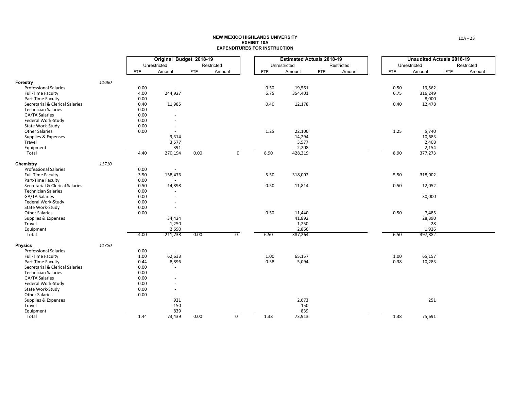|                                 |       |            | Original Budget 2018-19  |            |                |            | <b>Estimated Actuals 2018-19</b> |            |            |            | <b>Unaudited Actuals 2018-19</b> |            |            |  |
|---------------------------------|-------|------------|--------------------------|------------|----------------|------------|----------------------------------|------------|------------|------------|----------------------------------|------------|------------|--|
|                                 |       |            | Unrestricted             |            | Restricted     |            | Unrestricted                     |            | Restricted |            | Unrestricted                     |            | Restricted |  |
|                                 |       | <b>FTE</b> | Amount                   | <b>FTE</b> | Amount         | <b>FTE</b> | Amount                           | <b>FTE</b> | Amount     | <b>FTE</b> | Amount                           | <b>FTE</b> | Amount     |  |
| Forestry                        | 11690 |            |                          |            |                |            |                                  |            |            |            |                                  |            |            |  |
| <b>Professional Salaries</b>    |       | 0.00       | $\overline{\phantom{a}}$ |            |                | 0.50       | 19,561                           |            |            | 0.50       | 19,562                           |            |            |  |
| <b>Full-Time Faculty</b>        |       | 4.00       | 244,927                  |            |                | 6.75       | 354,401                          |            |            | 6.75       | 316,249                          |            |            |  |
| Part-Time Faculty               |       | 0.00       | $\sim$                   |            |                |            |                                  |            |            |            | 8,000                            |            |            |  |
| Secretarial & Clerical Salaries |       | 0.40       | 11,985                   |            |                | 0.40       | 12,178                           |            |            | 0.40       | 12,478                           |            |            |  |
| <b>Technician Salaries</b>      |       | 0.00       | $\sim$                   |            |                |            |                                  |            |            |            |                                  |            |            |  |
| GA/TA Salaries                  |       | 0.00       |                          |            |                |            |                                  |            |            |            |                                  |            |            |  |
| Federal Work-Study              |       | 0.00       | $\sim$                   |            |                |            |                                  |            |            |            |                                  |            |            |  |
| State Work-Study                |       | 0.00       |                          |            |                |            |                                  |            |            |            |                                  |            |            |  |
| <b>Other Salaries</b>           |       | 0.00       | $\sim$                   |            |                | 1.25       | 22,100                           |            |            | 1.25       | 5,740                            |            |            |  |
| Supplies & Expenses             |       |            | 9,314                    |            |                |            | 14,294                           |            |            |            | 10,683                           |            |            |  |
| Travel                          |       |            | 3,577                    |            |                |            | 3,577                            |            |            |            | 2,408                            |            |            |  |
| Equipment                       |       |            | 391                      |            |                |            | 2,208                            |            |            |            | 2,154                            |            |            |  |
| Total                           |       | 4.40       | 270,194                  | 0.00       | $\overline{0}$ | 8.90       | 428,319                          |            |            | 8.90       | 377,273                          |            |            |  |
|                                 |       |            |                          |            |                |            |                                  |            |            |            |                                  |            |            |  |
| Chemistry                       | 11710 |            |                          |            |                |            |                                  |            |            |            |                                  |            |            |  |
| <b>Professional Salaries</b>    |       | 0.00       | $\sim$                   |            |                |            |                                  |            |            |            |                                  |            |            |  |
| <b>Full-Time Faculty</b>        |       | 3.50       | 158,476                  |            |                | 5.50       | 318,002                          |            |            | 5.50       | 318,002                          |            |            |  |
| Part-Time Faculty               |       | 0.00       | $\sim$                   |            |                |            |                                  |            |            |            |                                  |            |            |  |
| Secretarial & Clerical Salaries |       | 0.50       | 14,898                   |            |                | 0.50       | 11,814                           |            |            | 0.50       | 12,052                           |            |            |  |
| <b>Technician Salaries</b>      |       | 0.00       | ×.                       |            |                |            |                                  |            |            |            |                                  |            |            |  |
| <b>GA/TA Salaries</b>           |       | 0.00       |                          |            |                |            |                                  |            |            |            | 30,000                           |            |            |  |
| Federal Work-Study              |       | 0.00       |                          |            |                |            |                                  |            |            |            |                                  |            |            |  |
| State Work-Study                |       | 0.00       | $\sim$                   |            |                |            |                                  |            |            |            |                                  |            |            |  |
| <b>Other Salaries</b>           |       | 0.00       | $\sim$                   |            |                | 0.50       | 11,440                           |            |            | 0.50       | 7,485                            |            |            |  |
| Supplies & Expenses             |       |            | 34,424                   |            |                |            | 41,892                           |            |            |            | 28,390                           |            |            |  |
| Travel                          |       |            | 1,250                    |            |                |            | 1,250                            |            |            |            | 28                               |            |            |  |
| Equipment                       |       |            | 2,690                    |            |                |            | 2,866                            |            |            |            | 1,926                            |            |            |  |
| Total                           |       | 4.00       | 211,738                  | 0.00       | $\overline{0}$ | 6.50       | 387,264                          |            |            | 6.50       | 397,882                          |            |            |  |
| <b>Physics</b>                  | 11720 |            |                          |            |                |            |                                  |            |            |            |                                  |            |            |  |
| <b>Professional Salaries</b>    |       | 0.00       | $\sim$                   |            |                |            |                                  |            |            |            |                                  |            |            |  |
| <b>Full-Time Faculty</b>        |       | 1.00       | 62,633                   |            |                | 1.00       | 65,157                           |            |            | 1.00       | 65,157                           |            |            |  |
| Part-Time Faculty               |       | 0.44       | 8,896                    |            |                | 0.38       | 5,094                            |            |            | 0.38       | 10,283                           |            |            |  |
| Secretarial & Clerical Salaries |       | 0.00       | $\sim$                   |            |                |            |                                  |            |            |            |                                  |            |            |  |
| <b>Technician Salaries</b>      |       | 0.00       | ÷.                       |            |                |            |                                  |            |            |            |                                  |            |            |  |
| GA/TA Salaries                  |       | 0.00       |                          |            |                |            |                                  |            |            |            |                                  |            |            |  |
| Federal Work-Study              |       | 0.00       |                          |            |                |            |                                  |            |            |            |                                  |            |            |  |
| State Work-Study                |       | 0.00       | $\sim$                   |            |                |            |                                  |            |            |            |                                  |            |            |  |
| <b>Other Salaries</b>           |       | 0.00       | $\sim$                   |            |                |            |                                  |            |            |            |                                  |            |            |  |
| Supplies & Expenses             |       |            | 921                      |            |                |            | 2,673                            |            |            |            | 251                              |            |            |  |
| Travel                          |       |            | 150                      |            |                |            | 150                              |            |            |            |                                  |            |            |  |
| Equipment                       |       |            | 839                      |            |                |            | 839                              |            |            |            |                                  |            |            |  |
| Total                           |       | 1.44       | 73,439                   | 0.00       | $\mathbf 0$    | 1.38       | 73,913                           |            |            | 1.38       | 75,691                           |            |            |  |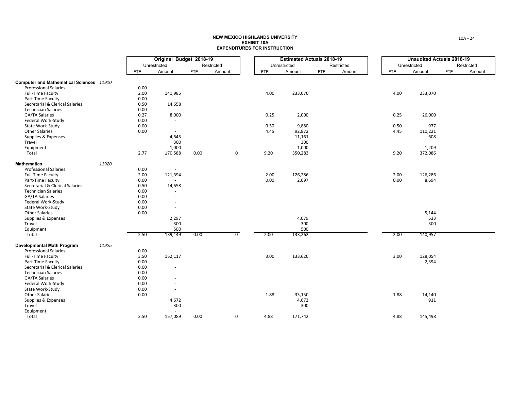|                                          |       |            | Original Budget 2018-19  |            |                |            | <b>Estimated Actuals 2018-19</b> |            |            |            | <b>Unaudited Actuals 2018-19</b> |            |            |  |
|------------------------------------------|-------|------------|--------------------------|------------|----------------|------------|----------------------------------|------------|------------|------------|----------------------------------|------------|------------|--|
|                                          |       |            | Unrestricted             |            | Restricted     |            | Unrestricted                     |            | Restricted |            | Unrestricted                     |            | Restricted |  |
|                                          |       | <b>FTE</b> | Amount                   | <b>FTE</b> | Amount         | <b>FTE</b> | Amount                           | <b>FTE</b> | Amount     | <b>FTE</b> | Amount                           | <b>FTE</b> | Amount     |  |
| Computer and Mathematical Sciences 11910 |       |            |                          |            |                |            |                                  |            |            |            |                                  |            |            |  |
| <b>Professional Salaries</b>             |       | 0.00       | $\sim$                   |            |                |            |                                  |            |            |            |                                  |            |            |  |
| <b>Full-Time Faculty</b>                 |       | 2.00       | 141,985                  |            |                | 4.00       | 233,070                          |            |            | 4.00       | 233,070                          |            |            |  |
| Part-Time Faculty                        |       | 0.00       | $\sim$                   |            |                |            |                                  |            |            |            |                                  |            |            |  |
| Secretarial & Clerical Salaries          |       | 0.50       | 14,658                   |            |                |            |                                  |            |            |            |                                  |            |            |  |
| <b>Technician Salaries</b>               |       | 0.00       | ÷                        |            |                |            |                                  |            |            |            |                                  |            |            |  |
| GA/TA Salaries                           |       | 0.27       | 8,000                    |            |                | 0.25       | 2,000                            |            |            | 0.25       | 26,000                           |            |            |  |
| Federal Work-Study                       |       | 0.00       | $\sim$                   |            |                |            |                                  |            |            |            |                                  |            |            |  |
| State Work-Study                         |       | 0.00       | $\sim$                   |            |                | 0.50       | 9,880                            |            |            | 0.50       | 977                              |            |            |  |
| <b>Other Salaries</b>                    |       | 0.00       | $\sim$                   |            |                | 4.45       | 92,872                           |            |            | 4.45       | 110,221                          |            |            |  |
| Supplies & Expenses                      |       |            | 4,645                    |            |                |            | 11,161                           |            |            |            | 608                              |            |            |  |
| Travel                                   |       |            | 300                      |            |                |            | 300                              |            |            |            |                                  |            |            |  |
| Equipment                                |       |            | 1,000                    |            |                |            | 1,000                            |            |            |            | 1,209                            |            |            |  |
| Total                                    |       | 2.77       | 170,588                  | 0.00       | $\overline{0}$ | 9.20       | 350,283                          |            |            | 9.20       | 372,086                          |            |            |  |
| <b>Mathematics</b>                       | 11920 |            |                          |            |                |            |                                  |            |            |            |                                  |            |            |  |
| <b>Professional Salaries</b>             |       | 0.00       | $\sim$                   |            |                |            |                                  |            |            |            |                                  |            |            |  |
| <b>Full-Time Faculty</b>                 |       | 2.00       | 121,394                  |            |                | 2.00       | 126,286                          |            |            | 2.00       | 126,286                          |            |            |  |
| Part-Time Faculty                        |       | 0.00       |                          |            |                | 0.00       | 2,097                            |            |            | 0.00       | 8,694                            |            |            |  |
| Secretarial & Clerical Salaries          |       | 0.50       | 14,658                   |            |                |            |                                  |            |            |            |                                  |            |            |  |
| <b>Technician Salaries</b>               |       | 0.00       |                          |            |                |            |                                  |            |            |            |                                  |            |            |  |
| <b>GA/TA Salaries</b>                    |       | 0.00       | $\sim$                   |            |                |            |                                  |            |            |            |                                  |            |            |  |
| Federal Work-Study                       |       | 0.00       | ÷,                       |            |                |            |                                  |            |            |            |                                  |            |            |  |
| State Work-Study                         |       | 0.00       | ×.                       |            |                |            |                                  |            |            |            |                                  |            |            |  |
| <b>Other Salaries</b>                    |       | 0.00       | $\sim$                   |            |                |            |                                  |            |            |            | 5,144                            |            |            |  |
| Supplies & Expenses                      |       |            | 2,297                    |            |                |            | 4,079                            |            |            |            | 533                              |            |            |  |
| Travel                                   |       |            | 300                      |            |                |            | 300                              |            |            |            | 300                              |            |            |  |
| Equipment                                |       |            | 500                      |            |                |            | 500                              |            |            |            |                                  |            |            |  |
| Total                                    |       | 2.50       | 139,149                  | 0.00       | $\overline{0}$ | 2.00       | 133,262                          |            |            | 2.00       | 140,957                          |            |            |  |
| <b>Developmental Math Program</b>        | 11925 |            |                          |            |                |            |                                  |            |            |            |                                  |            |            |  |
| <b>Professional Salaries</b>             |       | 0.00       | $\sim$                   |            |                |            |                                  |            |            |            |                                  |            |            |  |
| <b>Full-Time Faculty</b>                 |       | 3.50       | 152,117                  |            |                | 3.00       | 133,620                          |            |            | 3.00       | 128,054                          |            |            |  |
| Part-Time Faculty                        |       | 0.00       | $\overline{\phantom{a}}$ |            |                |            |                                  |            |            |            | 2,394                            |            |            |  |
| Secretarial & Clerical Salaries          |       | 0.00       | $\sim$                   |            |                |            |                                  |            |            |            |                                  |            |            |  |
| <b>Technician Salaries</b>               |       | 0.00       |                          |            |                |            |                                  |            |            |            |                                  |            |            |  |
| GA/TA Salaries                           |       | 0.00       |                          |            |                |            |                                  |            |            |            |                                  |            |            |  |
| Federal Work-Study                       |       | 0.00       |                          |            |                |            |                                  |            |            |            |                                  |            |            |  |
| State Work-Study                         |       | 0.00       | $\overline{\phantom{a}}$ |            |                |            |                                  |            |            |            |                                  |            |            |  |
| <b>Other Salaries</b>                    |       | 0.00       |                          |            |                | 1.88       | 33,150                           |            |            | 1.88       | 14,140                           |            |            |  |
| Supplies & Expenses                      |       |            | 4,672                    |            |                |            | 4,672                            |            |            |            | 911                              |            |            |  |
| Travel                                   |       |            | 300                      |            |                |            | 300                              |            |            |            |                                  |            |            |  |
| Equipment                                |       |            | ÷                        |            |                |            |                                  |            |            |            |                                  |            |            |  |
| Total                                    |       | 3.50       | 157,089                  | 0.00       | $\overline{0}$ | 4.88       | 171,742                          |            |            | 4.88       | 145,498                          |            |            |  |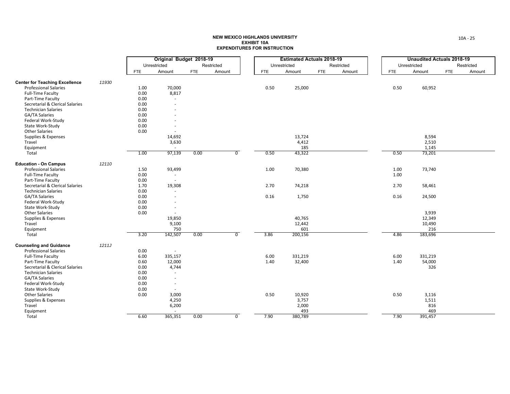|                                       |       |            | Original Budget 2018-19  |            |                |            | <b>Estimated Actuals 2018-19</b> |            |            |            | <b>Unaudited Actuals 2018-19</b> |            |            |
|---------------------------------------|-------|------------|--------------------------|------------|----------------|------------|----------------------------------|------------|------------|------------|----------------------------------|------------|------------|
|                                       |       |            | Unrestricted             |            | Restricted     |            | Unrestricted                     |            | Restricted |            | Unrestricted                     |            | Restricted |
|                                       |       | <b>FTE</b> | Amount                   | <b>FTE</b> | Amount         | <b>FTE</b> | Amount                           | <b>FTE</b> | Amount     | <b>FTE</b> | Amount                           | <b>FTE</b> | Amount     |
| <b>Center for Teaching Excellence</b> | 11930 |            |                          |            |                |            |                                  |            |            |            |                                  |            |            |
| <b>Professional Salaries</b>          |       | 1.00       | 70,000                   |            |                | 0.50       | 25,000                           |            |            | 0.50       | 60,952                           |            |            |
| <b>Full-Time Faculty</b>              |       | 0.00       | 8,817                    |            |                |            |                                  |            |            |            |                                  |            |            |
| Part-Time Faculty                     |       | 0.00       | $\omega$                 |            |                |            |                                  |            |            |            |                                  |            |            |
| Secretarial & Clerical Salaries       |       | 0.00       | ×.                       |            |                |            |                                  |            |            |            |                                  |            |            |
| <b>Technician Salaries</b>            |       | 0.00       | $\overline{\phantom{a}}$ |            |                |            |                                  |            |            |            |                                  |            |            |
| <b>GA/TA Salaries</b>                 |       | 0.00       |                          |            |                |            |                                  |            |            |            |                                  |            |            |
| Federal Work-Study                    |       | 0.00       |                          |            |                |            |                                  |            |            |            |                                  |            |            |
| State Work-Study                      |       | 0.00       |                          |            |                |            |                                  |            |            |            |                                  |            |            |
| <b>Other Salaries</b>                 |       | 0.00       | $\sim$                   |            |                |            |                                  |            |            |            |                                  |            |            |
| Supplies & Expenses                   |       |            | 14,692                   |            |                |            | 13,724                           |            |            |            | 8,594                            |            |            |
| Travel                                |       |            | 3,630                    |            |                |            | 4,412                            |            |            |            | 2,510                            |            |            |
| Equipment                             |       |            | $\sim$                   |            |                |            | 185                              |            |            |            | 1,145                            |            |            |
| Total                                 |       | 1.00       | 97,139                   | 0.00       | $\overline{0}$ | 0.50       | 43,322                           |            |            | 0.50       | 73,201                           |            |            |
| <b>Education - On Campus</b>          | 12110 |            |                          |            |                |            |                                  |            |            |            |                                  |            |            |
| <b>Professional Salaries</b>          |       | 1.50       | 93,499                   |            |                | 1.00       | 70,380                           |            |            | 1.00       | 73,740                           |            |            |
| <b>Full-Time Faculty</b>              |       | 0.00       | $\sim$                   |            |                |            |                                  |            |            | 1.00       |                                  |            |            |
| Part-Time Faculty                     |       | 0.00       | $\sim$                   |            |                |            |                                  |            |            |            |                                  |            |            |
| Secretarial & Clerical Salaries       |       | 1.70       | 19,308                   |            |                | 2.70       | 74,218                           |            |            | 2.70       | 58,461                           |            |            |
| <b>Technician Salaries</b>            |       | 0.00       | $\sim$                   |            |                |            |                                  |            |            |            |                                  |            |            |
| <b>GA/TA Salaries</b>                 |       | 0.00       | $\sim$                   |            |                | 0.16       | 1,750                            |            |            | 0.16       | 24,500                           |            |            |
| Federal Work-Study                    |       | 0.00       | ÷.                       |            |                |            |                                  |            |            |            |                                  |            |            |
| State Work-Study                      |       | 0.00       | $\overline{\phantom{a}}$ |            |                |            |                                  |            |            |            |                                  |            |            |
| <b>Other Salaries</b>                 |       | 0.00       | $\sim$                   |            |                |            |                                  |            |            |            | 3,939                            |            |            |
| Supplies & Expenses                   |       |            | 19,850                   |            |                |            | 40,765                           |            |            |            | 12,349                           |            |            |
| Travel                                |       |            | 9,100                    |            |                |            | 12,442                           |            |            |            | 10,490                           |            |            |
| Equipment                             |       |            | 750                      |            |                |            | 601                              |            |            |            | 216                              |            |            |
| Total                                 |       | 3.20       | 142,507                  | 0.00       | $\overline{0}$ | 3.86       | 200,156                          |            |            | 4.86       | 183,696                          |            |            |
| <b>Counseling and Guidance</b>        | 1211J |            |                          |            |                |            |                                  |            |            |            |                                  |            |            |
| <b>Professional Salaries</b>          |       | 0.00       | $\sim$                   |            |                |            |                                  |            |            |            |                                  |            |            |
| <b>Full-Time Faculty</b>              |       | 6.00       | 335,157                  |            |                | 6.00       | 331,219                          |            |            | 6.00       | 331,219                          |            |            |
| Part-Time Faculty                     |       | 0.60       | 12,000                   |            |                | 1.40       | 32,400                           |            |            | 1.40       | 54,000                           |            |            |
| Secretarial & Clerical Salaries       |       | 0.00       | 4,744                    |            |                |            |                                  |            |            |            | 326                              |            |            |
| <b>Technician Salaries</b>            |       | 0.00       | $\sim$                   |            |                |            |                                  |            |            |            |                                  |            |            |
| GA/TA Salaries                        |       | 0.00       | $\sim$                   |            |                |            |                                  |            |            |            |                                  |            |            |
| Federal Work-Study                    |       | 0.00       | $\sim$                   |            |                |            |                                  |            |            |            |                                  |            |            |
| State Work-Study                      |       | 0.00       | $\sim$                   |            |                |            |                                  |            |            |            |                                  |            |            |
| <b>Other Salaries</b>                 |       | 0.00       | 3,000                    |            |                | 0.50       | 10,920                           |            |            | 0.50       | 3,116                            |            |            |
| Supplies & Expenses                   |       |            | 4,250                    |            |                |            | 3,757                            |            |            |            | 1,511                            |            |            |
| Travel                                |       |            | 6,200                    |            |                |            | 2,000                            |            |            |            | 816                              |            |            |
| Equipment                             |       |            |                          |            |                |            | 493                              |            |            |            | 469                              |            |            |
| Total                                 |       | 6.60       | 365,351                  | 0.00       | $\overline{0}$ | 7.90       | 380,789                          |            |            | 7.90       | 391,457                          |            |            |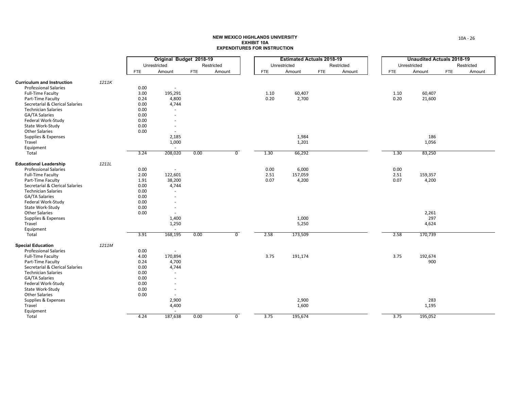|                                   |       |      | Original Budget 2018-19  |            |                |            | <b>Estimated Actuals 2018-19</b> |            |            |            | <b>Unaudited Actuals 2018-19</b> |            |            |  |
|-----------------------------------|-------|------|--------------------------|------------|----------------|------------|----------------------------------|------------|------------|------------|----------------------------------|------------|------------|--|
|                                   |       |      | Unrestricted             |            | Restricted     |            | Unrestricted                     |            | Restricted |            | Unrestricted                     |            | Restricted |  |
|                                   |       | FTE  | Amount                   | <b>FTE</b> | Amount         | <b>FTE</b> | Amount                           | <b>FTE</b> | Amount     | <b>FTE</b> | Amount                           | <b>FTE</b> | Amount     |  |
|                                   |       |      |                          |            |                |            |                                  |            |            |            |                                  |            |            |  |
| <b>Curriculum and Instruction</b> | 1211K |      |                          |            |                |            |                                  |            |            |            |                                  |            |            |  |
| <b>Professional Salaries</b>      |       | 0.00 |                          |            |                |            |                                  |            |            |            |                                  |            |            |  |
| <b>Full-Time Faculty</b>          |       | 3.00 | 195,291                  |            |                | 1.10       | 60,407                           |            |            | 1.10       | 60,407                           |            |            |  |
| Part-Time Faculty                 |       | 0.24 | 4,800                    |            |                | 0.20       | 2,700                            |            |            | 0.20       | 21,600                           |            |            |  |
| Secretarial & Clerical Salaries   |       | 0.00 | 4,744                    |            |                |            |                                  |            |            |            |                                  |            |            |  |
| <b>Technician Salaries</b>        |       | 0.00 | $\sim$                   |            |                |            |                                  |            |            |            |                                  |            |            |  |
| GA/TA Salaries                    |       | 0.00 |                          |            |                |            |                                  |            |            |            |                                  |            |            |  |
| Federal Work-Study                |       | 0.00 |                          |            |                |            |                                  |            |            |            |                                  |            |            |  |
| State Work-Study                  |       | 0.00 |                          |            |                |            |                                  |            |            |            |                                  |            |            |  |
| <b>Other Salaries</b>             |       | 0.00 | $\sim$                   |            |                |            |                                  |            |            |            |                                  |            |            |  |
| Supplies & Expenses               |       |      | 2,185                    |            |                |            | 1,984                            |            |            |            | 186                              |            |            |  |
| Travel                            |       |      | 1,000                    |            |                |            | 1,201                            |            |            |            | 1,056                            |            |            |  |
| Equipment                         |       |      | $\sim$                   |            |                |            |                                  |            |            |            |                                  |            |            |  |
| Total                             |       | 3.24 | 208,020                  | 0.00       | $\overline{0}$ | 1.30       | 66,292                           |            |            | 1.30       | 83,250                           |            |            |  |
| <b>Educational Leadership</b>     | 1211L |      |                          |            |                |            |                                  |            |            |            |                                  |            |            |  |
| <b>Professional Salaries</b>      |       | 0.00 | $\overline{\phantom{a}}$ |            |                | 0.00       | 6,000                            |            |            | 0.00       |                                  |            |            |  |
| <b>Full-Time Faculty</b>          |       | 2.00 | 122,601                  |            |                | 2.51       | 157,059                          |            |            | 2.51       | 159,357                          |            |            |  |
| Part-Time Faculty                 |       | 1.91 | 38,200                   |            |                | 0.07       | 4,200                            |            |            | 0.07       | 4,200                            |            |            |  |
| Secretarial & Clerical Salaries   |       | 0.00 | 4,744                    |            |                |            |                                  |            |            |            |                                  |            |            |  |
| <b>Technician Salaries</b>        |       | 0.00 | $\sim$                   |            |                |            |                                  |            |            |            |                                  |            |            |  |
| <b>GA/TA Salaries</b>             |       | 0.00 |                          |            |                |            |                                  |            |            |            |                                  |            |            |  |
| Federal Work-Study                |       | 0.00 | $\overline{a}$           |            |                |            |                                  |            |            |            |                                  |            |            |  |
| State Work-Study                  |       | 0.00 |                          |            |                |            |                                  |            |            |            |                                  |            |            |  |
| <b>Other Salaries</b>             |       | 0.00 | $\sim$                   |            |                |            |                                  |            |            |            | 2,261                            |            |            |  |
| Supplies & Expenses               |       |      | 1,400                    |            |                |            | 1,000                            |            |            |            | 297                              |            |            |  |
| Travel                            |       |      | 1,250                    |            |                |            | 5,250                            |            |            |            | 4,624                            |            |            |  |
| Equipment                         |       |      | $\sim$                   |            |                |            |                                  |            |            |            |                                  |            |            |  |
| Total                             |       | 3.91 | 168,195                  | 0.00       | $\overline{0}$ | 2.58       | 173,509                          |            |            | 2.58       | 170,739                          |            |            |  |
| <b>Special Education</b>          | 1211M |      |                          |            |                |            |                                  |            |            |            |                                  |            |            |  |
| <b>Professional Salaries</b>      |       | 0.00 | $\overline{\phantom{a}}$ |            |                |            |                                  |            |            |            |                                  |            |            |  |
| <b>Full-Time Faculty</b>          |       | 4.00 | 170,894                  |            |                | 3.75       | 191,174                          |            |            | 3.75       | 192,674                          |            |            |  |
| Part-Time Faculty                 |       | 0.24 | 4,700                    |            |                |            |                                  |            |            |            | 900                              |            |            |  |
| Secretarial & Clerical Salaries   |       | 0.00 | 4,744                    |            |                |            |                                  |            |            |            |                                  |            |            |  |
| <b>Technician Salaries</b>        |       | 0.00 | $\sim$                   |            |                |            |                                  |            |            |            |                                  |            |            |  |
| GA/TA Salaries                    |       | 0.00 |                          |            |                |            |                                  |            |            |            |                                  |            |            |  |
| Federal Work-Study                |       | 0.00 |                          |            |                |            |                                  |            |            |            |                                  |            |            |  |
| State Work-Study                  |       | 0.00 | $\overline{\phantom{a}}$ |            |                |            |                                  |            |            |            |                                  |            |            |  |
| <b>Other Salaries</b>             |       | 0.00 | $\sim$                   |            |                |            |                                  |            |            |            |                                  |            |            |  |
| Supplies & Expenses               |       |      | 2,900                    |            |                |            | 2,900                            |            |            |            | 283                              |            |            |  |
| Travel                            |       |      | 4,400                    |            |                |            | 1,600                            |            |            |            | 1,195                            |            |            |  |
| Equipment                         |       |      | $\sim$                   |            |                |            |                                  |            |            |            |                                  |            |            |  |
| Total                             |       | 4.24 | 187,638                  | 0.00       | $\overline{0}$ | 3.75       | 195,674                          |            |            | 3.75       | 195,052                          |            |            |  |
|                                   |       |      |                          |            |                |            |                                  |            |            |            |                                  |            |            |  |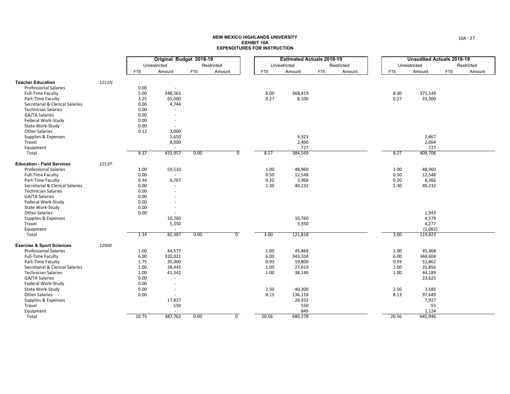|                                      | Original Budget 2018-19 |            |                          |            |                |            | <b>Estimated Actuals 2018-19</b> |            |            |            | <b>Unaudited Actuals 2018-19</b> |            |            |  |
|--------------------------------------|-------------------------|------------|--------------------------|------------|----------------|------------|----------------------------------|------------|------------|------------|----------------------------------|------------|------------|--|
|                                      |                         |            | Unrestricted             |            | Restricted     |            | Unrestricted                     |            | Restricted |            | Unrestricted                     |            | Restricted |  |
|                                      |                         | <b>FTE</b> | Amount                   | <b>FTE</b> | Amount         | <b>FTE</b> | Amount                           | <b>FTE</b> | Amount     | <b>FTE</b> | Amount                           | <b>FTE</b> | Amount     |  |
|                                      |                         |            |                          |            |                |            |                                  |            |            |            |                                  |            |            |  |
| <b>Teacher Education</b>             | 1211N                   |            |                          |            |                |            |                                  |            |            |            |                                  |            |            |  |
| <b>Professional Salaries</b>         |                         | 0.00       |                          |            |                |            |                                  |            |            |            |                                  |            |            |  |
| <b>Full-Time Faculty</b>             |                         | 5.00       | 348,563                  |            |                | 8.00       | 368,419                          |            |            | 8.00       | 371,149                          |            |            |  |
| Part-Time Faculty                    |                         | 3.25       | 65,000                   |            |                | 0.27       | 8,100                            |            |            | 0.27       | 33,300                           |            |            |  |
| Secretarial & Clerical Salaries      |                         | 0.00       | 4,744                    |            |                |            |                                  |            |            |            |                                  |            |            |  |
| <b>Technician Salaries</b>           |                         | 0.00       |                          |            |                |            |                                  |            |            |            |                                  |            |            |  |
| GA/TA Salaries                       |                         | 0.00       |                          |            |                |            |                                  |            |            |            |                                  |            |            |  |
| Federal Work-Study                   |                         | 0.00       | $\sim$                   |            |                |            |                                  |            |            |            |                                  |            |            |  |
| State Work-Study                     |                         | 0.00       | $\sim$                   |            |                |            |                                  |            |            |            |                                  |            |            |  |
| <b>Other Salaries</b>                |                         | 0.12       | 2,000                    |            |                |            |                                  |            |            |            |                                  |            |            |  |
| Supplies & Expenses                  |                         |            | 5,650                    |            |                |            | 4,923                            |            |            |            | 2,467                            |            |            |  |
| Travel                               |                         |            | 8,000                    |            |                |            | 2,400                            |            |            |            | 2,064                            |            |            |  |
| Equipment                            |                         |            | $\sim$                   |            |                |            | 727                              |            |            |            | 727                              |            |            |  |
| Total                                |                         | 8.37       | 433,957                  | 0.00       | $\overline{0}$ | 8.27       | 384,569                          |            |            | 8.27       | 409,706                          |            |            |  |
| <b>Education - Field Services</b>    | 1211P                   |            |                          |            |                |            |                                  |            |            |            |                                  |            |            |  |
| <b>Professional Salaries</b>         |                         | 1.00       | 59,510                   |            |                | 1.00       | 48,960                           |            |            | 1.00       | 48,960                           |            |            |  |
| <b>Full-Time Faculty</b>             |                         | 0.00       | $\sim$                   |            |                | 0.50       | 12,548                           |            |            | 0.50       | 12,548                           |            |            |  |
| Part-Time Faculty                    |                         | 0.34       | 6,767                    |            |                | 0.20       | 3,968                            |            |            | 0.20       | 8,366                            |            |            |  |
| Secretarial & Clerical Salaries      |                         | 0.00       |                          |            |                | 1.30       | 40,232                           |            |            | 1.30       | 40,232                           |            |            |  |
| <b>Technician Salaries</b>           |                         | 0.00       | $\sim$                   |            |                |            |                                  |            |            |            |                                  |            |            |  |
| GA/TA Salaries                       |                         | 0.00       |                          |            |                |            |                                  |            |            |            |                                  |            |            |  |
| Federal Work-Study                   |                         | 0.00       |                          |            |                |            |                                  |            |            |            |                                  |            |            |  |
| State Work-Study                     |                         | 0.00       | $\overline{\phantom{a}}$ |            |                |            |                                  |            |            |            |                                  |            |            |  |
| <b>Other Salaries</b>                |                         | 0.00       | $\sim$                   |            |                |            |                                  |            |            |            | 1,943                            |            |            |  |
| Supplies & Expenses                  |                         |            | 10,760                   |            |                |            | 10,760                           |            |            |            | 4,579                            |            |            |  |
| Travel                               |                         |            | 5,350                    |            |                |            | 5,350                            |            |            |            | 4,277                            |            |            |  |
| Equipment                            |                         |            | $\sim$                   |            |                |            |                                  |            |            |            | (1,082)                          |            |            |  |
| Total                                |                         | 1.34       | 82,387                   | 0.00       | $\overline{0}$ | 3.00       | 121,818                          |            |            | 3.00       | 119,823                          |            |            |  |
| <b>Exercise &amp; Sport Sciences</b> | 12500                   |            |                          |            |                |            |                                  |            |            |            |                                  |            |            |  |
| <b>Professional Salaries</b>         |                         | 1.00       | 44,577                   |            |                | 1.00       | 45,468                           |            |            | 1.00       | 45,468                           |            |            |  |
| <b>Full-Time Faculty</b>             |                         | 6.00       | 320,021                  |            |                | 6.00       | 343,104                          |            |            | 6.00       | 344,604                          |            |            |  |
| Part-Time Faculty                    |                         | 1.75       | 35,000                   |            |                | 0.93       | 19,800                           |            |            | 0.93       | 51,862                           |            |            |  |
| Secretarial & Clerical Salaries      |                         | 1.00       | 28,445                   |            |                | 1.00       | 27,019                           |            |            | 1.00       | 25,856                           |            |            |  |
| <b>Technician Salaries</b>           |                         | 1.00       | 41,342                   |            |                | 1.00       | 38,146                           |            |            | 1.00       | 44,189                           |            |            |  |
| GA/TA Salaries                       |                         | 0.00       | $\sim$                   |            |                |            |                                  |            |            |            | 23,625                           |            |            |  |
| Federal Work-Study                   |                         | 0.00       | $\overline{a}$           |            |                |            |                                  |            |            |            |                                  |            |            |  |
| State Work-Study                     |                         | 0.00       | $\sim$                   |            |                | 2.50       | 40,300                           |            |            | 2.50       | 3,585                            |            |            |  |
| <b>Other Salaries</b>                |                         | 0.00       | $\sim$                   |            |                | 8.13       | 136,110                          |            |            | 8.13       | 97,649                           |            |            |  |
| Supplies & Expenses                  |                         |            | 17,827                   |            |                |            | 28,932                           |            |            |            | 7,927                            |            |            |  |
| Travel                               |                         |            | 550                      |            |                |            | 550                              |            |            |            | 55                               |            |            |  |
| Equipment                            |                         |            |                          |            |                |            | 849                              |            |            |            | 1,124                            |            |            |  |
| Total                                |                         | 10.75      | 487,762                  | 0.00       | $\overline{0}$ | 20.56      | 680,278                          |            |            | 20.56      | 645,946                          |            |            |  |
|                                      |                         |            |                          |            |                |            |                                  |            |            |            |                                  |            |            |  |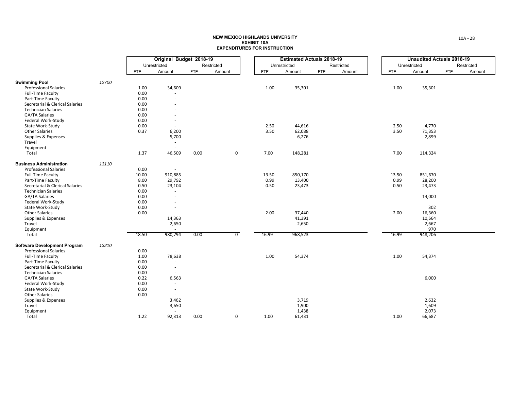|                                              |       |              | Original Budget 2018-19  |            |                |            | <b>Estimated Actuals 2018-19</b> |            |            |            | <b>Unaudited Actuals 2018-19</b> |            |            |  |
|----------------------------------------------|-------|--------------|--------------------------|------------|----------------|------------|----------------------------------|------------|------------|------------|----------------------------------|------------|------------|--|
|                                              |       |              | Unrestricted             |            | Restricted     |            | Unrestricted                     |            | Restricted |            | Unrestricted                     |            | Restricted |  |
|                                              |       | <b>FTE</b>   | Amount                   | <b>FTE</b> | Amount         | <b>FTE</b> | Amount                           | <b>FTE</b> | Amount     | <b>FTE</b> | Amount                           | <b>FTE</b> | Amount     |  |
| <b>Swimming Pool</b>                         | 12700 |              |                          |            |                |            |                                  |            |            |            |                                  |            |            |  |
| <b>Professional Salaries</b>                 |       | 1.00         | 34,609                   |            |                | 1.00       | 35,301                           |            |            | 1.00       | 35,301                           |            |            |  |
| <b>Full-Time Faculty</b>                     |       | 0.00         | $\sim$                   |            |                |            |                                  |            |            |            |                                  |            |            |  |
| Part-Time Faculty                            |       | 0.00         |                          |            |                |            |                                  |            |            |            |                                  |            |            |  |
| Secretarial & Clerical Salaries              |       | 0.00         |                          |            |                |            |                                  |            |            |            |                                  |            |            |  |
|                                              |       |              |                          |            |                |            |                                  |            |            |            |                                  |            |            |  |
| <b>Technician Salaries</b><br>GA/TA Salaries |       | 0.00<br>0.00 |                          |            |                |            |                                  |            |            |            |                                  |            |            |  |
|                                              |       |              |                          |            |                |            |                                  |            |            |            |                                  |            |            |  |
| Federal Work-Study                           |       | 0.00         |                          |            |                |            |                                  |            |            |            |                                  |            |            |  |
| State Work-Study                             |       | 0.00         |                          |            |                | 2.50       | 44,616                           |            |            | 2.50       | 4,770                            |            |            |  |
| <b>Other Salaries</b>                        |       | 0.37         | 6,200                    |            |                | 3.50       | 62,088                           |            |            | 3.50       | 71,353                           |            |            |  |
| Supplies & Expenses                          |       |              | 5,700                    |            |                |            | 6,276                            |            |            |            | 2,899                            |            |            |  |
| Travel                                       |       |              | $\sim$                   |            |                |            |                                  |            |            |            |                                  |            |            |  |
| Equipment                                    |       |              |                          |            |                |            |                                  |            |            |            |                                  |            |            |  |
| Total                                        |       | 1.37         | 46,509                   | 0.00       | $\overline{0}$ | 7.00       | 148,281                          |            |            | 7.00       | 114,324                          |            |            |  |
| <b>Business Administration</b>               | 13110 |              |                          |            |                |            |                                  |            |            |            |                                  |            |            |  |
| <b>Professional Salaries</b>                 |       | 0.00         | $\sim$                   |            |                |            |                                  |            |            |            |                                  |            |            |  |
| <b>Full-Time Faculty</b>                     |       | 10.00        | 910,885                  |            |                | 13.50      | 850,170                          |            |            | 13.50      | 851,670                          |            |            |  |
| Part-Time Faculty                            |       | 8.00         | 29,792                   |            |                | 0.99       | 13,400                           |            |            | 0.99       | 28,200                           |            |            |  |
| Secretarial & Clerical Salaries              |       | 0.50         | 23,104                   |            |                | 0.50       | 23,473                           |            |            | 0.50       | 23,473                           |            |            |  |
| <b>Technician Salaries</b>                   |       | 0.00         | ×.                       |            |                |            |                                  |            |            |            |                                  |            |            |  |
| GA/TA Salaries                               |       | 0.00         |                          |            |                |            |                                  |            |            |            | 14,000                           |            |            |  |
| Federal Work-Study                           |       | 0.00         |                          |            |                |            |                                  |            |            |            |                                  |            |            |  |
| State Work-Study                             |       | 0.00         |                          |            |                |            |                                  |            |            |            | 302                              |            |            |  |
| <b>Other Salaries</b>                        |       | 0.00         | $\sim$                   |            |                | 2.00       | 37,440                           |            |            | 2.00       | 16,360                           |            |            |  |
| Supplies & Expenses                          |       |              | 14,363                   |            |                |            | 41,391                           |            |            |            | 10,564                           |            |            |  |
| Travel                                       |       |              | 2,650                    |            |                |            | 2,650                            |            |            |            | 2,667                            |            |            |  |
| Equipment                                    |       |              | $\sim$                   |            |                |            |                                  |            |            |            | 970                              |            |            |  |
| Total                                        |       | 18.50        | 980,794                  | 0.00       | $\overline{0}$ | 16.99      | 968,523                          |            |            | 16.99      | 948,206                          |            |            |  |
| <b>Software Development Program</b>          | 13210 |              |                          |            |                |            |                                  |            |            |            |                                  |            |            |  |
| <b>Professional Salaries</b>                 |       | 0.00         | $\sim$                   |            |                |            |                                  |            |            |            |                                  |            |            |  |
| <b>Full-Time Faculty</b>                     |       | 1.00         | 78,638                   |            |                | 1.00       | 54,374                           |            |            | 1.00       | 54,374                           |            |            |  |
| Part-Time Faculty                            |       | 0.00         | $\sim$                   |            |                |            |                                  |            |            |            |                                  |            |            |  |
| Secretarial & Clerical Salaries              |       | 0.00         | $\overline{\phantom{a}}$ |            |                |            |                                  |            |            |            |                                  |            |            |  |
| <b>Technician Salaries</b>                   |       | 0.00         |                          |            |                |            |                                  |            |            |            |                                  |            |            |  |
| GA/TA Salaries                               |       | 0.22         | 6,563                    |            |                |            |                                  |            |            |            | 6,000                            |            |            |  |
| Federal Work-Study                           |       | 0.00         | $\sim$                   |            |                |            |                                  |            |            |            |                                  |            |            |  |
| State Work-Study                             |       | 0.00         | $\sim$                   |            |                |            |                                  |            |            |            |                                  |            |            |  |
| <b>Other Salaries</b>                        |       | 0.00         |                          |            |                |            |                                  |            |            |            |                                  |            |            |  |
| Supplies & Expenses                          |       |              | 3,462                    |            |                |            | 3,719                            |            |            |            | 2,632                            |            |            |  |
| Travel                                       |       |              | 3,650                    |            |                |            | 1,900                            |            |            |            | 1,609                            |            |            |  |
|                                              |       |              |                          |            |                |            | 1,438                            |            |            |            | 2,073                            |            |            |  |
| Equipment<br>Total                           |       | 1.22         | 92,313                   | 0.00       | $\overline{0}$ | 1.00       | 61,431                           |            |            | 1.00       | 66,687                           |            |            |  |
|                                              |       |              |                          |            |                |            |                                  |            |            |            |                                  |            |            |  |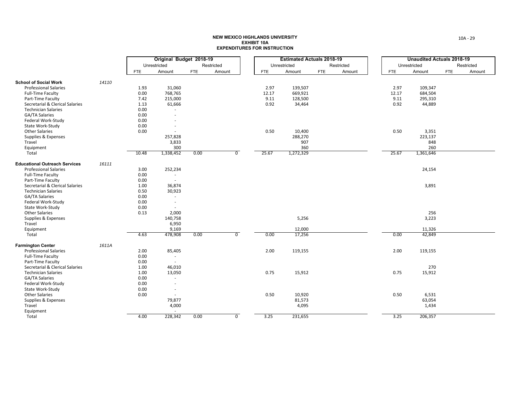|                                      |       |            | Original Budget 2018-19 |            |                |       | <b>Estimated Actuals 2018-19</b> |            |            |            | <b>Unaudited Actuals 2018-19</b> |            |            |  |
|--------------------------------------|-------|------------|-------------------------|------------|----------------|-------|----------------------------------|------------|------------|------------|----------------------------------|------------|------------|--|
|                                      |       |            | Unrestricted            |            | Restricted     |       | Unrestricted                     |            | Restricted |            | Unrestricted                     |            | Restricted |  |
|                                      |       | <b>FTE</b> | Amount                  | <b>FTE</b> | Amount         | FTE   | Amount                           | <b>FTE</b> | Amount     | <b>FTE</b> | Amount                           | <b>FTE</b> | Amount     |  |
|                                      |       |            |                         |            |                |       |                                  |            |            |            |                                  |            |            |  |
| <b>School of Social Work</b>         | 14110 |            |                         |            |                |       |                                  |            |            |            |                                  |            |            |  |
| <b>Professional Salaries</b>         |       | 1.93       | 31,060                  |            |                | 2.97  | 139,507                          |            |            | 2.97       | 109,347                          |            |            |  |
| Full-Time Faculty                    |       | 0.00       | 768,765                 |            |                | 12.17 | 669,921                          |            |            | 12.17      | 684,504                          |            |            |  |
| Part-Time Faculty                    |       | 7.42       | 215,000                 |            |                | 9.11  | 128,500                          |            |            | 9.11       | 295,310                          |            |            |  |
| Secretarial & Clerical Salaries      |       | 1.13       | 61,666                  |            |                | 0.92  | 34,464                           |            |            | 0.92       | 44,889                           |            |            |  |
| <b>Technician Salaries</b>           |       | 0.00       |                         |            |                |       |                                  |            |            |            |                                  |            |            |  |
| GA/TA Salaries                       |       | 0.00       |                         |            |                |       |                                  |            |            |            |                                  |            |            |  |
| Federal Work-Study                   |       | 0.00       |                         |            |                |       |                                  |            |            |            |                                  |            |            |  |
| State Work-Study                     |       | 0.00       |                         |            |                |       |                                  |            |            |            |                                  |            |            |  |
| <b>Other Salaries</b>                |       | 0.00       |                         |            |                | 0.50  | 10,400                           |            |            | 0.50       | 3,351                            |            |            |  |
| Supplies & Expenses                  |       |            | 257,828                 |            |                |       | 288,270                          |            |            |            | 223,137                          |            |            |  |
| Travel                               |       |            | 3,833                   |            |                |       | 907                              |            |            |            | 848                              |            |            |  |
| Equipment                            |       |            | 300                     |            |                |       | 360                              |            |            |            | 260                              |            |            |  |
| Total                                |       | 10.48      | 1,338,452               | 0.00       | $\overline{0}$ | 25.67 | 1,272,329                        |            |            | 25.67      | 1,361,646                        |            |            |  |
|                                      |       |            |                         |            |                |       |                                  |            |            |            |                                  |            |            |  |
| <b>Educational Outreach Services</b> | 16111 |            |                         |            |                |       |                                  |            |            |            |                                  |            |            |  |
| <b>Professional Salaries</b>         |       | 3.00       | 252,234                 |            |                |       |                                  |            |            |            | 24,154                           |            |            |  |
| Full-Time Faculty                    |       | 0.00       | $\sim$                  |            |                |       |                                  |            |            |            |                                  |            |            |  |
| Part-Time Faculty                    |       | 0.00       | $\sim$                  |            |                |       |                                  |            |            |            |                                  |            |            |  |
| Secretarial & Clerical Salaries      |       | 1.00       | 36,874                  |            |                |       |                                  |            |            |            | 3,891                            |            |            |  |
| <b>Technician Salaries</b>           |       | 0.50       | 30,923                  |            |                |       |                                  |            |            |            |                                  |            |            |  |
| <b>GA/TA Salaries</b>                |       | 0.00       | $\sim$                  |            |                |       |                                  |            |            |            |                                  |            |            |  |
| Federal Work-Study                   |       | 0.00       | $\sim$                  |            |                |       |                                  |            |            |            |                                  |            |            |  |
| State Work-Study                     |       | 0.00       |                         |            |                |       |                                  |            |            |            |                                  |            |            |  |
| <b>Other Salaries</b>                |       | 0.13       | 2,000                   |            |                |       |                                  |            |            |            | 256                              |            |            |  |
| Supplies & Expenses                  |       |            | 140,758                 |            |                |       | 5,256                            |            |            |            | 3,223                            |            |            |  |
| Travel                               |       |            | 6,950                   |            |                |       |                                  |            |            |            |                                  |            |            |  |
| Equipment                            |       |            | 9,169                   |            |                |       | 12,000                           |            |            |            | 11,326                           |            |            |  |
| Total                                |       | 4.63       | 478,908                 | 0.00       | $\overline{0}$ | 0.00  | 17,256                           |            |            | 0.00       | 42,849                           |            |            |  |
|                                      |       |            |                         |            |                |       |                                  |            |            |            |                                  |            |            |  |
| <b>Farmington Center</b>             | 1611A |            |                         |            |                |       |                                  |            |            |            |                                  |            |            |  |
| <b>Professional Salaries</b>         |       | 2.00       | 85,405                  |            |                | 2.00  | 119,155                          |            |            | 2.00       | 119,155                          |            |            |  |
| <b>Full-Time Faculty</b>             |       | 0.00       | $\sim$                  |            |                |       |                                  |            |            |            |                                  |            |            |  |
| Part-Time Faculty                    |       | 0.00       | $\sim$                  |            |                |       |                                  |            |            |            |                                  |            |            |  |
| Secretarial & Clerical Salaries      |       | 1.00       | 46,010                  |            |                |       |                                  |            |            |            | 270                              |            |            |  |
| <b>Technician Salaries</b>           |       | 1.00       | 13,050                  |            |                | 0.75  | 15,912                           |            |            | 0.75       | 15,912                           |            |            |  |
| GA/TA Salaries                       |       | 0.00       | $\sim$                  |            |                |       |                                  |            |            |            |                                  |            |            |  |
| Federal Work-Study                   |       | 0.00       |                         |            |                |       |                                  |            |            |            |                                  |            |            |  |
| State Work-Study                     |       | 0.00       | $\sim$                  |            |                |       |                                  |            |            |            |                                  |            |            |  |
| <b>Other Salaries</b>                |       | 0.00       | $\sim$                  |            |                | 0.50  | 10,920                           |            |            | 0.50       | 6,531                            |            |            |  |
| Supplies & Expenses                  |       |            | 79,877                  |            |                |       | 81,573                           |            |            |            | 63,054                           |            |            |  |
| Travel                               |       |            | 4,000                   |            |                |       | 4,095                            |            |            |            | 1,434                            |            |            |  |
| Equipment                            |       |            | $\sim$                  |            |                |       |                                  |            |            |            |                                  |            |            |  |
| Total                                |       | 4.00       | 228,342                 | 0.00       | $\overline{0}$ | 3.25  | 231,655                          |            |            | 3.25       | 206,357                          |            |            |  |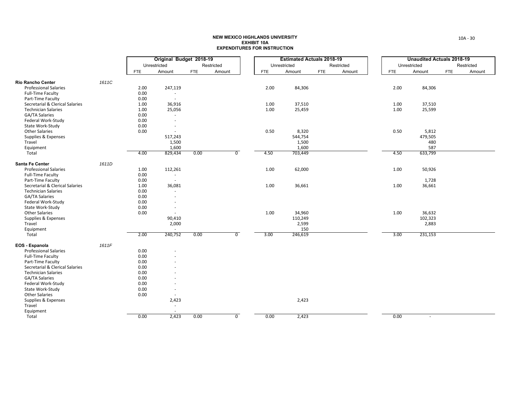|                                 |       |            | Original Budget 2018-19  |            |                |            | <b>Estimated Actuals 2018-19</b> |            |            |            | <b>Unaudited Actuals 2018-19</b> |            |            |  |
|---------------------------------|-------|------------|--------------------------|------------|----------------|------------|----------------------------------|------------|------------|------------|----------------------------------|------------|------------|--|
|                                 |       |            | Unrestricted             |            | Restricted     |            | Unrestricted                     |            | Restricted |            | Unrestricted                     |            | Restricted |  |
|                                 |       | <b>FTE</b> | Amount                   | <b>FTE</b> | Amount         | <b>FTE</b> | Amount                           | <b>FTE</b> | Amount     | <b>FTE</b> | Amount                           | <b>FTE</b> | Amount     |  |
|                                 |       |            |                          |            |                |            |                                  |            |            |            |                                  |            |            |  |
| <b>Rio Rancho Center</b>        | 1611C |            |                          |            |                |            |                                  |            |            |            |                                  |            |            |  |
| <b>Professional Salaries</b>    |       | 2.00       | 247,119                  |            |                | 2.00       | 84,306                           |            |            | 2.00       | 84,306                           |            |            |  |
| <b>Full-Time Faculty</b>        |       | 0.00       | $\sim$                   |            |                |            |                                  |            |            |            |                                  |            |            |  |
| Part-Time Faculty               |       | 0.00       | $\sim$                   |            |                |            |                                  |            |            |            |                                  |            |            |  |
| Secretarial & Clerical Salaries |       | 1.00       | 36,916                   |            |                | 1.00       | 37,510                           |            |            | 1.00       | 37,510                           |            |            |  |
| <b>Technician Salaries</b>      |       | 1.00       | 25,056                   |            |                | 1.00       | 25,459                           |            |            | 1.00       | 25,599                           |            |            |  |
| GA/TA Salaries                  |       | 0.00       | $\sim$                   |            |                |            |                                  |            |            |            |                                  |            |            |  |
| Federal Work-Study              |       | 0.00       |                          |            |                |            |                                  |            |            |            |                                  |            |            |  |
| State Work-Study                |       | 0.00       |                          |            |                |            |                                  |            |            |            |                                  |            |            |  |
| <b>Other Salaries</b>           |       | 0.00       | $\overline{\phantom{a}}$ |            |                | 0.50       | 8,320                            |            |            | 0.50       | 5,812                            |            |            |  |
| Supplies & Expenses             |       |            | 517,243                  |            |                |            | 544,754                          |            |            |            | 479,505                          |            |            |  |
| Travel                          |       |            | 1,500                    |            |                |            | 1,500                            |            |            |            | 480                              |            |            |  |
| Equipment                       |       |            | 1,600                    |            |                |            | 1,600                            |            |            |            | 587                              |            |            |  |
| Total                           |       | 4.00       | 829,434                  | 0.00       | $\overline{0}$ | 4.50       | 703,449                          |            |            | 4.50       | 633,799                          |            |            |  |
| Santa Fe Center                 | 1611D |            |                          |            |                |            |                                  |            |            |            |                                  |            |            |  |
| <b>Professional Salaries</b>    |       | 1.00       | 112,261                  |            |                | 1.00       | 62,000                           |            |            | 1.00       | 50,926                           |            |            |  |
| <b>Full-Time Faculty</b>        |       | 0.00       | $\sim$                   |            |                |            |                                  |            |            |            |                                  |            |            |  |
| Part-Time Faculty               |       | 0.00       | $\sim$                   |            |                |            |                                  |            |            |            | 1,728                            |            |            |  |
| Secretarial & Clerical Salaries |       | 1.00       | 36,081                   |            |                | 1.00       | 36,661                           |            |            | 1.00       | 36,661                           |            |            |  |
| <b>Technician Salaries</b>      |       | 0.00       | $\overline{\phantom{a}}$ |            |                |            |                                  |            |            |            |                                  |            |            |  |
| GA/TA Salaries                  |       | 0.00       |                          |            |                |            |                                  |            |            |            |                                  |            |            |  |
| Federal Work-Study              |       | 0.00       |                          |            |                |            |                                  |            |            |            |                                  |            |            |  |
| State Work-Study                |       | 0.00       | $\overline{\phantom{a}}$ |            |                |            |                                  |            |            |            |                                  |            |            |  |
| <b>Other Salaries</b>           |       | 0.00       | $\sim$                   |            |                | 1.00       | 34,960                           |            |            | 1.00       | 36,632                           |            |            |  |
| Supplies & Expenses             |       |            | 90,410                   |            |                |            | 110,249                          |            |            |            | 102,323                          |            |            |  |
| Travel                          |       |            | 2,000                    |            |                |            | 2,599                            |            |            |            | 2,883                            |            |            |  |
| Equipment                       |       |            | $\sim$                   |            |                |            | 150                              |            |            |            |                                  |            |            |  |
| Total                           |       | 2.00       | 240,752                  | 0.00       | $\overline{0}$ | 3.00       | 246,619                          |            |            | 3.00       | 231,153                          |            |            |  |
| EOS - Espanola                  | 1611F |            |                          |            |                |            |                                  |            |            |            |                                  |            |            |  |
| <b>Professional Salaries</b>    |       | 0.00       |                          |            |                |            |                                  |            |            |            |                                  |            |            |  |
| <b>Full-Time Faculty</b>        |       | 0.00       |                          |            |                |            |                                  |            |            |            |                                  |            |            |  |
| Part-Time Faculty               |       | 0.00       |                          |            |                |            |                                  |            |            |            |                                  |            |            |  |
| Secretarial & Clerical Salaries |       | 0.00       |                          |            |                |            |                                  |            |            |            |                                  |            |            |  |
|                                 |       |            |                          |            |                |            |                                  |            |            |            |                                  |            |            |  |
| <b>Technician Salaries</b>      |       | 0.00       |                          |            |                |            |                                  |            |            |            |                                  |            |            |  |
| GA/TA Salaries                  |       | 0.00       |                          |            |                |            |                                  |            |            |            |                                  |            |            |  |
| Federal Work-Study              |       | 0.00       |                          |            |                |            |                                  |            |            |            |                                  |            |            |  |
| State Work-Study                |       | 0.00       | $\overline{\phantom{a}}$ |            |                |            |                                  |            |            |            |                                  |            |            |  |
| <b>Other Salaries</b>           |       | 0.00       | $\sim$                   |            |                |            |                                  |            |            |            |                                  |            |            |  |
| Supplies & Expenses             |       |            | 2,423                    |            |                |            | 2,423                            |            |            |            |                                  |            |            |  |
| Travel                          |       |            | $\sim$                   |            |                |            |                                  |            |            |            |                                  |            |            |  |
| Equipment                       |       |            | $\sim$                   |            |                |            |                                  |            |            |            |                                  |            |            |  |
| Total                           |       | 0.00       | 2,423                    | 0.00       | $\overline{0}$ | 0.00       | 2,423                            |            |            | 0.00       | $\sim$                           |            |            |  |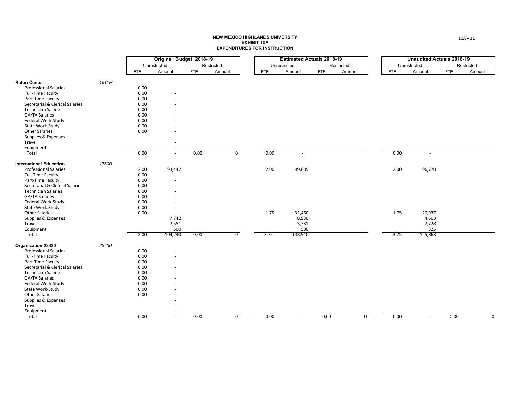| Unrestricted<br>Restricted<br>Restricted<br>Restricted<br>Unrestricted<br>Unrestricted<br><b>FTE</b><br>Amount<br><b>FTE</b><br>Amount<br><b>FTE</b><br>Amount<br><b>FTE</b><br>Amount<br><b>FTE</b><br>Amount<br><b>FTE</b><br>Amount<br>1611H<br><b>Raton Center</b><br><b>Professional Salaries</b><br>0.00<br>0.00<br>Full-Time Faculty<br>Part-Time Faculty<br>0.00<br>Secretarial & Clerical Salaries<br>0.00<br><b>Technician Salaries</b><br>0.00<br>GA/TA Salaries<br>0.00<br>Federal Work-Study<br>0.00<br>0.00<br>State Work-Study<br><b>Other Salaries</b><br>0.00<br>Supplies & Expenses<br>Travel<br>Equipment<br>0.00<br>0.00<br>$\overline{0}$<br>0.00<br>0.00<br>Total<br>$\sim$<br>$\sim$<br>$\sim$<br>17600<br><b>International Education</b><br>2.00<br>2.00<br><b>Professional Salaries</b><br>2.00<br>93,447<br>99,689<br>96,770<br>Full-Time Faculty<br>0.00<br>0.00<br>Part-Time Faculty<br>Secretarial & Clerical Salaries<br>0.00<br><b>Technician Salaries</b><br>0.00<br>0.00<br>GA/TA Salaries<br>Federal Work-Study<br>0.00<br>0.00<br>State Work-Study<br>٠<br>1.75<br><b>Other Salaries</b><br>0.00<br>31,460<br>1.75<br>20,937<br>$\sim$<br>8,930<br>Supplies & Expenses<br>7,742<br>4,603<br>2,551<br>3,331<br>Travel<br>2,728<br>500<br>Equipment<br>500<br>825<br>104,240<br>$\overline{0}$<br>3.75<br>Total<br>2.00<br>0.00<br>143,910<br>3.75<br>125,863<br>Organization 23430<br>23430<br><b>Professional Salaries</b><br>0.00<br>0.00<br>Full-Time Faculty<br>Part-Time Faculty<br>0.00<br>Secretarial & Clerical Salaries<br>0.00<br><b>Technician Salaries</b><br>0.00<br><b>GA/TA Salaries</b><br>0.00<br>Federal Work-Study<br>0.00<br>State Work-Study<br>0.00<br><b>Other Salaries</b><br>0.00<br>Supplies & Expenses<br>Travel<br>Equipment<br>0.00<br>0.00<br>$\overline{0}$<br>0.00<br>$\overline{0}$<br>0.00<br>$\sim$<br>$\sim$<br>$\sim$ |       |  | Original Budget 2018-19 |  |  | <b>Estimated Actuals 2018-19</b> |      | <b>Unaudited Actuals 2018-19</b> |  |
|----------------------------------------------------------------------------------------------------------------------------------------------------------------------------------------------------------------------------------------------------------------------------------------------------------------------------------------------------------------------------------------------------------------------------------------------------------------------------------------------------------------------------------------------------------------------------------------------------------------------------------------------------------------------------------------------------------------------------------------------------------------------------------------------------------------------------------------------------------------------------------------------------------------------------------------------------------------------------------------------------------------------------------------------------------------------------------------------------------------------------------------------------------------------------------------------------------------------------------------------------------------------------------------------------------------------------------------------------------------------------------------------------------------------------------------------------------------------------------------------------------------------------------------------------------------------------------------------------------------------------------------------------------------------------------------------------------------------------------------------------------------------------------------------------------------------------------------------------------------------------------------------|-------|--|-------------------------|--|--|----------------------------------|------|----------------------------------|--|
| $\Omega$                                                                                                                                                                                                                                                                                                                                                                                                                                                                                                                                                                                                                                                                                                                                                                                                                                                                                                                                                                                                                                                                                                                                                                                                                                                                                                                                                                                                                                                                                                                                                                                                                                                                                                                                                                                                                                                                                     |       |  |                         |  |  |                                  |      |                                  |  |
|                                                                                                                                                                                                                                                                                                                                                                                                                                                                                                                                                                                                                                                                                                                                                                                                                                                                                                                                                                                                                                                                                                                                                                                                                                                                                                                                                                                                                                                                                                                                                                                                                                                                                                                                                                                                                                                                                              |       |  |                         |  |  |                                  |      |                                  |  |
|                                                                                                                                                                                                                                                                                                                                                                                                                                                                                                                                                                                                                                                                                                                                                                                                                                                                                                                                                                                                                                                                                                                                                                                                                                                                                                                                                                                                                                                                                                                                                                                                                                                                                                                                                                                                                                                                                              |       |  |                         |  |  |                                  |      |                                  |  |
|                                                                                                                                                                                                                                                                                                                                                                                                                                                                                                                                                                                                                                                                                                                                                                                                                                                                                                                                                                                                                                                                                                                                                                                                                                                                                                                                                                                                                                                                                                                                                                                                                                                                                                                                                                                                                                                                                              |       |  |                         |  |  |                                  |      |                                  |  |
|                                                                                                                                                                                                                                                                                                                                                                                                                                                                                                                                                                                                                                                                                                                                                                                                                                                                                                                                                                                                                                                                                                                                                                                                                                                                                                                                                                                                                                                                                                                                                                                                                                                                                                                                                                                                                                                                                              |       |  |                         |  |  |                                  |      |                                  |  |
|                                                                                                                                                                                                                                                                                                                                                                                                                                                                                                                                                                                                                                                                                                                                                                                                                                                                                                                                                                                                                                                                                                                                                                                                                                                                                                                                                                                                                                                                                                                                                                                                                                                                                                                                                                                                                                                                                              |       |  |                         |  |  |                                  |      |                                  |  |
|                                                                                                                                                                                                                                                                                                                                                                                                                                                                                                                                                                                                                                                                                                                                                                                                                                                                                                                                                                                                                                                                                                                                                                                                                                                                                                                                                                                                                                                                                                                                                                                                                                                                                                                                                                                                                                                                                              |       |  |                         |  |  |                                  |      |                                  |  |
|                                                                                                                                                                                                                                                                                                                                                                                                                                                                                                                                                                                                                                                                                                                                                                                                                                                                                                                                                                                                                                                                                                                                                                                                                                                                                                                                                                                                                                                                                                                                                                                                                                                                                                                                                                                                                                                                                              |       |  |                         |  |  |                                  |      |                                  |  |
|                                                                                                                                                                                                                                                                                                                                                                                                                                                                                                                                                                                                                                                                                                                                                                                                                                                                                                                                                                                                                                                                                                                                                                                                                                                                                                                                                                                                                                                                                                                                                                                                                                                                                                                                                                                                                                                                                              |       |  |                         |  |  |                                  |      |                                  |  |
|                                                                                                                                                                                                                                                                                                                                                                                                                                                                                                                                                                                                                                                                                                                                                                                                                                                                                                                                                                                                                                                                                                                                                                                                                                                                                                                                                                                                                                                                                                                                                                                                                                                                                                                                                                                                                                                                                              |       |  |                         |  |  |                                  |      |                                  |  |
|                                                                                                                                                                                                                                                                                                                                                                                                                                                                                                                                                                                                                                                                                                                                                                                                                                                                                                                                                                                                                                                                                                                                                                                                                                                                                                                                                                                                                                                                                                                                                                                                                                                                                                                                                                                                                                                                                              |       |  |                         |  |  |                                  |      |                                  |  |
|                                                                                                                                                                                                                                                                                                                                                                                                                                                                                                                                                                                                                                                                                                                                                                                                                                                                                                                                                                                                                                                                                                                                                                                                                                                                                                                                                                                                                                                                                                                                                                                                                                                                                                                                                                                                                                                                                              |       |  |                         |  |  |                                  |      |                                  |  |
|                                                                                                                                                                                                                                                                                                                                                                                                                                                                                                                                                                                                                                                                                                                                                                                                                                                                                                                                                                                                                                                                                                                                                                                                                                                                                                                                                                                                                                                                                                                                                                                                                                                                                                                                                                                                                                                                                              |       |  |                         |  |  |                                  |      |                                  |  |
|                                                                                                                                                                                                                                                                                                                                                                                                                                                                                                                                                                                                                                                                                                                                                                                                                                                                                                                                                                                                                                                                                                                                                                                                                                                                                                                                                                                                                                                                                                                                                                                                                                                                                                                                                                                                                                                                                              |       |  |                         |  |  |                                  |      |                                  |  |
|                                                                                                                                                                                                                                                                                                                                                                                                                                                                                                                                                                                                                                                                                                                                                                                                                                                                                                                                                                                                                                                                                                                                                                                                                                                                                                                                                                                                                                                                                                                                                                                                                                                                                                                                                                                                                                                                                              |       |  |                         |  |  |                                  |      |                                  |  |
|                                                                                                                                                                                                                                                                                                                                                                                                                                                                                                                                                                                                                                                                                                                                                                                                                                                                                                                                                                                                                                                                                                                                                                                                                                                                                                                                                                                                                                                                                                                                                                                                                                                                                                                                                                                                                                                                                              |       |  |                         |  |  |                                  |      |                                  |  |
|                                                                                                                                                                                                                                                                                                                                                                                                                                                                                                                                                                                                                                                                                                                                                                                                                                                                                                                                                                                                                                                                                                                                                                                                                                                                                                                                                                                                                                                                                                                                                                                                                                                                                                                                                                                                                                                                                              |       |  |                         |  |  |                                  |      |                                  |  |
|                                                                                                                                                                                                                                                                                                                                                                                                                                                                                                                                                                                                                                                                                                                                                                                                                                                                                                                                                                                                                                                                                                                                                                                                                                                                                                                                                                                                                                                                                                                                                                                                                                                                                                                                                                                                                                                                                              |       |  |                         |  |  |                                  |      |                                  |  |
|                                                                                                                                                                                                                                                                                                                                                                                                                                                                                                                                                                                                                                                                                                                                                                                                                                                                                                                                                                                                                                                                                                                                                                                                                                                                                                                                                                                                                                                                                                                                                                                                                                                                                                                                                                                                                                                                                              |       |  |                         |  |  |                                  |      |                                  |  |
|                                                                                                                                                                                                                                                                                                                                                                                                                                                                                                                                                                                                                                                                                                                                                                                                                                                                                                                                                                                                                                                                                                                                                                                                                                                                                                                                                                                                                                                                                                                                                                                                                                                                                                                                                                                                                                                                                              |       |  |                         |  |  |                                  |      |                                  |  |
|                                                                                                                                                                                                                                                                                                                                                                                                                                                                                                                                                                                                                                                                                                                                                                                                                                                                                                                                                                                                                                                                                                                                                                                                                                                                                                                                                                                                                                                                                                                                                                                                                                                                                                                                                                                                                                                                                              |       |  |                         |  |  |                                  |      |                                  |  |
|                                                                                                                                                                                                                                                                                                                                                                                                                                                                                                                                                                                                                                                                                                                                                                                                                                                                                                                                                                                                                                                                                                                                                                                                                                                                                                                                                                                                                                                                                                                                                                                                                                                                                                                                                                                                                                                                                              |       |  |                         |  |  |                                  |      |                                  |  |
|                                                                                                                                                                                                                                                                                                                                                                                                                                                                                                                                                                                                                                                                                                                                                                                                                                                                                                                                                                                                                                                                                                                                                                                                                                                                                                                                                                                                                                                                                                                                                                                                                                                                                                                                                                                                                                                                                              |       |  |                         |  |  |                                  |      |                                  |  |
|                                                                                                                                                                                                                                                                                                                                                                                                                                                                                                                                                                                                                                                                                                                                                                                                                                                                                                                                                                                                                                                                                                                                                                                                                                                                                                                                                                                                                                                                                                                                                                                                                                                                                                                                                                                                                                                                                              |       |  |                         |  |  |                                  |      |                                  |  |
|                                                                                                                                                                                                                                                                                                                                                                                                                                                                                                                                                                                                                                                                                                                                                                                                                                                                                                                                                                                                                                                                                                                                                                                                                                                                                                                                                                                                                                                                                                                                                                                                                                                                                                                                                                                                                                                                                              |       |  |                         |  |  |                                  |      |                                  |  |
|                                                                                                                                                                                                                                                                                                                                                                                                                                                                                                                                                                                                                                                                                                                                                                                                                                                                                                                                                                                                                                                                                                                                                                                                                                                                                                                                                                                                                                                                                                                                                                                                                                                                                                                                                                                                                                                                                              |       |  |                         |  |  |                                  |      |                                  |  |
|                                                                                                                                                                                                                                                                                                                                                                                                                                                                                                                                                                                                                                                                                                                                                                                                                                                                                                                                                                                                                                                                                                                                                                                                                                                                                                                                                                                                                                                                                                                                                                                                                                                                                                                                                                                                                                                                                              |       |  |                         |  |  |                                  |      |                                  |  |
|                                                                                                                                                                                                                                                                                                                                                                                                                                                                                                                                                                                                                                                                                                                                                                                                                                                                                                                                                                                                                                                                                                                                                                                                                                                                                                                                                                                                                                                                                                                                                                                                                                                                                                                                                                                                                                                                                              |       |  |                         |  |  |                                  |      |                                  |  |
|                                                                                                                                                                                                                                                                                                                                                                                                                                                                                                                                                                                                                                                                                                                                                                                                                                                                                                                                                                                                                                                                                                                                                                                                                                                                                                                                                                                                                                                                                                                                                                                                                                                                                                                                                                                                                                                                                              |       |  |                         |  |  |                                  |      |                                  |  |
|                                                                                                                                                                                                                                                                                                                                                                                                                                                                                                                                                                                                                                                                                                                                                                                                                                                                                                                                                                                                                                                                                                                                                                                                                                                                                                                                                                                                                                                                                                                                                                                                                                                                                                                                                                                                                                                                                              |       |  |                         |  |  |                                  |      |                                  |  |
|                                                                                                                                                                                                                                                                                                                                                                                                                                                                                                                                                                                                                                                                                                                                                                                                                                                                                                                                                                                                                                                                                                                                                                                                                                                                                                                                                                                                                                                                                                                                                                                                                                                                                                                                                                                                                                                                                              |       |  |                         |  |  |                                  |      |                                  |  |
|                                                                                                                                                                                                                                                                                                                                                                                                                                                                                                                                                                                                                                                                                                                                                                                                                                                                                                                                                                                                                                                                                                                                                                                                                                                                                                                                                                                                                                                                                                                                                                                                                                                                                                                                                                                                                                                                                              |       |  |                         |  |  |                                  |      |                                  |  |
|                                                                                                                                                                                                                                                                                                                                                                                                                                                                                                                                                                                                                                                                                                                                                                                                                                                                                                                                                                                                                                                                                                                                                                                                                                                                                                                                                                                                                                                                                                                                                                                                                                                                                                                                                                                                                                                                                              |       |  |                         |  |  |                                  |      |                                  |  |
|                                                                                                                                                                                                                                                                                                                                                                                                                                                                                                                                                                                                                                                                                                                                                                                                                                                                                                                                                                                                                                                                                                                                                                                                                                                                                                                                                                                                                                                                                                                                                                                                                                                                                                                                                                                                                                                                                              |       |  |                         |  |  |                                  |      |                                  |  |
|                                                                                                                                                                                                                                                                                                                                                                                                                                                                                                                                                                                                                                                                                                                                                                                                                                                                                                                                                                                                                                                                                                                                                                                                                                                                                                                                                                                                                                                                                                                                                                                                                                                                                                                                                                                                                                                                                              |       |  |                         |  |  |                                  |      |                                  |  |
|                                                                                                                                                                                                                                                                                                                                                                                                                                                                                                                                                                                                                                                                                                                                                                                                                                                                                                                                                                                                                                                                                                                                                                                                                                                                                                                                                                                                                                                                                                                                                                                                                                                                                                                                                                                                                                                                                              |       |  |                         |  |  |                                  |      |                                  |  |
|                                                                                                                                                                                                                                                                                                                                                                                                                                                                                                                                                                                                                                                                                                                                                                                                                                                                                                                                                                                                                                                                                                                                                                                                                                                                                                                                                                                                                                                                                                                                                                                                                                                                                                                                                                                                                                                                                              |       |  |                         |  |  |                                  |      |                                  |  |
|                                                                                                                                                                                                                                                                                                                                                                                                                                                                                                                                                                                                                                                                                                                                                                                                                                                                                                                                                                                                                                                                                                                                                                                                                                                                                                                                                                                                                                                                                                                                                                                                                                                                                                                                                                                                                                                                                              |       |  |                         |  |  |                                  |      |                                  |  |
|                                                                                                                                                                                                                                                                                                                                                                                                                                                                                                                                                                                                                                                                                                                                                                                                                                                                                                                                                                                                                                                                                                                                                                                                                                                                                                                                                                                                                                                                                                                                                                                                                                                                                                                                                                                                                                                                                              |       |  |                         |  |  |                                  |      |                                  |  |
|                                                                                                                                                                                                                                                                                                                                                                                                                                                                                                                                                                                                                                                                                                                                                                                                                                                                                                                                                                                                                                                                                                                                                                                                                                                                                                                                                                                                                                                                                                                                                                                                                                                                                                                                                                                                                                                                                              |       |  |                         |  |  |                                  |      |                                  |  |
|                                                                                                                                                                                                                                                                                                                                                                                                                                                                                                                                                                                                                                                                                                                                                                                                                                                                                                                                                                                                                                                                                                                                                                                                                                                                                                                                                                                                                                                                                                                                                                                                                                                                                                                                                                                                                                                                                              |       |  |                         |  |  |                                  |      |                                  |  |
|                                                                                                                                                                                                                                                                                                                                                                                                                                                                                                                                                                                                                                                                                                                                                                                                                                                                                                                                                                                                                                                                                                                                                                                                                                                                                                                                                                                                                                                                                                                                                                                                                                                                                                                                                                                                                                                                                              |       |  |                         |  |  |                                  |      |                                  |  |
|                                                                                                                                                                                                                                                                                                                                                                                                                                                                                                                                                                                                                                                                                                                                                                                                                                                                                                                                                                                                                                                                                                                                                                                                                                                                                                                                                                                                                                                                                                                                                                                                                                                                                                                                                                                                                                                                                              |       |  |                         |  |  |                                  |      |                                  |  |
|                                                                                                                                                                                                                                                                                                                                                                                                                                                                                                                                                                                                                                                                                                                                                                                                                                                                                                                                                                                                                                                                                                                                                                                                                                                                                                                                                                                                                                                                                                                                                                                                                                                                                                                                                                                                                                                                                              | Total |  |                         |  |  | 0.00                             | 0.00 |                                  |  |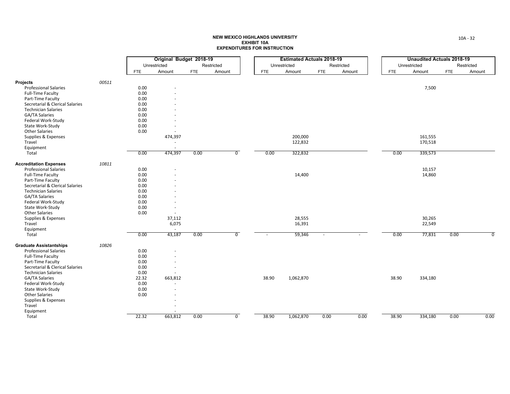|                                 |       |            | Original Budget 2018-19 |            |                |            | <b>Estimated Actuals 2018-19</b> |                          |            |            | <b>Unaudited Actuals 2018-19</b> |            |            |
|---------------------------------|-------|------------|-------------------------|------------|----------------|------------|----------------------------------|--------------------------|------------|------------|----------------------------------|------------|------------|
|                                 |       |            | Unrestricted            |            | Restricted     |            | Unrestricted                     |                          | Restricted |            | Unrestricted                     |            | Restricted |
|                                 |       | <b>FTE</b> | Amount                  | <b>FTE</b> | Amount         | <b>FTE</b> | Amount                           | <b>FTE</b>               | Amount     | <b>FTE</b> | Amount                           | <b>FTE</b> | Amount     |
| <b>Projects</b>                 | 00511 |            |                         |            |                |            |                                  |                          |            |            |                                  |            |            |
| <b>Professional Salaries</b>    |       | 0.00       |                         |            |                |            |                                  |                          |            |            | 7,500                            |            |            |
| <b>Full-Time Faculty</b>        |       | 0.00       |                         |            |                |            |                                  |                          |            |            |                                  |            |            |
| Part-Time Faculty               |       | 0.00       |                         |            |                |            |                                  |                          |            |            |                                  |            |            |
| Secretarial & Clerical Salaries |       | 0.00       |                         |            |                |            |                                  |                          |            |            |                                  |            |            |
| <b>Technician Salaries</b>      |       | 0.00       |                         |            |                |            |                                  |                          |            |            |                                  |            |            |
| GA/TA Salaries                  |       | 0.00       |                         |            |                |            |                                  |                          |            |            |                                  |            |            |
| Federal Work-Study              |       | 0.00       |                         |            |                |            |                                  |                          |            |            |                                  |            |            |
| State Work-Study                |       | 0.00       |                         |            |                |            |                                  |                          |            |            |                                  |            |            |
| <b>Other Salaries</b>           |       | 0.00       | $\sim$                  |            |                |            |                                  |                          |            |            |                                  |            |            |
| Supplies & Expenses             |       |            | 474,397                 |            |                |            | 200,000                          |                          |            |            | 161,555                          |            |            |
| Travel                          |       |            |                         |            |                |            | 122,832                          |                          |            |            | 170,518                          |            |            |
| Equipment                       |       |            | $\sim$                  |            |                |            |                                  |                          |            |            |                                  |            |            |
| Total                           |       | 0.00       | 474,397                 | 0.00       | $\overline{0}$ | 0.00       | 322,832                          |                          |            | 0.00       | 339,573                          |            |            |
| <b>Accreditation Expenses</b>   | 10811 |            |                         |            |                |            |                                  |                          |            |            |                                  |            |            |
| <b>Professional Salaries</b>    |       | 0.00       |                         |            |                |            |                                  |                          |            |            | 10,157                           |            |            |
| <b>Full-Time Faculty</b>        |       | 0.00       |                         |            |                |            | 14,400                           |                          |            |            | 14,860                           |            |            |
| Part-Time Faculty               |       | 0.00       |                         |            |                |            |                                  |                          |            |            |                                  |            |            |
| Secretarial & Clerical Salaries |       | 0.00       |                         |            |                |            |                                  |                          |            |            |                                  |            |            |
| <b>Technician Salaries</b>      |       | 0.00       |                         |            |                |            |                                  |                          |            |            |                                  |            |            |
| <b>GA/TA Salaries</b>           |       | 0.00       |                         |            |                |            |                                  |                          |            |            |                                  |            |            |
| Federal Work-Study              |       | 0.00       |                         |            |                |            |                                  |                          |            |            |                                  |            |            |
| State Work-Study                |       | 0.00       |                         |            |                |            |                                  |                          |            |            |                                  |            |            |
| <b>Other Salaries</b>           |       | 0.00       | $\sim$                  |            |                |            |                                  |                          |            |            |                                  |            |            |
| Supplies & Expenses             |       |            | 37,112                  |            |                |            | 28,555                           |                          |            |            | 30,265                           |            |            |
| Travel                          |       |            | 6,075                   |            |                |            | 16,391                           |                          |            |            | 22,549                           |            |            |
| Equipment                       |       |            | $\sim$                  |            |                |            |                                  |                          |            |            |                                  |            |            |
| Total                           |       | 0.00       | 43,187                  | 0.00       | $\overline{0}$ |            | 59,346                           | $\overline{\phantom{a}}$ |            | 0.00       | 77,831                           | 0.00       | 0          |
| <b>Graduate Assistantships</b>  | 10826 |            |                         |            |                |            |                                  |                          |            |            |                                  |            |            |
| <b>Professional Salaries</b>    |       | 0.00       |                         |            |                |            |                                  |                          |            |            |                                  |            |            |
| <b>Full-Time Faculty</b>        |       | 0.00       |                         |            |                |            |                                  |                          |            |            |                                  |            |            |
| Part-Time Faculty               |       | 0.00       |                         |            |                |            |                                  |                          |            |            |                                  |            |            |
| Secretarial & Clerical Salaries |       | 0.00       | $\overline{a}$          |            |                |            |                                  |                          |            |            |                                  |            |            |
| <b>Technician Salaries</b>      |       | 0.00       |                         |            |                |            |                                  |                          |            |            |                                  |            |            |
| GA/TA Salaries                  |       | 22.32      | 663,812                 |            |                | 38.90      | 1,062,870                        |                          |            | 38.90      | 334,180                          |            |            |
| Federal Work-Study              |       | 0.00       |                         |            |                |            |                                  |                          |            |            |                                  |            |            |
| State Work-Study                |       | 0.00       |                         |            |                |            |                                  |                          |            |            |                                  |            |            |
| <b>Other Salaries</b>           |       | 0.00       |                         |            |                |            |                                  |                          |            |            |                                  |            |            |
| Supplies & Expenses             |       |            |                         |            |                |            |                                  |                          |            |            |                                  |            |            |
| Travel                          |       |            |                         |            |                |            |                                  |                          |            |            |                                  |            |            |
| Equipment                       |       |            |                         |            |                |            |                                  |                          |            |            |                                  |            |            |
| Total                           |       | 22.32      | 663,812                 | 0.00       | $\overline{0}$ | 38.90      | 1,062,870                        | 0.00                     | 0.00       | 38.90      | 334,180                          | 0.00       | 0.00       |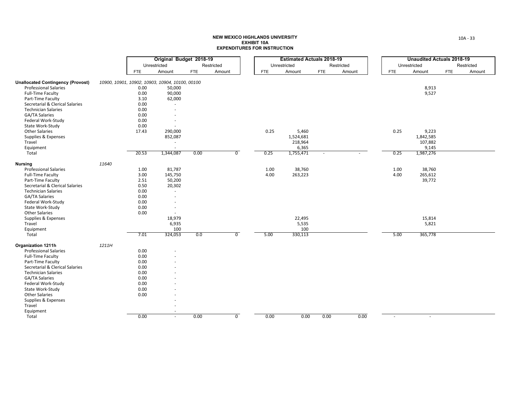|                                          |       |            | Original Budget 2018-19                         |            |                |            | <b>Estimated Actuals 2018-19</b> |                          |            |            | <b>Unaudited Actuals 2018-19</b> |            |            |
|------------------------------------------|-------|------------|-------------------------------------------------|------------|----------------|------------|----------------------------------|--------------------------|------------|------------|----------------------------------|------------|------------|
|                                          |       |            | Unrestricted                                    |            | Restricted     |            | Unrestricted                     |                          | Restricted |            | Unrestricted                     |            | Restricted |
|                                          |       | <b>FTE</b> | Amount                                          | <b>FTE</b> | Amount         | <b>FTE</b> | Amount                           | <b>FTE</b>               | Amount     | <b>FTE</b> | Amount                           | <b>FTE</b> | Amount     |
| <b>Unallocated Contingency (Provost)</b> |       |            | 10900, 10901, 10902, 10903, 10904, 10100, 00100 |            |                |            |                                  |                          |            |            |                                  |            |            |
| <b>Professional Salaries</b>             |       | 0.00       | 50,000                                          |            |                |            |                                  |                          |            |            | 8,913                            |            |            |
| <b>Full-Time Faculty</b>                 |       | 0.00       | 90,000                                          |            |                |            |                                  |                          |            |            | 9,527                            |            |            |
| Part-Time Faculty                        |       | 3.10       | 62,000                                          |            |                |            |                                  |                          |            |            |                                  |            |            |
| Secretarial & Clerical Salaries          |       | 0.00       |                                                 |            |                |            |                                  |                          |            |            |                                  |            |            |
| <b>Technician Salaries</b>               |       | 0.00       | $\sim$                                          |            |                |            |                                  |                          |            |            |                                  |            |            |
| GA/TA Salaries                           |       | 0.00       |                                                 |            |                |            |                                  |                          |            |            |                                  |            |            |
| Federal Work-Study                       |       | 0.00       |                                                 |            |                |            |                                  |                          |            |            |                                  |            |            |
| State Work-Study                         |       | 0.00       |                                                 |            |                |            |                                  |                          |            |            |                                  |            |            |
| <b>Other Salaries</b>                    |       | 17.43      | 290,000                                         |            |                | 0.25       | 5,460                            |                          |            | 0.25       | 9,223                            |            |            |
| Supplies & Expenses                      |       |            | 852,087                                         |            |                |            | 1,524,681                        |                          |            |            | 1,842,585                        |            |            |
| Travel                                   |       |            | $\sim$                                          |            |                |            | 218,964                          |                          |            |            | 107,882                          |            |            |
| Equipment                                |       |            |                                                 |            |                |            | 6,365                            |                          |            |            | 9,145                            |            |            |
| Total                                    |       | 20.53      | 1,344,087                                       | 0.00       | $\overline{0}$ | 0.25       | 1,755,471                        | $\overline{\phantom{a}}$ |            | 0.25       | 1,987,276                        |            |            |
| <b>Nursing</b>                           | 11640 |            |                                                 |            |                |            |                                  |                          |            |            |                                  |            |            |
| <b>Professional Salaries</b>             |       | 1.00       | 81,787                                          |            |                | 1.00       | 38,760                           |                          |            | 1.00       | 38,760                           |            |            |
| <b>Full-Time Faculty</b>                 |       | 3.00       | 145,750                                         |            |                | 4.00       | 263,223                          |                          |            | 4.00       | 265,612                          |            |            |
| Part-Time Faculty                        |       | 2.51       | 50,200                                          |            |                |            |                                  |                          |            |            | 39,772                           |            |            |
| Secretarial & Clerical Salaries          |       | 0.50       |                                                 |            |                |            |                                  |                          |            |            |                                  |            |            |
| <b>Technician Salaries</b>               |       | 0.00       | 20,302<br>$\sim$                                |            |                |            |                                  |                          |            |            |                                  |            |            |
| GA/TA Salaries                           |       | 0.00       |                                                 |            |                |            |                                  |                          |            |            |                                  |            |            |
| Federal Work-Study                       |       | 0.00       |                                                 |            |                |            |                                  |                          |            |            |                                  |            |            |
| State Work-Study                         |       | 0.00       | $\overline{\phantom{a}}$                        |            |                |            |                                  |                          |            |            |                                  |            |            |
| <b>Other Salaries</b>                    |       | 0.00       | $\sim$                                          |            |                |            |                                  |                          |            |            |                                  |            |            |
| Supplies & Expenses                      |       |            | 18,979                                          |            |                |            | 22,495                           |                          |            |            | 15,814                           |            |            |
| Travel                                   |       |            |                                                 |            |                |            |                                  |                          |            |            | 5,821                            |            |            |
| Equipment                                |       |            | 6,935<br>100                                    |            |                |            | 5,535<br>100                     |                          |            |            |                                  |            |            |
| Total                                    |       | 7.01       | 324,053                                         | 0.0        | $\overline{0}$ | 5.00       | 330,113                          |                          |            | 5.00       | 365,778                          |            |            |
| <b>Organization 1211h</b>                | 1211H |            |                                                 |            |                |            |                                  |                          |            |            |                                  |            |            |
| <b>Professional Salaries</b>             |       | 0.00       |                                                 |            |                |            |                                  |                          |            |            |                                  |            |            |
| <b>Full-Time Faculty</b>                 |       | 0.00       |                                                 |            |                |            |                                  |                          |            |            |                                  |            |            |
| Part-Time Faculty                        |       | 0.00       |                                                 |            |                |            |                                  |                          |            |            |                                  |            |            |
| Secretarial & Clerical Salaries          |       | 0.00       |                                                 |            |                |            |                                  |                          |            |            |                                  |            |            |
| <b>Technician Salaries</b>               |       | 0.00       |                                                 |            |                |            |                                  |                          |            |            |                                  |            |            |
| GA/TA Salaries                           |       | 0.00       |                                                 |            |                |            |                                  |                          |            |            |                                  |            |            |
| Federal Work-Study                       |       | 0.00       |                                                 |            |                |            |                                  |                          |            |            |                                  |            |            |
| State Work-Study                         |       | 0.00       |                                                 |            |                |            |                                  |                          |            |            |                                  |            |            |
| <b>Other Salaries</b>                    |       | 0.00       |                                                 |            |                |            |                                  |                          |            |            |                                  |            |            |
| Supplies & Expenses                      |       |            |                                                 |            |                |            |                                  |                          |            |            |                                  |            |            |
| Travel                                   |       |            |                                                 |            |                |            |                                  |                          |            |            |                                  |            |            |
|                                          |       |            |                                                 |            |                |            |                                  |                          |            |            |                                  |            |            |
| Equipment                                |       | 0.00       | $\sim$                                          |            | $\overline{0}$ |            | 0.00                             |                          |            |            |                                  |            |            |
| Total                                    |       |            | $\sim$                                          | 0.00       |                | 0.00       |                                  | 0.00                     | 0.00       | $\sim$     | $\sim$                           |            |            |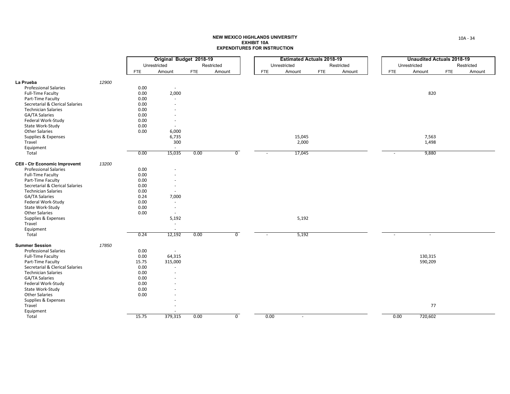|                                        |       |            | Original Budget 2018-19  |            |                |            | <b>Estimated Actuals 2018-19</b> |            |            |            | <b>Unaudited Actuals 2018-19</b> |            |            |
|----------------------------------------|-------|------------|--------------------------|------------|----------------|------------|----------------------------------|------------|------------|------------|----------------------------------|------------|------------|
|                                        |       |            | Unrestricted             |            | Restricted     |            | Unrestricted                     |            | Restricted |            | Unrestricted                     |            | Restricted |
|                                        |       | <b>FTE</b> | Amount                   | <b>FTE</b> | Amount         | <b>FTE</b> | Amount                           | <b>FTE</b> | Amount     | <b>FTE</b> | Amount                           | <b>FTE</b> | Amount     |
|                                        |       |            |                          |            |                |            |                                  |            |            |            |                                  |            |            |
| La Prueba                              | 12900 |            |                          |            |                |            |                                  |            |            |            |                                  |            |            |
| <b>Professional Salaries</b>           |       | 0.00       | $\overline{\phantom{a}}$ |            |                |            |                                  |            |            |            |                                  |            |            |
| <b>Full-Time Faculty</b>               |       | 0.00       | 2,000                    |            |                |            |                                  |            |            |            | 820                              |            |            |
| Part-Time Faculty                      |       | 0.00       | $\sim$                   |            |                |            |                                  |            |            |            |                                  |            |            |
| Secretarial & Clerical Salaries        |       | 0.00       |                          |            |                |            |                                  |            |            |            |                                  |            |            |
| <b>Technician Salaries</b>             |       | 0.00       | $\overline{a}$           |            |                |            |                                  |            |            |            |                                  |            |            |
| <b>GA/TA Salaries</b>                  |       | 0.00       |                          |            |                |            |                                  |            |            |            |                                  |            |            |
| Federal Work-Study                     |       | 0.00       | $\sim$                   |            |                |            |                                  |            |            |            |                                  |            |            |
| State Work-Study                       |       | 0.00       | ٠                        |            |                |            |                                  |            |            |            |                                  |            |            |
| <b>Other Salaries</b>                  |       | 0.00       | 6,000                    |            |                |            |                                  |            |            |            |                                  |            |            |
| Supplies & Expenses                    |       |            | 6,735                    |            |                |            | 15,045                           |            |            |            | 7,563                            |            |            |
| Travel                                 |       |            | 300                      |            |                |            | 2,000                            |            |            |            | 1,498                            |            |            |
| Equipment                              |       |            | $\sim$                   |            |                |            |                                  |            |            |            |                                  |            |            |
| Total                                  |       | 0.00       | 15,035                   | 0.00       | $\overline{0}$ | ٠          | 17,045                           |            |            |            | 9,880                            |            |            |
| <b>CEII - Ctr Economic Improvemt</b>   | 13200 |            |                          |            |                |            |                                  |            |            |            |                                  |            |            |
| <b>Professional Salaries</b>           |       | 0.00       | ÷,                       |            |                |            |                                  |            |            |            |                                  |            |            |
| Full-Time Faculty                      |       | 0.00       |                          |            |                |            |                                  |            |            |            |                                  |            |            |
| Part-Time Faculty                      |       | 0.00       |                          |            |                |            |                                  |            |            |            |                                  |            |            |
| Secretarial & Clerical Salaries        |       | 0.00       |                          |            |                |            |                                  |            |            |            |                                  |            |            |
| <b>Technician Salaries</b>             |       | 0.00       | $\overline{\phantom{a}}$ |            |                |            |                                  |            |            |            |                                  |            |            |
| GA/TA Salaries                         |       | 0.24       | 7,000                    |            |                |            |                                  |            |            |            |                                  |            |            |
| Federal Work-Study                     |       | 0.00       | $\sim$                   |            |                |            |                                  |            |            |            |                                  |            |            |
| State Work-Study                       |       | 0.00       | $\overline{\phantom{a}}$ |            |                |            |                                  |            |            |            |                                  |            |            |
| <b>Other Salaries</b>                  |       | 0.00       | $\omega$                 |            |                |            |                                  |            |            |            |                                  |            |            |
| Supplies & Expenses                    |       |            | 5,192                    |            |                |            | 5,192                            |            |            |            |                                  |            |            |
| Travel                                 |       |            | $\sim$                   |            |                |            |                                  |            |            |            |                                  |            |            |
| Equipment                              |       |            | $\sim$                   |            |                |            |                                  |            |            |            |                                  |            |            |
| Total                                  |       | 0.24       | 12,192                   | 0.00       | $\overline{0}$ | $\sim$     | 5,192                            |            |            | $\sim$     | $\sim$                           |            |            |
| <b>Summer Session</b>                  | 17850 |            |                          |            |                |            |                                  |            |            |            |                                  |            |            |
| <b>Professional Salaries</b>           |       | 0.00       | $\sim$                   |            |                |            |                                  |            |            |            |                                  |            |            |
| <b>Full-Time Faculty</b>               |       | 0.00       | 64,315                   |            |                |            |                                  |            |            |            | 130,315                          |            |            |
| Part-Time Faculty                      |       | 15.75      | 315,000                  |            |                |            |                                  |            |            |            | 590,209                          |            |            |
| Secretarial & Clerical Salaries        |       | 0.00       | $\omega$                 |            |                |            |                                  |            |            |            |                                  |            |            |
| <b>Technician Salaries</b>             |       | 0.00       |                          |            |                |            |                                  |            |            |            |                                  |            |            |
| GA/TA Salaries                         |       | 0.00       |                          |            |                |            |                                  |            |            |            |                                  |            |            |
|                                        |       | 0.00       |                          |            |                |            |                                  |            |            |            |                                  |            |            |
| Federal Work-Study<br>State Work-Study |       |            |                          |            |                |            |                                  |            |            |            |                                  |            |            |
|                                        |       | 0.00       |                          |            |                |            |                                  |            |            |            |                                  |            |            |
| <b>Other Salaries</b>                  |       | 0.00       |                          |            |                |            |                                  |            |            |            |                                  |            |            |
| Supplies & Expenses                    |       |            |                          |            |                |            |                                  |            |            |            |                                  |            |            |
| Travel                                 |       |            |                          |            |                |            |                                  |            |            |            | 77                               |            |            |
| Equipment                              |       |            |                          |            |                |            |                                  |            |            |            |                                  |            |            |
| Total                                  |       | 15.75      | 379,315                  | 0.00       | $\overline{0}$ | 0.00       | $\sim$                           |            |            | 0.00       | 720,602                          |            |            |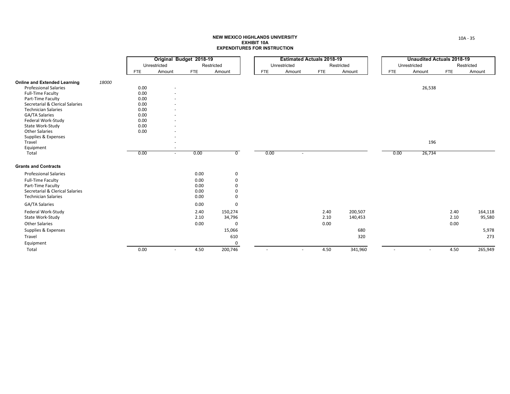|                                     |       |            | Original Budget 2018-19  |            |                |            | <b>Estimated Actuals 2018-19</b> |            |            |            | <b>Unaudited Actuals 2018-19</b> |            |            |
|-------------------------------------|-------|------------|--------------------------|------------|----------------|------------|----------------------------------|------------|------------|------------|----------------------------------|------------|------------|
|                                     |       |            | Unrestricted             |            | Restricted     |            | Unrestricted                     |            | Restricted |            | Unrestricted                     |            | Restricted |
|                                     |       | <b>FTE</b> | Amount                   | <b>FTE</b> | Amount         | <b>FTE</b> | Amount                           | <b>FTE</b> | Amount     | <b>FTE</b> | Amount                           | <b>FTE</b> | Amount     |
| <b>Online and Extended Learning</b> | 18000 |            |                          |            |                |            |                                  |            |            |            |                                  |            |            |
| <b>Professional Salaries</b>        |       | 0.00       | $\overline{\phantom{a}}$ |            |                |            |                                  |            |            |            | 26,538                           |            |            |
| <b>Full-Time Faculty</b>            |       | 0.00       | ٠                        |            |                |            |                                  |            |            |            |                                  |            |            |
| Part-Time Faculty                   |       | 0.00       | ٠                        |            |                |            |                                  |            |            |            |                                  |            |            |
| Secretarial & Clerical Salaries     |       | 0.00       | ٠                        |            |                |            |                                  |            |            |            |                                  |            |            |
| <b>Technician Salaries</b>          |       | 0.00       | ٠                        |            |                |            |                                  |            |            |            |                                  |            |            |
| <b>GA/TA Salaries</b>               |       | 0.00       | ٠                        |            |                |            |                                  |            |            |            |                                  |            |            |
| Federal Work-Study                  |       | 0.00       | ٠                        |            |                |            |                                  |            |            |            |                                  |            |            |
| State Work-Study                    |       | 0.00       | ٠                        |            |                |            |                                  |            |            |            |                                  |            |            |
| <b>Other Salaries</b>               |       | 0.00       |                          |            |                |            |                                  |            |            |            |                                  |            |            |
| Supplies & Expenses                 |       |            |                          |            |                |            |                                  |            |            |            |                                  |            |            |
| Travel                              |       |            | ٠                        |            |                |            |                                  |            |            |            | 196                              |            |            |
| Equipment<br>Total                  |       | 0.00       | ٠<br>$\sim$              | 0.00       | $\overline{0}$ | 0.00       | $\sim$                           |            |            | 0.00       | 26,734                           |            |            |
|                                     |       |            |                          |            |                |            |                                  |            |            |            |                                  |            |            |
| <b>Grants and Contracts</b>         |       |            |                          |            |                |            |                                  |            |            |            |                                  |            |            |
| <b>Professional Salaries</b>        |       |            |                          | 0.00       | 0              |            |                                  |            |            |            |                                  |            |            |
| Full-Time Faculty                   |       |            |                          | 0.00       | 0              |            |                                  |            |            |            |                                  |            |            |
| Part-Time Faculty                   |       |            |                          | 0.00       | 0              |            |                                  |            |            |            |                                  |            |            |
| Secretarial & Clerical Salaries     |       |            |                          | 0.00       | 0              |            |                                  |            |            |            |                                  |            |            |
| <b>Technician Salaries</b>          |       |            |                          | 0.00       | 0              |            |                                  |            |            |            |                                  |            |            |
| <b>GA/TA Salaries</b>               |       |            |                          | 0.00       | 0              |            |                                  |            |            |            |                                  |            |            |
| Federal Work-Study                  |       |            |                          | 2.40       | 150,274        |            |                                  | 2.40       | 200,507    |            |                                  | 2.40       | 164,118    |
| State Work-Study                    |       |            |                          | 2.10       | 34,796         |            |                                  | 2.10       | 140,453    |            |                                  | 2.10       | 95,580     |
| <b>Other Salaries</b>               |       |            |                          | 0.00       | 0              |            |                                  | 0.00       |            |            |                                  | 0.00       |            |
| Supplies & Expenses                 |       |            |                          |            | 15,066         |            |                                  |            | 680        |            |                                  |            | 5,978      |
| Travel                              |       |            |                          |            | 610            |            |                                  |            | 320        |            |                                  |            | 273        |
| Equipment                           |       |            |                          |            | 0              |            |                                  |            |            |            |                                  |            |            |
| Total                               |       | 0.00       | $\sim$                   | 4.50       | 200,746        | $\sim$     | $\sim$                           | 4.50       | 341,960    | $\sim$     | $\sim$                           | 4.50       | 265,949    |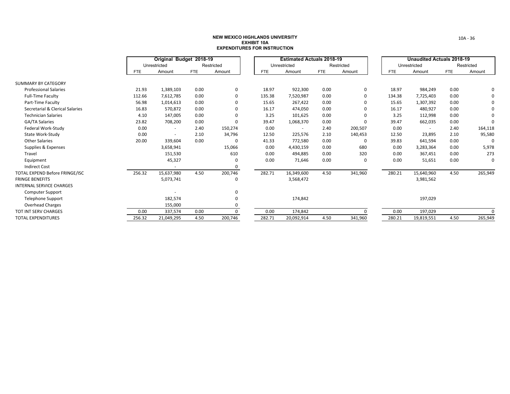|                                 | Original Budget 2018-19<br>Restricted<br>Unrestricted |            |            |         | <b>Estimated Actuals 2018-19</b> |              |            |            | <b>Unaudited Actuals 2018-19</b> |              |            |            |
|---------------------------------|-------------------------------------------------------|------------|------------|---------|----------------------------------|--------------|------------|------------|----------------------------------|--------------|------------|------------|
|                                 |                                                       |            |            |         |                                  | Unrestricted |            | Restricted |                                  | Unrestricted |            | Restricted |
|                                 | <b>FTE</b>                                            | Amount     | <b>FTE</b> | Amount  | <b>FTE</b>                       | Amount       | <b>FTE</b> | Amount     | <b>FTE</b>                       | Amount       | <b>FTE</b> | Amount     |
| <b>SUMMARY BY CATEGORY</b>      |                                                       |            |            |         |                                  |              |            |            |                                  |              |            |            |
| <b>Professional Salaries</b>    | 21.93                                                 | 1,389,103  | 0.00       | 0       | 18.97                            | 922,300      | 0.00       | 0          | 18.97                            | 984,249      | 0.00       | 0          |
| <b>Full-Time Faculty</b>        | 112.66                                                | 7,612,785  | 0.00       | 0       | 135.38                           | 7,520,987    | 0.00       | 0          | 134.38                           | 7,725,403    | 0.00       | 0          |
| Part-Time Faculty               | 56.98                                                 | 1,014,613  | 0.00       | 0       | 15.65                            | 267,422      | 0.00       | 0          | 15.65                            | 1,307,392    | 0.00       | 0          |
| Secretarial & Clerical Salaries | 16.83                                                 | 570,872    | 0.00       | 0       | 16.17                            | 474,050      | 0.00       | 0          | 16.17                            | 480,927      | 0.00       | 0          |
| <b>Technician Salaries</b>      | 4.10                                                  | 147,005    | 0.00       | 0       | 3.25                             | 101,625      | 0.00       | 0          | 3.25                             | 112,998      | 0.00       | 0          |
| GA/TA Salaries                  | 23.82                                                 | 708,200    | 0.00       | 0       | 39.47                            | 1,068,370    | 0.00       | 0          | 39.47                            | 662,035      | 0.00       | $\Omega$   |
| Federal Work-Study              | 0.00                                                  | $\sim$     | 2.40       | 150,274 | 0.00                             |              | 2.40       | 200,507    | 0.00                             | $\sim$       | 2.40       | 164,118    |
| State Work-Study                | 0.00                                                  |            | 2.10       | 34,796  | 12.50                            | 225,576      | 2.10       | 140,453    | 12.50                            | 23,895       | 2.10       | 95,580     |
| <b>Other Salaries</b>           | 20.00                                                 | 339,604    | 0.00       | 0       | 41.33                            | 772,580      | 0.00       | 0          | 39.83                            | 641,594      | 0.00       | $\Omega$   |
| Supplies & Expenses             |                                                       | 3,658,941  |            | 15,066  | 0.00                             | 4,430,159    | 0.00       | 680        | 0.00                             | 3,283,364    | 0.00       | 5,978      |
| Travel                          |                                                       | 151,530    |            | 610     | 0.00                             | 494,885      | 0.00       | 320        | 0.00                             | 367,451      | 0.00       | 273        |
| Equipment                       |                                                       | 45,327     |            | 0       | 0.00                             | 71,646       | 0.00       | 0          | 0.00                             | 51,651       | 0.00       | 0          |
| <b>Indirect Cost</b>            |                                                       |            |            | 0       |                                  |              |            |            |                                  |              |            |            |
| TOTAL EXPEND Before FRINGE/ISC  | 256.32                                                | 15,637,980 | 4.50       | 200,746 | 282.71                           | 16,349,600   | 4.50       | 341,960    | 280.21                           | 15,640,960   | 4.50       | 265,949    |
| <b>FRINGE BENEFITS</b>          |                                                       | 5,073,741  |            | 0       |                                  | 3,568,472    |            |            |                                  | 3,981,562    |            |            |
| <b>INTERNAL SERVICE CHARGES</b> |                                                       |            |            |         |                                  |              |            |            |                                  |              |            |            |
| <b>Computer Support</b>         |                                                       |            |            | 0       |                                  |              |            |            |                                  |              |            |            |
| <b>Telephone Support</b>        |                                                       | 182,574    |            | 0       |                                  | 174,842      |            |            |                                  | 197,029      |            |            |
| <b>Overhead Charges</b>         |                                                       | 155,000    |            | 0       |                                  |              |            |            |                                  |              |            |            |
| <b>TOT INT SERV CHARGES</b>     | 0.00                                                  | 337,574    | 0.00       | 0       | 0.00                             | 174,842      |            | 0          | 0.00                             | 197,029      |            | $\Omega$   |
| <b>TOTAL EXPENDITURES</b>       | 256.32                                                | 21,049,295 | 4.50       | 200,746 | 282.71                           | 20,092,914   | 4.50       | 341,960    | 280.21                           | 19,819,551   | 4.50       | 265,949    |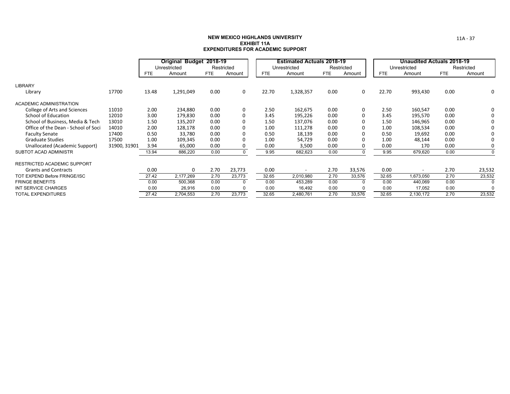|                                     |              |            | Original Budget 2018-19 |            |            |            | <b>Estimated Actuals 2018-19</b> |      |            |            | <b>Unaudited Actuals 2018-19</b> |            |            |
|-------------------------------------|--------------|------------|-------------------------|------------|------------|------------|----------------------------------|------|------------|------------|----------------------------------|------------|------------|
|                                     |              |            | Unrestricted            |            | Restricted |            | Unrestricted                     |      | Restricted |            | Unrestricted                     |            | Restricted |
|                                     |              | <b>FTE</b> | Amount                  | <b>FTE</b> | Amount     | <b>FTE</b> | Amount                           | FTE  | Amount     | <b>FTE</b> | Amount                           | <b>FTE</b> | Amount     |
| <b>LIBRARY</b>                      |              |            |                         |            |            |            |                                  |      |            |            |                                  |            |            |
| Library                             | 17700        | 13.48      | 1,291,049               | 0.00       | $\Omega$   | 22.70      | 1,328,357                        | 0.00 | 0          | 22.70      | 993,430                          | 0.00       | 0          |
| ACADEMIC ADMINISTRATION             |              |            |                         |            |            |            |                                  |      |            |            |                                  |            |            |
| College of Arts and Sciences        | 11010        | 2.00       | 234,880                 | 0.00       | $\Omega$   | 2.50       | 162,675                          | 0.00 | 0          | 2.50       | 160,547                          | 0.00       | 0          |
| School of Education                 | 12010        | 3.00       | 179,830                 | 0.00       |            | 3.45       | 195,226                          | 0.00 | $\Omega$   | 3.45       | 195,570                          | 0.00       | 0          |
| School of Business, Media & Tech    | 13010        | 1.50       | 135,207                 | 0.00       |            | 1.50       | 137,076                          | 0.00 | 0          | 1.50       | 146,965                          | 0.00       | 0          |
| Office of the Dean - School of Soci | 14010        | 2.00       | 128,178                 | 0.00       |            | 1.00       | 111,278                          | 0.00 | $\Omega$   | 1.00       | 108,534                          | 0.00       | 0          |
| <b>Faculty Senate</b>               | 17400        | 0.50       | 33,780                  | 0.00       |            | 0.50       | 18,139                           | 0.00 | $\Omega$   | 0.50       | 19,692                           | 0.00       | 0          |
| <b>Graduate Studies</b>             | 17500        | 1.00       | 109,345                 | 0.00       |            | 1.00       | 54,729                           | 0.00 |            | 1.00       | 48,144                           | 0.00       | 0          |
| Unallocated (Academic Support)      | 31900, 31901 | 3.94       | 65,000                  | 0.00       |            | 0.00       | 3,500                            | 0.00 |            | 0.00       | 170                              | 0.00       | 0          |
| SUBTOT ACAD ADMINISTR               |              | 13.94      | 886,220                 | 0.00       |            | 9.95       | 682,623                          | 0.00 |            | 9.95       | 679,620                          | 0.00       | $\Omega$   |
| <b>RESTRICTED ACADEMIC SUPPORT</b>  |              |            |                         |            |            |            |                                  |      |            |            |                                  |            |            |
| <b>Grants and Contracts</b>         |              | 0.00       | 0                       | 2.70       | 23,773     | 0.00       | $\overline{\phantom{a}}$         | 2.70 | 33,576     | 0.00       | $\blacksquare$                   | 2.70       | 23,532     |
| TOT EXPEND Before FRINGE/ISC        |              | 27.42      | 2,177,269               | 2.70       | 23,773     | 32.65      | 2,010,980                        | 2.70 | 33,576     | 32.65      | 1,673,050                        | 2.70       | 23,532     |
| <b>FRINGE BENEFITS</b>              |              | 0.00       | 500,368                 | 0.00       | $\Omega$   | 0.00       | 453,289                          | 0.00 | $\Omega$   | 0.00       | 440,069                          | 0.00       | $\Omega$   |
| INT SERVICE CHARGES                 |              | 0.00       | 26,916                  | 0.00       | $\Omega$   | 0.00       | 16,492                           | 0.00 | $\Omega$   | 0.00       | 17,052                           | 0.00       | $\Omega$   |
| <b>TOTAL EXPENDITURES</b>           |              | 27.42      | 2,704,553               | 2.70       | 23,773     | 32.65      | 2,480,761                        | 2.70 | 33,576     | 32.65      | 2,130,172                        | 2.70       | 23,532     |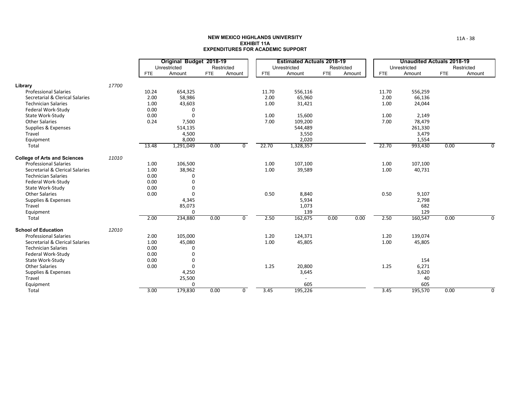|                                     |       |       | Original Budget 2018-19 |            |                |            | <b>Estimated Actuals 2018-19</b> |            |        |            | Unaudited Actuals 2018-19 |            |            |
|-------------------------------------|-------|-------|-------------------------|------------|----------------|------------|----------------------------------|------------|--------|------------|---------------------------|------------|------------|
|                                     |       |       | Unrestricted            |            | Restricted     |            | Unrestricted                     | Restricted |        |            | Unrestricted              |            | Restricted |
|                                     |       | FTE   | Amount                  | <b>FTE</b> | Amount         | <b>FTE</b> | Amount                           | <b>FTE</b> | Amount | <b>FTE</b> | Amount                    | <b>FTE</b> | Amount     |
| Library                             | 17700 |       |                         |            |                |            |                                  |            |        |            |                           |            |            |
| <b>Professional Salaries</b>        |       | 10.24 | 654,325                 |            |                | 11.70      | 556,116                          |            |        | 11.70      | 556,259                   |            |            |
| Secretarial & Clerical Salaries     |       | 2.00  | 58,986                  |            |                | 2.00       | 65,960                           |            |        | 2.00       | 66,136                    |            |            |
| <b>Technician Salaries</b>          |       | 1.00  | 43,603                  |            |                | 1.00       | 31,421                           |            |        | 1.00       | 24,044                    |            |            |
| Federal Work-Study                  |       | 0.00  | 0                       |            |                |            |                                  |            |        |            |                           |            |            |
| State Work-Study                    |       | 0.00  | $\Omega$                |            |                | 1.00       | 15,600                           |            |        | 1.00       | 2,149                     |            |            |
| <b>Other Salaries</b>               |       | 0.24  | 7,500                   |            |                | 7.00       | 109,200                          |            |        | 7.00       | 78,479                    |            |            |
| Supplies & Expenses                 |       |       | 514,135                 |            |                |            | 544,489                          |            |        |            | 261,330                   |            |            |
| Travel                              |       |       | 4,500                   |            |                |            | 3,550                            |            |        |            | 3,479                     |            |            |
| Equipment                           |       |       | 8,000                   |            |                |            | 2,020                            |            |        |            | 1,554                     |            |            |
| Total                               |       | 13.48 | 1,291,049               | 0.00       | 0              | 22.70      | 1,328,357                        |            |        | 22.70      | 993,430                   | 0.00       | 0          |
| <b>College of Arts and Sciences</b> | 11010 |       |                         |            |                |            |                                  |            |        |            |                           |            |            |
| <b>Professional Salaries</b>        |       | 1.00  | 106,500                 |            |                | 1.00       | 107,100                          |            |        | 1.00       | 107,100                   |            |            |
| Secretarial & Clerical Salaries     |       | 1.00  | 38,962                  |            |                | 1.00       | 39,589                           |            |        | 1.00       | 40,731                    |            |            |
| <b>Technician Salaries</b>          |       | 0.00  |                         |            |                |            |                                  |            |        |            |                           |            |            |
| Federal Work-Study                  |       | 0.00  |                         |            |                |            |                                  |            |        |            |                           |            |            |
| State Work-Study                    |       | 0.00  | $\Omega$                |            |                |            |                                  |            |        |            |                           |            |            |
| <b>Other Salaries</b>               |       | 0.00  | $\Omega$                |            |                | 0.50       | 8,840                            |            |        | 0.50       | 9,107                     |            |            |
| Supplies & Expenses                 |       |       | 4,345                   |            |                |            | 5,934                            |            |        |            | 2,798                     |            |            |
| Travel                              |       |       | 85,073                  |            |                |            | 1,073                            |            |        |            | 682                       |            |            |
| Equipment                           |       |       | $\Omega$                |            |                |            | 139                              |            |        |            | 129                       |            |            |
| Total                               |       | 2.00  | 234,880                 | 0.00       | $\overline{0}$ | 2.50       | 162,675                          | 0.00       | 0.00   | 2.50       | 160,547                   | 0.00       | $\Omega$   |
| <b>School of Education</b>          | 12010 |       |                         |            |                |            |                                  |            |        |            |                           |            |            |
| <b>Professional Salaries</b>        |       | 2.00  | 105,000                 |            |                | 1.20       | 124,371                          |            |        | 1.20       | 139,074                   |            |            |
| Secretarial & Clerical Salaries     |       | 1.00  | 45,080                  |            |                | 1.00       | 45,805                           |            |        | 1.00       | 45,805                    |            |            |
| <b>Technician Salaries</b>          |       | 0.00  | $\Omega$                |            |                |            |                                  |            |        |            |                           |            |            |
| Federal Work-Study                  |       | 0.00  | $\Omega$                |            |                |            |                                  |            |        |            |                           |            |            |
| State Work-Study                    |       | 0.00  | $\Omega$                |            |                |            |                                  |            |        |            | 154                       |            |            |
| <b>Other Salaries</b>               |       | 0.00  | $\Omega$                |            |                | 1.25       | 20,800                           |            |        | 1.25       | 6,271                     |            |            |
| Supplies & Expenses                 |       |       | 4,250                   |            |                |            | 3,645                            |            |        |            | 3,620                     |            |            |
| Travel                              |       |       | 25,500                  |            |                |            |                                  |            |        |            | 40                        |            |            |
| Equipment                           |       |       | 0                       |            |                |            | 605                              |            |        |            | 605                       |            |            |
| Total                               |       | 3.00  | 179,830                 | 0.00       | $\mathbf 0$    | 3.45       | 195,226                          |            |        | 3.45       | 195,570                   | 0.00       | $\Omega$   |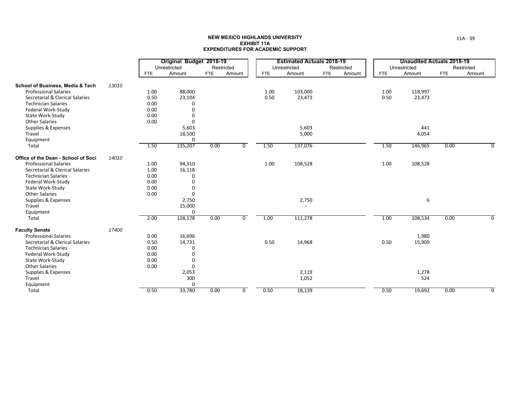|                                     |       |            | Original Budget 2018-19 |            |                |            | <b>Estimated Actuals 2018-19</b> |            |            |            | <b>Unaudited Actuals 2018-19</b> |            |             |
|-------------------------------------|-------|------------|-------------------------|------------|----------------|------------|----------------------------------|------------|------------|------------|----------------------------------|------------|-------------|
|                                     |       |            | Unrestricted            |            | Restricted     |            | Unrestricted                     |            | Restricted |            | Unrestricted                     |            | Restricted  |
|                                     |       | <b>FTE</b> | Amount                  | <b>FTE</b> | Amount         | <b>FTE</b> | Amount                           | <b>FTE</b> | Amount     | <b>FTE</b> | Amount                           | <b>FTE</b> | Amount      |
| School of Business, Media & Tech    | 13010 |            |                         |            |                |            |                                  |            |            |            |                                  |            |             |
| <b>Professional Salaries</b>        |       | 1.00       | 88,000                  |            |                | 1.00       | 103,000                          |            |            | 1.00       | 118,997                          |            |             |
| Secretarial & Clerical Salaries     |       | 0.50       | 23,104                  |            |                | 0.50       | 23,473                           |            |            | 0.50       | 23,473                           |            |             |
| <b>Technician Salaries</b>          |       | 0.00       | 0                       |            |                |            |                                  |            |            |            |                                  |            |             |
| Federal Work-Study                  |       | 0.00       | $\Omega$                |            |                |            |                                  |            |            |            |                                  |            |             |
| State Work-Study                    |       | 0.00       | 0                       |            |                |            |                                  |            |            |            |                                  |            |             |
| <b>Other Salaries</b>               |       | 0.00       | $\Omega$                |            |                |            |                                  |            |            |            |                                  |            |             |
| Supplies & Expenses                 |       |            | 5,603                   |            |                |            | 5,603                            |            |            |            | 441                              |            |             |
| Travel                              |       |            | 18,500                  |            |                |            | 5,000                            |            |            |            | 4,054                            |            |             |
| Equipment                           |       |            | $\mathbf 0$             |            |                |            |                                  |            |            |            |                                  |            |             |
| Total                               |       | 1.50       | 135,207                 | 0.00       | 0              | 1.50       | 137,076                          |            |            | 1.50       | 146,965                          | 0.00       | 0           |
| Office of the Dean - School of Soci | 14010 |            |                         |            |                |            |                                  |            |            |            |                                  |            |             |
| <b>Professional Salaries</b>        |       | 1.00       | 94,310                  |            |                | 1.00       | 108,528                          |            |            | 1.00       | 108,528                          |            |             |
| Secretarial & Clerical Salaries     |       | 1.00       | 16,118                  |            |                |            |                                  |            |            |            |                                  |            |             |
| <b>Technician Salaries</b>          |       | 0.00       | 0                       |            |                |            |                                  |            |            |            |                                  |            |             |
| Federal Work-Study                  |       | 0.00       | $\mathbf 0$             |            |                |            |                                  |            |            |            |                                  |            |             |
| State Work-Study                    |       | 0.00       | $\mathbf 0$             |            |                |            |                                  |            |            |            |                                  |            |             |
| <b>Other Salaries</b>               |       | 0.00       | $\Omega$                |            |                |            |                                  |            |            |            |                                  |            |             |
| Supplies & Expenses                 |       |            | 2,750                   |            |                |            | 2,750                            |            |            |            | 6                                |            |             |
| Travel                              |       |            | 15,000                  |            |                |            |                                  |            |            |            |                                  |            |             |
| Equipment                           |       |            | $\mathbf 0$             |            |                |            |                                  |            |            |            |                                  |            |             |
| Total                               |       | 2.00       | 128,178                 | 0.00       | $\overline{0}$ | 1.00       | 111,278                          |            |            | 1.00       | 108,534                          | 0.00       |             |
| <b>Faculty Senate</b>               | 17400 |            |                         |            |                |            |                                  |            |            |            |                                  |            |             |
| <b>Professional Salaries</b>        |       | 0.00       | 16,696                  |            |                |            |                                  |            |            |            | 1,980                            |            |             |
| Secretarial & Clerical Salaries     |       | 0.50       | 14,731                  |            |                | 0.50       | 14,968                           |            |            | 0.50       | 15,909                           |            |             |
| <b>Technician Salaries</b>          |       | 0.00       | 0                       |            |                |            |                                  |            |            |            |                                  |            |             |
| Federal Work-Study                  |       | 0.00       | 0                       |            |                |            |                                  |            |            |            |                                  |            |             |
| State Work-Study                    |       | 0.00       | 0                       |            |                |            |                                  |            |            |            |                                  |            |             |
| <b>Other Salaries</b>               |       | 0.00       | 0                       |            |                |            |                                  |            |            |            |                                  |            |             |
| Supplies & Expenses                 |       |            | 2,053                   |            |                |            | 2,119                            |            |            |            | 1,278                            |            |             |
| Travel                              |       |            | 300                     |            |                |            | 1,052                            |            |            |            | 524                              |            |             |
| Equipment                           |       |            | 0                       |            |                |            |                                  |            |            |            |                                  |            |             |
| Total                               |       | 0.50       | 33,780                  | 0.00       | 0              | 0.50       | 18,139                           |            |            | 0.50       | 19,692                           | 0.00       | $\mathbf 0$ |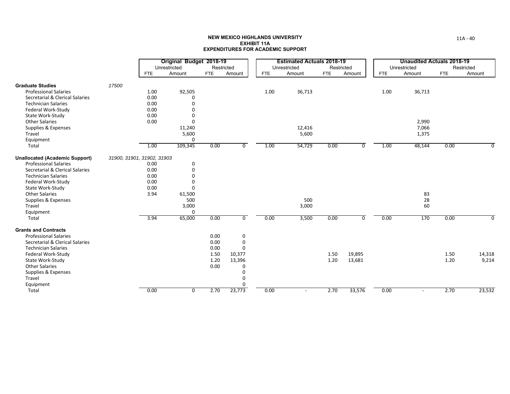|                                       |                            |      | Original Budget 2018-19 |            |                |            | <b>Estimated Actuals 2018-19</b> |            |            |            | <b>Unaudited Actuals 2018-19</b> |            |            |
|---------------------------------------|----------------------------|------|-------------------------|------------|----------------|------------|----------------------------------|------------|------------|------------|----------------------------------|------------|------------|
|                                       |                            |      | Unrestricted            | Restricted |                |            | Unrestricted                     |            | Restricted |            | Unrestricted                     |            | Restricted |
|                                       |                            | FTE  | Amount                  | <b>FTE</b> | Amount         | <b>FTE</b> | Amount                           | <b>FTE</b> | Amount     | <b>FTE</b> | Amount                           | <b>FTE</b> | Amount     |
| <b>Graduate Studies</b>               | 17500                      |      |                         |            |                |            |                                  |            |            |            |                                  |            |            |
| <b>Professional Salaries</b>          |                            | 1.00 | 92,505                  |            |                | 1.00       | 36,713                           |            |            | 1.00       | 36,713                           |            |            |
| Secretarial & Clerical Salaries       |                            | 0.00 | $\Omega$                |            |                |            |                                  |            |            |            |                                  |            |            |
| <b>Technician Salaries</b>            |                            | 0.00 | $\Omega$                |            |                |            |                                  |            |            |            |                                  |            |            |
| Federal Work-Study                    |                            | 0.00 | $\Omega$                |            |                |            |                                  |            |            |            |                                  |            |            |
| State Work-Study                      |                            | 0.00 | $\Omega$                |            |                |            |                                  |            |            |            |                                  |            |            |
| <b>Other Salaries</b>                 |                            | 0.00 | $\Omega$                |            |                |            |                                  |            |            |            | 2,990                            |            |            |
| Supplies & Expenses                   |                            |      | 11,240                  |            |                |            | 12,416                           |            |            |            | 7,066                            |            |            |
| Travel                                |                            |      | 5,600                   |            |                |            | 5,600                            |            |            |            | 1,375                            |            |            |
| Equipment                             |                            |      | $\Omega$                |            |                |            |                                  |            |            |            |                                  |            |            |
| Total                                 |                            | 1.00 | 109,345                 | 0.00       | 0              | 1.00       | 54,729                           | 0.00       | 0          | 1.00       | 48,144                           | 0.00       | 0          |
| <b>Unallocated (Academic Support)</b> | 31900, 31901, 31902, 31903 |      |                         |            |                |            |                                  |            |            |            |                                  |            |            |
| <b>Professional Salaries</b>          |                            | 0.00 | $\Omega$                |            |                |            |                                  |            |            |            |                                  |            |            |
| Secretarial & Clerical Salaries       |                            | 0.00 | $\Omega$                |            |                |            |                                  |            |            |            |                                  |            |            |
| <b>Technician Salaries</b>            |                            | 0.00 | $\Omega$                |            |                |            |                                  |            |            |            |                                  |            |            |
| Federal Work-Study                    |                            | 0.00 | $\Omega$                |            |                |            |                                  |            |            |            |                                  |            |            |
| State Work-Study                      |                            | 0.00 | $\Omega$                |            |                |            |                                  |            |            |            |                                  |            |            |
| <b>Other Salaries</b>                 |                            | 3.94 | 61,500                  |            |                |            |                                  |            |            |            | 83                               |            |            |
| Supplies & Expenses                   |                            |      | 500                     |            |                |            | 500                              |            |            |            | 28                               |            |            |
| Travel                                |                            |      | 3,000                   |            |                |            | 3,000                            |            |            |            | 60                               |            |            |
| Equipment                             |                            |      | $\Omega$                |            |                |            |                                  |            |            |            |                                  |            |            |
| Total                                 |                            | 3.94 | 65,000                  | 0.00       | $\overline{0}$ | 0.00       | 3,500                            | 0.00       | 0          | 0.00       | 170                              | 0.00       | $\Omega$   |
| <b>Grants and Contracts</b>           |                            |      |                         |            |                |            |                                  |            |            |            |                                  |            |            |
| <b>Professional Salaries</b>          |                            |      |                         | 0.00       | 0              |            |                                  |            |            |            |                                  |            |            |
| Secretarial & Clerical Salaries       |                            |      |                         | 0.00       | 0              |            |                                  |            |            |            |                                  |            |            |
| <b>Technician Salaries</b>            |                            |      |                         | 0.00       | $\Omega$       |            |                                  |            |            |            |                                  |            |            |
| Federal Work-Study                    |                            |      |                         | 1.50       | 10,377         |            |                                  | 1.50       | 19,895     |            |                                  | 1.50       | 14,318     |
| State Work-Study                      |                            |      |                         | 1.20       | 13,396         |            |                                  | 1.20       | 13,681     |            |                                  | 1.20       | 9,214      |
| <b>Other Salaries</b>                 |                            |      |                         | 0.00       | 0              |            |                                  |            |            |            |                                  |            |            |
| Supplies & Expenses                   |                            |      |                         |            | 0              |            |                                  |            |            |            |                                  |            |            |
| Travel                                |                            |      |                         |            | 0              |            |                                  |            |            |            |                                  |            |            |
| Equipment                             |                            |      |                         |            | $\Omega$       |            |                                  |            |            |            |                                  |            |            |
| Total                                 |                            | 0.00 | 0                       | 2.70       | 23,773         | 0.00       | $\sim$                           | 2.70       | 33,576     | 0.00       | $\overline{\phantom{a}}$         | 2.70       | 23,532     |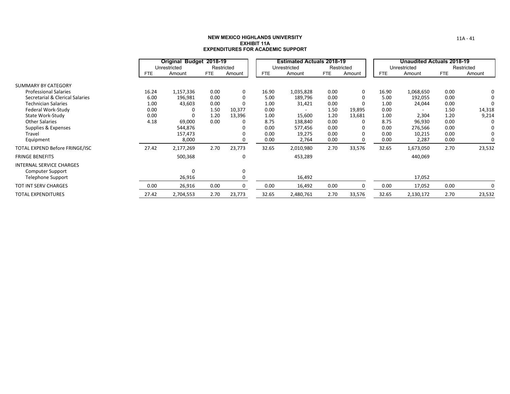|                                 |       | Original Budget 2018-19 |            |             |            | <b>Estimated Actuals 2018-19</b> |      |            |            | <b>Unaudited Actuals 2018-19</b> |            |            |
|---------------------------------|-------|-------------------------|------------|-------------|------------|----------------------------------|------|------------|------------|----------------------------------|------------|------------|
|                                 |       | Unrestricted            |            | Restricted  |            | Unrestricted                     |      | Restricted |            | Unrestricted                     |            | Restricted |
|                                 | FTE   | Amount                  | <b>FTE</b> | Amount      | <b>FTE</b> | Amount                           | FTE  | Amount     | <b>FTE</b> | Amount                           | <b>FTE</b> | Amount     |
| SUMMARY BY CATEGORY             |       |                         |            |             |            |                                  |      |            |            |                                  |            |            |
| <b>Professional Salaries</b>    | 16.24 | 1,157,336               | 0.00       | 0           | 16.90      | 1,035,828                        | 0.00 | 0          | 16.90      | 1,068,650                        | 0.00       | 0          |
| Secretarial & Clerical Salaries | 6.00  | 196,981                 | 0.00       | 0           | 5.00       | 189,796                          | 0.00 | $\Omega$   | 5.00       | 192,055                          | 0.00       |            |
| <b>Technician Salaries</b>      | 1.00  | 43,603                  | 0.00       | $\Omega$    | 1.00       | 31,421                           | 0.00 | $\Omega$   | 1.00       | 24,044                           | 0.00       |            |
| Federal Work-Study              | 0.00  |                         | 1.50       | 10,377      | 0.00       | $\overline{\phantom{a}}$         | 1.50 | 19,895     | 0.00       | $\overline{\phantom{a}}$         | 1.50       | 14,318     |
| State Work-Study                | 0.00  |                         | 1.20       | 13,396      | 1.00       | 15,600                           | 1.20 | 13,681     | 1.00       | 2,304                            | 1.20       | 9,214      |
| <b>Other Salaries</b>           | 4.18  | 69,000                  | 0.00       | 0           | 8.75       | 138,840                          | 0.00 | 0          | 8.75       | 96,930                           | 0.00       | O          |
| Supplies & Expenses             |       | 544,876                 |            |             | 0.00       | 577,456                          | 0.00 | 0          | 0.00       | 276,566                          | 0.00       |            |
| Travel                          |       | 157,473                 |            |             | 0.00       | 19,275                           | 0.00 | $\Omega$   | 0.00       | 10,215                           | 0.00       | $\Omega$   |
| Equipment                       |       | 8,000                   |            | $\Omega$    | 0.00       | 2,764                            | 0.00 | $\Omega$   | 0.00       | 2,287                            | 0.00       | 0          |
| TOTAL EXPEND Before FRINGE/ISC  | 27.42 | 2,177,269               | 2.70       | 23,773      | 32.65      | 2,010,980                        | 2.70 | 33,576     | 32.65      | 1,673,050                        | 2.70       | 23,532     |
| <b>FRINGE BENEFITS</b>          |       | 500,368                 |            | 0           |            | 453,289                          |      |            |            | 440,069                          |            |            |
| <b>INTERNAL SERVICE CHARGES</b> |       |                         |            |             |            |                                  |      |            |            |                                  |            |            |
| <b>Computer Support</b>         |       | $\Omega$                |            | $\mathbf 0$ |            |                                  |      |            |            |                                  |            |            |
| Telephone Support               |       | 26,916                  |            |             |            | 16,492                           |      |            |            | 17,052                           |            |            |
| <b>TOT INT SERV CHARGES</b>     | 0.00  | 26,916                  | 0.00       | 0           | 0.00       | 16,492                           | 0.00 | 0          | 0.00       | 17,052                           | 0.00       | 0          |
| <b>TOTAL EXPENDITURES</b>       | 27.42 | 2,704,553               | 2.70       | 23,773      | 32.65      | 2,480,761                        | 2.70 | 33,576     | 32.65      | 2,130,172                        | 2.70       | 23,532     |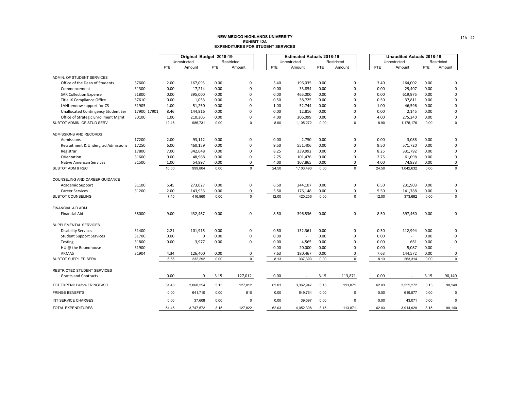|                                     |              |            | Original Budget 2018-19 |            |             |            | <b>Estimated Actuals 2018-19</b> |            |             |            | <b>Unaudited Actuals 2018-19</b> |            |             |
|-------------------------------------|--------------|------------|-------------------------|------------|-------------|------------|----------------------------------|------------|-------------|------------|----------------------------------|------------|-------------|
|                                     |              |            | Unrestricted            |            | Restricted  |            | Unrestricted                     |            | Restricted  |            | Unrestricted                     |            | Restricted  |
|                                     |              | <b>FTE</b> | Amount                  | <b>FTE</b> | Amount      | <b>FTE</b> | Amount                           | <b>FTE</b> | Amount      | <b>FTE</b> | Amount                           | <b>FTE</b> | Amount      |
| ADMIN. OF STUDENT SERVICES          |              |            |                         |            |             |            |                                  |            |             |            |                                  |            |             |
| Office of the Dean of Students      | 37600        | 2.00       | 167,093                 | 0.00       | 0           | 3.40       | 196,035                          | 0.00       | 0           | 3.40       | 164,002                          | 0.00       | 0           |
| Commencement                        | 31300        | 0.00       | 17,214                  | 0.00       | $\Omega$    | 0.00       | 33,854                           | 0.00       | 0           | 0.00       | 29,407                           | 0.00       | $\Omega$    |
| <b>SAR Collection Expense</b>       | 51800        | 0.00       | 395,000                 | 0.00       | $\Omega$    | 0.00       | 465,000                          | 0.00       | $\Omega$    | 0.00       | 619,975                          | 0.00       | 0           |
| Title IX Compliance Office          | 37610        | 0.00       | 1,053                   | 0.00       | $\Omega$    | 0.50       | 38,725                           | 0.00       | $\mathbf 0$ | 0.50       | 37,811                           | 0.00       | 0           |
| LANL endow support for CS           | 31905        | 1.00       | 51,250                  | 0.00       | 0           | 1.00       | 52,744                           | 0.00       | $\mathbf 0$ | 1.00       | 46,596                           | 0.00       | $\Omega$    |
| Unallocated Contingency Student Ser | 17900, 17901 | 8.46       | 144,816                 | 0.00       | $\Omega$    | 0.00       | 12,816                           | 0.00       | $\mathbf 0$ | 0.00       | 2,145                            | 0.00       | 0           |
| Office of Strategic Enrollment Mgmt | 30100        | 1.00       | 210,305                 | 0.00       | 0           | 4.00       | 306,099                          | 0.00       | 0           | 4.00       | 275,240                          | 0.00       | 0           |
| SUBTOT ADMIN, OF STUD SERV          |              | 12.46      | 986,731                 | 0.00       | $\mathbf 0$ | 8.90       | 1,105,272                        | 0.00       | $\mathbf 0$ | 8.90       | 1,175,176                        | 0.00       | $\mathsf 0$ |
| ADMISSIONS AND RECORDS              |              |            |                         |            |             |            |                                  |            |             |            |                                  |            |             |
| Admissions                          | 17200        | 2.00       | 93,112                  | 0.00       | 0           | 0.00       | 2,750                            | 0.00       | 0           | 0.00       | 3,088                            | 0.00       | $\Omega$    |
| Recruitment & Undergrad Admissions  | 17250        | 6.00       | 460,159                 | 0.00       | $\Omega$    | 9.50       | 551,406                          | 0.00       | $\Omega$    | 9.50       | 571,720                          | 0.00       | 0           |
| Registrar                           | 17800        | 7.00       | 342,648                 | 0.00       | $\Omega$    | 8.25       | 339,992                          | 0.00       | $\mathbf 0$ | 8.25       | 331,792                          | 0.00       | 0           |
| Orientation                         | 31600        | 0.00       | 48,988                  | 0.00       | 0           | 2.75       | 101,476                          | 0.00       | $\mathbf 0$ | 2.75       | 61,098                           | 0.00       | 0           |
| <b>Native American Services</b>     | 31500        | 1.00       | 54,897                  | 0.00       | 0           | 4.00       | 107,865                          | 0.00       | $\pmb{0}$   | 4.00       | 74,933                           | 0.00       | 0           |
| SUBTOT ADM & REC                    |              | 16.00      | 999,804                 | 0.00       | $\mathbf 0$ | 24.50      | 1,103,490                        | 0.00       | $\Omega$    | 24.50      | 1,042,632                        | 0.00       | $\mathbf 0$ |
| COUNSELING AND CAREER GUIDANCE      |              |            |                         |            |             |            |                                  |            |             |            |                                  |            |             |
| Academic Support                    | 31100        | 5.45       | 273,027                 | 0.00       | 0           | 6.50       | 244,107                          | 0.00       | 0           | 6.50       | 231,903                          | 0.00       | 0           |
| <b>Career Services</b>              | 31200        | 2.00       | 143,933                 | 0.00       | 0           | 5.50       | 176,148                          | 0.00       | 0           | 5.50       | 141,788                          | 0.00       | 0           |
| SUBTOT COUNSELING                   |              | 7.45       | 416,960                 | 0.00       | $\mathbf 0$ | 12.00      | 420,256                          | 0.00       | $\Omega$    | 12.00      | 373,692                          | 0.00       | $\mathbf 0$ |
| FINANCIAL AID ADM.                  |              |            |                         |            |             |            |                                  |            |             |            |                                  |            |             |
| <b>Financial Aid</b>                | 38000        | 9.00       | 432,467                 | 0.00       | $\mathsf 0$ | 8.50       | 396,536                          | 0.00       | $\pmb{0}$   | 8.50       | 397,460                          | 0.00       | 0           |
| SUPPLEMENTAL SERVICES               |              |            |                         |            |             |            |                                  |            |             |            |                                  |            |             |
| <b>Disability Services</b>          | 31400        | 2.21       | 101,915                 | 0.00       | 0           | 0.50       | 132,361                          | 0.00       | 0           | 0.50       | 112,994                          | 0.00       | 0           |
| <b>Student Support Services</b>     | 31700        | 0.00       | 0                       | 0.00       | 0           | 0.00       |                                  | 0.00       | 0           | 0.00       | $\mathcal{L}$                    | 0.00       | $\Omega$    |
| Testing                             | 31800        | 0.00       | 3,977                   | 0.00       | 0           | 0.00       | 4,565                            | 0.00       | $\Omega$    | 0.00       | 661                              | 0.00       | 0           |
| HU @ the Roundhouse                 | 31900        |            |                         |            |             | 0.00       | 20,000                           | 0.00       | $\mathbf 0$ | 0.00       | 5,087                            | 0.00       |             |
| ARMAS                               | 31904        | 4.34       | 126,400                 | 0.00       | 0           | 7.63       | 180,467                          | 0.00       | 0           | 7.63       | 144,572                          | 0.00       | 0           |
| SUBTOT SUPPL ED SERV                |              | 6.55       | 232,292                 | 0.00       | $\mathsf 0$ | 8.13       | 337,393                          | 0.00       | $\mathbf 0$ | 8.13       | 263,314                          | 0.00       | $\mathbf 0$ |
| RESTRICTED STUDENT SERVICES         |              |            |                         |            |             |            |                                  |            |             |            |                                  |            |             |
| <b>Grants and Contracts</b>         |              | 0.00       | $\mathbf 0$             | 3.15       | 127,012     | 0.00       | $\sim$                           | 3.15       | 113,871     | 0.00       |                                  | 3.15       | 90,140      |
| TOT EXPEND Before FRINGE/ISC        |              | 51.46      | 3,068,254               | 3.15       | 127,012     | 62.03      | 3,362,947                        | 3.15       | 113,871     | 62.03      | 3,252,272                        | 3.15       | 90,140      |
| <b>FRINGE BENEFITS</b>              |              | 0.00       | 641,710                 | 0.00       | 810         | 0.00       | 649,764                          | 0.00       | $\mathbf 0$ | 0.00       | 619,577                          | 0.00       | 0           |
| INT SERVICE CHARGES                 |              | 0.00       | 37,608                  | 0.00       | 0           | 0.00       | 39,597                           | 0.00       | $\Omega$    | 0.00       | 43,071                           | 0.00       | $\mathbf 0$ |
| <b>TOTAL EXPENDITURES</b>           |              | 51.46      | 3,747,572               | 3.15       | 127,822     | 62.03      | 4,052,308                        | 3.15       | 113,871     | 62.03      | 3,914,920                        | 3.15       | 90,140      |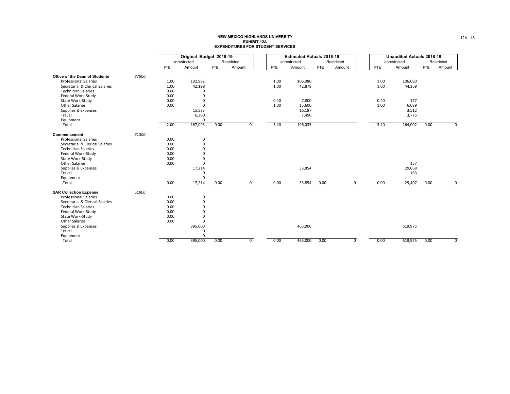|                                       |       |            | Original Budget 2018-19 |            |                |            | <b>Estimated Actuals 2018-19</b> |            |                |            | <b>Unaudited Actuals 2018-19</b> |            |                |
|---------------------------------------|-------|------------|-------------------------|------------|----------------|------------|----------------------------------|------------|----------------|------------|----------------------------------|------------|----------------|
|                                       |       |            | Unrestricted            |            | Restricted     |            | Unrestricted                     |            | Restricted     |            | Unrestricted                     |            | Restricted     |
|                                       |       | <b>FTE</b> | Amount                  | <b>FTE</b> | Amount         | <b>FTE</b> | Amount                           | <b>FTE</b> | Amount         | <b>FTE</b> | Amount                           | <b>FTE</b> | Amount         |
| <b>Office of the Dean of Students</b> | 37600 |            |                         |            |                |            |                                  |            |                |            |                                  |            |                |
| <b>Professional Salaries</b>          |       | 1.00       | 102,982                 |            |                | 1.00       | 106,080                          |            |                | 1.00       | 106,080                          |            |                |
| Secretarial & Clerical Salaries       |       | 1.00       | 42,198                  |            |                | 1.00       | 42,878                           |            |                | 1.00       | 44,369                           |            |                |
| <b>Technician Salaries</b>            |       | 0.00       | $\Omega$                |            |                |            |                                  |            |                |            |                                  |            |                |
| Federal Work-Study                    |       | 0.00       | $\Omega$                |            |                |            |                                  |            |                |            |                                  |            |                |
| State Work-Study                      |       | 0.00       | $\Omega$                |            |                | 0.40       | 7,800                            |            |                | 0.40       | 177                              |            |                |
| <b>Other Salaries</b>                 |       | 0.00       | $\Omega$                |            |                | 1.00       | 15,600                           |            |                | 1.00       | 6,089                            |            |                |
| Supplies & Expenses                   |       |            | 15,533                  |            |                |            | 16,187                           |            |                |            | 3,512                            |            |                |
| Travel                                |       |            | 6,380                   |            |                |            | 7,490                            |            |                |            | 3,775                            |            |                |
| Equipment                             |       |            | $\Omega$                |            |                |            |                                  |            |                |            |                                  |            |                |
| Total                                 |       | 2.00       | 167,093                 | 0.00       | 0              | 3.40       | 196,035                          |            |                | 3.40       | 164,002                          | 0.00       | $\mathbf 0$    |
| Commencement                          | 31300 |            |                         |            |                |            |                                  |            |                |            |                                  |            |                |
| <b>Professional Salaries</b>          |       | 0.00       | $\mathbf 0$             |            |                |            |                                  |            |                |            |                                  |            |                |
| Secretarial & Clerical Salaries       |       | 0.00       | $\mathbf 0$             |            |                |            |                                  |            |                |            |                                  |            |                |
| <b>Technician Salaries</b>            |       | 0.00       | $\Omega$                |            |                |            |                                  |            |                |            |                                  |            |                |
| Federal Work-Study                    |       | 0.00       | $\Omega$                |            |                |            |                                  |            |                |            |                                  |            |                |
| State Work-Study                      |       | 0.00       | $\Omega$                |            |                |            |                                  |            |                |            |                                  |            |                |
| <b>Other Salaries</b>                 |       | 0.00       | $\Omega$                |            |                |            |                                  |            |                |            | 157                              |            |                |
| Supplies & Expenses                   |       |            | 17,214                  |            |                |            | 33,854                           |            |                |            | 29,068                           |            |                |
| Travel                                |       |            | $\Omega$                |            |                |            |                                  |            |                |            | 183                              |            |                |
| Equipment                             |       |            | $\Omega$                |            |                |            |                                  |            |                |            |                                  |            |                |
| Total                                 |       | 0.00       | 17,214                  | 0.00       | $\overline{0}$ | 0.00       | 33,854                           | 0.00       | $\overline{0}$ | 0.00       | 29,407                           | 0.00       | $\overline{0}$ |
| <b>SAR Collection Expense</b>         | 51800 |            |                         |            |                |            |                                  |            |                |            |                                  |            |                |
| <b>Professional Salaries</b>          |       | 0.00       | 0                       |            |                |            |                                  |            |                |            |                                  |            |                |
| Secretarial & Clerical Salaries       |       | 0.00       | $\mathbf 0$             |            |                |            |                                  |            |                |            |                                  |            |                |
| <b>Technician Salaries</b>            |       | 0.00       | $\Omega$                |            |                |            |                                  |            |                |            |                                  |            |                |
| Federal Work-Study                    |       | 0.00       | $\Omega$                |            |                |            |                                  |            |                |            |                                  |            |                |
| State Work-Study                      |       | 0.00       | $\Omega$                |            |                |            |                                  |            |                |            |                                  |            |                |
| <b>Other Salaries</b>                 |       | 0.00       | $\Omega$                |            |                |            |                                  |            |                |            |                                  |            |                |
| Supplies & Expenses                   |       |            | 395,000                 |            |                |            | 465,000                          |            |                |            | 619,975                          |            |                |
| Travel                                |       |            | $\Omega$                |            |                |            |                                  |            |                |            |                                  |            |                |
| Equipment                             |       |            | $\Omega$                |            |                |            |                                  |            |                |            |                                  |            |                |
| Total                                 |       | 0.00       | 395,000                 | 0.00       | $\overline{0}$ | 0.00       | 465,000                          | 0.00       | $\overline{0}$ | 0.00       | 619,975                          | 0.00       | $\mathbf 0$    |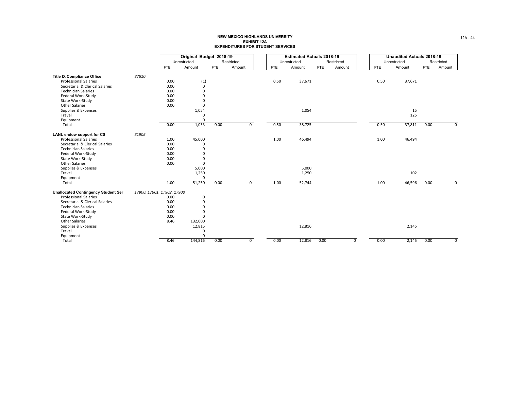|                                            |                            |            | Original Budget 2018-19 |            |                |            | <b>Estimated Actuals 2018-19</b> |            |                |            | <b>Unaudited Actuals 2018-19</b> |            |                |
|--------------------------------------------|----------------------------|------------|-------------------------|------------|----------------|------------|----------------------------------|------------|----------------|------------|----------------------------------|------------|----------------|
|                                            |                            |            | Unrestricted            |            | Restricted     |            | Unrestricted                     |            | Restricted     |            | Unrestricted                     |            | Restricted     |
|                                            |                            | <b>FTE</b> | Amount                  | <b>FTE</b> | Amount         | <b>FTE</b> | Amount                           | <b>FTE</b> | Amount         | <b>FTE</b> | Amount                           | <b>FTE</b> | Amount         |
| <b>Title IX Compliance Office</b>          | 37610                      |            |                         |            |                |            |                                  |            |                |            |                                  |            |                |
| <b>Professional Salaries</b>               |                            | 0.00       | (1)                     |            |                | 0.50       | 37,671                           |            |                | 0.50       | 37,671                           |            |                |
| Secretarial & Clerical Salaries            |                            | 0.00       | $\mathbf 0$             |            |                |            |                                  |            |                |            |                                  |            |                |
| <b>Technician Salaries</b>                 |                            | 0.00       | $\Omega$                |            |                |            |                                  |            |                |            |                                  |            |                |
| Federal Work-Study                         |                            | 0.00       | $\Omega$                |            |                |            |                                  |            |                |            |                                  |            |                |
| State Work-Study                           |                            | 0.00       | $\Omega$                |            |                |            |                                  |            |                |            |                                  |            |                |
| <b>Other Salaries</b>                      |                            | 0.00       | $\Omega$                |            |                |            |                                  |            |                |            |                                  |            |                |
| Supplies & Expenses                        |                            |            | 1,054                   |            |                |            | 1,054                            |            |                |            | 15                               |            |                |
| Travel                                     |                            |            |                         |            |                |            |                                  |            |                |            | 125                              |            |                |
| Equipment                                  |                            |            |                         |            |                |            |                                  |            |                |            |                                  |            |                |
| Total                                      |                            | 0.00       | 1,053                   | 0.00       | $\overline{0}$ | 0.50       | 38,725                           |            |                | 0.50       | 37,811                           | 0.00       | $^{\circ}$     |
| <b>LANL endow support for CS</b>           | 31905                      |            |                         |            |                |            |                                  |            |                |            |                                  |            |                |
| <b>Professional Salaries</b>               |                            | 1.00       | 45,000                  |            |                | 1.00       | 46,494                           |            |                | 1.00       | 46,494                           |            |                |
| Secretarial & Clerical Salaries            |                            | 0.00       | 0                       |            |                |            |                                  |            |                |            |                                  |            |                |
| <b>Technician Salaries</b>                 |                            | 0.00       | $\Omega$                |            |                |            |                                  |            |                |            |                                  |            |                |
| Federal Work-Study                         |                            | 0.00       |                         |            |                |            |                                  |            |                |            |                                  |            |                |
| State Work-Study                           |                            | 0.00       | $\Omega$                |            |                |            |                                  |            |                |            |                                  |            |                |
| <b>Other Salaries</b>                      |                            | 0.00       | $\mathbf{0}$            |            |                |            |                                  |            |                |            |                                  |            |                |
| Supplies & Expenses                        |                            |            | 5,000                   |            |                |            | 5,000                            |            |                |            |                                  |            |                |
| Travel                                     |                            |            | 1,250                   |            |                |            | 1,250                            |            |                |            | 102                              |            |                |
| Equipment                                  |                            |            | $\Omega$                |            |                |            |                                  |            |                |            |                                  |            |                |
| Total                                      |                            | 1.00       | 51,250                  | 0.00       | $\overline{0}$ | 1.00       | 52,744                           |            |                | 1.00       | 46,596                           | 0.00       | $\overline{0}$ |
| <b>Unallocated Contingency Student Ser</b> | 17900, 17901, 17902, 17903 |            |                         |            |                |            |                                  |            |                |            |                                  |            |                |
| <b>Professional Salaries</b>               |                            | 0.00       | 0                       |            |                |            |                                  |            |                |            |                                  |            |                |
| Secretarial & Clerical Salaries            |                            | 0.00       | $\Omega$                |            |                |            |                                  |            |                |            |                                  |            |                |
| <b>Technician Salaries</b>                 |                            | 0.00       | $\Omega$                |            |                |            |                                  |            |                |            |                                  |            |                |
| Federal Work-Study                         |                            | 0.00       |                         |            |                |            |                                  |            |                |            |                                  |            |                |
| State Work-Study                           |                            | 0.00       |                         |            |                |            |                                  |            |                |            |                                  |            |                |
| <b>Other Salaries</b>                      |                            | 8.46       | 132,000                 |            |                |            |                                  |            |                |            |                                  |            |                |
| Supplies & Expenses                        |                            |            | 12,816                  |            |                |            | 12,816                           |            |                |            | 2,145                            |            |                |
| Travel                                     |                            |            | $\Omega$                |            |                |            |                                  |            |                |            |                                  |            |                |
| Equipment                                  |                            |            | $\Omega$                |            |                |            |                                  |            |                |            |                                  |            |                |
| Total                                      |                            | 8.46       | 144,816                 | 0.00       | $\overline{0}$ | 0.00       | 12,816                           | 0.00       | $\overline{0}$ | 0.00       | 2,145                            | 0.00       | $\mathbf 0$    |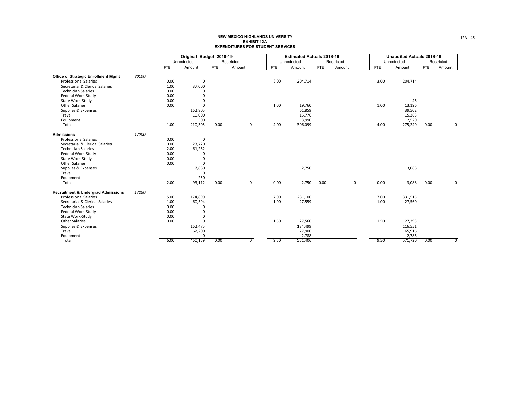|                                               |       |            | Original Budget 2018-19 |            |                |            | <b>Estimated Actuals 2018-19</b> |            |                |            | <b>Unaudited Actuals 2018-19</b> |            |                |
|-----------------------------------------------|-------|------------|-------------------------|------------|----------------|------------|----------------------------------|------------|----------------|------------|----------------------------------|------------|----------------|
|                                               |       |            | Unrestricted            |            | Restricted     |            | Unrestricted                     |            | Restricted     |            | Unrestricted                     |            | Restricted     |
|                                               |       | <b>FTE</b> | Amount                  | <b>FTE</b> | Amount         | <b>FTE</b> | Amount                           | <b>FTE</b> | Amount         | <b>FTE</b> | Amount                           | <b>FTE</b> | Amount         |
| <b>Office of Strategic Enrollment Mgmt</b>    | 30100 |            |                         |            |                |            |                                  |            |                |            |                                  |            |                |
| <b>Professional Salaries</b>                  |       | 0.00       | $\Omega$                |            |                | 3.00       | 204,714                          |            |                | 3.00       | 204,714                          |            |                |
| Secretarial & Clerical Salaries               |       | 1.00       | 37,000                  |            |                |            |                                  |            |                |            |                                  |            |                |
| <b>Technician Salaries</b>                    |       | 0.00       |                         |            |                |            |                                  |            |                |            |                                  |            |                |
| Federal Work-Study                            |       | 0.00       |                         |            |                |            |                                  |            |                |            |                                  |            |                |
| State Work-Study                              |       | 0.00       |                         |            |                |            |                                  |            |                |            | 46                               |            |                |
| <b>Other Salaries</b>                         |       | 0.00       |                         |            |                | 1.00       | 19,760                           |            |                | 1.00       | 13,196                           |            |                |
| Supplies & Expenses                           |       |            | 162,805                 |            |                |            | 61,859                           |            |                |            | 39,502                           |            |                |
| Travel                                        |       |            | 10,000                  |            |                |            | 15,776                           |            |                |            | 15,263                           |            |                |
| Equipment                                     |       |            | 500                     |            |                |            | 3,990                            |            |                |            | 2,520                            |            |                |
| Total                                         |       | 1.00       | 210,305                 | 0.00       | $\overline{0}$ | 4.00       | 306,099                          |            |                | 4.00       | 275,240                          | 0.00       | $\mathbf 0$    |
| <b>Admissions</b>                             | 17200 |            |                         |            |                |            |                                  |            |                |            |                                  |            |                |
| <b>Professional Salaries</b>                  |       | 0.00       | 0                       |            |                |            |                                  |            |                |            |                                  |            |                |
| Secretarial & Clerical Salaries               |       | 0.00       | 23,720                  |            |                |            |                                  |            |                |            |                                  |            |                |
| <b>Technician Salaries</b>                    |       | 2.00       | 61,262                  |            |                |            |                                  |            |                |            |                                  |            |                |
| Federal Work-Study                            |       | 0.00       |                         |            |                |            |                                  |            |                |            |                                  |            |                |
| State Work-Study                              |       | 0.00       | $\Omega$                |            |                |            |                                  |            |                |            |                                  |            |                |
| <b>Other Salaries</b>                         |       | 0.00       | $\Omega$                |            |                |            |                                  |            |                |            |                                  |            |                |
| Supplies & Expenses                           |       |            | 7,880                   |            |                |            | 2,750                            |            |                |            | 3,088                            |            |                |
| Travel                                        |       |            | $\mathbf 0$             |            |                |            |                                  |            |                |            |                                  |            |                |
| Equipment                                     |       |            | 250                     |            |                |            |                                  |            |                |            |                                  |            |                |
| Total                                         |       | 2.00       | 93,112                  | 0.00       | $\overline{0}$ | 0.00       | 2,750                            | 0.00       | $\overline{0}$ | 0.00       | 3,088                            | 0.00       | $\overline{0}$ |
| <b>Recruitment &amp; Undergrad Admissions</b> | 17250 |            |                         |            |                |            |                                  |            |                |            |                                  |            |                |
| <b>Professional Salaries</b>                  |       | 5.00       | 174,890                 |            |                | 7.00       | 281,100                          |            |                | 7.00       | 331,515                          |            |                |
| Secretarial & Clerical Salaries               |       | 1.00       | 60,594                  |            |                | 1.00       | 27,559                           |            |                | 1.00       | 27,560                           |            |                |
| <b>Technician Salaries</b>                    |       | 0.00       | $\Omega$                |            |                |            |                                  |            |                |            |                                  |            |                |
| Federal Work-Study                            |       | 0.00       |                         |            |                |            |                                  |            |                |            |                                  |            |                |
| State Work-Study                              |       | 0.00       |                         |            |                |            |                                  |            |                |            |                                  |            |                |
| <b>Other Salaries</b>                         |       | 0.00       |                         |            |                | 1.50       | 27,560                           |            |                | 1.50       | 27,393                           |            |                |
| Supplies & Expenses                           |       |            | 162,475                 |            |                |            | 134,499                          |            |                |            | 116,551                          |            |                |
| Travel                                        |       |            | 62,200                  |            |                |            | 77,900                           |            |                |            | 65,916                           |            |                |
| Equipment                                     |       |            | $\Omega$                |            |                |            | 2,788                            |            |                |            | 2,786                            |            |                |
| Total                                         |       | 6.00       | 460,159                 | 0.00       | $\overline{0}$ | 9.50       | 551,406                          |            |                | 9.50       | 571,720                          | 0.00       | $\mathbf 0$    |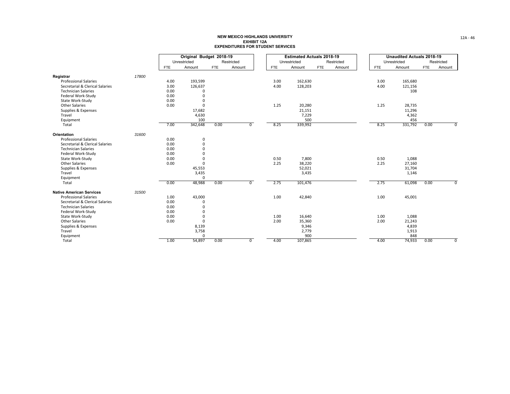|                                 |       |            | Original Budget 2018-19 |            |                |            | <b>Estimated Actuals 2018-19</b> |     |            |            | <b>Unaudited Actuals 2018-19</b> |            |                |
|---------------------------------|-------|------------|-------------------------|------------|----------------|------------|----------------------------------|-----|------------|------------|----------------------------------|------------|----------------|
|                                 |       |            | Unrestricted            |            | Restricted     |            | Unrestricted                     |     | Restricted |            | Unrestricted                     |            | Restricted     |
|                                 |       | <b>FTE</b> | Amount                  | <b>FTE</b> | Amount         | <b>FTE</b> | Amount                           | FTE | Amount     | <b>FTE</b> | Amount                           | <b>FTE</b> | Amount         |
| Registrar                       | 17800 |            |                         |            |                |            |                                  |     |            |            |                                  |            |                |
| <b>Professional Salaries</b>    |       | 4.00       | 193,599                 |            |                | 3.00       | 162,630                          |     |            | 3.00       | 165,680                          |            |                |
| Secretarial & Clerical Salaries |       | 3.00       | 126,637                 |            |                | 4.00       | 128,203                          |     |            | 4.00       | 121,156                          |            |                |
| <b>Technician Salaries</b>      |       | 0.00       | $\Omega$                |            |                |            |                                  |     |            |            | 108                              |            |                |
| Federal Work-Study              |       | 0.00       | $\Omega$                |            |                |            |                                  |     |            |            |                                  |            |                |
| State Work-Study                |       | 0.00       |                         |            |                |            |                                  |     |            |            |                                  |            |                |
| <b>Other Salaries</b>           |       | 0.00       | $\Omega$                |            |                | 1.25       | 20,280                           |     |            | 1.25       | 28,735                           |            |                |
| Supplies & Expenses             |       |            | 17,682                  |            |                |            | 21,151                           |     |            |            | 11,296                           |            |                |
| Travel                          |       |            | 4,630                   |            |                |            | 7,229                            |     |            |            | 4,362                            |            |                |
| Equipment                       |       |            | 100                     |            |                |            | 500                              |     |            |            | 456                              |            |                |
| Total                           |       | 7.00       | 342,648                 | 0.00       | 0              | 8.25       | 339,992                          |     |            | 8.25       | 331,792                          | 0.00       | $\overline{0}$ |
| Orientation                     | 31600 |            |                         |            |                |            |                                  |     |            |            |                                  |            |                |
| <b>Professional Salaries</b>    |       | 0.00       | $\mathbf 0$             |            |                |            |                                  |     |            |            |                                  |            |                |
| Secretarial & Clerical Salaries |       | 0.00       | $\Omega$                |            |                |            |                                  |     |            |            |                                  |            |                |
| <b>Technician Salaries</b>      |       | 0.00       | $\Omega$                |            |                |            |                                  |     |            |            |                                  |            |                |
| Federal Work-Study              |       | 0.00       |                         |            |                |            |                                  |     |            |            |                                  |            |                |
| State Work-Study                |       | 0.00       |                         |            |                | 0.50       | 7,800                            |     |            | 0.50       | 1,088                            |            |                |
| <b>Other Salaries</b>           |       | 0.00       | $\Omega$                |            |                | 2.25       | 38,220                           |     |            | 2.25       | 27,160                           |            |                |
| Supplies & Expenses             |       |            | 45,553                  |            |                |            | 52,021                           |     |            |            | 31,704                           |            |                |
| Travel                          |       |            | 3,435                   |            |                |            | 3,435                            |     |            |            | 1,146                            |            |                |
| Equipment                       |       |            | $\Omega$                |            |                |            |                                  |     |            |            |                                  |            |                |
| Total                           |       | 0.00       | 48,988                  | 0.00       | $\overline{0}$ | 2.75       | 101,476                          |     |            | 2.75       | 61,098                           | 0.00       | $\overline{0}$ |
| <b>Native American Services</b> | 31500 |            |                         |            |                |            |                                  |     |            |            |                                  |            |                |
| <b>Professional Salaries</b>    |       | 1.00       | 43,000                  |            |                | 1.00       | 42,840                           |     |            | 1.00       | 45,001                           |            |                |
| Secretarial & Clerical Salaries |       | 0.00       | $\Omega$                |            |                |            |                                  |     |            |            |                                  |            |                |
| <b>Technician Salaries</b>      |       | 0.00       | $\Omega$                |            |                |            |                                  |     |            |            |                                  |            |                |
| Federal Work-Study              |       | 0.00       |                         |            |                |            |                                  |     |            |            |                                  |            |                |
| State Work-Study                |       | 0.00       | $\Omega$                |            |                | 1.00       | 16,640                           |     |            | 1.00       | 1,088                            |            |                |
| <b>Other Salaries</b>           |       | 0.00       | $\mathbf{0}$            |            |                | 2.00       | 35,360                           |     |            | 2.00       | 21,243                           |            |                |
| Supplies & Expenses             |       |            | 8,139                   |            |                |            | 9,346                            |     |            |            | 4,839                            |            |                |
| Travel                          |       |            | 3,758                   |            |                |            | 2,779                            |     |            |            | 1,913                            |            |                |
| Equipment                       |       |            | $\Omega$                |            |                |            | 900                              |     |            |            | 848                              |            |                |
| Total                           |       | 1.00       | 54,897                  | 0.00       | $\mathbf{0}$   | 4.00       | 107,865                          |     |            | 4.00       | 74,933                           | 0.00       | 0              |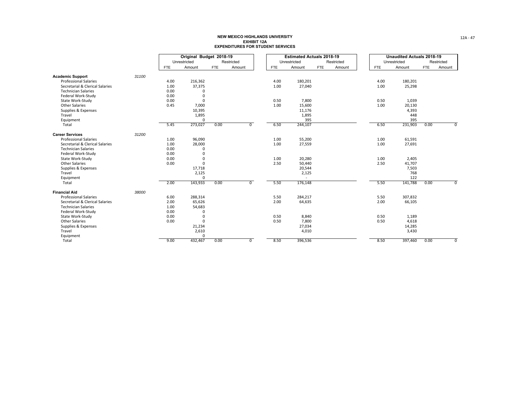|                                 |       |            | Original Budget 2018-19 |            |                |            | <b>Estimated Actuals 2018-19</b> |            |            |            | <b>Unaudited Actuals 2018-19</b> |            |                         |
|---------------------------------|-------|------------|-------------------------|------------|----------------|------------|----------------------------------|------------|------------|------------|----------------------------------|------------|-------------------------|
|                                 |       |            | Unrestricted            |            | Restricted     |            | Unrestricted                     |            | Restricted |            | Unrestricted                     |            | Restricted              |
|                                 |       | <b>FTE</b> | Amount                  | <b>FTE</b> | Amount         | <b>FTE</b> | Amount                           | <b>FTE</b> | Amount     | <b>FTE</b> | Amount                           | <b>FTE</b> | Amount                  |
| <b>Academic Support</b>         | 31100 |            |                         |            |                |            |                                  |            |            |            |                                  |            |                         |
| <b>Professional Salaries</b>    |       | 4.00       | 216,362                 |            |                | 4.00       | 180,201                          |            |            | 4.00       | 180,201                          |            |                         |
| Secretarial & Clerical Salaries |       | 1.00       | 37,375                  |            |                | 1.00       | 27,040                           |            |            | 1.00       | 25,298                           |            |                         |
| <b>Technician Salaries</b>      |       | 0.00       | $\Omega$                |            |                |            |                                  |            |            |            |                                  |            |                         |
| Federal Work-Study              |       | 0.00       | $\mathbf 0$             |            |                |            |                                  |            |            |            |                                  |            |                         |
| State Work-Study                |       | 0.00       | $\mathbf 0$             |            |                | 0.50       | 7,800                            |            |            | 0.50       | 1,039                            |            |                         |
| <b>Other Salaries</b>           |       | 0.45       | 7,000                   |            |                | 1.00       | 15,600                           |            |            | 1.00       | 20,130                           |            |                         |
| Supplies & Expenses             |       |            | 10,395                  |            |                |            | 11,176                           |            |            |            | 4,393                            |            |                         |
| Travel                          |       |            | 1,895                   |            |                |            | 1,895                            |            |            |            | 448                              |            |                         |
| Equipment                       |       |            | $\Omega$                |            |                |            | 395                              |            |            |            | 395                              |            |                         |
| Total                           |       | 5.45       | 273,027                 | 0.00       | $\overline{0}$ | 6.50       | 244,107                          |            |            | 6.50       | 231,903                          | 0.00       | $\overline{0}$          |
| <b>Career Services</b>          | 31200 |            |                         |            |                |            |                                  |            |            |            |                                  |            |                         |
| <b>Professional Salaries</b>    |       | 1.00       | 96,090                  |            |                | 1.00       | 55,200                           |            |            | 1.00       | 61,591                           |            |                         |
| Secretarial & Clerical Salaries |       | 1.00       | 28,000                  |            |                | 1.00       | 27,559                           |            |            | 1.00       | 27,691                           |            |                         |
| <b>Technician Salaries</b>      |       | 0.00       | $\Omega$                |            |                |            |                                  |            |            |            |                                  |            |                         |
| Federal Work-Study              |       | 0.00       | $\Omega$                |            |                |            |                                  |            |            |            |                                  |            |                         |
| State Work-Study                |       | 0.00       | $\Omega$                |            |                | 1.00       | 20,280                           |            |            | 1.00       | 2,405                            |            |                         |
| <b>Other Salaries</b>           |       | 0.00       | $\mathbf 0$             |            |                | 2.50       | 50,440                           |            |            | 2.50       | 41,707                           |            |                         |
| Supplies & Expenses             |       |            | 17,718                  |            |                |            | 20,544                           |            |            |            | 7,503                            |            |                         |
| Travel                          |       |            | 2,125                   |            |                |            | 2,125                            |            |            |            | 768                              |            |                         |
| Equipment                       |       |            | $\Omega$                |            |                |            |                                  |            |            |            | 122                              |            |                         |
| Total                           |       | 2.00       | 143,933                 | 0.00       | $\overline{0}$ | 5.50       | 176,148                          |            |            | 5.50       | 141,788                          | 0.00       | $\overline{\mathbf{0}}$ |
| <b>Financial Aid</b>            | 38000 |            |                         |            |                |            |                                  |            |            |            |                                  |            |                         |
| <b>Professional Salaries</b>    |       | 6.00       | 288,314                 |            |                | 5.50       | 284,217                          |            |            | 5.50       | 307,832                          |            |                         |
| Secretarial & Clerical Salaries |       | 2.00       | 65,626                  |            |                | 2.00       | 64,635                           |            |            | 2.00       | 66,105                           |            |                         |
| <b>Technician Salaries</b>      |       | 1.00       | 54,683                  |            |                |            |                                  |            |            |            |                                  |            |                         |
| Federal Work-Study              |       | 0.00       | $\Omega$                |            |                |            |                                  |            |            |            |                                  |            |                         |
| State Work-Study                |       | 0.00       | $\mathbf 0$             |            |                | 0.50       | 8,840                            |            |            | 0.50       | 1,189                            |            |                         |
| <b>Other Salaries</b>           |       | 0.00       | $\mathbf 0$             |            |                | 0.50       | 7,800                            |            |            | 0.50       | 4,618                            |            |                         |
| Supplies & Expenses             |       |            | 21,234                  |            |                |            | 27,034                           |            |            |            | 14,285                           |            |                         |
| Travel                          |       |            | 2,610                   |            |                |            | 4,010                            |            |            |            | 3,430                            |            |                         |
| Equipment                       |       |            | $\Omega$                |            |                |            |                                  |            |            |            |                                  |            |                         |
| Total                           |       | 9.00       | 432,467                 | 0.00       | $\overline{0}$ | 8.50       | 396,536                          |            |            | 8.50       | 397,460                          | 0.00       | 0                       |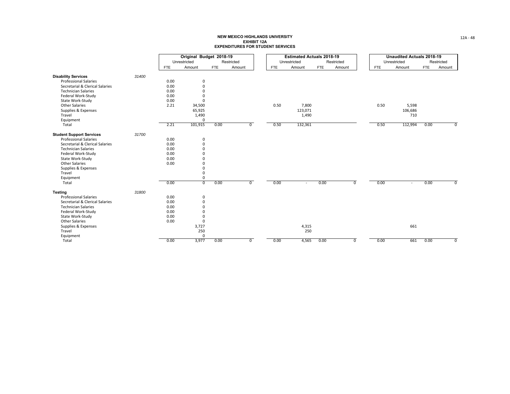|                                 |       |            | Original Budget 2018-19 |            |              |            | <b>Estimated Actuals 2018-19</b> |            |                |            | <b>Unaudited Actuals 2018-19</b> |            |                |
|---------------------------------|-------|------------|-------------------------|------------|--------------|------------|----------------------------------|------------|----------------|------------|----------------------------------|------------|----------------|
|                                 |       |            | Unrestricted            |            | Restricted   |            | Unrestricted                     |            | Restricted     |            | Unrestricted                     |            | Restricted     |
|                                 |       | <b>FTE</b> | Amount                  | <b>FTE</b> | Amount       | <b>FTE</b> | Amount                           | <b>FTE</b> | Amount         | <b>FTE</b> | Amount                           | <b>FTE</b> | Amount         |
| <b>Disability Services</b>      | 31400 |            |                         |            |              |            |                                  |            |                |            |                                  |            |                |
| <b>Professional Salaries</b>    |       | 0.00       | 0                       |            |              |            |                                  |            |                |            |                                  |            |                |
| Secretarial & Clerical Salaries |       | 0.00       | $\mathbf 0$             |            |              |            |                                  |            |                |            |                                  |            |                |
| <b>Technician Salaries</b>      |       | 0.00       | $\mathbf 0$             |            |              |            |                                  |            |                |            |                                  |            |                |
| Federal Work-Study              |       | 0.00       | $\Omega$                |            |              |            |                                  |            |                |            |                                  |            |                |
| State Work-Study                |       | 0.00       | $\Omega$                |            |              |            |                                  |            |                |            |                                  |            |                |
| <b>Other Salaries</b>           |       | 2.21       | 34,500                  |            |              | 0.50       | 7,800                            |            |                | 0.50       | 5,598                            |            |                |
| Supplies & Expenses             |       |            | 65,925                  |            |              |            | 123,071                          |            |                |            | 106,686                          |            |                |
| Travel                          |       |            | 1,490                   |            |              |            | 1,490                            |            |                |            | 710                              |            |                |
| Equipment                       |       |            | $\Omega$                |            |              |            |                                  |            |                |            |                                  |            |                |
| Total                           |       | 2.21       | 101,915                 | 0.00       | $\mathbf{0}$ | 0.50       | 132,361                          |            |                | 0.50       | 112,994                          | 0.00       | $\overline{0}$ |
| <b>Student Support Services</b> | 31700 |            |                         |            |              |            |                                  |            |                |            |                                  |            |                |
| <b>Professional Salaries</b>    |       | 0.00       | 0                       |            |              |            |                                  |            |                |            |                                  |            |                |
| Secretarial & Clerical Salaries |       | 0.00       | $\mathbf 0$             |            |              |            |                                  |            |                |            |                                  |            |                |
| <b>Technician Salaries</b>      |       | 0.00       | $\mathbf 0$             |            |              |            |                                  |            |                |            |                                  |            |                |
| Federal Work-Study              |       | 0.00       | $\Omega$                |            |              |            |                                  |            |                |            |                                  |            |                |
| State Work-Study                |       | 0.00       | $\Omega$                |            |              |            |                                  |            |                |            |                                  |            |                |
| <b>Other Salaries</b>           |       | 0.00       | $\Omega$                |            |              |            |                                  |            |                |            |                                  |            |                |
| Supplies & Expenses             |       |            | $\Omega$                |            |              |            |                                  |            |                |            |                                  |            |                |
| Travel                          |       |            | $\Omega$                |            |              |            |                                  |            |                |            |                                  |            |                |
| Equipment                       |       |            | $\mathbf 0$             |            |              |            |                                  |            |                |            |                                  |            |                |
| Total                           |       | 0.00       | $\overline{0}$          | 0.00       | $\mathbf{0}$ | 0.00       |                                  | 0.00       | $\overline{0}$ | 0.00       |                                  | 0.00       | $\overline{0}$ |
| <b>Testing</b>                  | 31800 |            |                         |            |              |            |                                  |            |                |            |                                  |            |                |
| <b>Professional Salaries</b>    |       | 0.00       | 0                       |            |              |            |                                  |            |                |            |                                  |            |                |
| Secretarial & Clerical Salaries |       | 0.00       | $\mathbf 0$             |            |              |            |                                  |            |                |            |                                  |            |                |
| <b>Technician Salaries</b>      |       | 0.00       | $\mathbf 0$             |            |              |            |                                  |            |                |            |                                  |            |                |
| Federal Work-Study              |       | 0.00       | $\Omega$                |            |              |            |                                  |            |                |            |                                  |            |                |
| State Work-Study                |       | 0.00       | $\Omega$                |            |              |            |                                  |            |                |            |                                  |            |                |
| <b>Other Salaries</b>           |       | 0.00       | $\mathbf 0$             |            |              |            |                                  |            |                |            |                                  |            |                |
| Supplies & Expenses             |       |            | 3,727                   |            |              |            | 4,315                            |            |                |            | 661                              |            |                |
| Travel                          |       |            | 250                     |            |              |            | 250                              |            |                |            |                                  |            |                |
| Equipment                       |       |            | $\mathbf 0$             |            |              |            |                                  |            |                |            |                                  |            |                |
| Total                           |       | 0.00       | 3,977                   | 0.00       | $\mathbf{0}$ | 0.00       | 4,565                            | 0.00       | $\overline{0}$ | 0.00       | 661                              | 0.00       | $\overline{0}$ |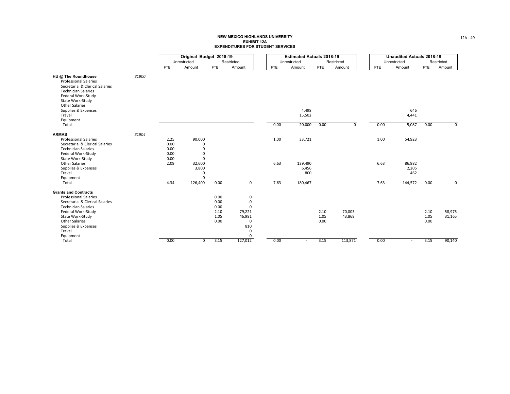| Unrestricted<br>Restricted<br>Unrestricted<br>Unrestricted<br>Restricted<br>Restricted<br><b>FTE</b><br>Amount<br><b>FTE</b><br><b>FTE</b><br><b>FTE</b><br>Amount<br>Amount<br>Amount<br>Amount<br><b>FTE</b><br>Amount<br><b>FTE</b><br>HU @ The Roundhouse<br>31900<br><b>Professional Salaries</b><br>Secretarial & Clerical Salaries<br><b>Technician Salaries</b><br>Federal Work-Study<br>State Work-Study<br><b>Other Salaries</b><br>4,498<br>646<br>Supplies & Expenses<br>Travel<br>15,502<br>4,441<br>Equipment<br>5,087<br>Total<br>20,000<br>0.00<br>0.00<br>0.00<br>$\overline{0}$<br>0.00 |                       |
|-----------------------------------------------------------------------------------------------------------------------------------------------------------------------------------------------------------------------------------------------------------------------------------------------------------------------------------------------------------------------------------------------------------------------------------------------------------------------------------------------------------------------------------------------------------------------------------------------------------|-----------------------|
|                                                                                                                                                                                                                                                                                                                                                                                                                                                                                                                                                                                                           |                       |
|                                                                                                                                                                                                                                                                                                                                                                                                                                                                                                                                                                                                           |                       |
|                                                                                                                                                                                                                                                                                                                                                                                                                                                                                                                                                                                                           |                       |
|                                                                                                                                                                                                                                                                                                                                                                                                                                                                                                                                                                                                           |                       |
|                                                                                                                                                                                                                                                                                                                                                                                                                                                                                                                                                                                                           |                       |
| 90,000<br>33,721<br><b>Professional Salaries</b><br>2.25<br>1.00<br>1.00<br>54,923<br>0.00<br>Secretarial & Clerical Salaries<br>$\Omega$<br>0.00<br><b>Technician Salaries</b><br>$\Omega$<br>0.00<br>Federal Work-Study<br>$\Omega$<br>$\Omega$                                                                                                                                                                                                                                                                                                                                                         | 31904<br><b>ARMAS</b> |
| 0.00<br>State Work-Study<br><b>Other Salaries</b><br>6.63<br>6.63<br>2.09<br>32,600<br>139,490<br>86,982<br>3,800<br>Supplies & Expenses<br>6,456<br>2,205<br>Travel<br>800<br>462<br>0<br>Equipment<br>$\Omega$                                                                                                                                                                                                                                                                                                                                                                                          |                       |
| Total<br>4.34<br>126,400<br>0.00<br>$\overline{0}$<br>7.63<br>180,467<br>7.63<br>144,572<br>0.00                                                                                                                                                                                                                                                                                                                                                                                                                                                                                                          |                       |
| <b>Grants and Contracts</b><br><b>Professional Salaries</b><br>0.00<br>0<br>0.00<br>Secretarial & Clerical Salaries<br>0<br>0.00<br><b>Technician Salaries</b><br>$\Omega$<br>70,003<br>2.10<br>79,221<br>2.10<br>58,975<br>Federal Work-Study<br>2.10<br>1.05<br>43,868<br>State Work-Study<br>1.05<br>46,981<br>1.05<br>31,165<br><b>Other Salaries</b><br>0.00<br>$\Omega$<br>0.00<br>0.00<br>810<br>Supplies & Expenses<br>Travel<br>$\Omega$                                                                                                                                                         |                       |
| Equipment<br>$\Omega$<br>127,012<br>113,871<br>90,140<br>Total<br>0.00<br>3.15<br>0.00<br>3.15<br>0.00<br>3.15<br>$\mathbf 0$<br>$\overline{\phantom{a}}$<br>$\sim$                                                                                                                                                                                                                                                                                                                                                                                                                                       |                       |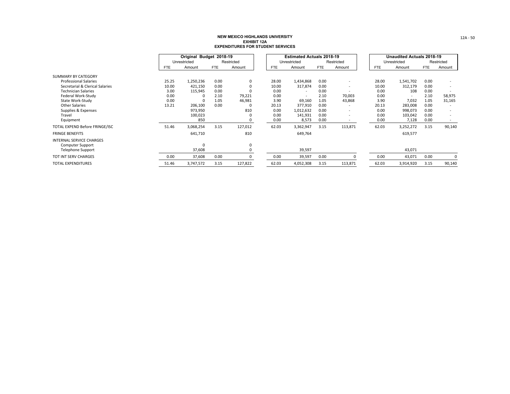|                                 |            | Original Budget 2018-19 |            |            |  |            | <b>Estimated Actuals 2018-19</b> |            |                          |            | <b>Unaudited Actuals 2018-19</b> |            |            |
|---------------------------------|------------|-------------------------|------------|------------|--|------------|----------------------------------|------------|--------------------------|------------|----------------------------------|------------|------------|
|                                 |            | Unrestricted            |            | Restricted |  |            | Unrestricted                     |            | Restricted               |            | Unrestricted                     |            | Restricted |
|                                 | <b>FTE</b> | Amount                  | <b>FTE</b> | Amount     |  | <b>FTE</b> | Amount                           | <b>FTE</b> | Amount                   | <b>FTE</b> | Amount                           | <b>FTE</b> | Amount     |
| SUMMARY BY CATEGORY             |            |                         |            |            |  |            |                                  |            |                          |            |                                  |            |            |
| <b>Professional Salaries</b>    | 25.25      | 1,250,236               | 0.00       | 0          |  | 28.00      | 1,434,868                        | 0.00       | $\overline{\phantom{a}}$ | 28.00      | 1,541,702                        | 0.00       |            |
| Secretarial & Clerical Salaries | 10.00      | 421,150                 | 0.00       |            |  | 10.00      | 317,874                          | 0.00       | $\overline{\phantom{a}}$ | 10.00      | 312,179                          | 0.00       |            |
| <b>Technician Salaries</b>      | 3.00       | 115,945                 | 0.00       |            |  | 0.00       | $\overline{\phantom{a}}$         | 0.00       | $\overline{\phantom{a}}$ | 0.00       | 108                              | 0.00       |            |
| Federal Work-Study              | 0.00       |                         | 2.10       | 79,221     |  | 0.00       | $\overline{\phantom{a}}$         | 2.10       | 70,003                   | 0.00       | $\sim$                           | 2.10       | 58,975     |
| State Work-Study                | 0.00       |                         | 1.05       | 46,981     |  | 3.90       | 69,160                           | 1.05       | 43,868                   | 3.90       | 7,032                            | 1.05       | 31,165     |
| <b>Other Salaries</b>           | 13.21      | 206,100                 | 0.00       |            |  | 20.13      | 377,910                          | 0.00       | $\overline{\phantom{a}}$ | 20.13      | 283,008                          | 0.00       |            |
| Supplies & Expenses             |            | 973,950                 |            | 810        |  | 0.00       | 1,012,632                        | 0.00       | $\overline{\phantom{a}}$ | 0.00       | 998,073                          | 0.00       |            |
| Travel                          |            | 100,023                 |            |            |  | 0.00       | 141,931                          | 0.00       | $\overline{\phantom{a}}$ | 0.00       | 103,042                          | 0.00       |            |
| Equipment                       |            | 850                     |            | 0          |  | 0.00       | 8,573                            | 0.00       | $\overline{\phantom{a}}$ | 0.00       | 7,128                            | 0.00       | $\sim$     |
| TOTAL EXPEND Before FRINGE/ISC  | 51.46      | 3,068,254               | 3.15       | 127,012    |  | 62.03      | 3,362,947                        | 3.15       | 113,871                  | 62.03      | 3,252,272                        | 3.15       | 90,140     |
| <b>FRINGE BENEFITS</b>          |            | 641,710                 |            | 810        |  |            | 649,764                          |            |                          |            | 619,577                          |            |            |
| <b>INTERNAL SERVICE CHARGES</b> |            |                         |            |            |  |            |                                  |            |                          |            |                                  |            |            |
| <b>Computer Support</b>         |            | $\Omega$                |            | 0          |  |            |                                  |            |                          |            |                                  |            |            |
| <b>Telephone Support</b>        |            | 37,608                  |            |            |  |            | 39,597                           |            |                          |            | 43,071                           |            |            |
| TOT INT SERV CHARGES            | 0.00       | 37,608                  | 0.00       |            |  | 0.00       | 39,597                           | 0.00       | ŋ                        | 0.00       | 43,071                           | 0.00       | 0          |
| <b>TOTAL EXPENDITURES</b>       | 51.46      | 3,747,572               | 3.15       | 127,822    |  | 62.03      | 4,052,308                        | 3.15       | 113,871                  | 62.03      | 3,914,920                        | 3.15       | 90,140     |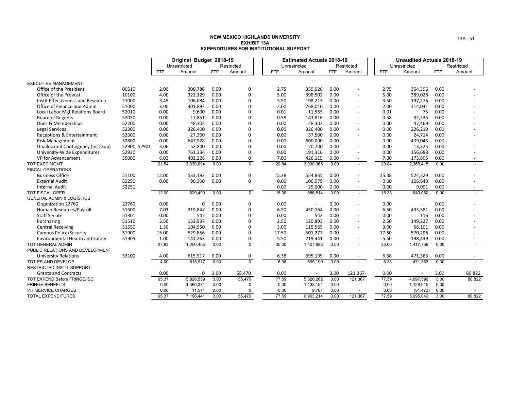|                                      |              | Original Budget 2018-19 |              |            |                | <b>Estimated Actuals 2018-19</b> |            |              |            | <b>Unaudited Actuals 2018-19</b> |            |              |            |            |
|--------------------------------------|--------------|-------------------------|--------------|------------|----------------|----------------------------------|------------|--------------|------------|----------------------------------|------------|--------------|------------|------------|
|                                      |              |                         | Unrestricted |            | Restricted     |                                  |            | Unrestricted |            | Restricted                       |            | Unrestricted |            | Restricted |
|                                      |              | FTE.                    | Amount       | <b>FTE</b> | Amount         |                                  | <b>FTE</b> | Amount       | <b>FTE</b> | Amount                           | <b>FTE</b> | Amount       | <b>FTE</b> | Amount     |
| <b>EXECUTIVE MANAGEMENT</b>          |              |                         |              |            |                |                                  |            |              |            |                                  |            |              |            |            |
| Office of the President              | 00510        | 2.00                    | 306,786      | 0.00       | 0              |                                  | 2.75       | 359,926      | 0.00       |                                  | 2.75       | 354,396      | 0.00       |            |
| Office of the Provost                | 10100        | 4.00                    | 322,129      | 0.00       | 0              |                                  | 5.00       | 398,502      | 0.00       |                                  | 5.00       | 389,028      | 0.00       |            |
| Instit Effectiveness and Research    | 27000        | 3.45                    | 106,084      | 0.00       | $\Omega$       |                                  | 3.50       | 198,213      | 0.00       | $\blacksquare$                   | 3.50       | 197,276      | 0.00       |            |
| Office of Finance and Admin          | 51000        | 3.00                    | 301,892      | 0.00       | $\Omega$       |                                  | 2.00       | 268,010      | 0.00       | $\sim$                           | 2.00       | 314,041      | 0.00       |            |
| Local Labor Mgt Relations Board      | 52010        | 0.00                    | 9,600        | 0.00       | $\Omega$       |                                  | 0.01       | 11,565       | 0.00       | $\blacksquare$                   | 0.01       | 75           | 0.00       |            |
| <b>Board of Regents</b>              | 52050        | 0.00                    | 17,851       | 0.00       | 0              |                                  | 0.58       | 143,816      | 0.00       | $\sim$                           | 0.58       | 32,335       | 0.00       |            |
| Dues & Memberships                   | 52200        | 0.00                    | 48,302       | 0.00       | 0              |                                  | 0.00       | 48,302       | 0.00       | $\blacksquare$                   | 0.00       | 47,469       | 0.00       |            |
| Legal Services                       | 52300        | 0.00                    | 326,400      | 0.00       | $\Omega$       |                                  | 0.00       | 326,400      | 0.00       | $\blacksquare$                   | 0.00       | 226,219      | 0.00       |            |
| Receptions & Entertainment           | 52600        | 0.00                    | 27,360       | 0.00       | $\Omega$       |                                  | 0.00       | 37,500       | 0.00       | $\overline{\phantom{a}}$         | 0.00       | 24,714       | 0.00       |            |
| <b>Risk Management</b>               | 52800        | 0.00                    | 647,928      | 0.00       | 0              |                                  | 0.00       | 600,000      | 0.00       | $\overline{\phantom{a}}$         | 0.00       | 439,043      | 0.00       |            |
| Unallocated Contingency (Inst Sup)   | 52900, 52901 | 3.06                    | 52,800       | 0.00       | $\Omega$       |                                  | 0.00       | 20,700       | 0.00       | $\blacksquare$                   | 0.00       | 13,325       | 0.00       |            |
| University-Wide Expenditures         | 52930        | 0.00                    | 761,334      | 0.00       | 0              |                                  | 0.00       | 191,316      | 0.00       | $\overline{\phantom{a}}$         | 0.00       | 156,688      | 0.00       |            |
| VP for Advancement                   | 55000        | 6.03                    | 402,228      | 0.00       | 0              |                                  | 7.00       | 426,115      | 0.00       | $\overline{\phantom{a}}$         | 7.00       | 173,805      | 0.00       |            |
| TOT EXEC MGMT                        |              | 21.54                   | 3,330,694    | 0.00       | $\Omega$       |                                  | 20.84      | 3,030,365    | 0.00       | $\overline{a}$                   | 20.84      | 2,368,415    | 0.00       |            |
| <b>FISCAL OPERATIONS</b>             |              |                         |              |            |                |                                  |            |              |            |                                  |            |              |            |            |
| <b>Business Office</b>               | 51100        | 12.00                   | 533,193      | 0.00       | 0              |                                  | 15.38      | 554,835      | 0.00       |                                  | 15.38      | 524,329      | 0.00       |            |
| <b>External Audit</b>                | 52250        | 0.00                    | 96,300       | 0.00       | $\mathbf 0$    |                                  | 0.00       | 106,979      | 0.00       |                                  | 0.00       | 106,640      | 0.00       |            |
| <b>Internal Audit</b>                | 52251        |                         |              |            |                |                                  | 0.00       | 25,000       | 0.00       | $\sim$                           | 0.00       | 9,091        | 0.00       |            |
| TOT FISCAL OPER                      |              | 12.00                   | 629,493      | 0.00       | $\overline{0}$ |                                  | 15.38      | 686,814      | 0.00       | $\sim$                           | 15.38      | 640,060      | 0.00       |            |
| <b>GENERAL ADMIN &amp; LOGISTICS</b> |              |                         |              |            |                |                                  |            |              |            |                                  |            |              |            |            |
| Organization 22760                   | 22760        | 0.00                    | 0            | 0.00       | 0              |                                  | 0.00       |              | 0.00       |                                  | 0.00       |              | 0.00       |            |
| Human Resources/Payroll              | 51300        | 7.03                    | 319,847      | 0.00       | $\Omega$       |                                  | 6.50       | 450,164      | 0.00       | $\overline{\phantom{a}}$         | 6.50       | 433,581      | 0.00       |            |
| <b>Staff Senate</b>                  | 51301        | 0.00                    | 542          | 0.00       | 0              |                                  | 0.00       | 542          | 0.00       | $\overline{\phantom{a}}$         | 0.00       | 116          | 0.00       |            |
| Purchasing                           | 51510        | 3.50                    | 153,997      | 0.00       | $\Omega$       |                                  | 2.50       | 120,893      | 0.00       | $\blacksquare$                   | 2.50       | 149,227      | 0.00       |            |
| <b>Central Receiving</b>             | 51550        | 1.30                    | 104,950      | 0.00       | $\Omega$       |                                  | 3.00       | 115,565      | 0.00       | ÷                                | 3.00       | 66,101       | 0.00       |            |
| <b>Campus Police/Security</b>        | 51900        | 15.00                   | 529,856      | 0.00       | $\Omega$       |                                  | 17.50      | 501,277      | 0.00       | $\blacksquare$                   | 17.50      | 570,296      | 0.00       |            |
| Environmental Health and Safety      | 51905        | 1.00                    | 141,263      | 0.00       | 0              |                                  | 5.50       | 219,441      | 0.00       | $\sim$                           | 5.50       | 198,439      | 0.00       | $\sim$     |
| <b>TOT GENERAL ADMIN</b>             |              | 27.83                   | 1,250,455    | 0.00       | $\overline{0}$ |                                  | 35.00      | 1,407,883    | 0.00       | $\blacksquare$                   | 35.00      | 1,417,759    | 0.00       |            |
| PUBLIC RELATIONS AND DEVELOPMENT     |              |                         |              |            |                |                                  |            |              |            |                                  |            |              |            |            |
| <b>University Relations</b>          | 53100        | 4.00                    | 615,917      | 0.00       | 0              |                                  | 6.38       | 695,199      | 0.00       | $\overline{\phantom{a}}$         | 6.38       | 471,363      | 0.00       | $\sim$     |
| TOT PR AND DEVELOP                   |              | 4.00                    | 615,917      | 0.00       | $\overline{0}$ |                                  | 6.38       | 695,199      | 0.00       | $\overline{a}$                   | 6.38       | 471,363      | 0.00       |            |
| <b>RESTRICTED INSTIT SUPPORT</b>     |              |                         |              |            |                |                                  |            |              |            |                                  |            |              |            |            |
| <b>Grants and Contracts</b>          |              | 0.00                    | 0            | 3.00       | 55,470         |                                  | 0.00       |              | 3.00       | 121,367                          | 0.00       |              | 3.00       | 80,822     |
| <b>TOT EXPEND Before FRINGE/ISC</b>  |              | 65.37                   | 5,826,559    | 3.00       | 55,470         |                                  | 77.59      | 5,820,262    | 3.00       | 121.367                          | 77.59      | 4.897.596    | 3.00       | 80,822     |
| <b>FRINGE BENEFITS</b>               |              | 0.00                    | 1,360,371    | 0.00       |                |                                  | 0.00       | 1,133,191    | 0.00       |                                  | 0.00       | 1,128,915    | 0.00       |            |
| INT SERVICE CHARGES                  |              | 0.00                    | 11,511       | 0.00       |                |                                  | 0.00       | 9,761        | 0.00       |                                  | 0.00       | (31, 472)    | 0.00       |            |
| <b>TOTAL EXPENDITURES</b>            |              | 65.37                   | 7,198,441    | 3.00       | 55,470         |                                  | 77.59      | 6,963,214    | 3.00       | 121,367                          | 77.59      | 5,995,040    | 3.00       | 80,822     |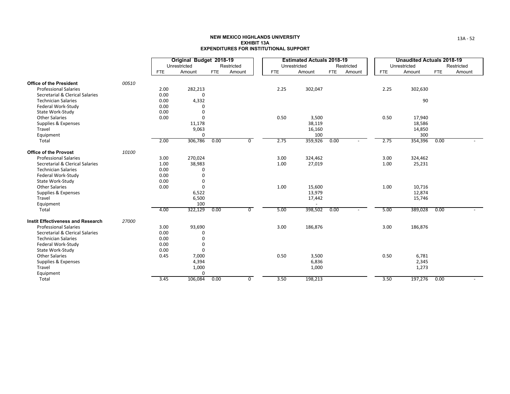|                                                              |       |            | Original Budget 2018-19 |            |                |            | <b>Estimated Actuals 2018-19</b> |            |            |            | <b>Unaudited Actuals 2018-19</b> |            |            |
|--------------------------------------------------------------|-------|------------|-------------------------|------------|----------------|------------|----------------------------------|------------|------------|------------|----------------------------------|------------|------------|
|                                                              |       |            | Unrestricted            |            | Restricted     |            | Unrestricted                     |            | Restricted |            | Unrestricted                     |            | Restricted |
|                                                              |       | <b>FTE</b> | Amount                  | <b>FTE</b> | Amount         | <b>FTE</b> | Amount                           | <b>FTE</b> | Amount     | <b>FTE</b> | Amount                           | <b>FTE</b> | Amount     |
| <b>Office of the President</b>                               | 00510 |            |                         |            |                |            |                                  |            |            |            |                                  |            |            |
| <b>Professional Salaries</b>                                 |       | 2.00       | 282,213                 |            |                | 2.25       | 302,047                          |            |            | 2.25       | 302,630                          |            |            |
| Secretarial & Clerical Salaries                              |       | 0.00       | 0                       |            |                |            |                                  |            |            |            |                                  |            |            |
| <b>Technician Salaries</b>                                   |       | 0.00       | 4,332                   |            |                |            |                                  |            |            |            | 90                               |            |            |
| Federal Work-Study                                           |       | 0.00       | ი                       |            |                |            |                                  |            |            |            |                                  |            |            |
| State Work-Study                                             |       | 0.00       | 0                       |            |                |            |                                  |            |            |            |                                  |            |            |
| <b>Other Salaries</b>                                        |       | 0.00       | O                       |            |                | 0.50       | 3,500                            |            |            | 0.50       | 17,940                           |            |            |
| Supplies & Expenses                                          |       |            | 11,178                  |            |                |            | 38,119                           |            |            |            | 18,586                           |            |            |
| Travel                                                       |       |            | 9,063                   |            |                |            | 16,160                           |            |            |            | 14,850                           |            |            |
| Equipment                                                    |       |            | 0                       |            |                |            | 100                              |            |            |            | 300                              |            |            |
| Total                                                        |       | 2.00       | 306,786                 | 0.00       | $\overline{0}$ | 2.75       | 359,926                          | 0.00       |            | 2.75       | 354,396                          | 0.00       |            |
|                                                              |       |            |                         |            |                |            |                                  |            |            |            |                                  |            |            |
| <b>Office of the Provost</b><br><b>Professional Salaries</b> | 10100 | 3.00       | 270,024                 |            |                | 3.00       | 324,462                          |            |            | 3.00       | 324,462                          |            |            |
| Secretarial & Clerical Salaries                              |       | 1.00       | 38,983                  |            |                | 1.00       | 27,019                           |            |            | 1.00       | 25,231                           |            |            |
| <b>Technician Salaries</b>                                   |       | 0.00       | 0                       |            |                |            |                                  |            |            |            |                                  |            |            |
| Federal Work-Study                                           |       | 0.00       | $\Omega$                |            |                |            |                                  |            |            |            |                                  |            |            |
| State Work-Study                                             |       | 0.00       | 0                       |            |                |            |                                  |            |            |            |                                  |            |            |
| <b>Other Salaries</b>                                        |       | 0.00       | 0                       |            |                | 1.00       | 15,600                           |            |            | 1.00       | 10,716                           |            |            |
| Supplies & Expenses                                          |       |            | 6,522                   |            |                |            | 13,979                           |            |            |            | 12,874                           |            |            |
| Travel                                                       |       |            | 6,500                   |            |                |            | 17,442                           |            |            |            | 15,746                           |            |            |
| Equipment                                                    |       |            | 100                     |            |                |            |                                  |            |            |            |                                  |            |            |
| Total                                                        |       | 4.00       | 322,129                 | 0.00       | $\overline{0}$ | 5.00       | 398,502                          | 0.00       |            | 5.00       | 389,028                          | 0.00       |            |
|                                                              |       |            |                         |            |                |            |                                  |            |            |            |                                  |            |            |
| <b>Instit Effectiveness and Research</b>                     | 27000 |            |                         |            |                |            |                                  |            |            |            |                                  |            |            |
| <b>Professional Salaries</b>                                 |       | 3.00       | 93,690                  |            |                | 3.00       | 186,876                          |            |            | 3.00       | 186,876                          |            |            |
| Secretarial & Clerical Salaries                              |       | 0.00       | 0                       |            |                |            |                                  |            |            |            |                                  |            |            |
| <b>Technician Salaries</b>                                   |       | 0.00       | 0                       |            |                |            |                                  |            |            |            |                                  |            |            |
| Federal Work-Study                                           |       | 0.00       | 0                       |            |                |            |                                  |            |            |            |                                  |            |            |
| State Work-Study                                             |       | 0.00       | 0                       |            |                |            |                                  |            |            |            |                                  |            |            |
| <b>Other Salaries</b>                                        |       | 0.45       | 7,000                   |            |                | 0.50       | 3,500                            |            |            | 0.50       | 6,781                            |            |            |
| Supplies & Expenses                                          |       |            | 4,394                   |            |                |            | 6,836                            |            |            |            | 2,345                            |            |            |
| Travel                                                       |       |            | 1,000                   |            |                |            | 1,000                            |            |            |            | 1,273                            |            |            |
| Equipment                                                    |       |            | 0                       |            |                |            |                                  |            |            |            |                                  |            |            |
| Total                                                        |       | 3.45       | 106,084                 | 0.00       | 0              | 3.50       | 198,213                          |            |            | 3.50       | 197,276                          | 0.00       |            |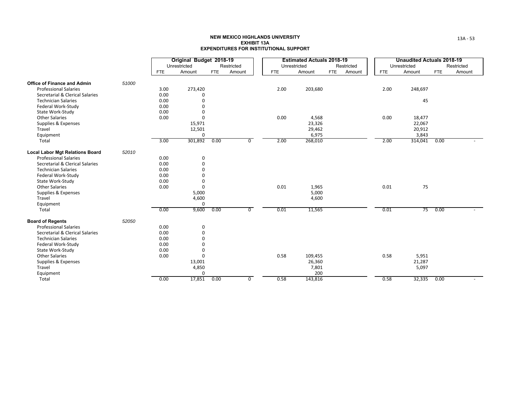|                                        |       |            | Original Budget 2018-19 |            |                |            | <b>Estimated Actuals 2018-19</b> |            |            |            | <b>Unaudited Actuals 2018-19</b> |            |            |
|----------------------------------------|-------|------------|-------------------------|------------|----------------|------------|----------------------------------|------------|------------|------------|----------------------------------|------------|------------|
|                                        |       |            | Unrestricted            |            | Restricted     |            | Unrestricted                     |            | Restricted |            | Unrestricted                     |            | Restricted |
|                                        |       | <b>FTE</b> | Amount                  | <b>FTE</b> | Amount         | <b>FTE</b> | Amount                           | <b>FTE</b> | Amount     | <b>FTE</b> | Amount                           | <b>FTE</b> | Amount     |
| <b>Office of Finance and Admin</b>     | 51000 |            |                         |            |                |            |                                  |            |            |            |                                  |            |            |
| <b>Professional Salaries</b>           |       | 3.00       | 273,420                 |            |                | 2.00       | 203,680                          |            |            | 2.00       | 248,697                          |            |            |
| Secretarial & Clerical Salaries        |       | 0.00       | 0                       |            |                |            |                                  |            |            |            |                                  |            |            |
| <b>Technician Salaries</b>             |       | 0.00       | $\mathbf 0$             |            |                |            |                                  |            |            |            | 45                               |            |            |
| Federal Work-Study                     |       | 0.00       | $\mathbf 0$             |            |                |            |                                  |            |            |            |                                  |            |            |
| State Work-Study                       |       | 0.00       | $\mathbf 0$             |            |                |            |                                  |            |            |            |                                  |            |            |
| <b>Other Salaries</b>                  |       | 0.00       | $\Omega$                |            |                | 0.00       | 4,568                            |            |            | 0.00       | 18,477                           |            |            |
| Supplies & Expenses                    |       |            | 15,971                  |            |                |            | 23,326                           |            |            |            | 22,067                           |            |            |
| Travel                                 |       |            | 12,501                  |            |                |            | 29,462                           |            |            |            | 20,912                           |            |            |
| Equipment                              |       |            | 0                       |            |                |            | 6,975                            |            |            |            | 3,843                            |            |            |
| Total                                  |       | 3.00       | 301,892                 | 0.00       | $\mathbf 0$    | 2.00       | 268,010                          |            |            | 2.00       | 314,041                          | 0.00       |            |
|                                        |       |            |                         |            |                |            |                                  |            |            |            |                                  |            |            |
| <b>Local Labor Mgt Relations Board</b> | 52010 |            |                         |            |                |            |                                  |            |            |            |                                  |            |            |
| <b>Professional Salaries</b>           |       | 0.00       | 0                       |            |                |            |                                  |            |            |            |                                  |            |            |
| Secretarial & Clerical Salaries        |       | 0.00       | $\mathbf 0$             |            |                |            |                                  |            |            |            |                                  |            |            |
| <b>Technician Salaries</b>             |       | 0.00       | $\mathbf 0$             |            |                |            |                                  |            |            |            |                                  |            |            |
| Federal Work-Study                     |       | 0.00       | $\Omega$                |            |                |            |                                  |            |            |            |                                  |            |            |
| State Work-Study                       |       | 0.00       | $\Omega$                |            |                |            |                                  |            |            |            |                                  |            |            |
| <b>Other Salaries</b>                  |       | 0.00       | $\mathbf 0$             |            |                | 0.01       | 1,965                            |            |            | 0.01       | 75                               |            |            |
| Supplies & Expenses                    |       |            | 5,000                   |            |                |            | 5,000                            |            |            |            |                                  |            |            |
| Travel                                 |       |            | 4,600                   |            |                |            | 4,600                            |            |            |            |                                  |            |            |
| Equipment                              |       |            | $\mathbf 0$             |            |                |            |                                  |            |            |            |                                  |            |            |
| Total                                  |       | 0.00       | 9,600                   | 0.00       | $\overline{0}$ | 0.01       | 11,565                           |            |            | 0.01       | 75                               | 0.00       |            |
| <b>Board of Regents</b>                | 52050 |            |                         |            |                |            |                                  |            |            |            |                                  |            |            |
| <b>Professional Salaries</b>           |       | 0.00       | 0                       |            |                |            |                                  |            |            |            |                                  |            |            |
| Secretarial & Clerical Salaries        |       | 0.00       | $\mathbf 0$             |            |                |            |                                  |            |            |            |                                  |            |            |
| <b>Technician Salaries</b>             |       | 0.00       | $\Omega$                |            |                |            |                                  |            |            |            |                                  |            |            |
| Federal Work-Study                     |       | 0.00       | $\Omega$                |            |                |            |                                  |            |            |            |                                  |            |            |
| State Work-Study                       |       | 0.00       | $\mathbf 0$             |            |                |            |                                  |            |            |            |                                  |            |            |
| <b>Other Salaries</b>                  |       | 0.00       | $\mathbf 0$             |            |                | 0.58       | 109,455                          |            |            | 0.58       | 5,951                            |            |            |
| Supplies & Expenses                    |       |            | 13,001                  |            |                |            | 26,360                           |            |            |            | 21,287                           |            |            |
| Travel                                 |       |            | 4,850                   |            |                |            | 7,801                            |            |            |            | 5,097                            |            |            |
| Equipment                              |       |            | $\mathbf 0$             |            |                |            | 200                              |            |            |            |                                  |            |            |
| Total                                  |       | 0.00       | 17,851                  | 0.00       | $\mathbf 0$    | 0.58       | 143,816                          |            |            | 0.58       | 32,335                           | 0.00       |            |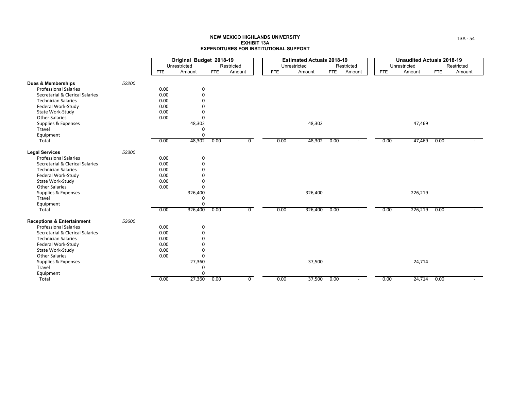|                                       |       |            | Original Budget 2018-19 |            |            |            | <b>Estimated Actuals 2018-19</b> |            |                          |            | Unaudited Actuals 2018-19 |            |            |
|---------------------------------------|-------|------------|-------------------------|------------|------------|------------|----------------------------------|------------|--------------------------|------------|---------------------------|------------|------------|
|                                       |       |            | Unrestricted            |            | Restricted |            | Unrestricted                     |            | Restricted               |            | Unrestricted              |            | Restricted |
|                                       |       | <b>FTE</b> | Amount                  | <b>FTE</b> | Amount     | <b>FTE</b> | Amount                           | <b>FTE</b> | Amount                   | <b>FTE</b> | Amount                    | <b>FTE</b> | Amount     |
| <b>Dues &amp; Memberships</b>         | 52200 |            |                         |            |            |            |                                  |            |                          |            |                           |            |            |
| <b>Professional Salaries</b>          |       | 0.00       | 0                       |            |            |            |                                  |            |                          |            |                           |            |            |
| Secretarial & Clerical Salaries       |       | 0.00       | $\mathbf 0$             |            |            |            |                                  |            |                          |            |                           |            |            |
| <b>Technician Salaries</b>            |       | 0.00       | $\Omega$                |            |            |            |                                  |            |                          |            |                           |            |            |
| Federal Work-Study                    |       | 0.00       | $\Omega$                |            |            |            |                                  |            |                          |            |                           |            |            |
| State Work-Study                      |       | 0.00       | $\Omega$                |            |            |            |                                  |            |                          |            |                           |            |            |
| <b>Other Salaries</b>                 |       | 0.00       | $\Omega$                |            |            |            |                                  |            |                          |            |                           |            |            |
| Supplies & Expenses                   |       |            | 48,302                  |            |            |            | 48,302                           |            |                          |            | 47,469                    |            |            |
| Travel                                |       |            | 0                       |            |            |            |                                  |            |                          |            |                           |            |            |
| Equipment                             |       |            | 0                       |            |            |            |                                  |            |                          |            |                           |            |            |
| Total                                 |       | 0.00       | 48,302                  | 0.00       | 0          | 0.00       | 48,302                           | 0.00       |                          | 0.00       | 47,469                    | 0.00       |            |
| <b>Legal Services</b>                 | 52300 |            |                         |            |            |            |                                  |            |                          |            |                           |            |            |
| <b>Professional Salaries</b>          |       | 0.00       | 0                       |            |            |            |                                  |            |                          |            |                           |            |            |
| Secretarial & Clerical Salaries       |       | 0.00       | $\Omega$                |            |            |            |                                  |            |                          |            |                           |            |            |
| <b>Technician Salaries</b>            |       | 0.00       | $\Omega$                |            |            |            |                                  |            |                          |            |                           |            |            |
| Federal Work-Study                    |       | 0.00       | $\Omega$                |            |            |            |                                  |            |                          |            |                           |            |            |
| State Work-Study                      |       | 0.00       | $\Omega$                |            |            |            |                                  |            |                          |            |                           |            |            |
| <b>Other Salaries</b>                 |       | 0.00       | $\Omega$                |            |            |            |                                  |            |                          |            |                           |            |            |
| Supplies & Expenses                   |       |            | 326,400                 |            |            |            | 326,400                          |            |                          |            | 226,219                   |            |            |
| Travel                                |       |            | $\Omega$                |            |            |            |                                  |            |                          |            |                           |            |            |
| Equipment                             |       |            | $\Omega$                |            |            |            |                                  |            |                          |            |                           |            |            |
| Total                                 |       | 0.00       | 326,400                 | 0.00       | 0          | 0.00       | 326,400                          | 0.00       | $\overline{\phantom{a}}$ | 0.00       | 226,219                   | 0.00       |            |
| <b>Receptions &amp; Entertainment</b> | 52600 |            |                         |            |            |            |                                  |            |                          |            |                           |            |            |
| <b>Professional Salaries</b>          |       | 0.00       | 0                       |            |            |            |                                  |            |                          |            |                           |            |            |
| Secretarial & Clerical Salaries       |       | 0.00       | $\Omega$                |            |            |            |                                  |            |                          |            |                           |            |            |
| <b>Technician Salaries</b>            |       | 0.00       | $\Omega$                |            |            |            |                                  |            |                          |            |                           |            |            |
| Federal Work-Study                    |       | 0.00       | $\Omega$                |            |            |            |                                  |            |                          |            |                           |            |            |
| State Work-Study                      |       | 0.00       | $\mathbf 0$             |            |            |            |                                  |            |                          |            |                           |            |            |
| <b>Other Salaries</b>                 |       | 0.00       | $\Omega$                |            |            |            |                                  |            |                          |            |                           |            |            |
| Supplies & Expenses                   |       |            | 27,360                  |            |            |            | 37,500                           |            |                          |            | 24,714                    |            |            |
| Travel                                |       |            | $\mathbf 0$             |            |            |            |                                  |            |                          |            |                           |            |            |
| Equipment                             |       |            | $\Omega$                |            |            |            |                                  |            |                          |            |                           |            |            |
| Total                                 |       | 0.00       | 27,360                  | 0.00       | 0          | 0.00       | 37,500                           | 0.00       |                          | 0.00       | 24,714                    | 0.00       |            |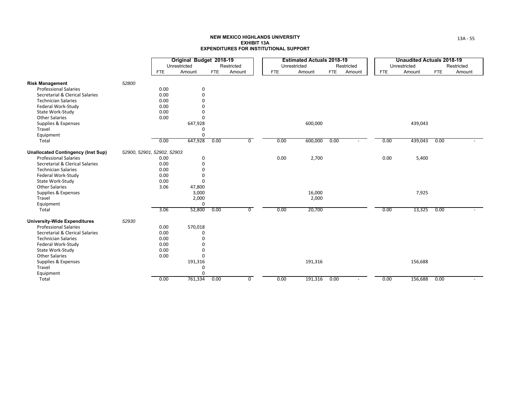|                                                        |       |                            | Original Budget 2018-19 |      |                |            | <b>Estimated Actuals 2018-19</b> |            |            |            | <b>Unaudited Actuals 2018-19</b> |            |            |
|--------------------------------------------------------|-------|----------------------------|-------------------------|------|----------------|------------|----------------------------------|------------|------------|------------|----------------------------------|------------|------------|
|                                                        |       |                            | Unrestricted            |      | Restricted     |            | Unrestricted                     |            | Restricted |            | Unrestricted                     |            | Restricted |
|                                                        |       | <b>FTE</b>                 | Amount                  | FTE  | Amount         | <b>FTE</b> | Amount                           | <b>FTE</b> | Amount     | <b>FTE</b> | Amount                           | <b>FTE</b> | Amount     |
|                                                        | 52800 |                            |                         |      |                |            |                                  |            |            |            |                                  |            |            |
| <b>Risk Management</b><br><b>Professional Salaries</b> |       | 0.00                       |                         |      |                |            |                                  |            |            |            |                                  |            |            |
|                                                        |       |                            | 0<br>$\Omega$           |      |                |            |                                  |            |            |            |                                  |            |            |
| Secretarial & Clerical Salaries                        |       | 0.00                       |                         |      |                |            |                                  |            |            |            |                                  |            |            |
| <b>Technician Salaries</b>                             |       | 0.00                       | $\Omega$                |      |                |            |                                  |            |            |            |                                  |            |            |
| Federal Work-Study                                     |       | 0.00                       |                         |      |                |            |                                  |            |            |            |                                  |            |            |
| State Work-Study                                       |       | 0.00                       |                         |      |                |            |                                  |            |            |            |                                  |            |            |
| <b>Other Salaries</b>                                  |       | 0.00                       |                         |      |                |            |                                  |            |            |            |                                  |            |            |
| Supplies & Expenses                                    |       |                            | 647,928                 |      |                |            | 600,000                          |            |            |            | 439,043                          |            |            |
| Travel                                                 |       |                            | <sup>0</sup>            |      |                |            |                                  |            |            |            |                                  |            |            |
| Equipment                                              |       |                            | $\Omega$                |      |                |            |                                  |            |            |            |                                  |            |            |
| Total                                                  |       | 0.00                       | 647,928                 | 0.00 | $\overline{0}$ | 0.00       | 600,000                          | 0.00       |            | 0.00       | 439,043                          | 0.00       |            |
| <b>Unallocated Contingency (Inst Sup)</b>              |       | 52900, 52901, 52902, 52903 |                         |      |                |            |                                  |            |            |            |                                  |            |            |
| <b>Professional Salaries</b>                           |       | 0.00                       | $\mathbf 0$             |      |                | 0.00       | 2,700                            |            |            | 0.00       | 5,400                            |            |            |
| Secretarial & Clerical Salaries                        |       | 0.00                       | $\Omega$                |      |                |            |                                  |            |            |            |                                  |            |            |
| <b>Technician Salaries</b>                             |       | 0.00                       |                         |      |                |            |                                  |            |            |            |                                  |            |            |
| Federal Work-Study                                     |       | 0.00                       |                         |      |                |            |                                  |            |            |            |                                  |            |            |
| State Work-Study                                       |       | 0.00                       | $\Omega$                |      |                |            |                                  |            |            |            |                                  |            |            |
| <b>Other Salaries</b>                                  |       | 3.06                       | 47,800                  |      |                |            |                                  |            |            |            |                                  |            |            |
| Supplies & Expenses                                    |       |                            | 3,000                   |      |                |            | 16,000                           |            |            |            | 7,925                            |            |            |
| Travel                                                 |       |                            | 2,000                   |      |                |            | 2,000                            |            |            |            |                                  |            |            |
| Equipment                                              |       |                            | $\Omega$                |      |                |            |                                  |            |            |            |                                  |            |            |
| Total                                                  |       | 3.06                       | 52,800                  | 0.00 | 0              | 0.00       | 20,700                           |            |            | 0.00       | 13,325                           | 0.00       |            |
| <b>University-Wide Expenditures</b>                    | 52930 |                            |                         |      |                |            |                                  |            |            |            |                                  |            |            |
| <b>Professional Salaries</b>                           |       | 0.00                       | 570,018                 |      |                |            |                                  |            |            |            |                                  |            |            |
| Secretarial & Clerical Salaries                        |       | 0.00                       |                         |      |                |            |                                  |            |            |            |                                  |            |            |
| <b>Technician Salaries</b>                             |       | 0.00                       | $\Omega$                |      |                |            |                                  |            |            |            |                                  |            |            |
| Federal Work-Study                                     |       | 0.00                       | $\Omega$                |      |                |            |                                  |            |            |            |                                  |            |            |
| State Work-Study                                       |       | 0.00                       | $\Omega$                |      |                |            |                                  |            |            |            |                                  |            |            |
| <b>Other Salaries</b>                                  |       | 0.00                       | O                       |      |                |            |                                  |            |            |            |                                  |            |            |
| Supplies & Expenses                                    |       |                            | 191,316                 |      |                |            | 191,316                          |            |            |            | 156,688                          |            |            |
| Travel                                                 |       |                            | $\Omega$                |      |                |            |                                  |            |            |            |                                  |            |            |
| Equipment                                              |       |                            | $\Omega$                |      |                |            |                                  |            |            |            |                                  |            |            |
| Total                                                  |       | 0.00                       | 761,334                 | 0.00 | 0              | 0.00       | 191,316                          | 0.00       | $\sim$     | 0.00       | 156,688                          | 0.00       |            |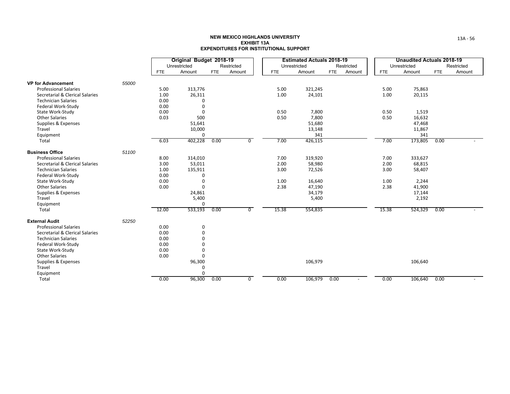|                                 |       |            | Original Budget 2018-19 |            |            |            | <b>Estimated Actuals 2018-19</b> |            |                          |            | Unaudited Actuals 2018-19 |            |            |
|---------------------------------|-------|------------|-------------------------|------------|------------|------------|----------------------------------|------------|--------------------------|------------|---------------------------|------------|------------|
|                                 |       |            | Unrestricted            |            | Restricted |            | Unrestricted                     |            | Restricted               |            | Unrestricted              |            | Restricted |
|                                 |       | <b>FTE</b> | Amount                  | <b>FTE</b> | Amount     | <b>FTE</b> | Amount                           | <b>FTE</b> | Amount                   | <b>FTE</b> | Amount                    | <b>FTE</b> | Amount     |
| <b>VP for Advancement</b>       | 55000 |            |                         |            |            |            |                                  |            |                          |            |                           |            |            |
| <b>Professional Salaries</b>    |       | 5.00       | 313,776                 |            |            | 5.00       | 321,245                          |            |                          | 5.00       | 75,863                    |            |            |
| Secretarial & Clerical Salaries |       | 1.00       | 26,311                  |            |            | 1.00       | 24,101                           |            |                          | 1.00       | 20,115                    |            |            |
| <b>Technician Salaries</b>      |       | 0.00       | $\Omega$                |            |            |            |                                  |            |                          |            |                           |            |            |
| Federal Work-Study              |       | 0.00       | $\Omega$                |            |            |            |                                  |            |                          |            |                           |            |            |
| State Work-Study                |       | 0.00       | $\Omega$                |            |            | 0.50       | 7,800                            |            |                          | 0.50       | 1,519                     |            |            |
| <b>Other Salaries</b>           |       | 0.03       | 500                     |            |            | 0.50       | 7,800                            |            |                          | 0.50       | 16,632                    |            |            |
| Supplies & Expenses             |       |            | 51,641                  |            |            |            | 51,680                           |            |                          |            | 47,468                    |            |            |
| Travel                          |       |            | 10,000                  |            |            |            | 13,148                           |            |                          |            | 11,867                    |            |            |
| Equipment                       |       |            | 0                       |            |            |            | 341                              |            |                          |            | 341                       |            |            |
| Total                           |       | 6.03       | 402,228                 | 0.00       | 0          | 7.00       | 426,115                          |            |                          | 7.00       | 173,805                   | 0.00       |            |
| <b>Business Office</b>          | 51100 |            |                         |            |            |            |                                  |            |                          |            |                           |            |            |
| <b>Professional Salaries</b>    |       | 8.00       | 314,010                 |            |            | 7.00       | 319,920                          |            |                          | 7.00       | 333,627                   |            |            |
| Secretarial & Clerical Salaries |       | 3.00       | 53,011                  |            |            | 2.00       | 58,980                           |            |                          | 2.00       | 68,815                    |            |            |
| <b>Technician Salaries</b>      |       | 1.00       | 135,911                 |            |            | 3.00       | 72,526                           |            |                          | 3.00       | 58,407                    |            |            |
| Federal Work-Study              |       | 0.00       | $\Omega$                |            |            |            |                                  |            |                          |            |                           |            |            |
| State Work-Study                |       | 0.00       | $\Omega$                |            |            | 1.00       | 16,640                           |            |                          | 1.00       | 2,244                     |            |            |
| <b>Other Salaries</b>           |       | 0.00       | $\Omega$                |            |            | 2.38       | 47,190                           |            |                          | 2.38       | 41,900                    |            |            |
| Supplies & Expenses             |       |            | 24,861                  |            |            |            | 34,179                           |            |                          |            | 17,144                    |            |            |
| Travel                          |       |            | 5,400                   |            |            |            | 5,400                            |            |                          |            | 2,192                     |            |            |
| Equipment                       |       |            | $\Omega$                |            |            |            |                                  |            |                          |            |                           |            |            |
| Total                           |       | 12.00      | 533,193                 | 0.00       | 0          | 15.38      | 554,835                          |            |                          | 15.38      | 524,329                   | 0.00       |            |
| <b>External Audit</b>           | 52250 |            |                         |            |            |            |                                  |            |                          |            |                           |            |            |
| <b>Professional Salaries</b>    |       | 0.00       | 0                       |            |            |            |                                  |            |                          |            |                           |            |            |
| Secretarial & Clerical Salaries |       | 0.00       | 0                       |            |            |            |                                  |            |                          |            |                           |            |            |
| <b>Technician Salaries</b>      |       | 0.00       | $\Omega$                |            |            |            |                                  |            |                          |            |                           |            |            |
| Federal Work-Study              |       | 0.00       | $\Omega$                |            |            |            |                                  |            |                          |            |                           |            |            |
| State Work-Study                |       | 0.00       | 0                       |            |            |            |                                  |            |                          |            |                           |            |            |
| <b>Other Salaries</b>           |       | 0.00       | 0                       |            |            |            |                                  |            |                          |            |                           |            |            |
| Supplies & Expenses             |       |            | 96,300                  |            |            |            | 106,979                          |            |                          |            | 106,640                   |            |            |
| Travel                          |       |            | 0                       |            |            |            |                                  |            |                          |            |                           |            |            |
| Equipment                       |       |            | $\Omega$                |            |            |            |                                  |            |                          |            |                           |            |            |
| Total                           |       | 0.00       | 96,300                  | 0.00       | 0          | 0.00       | 106,979                          | 0.00       | $\overline{\phantom{a}}$ | 0.00       | 106,640                   | 0.00       |            |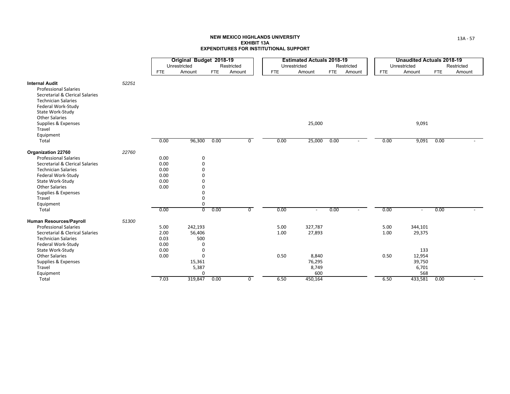|                                                                                                                                                       |            | Original Budget 2018-19 |            |                |            |      | <b>Estimated Actuals 2018-19</b> |      |            |            | <b>Unaudited Actuals 2018-19</b> |                      |  |
|-------------------------------------------------------------------------------------------------------------------------------------------------------|------------|-------------------------|------------|----------------|------------|------|----------------------------------|------|------------|------------|----------------------------------|----------------------|--|
|                                                                                                                                                       |            | Unrestricted            |            | Restricted     |            |      | Unrestricted                     |      | Restricted |            | Unrestricted                     | Restricted           |  |
|                                                                                                                                                       | <b>FTE</b> | Amount                  | <b>FTE</b> | Amount         | <b>FTE</b> |      | Amount                           | FTE  | Amount     | <b>FTE</b> | Amount                           | Amount<br><b>FTE</b> |  |
| 52251<br><b>Internal Audit</b><br><b>Professional Salaries</b><br>Secretarial & Clerical Salaries<br><b>Technician Salaries</b><br>Federal Work-Study |            |                         |            |                |            |      |                                  |      |            |            |                                  |                      |  |
| State Work-Study<br><b>Other Salaries</b><br>Supplies & Expenses<br>Travel<br>Equipment                                                               |            |                         |            |                |            |      | 25,000                           |      |            |            | 9,091                            |                      |  |
| Total                                                                                                                                                 | 0.00       | 96,300                  | 0.00       | $\overline{0}$ |            | 0.00 | 25,000                           | 0.00 |            | 0.00       | 9,091 0.00                       |                      |  |
| 22760<br>Organization 22760                                                                                                                           |            |                         |            |                |            |      |                                  |      |            |            |                                  |                      |  |
| <b>Professional Salaries</b>                                                                                                                          | 0.00       | 0                       |            |                |            |      |                                  |      |            |            |                                  |                      |  |
| Secretarial & Clerical Salaries                                                                                                                       | 0.00       | 0                       |            |                |            |      |                                  |      |            |            |                                  |                      |  |
| <b>Technician Salaries</b>                                                                                                                            | 0.00       | $\mathbf 0$             |            |                |            |      |                                  |      |            |            |                                  |                      |  |
| Federal Work-Study                                                                                                                                    | 0.00       | $\Omega$                |            |                |            |      |                                  |      |            |            |                                  |                      |  |
| State Work-Study                                                                                                                                      | 0.00       | $\Omega$                |            |                |            |      |                                  |      |            |            |                                  |                      |  |
| <b>Other Salaries</b>                                                                                                                                 | 0.00       | $\Omega$                |            |                |            |      |                                  |      |            |            |                                  |                      |  |
|                                                                                                                                                       |            | 0                       |            |                |            |      |                                  |      |            |            |                                  |                      |  |
| Supplies & Expenses                                                                                                                                   |            |                         |            |                |            |      |                                  |      |            |            |                                  |                      |  |
| Travel                                                                                                                                                |            | 0                       |            |                |            |      |                                  |      |            |            |                                  |                      |  |
| Equipment                                                                                                                                             |            | 0                       |            |                |            |      |                                  |      |            |            |                                  |                      |  |
| Total                                                                                                                                                 | 0.00       | $\overline{0}$          | 0.00       | $\overline{0}$ |            | 0.00 |                                  | 0.00 |            | 0.00       |                                  | 0.00                 |  |
| 51300<br>Human Resources/Payroll                                                                                                                      |            |                         |            |                |            |      |                                  |      |            |            |                                  |                      |  |
| <b>Professional Salaries</b>                                                                                                                          | 5.00       | 242,193                 |            |                |            | 5.00 | 327,787                          |      |            | 5.00       | 344,101                          |                      |  |
| Secretarial & Clerical Salaries                                                                                                                       | 2.00       | 56,406                  |            |                |            | 1.00 | 27,893                           |      |            | 1.00       | 29,375                           |                      |  |
| <b>Technician Salaries</b>                                                                                                                            | 0.03       | 500                     |            |                |            |      |                                  |      |            |            |                                  |                      |  |
| Federal Work-Study                                                                                                                                    | 0.00       | 0                       |            |                |            |      |                                  |      |            |            |                                  |                      |  |
| State Work-Study                                                                                                                                      | 0.00       | 0                       |            |                |            |      |                                  |      |            |            | 133                              |                      |  |
| <b>Other Salaries</b>                                                                                                                                 | 0.00       | $\Omega$                |            |                |            | 0.50 | 8,840                            |      |            | 0.50       | 12,954                           |                      |  |
| Supplies & Expenses                                                                                                                                   |            | 15,361                  |            |                |            |      | 76,295                           |      |            |            | 39,750                           |                      |  |
| Travel                                                                                                                                                |            | 5,387                   |            |                |            |      | 8,749                            |      |            |            | 6,701                            |                      |  |
| Equipment                                                                                                                                             |            | 0                       |            |                |            |      | 600                              |      |            |            | 568                              |                      |  |
| Total                                                                                                                                                 | 7.03       | 319,847                 | 0.00       | $\mathbf{0}$   |            | 6.50 | 450,164                          |      |            | 6.50       | 433,581                          | 0.00                 |  |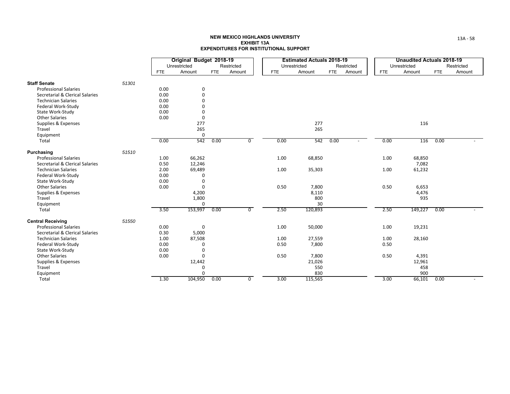|                                 |       |            | Original Budget 2018-19 |            |                |            | <b>Estimated Actuals 2018-19</b> |            |            |            | <b>Unaudited Actuals 2018-19</b> |            |            |
|---------------------------------|-------|------------|-------------------------|------------|----------------|------------|----------------------------------|------------|------------|------------|----------------------------------|------------|------------|
|                                 |       |            | Unrestricted            |            | Restricted     |            | Unrestricted                     |            | Restricted |            | Unrestricted                     |            | Restricted |
|                                 |       | <b>FTE</b> | Amount                  | <b>FTE</b> | Amount         | <b>FTE</b> | Amount                           | <b>FTE</b> | Amount     | <b>FTE</b> | Amount                           | <b>FTE</b> | Amount     |
| <b>Staff Senate</b>             | 51301 |            |                         |            |                |            |                                  |            |            |            |                                  |            |            |
| <b>Professional Salaries</b>    |       | 0.00       | 0                       |            |                |            |                                  |            |            |            |                                  |            |            |
| Secretarial & Clerical Salaries |       | 0.00       | 0                       |            |                |            |                                  |            |            |            |                                  |            |            |
| <b>Technician Salaries</b>      |       | 0.00       | 0                       |            |                |            |                                  |            |            |            |                                  |            |            |
| Federal Work-Study              |       | 0.00       | O                       |            |                |            |                                  |            |            |            |                                  |            |            |
| State Work-Study                |       | 0.00       | 0                       |            |                |            |                                  |            |            |            |                                  |            |            |
| <b>Other Salaries</b>           |       | 0.00       | 0                       |            |                |            |                                  |            |            |            |                                  |            |            |
| Supplies & Expenses             |       |            | 277                     |            |                |            | 277                              |            |            |            | 116                              |            |            |
| Travel                          |       |            | 265                     |            |                |            | 265                              |            |            |            |                                  |            |            |
| Equipment                       |       |            | 0                       |            |                |            |                                  |            |            |            |                                  |            |            |
| Total                           |       | 0.00       | 542                     | 0.00       | 0              | 0.00       | 542                              | 0.00       |            | 0.00       | 116                              | 0.00       |            |
| Purchasing                      | 51510 |            |                         |            |                |            |                                  |            |            |            |                                  |            |            |
| <b>Professional Salaries</b>    |       | 1.00       | 66,262                  |            |                | 1.00       | 68,850                           |            |            | 1.00       | 68,850                           |            |            |
| Secretarial & Clerical Salaries |       | 0.50       | 12,246                  |            |                |            |                                  |            |            |            | 7,082                            |            |            |
| <b>Technician Salaries</b>      |       | 2.00       | 69,489                  |            |                | 1.00       | 35,303                           |            |            | 1.00       | 61,232                           |            |            |
| Federal Work-Study              |       | 0.00       | 0                       |            |                |            |                                  |            |            |            |                                  |            |            |
| State Work-Study                |       | 0.00       | 0                       |            |                |            |                                  |            |            |            |                                  |            |            |
| <b>Other Salaries</b>           |       | 0.00       | $\Omega$                |            |                | 0.50       | 7,800                            |            |            | 0.50       | 6,653                            |            |            |
| Supplies & Expenses             |       |            | 4,200                   |            |                |            | 8,110                            |            |            |            | 4,476                            |            |            |
| Travel                          |       |            | 1,800                   |            |                |            | 800                              |            |            |            | 935                              |            |            |
| Equipment                       |       |            | 0                       |            |                |            | 30                               |            |            |            |                                  |            |            |
| Total                           |       | 3.50       | 153,997                 | 0.00       | $\overline{0}$ | 2.50       | 120,893                          |            |            | 2.50       | 149,227                          | 0.00       |            |
| <b>Central Receiving</b>        | 51550 |            |                         |            |                |            |                                  |            |            |            |                                  |            |            |
| <b>Professional Salaries</b>    |       | 0.00       | 0                       |            |                | 1.00       | 50,000                           |            |            | 1.00       | 19,231                           |            |            |
| Secretarial & Clerical Salaries |       | 0.30       | 5,000                   |            |                |            |                                  |            |            |            |                                  |            |            |
| <b>Technician Salaries</b>      |       | 1.00       | 87,508                  |            |                | 1.00       | 27,559                           |            |            | 1.00       | 28,160                           |            |            |
| Federal Work-Study              |       | 0.00       | 0                       |            |                | 0.50       | 7,800                            |            |            | 0.50       |                                  |            |            |
| State Work-Study                |       | 0.00       | 0                       |            |                |            |                                  |            |            |            |                                  |            |            |
| <b>Other Salaries</b>           |       | 0.00       | 0                       |            |                | 0.50       | 7,800                            |            |            | 0.50       | 4,391                            |            |            |
| Supplies & Expenses             |       |            | 12,442                  |            |                |            | 21,026                           |            |            |            | 12,961                           |            |            |
| Travel                          |       |            | 0                       |            |                |            | 550                              |            |            |            | 458                              |            |            |
| Equipment                       |       |            | 0                       |            |                |            | 830                              |            |            |            | 900                              |            |            |
| Total                           |       | 1.30       | 104,950                 | 0.00       | $\overline{0}$ | 3.00       | 115,565                          |            |            | 3.00       | 66,101                           | 0.00       |            |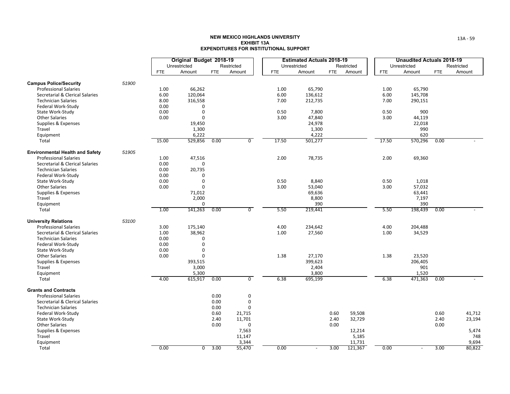|                                        |       |            | Original Budget 2018-19 |            |                 |            | <b>Estimated Actuals 2018-19</b> |            |                 |            | <b>Unaudited Actuals 2018-19</b> |            |              |
|----------------------------------------|-------|------------|-------------------------|------------|-----------------|------------|----------------------------------|------------|-----------------|------------|----------------------------------|------------|--------------|
|                                        |       |            | Unrestricted            |            | Restricted      |            | Unrestricted                     |            | Restricted      |            | Unrestricted                     |            | Restricted   |
|                                        |       | <b>FTE</b> | Amount                  | <b>FTE</b> | Amount          | <b>FTE</b> | Amount                           | <b>FTE</b> | Amount          | <b>FTE</b> | Amount                           | <b>FTE</b> | Amount       |
| <b>Campus Police/Security</b>          | 51900 |            |                         |            |                 |            |                                  |            |                 |            |                                  |            |              |
| <b>Professional Salaries</b>           |       | 1.00       | 66,262                  |            |                 | 1.00       | 65,790                           |            |                 | 1.00       | 65,790                           |            |              |
| Secretarial & Clerical Salaries        |       | 6.00       | 120,064                 |            |                 | 6.00       | 136,612                          |            |                 | 6.00       | 145,708                          |            |              |
| <b>Technician Salaries</b>             |       | 8.00       | 316,558                 |            |                 | 7.00       | 212,735                          |            |                 | 7.00       | 290,151                          |            |              |
| Federal Work-Study                     |       | 0.00       | $\Omega$                |            |                 |            |                                  |            |                 |            |                                  |            |              |
| State Work-Study                       |       | 0.00       | $\mathbf 0$             |            |                 | 0.50       | 7,800                            |            |                 | 0.50       | 900                              |            |              |
| <b>Other Salaries</b>                  |       | 0.00       | $\Omega$                |            |                 | 3.00       | 47,840                           |            |                 | 3.00       | 44,119                           |            |              |
| Supplies & Expenses                    |       |            | 19,450                  |            |                 |            | 24,978                           |            |                 |            | 22,018                           |            |              |
| Travel                                 |       |            | 1,300                   |            |                 |            | 1,300                            |            |                 |            | 990                              |            |              |
| Equipment                              |       |            | 6,222                   |            |                 |            | 4,222                            |            |                 |            | 620                              |            |              |
| Total                                  |       | 15.00      | 529,856                 | 0.00       | $\overline{0}$  | 17.50      | 501,277                          |            |                 | 17.50      | 570,296                          | 0.00       |              |
| <b>Environmental Health and Safety</b> | 51905 |            |                         |            |                 |            |                                  |            |                 |            |                                  |            |              |
| <b>Professional Salaries</b>           |       | 1.00       | 47,516                  |            |                 | 2.00       | 78,735                           |            |                 | 2.00       | 69,360                           |            |              |
| Secretarial & Clerical Salaries        |       | 0.00       | $\Omega$                |            |                 |            |                                  |            |                 |            |                                  |            |              |
| <b>Technician Salaries</b>             |       | 0.00       | 20,735                  |            |                 |            |                                  |            |                 |            |                                  |            |              |
| Federal Work-Study                     |       | 0.00       | 0                       |            |                 |            |                                  |            |                 |            |                                  |            |              |
| State Work-Study                       |       | 0.00       | $\mathbf 0$             |            |                 | 0.50       | 8,840                            |            |                 | 0.50       | 1,018                            |            |              |
| <b>Other Salaries</b>                  |       | 0.00       | $\mathbf 0$             |            |                 | 3.00       | 53,040                           |            |                 | 3.00       | 57,032                           |            |              |
| Supplies & Expenses                    |       |            | 71,012                  |            |                 |            | 69,636                           |            |                 |            | 63,441                           |            |              |
| Travel                                 |       |            | 2,000                   |            |                 |            | 8,800                            |            |                 |            | 7,197                            |            |              |
| Equipment                              |       |            | 0                       |            |                 |            | 390                              |            |                 |            | 390                              |            |              |
| Total                                  |       | 1.00       | 141,263                 | 0.00       | $\overline{0}$  | 5.50       | 219,441                          |            |                 | 5.50       | 198,439                          | 0.00       |              |
| <b>University Relations</b>            | 53100 |            |                         |            |                 |            |                                  |            |                 |            |                                  |            |              |
| <b>Professional Salaries</b>           |       | 3.00       | 175,140                 |            |                 | 4.00       | 234,642                          |            |                 | 4.00       | 204,488                          |            |              |
| Secretarial & Clerical Salaries        |       | 1.00       | 38,962                  |            |                 | 1.00       | 27,560                           |            |                 | 1.00       | 34,529                           |            |              |
| <b>Technician Salaries</b>             |       | 0.00       | 0                       |            |                 |            |                                  |            |                 |            |                                  |            |              |
| Federal Work-Study                     |       | 0.00       | $\mathbf 0$             |            |                 |            |                                  |            |                 |            |                                  |            |              |
| State Work-Study                       |       | 0.00       | $\mathbf 0$             |            |                 |            |                                  |            |                 |            |                                  |            |              |
| <b>Other Salaries</b>                  |       | 0.00       | $\mathbf 0$             |            |                 | 1.38       | 27,170                           |            |                 | 1.38       | 23,520                           |            |              |
| Supplies & Expenses                    |       |            | 393,515                 |            |                 |            | 399,623                          |            |                 |            | 206,405                          |            |              |
| Travel                                 |       |            | 3,000                   |            |                 |            | 2,404                            |            |                 |            | 901                              |            |              |
| Equipment                              |       |            | 5,300                   |            | $\overline{0}$  |            | 3,800                            |            |                 |            | 1,520                            |            |              |
| Total                                  |       | 4.00       | 615,917                 | 0.00       |                 | 6.38       | 695,199                          |            |                 | 6.38       | 471,363                          | 0.00       |              |
| <b>Grants and Contracts</b>            |       |            |                         |            |                 |            |                                  |            |                 |            |                                  |            |              |
| <b>Professional Salaries</b>           |       |            |                         | 0.00       | $\mathsf 0$     |            |                                  |            |                 |            |                                  |            |              |
| Secretarial & Clerical Salaries        |       |            |                         | 0.00       | 0               |            |                                  |            |                 |            |                                  |            |              |
| <b>Technician Salaries</b>             |       |            |                         | 0.00       | $\Omega$        |            |                                  |            |                 |            |                                  |            |              |
| Federal Work-Study                     |       |            |                         | 0.60       | 21,715          |            |                                  | 0.60       | 59,508          |            |                                  | 0.60       | 41,712       |
| State Work-Study                       |       |            |                         | 2.40       | 11,701          |            |                                  | 2.40       | 32,729          |            |                                  | 2.40       | 23,194       |
| <b>Other Salaries</b>                  |       |            |                         | 0.00       | $\mathbf 0$     |            |                                  | 0.00       |                 |            |                                  | 0.00       |              |
| Supplies & Expenses<br>Travel          |       |            |                         |            | 7,563<br>11,147 |            |                                  |            | 12,214<br>5,185 |            |                                  |            | 5,474<br>748 |
| Equipment                              |       |            |                         |            | 3,344           |            |                                  |            | 11,731          |            |                                  |            | 9,694        |
| Total                                  |       | 0.00       | $\overline{0}$          | 3.00       | 55,470          | 0.00       | $\overline{\phantom{a}}$         | 3.00       | 121,367         | 0.00       |                                  | 3.00       | 80,822       |
|                                        |       |            |                         |            |                 |            |                                  |            |                 |            |                                  |            |              |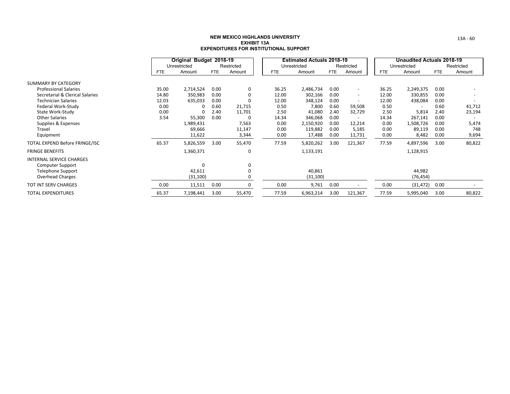|                                 |            | Original Budget 2018-19 |            |            |  |            | <b>Estimated Actuals 2018-19</b> |      |                          |            | <b>Unaudited Actuals 2018-19</b> |            |            |
|---------------------------------|------------|-------------------------|------------|------------|--|------------|----------------------------------|------|--------------------------|------------|----------------------------------|------------|------------|
|                                 |            | Unrestricted            |            | Restricted |  |            | Unrestricted                     |      | Restricted               |            | Unrestricted                     |            | Restricted |
|                                 | <b>FTE</b> | Amount                  | <b>FTE</b> | Amount     |  | <b>FTE</b> | Amount                           | FTE  | Amount                   | <b>FTE</b> | Amount                           | <b>FTE</b> | Amount     |
| <b>SUMMARY BY CATEGORY</b>      |            |                         |            |            |  |            |                                  |      |                          |            |                                  |            |            |
| <b>Professional Salaries</b>    | 35.00      | 2,714,524               | 0.00       | 0          |  | 36.25      | 2,486,734                        | 0.00 | $\sim$                   | 36.25      | 2,249,375                        | 0.00       |            |
| Secretarial & Clerical Salaries | 14.80      | 350,983                 | 0.00       | 0          |  | 12.00      | 302,166                          | 0.00 | $\overline{\phantom{a}}$ | 12.00      | 330,855                          | 0.00       |            |
| <b>Technician Salaries</b>      | 12.03      | 635,033                 | 0.00       | 0          |  | 12.00      | 348,124                          | 0.00 | $\overline{\phantom{a}}$ | 12.00      | 438,084                          | 0.00       |            |
| Federal Work-Study              | 0.00       | O                       | 0.60       | 21,715     |  | 0.50       | 7,800                            | 0.60 | 59,508                   | 0.50       |                                  | 0.60       | 41,712     |
| State Work-Study                | 0.00       | O                       | 2.40       | 11,701     |  | 2.50       | 41,080                           | 2.40 | 32,729                   | 2.50       | 5,814                            | 2.40       | 23,194     |
| <b>Other Salaries</b>           | 3.54       | 55,300                  | 0.00       | 0          |  | 14.34      | 346,068                          | 0.00 | $\overline{\phantom{a}}$ | 14.34      | 267,141                          | 0.00       |            |
| Supplies & Expenses             |            | 1,989,431               |            | 7,563      |  | 0.00       | 2,150,920                        | 0.00 | 12,214                   | 0.00       | 1,508,726                        | 0.00       | 5,474      |
| Travel                          |            | 69,666                  |            | 11,147     |  | 0.00       | 119,882                          | 0.00 | 5,185                    | 0.00       | 89,119                           | 0.00       | 748        |
| Equipment                       |            | 11,622                  |            | 3,344      |  | 0.00       | 17,488                           | 0.00 | 11,731                   | 0.00       | 8,482                            | 0.00       | 9,694      |
| TOTAL EXPEND Before FRINGE/ISC  | 65.37      | 5,826,559               | 3.00       | 55,470     |  | 77.59      | 5,820,262                        | 3.00 | 121,367                  | 77.59      | 4,897,596                        | 3.00       | 80,822     |
| <b>FRINGE BENEFITS</b>          |            | 1,360,371               |            | 0          |  |            | 1,133,191                        |      |                          |            | 1,128,915                        |            |            |
| <b>INTERNAL SERVICE CHARGES</b> |            |                         |            |            |  |            |                                  |      |                          |            |                                  |            |            |
| <b>Computer Support</b>         |            | O                       |            | 0          |  |            |                                  |      |                          |            |                                  |            |            |
| <b>Telephone Support</b>        |            | 42,611                  |            | 0          |  |            | 40,861                           |      |                          |            | 44,982                           |            |            |
| Overhead Charges                |            | (31, 100)               |            | 0          |  |            | (31, 100)                        |      |                          |            | (76, 454)                        |            |            |
| TOT INT SERV CHARGES            | 0.00       | 11,511                  | 0.00       | 0          |  | 0.00       | 9,761                            | 0.00 |                          | 0.00       | (31, 472)                        | 0.00       |            |
| <b>TOTAL EXPENDITURES</b>       | 65.37      | 7,198,441               | 3.00       | 55,470     |  | 77.59      | 6,963,214                        | 3.00 | 121,367                  | 77.59      | 5,995,040                        | 3.00       | 80,822     |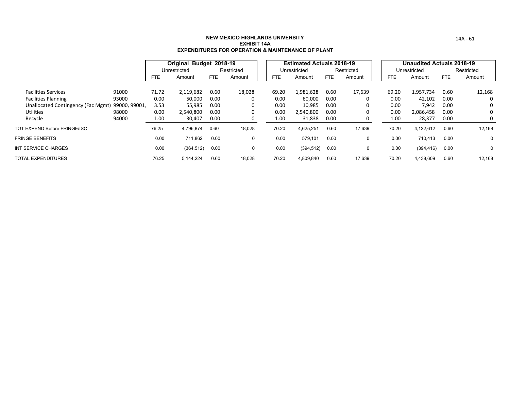|                                                 |       |            | Original Budget 2018-19 |      |            |       | <b>Estimated Actuals 2018-19</b> |      |            |       | <b>Unaudited Actuals 2018-19</b> |      |            |
|-------------------------------------------------|-------|------------|-------------------------|------|------------|-------|----------------------------------|------|------------|-------|----------------------------------|------|------------|
|                                                 |       |            | Unrestricted            |      | Restricted |       | Unrestricted                     |      | Restricted |       | Unrestricted                     |      | Restricted |
|                                                 |       | <b>FTE</b> | Amount                  | FTE  | Amount     | FTE   | Amount                           | FTE  | Amount     | FTE   | Amount                           | FTE  | Amount     |
|                                                 |       |            |                         |      |            |       |                                  |      |            |       |                                  |      |            |
| <b>Facilities Services</b>                      | 91000 | 71.72      | 2,119,682               | 0.60 | 18,028     | 69.20 | 1,981,628                        | 0.60 | 17,639     | 69.20 | 1,957,734                        | 0.60 | 12,168     |
| <b>Facilities Planning</b>                      | 93000 | 0.00       | 50,000                  | 0.00 |            | 0.00  | 60,000                           | 0.00 | 0          | 0.00  | 42,102                           | 0.00 | 0          |
| Unallocated Contingency (Fac Mgmt) 99000, 99001 |       | 3.53       | 55,985                  | 0.00 |            | 0.00  | 10,985                           | 0.00 | 0          | 0.00  | 7,942                            | 0.00 | 0          |
| <b>Utilities</b>                                | 98000 | 0.00       | 2,540,800               | 0.00 |            | 0.00  | 2,540,800                        | 0.00 | 0          | 0.00  | 2,086,458                        | 0.00 | 0          |
| Recycle                                         | 94000 | 1.00       | 30,407                  | 0.00 |            | 1.00  | 31,838                           | 0.00 | 0          | 1.00  | 28,377                           | 0.00 | 0          |
| TOT EXPEND Before FRINGE/ISC                    |       | 76.25      | 4,796,874               | 0.60 | 18,028     | 70.20 | 4,625,251                        | 0.60 | 17,639     | 70.20 | 4,122,612                        | 0.60 | 12,168     |
| <b>FRINGE BENEFITS</b>                          |       | 0.00       | 711,862                 | 0.00 |            | 0.00  | 579,101                          | 0.00 | 0          | 0.00  | 710,413                          | 0.00 | 0          |
| INT SERVICE CHARGES                             |       | 0.00       | (364, 512)              | 0.00 |            | 0.00  | (394, 512)                       | 0.00 |            | 0.00  | (394, 416)                       | 0.00 | 0          |
| TOTAL EXPENDITURES                              |       | 76.25      | 5,144,224               | 0.60 | 18,028     | 70.20 | 4,809,840                        | 0.60 | 17,639     | 70.20 | 4,438,609                        | 0.60 | 12,168     |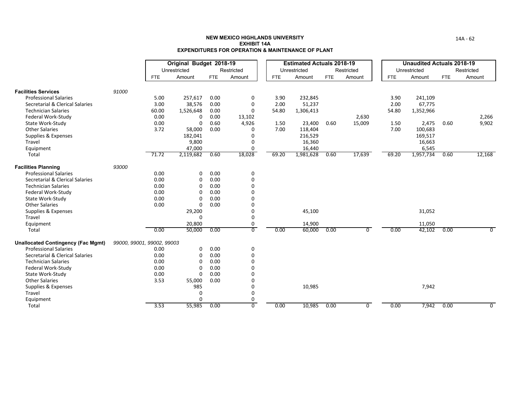|                                                            |                            |               | Original Budget 2018-19 |              |                 |              | <b>Estimated Actuals 2018-19</b> |            |            |              | <b>Unaudited Actuals 2018-19</b> |            |                |
|------------------------------------------------------------|----------------------------|---------------|-------------------------|--------------|-----------------|--------------|----------------------------------|------------|------------|--------------|----------------------------------|------------|----------------|
|                                                            |                            |               | Unrestricted            |              | Restricted      |              | Unrestricted                     |            | Restricted |              | Unrestricted                     |            | Restricted     |
|                                                            |                            | <b>FTE</b>    | Amount                  | <b>FTE</b>   | Amount          | <b>FTE</b>   | Amount                           | <b>FTE</b> | Amount     | <b>FTE</b>   | Amount                           | <b>FTE</b> | Amount         |
|                                                            |                            |               |                         |              |                 |              |                                  |            |            |              |                                  |            |                |
| <b>Facilities Services</b><br><b>Professional Salaries</b> | 91000                      |               |                         |              |                 |              |                                  |            |            |              |                                  |            |                |
| Secretarial & Clerical Salaries                            |                            | 5.00          | 257,617                 | 0.00<br>0.00 | 0<br>0          | 3.90<br>2.00 | 232,845                          |            |            | 3.90<br>2.00 | 241,109                          |            |                |
| <b>Technician Salaries</b>                                 |                            | 3.00<br>60.00 | 38,576<br>1,526,648     | 0.00         | 0               | 54.80        | 51,237<br>1,306,413              |            |            | 54.80        | 67,775                           |            |                |
| Federal Work-Study                                         |                            | 0.00          | 0                       | 0.00         |                 |              |                                  |            | 2,630      |              | 1,352,966                        |            |                |
| State Work-Study                                           |                            | 0.00          | 0                       | 0.60         | 13,102<br>4,926 | 1.50         | 23,400                           | 0.60       | 15,009     | 1.50         | 2,475                            | 0.60       | 2,266<br>9,902 |
| <b>Other Salaries</b>                                      |                            | 3.72          | 58,000                  | 0.00         | 0               | 7.00         | 118,404                          |            |            | 7.00         | 100,683                          |            |                |
| Supplies & Expenses                                        |                            |               | 182,041                 |              | 0               |              | 216,529                          |            |            |              | 169,517                          |            |                |
| Travel                                                     |                            |               | 9,800                   |              | 0               |              | 16,360                           |            |            |              | 16,663                           |            |                |
| Equipment                                                  |                            |               | 47,000                  |              | 0               |              | 16,440                           |            |            |              | 6,545                            |            |                |
| Total                                                      |                            | 71.72         | 2,119,682               | 0.60         | 18,028          | 69.20        | 1,981,628                        | 0.60       | 17,639     | 69.20        | 1,957,734                        | 0.60       | 12,168         |
| <b>Facilities Planning</b>                                 | 93000                      |               |                         |              |                 |              |                                  |            |            |              |                                  |            |                |
| <b>Professional Salaries</b>                               |                            | 0.00          | 0                       | 0.00         | 0               |              |                                  |            |            |              |                                  |            |                |
| Secretarial & Clerical Salaries                            |                            | 0.00          | 0                       | 0.00         | 0               |              |                                  |            |            |              |                                  |            |                |
| <b>Technician Salaries</b>                                 |                            | 0.00          | 0                       | 0.00         | 0               |              |                                  |            |            |              |                                  |            |                |
| Federal Work-Study                                         |                            | 0.00          | $\Omega$                | 0.00         | 0               |              |                                  |            |            |              |                                  |            |                |
| State Work-Study                                           |                            | 0.00          | 0                       | 0.00         | 0               |              |                                  |            |            |              |                                  |            |                |
| <b>Other Salaries</b>                                      |                            | 0.00          | 0                       | 0.00         | 0               |              |                                  |            |            |              |                                  |            |                |
| Supplies & Expenses                                        |                            |               | 29,200                  |              | 0               |              | 45,100                           |            |            |              | 31,052                           |            |                |
| Travel                                                     |                            |               | 0                       |              | 0               |              |                                  |            |            |              |                                  |            |                |
| Equipment                                                  |                            |               | 20,800                  |              | 0               |              | 14,900                           |            |            |              | 11,050                           |            |                |
| Total                                                      |                            | 0.00          | 50,000                  | 0.00         | $\overline{0}$  | 0.00         | 60,000                           | 0.00       | $\Omega$   | 0.00         | 42,102                           | 0.00       | $\Omega$       |
| <b>Unallocated Contingency (Fac Mgmt)</b>                  | 99000, 99001, 99002, 99003 |               |                         |              |                 |              |                                  |            |            |              |                                  |            |                |
| <b>Professional Salaries</b>                               |                            | 0.00          | 0                       | 0.00         | 0               |              |                                  |            |            |              |                                  |            |                |
| Secretarial & Clerical Salaries                            |                            | 0.00          | 0                       | 0.00         | 0               |              |                                  |            |            |              |                                  |            |                |
| <b>Technician Salaries</b>                                 |                            | 0.00          | $\Omega$                | 0.00         | 0               |              |                                  |            |            |              |                                  |            |                |
| Federal Work-Study                                         |                            | 0.00          | 0                       | 0.00         | 0               |              |                                  |            |            |              |                                  |            |                |
| State Work-Study                                           |                            | 0.00          | 0                       | 0.00         | 0               |              |                                  |            |            |              |                                  |            |                |
| <b>Other Salaries</b>                                      |                            | 3.53          | 55,000                  | 0.00         | 0               |              |                                  |            |            |              |                                  |            |                |
| Supplies & Expenses                                        |                            |               | 985                     |              | 0               |              | 10,985                           |            |            |              | 7,942                            |            |                |
| Travel                                                     |                            |               | 0                       |              | 0               |              |                                  |            |            |              |                                  |            |                |
| Equipment                                                  |                            |               | 0                       |              | 0               |              |                                  |            |            |              |                                  |            |                |
| Total                                                      |                            | 3.53          | 55,985                  | 0.00         | 0               | 0.00         | 10,985                           | 0.00       | $\Omega$   | 0.00         | 7,942                            | 0.00       | $\Omega$       |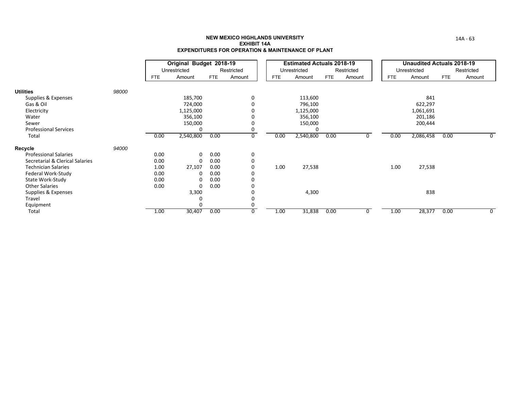|                                 |       |      | Original Budget 2018-19 |            |            |            | <b>Estimated Actuals 2018-19</b> |            |              |            | <b>Unaudited Actuals 2018-19</b> |            |            |
|---------------------------------|-------|------|-------------------------|------------|------------|------------|----------------------------------|------------|--------------|------------|----------------------------------|------------|------------|
|                                 |       |      | Unrestricted            |            | Restricted |            | Unrestricted                     |            | Restricted   |            | Unrestricted                     |            | Restricted |
|                                 |       | FTE  | Amount                  | <b>FTE</b> | Amount     | <b>FTE</b> | Amount                           | <b>FTE</b> | Amount       | <b>FTE</b> | Amount                           | <b>FTE</b> | Amount     |
| <b>Utilities</b>                | 98000 |      |                         |            |            |            |                                  |            |              |            |                                  |            |            |
| Supplies & Expenses             |       |      | 185,700                 |            | 0          |            | 113,600                          |            |              |            | 841                              |            |            |
| Gas & Oil                       |       |      | 724,000                 |            | 0          |            | 796,100                          |            |              |            | 622,297                          |            |            |
| Electricity                     |       |      | 1,125,000               |            |            |            | 1,125,000                        |            |              |            | 1,061,691                        |            |            |
| Water                           |       |      | 356,100                 |            |            |            | 356,100                          |            |              |            | 201,186                          |            |            |
| Sewer                           |       |      | 150,000                 |            | 0          |            | 150,000                          |            |              |            | 200,444                          |            |            |
| <b>Professional Services</b>    |       |      | 0                       |            | 0          |            | 0                                |            |              |            |                                  |            |            |
| Total                           |       | 0.00 | 2,540,800               | 0.00       | 0          | 0.00       | 2,540,800                        | 0.00       | <sup>n</sup> | 0.00       | 2,086,458                        | 0.00       | 0          |
| Recycle                         | 94000 |      |                         |            |            |            |                                  |            |              |            |                                  |            |            |
| <b>Professional Salaries</b>    |       | 0.00 | 0                       | 0.00       | 0          |            |                                  |            |              |            |                                  |            |            |
| Secretarial & Clerical Salaries |       | 0.00 | 0                       | 0.00       | 0          |            |                                  |            |              |            |                                  |            |            |
| <b>Technician Salaries</b>      |       | 1.00 | 27,107                  | 0.00       | 0          | 1.00       | 27,538                           |            |              | 1.00       | 27,538                           |            |            |
| Federal Work-Study              |       | 0.00 | 0                       | 0.00       | 0          |            |                                  |            |              |            |                                  |            |            |
| State Work-Study                |       | 0.00 | 0                       | 0.00       | 0          |            |                                  |            |              |            |                                  |            |            |
| <b>Other Salaries</b>           |       | 0.00 | 0                       | 0.00       |            |            |                                  |            |              |            |                                  |            |            |
| Supplies & Expenses             |       |      | 3,300                   |            |            |            | 4,300                            |            |              |            | 838                              |            |            |
| Travel                          |       |      | 0                       |            | 0          |            |                                  |            |              |            |                                  |            |            |
| Equipment                       |       |      | 0                       |            | 0          |            |                                  |            |              |            |                                  |            |            |
| Total                           |       | 1.00 | 30,407                  | 0.00       | 0          | 1.00       | 31,838                           | 0.00       | 0            | 1.00       | 28,377                           | 0.00       | 0          |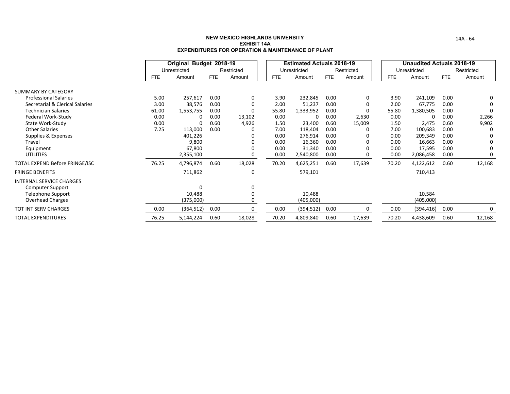|                                 |            | Original Budget 2018-19 |      |            |            | <b>Estimated Actuals 2018-19</b> |      |            |       | <b>Unaudited Actuals 2018-19</b> |            |            |
|---------------------------------|------------|-------------------------|------|------------|------------|----------------------------------|------|------------|-------|----------------------------------|------------|------------|
|                                 |            | Unrestricted            |      | Restricted |            | Unrestricted                     |      | Restricted |       | Unrestricted                     |            | Restricted |
|                                 | <b>FTE</b> | Amount                  | FTE  | Amount     | <b>FTE</b> | Amount                           | FTE  | Amount     | FTE   | Amount                           | <b>FTE</b> | Amount     |
| SUMMARY BY CATEGORY             |            |                         |      |            |            |                                  |      |            |       |                                  |            |            |
| <b>Professional Salaries</b>    | 5.00       | 257,617                 | 0.00 | 0          | 3.90       | 232,845                          | 0.00 | 0          | 3.90  | 241,109                          | 0.00       | 0          |
| Secretarial & Clerical Salaries | 3.00       | 38,576                  | 0.00 | 0          | 2.00       | 51,237                           | 0.00 | 0          | 2.00  | 67,775                           | 0.00       |            |
| <b>Technician Salaries</b>      | 61.00      | 1,553,755               | 0.00 |            | 55.80      | 1,333,952                        | 0.00 | $\Omega$   | 55.80 | 1,380,505                        | 0.00       |            |
| Federal Work-Study              | 0.00       | <sup>0</sup>            | 0.00 | 13,102     | 0.00       | 0                                | 0.00 | 2,630      | 0.00  | 0                                | 0.00       | 2,266      |
| State Work-Study                | 0.00       | <sup>0</sup>            | 0.60 | 4,926      | 1.50       | 23,400                           | 0.60 | 15,009     | 1.50  | 2,475                            | 0.60       | 9,902      |
| <b>Other Salaries</b>           | 7.25       | 113,000                 | 0.00 |            | 7.00       | 118,404                          | 0.00 |            | 7.00  | 100,683                          | 0.00       |            |
| Supplies & Expenses             |            | 401,226                 |      |            | 0.00       | 276,914                          | 0.00 |            | 0.00  | 209,349                          | 0.00       |            |
| Travel                          |            | 9,800                   |      |            | 0.00       | 16,360                           | 0.00 |            | 0.00  | 16,663                           | 0.00       | 0          |
| Equipment                       |            | 67,800                  |      |            | 0.00       | 31,340                           | 0.00 |            | 0.00  | 17,595                           | 0.00       |            |
| <b>UTILITIES</b>                |            | 2,355,100               |      |            | 0.00       | 2,540,800                        | 0.00 |            | 0.00  | 2,086,458                        | 0.00       |            |
| TOTAL EXPEND Before FRINGE/ISC  | 76.25      | 4,796,874               | 0.60 | 18,028     | 70.20      | 4,625,251                        | 0.60 | 17,639     | 70.20 | 4,122,612                        | 0.60       | 12,168     |
| <b>FRINGE BENEFITS</b>          |            | 711,862                 |      | 0          |            | 579,101                          |      |            |       | 710,413                          |            |            |
| <b>INTERNAL SERVICE CHARGES</b> |            |                         |      |            |            |                                  |      |            |       |                                  |            |            |
| <b>Computer Support</b>         |            | $\Omega$                |      | 0          |            |                                  |      |            |       |                                  |            |            |
| <b>Telephone Support</b>        |            | 10,488                  |      |            |            | 10,488                           |      |            |       | 10,584                           |            |            |
| <b>Overhead Charges</b>         |            | (375,000)               |      |            |            | (405,000)                        |      |            |       | (405,000)                        |            |            |
| <b>TOT INT SERV CHARGES</b>     | 0.00       | (364, 512)              | 0.00 | $\Omega$   | 0.00       | (394, 512)                       | 0.00 | O          | 0.00  | (394, 416)                       | 0.00       |            |
| TOTAL EXPENDITURES              | 76.25      | 5,144,224               | 0.60 | 18,028     | 70.20      | 4,809,840                        | 0.60 | 17,639     | 70.20 | 4,438,609                        | 0.60       | 12,168     |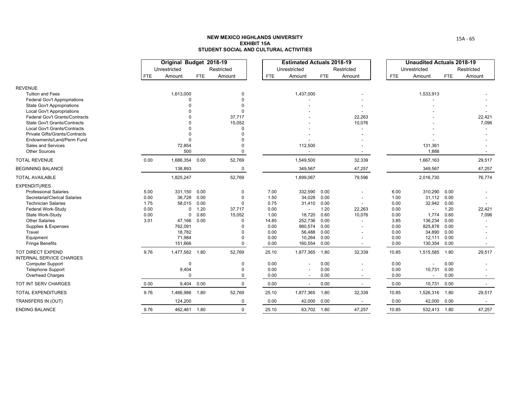|                                                              |            | Original Budget 2018-19 |      |                    |              | <b>Estimated Actuals 2018-19</b> |              |                          |              | <b>Unaudited Actuals 2018-19</b> |              |            |
|--------------------------------------------------------------|------------|-------------------------|------|--------------------|--------------|----------------------------------|--------------|--------------------------|--------------|----------------------------------|--------------|------------|
|                                                              |            | Unrestricted            |      | Restricted         |              | Unrestricted                     |              | Restricted               |              | Unrestricted                     |              | Restricted |
|                                                              | <b>FTE</b> | Amount                  | FTE  | Amount             | <b>FTE</b>   | Amount                           | <b>FTE</b>   | Amount                   | <b>FTE</b>   | Amount                           | <b>FTE</b>   | Amount     |
| <b>REVENUE</b>                                               |            |                         |      |                    |              |                                  |              |                          |              |                                  |              |            |
| <b>Tuition and Fees</b>                                      |            | 1,613,000               |      | $\Omega$           |              | 1,437,000                        |              |                          |              | 1,533,913                        |              |            |
| <b>Federal Gov't Appropriations</b>                          |            |                         |      | $\Omega$           |              |                                  |              |                          |              |                                  |              |            |
| <b>State Gov't Appropriations</b>                            |            |                         |      | $\Omega$           |              |                                  |              |                          |              |                                  |              |            |
| Local Gov't Appropriations                                   |            |                         |      | $\Omega$           |              |                                  |              |                          |              |                                  |              |            |
| <b>Federal Gov't Grants/Contracts</b>                        |            |                         |      | 37,717             |              |                                  |              | 22,263                   |              |                                  |              | 22,421     |
| State Gov't Grants/Contracts<br>Local Gov't Grants/Contracts |            |                         |      | 15,052<br>$\Omega$ |              |                                  |              | 10,076                   |              |                                  |              | 7,096      |
| Private Gifts/Grants/Contracts                               |            |                         |      |                    |              |                                  |              |                          |              |                                  |              |            |
| Endowments/Land/Perm Fund                                    |            |                         |      |                    |              |                                  |              |                          |              |                                  |              |            |
| <b>Sales and Services</b>                                    |            | 72,854                  |      | $\Omega$           |              | 112,500                          |              |                          |              | 131,361                          |              |            |
| <b>Other Sources</b>                                         |            | 500                     |      | $\Omega$           |              | $\overline{\phantom{a}}$         |              | $\overline{\phantom{a}}$ |              | 1,888                            |              |            |
| <b>TOTAL REVENUE</b>                                         | 0.00       | 1,686,354               | 0.00 | 52,769             |              | 1,549,500                        |              | 32,339                   |              | 1,667,163                        |              | 29,517     |
| <b>BEGINNING BALANCE</b>                                     |            | 138,893                 |      | 0                  |              | 349,567                          |              | 47,257                   |              | 349,567                          |              | 47,257     |
| <b>TOTAL AVAILABLE</b>                                       |            | 1,825,247               |      | 52,769             |              | 1,899,067                        |              | 79,596                   |              | 2,016,730                        |              | 76,774     |
| <b>EXPENDITURES</b>                                          |            |                         |      |                    |              |                                  |              |                          |              |                                  |              |            |
| <b>Professional Salaries</b>                                 | 5.00       | 331,150                 | 0.00 | 0                  | 7.00         | 332,590                          | 0.00         |                          | 6.00         | 310,290                          | 0.00         |            |
| Secretarial/Clerical Salaries                                | 0.00       | 36,728                  | 0.00 | 0                  | 1.50         | 34,028                           | 0.00         |                          | 1.00         | 31,112                           | 0.00         |            |
| <b>Technician Salaries</b>                                   | 1.75       | 58,015                  | 0.00 | $\Omega$           | 0.75         | 31,410                           | 0.00         |                          | 0.00         | 32,942                           | 0.00         |            |
| Federal Work-Study                                           | 0.00       | 0                       | 1.20 | 37,717             | 0.00         |                                  | 1.20         | 22,263                   | 0.00         | $\overline{\phantom{a}}$         | 1.20         | 22,421     |
| State Work-Study                                             | 0.00       | 0                       | 0.60 | 15,052             | 1.00         | 18,720                           | 0.60         | 10,076                   | 0.00         | 1,774                            | 0.60         | 7,096      |
| <b>Other Salaries</b>                                        | 3.01       | 47,166                  | 0.00 | $\Omega$           | 14.85        | 252,736                          | 0.00         |                          | 3.85         | 136,234                          | 0.00         |            |
| Supplies & Expenses                                          |            | 762,091                 |      | $\Omega$           | 0.00         | 980,574                          | 0.00         |                          | 0.00         | 825,878                          | 0.00<br>0.00 |            |
| Travel<br>Equipment                                          |            | 18,782<br>71,984        |      | $\Omega$           | 0.00<br>0.00 | 56,488<br>10,264                 | 0.00<br>0.00 |                          | 0.00<br>0.00 | 34,890<br>12,111                 | 0.00         |            |
| <b>Fringe Benefits</b>                                       |            | 151,666                 |      | $\Omega$           | 0.00         | 160,554                          | 0.00         | $\sim$                   | 0.00         | 130,354                          | 0.00         |            |
| <b>TOT DIRECT EXPEND</b><br><b>INTERNAL SERVICE CHARGES</b>  | 9.76       | 1,477,582 1.80          |      | 52,769             | 25.10        | 1,877,365                        | 1.80         | 32,339                   | 10.85        | 1,515,585                        | 1.80         | 29,517     |
| <b>Computer Support</b>                                      |            | $\Omega$                |      | $\Omega$           | 0.00         |                                  | 0.00         |                          | 0.00         | $\overline{\phantom{a}}$         | 0.00         |            |
| <b>Telephone Support</b>                                     |            | 9,404                   |      | $\Omega$           | 0.00         |                                  | 0.00         |                          | 0.00         | 10,731                           | 0.00         |            |
| Overhead Charges                                             |            | $\Omega$                |      | $\Omega$           | 0.00         |                                  | 0.00         | $\sim$                   | 0.00         | $\overline{\phantom{a}}$         | 0.00         |            |
| TOT INT SERV CHARGES                                         | 0.00       | 9,404                   | 0.00 | $\mathbf 0$        | 0.00         | $\blacksquare$                   | 0.00         | $\sim$                   | 0.00         | 10,731                           | 0.00         | $\sim$     |
| <b>TOTAL EXPENDITURES</b>                                    | 9.76       | 1,486,986               | 1.80 | 52,769             | 25.10        | 1,877,365                        | 1.80         | 32,339                   | 10.85        | 1,526,316                        | 1.80         | 29,517     |
| TRANSFERS IN (OUT)                                           |            | 124,200                 |      | $\Omega$           | 0.00         | 42,000                           | 0.00         | $\sim$                   | 0.00         | 42,000                           | 0.00         | $\sim$     |
| <b>ENDING BALANCE</b>                                        | 9.76       | 462,461 1.80            |      | $\Omega$           | 25.10        | 63,702 1.80                      |              | 47,257                   | 10.85        | 532,413 1.80                     |              | 47,257     |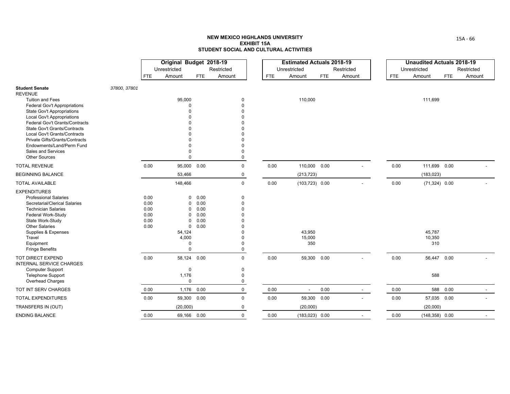|                                                                       |              |              | Original Budget 2018-19 |              |                      |            | <b>Estimated Actuals 2018-19</b> |            |                |      | <b>Unaudited Actuals 2018-19</b> |             |            |
|-----------------------------------------------------------------------|--------------|--------------|-------------------------|--------------|----------------------|------------|----------------------------------|------------|----------------|------|----------------------------------|-------------|------------|
|                                                                       |              |              | Unrestricted            |              | Restricted           |            | Unrestricted                     |            | Restricted     |      | Unrestricted                     |             | Restricted |
|                                                                       |              | <b>FTE</b>   | Amount                  | <b>FTE</b>   | Amount               | <b>FTE</b> | Amount                           | <b>FTE</b> | Amount         | FTE  | Amount                           | <b>FTE</b>  | Amount     |
| <b>Student Senate</b><br><b>REVENUE</b>                               | 37800, 37801 |              |                         |              |                      |            |                                  |            |                |      |                                  |             |            |
| <b>Tuition and Fees</b>                                               |              |              | 95,000                  |              | $\mathbf 0$          |            | 110,000                          |            |                |      | 111,699                          |             |            |
| <b>Federal Gov't Appropriations</b>                                   |              |              | ŋ                       |              | $\Omega$             |            |                                  |            |                |      |                                  |             |            |
| <b>State Gov't Appropriations</b>                                     |              |              |                         |              | $\Omega$             |            |                                  |            |                |      |                                  |             |            |
| Local Gov't Appropriations                                            |              |              |                         |              | $\Omega$             |            |                                  |            |                |      |                                  |             |            |
| Federal Gov't Grants/Contracts<br><b>State Gov't Grants/Contracts</b> |              |              |                         |              | $\Omega$<br>$\Omega$ |            |                                  |            |                |      |                                  |             |            |
| Local Gov't Grants/Contracts                                          |              |              |                         |              |                      |            |                                  |            |                |      |                                  |             |            |
| Private Gifts/Grants/Contracts                                        |              |              |                         |              | $\Omega$             |            |                                  |            |                |      |                                  |             |            |
| Endowments/Land/Perm Fund                                             |              |              |                         |              | $\Omega$             |            |                                  |            |                |      |                                  |             |            |
| Sales and Services                                                    |              |              |                         |              | $\Omega$             |            |                                  |            |                |      |                                  |             |            |
| <b>Other Sources</b>                                                  |              |              | $\Omega$                |              | 0                    |            |                                  |            |                |      |                                  |             |            |
| <b>TOTAL REVENUE</b>                                                  |              | 0.00         | 95,000 0.00             |              | $\mathbf 0$          | 0.00       | 110,000 0.00                     |            |                | 0.00 | 111,699 0.00                     |             |            |
| <b>BEGINNING BALANCE</b>                                              |              |              | 53,466                  |              | 0                    |            | (213, 723)                       |            |                |      | (183, 023)                       |             |            |
| <b>TOTAL AVAILABLE</b>                                                |              |              | 148,466                 |              | $\mathbf 0$          | 0.00       | $(103, 723)$ 0.00                |            |                | 0.00 | $(71,324)$ 0.00                  |             |            |
| <b>EXPENDITURES</b>                                                   |              |              |                         |              |                      |            |                                  |            |                |      |                                  |             |            |
| <b>Professional Salaries</b>                                          |              | 0.00         | 0                       | 0.00         | $\mathbf 0$          |            |                                  |            |                |      |                                  |             |            |
| Secretarial/Clerical Salaries                                         |              | 0.00         | $\mathbf 0$             | 0.00         | $\Omega$             |            |                                  |            |                |      |                                  |             |            |
| <b>Technician Salaries</b>                                            |              | 0.00         | $\mathbf 0$             | 0.00         | $\Omega$             |            |                                  |            |                |      |                                  |             |            |
| Federal Work-Study<br>State Work-Study                                |              | 0.00<br>0.00 | $\Omega$<br>$\Omega$    | 0.00<br>0.00 | $\Omega$<br>$\Omega$ |            |                                  |            |                |      |                                  |             |            |
| <b>Other Salaries</b>                                                 |              | 0.00         | $\mathbf 0$             | 0.00         | $\Omega$             |            |                                  |            |                |      |                                  |             |            |
| Supplies & Expenses                                                   |              |              | 54,124                  |              | $\Omega$             |            | 43,950                           |            |                |      | 45,787                           |             |            |
| Travel                                                                |              |              | 4,000                   |              | $\Omega$             |            | 15,000                           |            |                |      | 10,350                           |             |            |
| Equipment                                                             |              |              | $\Omega$                |              | $\Omega$             |            | 350                              |            |                |      | 310                              |             |            |
| <b>Fringe Benefits</b>                                                |              |              | $\Omega$                |              | $\mathbf 0$          |            |                                  |            |                |      |                                  |             |            |
| TOT DIRECT EXPEND<br><b>INTERNAL SERVICE CHARGES</b>                  |              | 0.00         | 58,124 0.00             |              | $\mathbf 0$          | 0.00       | 59,300 0.00                      |            | $\blacksquare$ | 0.00 |                                  | 56,447 0.00 |            |
| <b>Computer Support</b>                                               |              |              | $\mathbf 0$             |              | 0                    |            |                                  |            |                |      |                                  |             |            |
| Telephone Support                                                     |              |              | 1,176                   |              | $\mathbf 0$          |            |                                  |            |                |      | 588                              |             |            |
| Overhead Charges                                                      |              |              | $\mathbf 0$             |              | $\mathsf 0$          |            |                                  |            |                |      |                                  |             |            |
| TOT INT SERV CHARGES                                                  |              | 0.00         | 1,176                   | 0.00         | $\mathbf 0$          | 0.00       | $\blacksquare$                   | 0.00       | $\sim$         | 0.00 |                                  | 588 0.00    |            |
| TOTAL EXPENDITURES                                                    |              | 0.00         | 59,300                  | 0.00         | $\mathbf 0$          | 0.00       | 59,300 0.00                      |            |                | 0.00 |                                  | 57,035 0.00 |            |
| TRANSFERS IN (OUT)                                                    |              |              | (20,000)                |              | 0                    |            | (20,000)                         |            |                |      | (20,000)                         |             |            |
| <b>ENDING BALANCE</b>                                                 |              | 0.00         | 69,166 0.00             |              | $\mathbf 0$          | 0.00       | $(183,023)$ 0.00                 |            |                | 0.00 | $(148,358)$ 0.00                 |             |            |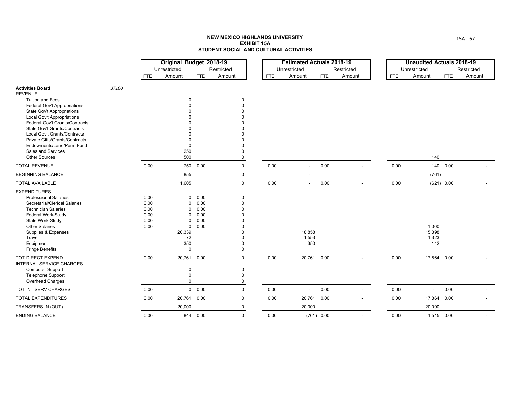|                                                                                   |       |                      | Original Budget 2018-19<br>Unrestricted |                      | Restricted                          |            | <b>Estimated Actuals 2018-19</b><br>Unrestricted |              | Restricted |            | <b>Unaudited Actuals 2018-19</b><br>Unrestricted |            | Restricted |
|-----------------------------------------------------------------------------------|-------|----------------------|-----------------------------------------|----------------------|-------------------------------------|------------|--------------------------------------------------|--------------|------------|------------|--------------------------------------------------|------------|------------|
|                                                                                   |       | <b>FTE</b>           | Amount                                  | FTE                  | Amount                              | <b>FTE</b> | Amount                                           | <b>FTE</b>   | Amount     | <b>FTE</b> | Amount                                           | <b>FTE</b> | Amount     |
| <b>Activities Board</b><br><b>REVENUE</b>                                         | 37100 |                      |                                         |                      |                                     |            |                                                  |              |            |            |                                                  |            |            |
| <b>Tuition and Fees</b><br>Federal Gov't Appropriations                           |       |                      | $\Omega$                                |                      | $\mathbf 0$<br>$\Omega$             |            |                                                  |              |            |            |                                                  |            |            |
| State Gov't Appropriations<br><b>Local Gov't Appropriations</b>                   |       |                      |                                         |                      |                                     |            |                                                  |              |            |            |                                                  |            |            |
| Federal Gov't Grants/Contracts<br>State Gov't Grants/Contracts                    |       |                      |                                         |                      |                                     |            |                                                  |              |            |            |                                                  |            |            |
| Local Gov't Grants/Contracts<br>Private Gifts/Grants/Contracts                    |       |                      |                                         |                      |                                     |            |                                                  |              |            |            |                                                  |            |            |
| Endowments/Land/Perm Fund<br>Sales and Services                                   |       |                      | $\Omega$<br>250                         |                      | $\Omega$                            |            |                                                  |              |            |            |                                                  |            |            |
| <b>Other Sources</b>                                                              |       |                      | 500                                     |                      | $\Omega$                            |            |                                                  |              |            |            | 140                                              |            |            |
| <b>TOTAL REVENUE</b><br><b>BEGINNING BALANCE</b>                                  |       | 0.00                 | 855                                     | 750 0.00             | $\mathbf 0$<br>$\mathbf 0$          | 0.00       |                                                  | 0.00         |            | 0.00       | (761)                                            | 140 0.00   |            |
| <b>TOTAL AVAILABLE</b>                                                            |       |                      | 1,605                                   |                      | $\mathsf 0$                         | 0.00       | $\blacksquare$                                   | 0.00         |            | 0.00       |                                                  | (621) 0.00 |            |
| <b>EXPENDITURES</b><br><b>Professional Salaries</b>                               |       | 0.00                 | 0                                       | 0.00                 | $\mathbf 0$                         |            |                                                  |              |            |            |                                                  |            |            |
| Secretarial/Clerical Salaries<br><b>Technician Salaries</b><br>Federal Work-Study |       | 0.00<br>0.00<br>0.00 | 0<br>$\Omega$<br>$\Omega$               | 0.00<br>0.00<br>0.00 | $\Omega$<br>$\Omega$<br>$\Omega$    |            |                                                  |              |            |            |                                                  |            |            |
| State Work-Study<br><b>Other Salaries</b>                                         |       | 0.00<br>0.00         | $\Omega$<br>$\mathbf 0$                 | 0.00<br>0.00         |                                     |            |                                                  |              |            |            | 1,000                                            |            |            |
| Supplies & Expenses<br>Travel<br>Equipment<br><b>Fringe Benefits</b>              |       |                      | 20,339<br>72<br>350<br>$\mathbf 0$      |                      | $\Omega$<br>$\Omega$<br>$\mathsf 0$ |            | 18,858<br>1,553<br>350                           |              |            |            | 15,398<br>1,323<br>142                           |            |            |
| TOT DIRECT EXPEND<br><b>INTERNAL SERVICE CHARGES</b>                              |       | 0.00                 |                                         | 20,761 0.00          | $\mathbf 0$                         | 0.00       | 20,761 0.00                                      |              |            | 0.00       | 17,864 0.00                                      |            |            |
| <b>Computer Support</b><br>Telephone Support<br>Overhead Charges                  |       |                      | $\Omega$<br>$\mathbf 0$<br>$\Omega$     |                      | 0<br>$\mathbf 0$<br>0               |            |                                                  |              |            |            |                                                  |            |            |
| TOT INT SERV CHARGES                                                              |       | 0.00                 |                                         | 0 0.00               | $\mathbf 0$                         | 0.00       | $\blacksquare$                                   | 0.00         | $\sim$     | 0.00       | $\sim$                                           | 0.00       |            |
| <b>TOTAL EXPENDITURES</b>                                                         |       | 0.00                 |                                         | 20,761 0.00          | $\mathbf 0$                         | 0.00       | 20,761                                           | 0.00         |            | 0.00       | 17,864                                           | 0.00       |            |
| TRANSFERS IN (OUT)                                                                |       |                      | 20,000                                  |                      | $\mathbf 0$                         |            | 20,000                                           |              |            |            | 20,000                                           |            |            |
| <b>ENDING BALANCE</b>                                                             |       | 0.00                 |                                         | 844 0.00             | $\mathbf 0$                         | 0.00       |                                                  | $(761)$ 0.00 |            | 0.00       | 1,515 0.00                                       |            |            |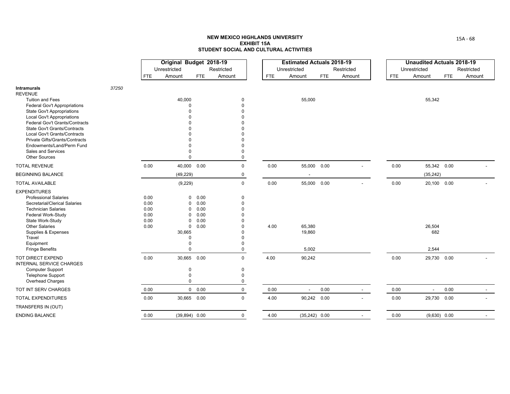|                                                                                                                                                                                                                                                                                                                  |       |                                              | Original Budget 2018-19                                                                                          |                                              |                                                       |            | <b>Estimated Actuals 2018-19</b> |            |                          |            |                          | <b>Unaudited Actuals 2018-19</b> |
|------------------------------------------------------------------------------------------------------------------------------------------------------------------------------------------------------------------------------------------------------------------------------------------------------------------|-------|----------------------------------------------|------------------------------------------------------------------------------------------------------------------|----------------------------------------------|-------------------------------------------------------|------------|----------------------------------|------------|--------------------------|------------|--------------------------|----------------------------------|
|                                                                                                                                                                                                                                                                                                                  |       |                                              | Unrestricted                                                                                                     |                                              | Restricted                                            |            | Unrestricted                     |            | Restricted               |            | Unrestricted             | Restricted                       |
|                                                                                                                                                                                                                                                                                                                  |       | <b>FTE</b>                                   | Amount                                                                                                           | <b>FTE</b>                                   | Amount                                                | <b>FTE</b> | Amount                           | <b>FTE</b> | Amount                   | <b>FTE</b> | Amount                   | <b>FTE</b><br>Amount             |
| <b>Intramurals</b><br><b>REVENUE</b>                                                                                                                                                                                                                                                                             | 37250 |                                              |                                                                                                                  |                                              |                                                       |            |                                  |            |                          |            |                          |                                  |
| <b>Tuition and Fees</b><br>Federal Gov't Appropriations<br><b>State Gov't Appropriations</b><br><b>Local Gov't Appropriations</b><br>Federal Gov't Grants/Contracts<br><b>State Gov't Grants/Contracts</b><br>Local Gov't Grants/Contracts<br><b>Private Gifts/Grants/Contracts</b><br>Endowments/Land/Perm Fund |       |                                              | 40,000<br>$\Omega$                                                                                               |                                              | $\Omega$<br>$\Omega$                                  |            | 55,000                           |            |                          |            | 55,342                   |                                  |
| Sales and Services<br><b>Other Sources</b>                                                                                                                                                                                                                                                                       |       |                                              |                                                                                                                  |                                              | $\Omega$                                              |            |                                  |            |                          |            |                          |                                  |
| <b>TOTAL REVENUE</b>                                                                                                                                                                                                                                                                                             |       | 0.00                                         | 40,000 0.00                                                                                                      |                                              | $\mathbf 0$                                           | 0.00       | 55,000 0.00                      |            |                          | 0.00       | 55,342 0.00              |                                  |
| <b>BEGINNING BALANCE</b>                                                                                                                                                                                                                                                                                         |       |                                              | (49, 229)                                                                                                        |                                              | $\mathbf 0$                                           |            |                                  |            |                          |            | (35, 242)                |                                  |
| <b>TOTAL AVAILABLE</b>                                                                                                                                                                                                                                                                                           |       |                                              | (9, 229)                                                                                                         |                                              | $\mathbf 0$                                           | 0.00       | 55,000 0.00                      |            | $\blacksquare$           | 0.00       | 20,100 0.00              |                                  |
| <b>EXPENDITURES</b><br><b>Professional Salaries</b><br>Secretarial/Clerical Salaries<br><b>Technician Salaries</b><br>Federal Work-Study<br>State Work-Study<br><b>Other Salaries</b><br>Supplies & Expenses<br>Travel<br>Equipment<br><b>Fringe Benefits</b>                                                    |       | 0.00<br>0.00<br>0.00<br>0.00<br>0.00<br>0.00 | $\mathbf 0$<br>$\mathbf 0$<br>0<br>0<br>$\mathbf 0$<br>$\mathbf 0$<br>30,665<br>$\Omega$<br>$\Omega$<br>$\Omega$ | 0.00<br>0.00<br>0.00<br>0.00<br>0.00<br>0.00 | $\Omega$<br>$\Omega$<br>$\Omega$<br>$\mathbf 0$       | 4.00       | 65,380<br>19,860<br>5,002        |            |                          |            | 26,504<br>682<br>2,544   |                                  |
| TOT DIRECT EXPEND<br><b>INTERNAL SERVICE CHARGES</b><br><b>Computer Support</b><br><b>Telephone Support</b><br>Overhead Charges                                                                                                                                                                                  |       | 0.00                                         | 30,665 0.00<br>$\mathbf 0$<br>$\mathbf 0$<br>$\Omega$                                                            |                                              | $\mathbf 0$<br>$\mathbf 0$<br>$\Omega$<br>$\mathbf 0$ | 4.00       | 90,242                           |            |                          | 0.00       | 29,730 0.00              |                                  |
| TOT INT SERV CHARGES                                                                                                                                                                                                                                                                                             |       | 0.00                                         |                                                                                                                  | 0 0.00                                       | 0                                                     | 0.00       | $\overline{\phantom{a}}$         | 0.00       | $\sim$                   | 0.00       | $\overline{\phantom{a}}$ | 0.00                             |
| <b>TOTAL EXPENDITURES</b>                                                                                                                                                                                                                                                                                        |       | 0.00                                         | 30,665                                                                                                           | 0.00                                         | $\Omega$                                              | 4.00       | 90,242 0.00                      |            | $\overline{\phantom{a}}$ | 0.00       | 29,730 0.00              |                                  |
| TRANSFERS IN (OUT)                                                                                                                                                                                                                                                                                               |       |                                              |                                                                                                                  |                                              |                                                       |            |                                  |            |                          |            |                          |                                  |
| <b>ENDING BALANCE</b>                                                                                                                                                                                                                                                                                            |       | 0.00                                         | $(39,894)$ 0.00                                                                                                  |                                              | $\mathbf 0$                                           | 4.00       | $(35,242)$ 0.00                  |            | $\overline{\phantom{a}}$ | 0.00       | $(9,630)$ 0.00           |                                  |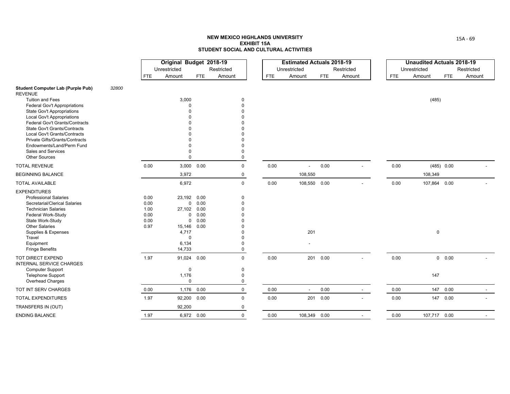|                                                                |       |            | Original Budget 2018-19 |                     |             |            | <b>Estimated Actuals 2018-19</b> |            |            |            | <b>Unaudited Actuals 2018-19</b> |              |            |
|----------------------------------------------------------------|-------|------------|-------------------------|---------------------|-------------|------------|----------------------------------|------------|------------|------------|----------------------------------|--------------|------------|
|                                                                |       |            | Unrestricted            |                     | Restricted  |            | Unrestricted                     |            | Restricted |            | Unrestricted                     |              | Restricted |
|                                                                |       | <b>FTE</b> | Amount                  | <b>FTE</b>          | Amount      | <b>FTE</b> | Amount                           | <b>FTE</b> | Amount     | <b>FTE</b> | Amount                           | <b>FTE</b>   | Amount     |
| <b>Student Computer Lab (Purple Pub)</b><br><b>REVENUE</b>     | 32800 |            |                         |                     |             |            |                                  |            |            |            |                                  |              |            |
| <b>Tuition and Fees</b>                                        |       |            | 3,000                   |                     | $\Omega$    |            |                                  |            |            |            | (485)                            |              |            |
| <b>Federal Gov't Appropriations</b>                            |       |            |                         |                     |             |            |                                  |            |            |            |                                  |              |            |
| State Gov't Appropriations                                     |       |            |                         |                     |             |            |                                  |            |            |            |                                  |              |            |
| <b>Local Gov't Appropriations</b>                              |       |            |                         |                     |             |            |                                  |            |            |            |                                  |              |            |
| Federal Gov't Grants/Contracts<br>State Gov't Grants/Contracts |       |            |                         |                     |             |            |                                  |            |            |            |                                  |              |            |
| Local Gov't Grants/Contracts                                   |       |            |                         |                     |             |            |                                  |            |            |            |                                  |              |            |
| Private Gifts/Grants/Contracts                                 |       |            |                         |                     |             |            |                                  |            |            |            |                                  |              |            |
| Endowments/Land/Perm Fund                                      |       |            |                         |                     |             |            |                                  |            |            |            |                                  |              |            |
| Sales and Services                                             |       |            |                         |                     |             |            |                                  |            |            |            |                                  |              |            |
| <b>Other Sources</b>                                           |       |            |                         |                     | $\Omega$    |            |                                  |            |            |            |                                  |              |            |
| <b>TOTAL REVENUE</b>                                           |       | 0.00       |                         | 3,000 0.00          | $\mathbf 0$ | 0.00       | $\sim$                           | 0.00       |            | 0.00       |                                  | (485) 0.00   |            |
| <b>BEGINNING BALANCE</b>                                       |       |            | 3,972                   |                     | 0           |            | 108,550                          |            |            |            | 108,349                          |              |            |
| <b>TOTAL AVAILABLE</b>                                         |       |            | 6,972                   |                     | $\mathbf 0$ | 0.00       | 108,550 0.00                     |            |            | 0.00       |                                  | 107,864 0.00 |            |
| <b>EXPENDITURES</b>                                            |       |            |                         |                     |             |            |                                  |            |            |            |                                  |              |            |
| <b>Professional Salaries</b>                                   |       | 0.00       | 23,192                  | 0.00                | $\Omega$    |            |                                  |            |            |            |                                  |              |            |
| Secretarial/Clerical Salaries                                  |       | 0.00       |                         | 0.00<br>$\mathbf 0$ |             |            |                                  |            |            |            |                                  |              |            |
| <b>Technician Salaries</b>                                     |       | 1.00       | 27,102                  | 0.00                |             |            |                                  |            |            |            |                                  |              |            |
| Federal Work-Study                                             |       | 0.00       |                         | $\mathbf 0$<br>0.00 |             |            |                                  |            |            |            |                                  |              |            |
| State Work-Study                                               |       | 0.00       |                         | 0.00<br>0           |             |            |                                  |            |            |            |                                  |              |            |
| <b>Other Salaries</b>                                          |       | 0.97       | 15,146                  | 0.00                |             |            |                                  |            |            |            |                                  |              |            |
| Supplies & Expenses                                            |       |            | 4,717                   |                     |             |            | 201                              |            |            |            |                                  | $\pmb{0}$    |            |
| Travel                                                         |       |            |                         | $\Omega$            |             |            |                                  |            |            |            |                                  |              |            |
| Equipment                                                      |       |            | 6,134                   |                     |             |            |                                  |            |            |            |                                  |              |            |
| <b>Fringe Benefits</b>                                         |       |            | 14,733                  |                     |             |            |                                  |            |            |            |                                  |              |            |
| TOT DIRECT EXPEND<br><b>INTERNAL SERVICE CHARGES</b>           |       | 1.97       |                         | 91,024 0.00         | $\Omega$    | 0.00       |                                  | 201 0.00   |            | 0.00       |                                  | 0 0.00       |            |
| <b>Computer Support</b>                                        |       |            |                         | 0                   | $\Omega$    |            |                                  |            |            |            |                                  |              |            |
| <b>Telephone Support</b>                                       |       |            | 1,176                   |                     | $\Omega$    |            |                                  |            |            |            | 147                              |              |            |
| Overhead Charges                                               |       |            |                         | $\mathbf 0$         | $\mathbf 0$ |            |                                  |            |            |            |                                  |              |            |
| TOT INT SERV CHARGES                                           |       | 0.00       | 1,176                   | 0.00                | $\mathbf 0$ | 0.00       | $\sim$                           | 0.00       | $\sim$     | 0.00       |                                  | 147 0.00     | $\sim$     |
| <b>TOTAL EXPENDITURES</b>                                      |       | 1.97       |                         | 92,200 0.00         | $\Omega$    | 0.00       |                                  | 201 0.00   | $\sim$     | 0.00       |                                  | 147 0.00     |            |
| TRANSFERS IN (OUT)                                             |       |            | 92,200                  |                     | $\mathbf 0$ |            |                                  |            |            |            |                                  |              |            |
| <b>ENDING BALANCE</b>                                          |       | 1.97       |                         | 6,972 0.00          | $\mathbf 0$ | 0.00       | 108,349 0.00                     |            |            | 0.00       |                                  | 107,717 0.00 |            |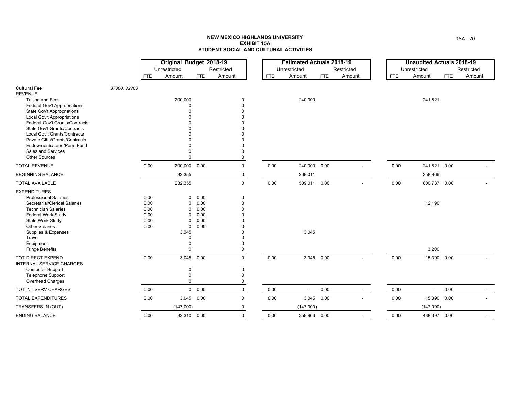|                                                                        |              |            | Original Budget 2018-19 |               |                            |            | <b>Estimated Actuals 2018-19</b> |            |                |            | <b>Unaudited Actuals 2018-19</b> |            |                          |
|------------------------------------------------------------------------|--------------|------------|-------------------------|---------------|----------------------------|------------|----------------------------------|------------|----------------|------------|----------------------------------|------------|--------------------------|
|                                                                        |              |            | Unrestricted            |               | Restricted                 |            | Unrestricted                     |            | Restricted     |            | Unrestricted                     | Restricted |                          |
|                                                                        |              | <b>FTE</b> | Amount                  | <b>FTE</b>    | Amount                     | <b>FTE</b> | Amount                           | <b>FTE</b> | Amount         | <b>FTE</b> | Amount                           | <b>FTE</b> | Amount                   |
| <b>Cultural Fee</b><br><b>REVENUE</b>                                  | 37300, 32700 |            |                         |               |                            |            |                                  |            |                |            |                                  |            |                          |
| <b>Tuition and Fees</b>                                                |              |            | 200,000                 |               | $\mathbf 0$                |            | 240,000                          |            |                |            | 241,821                          |            |                          |
| <b>Federal Gov't Appropriations</b>                                    |              |            | 0                       |               | $\Omega$<br>$\Omega$       |            |                                  |            |                |            |                                  |            |                          |
| <b>State Gov't Appropriations</b><br><b>Local Gov't Appropriations</b> |              |            |                         |               |                            |            |                                  |            |                |            |                                  |            |                          |
| Federal Gov't Grants/Contracts                                         |              |            |                         |               | $\Omega$                   |            |                                  |            |                |            |                                  |            |                          |
| <b>State Gov't Grants/Contracts</b>                                    |              |            |                         |               | $\Omega$                   |            |                                  |            |                |            |                                  |            |                          |
| <b>Local Gov't Grants/Contracts</b>                                    |              |            |                         |               |                            |            |                                  |            |                |            |                                  |            |                          |
| Private Gifts/Grants/Contracts                                         |              |            |                         |               | $\Omega$                   |            |                                  |            |                |            |                                  |            |                          |
| Endowments/Land/Perm Fund                                              |              |            |                         |               | $\Omega$                   |            |                                  |            |                |            |                                  |            |                          |
| Sales and Services                                                     |              |            |                         |               | $\Omega$                   |            |                                  |            |                |            |                                  |            |                          |
| <b>Other Sources</b>                                                   |              |            | $\Omega$                |               | $\mathsf 0$                |            |                                  |            |                |            |                                  |            |                          |
| <b>TOTAL REVENUE</b>                                                   |              | 0.00       | 200,000 0.00            |               | $\mathbf 0$                | 0.00       | 240,000 0.00                     |            |                | 0.00       | 241,821 0.00                     |            |                          |
| <b>BEGINNING BALANCE</b>                                               |              |            | 32,355                  |               | $\mathbf 0$                |            | 269,011                          |            |                |            | 358,966                          |            |                          |
| <b>TOTAL AVAILABLE</b>                                                 |              |            | 232,355                 |               | $\mathsf 0$                | 0.00       | 509,011 0.00                     |            |                | 0.00       | 600,787 0.00                     |            |                          |
| <b>EXPENDITURES</b>                                                    |              |            |                         |               |                            |            |                                  |            |                |            |                                  |            |                          |
| <b>Professional Salaries</b>                                           |              | 0.00       | $\mathbf 0$             | 0.00          | 0                          |            |                                  |            |                |            |                                  |            |                          |
| Secretarial/Clerical Salaries                                          |              | 0.00       | $\mathbf 0$             | 0.00          | $\mathbf 0$                |            |                                  |            |                |            | 12,190                           |            |                          |
| <b>Technician Salaries</b>                                             |              | 0.00       | $\mathbf 0$             | 0.00          | $\Omega$                   |            |                                  |            |                |            |                                  |            |                          |
| Federal Work-Study                                                     |              | 0.00       | $\mathbf 0$             | 0.00          | $\Omega$                   |            |                                  |            |                |            |                                  |            |                          |
| State Work-Study                                                       |              | 0.00       | $\Omega$                | 0.00          | $\Omega$                   |            |                                  |            |                |            |                                  |            |                          |
| <b>Other Salaries</b>                                                  |              | 0.00       | $\mathbf 0$             | 0.00          | $\Omega$                   |            |                                  |            |                |            |                                  |            |                          |
| Supplies & Expenses                                                    |              |            | 3,045                   |               | $\Omega$                   |            | 3,045                            |            |                |            |                                  |            |                          |
| Travel                                                                 |              |            | $\Omega$                |               | $\Omega$                   |            |                                  |            |                |            |                                  |            |                          |
| Equipment<br><b>Fringe Benefits</b>                                    |              |            | $\Omega$<br>$\Omega$    |               | $\mathbf 0$<br>$\mathbf 0$ |            |                                  |            |                |            | 3,200                            |            |                          |
|                                                                        |              |            |                         |               |                            |            |                                  |            |                |            |                                  |            |                          |
| TOT DIRECT EXPEND<br><b>INTERNAL SERVICE CHARGES</b>                   |              | 0.00       | 3,045 0.00              |               | $\mathbf 0$                | 0.00       | 3,045 0.00                       |            | $\blacksquare$ | 0.00       | 15,390 0.00                      |            |                          |
| <b>Computer Support</b>                                                |              |            | $\Omega$                |               | $\mathbf 0$                |            |                                  |            |                |            |                                  |            |                          |
| Telephone Support                                                      |              |            | $\mathbf 0$             |               | $\Omega$                   |            |                                  |            |                |            |                                  |            |                          |
| Overhead Charges                                                       |              |            | $\Omega$                |               | 0                          |            |                                  |            |                |            |                                  |            |                          |
| TOT INT SERV CHARGES                                                   |              | 0.00       |                         | $0\quad 0.00$ | $\mathbf 0$                | 0.00       | $\overline{\phantom{a}}$         | 0.00       | $\sim$         | 0.00       | $\blacksquare$                   | 0.00       | $\overline{\phantom{a}}$ |
| TOTAL EXPENDITURES                                                     |              | 0.00       | 3,045 0.00              |               | $\mathbf 0$                | 0.00       | 3,045 0.00                       |            |                | 0.00       | 15,390 0.00                      |            |                          |
| TRANSFERS IN (OUT)                                                     |              |            | (147,000)               |               | 0                          |            | (147,000)                        |            |                |            | (147,000)                        |            |                          |
| <b>ENDING BALANCE</b>                                                  |              | 0.00       | 82,310 0.00             |               | $\mathbf 0$                | 0.00       | 358,966 0.00                     |            | $\blacksquare$ | 0.00       | 438,397 0.00                     |            |                          |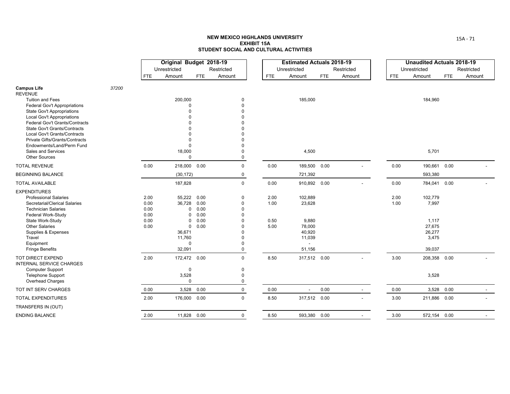|                                                                     |       |            | Original Budget 2018-19 |            |               |            | <b>Estimated Actuals 2018-19</b> |            |            |            | <b>Unaudited Actuals 2018-19</b> |            |                |
|---------------------------------------------------------------------|-------|------------|-------------------------|------------|---------------|------------|----------------------------------|------------|------------|------------|----------------------------------|------------|----------------|
|                                                                     |       |            | Unrestricted            |            | Restricted    |            | Unrestricted                     |            | Restricted |            | Unrestricted                     | Restricted |                |
|                                                                     |       | <b>FTE</b> | Amount                  | <b>FTE</b> | Amount        | <b>FTE</b> | Amount                           | <b>FTE</b> | Amount     | <b>FTE</b> | Amount                           | <b>FTE</b> | Amount         |
| <b>Campus Life</b><br><b>REVENUE</b>                                | 37200 |            |                         |            |               |            |                                  |            |            |            |                                  |            |                |
| <b>Tuition and Fees</b>                                             |       |            | 200,000                 |            | 0             |            | 185,000                          |            |            |            | 184,960                          |            |                |
| Federal Gov't Appropriations                                        |       |            | $\Omega$                |            | $\Omega$      |            |                                  |            |            |            |                                  |            |                |
| <b>State Gov't Appropriations</b>                                   |       |            | $\Omega$                |            |               |            |                                  |            |            |            |                                  |            |                |
| <b>Local Gov't Appropriations</b><br>Federal Gov't Grants/Contracts |       |            |                         |            |               |            |                                  |            |            |            |                                  |            |                |
| State Gov't Grants/Contracts                                        |       |            |                         |            |               |            |                                  |            |            |            |                                  |            |                |
| Local Gov't Grants/Contracts                                        |       |            |                         |            |               |            |                                  |            |            |            |                                  |            |                |
| Private Gifts/Grants/Contracts                                      |       |            | $\Omega$                |            |               |            |                                  |            |            |            |                                  |            |                |
| Endowments/Land/Perm Fund                                           |       |            | $\Omega$                |            |               |            |                                  |            |            |            |                                  |            |                |
| Sales and Services                                                  |       |            | 18,000                  |            | 0             |            | 4,500                            |            |            |            | 5,701                            |            |                |
| <b>Other Sources</b>                                                |       |            | $\mathbf 0$             |            | $\mathbf 0$   |            |                                  |            |            |            |                                  |            |                |
| <b>TOTAL REVENUE</b>                                                |       | 0.00       | 218,000 0.00            |            | $\mathbf 0$   | 0.00       | 189,500                          | 0.00       |            | 0.00       | 190,661 0.00                     |            |                |
| <b>BEGINNING BALANCE</b>                                            |       |            | (30, 172)               |            | 0             |            | 721,392                          |            |            |            | 593,380                          |            |                |
| <b>TOTAL AVAILABLE</b>                                              |       |            | 187,828                 |            | 0             | 0.00       | 910,892 0.00                     |            |            | 0.00       | 784,041 0.00                     |            |                |
| <b>EXPENDITURES</b>                                                 |       |            |                         |            |               |            |                                  |            |            |            |                                  |            |                |
| <b>Professional Salaries</b>                                        |       | 2.00       | 55,222                  | 0.00       | 0             | 2.00       | 102,889                          |            |            | 2.00       | 102,779                          |            |                |
| Secretarial/Clerical Salaries                                       |       | 0.00       | 36,728                  | 0.00       | $\Omega$      | 1.00       | 23,628                           |            |            | 1.00       | 7,997                            |            |                |
| <b>Technician Salaries</b>                                          |       | 0.00       | 0                       | 0.00       | 0             |            |                                  |            |            |            |                                  |            |                |
| Federal Work-Study                                                  |       | 0.00       | $\Omega$                | 0.00       | 0             |            |                                  |            |            |            |                                  |            |                |
| State Work-Study                                                    |       | 0.00       | $\Omega$                | 0.00       | $\Omega$      | 0.50       | 9,880                            |            |            |            | 1,117                            |            |                |
| <b>Other Salaries</b>                                               |       | 0.00       | 0                       | 0.00       | O             | 5.00       | 78,000                           |            |            |            | 27,675                           |            |                |
| Supplies & Expenses                                                 |       |            | 36,671                  |            | $\Omega$      |            | 40,920                           |            |            |            | 26,277                           |            |                |
| Travel<br>Equipment                                                 |       |            | 11,760<br>$\pmb{0}$     |            | $\Omega$<br>0 |            | 11,039                           |            |            |            | 3,475                            |            |                |
| <b>Fringe Benefits</b>                                              |       |            | 32,091                  |            | $\mathbf 0$   |            | 51,156                           |            |            |            | 39,037                           |            |                |
| TOT DIRECT EXPEND<br><b>INTERNAL SERVICE CHARGES</b>                |       | 2.00       | 172,472 0.00            |            | $\mathbf 0$   | 8.50       | 317,512 0.00                     |            |            | 3.00       | 208,358 0.00                     |            |                |
| <b>Computer Support</b>                                             |       |            | $\mathbf 0$             |            | 0             |            |                                  |            |            |            |                                  |            |                |
| <b>Telephone Support</b>                                            |       |            | 3,528                   |            | 0             |            |                                  |            |            |            | 3,528                            |            |                |
| Overhead Charges                                                    |       |            | $\mathbf 0$             |            | $\mathsf 0$   |            |                                  |            |            |            |                                  |            |                |
| TOT INT SERV CHARGES                                                |       | 0.00       | 3,528                   | 0.00       | 0             | 0.00       |                                  | 0.00       | $\sim$     | 0.00       | 3,528 0.00                       |            |                |
| <b>TOTAL EXPENDITURES</b>                                           |       | 2.00       | 176,000                 | 0.00       | $\mathbf 0$   | 8.50       | 317,512 0.00                     |            | $\sim$     | 3.00       | 211,886 0.00                     |            | $\overline{a}$ |
| TRANSFERS IN (OUT)                                                  |       |            |                         |            |               |            |                                  |            |            |            |                                  |            |                |
| <b>ENDING BALANCE</b>                                               |       | 2.00       | 11,828 0.00             |            | 0             | 8.50       | 593,380 0.00                     |            |            | 3.00       | 572,154 0.00                     |            |                |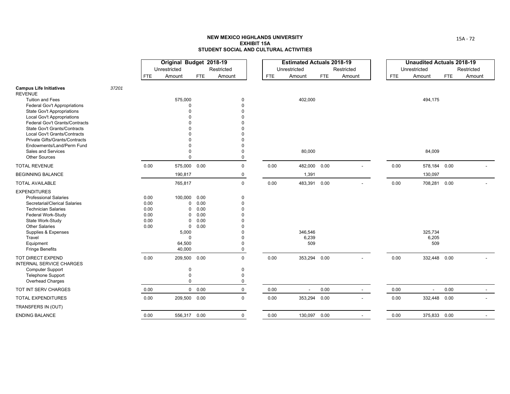|                                                                     |       |            | Original Budget 2018-19 |            |                            |            | <b>Estimated Actuals 2018-19</b> |            |                |            | <b>Unaudited Actuals 2018-19</b> |            |            |
|---------------------------------------------------------------------|-------|------------|-------------------------|------------|----------------------------|------------|----------------------------------|------------|----------------|------------|----------------------------------|------------|------------|
|                                                                     |       |            | Unrestricted            |            | Restricted                 |            | Unrestricted                     |            | Restricted     |            | Unrestricted                     |            | Restricted |
|                                                                     |       | <b>FTE</b> | Amount                  | <b>FTE</b> | Amount                     | <b>FTE</b> | Amount                           | <b>FTE</b> | Amount         | <b>FTE</b> | Amount                           | <b>FTE</b> | Amount     |
| <b>Campus Life Initiatives</b><br><b>REVENUE</b>                    | 37201 |            |                         |            |                            |            |                                  |            |                |            |                                  |            |            |
| <b>Tuition and Fees</b>                                             |       |            | 575,000                 |            | $\mathbf 0$                |            | 402,000                          |            |                |            | 494,175                          |            |            |
| <b>Federal Gov't Appropriations</b>                                 |       |            | $\Omega$                |            | $\Omega$                   |            |                                  |            |                |            |                                  |            |            |
| <b>State Gov't Appropriations</b>                                   |       |            |                         |            | $\Omega$                   |            |                                  |            |                |            |                                  |            |            |
| <b>Local Gov't Appropriations</b><br>Federal Gov't Grants/Contracts |       |            |                         |            | $\Omega$<br>$\Omega$       |            |                                  |            |                |            |                                  |            |            |
| State Gov't Grants/Contracts                                        |       |            |                         |            | $\Omega$                   |            |                                  |            |                |            |                                  |            |            |
| Local Gov't Grants/Contracts                                        |       |            |                         |            |                            |            |                                  |            |                |            |                                  |            |            |
| Private Gifts/Grants/Contracts                                      |       |            |                         |            | $\Omega$                   |            |                                  |            |                |            |                                  |            |            |
| Endowments/Land/Perm Fund                                           |       |            |                         |            | $\mathbf 0$                |            |                                  |            |                |            |                                  |            |            |
| Sales and Services                                                  |       |            |                         |            | $\mathbf 0$                |            | 80,000                           |            |                |            | 84,009                           |            |            |
| <b>Other Sources</b>                                                |       |            |                         |            | $\mathsf 0$                |            |                                  |            |                |            |                                  |            |            |
| <b>TOTAL REVENUE</b>                                                |       | 0.00       | 575,000 0.00            |            | $\mathbf 0$                | 0.00       | 482,000                          | 0.00       |                | 0.00       | 578,184 0.00                     |            |            |
| <b>BEGINNING BALANCE</b>                                            |       |            | 190,817                 |            | $\mathbf 0$                |            | 1,391                            |            |                |            | 130,097                          |            |            |
| <b>TOTAL AVAILABLE</b>                                              |       |            | 765,817                 |            | $\mathsf 0$                | 0.00       | 483,391                          | 0.00       |                | 0.00       | 708,281 0.00                     |            |            |
| <b>EXPENDITURES</b>                                                 |       |            |                         |            |                            |            |                                  |            |                |            |                                  |            |            |
| <b>Professional Salaries</b>                                        |       | 0.00       | 100,000                 | 0.00       | $\mathbf 0$                |            |                                  |            |                |            |                                  |            |            |
| Secretarial/Clerical Salaries                                       |       | 0.00       | $\mathbf 0$             | 0.00       | $\mathbf 0$                |            |                                  |            |                |            |                                  |            |            |
| <b>Technician Salaries</b>                                          |       | 0.00       | 0                       | 0.00       | $\Omega$                   |            |                                  |            |                |            |                                  |            |            |
| Federal Work-Study                                                  |       | 0.00       | 0                       | 0.00       | $\Omega$                   |            |                                  |            |                |            |                                  |            |            |
| State Work-Study                                                    |       | 0.00       | 0                       | 0.00       | $\Omega$                   |            |                                  |            |                |            |                                  |            |            |
| <b>Other Salaries</b>                                               |       | 0.00       | $\mathbf 0$             | 0.00       | $\Omega$                   |            |                                  |            |                |            |                                  |            |            |
| Supplies & Expenses                                                 |       |            | 5,000                   |            | $\Omega$                   |            | 346,546                          |            |                |            | 325,734                          |            |            |
| Travel                                                              |       |            | $\Omega$                |            | $\Omega$                   |            | 6,239                            |            |                |            | 6,205                            |            |            |
| Equipment                                                           |       |            | 64,500<br>40,000        |            | $\mathbf 0$<br>$\mathbf 0$ |            | 509                              |            |                |            | 509                              |            |            |
| <b>Fringe Benefits</b>                                              |       |            |                         |            |                            |            |                                  |            |                |            |                                  |            |            |
| TOT DIRECT EXPEND<br>INTERNAL SERVICE CHARGES                       |       | 0.00       | 209,500 0.00            |            | $\mathbf 0$                | 0.00       | 353,294 0.00                     |            |                | 0.00       | 332,448 0.00                     |            |            |
| <b>Computer Support</b>                                             |       |            | $\mathbf 0$             |            | $\mathbf 0$                |            |                                  |            |                |            |                                  |            |            |
| <b>Telephone Support</b>                                            |       |            | $\mathbf 0$             |            | $\mathbf 0$                |            |                                  |            |                |            |                                  |            |            |
| Overhead Charges                                                    |       |            | $\Omega$                |            | 0                          |            |                                  |            |                |            |                                  |            |            |
| TOT INT SERV CHARGES                                                |       | 0.00       |                         | 0 0.00     | $\mathbf 0$                | 0.00       | $\blacksquare$                   | 0.00       | $\sim$         | 0.00       | $\sim$                           | 0.00       | $\sim$     |
| <b>TOTAL EXPENDITURES</b>                                           |       | 0.00       | 209,500 0.00            |            | $\mathbf 0$                | 0.00       | 353,294                          | 0.00       | $\sim$         | 0.00       | 332,448 0.00                     |            |            |
| TRANSFERS IN (OUT)                                                  |       |            |                         |            |                            |            |                                  |            |                |            |                                  |            |            |
| <b>ENDING BALANCE</b>                                               |       | 0.00       | 556,317 0.00            |            | $\mathbf 0$                | 0.00       | 130,097 0.00                     |            | $\blacksquare$ | 0.00       | 375,833 0.00                     |            |            |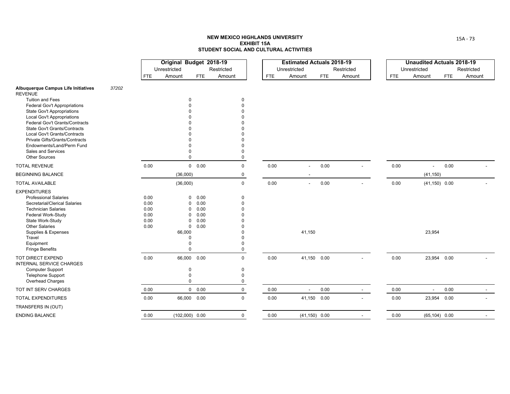|                                                                |              | Original Budget 2018-19<br>Unrestricted |                          | Restricted           |            | <b>Estimated Actuals 2018-19</b><br>Unrestricted |            | Restricted               |            | <b>Unaudited Actuals 2018-19</b><br>Unrestricted |            | Restricted |
|----------------------------------------------------------------|--------------|-----------------------------------------|--------------------------|----------------------|------------|--------------------------------------------------|------------|--------------------------|------------|--------------------------------------------------|------------|------------|
|                                                                | <b>FTE</b>   | Amount                                  | <b>FTE</b>               | Amount               | <b>FTE</b> | Amount                                           | <b>FTE</b> | Amount                   | <b>FTE</b> | Amount                                           | <b>FTE</b> | Amount     |
| Albuquerque Campus Life Initiatives<br>37202<br><b>REVENUE</b> |              |                                         |                          |                      |            |                                                  |            |                          |            |                                                  |            |            |
| <b>Tuition and Fees</b>                                        |              |                                         | 0                        | $\mathbf 0$          |            |                                                  |            |                          |            |                                                  |            |            |
| <b>Federal Gov't Appropriations</b>                            |              |                                         |                          | $\Omega$             |            |                                                  |            |                          |            |                                                  |            |            |
| <b>State Gov't Appropriations</b>                              |              |                                         |                          |                      |            |                                                  |            |                          |            |                                                  |            |            |
| <b>Local Gov't Appropriations</b>                              |              |                                         |                          |                      |            |                                                  |            |                          |            |                                                  |            |            |
| Federal Gov't Grants/Contracts                                 |              |                                         |                          |                      |            |                                                  |            |                          |            |                                                  |            |            |
| State Gov't Grants/Contracts                                   |              |                                         |                          |                      |            |                                                  |            |                          |            |                                                  |            |            |
| Local Gov't Grants/Contracts                                   |              |                                         |                          |                      |            |                                                  |            |                          |            |                                                  |            |            |
| Private Gifts/Grants/Contracts                                 |              |                                         |                          | $\Omega$             |            |                                                  |            |                          |            |                                                  |            |            |
| Endowments/Land/Perm Fund<br>Sales and Services                |              |                                         | $\Omega$                 | $\Omega$             |            |                                                  |            |                          |            |                                                  |            |            |
| <b>Other Sources</b>                                           |              |                                         | $\Omega$                 | $\Omega$             |            |                                                  |            |                          |            |                                                  |            |            |
| <b>TOTAL REVENUE</b>                                           | 0.00         |                                         | $0\quad 0.00$            | $\mathbf 0$          | 0.00       |                                                  | 0.00       |                          | 0.00       |                                                  | 0.00       |            |
| <b>BEGINNING BALANCE</b>                                       |              | (36,000)                                |                          | 0                    |            |                                                  |            |                          |            | (41, 150)                                        |            |            |
|                                                                |              |                                         |                          |                      |            |                                                  |            |                          |            |                                                  |            |            |
| <b>TOTAL AVAILABLE</b>                                         |              | (36,000)                                |                          | $\mathsf 0$          | 0.00       | $\overline{\phantom{a}}$                         | 0.00       |                          | 0.00       | $(41, 150)$ 0.00                                 |            |            |
| <b>EXPENDITURES</b>                                            |              |                                         |                          |                      |            |                                                  |            |                          |            |                                                  |            |            |
| <b>Professional Salaries</b>                                   | 0.00         |                                         | 0.00<br>0                | 0                    |            |                                                  |            |                          |            |                                                  |            |            |
| Secretarial/Clerical Salaries                                  | 0.00         |                                         | 0.00<br>0<br>0.00        | $\Omega$<br>$\Omega$ |            |                                                  |            |                          |            |                                                  |            |            |
| <b>Technician Salaries</b><br>Federal Work-Study               | 0.00<br>0.00 |                                         | 0<br>0.00<br>$\mathbf 0$ |                      |            |                                                  |            |                          |            |                                                  |            |            |
| State Work-Study                                               | 0.00         |                                         | 0.00<br>$\Omega$         |                      |            |                                                  |            |                          |            |                                                  |            |            |
| <b>Other Salaries</b>                                          | 0.00         |                                         | 0.00<br>0                |                      |            |                                                  |            |                          |            |                                                  |            |            |
| Supplies & Expenses                                            |              | 66,000                                  |                          |                      |            | 41,150                                           |            |                          |            | 23,954                                           |            |            |
| Travel                                                         |              |                                         | $\Omega$                 | $\Omega$             |            |                                                  |            |                          |            |                                                  |            |            |
| Equipment                                                      |              |                                         | $\Omega$                 | $\Omega$             |            |                                                  |            |                          |            |                                                  |            |            |
| <b>Fringe Benefits</b>                                         |              |                                         | $\Omega$                 | $\Omega$             |            |                                                  |            |                          |            |                                                  |            |            |
| TOT DIRECT EXPEND<br>INTERNAL SERVICE CHARGES                  | 0.00         |                                         | 66,000 0.00              | $\mathbf 0$          | 0.00       | 41,150 0.00                                      |            | $\overline{\phantom{a}}$ | 0.00       | 23,954 0.00                                      |            |            |
| <b>Computer Support</b>                                        |              |                                         | $\mathbf 0$              | $\pmb{0}$            |            |                                                  |            |                          |            |                                                  |            |            |
| <b>Telephone Support</b>                                       |              |                                         | $\mathbf 0$              | $\Omega$             |            |                                                  |            |                          |            |                                                  |            |            |
| Overhead Charges                                               |              |                                         | $\mathbf 0$              | $\Omega$             |            |                                                  |            |                          |            |                                                  |            |            |
| TOT INT SERV CHARGES                                           | 0.00         |                                         | $0\quad 0.00$            | $\mathbf 0$          | 0.00       | $\overline{\phantom{a}}$                         | 0.00       | $\sim$                   | 0.00       | $\overline{\phantom{a}}$                         | 0.00       | $\sim$     |
| <b>TOTAL EXPENDITURES</b>                                      | 0.00         |                                         | 66,000 0.00              | $\mathbf 0$          | 0.00       | 41,150 0.00                                      |            |                          | 0.00       | 23,954 0.00                                      |            |            |
| TRANSFERS IN (OUT)                                             |              |                                         |                          |                      |            |                                                  |            |                          |            |                                                  |            |            |
| <b>ENDING BALANCE</b>                                          | 0.00         |                                         | $(102,000)$ 0.00         | $\mathbf 0$          | 0.00       | $(41, 150)$ 0.00                                 |            | $\sim$                   | 0.00       | $(65, 104)$ 0.00                                 |            |            |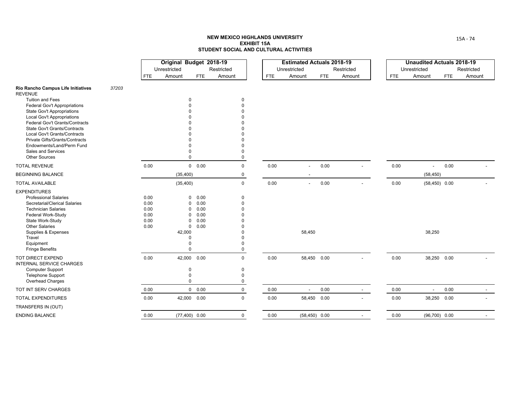|                                                                |       |            | Original Budget 2018-19 |                 |               |            | <b>Estimated Actuals 2018-19</b> |            |            |            |                          | <b>Unaudited Actuals 2018-19</b> |
|----------------------------------------------------------------|-------|------------|-------------------------|-----------------|---------------|------------|----------------------------------|------------|------------|------------|--------------------------|----------------------------------|
|                                                                |       |            | Unrestricted            |                 | Restricted    |            | Unrestricted                     |            | Restricted |            | Unrestricted             | Restricted                       |
|                                                                |       | <b>FTE</b> | Amount                  | <b>FTE</b>      | Amount        | <b>FTE</b> | Amount                           | <b>FTE</b> | Amount     | <b>FTE</b> | Amount                   | Amount<br><b>FTE</b>             |
| Rio Rancho Campus Life Initiatives<br><b>REVENUE</b>           | 37203 |            |                         |                 |               |            |                                  |            |            |            |                          |                                  |
| <b>Tuition and Fees</b>                                        |       |            | $\Omega$                |                 | 0             |            |                                  |            |            |            |                          |                                  |
| Federal Gov't Appropriations                                   |       |            | $\Omega$                |                 | 0             |            |                                  |            |            |            |                          |                                  |
| <b>State Gov't Appropriations</b>                              |       |            |                         |                 |               |            |                                  |            |            |            |                          |                                  |
| <b>Local Gov't Appropriations</b>                              |       |            |                         |                 |               |            |                                  |            |            |            |                          |                                  |
| Federal Gov't Grants/Contracts<br>State Gov't Grants/Contracts |       |            |                         |                 |               |            |                                  |            |            |            |                          |                                  |
| Local Gov't Grants/Contracts                                   |       |            |                         |                 |               |            |                                  |            |            |            |                          |                                  |
| Private Gifts/Grants/Contracts                                 |       |            |                         |                 |               |            |                                  |            |            |            |                          |                                  |
| Endowments/Land/Perm Fund                                      |       |            |                         |                 |               |            |                                  |            |            |            |                          |                                  |
| Sales and Services                                             |       |            |                         |                 | O             |            |                                  |            |            |            |                          |                                  |
| <b>Other Sources</b>                                           |       |            | $\Omega$                |                 | 0             |            |                                  |            |            |            |                          |                                  |
| <b>TOTAL REVENUE</b>                                           |       | 0.00       |                         | $0\quad 0.00$   | 0             | 0.00       | $\overline{a}$                   | 0.00       |            | 0.00       | $\blacksquare$           | 0.00                             |
| <b>BEGINNING BALANCE</b>                                       |       |            | (35, 400)               |                 | 0             |            |                                  |            |            |            | (58, 450)                |                                  |
| <b>TOTAL AVAILABLE</b>                                         |       |            | (35, 400)               |                 | $\mathsf{O}$  | $0.00\,$   | $\blacksquare$                   | $0.00\,$   |            | 0.00       | $(58, 450)$ 0.00         |                                  |
| <b>EXPENDITURES</b>                                            |       |            |                         |                 |               |            |                                  |            |            |            |                          |                                  |
| <b>Professional Salaries</b>                                   |       | 0.00       |                         | 0.00<br>0       | 0             |            |                                  |            |            |            |                          |                                  |
| Secretarial/Clerical Salaries                                  |       | 0.00       | $\mathbf 0$             | 0.00            | $\Omega$      |            |                                  |            |            |            |                          |                                  |
| <b>Technician Salaries</b>                                     |       | 0.00       | 0                       | 0.00            | 0             |            |                                  |            |            |            |                          |                                  |
| Federal Work-Study                                             |       | 0.00       | $\Omega$                | 0.00            |               |            |                                  |            |            |            |                          |                                  |
| State Work-Study                                               |       | 0.00       | $\mathbf 0$             | 0.00            |               |            |                                  |            |            |            |                          |                                  |
| <b>Other Salaries</b>                                          |       | 0.00       |                         | 0.00<br>0       |               |            |                                  |            |            |            |                          |                                  |
| Supplies & Expenses                                            |       |            | 42,000                  |                 |               |            | 58,450                           |            |            |            | 38,250                   |                                  |
| Travel<br>Equipment                                            |       |            | $\Omega$<br>$\Omega$    |                 | $\Omega$<br>0 |            |                                  |            |            |            |                          |                                  |
| <b>Fringe Benefits</b>                                         |       |            | $\Omega$                |                 | 0             |            |                                  |            |            |            |                          |                                  |
| TOT DIRECT EXPEND<br><b>INTERNAL SERVICE CHARGES</b>           |       | 0.00       |                         | 42,000 0.00     | $\mathbf 0$   | 0.00       | 58,450 0.00                      |            |            | 0.00       | 38,250 0.00              |                                  |
| <b>Computer Support</b>                                        |       |            | 0                       |                 | 0             |            |                                  |            |            |            |                          |                                  |
| <b>Telephone Support</b>                                       |       |            | 0                       |                 | 0             |            |                                  |            |            |            |                          |                                  |
| Overhead Charges                                               |       |            | $\mathbf 0$             |                 | 0             |            |                                  |            |            |            |                          |                                  |
| TOT INT SERV CHARGES                                           |       | 0.00       |                         | $0\quad 0.00$   | 0             | 0.00       | $\overline{\phantom{a}}$         | 0.00       | $\sim$     | 0.00       | $\overline{\phantom{a}}$ | 0.00<br>$\sim$                   |
| <b>TOTAL EXPENDITURES</b>                                      |       | 0.00       |                         | 42,000 0.00     | $\mathbf 0$   | 0.00       | 58,450 0.00                      |            |            | 0.00       | 38,250 0.00              |                                  |
| TRANSFERS IN (OUT)                                             |       |            |                         |                 |               |            |                                  |            |            |            |                          |                                  |
| <b>ENDING BALANCE</b>                                          |       | 0.00       |                         | $(77,400)$ 0.00 | $\mathbf 0$   | 0.00       | $(58, 450)$ 0.00                 |            |            | 0.00       | $(96,700)$ 0.00          |                                  |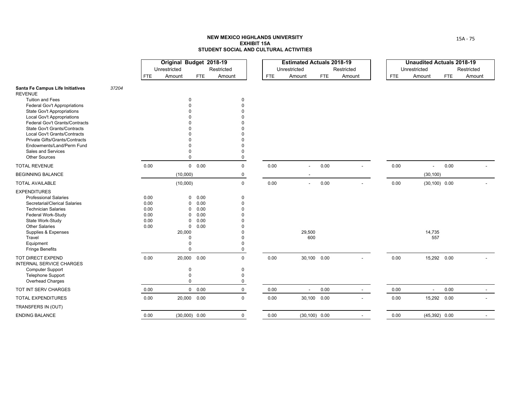|                                                                     |       |              | Original Budget 2018-19 |                                      |             |            | <b>Estimated Actuals 2018-19</b> |            |                          |            | <b>Unaudited Actuals 2018-19</b> |            |            |
|---------------------------------------------------------------------|-------|--------------|-------------------------|--------------------------------------|-------------|------------|----------------------------------|------------|--------------------------|------------|----------------------------------|------------|------------|
|                                                                     |       |              | Unrestricted            |                                      | Restricted  |            | Unrestricted                     |            | Restricted               |            | Unrestricted                     |            | Restricted |
|                                                                     |       | <b>FTE</b>   | Amount                  | <b>FTE</b>                           | Amount      | <b>FTE</b> | Amount                           | <b>FTE</b> | Amount                   | <b>FTE</b> | Amount                           | <b>FTE</b> | Amount     |
| Santa Fe Campus Life Initiatives<br><b>REVENUE</b>                  | 37204 |              |                         |                                      |             |            |                                  |            |                          |            |                                  |            |            |
| <b>Tuition and Fees</b>                                             |       |              |                         | $\Omega$                             | $\Omega$    |            |                                  |            |                          |            |                                  |            |            |
| <b>Federal Gov't Appropriations</b>                                 |       |              |                         | $\Omega$                             |             |            |                                  |            |                          |            |                                  |            |            |
| <b>State Gov't Appropriations</b>                                   |       |              |                         |                                      |             |            |                                  |            |                          |            |                                  |            |            |
| <b>Local Gov't Appropriations</b><br>Federal Gov't Grants/Contracts |       |              |                         |                                      |             |            |                                  |            |                          |            |                                  |            |            |
| <b>State Gov't Grants/Contracts</b>                                 |       |              |                         |                                      |             |            |                                  |            |                          |            |                                  |            |            |
| Local Gov't Grants/Contracts                                        |       |              |                         |                                      |             |            |                                  |            |                          |            |                                  |            |            |
| <b>Private Gifts/Grants/Contracts</b>                               |       |              |                         |                                      |             |            |                                  |            |                          |            |                                  |            |            |
| Endowments/Land/Perm Fund                                           |       |              |                         |                                      |             |            |                                  |            |                          |            |                                  |            |            |
| Sales and Services                                                  |       |              |                         | $\Omega$                             |             |            |                                  |            |                          |            |                                  |            |            |
| <b>Other Sources</b>                                                |       |              |                         | $\Omega$                             |             |            |                                  |            |                          |            |                                  |            |            |
| <b>TOTAL REVENUE</b>                                                |       | 0.00         |                         | 0 0.00                               | $\mathbf 0$ | 0.00       | $\overline{\phantom{a}}$         | 0.00       |                          | 0.00       | $\sim$                           | 0.00       |            |
| <b>BEGINNING BALANCE</b>                                            |       |              | (10,000)                |                                      | 0           |            |                                  |            |                          |            | (30, 100)                        |            |            |
| <b>TOTAL AVAILABLE</b>                                              |       |              | (10,000)                |                                      | $\mathbf 0$ | 0.00       | $\blacksquare$                   | 0.00       |                          | 0.00       | $(30, 100)$ 0.00                 |            |            |
| <b>EXPENDITURES</b>                                                 |       |              |                         |                                      |             |            |                                  |            |                          |            |                                  |            |            |
| <b>Professional Salaries</b>                                        |       | 0.00         |                         | 0.00<br>$\overline{0}$               | $\Omega$    |            |                                  |            |                          |            |                                  |            |            |
| Secretarial/Clerical Salaries                                       |       | 0.00         |                         | 0.00<br>$\mathbf 0$                  |             |            |                                  |            |                          |            |                                  |            |            |
| <b>Technician Salaries</b>                                          |       | 0.00         |                         | 0.00<br>$\mathbf 0$                  |             |            |                                  |            |                          |            |                                  |            |            |
| Federal Work-Study                                                  |       | 0.00         |                         | 0.00<br>$\mathbf 0$<br>0.00          |             |            |                                  |            |                          |            |                                  |            |            |
| State Work-Study<br><b>Other Salaries</b>                           |       | 0.00<br>0.00 |                         | $\mathbf{0}$<br>0.00<br>$\mathbf{0}$ |             |            |                                  |            |                          |            |                                  |            |            |
| Supplies & Expenses                                                 |       |              | 20,000                  |                                      |             |            | 29,500                           |            |                          |            | 14,735                           |            |            |
| Travel                                                              |       |              |                         | $\Omega$                             |             |            | 600                              |            |                          |            | 557                              |            |            |
| Equipment                                                           |       |              |                         | $\mathbf 0$                          |             |            |                                  |            |                          |            |                                  |            |            |
| <b>Fringe Benefits</b>                                              |       |              |                         | $\Omega$                             |             |            |                                  |            |                          |            |                                  |            |            |
| TOT DIRECT EXPEND<br><b>INTERNAL SERVICE CHARGES</b>                |       | 0.00         |                         | 20,000 0.00                          | $\mathbf 0$ | 0.00       | 30,100 0.00                      |            | $\blacksquare$           | 0.00       | 15,292 0.00                      |            |            |
| <b>Computer Support</b>                                             |       |              |                         | $\mathbf 0$                          | $\mathbf 0$ |            |                                  |            |                          |            |                                  |            |            |
| <b>Telephone Support</b>                                            |       |              |                         | $\mathbf 0$                          | $\Omega$    |            |                                  |            |                          |            |                                  |            |            |
| Overhead Charges                                                    |       |              |                         | $\mathbf 0$                          | 0           |            |                                  |            |                          |            |                                  |            |            |
| TOT INT SERV CHARGES                                                |       | 0.00         |                         | $0\quad 0.00$                        | $\mathbf 0$ | 0.00       | $\sim$                           | 0.00       | $\sim$                   | 0.00       | $\sim$                           | 0.00       | $\sim$     |
| <b>TOTAL EXPENDITURES</b>                                           |       | 0.00         |                         | 20,000 0.00                          | $\mathbf 0$ | 0.00       | 30,100 0.00                      |            | $\overline{\phantom{a}}$ | 0.00       | 15,292 0.00                      |            |            |
| TRANSFERS IN (OUT)                                                  |       |              |                         |                                      |             |            |                                  |            |                          |            |                                  |            |            |
| <b>ENDING BALANCE</b>                                               |       | 0.00         |                         | $(30,000)$ 0.00                      | $\mathbf 0$ | 0.00       | $(30, 100)$ 0.00                 |            |                          | 0.00       | $(45,392)$ 0.00                  |            |            |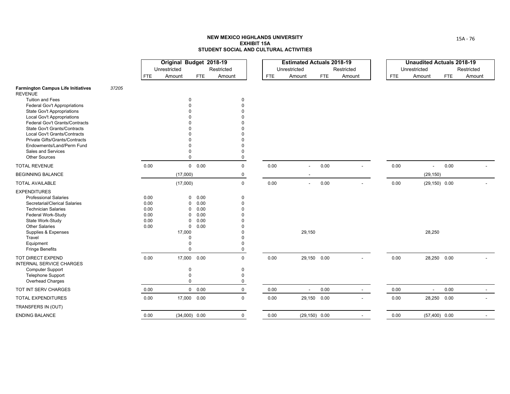|                                                                      |              | Original Budget 2018-19 |               |             |            | <b>Estimated Actuals 2018-19</b> |            |            |            | <b>Unaudited Actuals 2018-19</b> |                 |            |
|----------------------------------------------------------------------|--------------|-------------------------|---------------|-------------|------------|----------------------------------|------------|------------|------------|----------------------------------|-----------------|------------|
|                                                                      |              | Unrestricted            |               | Restricted  |            | Unrestricted                     |            | Restricted |            | Unrestricted                     |                 | Restricted |
|                                                                      | <b>FTE</b>   | Amount                  | <b>FTE</b>    | Amount      | <b>FTE</b> | Amount                           | <b>FTE</b> | Amount     | <b>FTE</b> | Amount                           | <b>FTE</b>      | Amount     |
| <b>Farmington Campus Life Initiatives</b><br>37205<br><b>REVENUE</b> |              |                         |               |             |            |                                  |            |            |            |                                  |                 |            |
| <b>Tuition and Fees</b>                                              |              | 0                       |               | 0           |            |                                  |            |            |            |                                  |                 |            |
| <b>Federal Gov't Appropriations</b>                                  |              |                         |               |             |            |                                  |            |            |            |                                  |                 |            |
| <b>State Gov't Appropriations</b>                                    |              |                         |               |             |            |                                  |            |            |            |                                  |                 |            |
| <b>Local Gov't Appropriations</b><br>Federal Gov't Grants/Contracts  |              |                         |               |             |            |                                  |            |            |            |                                  |                 |            |
| State Gov't Grants/Contracts                                         |              |                         |               |             |            |                                  |            |            |            |                                  |                 |            |
| Local Gov't Grants/Contracts                                         |              |                         |               |             |            |                                  |            |            |            |                                  |                 |            |
| Private Gifts/Grants/Contracts                                       |              |                         |               |             |            |                                  |            |            |            |                                  |                 |            |
| Endowments/Land/Perm Fund                                            |              |                         |               |             |            |                                  |            |            |            |                                  |                 |            |
| Sales and Services                                                   |              |                         |               |             |            |                                  |            |            |            |                                  |                 |            |
| <b>Other Sources</b>                                                 |              | $\Omega$                |               | $\Omega$    |            |                                  |            |            |            |                                  |                 |            |
| <b>TOTAL REVENUE</b>                                                 | 0.00         |                         | 0 0.00        | $\mathbf 0$ | 0.00       | $\overline{\phantom{a}}$         | 0.00       |            | 0.00       | $\overline{\phantom{a}}$         | 0.00            |            |
| <b>BEGINNING BALANCE</b>                                             |              | (17,000)                |               | 0           |            |                                  |            |            |            | (29, 150)                        |                 |            |
| <b>TOTAL AVAILABLE</b>                                               |              | (17,000)                |               | 0           | 0.00       | $\sim$                           | 0.00       |            | 0.00       | $(29, 150)$ 0.00                 |                 |            |
| <b>EXPENDITURES</b>                                                  |              |                         |               |             |            |                                  |            |            |            |                                  |                 |            |
| <b>Professional Salaries</b>                                         | 0.00         | 0                       | 0.00          | 0           |            |                                  |            |            |            |                                  |                 |            |
| Secretarial/Clerical Salaries                                        | 0.00         | 0                       | 0.00          | $\Omega$    |            |                                  |            |            |            |                                  |                 |            |
| <b>Technician Salaries</b>                                           | 0.00         | 0                       | 0.00          |             |            |                                  |            |            |            |                                  |                 |            |
| Federal Work-Study                                                   | 0.00         | 0                       | 0.00<br>0.00  |             |            |                                  |            |            |            |                                  |                 |            |
| State Work-Study<br><b>Other Salaries</b>                            | 0.00<br>0.00 | 0<br>0                  | 0.00          |             |            |                                  |            |            |            |                                  |                 |            |
| Supplies & Expenses                                                  |              | 17,000                  |               |             |            | 29,150                           |            |            |            | 28,250                           |                 |            |
| Travel                                                               |              | $\Omega$                |               |             |            |                                  |            |            |            |                                  |                 |            |
| Equipment                                                            |              | $\Omega$                |               |             |            |                                  |            |            |            |                                  |                 |            |
| <b>Fringe Benefits</b>                                               |              | $\Omega$                |               | 0           |            |                                  |            |            |            |                                  |                 |            |
| TOT DIRECT EXPEND<br>INTERNAL SERVICE CHARGES                        | 0.00         | 17,000 0.00             |               | 0           | 0.00       | 29,150 0.00                      |            |            | 0.00       |                                  | 28,250 0.00     |            |
| <b>Computer Support</b>                                              |              | 0                       |               | 0           |            |                                  |            |            |            |                                  |                 |            |
| <b>Telephone Support</b>                                             |              | $\mathbf 0$             |               | 0           |            |                                  |            |            |            |                                  |                 |            |
| Overhead Charges                                                     |              | $\mathbf 0$             |               | 0           |            |                                  |            |            |            |                                  |                 |            |
| TOT INT SERV CHARGES                                                 | 0.00         |                         | $0\quad 0.00$ | 0           | 0.00       | $\sim$                           | 0.00       | $\sim$     | 0.00       | $\blacksquare$                   | 0.00            | $\sim$     |
| <b>TOTAL EXPENDITURES</b>                                            | 0.00         | 17,000                  | 0.00          | $\mathbf 0$ | 0.00       | 29,150 0.00                      |            |            | 0.00       |                                  | 28,250 0.00     |            |
| TRANSFERS IN (OUT)                                                   |              |                         |               |             |            |                                  |            |            |            |                                  |                 |            |
| <b>ENDING BALANCE</b>                                                | 0.00         | $(34,000)$ 0.00         |               | $\mathbf 0$ | 0.00       | $(29, 150)$ 0.00                 |            |            | 0.00       |                                  | $(57,400)$ 0.00 |            |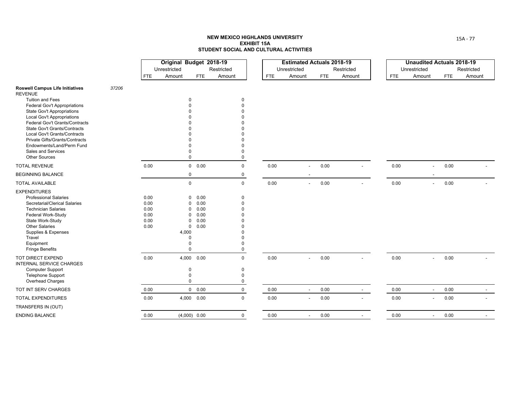|                                                                   |       |              | Original Budget 2018-19 |                               |            |                      |            | <b>Estimated Actuals 2018-19</b> |            |            |                |            | <b>Unaudited Actuals 2018-19</b> |            |            |
|-------------------------------------------------------------------|-------|--------------|-------------------------|-------------------------------|------------|----------------------|------------|----------------------------------|------------|------------|----------------|------------|----------------------------------|------------|------------|
|                                                                   |       |              | Unrestricted            |                               | Restricted |                      |            | Unrestricted                     |            | Restricted |                |            | Unrestricted                     |            | Restricted |
|                                                                   |       | FTE          | Amount                  | <b>FTE</b>                    | Amount     |                      | <b>FTE</b> | Amount                           | <b>FTE</b> | Amount     |                | <b>FTE</b> | Amount                           | <b>FTE</b> | Amount     |
| <b>Roswell Campus Life Initiatives</b><br><b>REVENUE</b>          | 37206 |              |                         |                               |            |                      |            |                                  |            |            |                |            |                                  |            |            |
| <b>Tuition and Fees</b>                                           |       |              |                         | $\mathbf 0$                   |            | 0                    |            |                                  |            |            |                |            |                                  |            |            |
| Federal Gov't Appropriations<br><b>State Gov't Appropriations</b> |       |              |                         |                               |            | $\Omega$             |            |                                  |            |            |                |            |                                  |            |            |
| <b>Local Gov't Appropriations</b>                                 |       |              |                         |                               |            |                      |            |                                  |            |            |                |            |                                  |            |            |
| Federal Gov't Grants/Contracts                                    |       |              |                         |                               |            |                      |            |                                  |            |            |                |            |                                  |            |            |
| <b>State Gov't Grants/Contracts</b>                               |       |              |                         |                               |            |                      |            |                                  |            |            |                |            |                                  |            |            |
| Local Gov't Grants/Contracts                                      |       |              |                         |                               |            |                      |            |                                  |            |            |                |            |                                  |            |            |
| Private Gifts/Grants/Contracts                                    |       |              |                         |                               |            |                      |            |                                  |            |            |                |            |                                  |            |            |
| Endowments/Land/Perm Fund                                         |       |              |                         |                               |            |                      |            |                                  |            |            |                |            |                                  |            |            |
| Sales and Services<br><b>Other Sources</b>                        |       |              |                         | $\Omega$                      |            | $\Omega$<br>$\Omega$ |            |                                  |            |            |                |            |                                  |            |            |
| <b>TOTAL REVENUE</b>                                              |       | 0.00         |                         | 0 0.00                        |            | $\mathbf 0$          | 0.00       | ÷.                               | 0.00       |            |                | 0.00       | $\overline{\phantom{a}}$         | 0.00       |            |
| <b>BEGINNING BALANCE</b>                                          |       |              |                         | 0                             |            | 0                    |            |                                  |            |            |                |            |                                  |            |            |
| <b>TOTAL AVAILABLE</b>                                            |       |              |                         | $\mathbf 0$                   |            | $\mathbf 0$          | 0.00       | $\overline{\phantom{a}}$         | 0.00       |            |                | 0.00       | $\overline{a}$                   | 0.00       |            |
| <b>EXPENDITURES</b>                                               |       |              |                         |                               |            |                      |            |                                  |            |            |                |            |                                  |            |            |
| <b>Professional Salaries</b>                                      |       | 0.00         |                         | $\mathbf 0$<br>0.00           |            | 0                    |            |                                  |            |            |                |            |                                  |            |            |
| Secretarial/Clerical Salaries                                     |       | 0.00         |                         | 0.00<br>$\mathbf 0$           |            | $\Omega$             |            |                                  |            |            |                |            |                                  |            |            |
| <b>Technician Salaries</b>                                        |       | 0.00         |                         | 0.00<br>0                     |            | $\Omega$             |            |                                  |            |            |                |            |                                  |            |            |
| Federal Work-Study                                                |       | 0.00         |                         | 0.00<br>0                     |            |                      |            |                                  |            |            |                |            |                                  |            |            |
| State Work-Study<br><b>Other Salaries</b>                         |       | 0.00<br>0.00 |                         | 0.00<br>$\Omega$<br>0.00<br>0 |            |                      |            |                                  |            |            |                |            |                                  |            |            |
| Supplies & Expenses                                               |       |              | 4,000                   |                               |            |                      |            |                                  |            |            |                |            |                                  |            |            |
| Travel                                                            |       |              |                         | $\Omega$                      |            |                      |            |                                  |            |            |                |            |                                  |            |            |
| Equipment                                                         |       |              |                         | $\Omega$                      |            | $\Omega$             |            |                                  |            |            |                |            |                                  |            |            |
| <b>Fringe Benefits</b>                                            |       |              |                         | $\Omega$                      |            | $\Omega$             |            |                                  |            |            |                |            |                                  |            |            |
| TOT DIRECT EXPEND<br><b>INTERNAL SERVICE CHARGES</b>              |       | 0.00         |                         | 4,000 0.00                    |            | $\mathbf 0$          | 0.00       | ÷.                               | 0.00       |            | $\blacksquare$ | 0.00       | $\overline{\phantom{a}}$         | 0.00       |            |
| <b>Computer Support</b>                                           |       |              |                         | $\Omega$                      |            | $\mathbf 0$          |            |                                  |            |            |                |            |                                  |            |            |
| <b>Telephone Support</b>                                          |       |              |                         | $\mathbf 0$                   |            | $\Omega$             |            |                                  |            |            |                |            |                                  |            |            |
| Overhead Charges                                                  |       |              |                         | $\mathbf 0$                   |            | $\Omega$             |            |                                  |            |            |                |            |                                  |            |            |
| TOT INT SERV CHARGES                                              |       | 0.00         |                         | 0 0.00                        |            | 0                    | 0.00       | $\overline{\phantom{a}}$         | 0.00       |            | $\sim$         | 0.00       | $\blacksquare$                   | 0.00       |            |
| <b>TOTAL EXPENDITURES</b>                                         |       | 0.00         |                         | 4,000 0.00                    |            | $\mathbf 0$          | 0.00       | $\overline{\phantom{0}}$         | 0.00       |            |                | 0.00       | $\overline{a}$                   | 0.00       |            |
| TRANSFERS IN (OUT)                                                |       |              |                         |                               |            |                      |            |                                  |            |            |                |            |                                  |            |            |
| <b>ENDING BALANCE</b>                                             |       | 0.00         |                         | $(4,000)$ 0.00                |            | $\mathbf 0$          | 0.00       | $\overline{\phantom{a}}$         | 0.00       |            | $\overline{a}$ | 0.00       | $\overline{\phantom{a}}$         | 0.00       |            |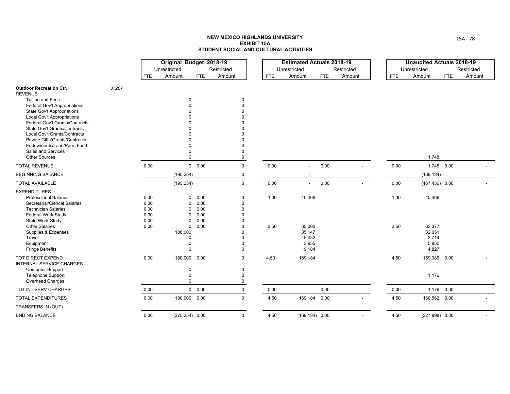|                                                                                                                                                                                                                                                               |       |                                              | Original Budget 2018-19<br>Unrestricted                 |                                                                                        | Restricted                                                                                                                             |              | <b>Estimated Actuals 2018-19</b><br>Unrestricted       |      | Restricted |              | <b>Unaudited Actuals 2018-19</b><br>Unrestricted       |            | Restricted |
|---------------------------------------------------------------------------------------------------------------------------------------------------------------------------------------------------------------------------------------------------------------|-------|----------------------------------------------|---------------------------------------------------------|----------------------------------------------------------------------------------------|----------------------------------------------------------------------------------------------------------------------------------------|--------------|--------------------------------------------------------|------|------------|--------------|--------------------------------------------------------|------------|------------|
|                                                                                                                                                                                                                                                               |       | <b>FTE</b>                                   | Amount                                                  | FTE                                                                                    | Amount                                                                                                                                 | <b>FTE</b>   | Amount                                                 | FTE  | Amount     | <b>FTE</b>   | Amount                                                 | <b>FTE</b> | Amount     |
| <b>Outdoor Recreation Ctr.</b><br><b>REVENUE</b>                                                                                                                                                                                                              | 37207 |                                              |                                                         |                                                                                        |                                                                                                                                        |              |                                                        |      |            |              |                                                        |            |            |
| <b>Tuition and Fees</b><br>Federal Gov't Appropriations<br><b>State Gov't Appropriations</b><br><b>Local Gov't Appropriations</b><br>Federal Gov't Grants/Contracts<br><b>State Gov't Grants/Contracts</b><br>Local Gov't Grants/Contracts                    |       |                                              | $\mathbf 0$                                             |                                                                                        | $\mathbf 0$<br>$\Omega$<br>$\Omega$<br>$\Omega$<br>$\Omega$<br>$\Omega$                                                                |              |                                                        |      |            |              |                                                        |            |            |
| <b>Private Gifts/Grants/Contracts</b><br>Endowments/Land/Perm Fund<br>Sales and Services<br><b>Other Sources</b>                                                                                                                                              |       |                                              | 0                                                       | $\Omega$                                                                               | $\Omega$<br>$\mathbf 0$<br>0                                                                                                           |              |                                                        |      |            |              | 1,748                                                  |            |            |
| <b>TOTAL REVENUE</b>                                                                                                                                                                                                                                          |       | 0.00                                         |                                                         | 0 0.00                                                                                 | $\mathsf 0$                                                                                                                            | 0.00         |                                                        | 0.00 |            | 0.00         | 1,748 0.00                                             |            |            |
| <b>BEGINNING BALANCE</b>                                                                                                                                                                                                                                      |       |                                              | (195, 254)                                              |                                                                                        | $\mathbf 0$                                                                                                                            |              |                                                        |      |            |              | (169, 184)                                             |            |            |
| <b>TOTAL AVAILABLE</b>                                                                                                                                                                                                                                        |       |                                              | (195, 254)                                              |                                                                                        | $\mathbf 0$                                                                                                                            | 0.00         | $\sim$                                                 | 0.00 |            | 0.00         | $(167, 436)$ 0.00                                      |            |            |
| <b>EXPENDITURES</b><br><b>Professional Salaries</b><br>Secretarial/Clerical Salaries<br><b>Technician Salaries</b><br>Federal Work-Study<br>State Work-Study<br><b>Other Salaries</b><br>Supplies & Expenses<br>Travel<br>Equipment<br><b>Fringe Benefits</b> |       | 0.00<br>0.00<br>0.00<br>0.00<br>0.00<br>0.00 | $\Omega$<br>180,000<br>$\Omega$<br>$\Omega$<br>$\Omega$ | 0.00<br>0<br>0.00<br>$\mathbf 0$<br>0.00<br>$\Omega$<br>0.00<br>0<br>0.00<br>0<br>0.00 | $\mathbf 0$<br>$\mathbf 0$<br>$\Omega$<br>$\mathbf 0$<br>$\mathbf 0$<br>$\Omega$<br>$\mathbf 0$<br>$\Omega$<br>$\Omega$<br>$\mathbf 0$ | 1.00<br>3.50 | 40,466<br>65,000<br>35,147<br>5,432<br>3,955<br>19,184 |      |            | 1.00<br>3.50 | 40,466<br>63,377<br>32,051<br>2,714<br>5,950<br>14,827 |            |            |
| TOT DIRECT EXPEND<br><b>INTERNAL SERVICE CHARGES</b><br><b>Computer Support</b><br><b>Telephone Support</b><br>Overhead Charges                                                                                                                               |       | 0.00                                         | $\Omega$<br>$\Omega$                                    | 180,000 0.00<br>$\Omega$                                                               | $\mathbf 0$<br>$\mathbf 0$<br>$\Omega$<br>0                                                                                            | 4.50         | 169,184                                                |      |            | 4.50         | 159,386 0.00<br>1,176                                  |            |            |
| TOT INT SERV CHARGES                                                                                                                                                                                                                                          |       | 0.00                                         |                                                         | 0 0.00                                                                                 | $\mathbf 0$                                                                                                                            | 0.00         | $\overline{\phantom{a}}$                               | 0.00 | $\sim$     | 0.00         | 1,176 0.00                                             |            | $\sim$     |
| <b>TOTAL EXPENDITURES</b>                                                                                                                                                                                                                                     |       | 0.00                                         |                                                         | 180,000 0.00                                                                           | $\mathbf 0$                                                                                                                            | 4.50         | 169,184                                                | 0.00 |            | 4.50         | 160,562 0.00                                           |            |            |
| TRANSFERS IN (OUT)                                                                                                                                                                                                                                            |       |                                              |                                                         |                                                                                        |                                                                                                                                        |              |                                                        |      |            |              |                                                        |            |            |
| <b>ENDING BALANCE</b>                                                                                                                                                                                                                                         |       | 0.00                                         | $(375, 254)$ 0.00                                       |                                                                                        | $\mathsf 0$                                                                                                                            | 4.50         | $(169, 184)$ 0.00                                      |      |            | 4.50         | $(327,998)$ 0.00                                       |            |            |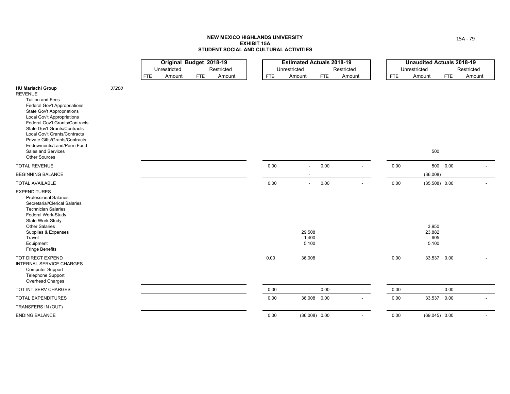|                                                                                                                                                                                                                                                                                                                                                                                                       |       |     | Original Budget 2018-19 |            |            |          | <b>Estimated Actuals 2018-19</b> |            |            |            | <b>Unaudited Actuals 2018-19</b> |            |            |  |
|-------------------------------------------------------------------------------------------------------------------------------------------------------------------------------------------------------------------------------------------------------------------------------------------------------------------------------------------------------------------------------------------------------|-------|-----|-------------------------|------------|------------|----------|----------------------------------|------------|------------|------------|----------------------------------|------------|------------|--|
|                                                                                                                                                                                                                                                                                                                                                                                                       |       |     | Unrestricted            |            | Restricted |          | Unrestricted                     |            | Restricted |            | Unrestricted                     |            | Restricted |  |
|                                                                                                                                                                                                                                                                                                                                                                                                       |       | FTE | Amount                  | <b>FTE</b> | Amount     | FTE      | Amount                           | <b>FTE</b> | Amount     | <b>FTE</b> | Amount                           | <b>FTE</b> | Amount     |  |
| <b>HU Mariachi Group</b><br><b>REVENUE</b><br>Tuition and Fees<br><b>Federal Gov't Appropriations</b><br><b>State Gov't Appropriations</b><br><b>Local Gov't Appropriations</b><br>Federal Gov't Grants/Contracts<br>State Gov't Grants/Contracts<br>Local Gov't Grants/Contracts<br><b>Private Gifts/Grants/Contracts</b><br>Endowments/Land/Perm Fund<br>Sales and Services<br><b>Other Sources</b> | 37208 |     |                         |            |            |          |                                  |            |            |            | 500                              |            |            |  |
| <b>TOTAL REVENUE</b>                                                                                                                                                                                                                                                                                                                                                                                  |       |     |                         |            |            | 0.00     | $\sim$                           | 0.00       |            | 0.00       |                                  | 500  0.00  |            |  |
| <b>BEGINNING BALANCE</b>                                                                                                                                                                                                                                                                                                                                                                              |       |     |                         |            |            |          |                                  |            |            |            | (36,008)                         |            |            |  |
| <b>TOTAL AVAILABLE</b>                                                                                                                                                                                                                                                                                                                                                                                |       |     |                         |            |            | $0.00\,$ | $\sim$                           | 0.00       |            | 0.00       | $(35,508)$ 0.00                  |            |            |  |
| <b>EXPENDITURES</b><br><b>Professional Salaries</b><br>Secretarial/Clerical Salaries<br><b>Technician Salaries</b><br>Federal Work-Study<br>State Work-Study<br>Other Salaries<br>Supplies & Expenses<br>Travel<br>Equipment<br><b>Fringe Benefits</b>                                                                                                                                                |       |     |                         |            |            |          | 29,508<br>1,400<br>5,100         |            |            |            | 3,950<br>23,882<br>605<br>5,100  |            |            |  |
| TOT DIRECT EXPEND<br>INTERNAL SERVICE CHARGES<br><b>Computer Support</b><br>Telephone Support<br>Overhead Charges                                                                                                                                                                                                                                                                                     |       |     |                         |            |            | 0.00     | 36,008                           |            |            | 0.00       | 33,537 0.00                      |            |            |  |
| TOT INT SERV CHARGES                                                                                                                                                                                                                                                                                                                                                                                  |       |     |                         |            |            | $0.00\,$ | $\sim$                           | 0.00       | $\sim$     | 0.00       | $\overline{\phantom{a}}$         | 0.00       |            |  |
| <b>TOTAL EXPENDITURES</b>                                                                                                                                                                                                                                                                                                                                                                             |       |     |                         |            |            | 0.00     | 36,008 0.00                      |            |            | 0.00       | 33,537 0.00                      |            |            |  |
| TRANSFERS IN (OUT)                                                                                                                                                                                                                                                                                                                                                                                    |       |     |                         |            |            |          |                                  |            |            |            |                                  |            |            |  |
| <b>ENDING BALANCE</b>                                                                                                                                                                                                                                                                                                                                                                                 |       |     |                         |            |            | 0.00     | $(36,008)$ 0.00                  |            |            | 0.00       | $(69,045)$ 0.00                  |            |            |  |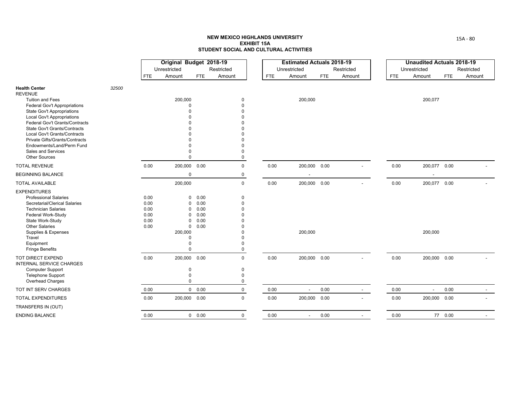|                                                                       |       |              | Original Budget 2018-19 |               |             |            | <b>Estimated Actuals 2018-19</b> |            |                |            | <b>Unaudited Actuals 2018-19</b> |            |            |
|-----------------------------------------------------------------------|-------|--------------|-------------------------|---------------|-------------|------------|----------------------------------|------------|----------------|------------|----------------------------------|------------|------------|
|                                                                       |       |              | Unrestricted            |               | Restricted  |            | Unrestricted                     |            | Restricted     |            | Unrestricted                     |            | Restricted |
|                                                                       |       | <b>FTE</b>   | Amount                  | <b>FTE</b>    | Amount      | <b>FTE</b> | Amount                           | <b>FTE</b> | Amount         | <b>FTE</b> | Amount                           | <b>FTE</b> | Amount     |
| <b>Health Center</b><br><b>REVENUE</b>                                | 32500 |              |                         |               |             |            |                                  |            |                |            |                                  |            |            |
| <b>Tuition and Fees</b>                                               |       |              | 200,000                 |               | $\Omega$    |            | 200,000                          |            |                |            | 200,077                          |            |            |
| <b>Federal Gov't Appropriations</b>                                   |       |              | O                       |               | $\Omega$    |            |                                  |            |                |            |                                  |            |            |
| <b>State Gov't Appropriations</b>                                     |       |              |                         |               |             |            |                                  |            |                |            |                                  |            |            |
| <b>Local Gov't Appropriations</b>                                     |       |              |                         |               |             |            |                                  |            |                |            |                                  |            |            |
| Federal Gov't Grants/Contracts<br><b>State Gov't Grants/Contracts</b> |       |              |                         |               |             |            |                                  |            |                |            |                                  |            |            |
| Local Gov't Grants/Contracts                                          |       |              |                         |               |             |            |                                  |            |                |            |                                  |            |            |
| <b>Private Gifts/Grants/Contracts</b>                                 |       |              |                         |               |             |            |                                  |            |                |            |                                  |            |            |
| Endowments/Land/Perm Fund                                             |       |              |                         |               |             |            |                                  |            |                |            |                                  |            |            |
| Sales and Services                                                    |       |              |                         |               |             |            |                                  |            |                |            |                                  |            |            |
| <b>Other Sources</b>                                                  |       |              | $\Omega$                |               | $\mathbf 0$ |            |                                  |            |                |            |                                  |            |            |
| <b>TOTAL REVENUE</b>                                                  |       | 0.00         | 200,000 0.00            |               | $\mathbf 0$ | 0.00       | 200,000 0.00                     |            |                | 0.00       | 200,077 0.00                     |            |            |
| <b>BEGINNING BALANCE</b>                                              |       |              | $\mathbf 0$             |               | 0           |            |                                  |            |                |            | $\overline{\phantom{a}}$         |            |            |
| <b>TOTAL AVAILABLE</b>                                                |       |              | 200,000                 |               | $\pmb{0}$   | 0.00       | 200,000 0.00                     |            |                | 0.00       | 200,077 0.00                     |            |            |
| <b>EXPENDITURES</b>                                                   |       |              |                         |               |             |            |                                  |            |                |            |                                  |            |            |
| <b>Professional Salaries</b>                                          |       | 0.00         | $\mathbf 0$             | 0.00          | $\mathbf 0$ |            |                                  |            |                |            |                                  |            |            |
| Secretarial/Clerical Salaries                                         |       | 0.00         | $\mathbf 0$             | 0.00          | $\Omega$    |            |                                  |            |                |            |                                  |            |            |
| <b>Technician Salaries</b>                                            |       | 0.00         | 0                       | 0.00          |             |            |                                  |            |                |            |                                  |            |            |
| Federal Work-Study                                                    |       | 0.00         | 0                       | 0.00          |             |            |                                  |            |                |            |                                  |            |            |
| State Work-Study<br><b>Other Salaries</b>                             |       | 0.00<br>0.00 | $\mathbf 0$             | 0.00<br>0.00  |             |            |                                  |            |                |            |                                  |            |            |
| Supplies & Expenses                                                   |       |              | $\mathbf 0$<br>200,000  |               |             |            | 200,000                          |            |                |            | 200,000                          |            |            |
| Travel                                                                |       |              | $\Omega$                |               |             |            |                                  |            |                |            |                                  |            |            |
| Equipment                                                             |       |              | $\Omega$                |               | $\Omega$    |            |                                  |            |                |            |                                  |            |            |
| Fringe Benefits                                                       |       |              | $\Omega$                |               | $\Omega$    |            |                                  |            |                |            |                                  |            |            |
| TOT DIRECT EXPEND<br><b>INTERNAL SERVICE CHARGES</b>                  |       | 0.00         | 200,000 0.00            |               | $\mathbf 0$ | 0.00       | 200,000 0.00                     |            | $\blacksquare$ | 0.00       | 200,000 0.00                     |            |            |
| <b>Computer Support</b>                                               |       |              | $\mathbf 0$             |               | $\mathbf 0$ |            |                                  |            |                |            |                                  |            |            |
| <b>Telephone Support</b>                                              |       |              | $\Omega$                |               | $\Omega$    |            |                                  |            |                |            |                                  |            |            |
| Overhead Charges                                                      |       |              | $\Omega$                |               | $\mathbf 0$ |            |                                  |            |                |            |                                  |            |            |
| TOT INT SERV CHARGES                                                  |       | 0.00         |                         | $0\quad 0.00$ | 0           | 0.00       | $\blacksquare$                   | 0.00       | $\sim$         | 0.00       | $\sim$                           | 0.00       | $\sim$     |
| <b>TOTAL EXPENDITURES</b>                                             |       | 0.00         | 200,000 0.00            |               | $\Omega$    | 0.00       | 200,000                          | 0.00       |                | 0.00       | 200,000 0.00                     |            |            |
| TRANSFERS IN (OUT)                                                    |       |              |                         |               |             |            |                                  |            |                |            |                                  |            |            |
| <b>ENDING BALANCE</b>                                                 |       | 0.00         |                         | $0\quad 0.00$ | $\mathbf 0$ | 0.00       | $\blacksquare$                   | 0.00       | $\blacksquare$ | 0.00       |                                  | 77 0.00    |            |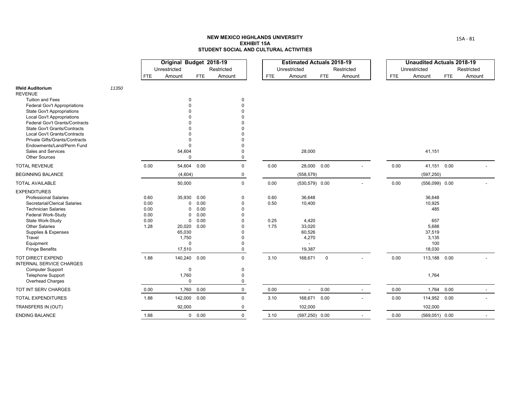|                                                             |       |              | Original Budget 2018-19 |               |                         |            | <b>Estimated Actuals 2018-19</b> |            |            |            | <b>Unaudited Actuals 2018-19</b> |            |            |
|-------------------------------------------------------------|-------|--------------|-------------------------|---------------|-------------------------|------------|----------------------------------|------------|------------|------------|----------------------------------|------------|------------|
|                                                             |       |              | Unrestricted            |               | Restricted              |            | Unrestricted                     |            | Restricted |            | Unrestricted                     |            | Restricted |
|                                                             |       | <b>FTE</b>   | Amount                  | FTE           | Amount                  | <b>FTE</b> | Amount                           | <b>FTE</b> | Amount     | <b>FTE</b> | Amount                           | <b>FTE</b> | Amount     |
| <b>Ilfeld Auditorium</b>                                    | 11350 |              |                         |               |                         |            |                                  |            |            |            |                                  |            |            |
| <b>REVENUE</b><br><b>Tuition and Fees</b>                   |       |              | $\Omega$                |               | $\mathbf 0$             |            |                                  |            |            |            |                                  |            |            |
| Federal Gov't Appropriations                                |       |              |                         |               | $\Omega$                |            |                                  |            |            |            |                                  |            |            |
| State Gov't Appropriations                                  |       |              |                         |               | $\Omega$                |            |                                  |            |            |            |                                  |            |            |
| <b>Local Gov't Appropriations</b>                           |       |              |                         |               | $\Omega$                |            |                                  |            |            |            |                                  |            |            |
| Federal Gov't Grants/Contracts                              |       |              |                         |               | $\Omega$                |            |                                  |            |            |            |                                  |            |            |
| <b>State Gov't Grants/Contracts</b>                         |       |              |                         |               | $\Omega$                |            |                                  |            |            |            |                                  |            |            |
| Local Gov't Grants/Contracts                                |       |              |                         |               | $\Omega$                |            |                                  |            |            |            |                                  |            |            |
| Private Gifts/Grants/Contracts<br>Endowments/Land/Perm Fund |       |              | $\Omega$                |               | $\Omega$                |            |                                  |            |            |            |                                  |            |            |
| Sales and Services                                          |       |              | 54,604                  |               | $\mathbf 0$             |            | 28,000                           |            |            |            | 41,151                           |            |            |
| <b>Other Sources</b>                                        |       |              | $\Omega$                |               | $\mathsf 0$             |            |                                  |            |            |            |                                  |            |            |
| <b>TOTAL REVENUE</b>                                        |       | 0.00         | 54,604                  | 0.00          | $\mathsf 0$             | 0.00       | 28,000 0.00                      |            |            | 0.00       | 41,151 0.00                      |            |            |
| <b>BEGINNING BALANCE</b>                                    |       |              | (4,604)                 |               | $\mathbf 0$             |            | (558, 579)                       |            |            |            | (597, 250)                       |            |            |
| <b>TOTAL AVAILABLE</b>                                      |       |              | 50,000                  |               | $\mathbf 0$             | 0.00       | $(530, 579)$ 0.00                |            |            | 0.00       | $(556,099)$ 0.00                 |            |            |
| <b>EXPENDITURES</b>                                         |       |              |                         |               |                         |            |                                  |            |            |            |                                  |            |            |
| <b>Professional Salaries</b>                                |       | 0.60         | 35,930                  | 0.00          | $\mathbf 0$             | 0.60       | 36,648                           |            |            |            | 36,648                           |            |            |
| Secretarial/Clerical Salaries                               |       | 0.00         | $\mathbf 0$             | 0.00          | $\Omega$                | 0.50       | 10,400                           |            |            |            | 10,925                           |            |            |
| <b>Technician Salaries</b>                                  |       | 0.00         | $\Omega$                | 0.00          | $\Omega$                |            |                                  |            |            |            | 485                              |            |            |
| Federal Work-Study<br>State Work-Study                      |       | 0.00<br>0.00 | $\Omega$<br>$\mathbf 0$ | 0.00<br>0.00  | $\Omega$<br>$\mathbf 0$ | 0.25       | 4,420                            |            |            |            | 657                              |            |            |
| <b>Other Salaries</b>                                       |       | 1.28         | 20,020                  | 0.00          | $\Omega$                | 1.75       | 33,020                           |            |            |            | 5,688                            |            |            |
| Supplies & Expenses                                         |       |              | 65,030                  |               | $\mathbf 0$             |            | 60,526                           |            |            |            | 37,519                           |            |            |
| Travel                                                      |       |              | 1,750                   |               | $\Omega$                |            | 4,270                            |            |            |            | 3,135                            |            |            |
| Equipment                                                   |       |              | $\Omega$                |               | $\Omega$                |            |                                  |            |            |            | 100                              |            |            |
| <b>Fringe Benefits</b>                                      |       |              | 17,510                  |               | $\mathbf 0$             |            | 19,387                           |            |            |            | 18,030                           |            |            |
| TOT DIRECT EXPEND<br><b>INTERNAL SERVICE CHARGES</b>        |       | 1.88         | 140,240 0.00            |               | $\Omega$                | 3.10       | 168,671                          | $\pmb{0}$  |            | 0.00       | 113,188 0.00                     |            |            |
| <b>Computer Support</b>                                     |       |              | $\mathbf 0$             |               | 0                       |            |                                  |            |            |            |                                  |            |            |
| <b>Telephone Support</b>                                    |       |              | 1,760                   |               | $\mathbf 0$             |            |                                  |            |            |            | 1,764                            |            |            |
| Overhead Charges                                            |       |              | $\mathbf 0$             |               | $\pmb{0}$               |            |                                  |            |            |            |                                  |            |            |
| TOT INT SERV CHARGES                                        |       | 0.00         | 1,760                   | 0.00          | $\mathbf 0$             | 0.00       | $\blacksquare$                   | 0.00       | $\sim$     | 0.00       | 1,764                            | 0.00       |            |
| TOTAL EXPENDITURES                                          |       | 1.88         | 142,000                 | 0.00          | $\mathsf 0$             | 3.10       | 168,671                          | 0.00       |            | 0.00       | 114,952 0.00                     |            |            |
| TRANSFERS IN (OUT)                                          |       |              | 92,000                  |               | 0                       |            | 102,000                          |            |            |            | 102,000                          |            |            |
| <b>ENDING BALANCE</b>                                       |       | 1.88         |                         | $0\quad 0.00$ | $\mathbf 0$             | 3.10       | $(597, 250)$ 0.00                |            |            | 0.00       | $(569,051)$ 0.00                 |            |            |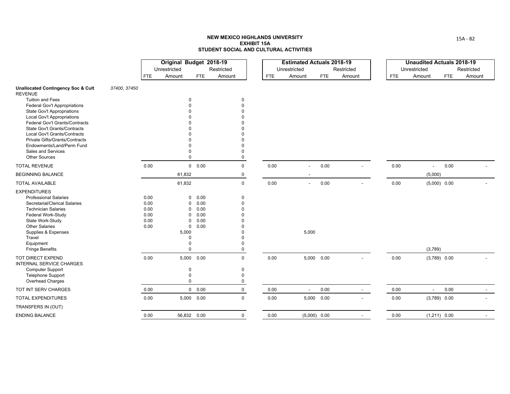|                                                              |              |            | Original Budget 2018-19 |                      |             |            | <b>Estimated Actuals 2018-19</b> |            |                          |      | <b>Unaudited Actuals 2018-19</b> |            |            |
|--------------------------------------------------------------|--------------|------------|-------------------------|----------------------|-------------|------------|----------------------------------|------------|--------------------------|------|----------------------------------|------------|------------|
|                                                              |              |            | Unrestricted            |                      | Restricted  |            | Unrestricted                     |            | Restricted               |      | Unrestricted                     |            | Restricted |
|                                                              |              | <b>FTE</b> | Amount                  | <b>FTE</b>           | Amount      | <b>FTE</b> | Amount                           | <b>FTE</b> | Amount                   | FTE  | Amount                           | <b>FTE</b> | Amount     |
| <b>Unallocated Contingency Soc &amp; Cult</b>                | 37400, 37450 |            |                         |                      |             |            |                                  |            |                          |      |                                  |            |            |
| <b>REVENUE</b>                                               |              |            |                         |                      |             |            |                                  |            |                          |      |                                  |            |            |
| <b>Tuition and Fees</b>                                      |              |            |                         | $\mathbf 0$          | 0           |            |                                  |            |                          |      |                                  |            |            |
| Federal Gov't Appropriations                                 |              |            |                         |                      | $\Omega$    |            |                                  |            |                          |      |                                  |            |            |
| <b>State Gov't Appropriations</b>                            |              |            |                         |                      |             |            |                                  |            |                          |      |                                  |            |            |
| Local Gov't Appropriations<br>Federal Gov't Grants/Contracts |              |            |                         |                      |             |            |                                  |            |                          |      |                                  |            |            |
| State Gov't Grants/Contracts                                 |              |            |                         |                      |             |            |                                  |            |                          |      |                                  |            |            |
| <b>Local Gov't Grants/Contracts</b>                          |              |            |                         |                      |             |            |                                  |            |                          |      |                                  |            |            |
| Private Gifts/Grants/Contracts                               |              |            |                         |                      |             |            |                                  |            |                          |      |                                  |            |            |
| Endowments/Land/Perm Fund                                    |              |            |                         |                      |             |            |                                  |            |                          |      |                                  |            |            |
| Sales and Services                                           |              |            |                         |                      | $\Omega$    |            |                                  |            |                          |      |                                  |            |            |
| <b>Other Sources</b>                                         |              |            |                         | $\Omega$             | 0           |            |                                  |            |                          |      |                                  |            |            |
| <b>TOTAL REVENUE</b>                                         |              | 0.00       |                         | $0\quad 0.00$        | $\mathbf 0$ | 0.00       | $\overline{a}$                   | 0.00       |                          | 0.00 | $\overline{\phantom{a}}$         | 0.00       |            |
| <b>BEGINNING BALANCE</b>                                     |              |            | 61,832                  |                      | 0           |            |                                  |            |                          |      | (5,000)                          |            |            |
| <b>TOTAL AVAILABLE</b>                                       |              |            | 61,832                  |                      | $\mathbf 0$ | 0.00       | $\sim$                           | 0.00       |                          | 0.00 | $(5,000)$ 0.00                   |            |            |
| <b>EXPENDITURES</b>                                          |              |            |                         |                      |             |            |                                  |            |                          |      |                                  |            |            |
| <b>Professional Salaries</b>                                 |              | 0.00       |                         | 0.00<br>0            | 0           |            |                                  |            |                          |      |                                  |            |            |
| Secretarial/Clerical Salaries                                |              | 0.00       |                         | 0.00<br>$\mathbf 0$  | $\Omega$    |            |                                  |            |                          |      |                                  |            |            |
| <b>Technician Salaries</b>                                   |              | 0.00       |                         | 0.00<br>$\Omega$     | $\Omega$    |            |                                  |            |                          |      |                                  |            |            |
| Federal Work-Study                                           |              | 0.00       |                         | 0.00<br>0            |             |            |                                  |            |                          |      |                                  |            |            |
| State Work-Study                                             |              | 0.00       |                         | 0.00<br>$\Omega$     |             |            |                                  |            |                          |      |                                  |            |            |
| <b>Other Salaries</b>                                        |              | 0.00       |                         | 0.00<br>$\mathbf 0$  | $\Omega$    |            |                                  |            |                          |      |                                  |            |            |
| Supplies & Expenses                                          |              |            | 5,000                   |                      | $\Omega$    |            | 5,000                            |            |                          |      |                                  |            |            |
| Travel<br>Equipment                                          |              |            |                         | $\Omega$<br>$\Omega$ | $\Omega$    |            |                                  |            |                          |      |                                  |            |            |
| <b>Fringe Benefits</b>                                       |              |            |                         | $\Omega$             | $\Omega$    |            |                                  |            |                          |      | (3,789)                          |            |            |
| TOT DIRECT EXPEND                                            |              | 0.00       |                         | 5,000 0.00           | $\mathbf 0$ | 0.00       | 5,000 0.00                       |            | $\overline{\phantom{a}}$ | 0.00 | $(3,789)$ 0.00                   |            |            |
| <b>INTERNAL SERVICE CHARGES</b>                              |              |            |                         |                      |             |            |                                  |            |                          |      |                                  |            |            |
| <b>Computer Support</b>                                      |              |            |                         | $\mathbf 0$          | $\mathbf 0$ |            |                                  |            |                          |      |                                  |            |            |
| <b>Telephone Support</b>                                     |              |            |                         | $\Omega$             | $\Omega$    |            |                                  |            |                          |      |                                  |            |            |
| Overhead Charges                                             |              |            |                         | $\mathbf 0$          | 0           |            |                                  |            |                          |      |                                  |            |            |
| TOT INT SERV CHARGES                                         |              | 0.00       |                         | $0\quad 0.00$        | 0           | 0.00       | $\blacksquare$                   | 0.00       | $\sim$                   | 0.00 | $\blacksquare$                   | 0.00       |            |
| <b>TOTAL EXPENDITURES</b>                                    |              | 0.00       |                         | 5,000 0.00           | $\mathbf 0$ | 0.00       | 5,000 0.00                       |            |                          | 0.00 | $(3,789)$ 0.00                   |            |            |
| TRANSFERS IN (OUT)                                           |              |            |                         |                      |             |            |                                  |            |                          |      |                                  |            |            |
| <b>ENDING BALANCE</b>                                        |              | 0.00       |                         | 56,832 0.00          | $\mathbf 0$ | 0.00       | $(5,000)$ 0.00                   |            | $\overline{a}$           | 0.00 | $(1,211)$ 0.00                   |            |            |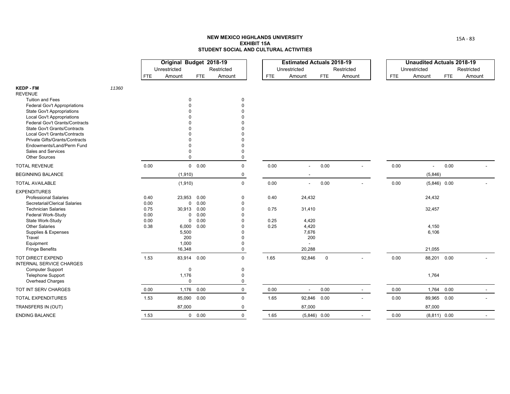|                                                                       |       |              | Original Budget 2018-19 |                     |             |              | <b>Estimated Actuals 2018-19</b> |             |                |            | <b>Unaudited Actuals 2018-19</b> |            |            |
|-----------------------------------------------------------------------|-------|--------------|-------------------------|---------------------|-------------|--------------|----------------------------------|-------------|----------------|------------|----------------------------------|------------|------------|
|                                                                       |       |              | Unrestricted            |                     | Restricted  |              | Unrestricted                     |             | Restricted     |            | Unrestricted                     |            | Restricted |
|                                                                       |       | <b>FTE</b>   | Amount                  | FTE                 | Amount      | <b>FTE</b>   | Amount                           | <b>FTE</b>  | Amount         | <b>FTE</b> | Amount                           | <b>FTE</b> | Amount     |
| <b>KEDP - FM</b>                                                      | 11360 |              |                         |                     |             |              |                                  |             |                |            |                                  |            |            |
| <b>REVENUE</b>                                                        |       |              |                         |                     |             |              |                                  |             |                |            |                                  |            |            |
| <b>Tuition and Fees</b>                                               |       |              | 0                       |                     | $\Omega$    |              |                                  |             |                |            |                                  |            |            |
| <b>Federal Gov't Appropriations</b>                                   |       |              |                         |                     |             |              |                                  |             |                |            |                                  |            |            |
| <b>State Gov't Appropriations</b>                                     |       |              |                         |                     |             |              |                                  |             |                |            |                                  |            |            |
| <b>Local Gov't Appropriations</b>                                     |       |              |                         |                     |             |              |                                  |             |                |            |                                  |            |            |
| Federal Gov't Grants/Contracts<br><b>State Gov't Grants/Contracts</b> |       |              |                         |                     |             |              |                                  |             |                |            |                                  |            |            |
| Local Gov't Grants/Contracts                                          |       |              |                         |                     |             |              |                                  |             |                |            |                                  |            |            |
| Private Gifts/Grants/Contracts                                        |       |              |                         |                     |             |              |                                  |             |                |            |                                  |            |            |
| Endowments/Land/Perm Fund                                             |       |              |                         |                     |             |              |                                  |             |                |            |                                  |            |            |
| Sales and Services                                                    |       |              |                         | O                   | $\Omega$    |              |                                  |             |                |            |                                  |            |            |
| <b>Other Sources</b>                                                  |       |              | $\Omega$                |                     | $\pmb{0}$   |              |                                  |             |                |            |                                  |            |            |
| <b>TOTAL REVENUE</b>                                                  |       | 0.00         |                         | 0 0.00              | $\mathbf 0$ | 0.00         |                                  | 0.00        |                | 0.00       |                                  | 0.00       |            |
| <b>BEGINNING BALANCE</b>                                              |       |              | (1, 910)                |                     | $\mathbf 0$ |              |                                  |             |                |            | (5,846)                          |            |            |
| <b>TOTAL AVAILABLE</b>                                                |       |              | (1, 910)                |                     | $\mathsf 0$ | 0.00         | $\overline{\phantom{a}}$         | 0.00        |                | 0.00       | $(5,846)$ 0.00                   |            |            |
| <b>EXPENDITURES</b>                                                   |       |              |                         |                     |             |              |                                  |             |                |            |                                  |            |            |
| <b>Professional Salaries</b>                                          |       | 0.40         | 23,953                  | 0.00                | $\mathbf 0$ | 0.40         | 24,432                           |             |                |            | 24,432                           |            |            |
| Secretarial/Clerical Salaries                                         |       | 0.00         |                         | 0.00<br>$\mathbf 0$ | $\Omega$    |              |                                  |             |                |            |                                  |            |            |
| <b>Technician Salaries</b>                                            |       | 0.75         | 30,913                  | 0.00                | $\Omega$    | 0.75         | 31,410                           |             |                |            | 32,457                           |            |            |
| Federal Work-Study                                                    |       | 0.00         |                         | 0.00<br>0           |             |              |                                  |             |                |            |                                  |            |            |
| State Work-Study<br><b>Other Salaries</b>                             |       | 0.00<br>0.38 | $\mathbf 0$<br>6,000    | 0.00<br>0.00        |             | 0.25<br>0.25 | 4,420<br>4,420                   |             |                |            | 4,150                            |            |            |
| Supplies & Expenses                                                   |       |              | 5,500                   |                     |             |              | 7,676                            |             |                |            | 6,106                            |            |            |
| Travel                                                                |       |              | 200                     |                     |             |              | 200                              |             |                |            |                                  |            |            |
| Equipment                                                             |       |              | 1,000                   |                     | $\Omega$    |              |                                  |             |                |            |                                  |            |            |
| <b>Fringe Benefits</b>                                                |       |              | 16,348                  |                     | $\mathbf 0$ |              | 20,288                           |             |                |            | 21,055                           |            |            |
| TOT DIRECT EXPEND<br>INTERNAL SERVICE CHARGES                         |       | 1.53         |                         | 83,914 0.00         | $\Omega$    | 1.65         | 92,846                           | $\mathbf 0$ |                | 0.00       | 88,201 0.00                      |            |            |
| <b>Computer Support</b>                                               |       |              | $\mathbf 0$             |                     | $\mathbf 0$ |              |                                  |             |                |            |                                  |            |            |
| <b>Telephone Support</b>                                              |       |              | 1,176                   |                     | $\Omega$    |              |                                  |             |                |            | 1,764                            |            |            |
| Overhead Charges                                                      |       |              | $\mathbf 0$             |                     | $\Omega$    |              |                                  |             |                |            |                                  |            |            |
| TOT INT SERV CHARGES                                                  |       | 0.00         | 1,176                   | 0.00                | $\mathbf 0$ | 0.00         | $\overline{\phantom{a}}$         | 0.00        | $\sim$         | 0.00       | 1,764 0.00                       |            |            |
| TOTAL EXPENDITURES                                                    |       | 1.53         | 85,090                  | 0.00                | $\pmb{0}$   | 1.65         | 92,846                           | 0.00        |                | 0.00       | 89,965 0.00                      |            |            |
| TRANSFERS IN (OUT)                                                    |       |              | 87,000                  |                     | $\mathbf 0$ |              | 87,000                           |             |                |            | 87,000                           |            |            |
| <b>ENDING BALANCE</b>                                                 |       | 1.53         |                         | 0 0.00              | $\mathbf 0$ | 1.65         | $(5,846)$ 0.00                   |             | $\blacksquare$ | 0.00       | $(8,811)$ 0.00                   |            |            |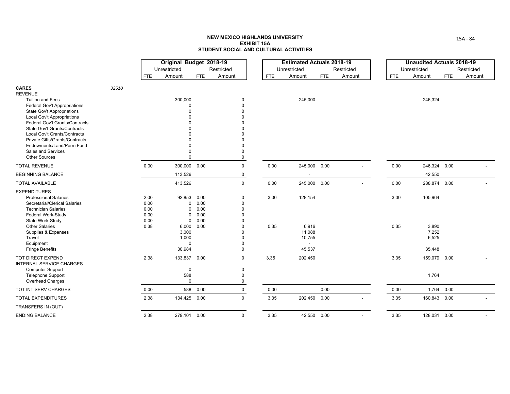|                                                                 |       |            | Original Budget 2018-19 |          |             |            | <b>Estimated Actuals 2018-19</b> |            |                          |            |              | <b>Unaudited Actuals 2018-19</b> |
|-----------------------------------------------------------------|-------|------------|-------------------------|----------|-------------|------------|----------------------------------|------------|--------------------------|------------|--------------|----------------------------------|
|                                                                 |       |            | Unrestricted            |          | Restricted  |            | Unrestricted                     |            | Restricted               |            | Unrestricted | Restricted                       |
|                                                                 |       | <b>FTE</b> | Amount                  | FTE      | Amount      | <b>FTE</b> | Amount                           | <b>FTE</b> | Amount                   | <b>FTE</b> | Amount       | Amount<br><b>FTE</b>             |
| <b>CARES</b><br><b>REVENUE</b>                                  | 32510 |            |                         |          |             |            |                                  |            |                          |            |              |                                  |
| <b>Tuition and Fees</b>                                         |       |            | 300,000                 |          | $\Omega$    |            | 245,000                          |            |                          |            | 246,324      |                                  |
| <b>Federal Gov't Appropriations</b>                             |       |            | $\Omega$<br>$\Omega$    |          | $\Omega$    |            |                                  |            |                          |            |              |                                  |
| State Gov't Appropriations<br><b>Local Gov't Appropriations</b> |       |            |                         |          |             |            |                                  |            |                          |            |              |                                  |
| Federal Gov't Grants/Contracts                                  |       |            |                         |          |             |            |                                  |            |                          |            |              |                                  |
| <b>State Gov't Grants/Contracts</b>                             |       |            |                         |          |             |            |                                  |            |                          |            |              |                                  |
| Local Gov't Grants/Contracts                                    |       |            |                         |          |             |            |                                  |            |                          |            |              |                                  |
| <b>Private Gifts/Grants/Contracts</b>                           |       |            |                         |          |             |            |                                  |            |                          |            |              |                                  |
| Endowments/Land/Perm Fund                                       |       |            |                         |          |             |            |                                  |            |                          |            |              |                                  |
| Sales and Services                                              |       |            |                         |          | $\Omega$    |            |                                  |            |                          |            |              |                                  |
| <b>Other Sources</b>                                            |       |            | U                       |          | $\Omega$    |            |                                  |            |                          |            |              |                                  |
| <b>TOTAL REVENUE</b>                                            |       | 0.00       | 300,000                 | 0.00     | $\Omega$    | 0.00       | 245,000                          | 0.00       |                          | 0.00       | 246,324      | 0.00                             |
| <b>BEGINNING BALANCE</b>                                        |       |            | 113,526                 |          | 0           |            |                                  |            |                          |            | 42,550       |                                  |
| <b>TOTAL AVAILABLE</b>                                          |       |            | 413,526                 |          | $\mathbf 0$ | 0.00       | 245,000                          | 0.00       | $\overline{\phantom{a}}$ | 0.00       | 288,874 0.00 |                                  |
| <b>EXPENDITURES</b>                                             |       |            |                         |          |             |            |                                  |            |                          |            |              |                                  |
| <b>Professional Salaries</b>                                    |       | 2.00       | 92,853                  | 0.00     | $\Omega$    | 3.00       | 128,154                          |            |                          | 3.00       | 105,964      |                                  |
| Secretarial/Clerical Salaries                                   |       | 0.00       | 0                       | 0.00     | $\Omega$    |            |                                  |            |                          |            |              |                                  |
| <b>Technician Salaries</b>                                      |       | 0.00       | 0                       | 0.00     | $\Omega$    |            |                                  |            |                          |            |              |                                  |
| Federal Work-Study                                              |       | 0.00       | $\mathbf 0$             | 0.00     |             |            |                                  |            |                          |            |              |                                  |
| State Work-Study                                                |       | 0.00       | $\mathbf 0$             | 0.00     | $\Omega$    |            |                                  |            |                          |            |              |                                  |
| <b>Other Salaries</b>                                           |       | 0.38       | 6,000                   | 0.00     |             | 0.35       | 6,916                            |            |                          | 0.35       | 3,890        |                                  |
| Supplies & Expenses                                             |       |            | 3,000                   |          |             |            | 11,088                           |            |                          |            | 7,252        |                                  |
| Travel<br>Equipment                                             |       |            | 1,000<br>$\mathbf 0$    |          | $\Omega$    |            | 10,755                           |            |                          |            | 6,525        |                                  |
| <b>Fringe Benefits</b>                                          |       |            | 30,984                  |          | $\Omega$    |            | 45,537                           |            |                          |            | 35,448       |                                  |
| <b>TOT DIRECT EXPEND</b><br><b>INTERNAL SERVICE CHARGES</b>     |       | 2.38       | 133,837 0.00            |          | $\mathbf 0$ | 3.35       | 202,450                          |            |                          | 3.35       | 159,079 0.00 |                                  |
| <b>Computer Support</b>                                         |       |            | $\mathbf 0$             |          | $\mathbf 0$ |            |                                  |            |                          |            |              |                                  |
| <b>Telephone Support</b>                                        |       |            | 588                     |          | $\Omega$    |            |                                  |            |                          |            | 1,764        |                                  |
| Overhead Charges                                                |       |            | $\mathbf 0$             |          | $\mathbf 0$ |            |                                  |            |                          |            |              |                                  |
| TOT INT SERV CHARGES                                            |       | 0.00       |                         | 588 0.00 | 0           | 0.00       |                                  | 0.00       | $\sim$                   | 0.00       | 1,764 0.00   |                                  |
| <b>TOTAL EXPENDITURES</b>                                       |       | 2.38       | 134,425                 | 0.00     | $\Omega$    | 3.35       | 202,450                          | 0.00       | $\overline{\phantom{a}}$ | 3.35       | 160,843 0.00 |                                  |
| TRANSFERS IN (OUT)                                              |       |            |                         |          |             |            |                                  |            |                          |            |              |                                  |
| <b>ENDING BALANCE</b>                                           |       | 2.38       | 279,101 0.00            |          | $\mathbf 0$ | 3.35       | 42,550 0.00                      |            | $\sim$                   | 3.35       | 128,031 0.00 |                                  |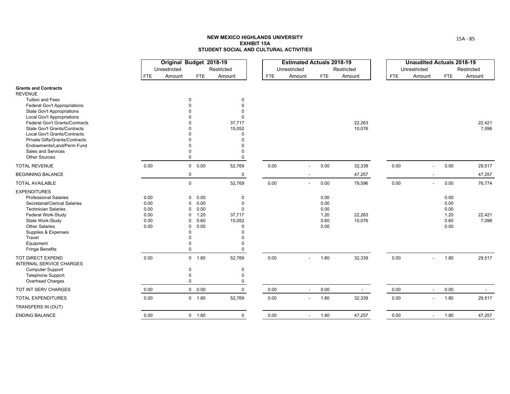|                                                              |            | Original Budget 2018-19 |                              |                      |            | <b>Estimated Actuals 2018-19</b> |            |            |            | <b>Unaudited Actuals 2018-19</b> |      |                          |
|--------------------------------------------------------------|------------|-------------------------|------------------------------|----------------------|------------|----------------------------------|------------|------------|------------|----------------------------------|------|--------------------------|
|                                                              |            | Unrestricted            |                              | Restricted           |            | Unrestricted                     |            | Restricted |            | Unrestricted                     |      | Restricted               |
|                                                              | <b>FTE</b> | Amount                  | <b>FTE</b>                   | Amount               | <b>FTE</b> | Amount                           | <b>FTE</b> | Amount     | <b>FTE</b> | Amount                           | FTE  | Amount                   |
| <b>Grants and Contracts</b>                                  |            |                         |                              |                      |            |                                  |            |            |            |                                  |      |                          |
| <b>REVENUE</b>                                               |            |                         |                              |                      |            |                                  |            |            |            |                                  |      |                          |
| <b>Tuition and Fees</b>                                      |            |                         | $\Omega$                     | 0                    |            |                                  |            |            |            |                                  |      |                          |
| <b>Federal Gov't Appropriations</b>                          |            |                         |                              | $\Omega$             |            |                                  |            |            |            |                                  |      |                          |
| <b>State Gov't Appropriations</b>                            |            |                         |                              | $\Omega$<br>$\Omega$ |            |                                  |            |            |            |                                  |      |                          |
| Local Gov't Appropriations<br>Federal Gov't Grants/Contracts |            |                         |                              |                      |            |                                  |            | 22,263     |            |                                  |      | 22,421                   |
| State Gov't Grants/Contracts                                 |            |                         |                              | 37,717<br>15,052     |            |                                  |            | 10,076     |            |                                  |      | 7,096                    |
| Local Gov't Grants/Contracts                                 |            |                         |                              | $\Omega$             |            |                                  |            |            |            |                                  |      |                          |
| <b>Private Gifts/Grants/Contracts</b>                        |            |                         |                              | $\Omega$             |            |                                  |            |            |            |                                  |      |                          |
| Endowments/Land/Perm Fund                                    |            |                         |                              | 0                    |            |                                  |            |            |            |                                  |      |                          |
| Sales and Services                                           |            |                         |                              | 0                    |            |                                  |            |            |            |                                  |      |                          |
| <b>Other Sources</b>                                         |            |                         | $\mathbf 0$                  | 0                    |            |                                  |            |            |            |                                  |      |                          |
| <b>TOTAL REVENUE</b>                                         | 0.00       |                         | $0\quad 0.00$                | 52,769               | 0.00       |                                  | 0.00       | 32,339     | 0.00       | $\blacksquare$                   | 0.00 | 29,517                   |
| <b>BEGINNING BALANCE</b>                                     |            |                         | $\mathbf 0$                  | $\mathbf 0$          |            |                                  |            | 47,257     |            | $\overline{\phantom{a}}$         |      | 47,257                   |
| <b>TOTAL AVAILABLE</b>                                       |            |                         | $\mathbf 0$                  | 52,769               | 0.00       | $\overline{\phantom{a}}$         | 0.00       | 79,596     | 0.00       | $\blacksquare$                   | 0.00 | 76,774                   |
| <b>EXPENDITURES</b>                                          |            |                         |                              |                      |            |                                  |            |            |            |                                  |      |                          |
| <b>Professional Salaries</b>                                 | 0.00       |                         | 0.00<br>$\mathbf 0$          | $\mathbf 0$          |            |                                  | 0.00       |            |            |                                  | 0.00 |                          |
| Secretarial/Clerical Salaries                                | 0.00       |                         | 0.00<br>0                    | $\Omega$             |            |                                  | 0.00       |            |            |                                  | 0.00 |                          |
| <b>Technician Salaries</b>                                   | 0.00       |                         | 0.00<br>0                    | 0                    |            |                                  | 0.00       |            |            |                                  | 0.00 |                          |
| Federal Work-Study                                           | 0.00       |                         | 1.20<br>0                    | 37,717               |            |                                  | 1.20       | 22,263     |            |                                  | 1.20 | 22,421                   |
| State Work-Study<br><b>Other Salaries</b>                    | 0.00       |                         | 0.60<br>0                    | 15,052               |            |                                  | 0.60       | 10,076     |            |                                  | 0.60 | 7,096                    |
|                                                              | 0.00       |                         | 0.00<br>$\Omega$<br>$\Omega$ | $\Omega$<br>O        |            |                                  | 0.00       |            |            |                                  | 0.00 |                          |
| Supplies & Expenses<br>Travel                                |            |                         | $\Omega$                     | 0                    |            |                                  |            |            |            |                                  |      |                          |
| Equipment                                                    |            |                         | O                            | 0                    |            |                                  |            |            |            |                                  |      |                          |
| <b>Fringe Benefits</b>                                       |            |                         | $\mathbf 0$                  | 0                    |            |                                  |            |            |            |                                  |      |                          |
| TOT DIRECT EXPEND<br>INTERNAL SERVICE CHARGES                | 0.00       |                         | 0 1.80                       | 52,769               | 0.00       |                                  | 1.80       | 32,339     | 0.00       | $\overline{a}$                   | 1.80 | 29,517                   |
| <b>Computer Support</b>                                      |            |                         | $\mathbf 0$                  | $\mathbf 0$          |            |                                  |            |            |            |                                  |      |                          |
| Telephone Support                                            |            |                         | $\mathbf 0$                  | 0                    |            |                                  |            |            |            |                                  |      |                          |
| Overhead Charges                                             |            |                         | $\Omega$                     | 0                    |            |                                  |            |            |            |                                  |      |                          |
| TOT INT SERV CHARGES                                         | 0.00       |                         | 0 0.00                       | $\mathbf 0$          | $0.00\,$   |                                  | 0.00       | $\sim$     | 0.00       | $\blacksquare$                   | 0.00 | $\overline{\phantom{a}}$ |
| <b>TOTAL EXPENDITURES</b>                                    | 0.00       |                         | 0 1.80                       | 52,769               | 0.00       | $\sim$                           | 1.80       | 32,339     | 0.00       | $\blacksquare$                   | 1.80 | 29,517                   |
| TRANSFERS IN (OUT)                                           |            |                         |                              |                      |            |                                  |            |            |            |                                  |      |                          |
| <b>ENDING BALANCE</b>                                        | 0.00       |                         | 0 1.80                       | $\mathbf 0$          | 0.00       |                                  | 1.80       | 47,257     | 0.00       | $\blacksquare$                   | 1.80 | 47,257                   |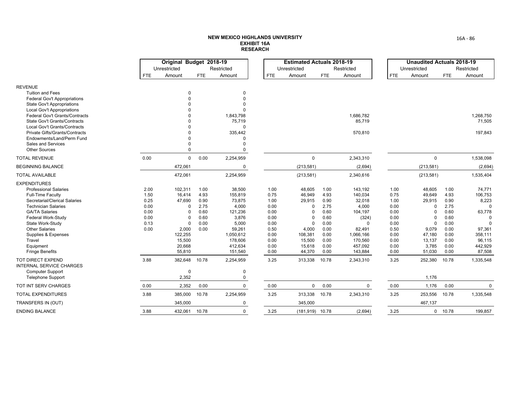|                                                                |              | Original Budget 2018-19 |              |                     |              | <b>Estimated Actuals 2018-19</b> |              |             |              | <b>Unaudited Actuals 2018-19</b> |              |            |
|----------------------------------------------------------------|--------------|-------------------------|--------------|---------------------|--------------|----------------------------------|--------------|-------------|--------------|----------------------------------|--------------|------------|
|                                                                |              | Unrestricted            |              | Restricted          |              | Unrestricted                     |              | Restricted  |              | Unrestricted                     |              | Restricted |
|                                                                | <b>FTE</b>   | Amount                  | <b>FTE</b>   | Amount              | <b>FTE</b>   | Amount                           | <b>FTE</b>   | Amount      | <b>FTE</b>   | Amount                           | <b>FTE</b>   | Amount     |
| <b>REVENUE</b>                                                 |              |                         |              |                     |              |                                  |              |             |              |                                  |              |            |
| <b>Tuition and Fees</b>                                        |              | $\mathbf 0$             |              | $\mathbf 0$         |              |                                  |              |             |              |                                  |              |            |
| Federal Gov't Appropriations                                   |              | $\Omega$                |              | $\Omega$            |              |                                  |              |             |              |                                  |              |            |
| State Gov't Appropriations                                     |              |                         |              | $\Omega$            |              |                                  |              |             |              |                                  |              |            |
| <b>Local Gov't Appropriations</b>                              |              |                         |              |                     |              |                                  |              |             |              |                                  |              |            |
| <b>Federal Gov't Grants/Contracts</b>                          |              |                         |              | 1,843,798           |              |                                  |              | 1,686,782   |              |                                  |              | 1,268,750  |
| State Gov't Grants/Contracts                                   |              |                         |              | 75,719              |              |                                  |              | 85,719      |              |                                  |              | 71,505     |
| Local Gov't Grants/Contracts<br>Private Gifts/Grants/Contracts |              |                         |              | $\Omega$<br>335,442 |              |                                  |              |             |              |                                  |              |            |
| Endowments/Land/Perm Fund                                      |              |                         |              | $\Omega$            |              |                                  |              | 570,810     |              |                                  |              | 197,843    |
| Sales and Services                                             |              | $\Omega$                |              | $\Omega$            |              |                                  |              |             |              |                                  |              |            |
| <b>Other Sources</b>                                           |              | $\Omega$                |              | $\mathbf 0$         |              |                                  |              |             |              |                                  |              |            |
| <b>TOTAL REVENUE</b>                                           | 0.00         | $\mathbf 0$             | 0.00         | 2,254,959           |              | $\mathbf 0$                      |              | 2,343,310   |              | $\mathbf 0$                      |              | 1,538,098  |
| <b>BEGINNING BALANCE</b>                                       |              | 472,061                 |              | $\mathbf 0$         |              | (213, 581)                       |              | (2,694)     |              | (213, 581)                       |              | (2,694)    |
| <b>TOTAL AVAILABLE</b>                                         |              | 472,061                 |              | 2,254,959           |              | (213, 581)                       |              | 2,340,616   |              | (213, 581)                       |              | 1,535,404  |
| <b>EXPENDITURES</b>                                            |              |                         |              |                     |              |                                  |              |             |              |                                  |              |            |
| <b>Professional Salaries</b>                                   | 2.00         | 102,311                 | 1.00         | 38,500              | 1.00         | 48,605                           | 1.00         | 143,192     | 1.00         | 48,605                           | 1.00         | 74,771     |
| Full-Time Faculty                                              | 1.50         | 16,414                  | 4.93         | 155,819             | 0.75         | 46,949                           | 4.93         | 140,034     | 0.75         | 49,649                           | 4.93         | 106,753    |
| Secretarial/Clerical Salaries                                  | 0.25         | 47,690                  | 0.90         | 73,875              | 1.00         | 29,915                           | 0.90         | 32,018      | 1.00         | 29,915                           | 0.90         | 8,223      |
| <b>Technician Salaries</b>                                     | 0.00         | $\Omega$                | 2.75         | 4,000               | 0.00         | $\Omega$                         | 2.75         | 4,000       | 0.00         | $\Omega$                         | 2.75         |            |
| <b>GA/TA Salaries</b>                                          | 0.00         | $\Omega$<br>$\Omega$    | 0.60<br>0.60 | 121,236             | 0.00         | O                                | 0.60         | 104,197     | 0.00         | $\Omega$                         | 0.60         | 63,778     |
| Federal Work-Study<br>State Work-Study                         | 0.00<br>0.13 | $\Omega$                | 0.00         | 3,876<br>5,000      | 0.00<br>0.00 | $\Omega$<br>$\Omega$             | 0.60<br>0.00 | (324)<br>U  | 0.00<br>0.00 | $\Omega$                         | 0.60<br>0.00 | $\Omega$   |
| <b>Other Salaries</b>                                          | 0.00         | 2,000                   | 0.00         | 59,261              | 0.50         | 4,000                            | 0.00         | 82,491      | 0.50         | 9,079                            | 0.00         | 97,361     |
| Supplies & Expenses                                            |              | 122,255                 |              | 1,050,612           | 0.00         | 108,381                          | 0.00         | 1,066,166   | 0.00         | 47,180                           | 0.00         | 358,111    |
| Travel                                                         |              | 15,500                  |              | 178,606             | 0.00         | 15,500                           | 0.00         | 170,560     | 0.00         | 13,137                           | 0.00         | 96,115     |
| Equipment                                                      |              | 20,668                  |              | 412,634             | 0.00         | 15,618                           | 0.00         | 457,092     | 0.00         | 3,785                            | 0.00         | 442,929    |
| <b>Fringe Benefits</b>                                         |              | 55,810                  |              | 151,540             | 0.00         | 44,370                           | 0.00         | 143,884     | 0.00         | 51,030                           | 0.00         | 87,508     |
| TOT DIRECT EXPEND<br><b>INTERNAL SERVICE CHARGES</b>           | 3.88         | 382,648                 | 10.78        | 2,254,959           | 3.25         | 313,338                          | 10.78        | 2,343,310   | 3.25         | 252,380                          | 10.78        | 1,335,548  |
| <b>Computer Support</b>                                        |              | $\mathbf 0$             |              | $\mathbf 0$         |              |                                  |              |             |              |                                  |              |            |
| <b>Telephone Support</b>                                       |              | 2,352                   |              | 0                   |              |                                  |              |             |              | 1,176                            |              |            |
| TOT INT SERV CHARGES                                           | 0.00         | 2,352                   | 0.00         | $\mathbf 0$         | 0.00         | $\Omega$                         | 0.00         | $\mathbf 0$ | 0.00         | 1,176                            | 0.00         | $\Omega$   |
| <b>TOTAL EXPENDITURES</b>                                      | 3.88         | 385,000                 | 10.78        | 2,254,959           | 3.25         | 313,338                          | 10.78        | 2,343,310   | 3.25         | 253,556                          | 10.78        | 1,335,548  |
| TRANSFERS IN (OUT)                                             |              | 345,000                 |              | 0                   |              | 345,000                          |              |             |              | 467,137                          |              |            |
| <b>ENDING BALANCE</b>                                          | 3.88         | 432,061                 | 10.78        | $\Omega$            | 3.25         | $(181,919)$ 10.78                |              | (2,694)     | 3.25         | $\mathbf{0}$                     | 10.78        | 199,857    |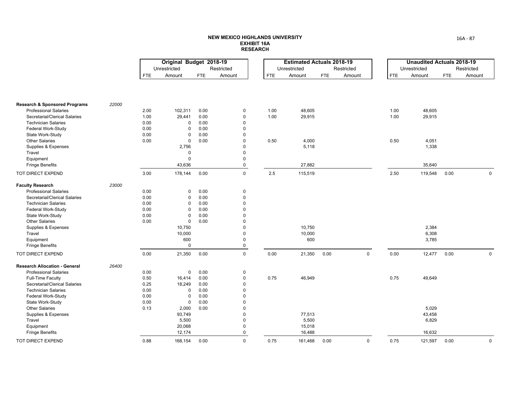|                                          |       |            | Original Budget 2018-19 |            |             |            | <b>Estimated Actuals 2018-19</b> |            |             |            | <b>Unaudited Actuals 2018-19</b> |            |             |
|------------------------------------------|-------|------------|-------------------------|------------|-------------|------------|----------------------------------|------------|-------------|------------|----------------------------------|------------|-------------|
|                                          |       |            | Unrestricted            |            | Restricted  |            | Unrestricted                     |            | Restricted  |            | Unrestricted                     |            | Restricted  |
|                                          |       | <b>FTE</b> | Amount                  | <b>FTE</b> | Amount      | <b>FTE</b> | Amount                           | <b>FTE</b> | Amount      | <b>FTE</b> | Amount                           | <b>FTE</b> | Amount      |
|                                          |       |            |                         |            |             |            |                                  |            |             |            |                                  |            |             |
| <b>Research &amp; Sponsored Programs</b> | 22000 |            |                         |            |             |            |                                  |            |             |            |                                  |            |             |
| <b>Professional Salaries</b>             |       | 2.00       | 102,311                 | 0.00       | $\pmb{0}$   | 1.00       | 48,605                           |            |             | 1.00       | 48,605                           |            |             |
| Secretarial/Clerical Salaries            |       | 1.00       | 29,441                  | 0.00       | $\mathbf 0$ | 1.00       | 29,915                           |            |             | 1.00       | 29,915                           |            |             |
| <b>Technician Salaries</b>               |       | 0.00       | 0                       | 0.00       | $\mathbf 0$ |            |                                  |            |             |            |                                  |            |             |
| Federal Work-Study                       |       | 0.00       | $\mathbf 0$             | 0.00       | $\mathbf 0$ |            |                                  |            |             |            |                                  |            |             |
| State Work-Study                         |       | 0.00       | $\Omega$                | 0.00       | $\mathbf 0$ |            |                                  |            |             |            |                                  |            |             |
| <b>Other Salaries</b>                    |       | 0.00       | $\mathsf 0$             | 0.00       | $\mathbf 0$ | 0.50       | 4,000                            |            |             | 0.50       | 4,051                            |            |             |
| Supplies & Expenses                      |       |            | 2,756                   |            | $\mathbf 0$ |            | 5,118                            |            |             |            | 1,338                            |            |             |
| Travel                                   |       |            | $\mathbf 0$             |            | $\mathbf 0$ |            |                                  |            |             |            |                                  |            |             |
| Equipment                                |       |            | $\Omega$                |            | $\mathbf 0$ |            |                                  |            |             |            |                                  |            |             |
| <b>Fringe Benefits</b>                   |       |            | 43,636                  |            | $\pmb{0}$   |            | 27,882                           |            |             |            | 35,640                           |            |             |
| TOT DIRECT EXPEND                        |       | 3.00       | 178,144                 | 0.00       | $\mathbf 0$ | 2.5        | 115,519                          |            |             | 2.50       | 119,548                          | 0.00       | $\mathbf 0$ |
| <b>Faculty Research</b>                  | 23000 |            |                         |            |             |            |                                  |            |             |            |                                  |            |             |
| <b>Professional Salaries</b>             |       | 0.00       | $\mathbf 0$             | 0.00       | $\mathbf 0$ |            |                                  |            |             |            |                                  |            |             |
| Secretarial/Clerical Salaries            |       | 0.00       | $\mathbf 0$             | 0.00       | $\pmb{0}$   |            |                                  |            |             |            |                                  |            |             |
| <b>Technician Salaries</b>               |       | 0.00       | $\mathbf 0$             | 0.00       | $\mathbf 0$ |            |                                  |            |             |            |                                  |            |             |
| Federal Work-Study                       |       | 0.00       | $\mathbf 0$             | 0.00       | $\pmb{0}$   |            |                                  |            |             |            |                                  |            |             |
| State Work-Study                         |       | 0.00       | $\mathbf 0$             | 0.00       | $\mathbf 0$ |            |                                  |            |             |            |                                  |            |             |
| <b>Other Salaries</b>                    |       | 0.00       | $\mathsf 0$             | 0.00       | $\mathbf 0$ |            |                                  |            |             |            |                                  |            |             |
| Supplies & Expenses                      |       |            | 10,750                  |            | $\pmb{0}$   |            | 10,750                           |            |             |            | 2,384                            |            |             |
| Travel                                   |       |            | 10,000                  |            | $\pmb{0}$   |            | 10,000                           |            |             |            | 6,308                            |            |             |
| Equipment                                |       |            | 600                     |            | $\mathbf 0$ |            | 600                              |            |             |            | 3,785                            |            |             |
| <b>Fringe Benefits</b>                   |       |            | $\mathbf 0$             |            | $\mathbf 0$ |            |                                  |            |             |            |                                  |            |             |
| TOT DIRECT EXPEND                        |       | 0.00       | 21,350                  | 0.00       | $\mathbf 0$ | 0.00       | 21,350                           | 0.00       | $\mathbf 0$ | 0.00       | 12,477                           | 0.00       | $\mathbf 0$ |
| <b>Research Allocation - General</b>     | 26400 |            |                         |            |             |            |                                  |            |             |            |                                  |            |             |
| <b>Professional Salaries</b>             |       | 0.00       | $\mathbf 0$             | 0.00       | $\mathbf 0$ |            |                                  |            |             |            |                                  |            |             |
| Full-Time Faculty                        |       | 0.50       | 16,414                  | 0.00       | $\mathbf 0$ | 0.75       | 46,949                           |            |             | 0.75       | 49,649                           |            |             |
| Secretarial/Clerical Salaries            |       | 0.25       | 18,249                  | 0.00       | $\mathbf 0$ |            |                                  |            |             |            |                                  |            |             |
| <b>Technician Salaries</b>               |       | 0.00       | $\mathbf 0$             | 0.00       | $\pmb{0}$   |            |                                  |            |             |            |                                  |            |             |
| Federal Work-Study                       |       | 0.00       | $\mathbf 0$             | 0.00       | $\mathbf 0$ |            |                                  |            |             |            |                                  |            |             |
| State Work-Study                         |       | 0.00       | $\mathsf 0$             | 0.00       | $\mathbf 0$ |            |                                  |            |             |            |                                  |            |             |
| <b>Other Salaries</b>                    |       | 0.13       | 2,000                   | 0.00       | $\pmb{0}$   |            |                                  |            |             |            | 5,029                            |            |             |
| Supplies & Expenses                      |       |            | 93,749                  |            | $\mathbf 0$ |            | 77,513                           |            |             |            | 43,458                           |            |             |
| Travel                                   |       |            | 5,500                   |            | $\mathbf 0$ |            | 5,500                            |            |             |            | 6,829                            |            |             |
| Equipment                                |       |            | 20,068                  |            | $\mathbf 0$ |            | 15,018                           |            |             |            |                                  |            |             |
| <b>Fringe Benefits</b>                   |       |            | 12,174                  |            | 0           |            | 16,488                           |            |             |            | 16,632                           |            |             |
| TOT DIRECT EXPEND                        |       | 0.88       | 168,154                 | 0.00       | $\mathbf 0$ | 0.75       | 161,468                          | 0.00       | $\mathsf 0$ | 0.75       | 121,597                          | 0.00       | $\mathsf 0$ |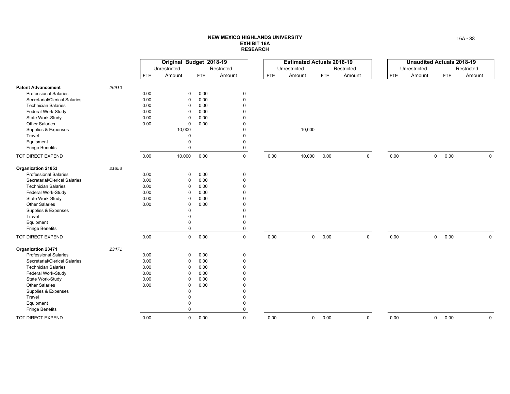|                               |       |            | Original Budget 2018-19 |            |             |            | <b>Estimated Actuals 2018-19</b> |            |             |            | <b>Unaudited Actuals 2018-19</b> |                     |            |             |
|-------------------------------|-------|------------|-------------------------|------------|-------------|------------|----------------------------------|------------|-------------|------------|----------------------------------|---------------------|------------|-------------|
|                               |       |            | Unrestricted            |            | Restricted  |            | Unrestricted                     |            | Restricted  |            | Unrestricted                     |                     | Restricted |             |
|                               |       | <b>FTE</b> | Amount                  | <b>FTE</b> | Amount      | <b>FTE</b> | Amount                           | <b>FTE</b> | Amount      | <b>FTE</b> | Amount                           | <b>FTE</b>          | Amount     |             |
| <b>Patent Advancement</b>     | 26910 |            |                         |            |             |            |                                  |            |             |            |                                  |                     |            |             |
| <b>Professional Salaries</b>  |       | 0.00       | 0                       | 0.00       | 0           |            |                                  |            |             |            |                                  |                     |            |             |
| Secretarial/Clerical Salaries |       | 0.00       | $\mathbf 0$             | 0.00       | $\mathbf 0$ |            |                                  |            |             |            |                                  |                     |            |             |
| <b>Technician Salaries</b>    |       | 0.00       | $\Omega$                | 0.00       | $\Omega$    |            |                                  |            |             |            |                                  |                     |            |             |
| Federal Work-Study            |       | 0.00       | $\Omega$                | 0.00       | $\Omega$    |            |                                  |            |             |            |                                  |                     |            |             |
| State Work-Study              |       | 0.00       | $\mathbf 0$             | 0.00       | $\Omega$    |            |                                  |            |             |            |                                  |                     |            |             |
| <b>Other Salaries</b>         |       | 0.00       | 0                       | 0.00       | $\Omega$    |            |                                  |            |             |            |                                  |                     |            |             |
| Supplies & Expenses           |       |            | 10,000                  |            | $\Omega$    |            | 10,000                           |            |             |            |                                  |                     |            |             |
| Travel                        |       |            | $\mathbf 0$             |            | $\Omega$    |            |                                  |            |             |            |                                  |                     |            |             |
| Equipment                     |       |            | 0                       |            | $\mathbf 0$ |            |                                  |            |             |            |                                  |                     |            |             |
| <b>Fringe Benefits</b>        |       |            | $\Omega$                |            | $\mathbf 0$ |            |                                  |            |             |            |                                  |                     |            |             |
| TOT DIRECT EXPEND             |       | 0.00       | 10,000                  | 0.00       | $\mathsf 0$ | 0.00       | 10,000                           | 0.00       | $\mathsf 0$ | 0.00       |                                  | 0.00<br>$\mathbf 0$ |            | $\mathbf 0$ |
| Organization 21853            | 21853 |            |                         |            |             |            |                                  |            |             |            |                                  |                     |            |             |
| <b>Professional Salaries</b>  |       | 0.00       | 0                       | 0.00       | $\mathbf 0$ |            |                                  |            |             |            |                                  |                     |            |             |
| Secretarial/Clerical Salaries |       | 0.00       | 0                       | 0.00       | $\mathbf 0$ |            |                                  |            |             |            |                                  |                     |            |             |
| <b>Technician Salaries</b>    |       | 0.00       | 0                       | 0.00       | $\mathbf 0$ |            |                                  |            |             |            |                                  |                     |            |             |
| Federal Work-Study            |       | 0.00       | $\Omega$                | 0.00       | $\Omega$    |            |                                  |            |             |            |                                  |                     |            |             |
| State Work-Study              |       | 0.00       | $\mathbf 0$             | 0.00       | $\Omega$    |            |                                  |            |             |            |                                  |                     |            |             |
| <b>Other Salaries</b>         |       | 0.00       | 0                       | 0.00       | $\Omega$    |            |                                  |            |             |            |                                  |                     |            |             |
| Supplies & Expenses           |       |            | $\Omega$                |            | $\Omega$    |            |                                  |            |             |            |                                  |                     |            |             |
| Travel                        |       |            | $\Omega$                |            | $\mathbf 0$ |            |                                  |            |             |            |                                  |                     |            |             |
| Equipment                     |       |            | 0                       |            | $\mathbf 0$ |            |                                  |            |             |            |                                  |                     |            |             |
| <b>Fringe Benefits</b>        |       |            | $\mathbf 0$             |            | $\mathbf 0$ |            |                                  |            |             |            |                                  |                     |            |             |
| TOT DIRECT EXPEND             |       | 0.00       | $\mathbf 0$             | 0.00       | $\mathbf 0$ | 0.00       | $\mathbf 0$                      | 0.00       | $\mathbf 0$ | 0.00       |                                  | $\mathbf 0$<br>0.00 |            | $\Omega$    |
| Organization 23471            | 23471 |            |                         |            |             |            |                                  |            |             |            |                                  |                     |            |             |
| <b>Professional Salaries</b>  |       | 0.00       | 0                       | 0.00       | 0           |            |                                  |            |             |            |                                  |                     |            |             |
| Secretarial/Clerical Salaries |       | 0.00       | 0                       | 0.00       | $\mathbf 0$ |            |                                  |            |             |            |                                  |                     |            |             |
| <b>Technician Salaries</b>    |       | 0.00       | $\Omega$                | 0.00       | $\Omega$    |            |                                  |            |             |            |                                  |                     |            |             |
| Federal Work-Study            |       | 0.00       | $\Omega$                | 0.00       | $\Omega$    |            |                                  |            |             |            |                                  |                     |            |             |
| State Work-Study              |       | 0.00       | $\mathbf 0$             | 0.00       | $\Omega$    |            |                                  |            |             |            |                                  |                     |            |             |
| <b>Other Salaries</b>         |       | 0.00       | $\mathbf 0$             | 0.00       | $\Omega$    |            |                                  |            |             |            |                                  |                     |            |             |
| Supplies & Expenses           |       |            | $\Omega$                |            | $\mathbf 0$ |            |                                  |            |             |            |                                  |                     |            |             |
| Travel                        |       |            | $\Omega$                |            | $\Omega$    |            |                                  |            |             |            |                                  |                     |            |             |
| Equipment                     |       |            | $\Omega$                |            | $\mathbf 0$ |            |                                  |            |             |            |                                  |                     |            |             |
| Fringe Benefits               |       |            | $\mathbf 0$             |            | $\mathbf 0$ |            |                                  |            |             |            |                                  |                     |            |             |
| TOT DIRECT EXPEND             |       | 0.00       | $\mathbf 0$             | 0.00       | $\Omega$    | 0.00       | $\mathbf 0$                      | 0.00       | $\mathbf 0$ | 0.00       |                                  | $\mathbf 0$<br>0.00 |            | $\mathbf 0$ |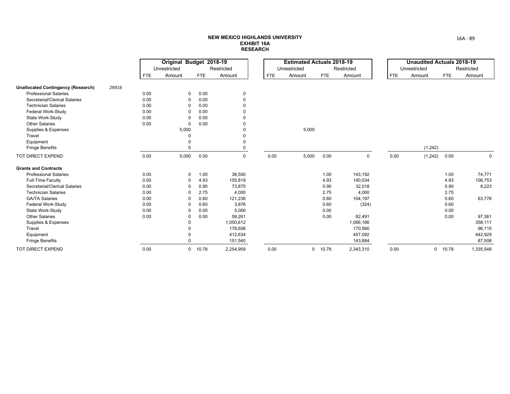|                                           |       |            | Original Budget 2018-19 |            |             |            | <b>Estimated Actuals 2018-19</b> |            |             |            | <b>Unaudited Actuals 2018-19</b> |            |             |
|-------------------------------------------|-------|------------|-------------------------|------------|-------------|------------|----------------------------------|------------|-------------|------------|----------------------------------|------------|-------------|
|                                           |       |            | Unrestricted            |            | Restricted  |            | Unrestricted                     |            | Restricted  |            | Unrestricted                     |            | Restricted  |
|                                           |       | <b>FTE</b> | Amount                  | <b>FTE</b> | Amount      | <b>FTE</b> | Amount                           | <b>FTE</b> | Amount      | <b>FTE</b> | Amount                           | <b>FTE</b> | Amount      |
| <b>Unallocated Contingency (Research)</b> | 26916 |            |                         |            |             |            |                                  |            |             |            |                                  |            |             |
| <b>Professional Salaries</b>              |       | 0.00       | 0                       | 0.00       | 0           |            |                                  |            |             |            |                                  |            |             |
| Secretarial/Clerical Salaries             |       | 0.00       | 0                       | 0.00       | $\Omega$    |            |                                  |            |             |            |                                  |            |             |
| <b>Technician Salaries</b>                |       | 0.00       | $\Omega$                | 0.00       |             |            |                                  |            |             |            |                                  |            |             |
| Federal Work-Study                        |       | 0.00       | $\Omega$                | 0.00       |             |            |                                  |            |             |            |                                  |            |             |
| State Work-Study                          |       | 0.00       | $\Omega$                | 0.00       |             |            |                                  |            |             |            |                                  |            |             |
| <b>Other Salaries</b>                     |       | 0.00       | $\mathbf 0$             | 0.00       |             |            |                                  |            |             |            |                                  |            |             |
| Supplies & Expenses                       |       |            | 5,000                   |            |             |            | 5,000                            |            |             |            |                                  |            |             |
| Travel                                    |       |            |                         |            |             |            |                                  |            |             |            |                                  |            |             |
| Equipment                                 |       |            | $\Omega$                |            | $\Omega$    |            |                                  |            |             |            |                                  |            |             |
| <b>Fringe Benefits</b>                    |       |            | $\Omega$                |            |             |            |                                  |            |             |            | (1,242)                          |            |             |
| TOT DIRECT EXPEND                         |       | 0.00       | 5,000                   | 0.00       | $\mathbf 0$ | 0.00       | 5,000                            | 0.00       | $\mathbf 0$ | 0.00       | (1,242)                          | 0.00       | $\mathbf 0$ |
| <b>Grants and Contracts</b>               |       |            |                         |            |             |            |                                  |            |             |            |                                  |            |             |
| <b>Professional Salaries</b>              |       | 0.00       | 0                       | 1.00       | 38,500      |            |                                  | 1.00       | 143,192     |            |                                  | 1.00       | 74,771      |
| Full-Time Faculty                         |       | 0.00       | 0                       | 4.93       | 155,819     |            |                                  | 4.93       | 140,034     |            |                                  | 4.93       | 106,753     |
| Secretarial/Clerical Salaries             |       | 0.00       | $\Omega$                | 0.90       | 73,875      |            |                                  | 0.90       | 32,018      |            |                                  | 0.90       | 8,223       |
| <b>Technician Salaries</b>                |       | 0.00       | $\Omega$                | 2.75       | 4,000       |            |                                  | 2.75       | 4,000       |            |                                  | 2.75       |             |
| <b>GA/TA Salaries</b>                     |       | 0.00       | $\Omega$                | 0.60       | 121,236     |            |                                  | 0.60       | 104,197     |            |                                  | 0.60       | 63,778      |
| Federal Work-Study                        |       | 0.00       | $\Omega$                | 0.60       | 3,876       |            |                                  | 0.60       | (324)       |            |                                  | 0.60       |             |
| State Work-Study                          |       | 0.00       | $\Omega$                | 0.00       | 5,000       |            |                                  | 0.00       |             |            |                                  | 0.00       |             |
| <b>Other Salaries</b>                     |       | 0.00       | 0                       | 0.00       | 59,261      |            |                                  | 0.00       | 82,491      |            |                                  | 0.00       | 97,361      |
| Supplies & Expenses                       |       |            | $\mathbf 0$             |            | 1,050,612   |            |                                  |            | 1,066,166   |            |                                  |            | 358,111     |
| Travel                                    |       |            | $\Omega$                |            | 178,606     |            |                                  |            | 170,560     |            |                                  |            | 96,115      |
| Equipment                                 |       |            | $\Omega$                |            | 412,634     |            |                                  |            | 457,092     |            |                                  |            | 442,929     |
| <b>Fringe Benefits</b>                    |       |            | $\Omega$                |            | 151,540     |            |                                  |            | 143,884     |            |                                  |            | 87,508      |
| <b>TOT DIRECT EXPEND</b>                  |       | 0.00       | 0                       | 10.78      | 2,254,959   | 0.00       |                                  | $0$ 10.78  | 2,343,310   | 0.00       | $\mathbf{0}$                     | 10.78      | 1,335,548   |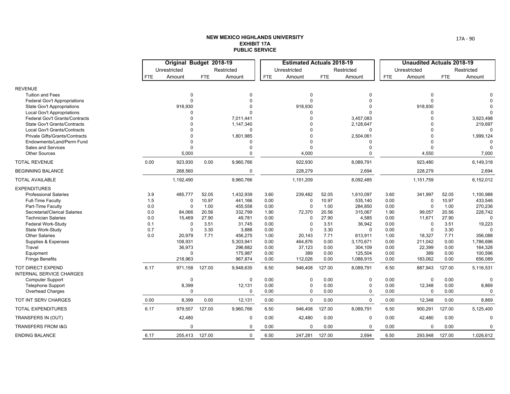|                                                                                                                                                                                                                                                                                                                |                                                      | Original Budget 2018-19                                                                                                           |                                                                  |                                                                                                                                  |                                                                                              | <b>Estimated Actuals 2018-19</b>                                                                                               |                                                                                                  |                                                                                                                                      |                                                                                              | <b>Unaudited Actuals 2018-19</b>                                                                                             |                                                                                                  |                                                                                                                                       |
|----------------------------------------------------------------------------------------------------------------------------------------------------------------------------------------------------------------------------------------------------------------------------------------------------------------|------------------------------------------------------|-----------------------------------------------------------------------------------------------------------------------------------|------------------------------------------------------------------|----------------------------------------------------------------------------------------------------------------------------------|----------------------------------------------------------------------------------------------|--------------------------------------------------------------------------------------------------------------------------------|--------------------------------------------------------------------------------------------------|--------------------------------------------------------------------------------------------------------------------------------------|----------------------------------------------------------------------------------------------|------------------------------------------------------------------------------------------------------------------------------|--------------------------------------------------------------------------------------------------|---------------------------------------------------------------------------------------------------------------------------------------|
|                                                                                                                                                                                                                                                                                                                |                                                      | Unrestricted                                                                                                                      |                                                                  | Restricted                                                                                                                       |                                                                                              | Unrestricted                                                                                                                   |                                                                                                  | Restricted                                                                                                                           |                                                                                              | Unrestricted                                                                                                                 |                                                                                                  | Restricted                                                                                                                            |
|                                                                                                                                                                                                                                                                                                                | <b>FTE</b>                                           | Amount                                                                                                                            | <b>FTE</b>                                                       | Amount                                                                                                                           | <b>FTE</b>                                                                                   | Amount                                                                                                                         | <b>FTE</b>                                                                                       | Amount                                                                                                                               | <b>FTE</b>                                                                                   | Amount                                                                                                                       | <b>FTE</b>                                                                                       | Amount                                                                                                                                |
| <b>REVENUE</b><br><b>Tuition and Fees</b><br><b>Federal Gov't Appropriations</b>                                                                                                                                                                                                                               |                                                      | $\mathbf 0$<br>$\Omega$                                                                                                           |                                                                  | $\Omega$<br>$\Omega$                                                                                                             |                                                                                              | $\mathbf 0$<br>$\Omega$                                                                                                        |                                                                                                  | $\Omega$<br>$\Omega$                                                                                                                 |                                                                                              | $\Omega$<br>$\Omega$                                                                                                         |                                                                                                  |                                                                                                                                       |
| <b>State Gov't Appropriations</b><br><b>Local Gov't Appropriations</b><br>Federal Gov't Grants/Contracts<br><b>State Gov't Grants/Contracts</b><br>Local Gov't Grants/Contracts<br>Private Gifts/Grants/Contracts<br>Endowments/Land/Perm Fund<br><b>Sales and Services</b>                                    |                                                      | 918,930<br>$\Omega$<br>$\Omega$<br>O<br>O<br>$\Omega$<br>$\Omega$<br>$\Omega$                                                     |                                                                  | $\Omega$<br>$\Omega$<br>7,011,441<br>1,147,340<br>$\Omega$<br>1,801,985<br>$\Omega$<br>$\Omega$                                  |                                                                                              | 918,930<br>$\Omega$<br>$\Omega$                                                                                                |                                                                                                  | $\Omega$<br>3,457,083<br>2,128,647<br>0<br>2,504,061<br>0<br>$\Omega$                                                                |                                                                                              | 918,930<br>$\Omega$<br>$\Omega$<br>$\Omega$<br>$\Omega$<br>$\Omega$<br>$\Omega$<br>$\Omega$                                  |                                                                                                  | 3,923,498<br>219,697<br>$\mathbf 0$<br>1,999,124<br>$\Omega$<br>$\Omega$                                                              |
| <b>Other Sources</b>                                                                                                                                                                                                                                                                                           |                                                      | 5,000                                                                                                                             |                                                                  | $\Omega$                                                                                                                         |                                                                                              | 4,000                                                                                                                          |                                                                                                  | $\Omega$                                                                                                                             |                                                                                              | 4,550                                                                                                                        |                                                                                                  | 7,000                                                                                                                                 |
| <b>TOTAL REVENUE</b>                                                                                                                                                                                                                                                                                           | 0.00                                                 | 923,930                                                                                                                           | 0.00                                                             | 9,960,766                                                                                                                        |                                                                                              | 922,930                                                                                                                        |                                                                                                  | 8,089,791                                                                                                                            |                                                                                              | 923,480                                                                                                                      |                                                                                                  | 6,149,318                                                                                                                             |
| <b>BEGINNING BALANCE</b>                                                                                                                                                                                                                                                                                       |                                                      | 268,560                                                                                                                           |                                                                  | $\Omega$                                                                                                                         |                                                                                              | 228,279                                                                                                                        |                                                                                                  | 2,694                                                                                                                                |                                                                                              | 228,279                                                                                                                      |                                                                                                  | 2,694                                                                                                                                 |
| <b>TOTAL AVAILABLE</b>                                                                                                                                                                                                                                                                                         |                                                      | 1,192,490                                                                                                                         |                                                                  | 9,960,766                                                                                                                        |                                                                                              | 1,151,209                                                                                                                      |                                                                                                  | 8,092,485                                                                                                                            |                                                                                              | 1,151,759                                                                                                                    |                                                                                                  | 6,152,012                                                                                                                             |
| <b>EXPENDITURES</b><br><b>Professional Salaries</b><br><b>Full-Time Faculty</b><br>Part-Time Faculty<br>Secretarial/Clerical Salaries<br><b>Technician Salaries</b><br>Federal Work-Study<br>State Work-Study<br><b>Other Salaries</b><br>Supplies & Expenses<br>Travel<br>Equipment<br><b>Fringe Benefits</b> | 3.9<br>1.5<br>0.0<br>0.0<br>0.0<br>0.1<br>0.7<br>0.0 | 485,777<br>$\Omega$<br>$\Omega$<br>84,066<br>15,469<br>$\Omega$<br>$\Omega$<br>20,979<br>108,931<br>36,973<br>$\Omega$<br>218,963 | 52.05<br>10.97<br>1.00<br>20.56<br>27.90<br>3.51<br>3.30<br>7.71 | 1,432,939<br>441,166<br>455,558<br>332,799<br>49,781<br>31,745<br>3,888<br>456,275<br>5,303,941<br>296,682<br>175,987<br>967,874 | 3.60<br>0.00<br>0.00<br>1.90<br>0.00<br>0.00<br>0.00<br>1.00<br>0.00<br>0.00<br>0.00<br>0.00 | 239,482<br>$\Omega$<br>$\Omega$<br>72,370<br>$\Omega$<br>$\Omega$<br>$\Omega$<br>20,143<br>464,876<br>37,123<br>389<br>112,026 | 52.05<br>10.97<br>1.00<br>20.56<br>27.90<br>3.51<br>3.30<br>7.71<br>0.00<br>0.00<br>0.00<br>0.00 | 1,610,097<br>535,140<br>284,850<br>315,067<br>4,585<br>36,942<br>$\Omega$<br>613,911<br>3,170,671<br>304,109<br>125,504<br>1,088,915 | 3.60<br>0.00<br>0.00<br>1.90<br>0.00<br>0.00<br>0.00<br>1.00<br>0.00<br>0.00<br>0.00<br>0.00 | 341,997<br>$\Omega$<br>$\Omega$<br>99,057<br>11,671<br>$\Omega$<br>$\Omega$<br>18,327<br>211,042<br>22,399<br>389<br>183,062 | 52.05<br>10.97<br>1.00<br>20.56<br>27.90<br>3.51<br>3.30<br>7.71<br>0.00<br>0.00<br>0.00<br>0.00 | 1,100,988<br>433,546<br>270,236<br>228,742<br>$\Omega$<br>19,223<br>$\Omega$<br>356,088<br>1,786,696<br>164,328<br>100,596<br>656,089 |
| <b>TOT DIRECT EXPEND</b><br><b>INTERNAL SERVICE CHARGES</b><br><b>Computer Support</b><br><b>Telephone Support</b><br>Overhead Charges                                                                                                                                                                         | 6.17                                                 | 971,158<br>$\mathbf 0$<br>8,399<br>$\Omega$                                                                                       | 127.00                                                           | 9,948,635<br>$\mathbf 0$<br>12,131<br>$\Omega$                                                                                   | 6.50<br>0.00<br>0.00<br>0.00                                                                 | 946,408<br>$\Omega$<br>$\Omega$<br>$\mathbf 0$                                                                                 | 127.00<br>0.00<br>0.00<br>0.00                                                                   | 8,089,791<br>$\mathbf 0$<br>$\mathbf 0$<br>0                                                                                         | 6.50<br>0.00<br>0.00<br>0.00                                                                 | 887,943<br>$\mathbf 0$<br>12,348<br>$\Omega$                                                                                 | 127.00<br>0.00<br>0.00<br>0.00                                                                   | 5,116,531<br>$\mathbf 0$<br>8,869<br>$\Omega$                                                                                         |
| TOT INT SERV CHARGES                                                                                                                                                                                                                                                                                           | 0.00                                                 | 8,399                                                                                                                             | 0.00                                                             | 12,131                                                                                                                           | 0.00                                                                                         | $\mathbf 0$                                                                                                                    | 0.00                                                                                             | 0                                                                                                                                    | 0.00                                                                                         | 12,348                                                                                                                       | 0.00                                                                                             | 8,869                                                                                                                                 |
| <b>TOTAL EXPENDITURES</b>                                                                                                                                                                                                                                                                                      | 6.17                                                 | 979,557                                                                                                                           | 127.00                                                           | 9,960,766                                                                                                                        | 6.50                                                                                         | 946,408                                                                                                                        | 127.00                                                                                           | 8,089,791                                                                                                                            | 6.50                                                                                         | 900,291                                                                                                                      | 127.00                                                                                           | 5,125,400                                                                                                                             |
| TRANSFERS IN (OUT)                                                                                                                                                                                                                                                                                             |                                                      | 42,480                                                                                                                            |                                                                  | $\mathbf 0$                                                                                                                      | 0.00                                                                                         | 42,480                                                                                                                         | 0.00                                                                                             | 0                                                                                                                                    | 0.00                                                                                         | 42,480                                                                                                                       | 0.00                                                                                             |                                                                                                                                       |
| <b>TRANSFERS FROM I&amp;G</b>                                                                                                                                                                                                                                                                                  |                                                      | $\Omega$                                                                                                                          |                                                                  | $\mathbf{0}$                                                                                                                     | 0.00                                                                                         | $\Omega$                                                                                                                       | 0.00                                                                                             | 0                                                                                                                                    | 0.00                                                                                         | $\Omega$                                                                                                                     | 0.00                                                                                             | $\Omega$                                                                                                                              |
| <b>ENDING BALANCE</b>                                                                                                                                                                                                                                                                                          | 6.17                                                 | 255,413                                                                                                                           | 127.00                                                           | $\mathbf 0$                                                                                                                      | 6.50                                                                                         | 247,281                                                                                                                        | 127.00                                                                                           | 2,694                                                                                                                                | 6.50                                                                                         | 293,948                                                                                                                      | 127.00                                                                                           | 1,026,612                                                                                                                             |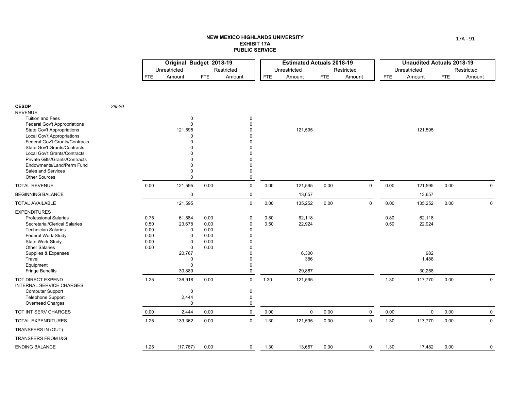|                                                                                                                                                                                                                                                                                                                                                                             |       |                                              | Original Budget 2018-19<br>Unrestricted                                                    |                                              | Restricted                                                                                                                               |              | <b>Estimated Actuals 2018-19</b><br>Unrestricted |      | Restricted  |              | <b>Unaudited Actuals 2018-19</b><br>Unrestricted |            | Restricted   |
|-----------------------------------------------------------------------------------------------------------------------------------------------------------------------------------------------------------------------------------------------------------------------------------------------------------------------------------------------------------------------------|-------|----------------------------------------------|--------------------------------------------------------------------------------------------|----------------------------------------------|------------------------------------------------------------------------------------------------------------------------------------------|--------------|--------------------------------------------------|------|-------------|--------------|--------------------------------------------------|------------|--------------|
|                                                                                                                                                                                                                                                                                                                                                                             |       | <b>FTE</b>                                   | Amount                                                                                     | <b>FTE</b>                                   | Amount                                                                                                                                   | FTE          | Amount                                           | FTE  | Amount      | <b>FTE</b>   | Amount                                           | <b>FTE</b> | Amount       |
|                                                                                                                                                                                                                                                                                                                                                                             |       |                                              |                                                                                            |                                              |                                                                                                                                          |              |                                                  |      |             |              |                                                  |            |              |
| <b>CESDP</b><br><b>REVENUE</b><br><b>Tuition and Fees</b><br>Federal Gov't Appropriations<br><b>State Gov't Appropriations</b><br>Local Gov't Appropriations<br>Federal Gov't Grants/Contracts<br>State Gov't Grants/Contracts<br>Local Gov't Grants/Contracts<br>Private Gifts/Grants/Contracts<br>Endowments/Land/Perm Fund<br>Sales and Services<br><b>Other Sources</b> | 29520 |                                              | $\mathbf 0$<br>$\mathbf{0}$<br>121,595<br>$\Omega$<br>O<br>n<br>$\mathbf 0$<br>$\mathbf 0$ |                                              | 0<br>$\mathbf{0}$<br>$\Omega$<br>$\Omega$<br>$\Omega$<br>$\Omega$<br>$\Omega$<br>$\mathbf{0}$<br>0<br>$\mathsf{O}\xspace$<br>$\mathsf 0$ |              | 121,595                                          |      |             |              | 121,595                                          |            |              |
| <b>TOTAL REVENUE</b>                                                                                                                                                                                                                                                                                                                                                        |       | 0.00                                         | 121,595                                                                                    | 0.00                                         | $\mathsf{O}\xspace$                                                                                                                      | 0.00         | 121,595                                          | 0.00 | $\mathbf 0$ | 0.00         | 121,595                                          | 0.00       | $\mathbf 0$  |
| <b>BEGINNING BALANCE</b>                                                                                                                                                                                                                                                                                                                                                    |       |                                              | $\pmb{0}$                                                                                  |                                              | $\mathsf{O}\xspace$                                                                                                                      |              | 13,657                                           |      |             |              | 13,657                                           |            |              |
| <b>TOTAL AVAILABLE</b>                                                                                                                                                                                                                                                                                                                                                      |       |                                              | 121,595                                                                                    |                                              | $\mathsf 0$                                                                                                                              | 0.00         | 135,252                                          | 0.00 | $\mathbf 0$ | 0.00         | 135,252                                          | 0.00       | $\mathbf 0$  |
| <b>EXPENDITURES</b><br><b>Professional Salaries</b><br>Secretarial/Clerical Salaries<br><b>Technician Salaries</b><br>Federal Work-Study<br>State Work-Study<br><b>Other Salaries</b>                                                                                                                                                                                       |       | 0.75<br>0.50<br>0.00<br>0.00<br>0.00<br>0.00 | 61,584<br>23,678<br>$\mathbf 0$<br>$\mathbf 0$<br>$\mathbf 0$<br>$\mathbf 0$               | 0.00<br>0.00<br>0.00<br>0.00<br>0.00<br>0.00 | $\mathbf 0$<br>0<br>0<br>0<br>$\Omega$<br>$\mathbf{0}$                                                                                   | 0.80<br>0.50 | 62,118<br>22,924                                 |      |             | 0.80<br>0.50 | 62,118<br>22,924                                 |            |              |
| Supplies & Expenses<br>Travel                                                                                                                                                                                                                                                                                                                                               |       |                                              | 20,767<br>0                                                                                |                                              | $\Omega$<br>0                                                                                                                            |              | 6,300<br>386                                     |      |             |              | 982<br>1,488                                     |            |              |
| Equipment                                                                                                                                                                                                                                                                                                                                                                   |       |                                              | $\Omega$                                                                                   |                                              | $\pmb{0}$                                                                                                                                |              |                                                  |      |             |              |                                                  |            |              |
| <b>Fringe Benefits</b>                                                                                                                                                                                                                                                                                                                                                      |       |                                              | 30,889                                                                                     |                                              | $\mathsf 0$                                                                                                                              |              | 29,867                                           |      |             |              | 30,258                                           |            |              |
| <b>TOT DIRECT EXPEND</b><br><b>INTERNAL SERVICE CHARGES</b><br><b>Computer Support</b><br>Telephone Support<br>Overhead Charges                                                                                                                                                                                                                                             |       | 1.25                                         | 136,918<br>$\mathbf{0}$<br>2,444<br>$\mathbf 0$                                            | 0.00                                         | $\pmb{0}$<br>$\mathbf 0$<br>$\pmb{0}$<br>$\mathbf 0$                                                                                     | 1.30         | 121,595                                          |      |             | 1.30         | 117,770                                          | 0.00       | $\mathbf{0}$ |
| TOT INT SERV CHARGES                                                                                                                                                                                                                                                                                                                                                        |       | 0.00                                         | 2,444                                                                                      | 0.00                                         | $\mathsf 0$                                                                                                                              | 0.00         | $\mathbf 0$                                      | 0.00 | $\mathbf 0$ | 0.00         | $\mathbf 0$                                      | 0.00       | 0            |
| <b>TOTAL EXPENDITURES</b>                                                                                                                                                                                                                                                                                                                                                   |       | 1.25                                         | 139,362                                                                                    | 0.00                                         | $\pmb{0}$                                                                                                                                | 1.30         | 121,595                                          | 0.00 | $\mathbf 0$ | 1.30         | 117,770                                          | 0.00       | $\mathbf 0$  |
| TRANSFERS IN (OUT)                                                                                                                                                                                                                                                                                                                                                          |       |                                              |                                                                                            |                                              |                                                                                                                                          |              |                                                  |      |             |              |                                                  |            |              |
| <b>TRANSFERS FROM I&amp;G</b>                                                                                                                                                                                                                                                                                                                                               |       |                                              |                                                                                            |                                              |                                                                                                                                          |              |                                                  |      |             |              |                                                  |            |              |
| <b>ENDING BALANCE</b>                                                                                                                                                                                                                                                                                                                                                       |       | 1.25                                         | (17, 767)                                                                                  | 0.00                                         | $\mathbf 0$                                                                                                                              | 1.30         | 13,657                                           | 0.00 | $\mathsf 0$ | 1.30         | 17,482                                           | 0.00       | $\mathbf 0$  |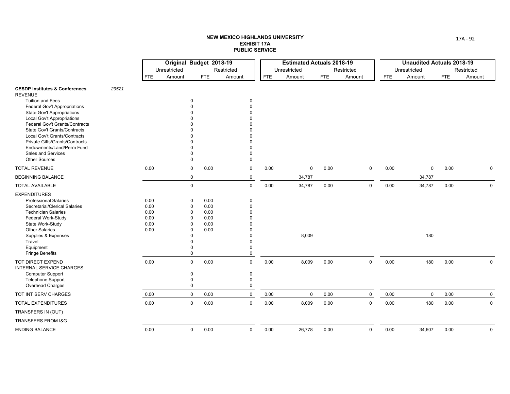|                                                                        |       |              | Original Budget 2018-19 |              |              |            | <b>Estimated Actuals 2018-19</b> |            |             |            | <b>Unaudited Actuals 2018-19</b> |            |              |
|------------------------------------------------------------------------|-------|--------------|-------------------------|--------------|--------------|------------|----------------------------------|------------|-------------|------------|----------------------------------|------------|--------------|
|                                                                        |       |              | Unrestricted            |              | Restricted   |            | Unrestricted                     |            | Restricted  |            | Unrestricted                     |            | Restricted   |
|                                                                        |       | <b>FTE</b>   | Amount                  | <b>FTE</b>   | Amount       | <b>FTE</b> | Amount                           | <b>FTE</b> | Amount      | <b>FTE</b> | Amount                           | <b>FTE</b> | Amount       |
| <b>CESDP Institutes &amp; Conferences</b><br><b>REVENUE</b>            | 29521 |              |                         |              |              |            |                                  |            |             |            |                                  |            |              |
| <b>Tuition and Fees</b>                                                |       |              | $\Omega$                |              | 0            |            |                                  |            |             |            |                                  |            |              |
| <b>Federal Gov't Appropriations</b>                                    |       |              |                         |              |              |            |                                  |            |             |            |                                  |            |              |
| <b>State Gov't Appropriations</b><br><b>Local Gov't Appropriations</b> |       |              |                         |              |              |            |                                  |            |             |            |                                  |            |              |
| Federal Gov't Grants/Contracts                                         |       |              |                         |              |              |            |                                  |            |             |            |                                  |            |              |
| <b>State Gov't Grants/Contracts</b>                                    |       |              |                         |              |              |            |                                  |            |             |            |                                  |            |              |
| Local Gov't Grants/Contracts                                           |       |              |                         |              |              |            |                                  |            |             |            |                                  |            |              |
| Private Gifts/Grants/Contracts                                         |       |              |                         |              |              |            |                                  |            |             |            |                                  |            |              |
| Endowments/Land/Perm Fund                                              |       |              |                         |              |              |            |                                  |            |             |            |                                  |            |              |
| Sales and Services<br><b>Other Sources</b>                             |       |              | $\Omega$                |              | 0<br>0       |            |                                  |            |             |            |                                  |            |              |
| <b>TOTAL REVENUE</b>                                                   |       | 0.00         | $\mathbf 0$             | 0.00         | $\mathbf 0$  | 0.00       | $\mathbf 0$                      | 0.00       | $\mathbf 0$ | 0.00       | $\mathbf 0$                      | 0.00       | $\mathbf 0$  |
| <b>BEGINNING BALANCE</b>                                               |       |              | 0                       |              | 0            |            | 34,787                           |            |             |            | 34,787                           |            |              |
| <b>TOTAL AVAILABLE</b>                                                 |       |              | $\mathsf 0$             |              | $\mathbf 0$  | 0.00       | 34,787                           | 0.00       | $\mathbf 0$ | 0.00       | 34,787                           | 0.00       | $\mathbf{0}$ |
| <b>EXPENDITURES</b>                                                    |       |              |                         |              |              |            |                                  |            |             |            |                                  |            |              |
| <b>Professional Salaries</b>                                           |       | 0.00         | 0                       | 0.00         | 0            |            |                                  |            |             |            |                                  |            |              |
| Secretarial/Clerical Salaries                                          |       | 0.00         | 0                       | 0.00         | $\Omega$     |            |                                  |            |             |            |                                  |            |              |
| <b>Technician Salaries</b>                                             |       | 0.00         | $\Omega$                | 0.00         |              |            |                                  |            |             |            |                                  |            |              |
| Federal Work-Study<br>State Work-Study                                 |       | 0.00<br>0.00 | 0<br>$\Omega$           | 0.00<br>0.00 |              |            |                                  |            |             |            |                                  |            |              |
| <b>Other Salaries</b>                                                  |       | 0.00         | $\Omega$                | 0.00         |              |            |                                  |            |             |            |                                  |            |              |
| Supplies & Expenses                                                    |       |              |                         |              |              |            | 8,009                            |            |             |            | 180                              |            |              |
| Travel                                                                 |       |              |                         |              | $\Omega$     |            |                                  |            |             |            |                                  |            |              |
| Equipment                                                              |       |              |                         |              | 0            |            |                                  |            |             |            |                                  |            |              |
| <b>Fringe Benefits</b>                                                 |       |              | $\Omega$                |              | $\mathbf{0}$ |            |                                  |            |             |            |                                  |            |              |
| TOT DIRECT EXPEND<br><b>INTERNAL SERVICE CHARGES</b>                   |       | 0.00         | $\mathbf 0$             | 0.00         | $\mathbf 0$  | 0.00       | 8,009                            | 0.00       | $\mathbf 0$ | 0.00       | 180                              | 0.00       | $\mathbf 0$  |
| <b>Computer Support</b>                                                |       |              | $\mathbf 0$             |              | 0            |            |                                  |            |             |            |                                  |            |              |
| Telephone Support                                                      |       |              | 0                       |              | 0            |            |                                  |            |             |            |                                  |            |              |
| Overhead Charges                                                       |       |              | $\mathbf 0$             |              | 0            |            |                                  |            |             |            |                                  |            |              |
| TOT INT SERV CHARGES                                                   |       | 0.00         | $\mathbf 0$             | 0.00         | $\mathbf 0$  | 0.00       | $\mathbf 0$                      | 0.00       | $\mathbf 0$ | 0.00       | $\mathbf 0$                      | 0.00       | $\mathbf 0$  |
| <b>TOTAL EXPENDITURES</b>                                              |       | 0.00         | $\mathbf 0$             | 0.00         | $\mathbf 0$  | 0.00       | 8,009                            | 0.00       | $\mathbf 0$ | 0.00       | 180                              | 0.00       | $\mathbf{0}$ |
| TRANSFERS IN (OUT)                                                     |       |              |                         |              |              |            |                                  |            |             |            |                                  |            |              |
| <b>TRANSFERS FROM I&amp;G</b>                                          |       |              |                         |              |              |            |                                  |            |             |            |                                  |            |              |
| <b>ENDING BALANCE</b>                                                  |       | 0.00         | $\mathbf 0$             | 0.00         | $\mathbf 0$  | 0.00       | 26,778                           | 0.00       | $\mathbf 0$ | 0.00       | 34,607                           | 0.00       | $\mathbf 0$  |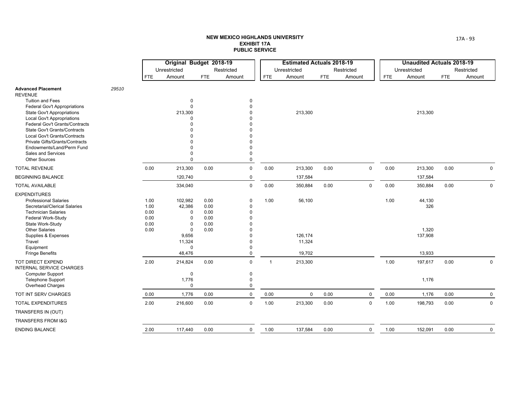|                                                                        |       |              | Original Budget 2018-19 |              |                      |                | <b>Estimated Actuals 2018-19</b> |            |             |            | <b>Unaudited Actuals 2018-19</b> |            |             |
|------------------------------------------------------------------------|-------|--------------|-------------------------|--------------|----------------------|----------------|----------------------------------|------------|-------------|------------|----------------------------------|------------|-------------|
|                                                                        |       |              | Unrestricted            |              | Restricted           |                | Unrestricted                     |            | Restricted  |            | Unrestricted                     |            | Restricted  |
|                                                                        |       | <b>FTE</b>   | Amount                  | <b>FTE</b>   | Amount               | <b>FTE</b>     | Amount                           | <b>FTE</b> | Amount      | <b>FTE</b> | Amount                           | <b>FTE</b> | Amount      |
| <b>Advanced Placement</b><br><b>REVENUE</b>                            | 29510 |              |                         |              |                      |                |                                  |            |             |            |                                  |            |             |
| <b>Tuition and Fees</b>                                                |       |              | 0                       |              | $\mathbf 0$          |                |                                  |            |             |            |                                  |            |             |
| <b>Federal Gov't Appropriations</b>                                    |       |              | $\Omega$                |              | $\Omega$             |                |                                  |            |             |            |                                  |            |             |
| <b>State Gov't Appropriations</b><br><b>Local Gov't Appropriations</b> |       |              | 213,300<br>$\Omega$     |              | $\Omega$<br>$\Omega$ |                | 213,300                          |            |             |            | 213,300                          |            |             |
| Federal Gov't Grants/Contracts                                         |       |              |                         |              | $\Omega$             |                |                                  |            |             |            |                                  |            |             |
| State Gov't Grants/Contracts                                           |       |              |                         |              | $\Omega$             |                |                                  |            |             |            |                                  |            |             |
| <b>Local Gov't Grants/Contracts</b>                                    |       |              |                         |              |                      |                |                                  |            |             |            |                                  |            |             |
| <b>Private Gifts/Grants/Contracts</b>                                  |       |              |                         |              | $\Omega$             |                |                                  |            |             |            |                                  |            |             |
| Endowments/Land/Perm Fund                                              |       |              |                         |              | $\Omega$             |                |                                  |            |             |            |                                  |            |             |
| <b>Sales and Services</b><br><b>Other Sources</b>                      |       |              | $\Omega$<br>$\Omega$    |              | $\Omega$<br>$\Omega$ |                |                                  |            |             |            |                                  |            |             |
| <b>TOTAL REVENUE</b>                                                   |       | 0.00         | 213,300                 | 0.00         | $\mathbf 0$          | 0.00           | 213,300                          | 0.00       | $\mathbf 0$ | 0.00       | 213,300                          | 0.00       | $\mathbf 0$ |
| <b>BEGINNING BALANCE</b>                                               |       |              | 120,740                 |              | $\mathbf 0$          |                | 137,584                          |            |             |            | 137,584                          |            |             |
| <b>TOTAL AVAILABLE</b>                                                 |       |              | 334,040                 |              | $\mathsf 0$          | 0.00           | 350,884                          | 0.00       | $\mathbf 0$ | 0.00       | 350,884                          | 0.00       | 0           |
| <b>EXPENDITURES</b>                                                    |       |              |                         |              |                      |                |                                  |            |             |            |                                  |            |             |
| <b>Professional Salaries</b>                                           |       | 1.00         | 102,982                 | 0.00         | 0                    | 1.00           | 56,100                           |            |             | 1.00       | 44,130                           |            |             |
| Secretarial/Clerical Salaries                                          |       | 1.00         | 42,386                  | 0.00         | 0                    |                |                                  |            |             |            | 326                              |            |             |
| <b>Technician Salaries</b>                                             |       | 0.00         | $\Omega$                | 0.00         | $\Omega$             |                |                                  |            |             |            |                                  |            |             |
| Federal Work-Study<br>State Work-Study                                 |       | 0.00<br>0.00 | $\Omega$<br>$\mathbf 0$ | 0.00<br>0.00 | $\Omega$             |                |                                  |            |             |            |                                  |            |             |
| <b>Other Salaries</b>                                                  |       | 0.00         | $\mathbf 0$             | 0.00         | $\Omega$             |                |                                  |            |             |            | 1,320                            |            |             |
| Supplies & Expenses                                                    |       |              | 9,656                   |              | $\Omega$             |                | 126,174                          |            |             |            | 137,908                          |            |             |
| Travel                                                                 |       |              | 11,324                  |              | $\Omega$             |                | 11,324                           |            |             |            |                                  |            |             |
| Equipment                                                              |       |              | $\Omega$                |              | $\Omega$             |                |                                  |            |             |            |                                  |            |             |
| <b>Fringe Benefits</b>                                                 |       |              | 48,476                  |              | 0                    |                | 19,702                           |            |             |            | 13,933                           |            |             |
| TOT DIRECT EXPEND<br><b>INTERNAL SERVICE CHARGES</b>                   |       | 2.00         | 214,824                 | 0.00         | $\mathbf 0$          | $\overline{1}$ | 213,300                          |            |             | 1.00       | 197,617                          | 0.00       | 0           |
| <b>Computer Support</b>                                                |       |              | $\mathbf 0$             |              | $\mathbf 0$          |                |                                  |            |             |            |                                  |            |             |
| <b>Telephone Support</b><br>Overhead Charges                           |       |              | 1,776<br>$\Omega$       |              | 0<br>$\Omega$        |                |                                  |            |             |            | 1,176                            |            |             |
| TOT INT SERV CHARGES                                                   |       | 0.00         | 1,776                   | 0.00         | $\mathbf 0$          | 0.00           | $\mathbf 0$                      | 0.00       | $\mathbf 0$ | 0.00       | 1,176                            | 0.00       | $\mathbf 0$ |
|                                                                        |       |              |                         |              |                      |                |                                  |            |             |            |                                  |            |             |
| <b>TOTAL EXPENDITURES</b>                                              |       | 2.00         | 216,600                 | 0.00         | $\mathbf 0$          | 1.00           | 213,300                          | 0.00       | $\mathbf 0$ | 1.00       | 198,793                          | 0.00       | $\mathbf 0$ |
| TRANSFERS IN (OUT)                                                     |       |              |                         |              |                      |                |                                  |            |             |            |                                  |            |             |
| <b>TRANSFERS FROM I&amp;G</b>                                          |       |              |                         |              |                      |                |                                  |            |             |            |                                  |            |             |
| <b>ENDING BALANCE</b>                                                  |       | 2.00         | 117,440                 | 0.00         | $\mathbf 0$          | 1.00           | 137,584                          | 0.00       | $\mathbf 0$ | 1.00       | 152,091                          | 0.00       | $\mathbf 0$ |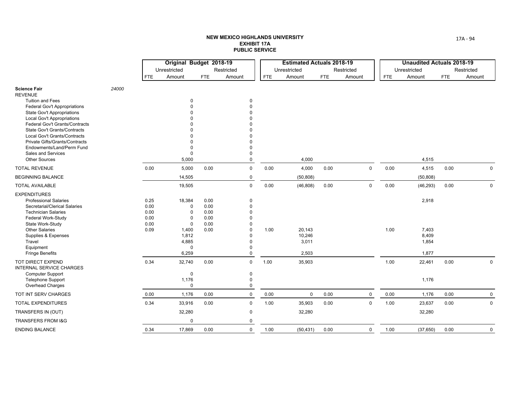|                                                                          |       |              | Original Budget 2018-19    |              |                         |            | <b>Estimated Actuals 2018-19</b> |            |             |            | <b>Unaudited Actuals 2018-19</b> |            |              |
|--------------------------------------------------------------------------|-------|--------------|----------------------------|--------------|-------------------------|------------|----------------------------------|------------|-------------|------------|----------------------------------|------------|--------------|
|                                                                          |       |              | Unrestricted               |              | Restricted              |            | Unrestricted                     |            | Restricted  |            | Unrestricted                     |            | Restricted   |
|                                                                          |       | <b>FTE</b>   | Amount                     | <b>FTE</b>   | Amount                  | <b>FTE</b> | Amount                           | <b>FTE</b> | Amount      | <b>FTE</b> | Amount                           | <b>FTE</b> | Amount       |
| <b>Science Fair</b><br><b>REVENUE</b>                                    | 24000 |              |                            |              |                         |            |                                  |            |             |            |                                  |            |              |
| Tuition and Fees                                                         |       |              | 0                          |              | $\mathbf 0$             |            |                                  |            |             |            |                                  |            |              |
| <b>Federal Gov't Appropriations</b><br><b>State Gov't Appropriations</b> |       |              | $\Omega$<br>n              |              | $\Omega$<br>$\Omega$    |            |                                  |            |             |            |                                  |            |              |
| Local Gov't Appropriations                                               |       |              |                            |              | O                       |            |                                  |            |             |            |                                  |            |              |
| <b>Federal Gov't Grants/Contracts</b>                                    |       |              |                            |              | O                       |            |                                  |            |             |            |                                  |            |              |
| <b>State Gov't Grants/Contracts</b>                                      |       |              |                            |              |                         |            |                                  |            |             |            |                                  |            |              |
| Local Gov't Grants/Contracts                                             |       |              |                            |              |                         |            |                                  |            |             |            |                                  |            |              |
| Private Gifts/Grants/Contracts<br>Endowments/Land/Perm Fund              |       |              | $\Omega$<br>$\Omega$       |              | $\Omega$                |            |                                  |            |             |            |                                  |            |              |
| <b>Sales and Services</b>                                                |       |              | $\mathbf 0$                |              | $\Omega$                |            |                                  |            |             |            |                                  |            |              |
| <b>Other Sources</b>                                                     |       |              | 5,000                      |              | $\Omega$                |            | 4,000                            |            |             |            | 4,515                            |            |              |
| <b>TOTAL REVENUE</b>                                                     |       | 0.00         | 5,000                      | 0.00         | $\mathbf 0$             | 0.00       | 4,000                            | 0.00       | $\mathbf 0$ | 0.00       | 4,515                            | 0.00       | $\mathbf 0$  |
| <b>BEGINNING BALANCE</b>                                                 |       |              | 14,505                     |              | $\mathbf 0$             |            | (50, 808)                        |            |             |            | (50, 808)                        |            |              |
| <b>TOTAL AVAILABLE</b>                                                   |       |              | 19,505                     |              | $\mathbf 0$             | 0.00       | (46, 808)                        | 0.00       | $\mathbf 0$ | 0.00       | (46, 293)                        | 0.00       | $\mathbf 0$  |
| <b>EXPENDITURES</b>                                                      |       |              |                            |              |                         |            |                                  |            |             |            |                                  |            |              |
| <b>Professional Salaries</b>                                             |       | 0.25         | 18,384                     | 0.00         | $\mathbf 0$             |            |                                  |            |             |            | 2,918                            |            |              |
| Secretarial/Clerical Salaries                                            |       | 0.00         | 0                          | 0.00         | $\mathbf 0$             |            |                                  |            |             |            |                                  |            |              |
| <b>Technician Salaries</b><br>Federal Work-Study                         |       | 0.00<br>0.00 | $\mathbf 0$<br>$\mathbf 0$ | 0.00<br>0.00 | $\mathbf 0$<br>$\Omega$ |            |                                  |            |             |            |                                  |            |              |
| State Work-Study                                                         |       | 0.00         | $\mathbf 0$                | 0.00         | $\Omega$                |            |                                  |            |             |            |                                  |            |              |
| <b>Other Salaries</b>                                                    |       | 0.09         | 1,400                      | 0.00         | $\Omega$                | 1.00       | 20,143                           |            |             | 1.00       | 7,403                            |            |              |
| Supplies & Expenses                                                      |       |              | 1,812                      |              | $\Omega$                |            | 10,246                           |            |             |            | 8,409                            |            |              |
| Travel                                                                   |       |              | 4,885                      |              | $\Omega$                |            | 3,011                            |            |             |            | 1,854                            |            |              |
| Equipment                                                                |       |              | $\mathbf 0$                |              | $\Omega$<br>$\mathbf 0$ |            |                                  |            |             |            |                                  |            |              |
| <b>Fringe Benefits</b>                                                   |       |              | 6,259                      |              |                         |            | 2,503                            |            |             |            | 1,877                            |            |              |
| TOT DIRECT EXPEND<br><b>INTERNAL SERVICE CHARGES</b>                     |       | 0.34         | 32,740                     | 0.00         | $\mathbf 0$             | 1.00       | 35,903                           |            |             | 1.00       | 22,461                           | 0.00       | $\mathbf 0$  |
| <b>Computer Support</b>                                                  |       |              | $\mathbf 0$                |              | $\pmb{0}$               |            |                                  |            |             |            |                                  |            |              |
| <b>Telephone Support</b>                                                 |       |              | 1,176                      |              | $\Omega$                |            |                                  |            |             |            | 1,176                            |            |              |
| Overhead Charges                                                         |       |              | $\Omega$                   |              | $\Omega$                |            |                                  |            |             |            |                                  |            |              |
| TOT INT SERV CHARGES                                                     |       | 0.00         | 1,176                      | 0.00         | $\mathbf 0$             | 0.00       | 0                                | 0.00       | 0           | 0.00       | 1,176                            | 0.00       | $\mathbf 0$  |
| <b>TOTAL EXPENDITURES</b>                                                |       | 0.34         | 33,916                     | 0.00         | $\mathbf 0$             | 1.00       | 35,903                           | 0.00       | $\mathbf 0$ | 1.00       | 23,637                           | 0.00       | 0            |
| TRANSFERS IN (OUT)                                                       |       |              | 32,280                     |              | $\mathbf 0$             |            | 32,280                           |            |             |            | 32,280                           |            |              |
| <b>TRANSFERS FROM I&amp;G</b>                                            |       |              | $\Omega$                   |              | $\mathbf{0}$            |            |                                  |            |             |            |                                  |            |              |
| <b>ENDING BALANCE</b>                                                    |       | 0.34         | 17,869                     | 0.00         | $\mathbf 0$             | 1.00       | (50, 431)                        | 0.00       | $\mathbf 0$ | 1.00       | (37,650)                         | 0.00       | $\mathsf{O}$ |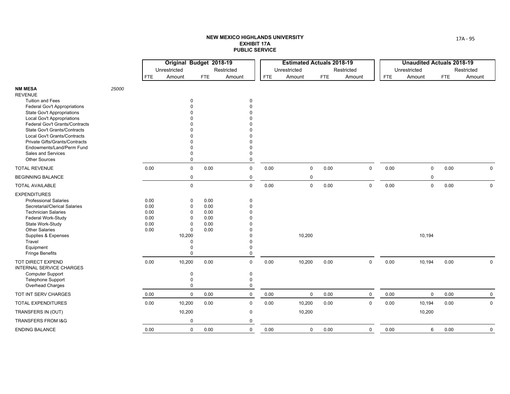|                                                                 |       | Original Budget 2018-19 |                          |              |                      |            | <b>Estimated Actuals 2018-19</b> |      |            |             |            | <b>Unaudited Actuals 2018-19</b> |      |             |
|-----------------------------------------------------------------|-------|-------------------------|--------------------------|--------------|----------------------|------------|----------------------------------|------|------------|-------------|------------|----------------------------------|------|-------------|
|                                                                 |       |                         | Unrestricted             |              | Restricted           |            | Unrestricted                     |      | Restricted |             |            | Unrestricted                     |      | Restricted  |
|                                                                 |       | <b>FTE</b>              | Amount                   | <b>FTE</b>   | Amount               | <b>FTE</b> | Amount                           | FTE  | Amount     |             | <b>FTE</b> | Amount                           | FTE  | Amount      |
| <b>NM MESA</b><br><b>REVENUE</b>                                | 25000 |                         |                          |              |                      |            |                                  |      |            |             |            |                                  |      |             |
| Tuition and Fees                                                |       |                         | 0                        |              | $\mathbf 0$          |            |                                  |      |            |             |            |                                  |      |             |
| <b>Federal Gov't Appropriations</b>                             |       |                         |                          |              |                      |            |                                  |      |            |             |            |                                  |      |             |
| <b>State Gov't Appropriations</b><br>Local Gov't Appropriations |       |                         |                          |              |                      |            |                                  |      |            |             |            |                                  |      |             |
| Federal Gov't Grants/Contracts                                  |       |                         |                          |              |                      |            |                                  |      |            |             |            |                                  |      |             |
| <b>State Gov't Grants/Contracts</b>                             |       |                         |                          |              |                      |            |                                  |      |            |             |            |                                  |      |             |
| Local Gov't Grants/Contracts                                    |       |                         |                          |              |                      |            |                                  |      |            |             |            |                                  |      |             |
| Private Gifts/Grants/Contracts<br>Endowments/Land/Perm Fund     |       |                         |                          |              |                      |            |                                  |      |            |             |            |                                  |      |             |
| Sales and Services                                              |       |                         | $\Omega$                 |              | $\Omega$             |            |                                  |      |            |             |            |                                  |      |             |
| <b>Other Sources</b>                                            |       |                         | $\mathbf 0$              |              | $\mathbf 0$          |            |                                  |      |            |             |            |                                  |      |             |
| <b>TOTAL REVENUE</b>                                            |       | 0.00                    | $\mathsf 0$              | 0.00         | $\mathbf 0$          | 0.00       | $\mathbf 0$                      | 0.00 |            | $\mathbf 0$ | 0.00       | $\mathbf 0$                      | 0.00 | $\mathbf 0$ |
| <b>BEGINNING BALANCE</b>                                        |       |                         | $\mathbf 0$              |              | $\mathbf 0$          |            | $\mathbf 0$                      |      |            |             |            | 0                                |      |             |
| <b>TOTAL AVAILABLE</b>                                          |       |                         | $\mathbf 0$              |              | $\mathbf 0$          | 0.00       | $\mathbf 0$                      | 0.00 |            | $\mathbf 0$ | 0.00       | $\mathbf 0$                      | 0.00 | $\mathbf 0$ |
| <b>EXPENDITURES</b>                                             |       |                         |                          |              |                      |            |                                  |      |            |             |            |                                  |      |             |
| <b>Professional Salaries</b>                                    |       | 0.00                    | 0                        | 0.00         | $\Omega$             |            |                                  |      |            |             |            |                                  |      |             |
| Secretarial/Clerical Salaries                                   |       | 0.00                    | 0                        | 0.00         | $\Omega$             |            |                                  |      |            |             |            |                                  |      |             |
| <b>Technician Salaries</b><br>Federal Work-Study                |       | 0.00<br>0.00            | $\pmb{0}$<br>$\mathbf 0$ | 0.00<br>0.00 |                      |            |                                  |      |            |             |            |                                  |      |             |
| State Work-Study                                                |       | 0.00                    | $\mathbf 0$              | 0.00         |                      |            |                                  |      |            |             |            |                                  |      |             |
| <b>Other Salaries</b>                                           |       | 0.00                    | $\pmb{0}$                | 0.00         |                      |            |                                  |      |            |             |            |                                  |      |             |
| Supplies & Expenses                                             |       |                         | 10,200                   |              |                      |            | 10,200                           |      |            |             |            | 10,194                           |      |             |
| Travel                                                          |       |                         | 0                        |              | $\Omega$             |            |                                  |      |            |             |            |                                  |      |             |
| Equipment<br><b>Fringe Benefits</b>                             |       |                         | $\Omega$<br>$\Omega$     |              | $\Omega$<br>$\Omega$ |            |                                  |      |            |             |            |                                  |      |             |
| TOT DIRECT EXPEND<br><b>INTERNAL SERVICE CHARGES</b>            |       | 0.00                    | 10,200                   | 0.00         | $\mathbf 0$          | 0.00       | 10,200                           | 0.00 |            | $\mathbf 0$ | 0.00       | 10,194                           | 0.00 | $\mathbf 0$ |
| <b>Computer Support</b>                                         |       |                         | 0                        |              | $\mathbf 0$          |            |                                  |      |            |             |            |                                  |      |             |
| <b>Telephone Support</b>                                        |       |                         | $\Omega$                 |              | $\Omega$             |            |                                  |      |            |             |            |                                  |      |             |
| Overhead Charges                                                |       |                         | $\mathbf 0$              |              | $\Omega$             |            |                                  |      |            |             |            |                                  |      |             |
| TOT INT SERV CHARGES                                            |       | 0.00                    | $\mathbf 0$              | 0.00         | $\pmb{0}$            | 0.00       | $\mathbf 0$                      | 0.00 |            | 0           | 0.00       | 0                                | 0.00 | 0           |
| <b>TOTAL EXPENDITURES</b>                                       |       | 0.00                    | 10,200                   | 0.00         | $\mathbf 0$          | 0.00       | 10,200                           | 0.00 |            | $\mathbf 0$ | 0.00       | 10,194                           | 0.00 | $\Omega$    |
| TRANSFERS IN (OUT)                                              |       |                         | 10,200                   |              | $\mathbf 0$          |            | 10,200                           |      |            |             |            | 10,200                           |      |             |
| <b>TRANSFERS FROM I&amp;G</b>                                   |       |                         | $\mathbf 0$              |              | 0                    |            |                                  |      |            |             |            |                                  |      |             |
| <b>ENDING BALANCE</b>                                           |       | 0.00                    | 0                        | 0.00         | $\mathbf 0$          | 0.00       | $\mathbf 0$                      | 0.00 |            | 0           | 0.00       | 6                                | 0.00 | $\mathbf 0$ |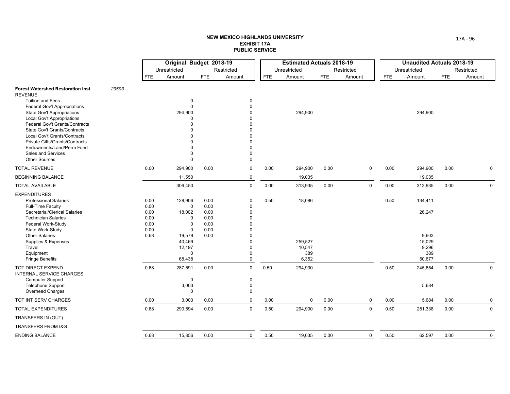|                                                                                                                                                                                                                                                                                                   |                              | Original Budget 2018-19                                                  |                              |                                                                         |            | <b>Estimated Actuals 2018-19</b>  |            |             |      | <b>Unaudited Actuals 2018-19</b>          |            |              |
|---------------------------------------------------------------------------------------------------------------------------------------------------------------------------------------------------------------------------------------------------------------------------------------------------|------------------------------|--------------------------------------------------------------------------|------------------------------|-------------------------------------------------------------------------|------------|-----------------------------------|------------|-------------|------|-------------------------------------------|------------|--------------|
|                                                                                                                                                                                                                                                                                                   |                              | Unrestricted                                                             |                              | Restricted                                                              |            | Unrestricted                      |            | Restricted  |      | Unrestricted                              |            | Restricted   |
|                                                                                                                                                                                                                                                                                                   | <b>FTE</b>                   | Amount                                                                   | <b>FTE</b>                   | Amount                                                                  | <b>FTE</b> | Amount                            | <b>FTE</b> | Amount      | FTE  | Amount                                    | <b>FTE</b> | Amount       |
| 29593<br><b>Forest Watershed Restoration Inst</b><br><b>REVENUE</b>                                                                                                                                                                                                                               |                              |                                                                          |                              |                                                                         |            |                                   |            |             |      |                                           |            |              |
| <b>Tuition and Fees</b><br><b>Federal Gov't Appropriations</b><br><b>State Gov't Appropriations</b><br><b>Local Gov't Appropriations</b><br><b>Federal Gov't Grants/Contracts</b><br><b>State Gov't Grants/Contracts</b><br>Local Gov't Grants/Contracts<br><b>Private Gifts/Grants/Contracts</b> |                              | 0<br>$\Omega$<br>294,900<br>n                                            |                              | 0<br>$\Omega$<br>$\Omega$<br>$\Omega$                                   |            | 294,900                           |            |             |      | 294,900                                   |            |              |
| Endowments/Land/Perm Fund<br>Sales and Services                                                                                                                                                                                                                                                   |                              | $\Omega$                                                                 |                              | $\Omega$<br>$\mathbf 0$                                                 |            |                                   |            |             |      |                                           |            |              |
| <b>Other Sources</b>                                                                                                                                                                                                                                                                              |                              | $\Omega$                                                                 |                              | 0                                                                       |            |                                   |            |             |      |                                           |            |              |
| <b>TOTAL REVENUE</b>                                                                                                                                                                                                                                                                              | 0.00                         | 294,900                                                                  | 0.00                         | $\mathbf 0$                                                             | 0.00       | 294,900                           | 0.00       | $\mathbf 0$ | 0.00 | 294,900                                   | 0.00       | $\Omega$     |
| <b>BEGINNING BALANCE</b>                                                                                                                                                                                                                                                                          |                              | 11,550                                                                   |                              | $\mathbf 0$                                                             |            | 19,035                            |            |             |      | 19,035                                    |            |              |
| <b>TOTAL AVAILABLE</b>                                                                                                                                                                                                                                                                            |                              | 306,450                                                                  |                              | $\mathsf 0$                                                             | 0.00       | 313,935                           | 0.00       | $\mathbf 0$ | 0.00 | 313,935                                   | 0.00       | $\mathbf 0$  |
| <b>EXPENDITURES</b><br><b>Professional Salaries</b><br><b>Full-Time Faculty</b><br>Secretarial/Clerical Salaries<br><b>Technician Salaries</b>                                                                                                                                                    | 0.00<br>0.00<br>0.00<br>0.00 | 128,906<br>$\mathbf 0$<br>18,002<br>$\Omega$                             | 0.00<br>0.00<br>0.00<br>0.00 | $\mathbf 0$<br>$\mathbf 0$<br>$\Omega$<br>$\Omega$                      | 0.50       | 18,086                            |            |             | 0.50 | 134,411<br>26,247                         |            |              |
| Federal Work-Study<br>State Work-Study<br><b>Other Salaries</b><br>Supplies & Expenses<br>Travel<br>Equipment<br><b>Fringe Benefits</b>                                                                                                                                                           | 0.00<br>0.00<br>0.68         | $\Omega$<br>$\Omega$<br>19,579<br>40,469<br>12,197<br>$\Omega$<br>68,438 | 0.00<br>0.00<br>0.00         | $\Omega$<br>$\Omega$<br>$\Omega$<br>$\Omega$<br>$\Omega$<br>$\mathbf 0$ |            | 259,527<br>10,547<br>389<br>6,352 |            |             |      | 9,603<br>15,029<br>9,296<br>389<br>50,677 |            |              |
| <b>TOT DIRECT EXPEND</b><br>INTERNAL SERVICE CHARGES<br><b>Computer Support</b><br><b>Telephone Support</b><br>Overhead Charges                                                                                                                                                                   | 0.68                         | 287,591<br>0<br>3,003<br>$\Omega$                                        | 0.00                         | $\mathbf 0$<br>$\mathbf 0$<br>$\mathbf 0$<br>$\mathbf 0$                | 0.50       | 294,900                           |            |             | 0.50 | 245,654<br>5,684                          | 0.00       | 0            |
| TOT INT SERV CHARGES                                                                                                                                                                                                                                                                              | 0.00                         | 3,003                                                                    | 0.00                         | $\mathbf 0$                                                             | 0.00       | 0                                 | 0.00       | $\mathbf 0$ | 0.00 | 5,684                                     | 0.00       | 0            |
| <b>TOTAL EXPENDITURES</b>                                                                                                                                                                                                                                                                         | 0.68                         | 290,594                                                                  | 0.00                         | $\mathbf 0$                                                             | 0.50       | 294,900                           | 0.00       | $\mathbf 0$ | 0.50 | 251,338                                   | 0.00       | $\mathbf 0$  |
| TRANSFERS IN (OUT)                                                                                                                                                                                                                                                                                |                              |                                                                          |                              |                                                                         |            |                                   |            |             |      |                                           |            |              |
| TRANSFERS FROM I&G                                                                                                                                                                                                                                                                                |                              |                                                                          |                              |                                                                         |            |                                   |            |             |      |                                           |            |              |
| <b>ENDING BALANCE</b>                                                                                                                                                                                                                                                                             | 0.68                         | 15,856                                                                   | 0.00                         | $\mathbf 0$                                                             | 0.50       | 19,035                            | 0.00       | $\mathbf 0$ | 0.50 | 62,597                                    | 0.00       | $\mathsf{O}$ |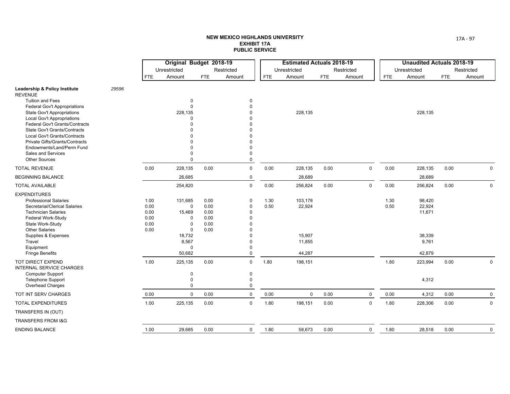|                                                                     |       |              | Original Budget 2018-19    |              |                      |            | <b>Estimated Actuals 2018-19</b> |            |             |            | <b>Unaudited Actuals 2018-19</b> |            |             |
|---------------------------------------------------------------------|-------|--------------|----------------------------|--------------|----------------------|------------|----------------------------------|------------|-------------|------------|----------------------------------|------------|-------------|
|                                                                     |       |              | Unrestricted               |              | Restricted           |            | Unrestricted                     |            | Restricted  |            | Unrestricted                     |            | Restricted  |
|                                                                     |       | FTE          | Amount                     | <b>FTE</b>   | Amount               | <b>FTE</b> | Amount                           | <b>FTE</b> | Amount      | <b>FTE</b> | Amount                           | <b>FTE</b> | Amount      |
| <b>Leadership &amp; Policy Institute</b><br><b>REVENUE</b>          | 29596 |              |                            |              |                      |            |                                  |            |             |            |                                  |            |             |
| <b>Tuition and Fees</b>                                             |       |              | 0                          |              | 0                    |            |                                  |            |             |            |                                  |            |             |
| <b>Federal Gov't Appropriations</b>                                 |       |              | $\Omega$                   |              | $\Omega$             |            |                                  |            |             |            |                                  |            |             |
| <b>State Gov't Appropriations</b>                                   |       |              | 228,135<br>$\Omega$        |              | $\Omega$             |            | 228,135                          |            |             |            | 228,135                          |            |             |
| <b>Local Gov't Appropriations</b><br>Federal Gov't Grants/Contracts |       |              |                            |              |                      |            |                                  |            |             |            |                                  |            |             |
| <b>State Gov't Grants/Contracts</b>                                 |       |              |                            |              |                      |            |                                  |            |             |            |                                  |            |             |
| Local Gov't Grants/Contracts                                        |       |              |                            |              |                      |            |                                  |            |             |            |                                  |            |             |
| Private Gifts/Grants/Contracts                                      |       |              |                            |              |                      |            |                                  |            |             |            |                                  |            |             |
| Endowments/Land/Perm Fund                                           |       |              |                            |              | $\Omega$             |            |                                  |            |             |            |                                  |            |             |
| Sales and Services<br><b>Other Sources</b>                          |       |              | $\Omega$                   |              | $\Omega$<br>$\Omega$ |            |                                  |            |             |            |                                  |            |             |
| <b>TOTAL REVENUE</b>                                                |       | 0.00         | 228,135                    | 0.00         | $\mathbf 0$          | 0.00       | 228,135                          | 0.00       | $\mathbf 0$ | 0.00       | 228,135                          | 0.00       | $\mathbf 0$ |
| <b>BEGINNING BALANCE</b>                                            |       |              | 26,685                     |              | $\mathbf 0$          |            | 28,689                           |            |             |            | 28,689                           |            |             |
| <b>TOTAL AVAILABLE</b>                                              |       |              | 254,820                    |              | $\mathbf 0$          | 0.00       | 256,824                          | 0.00       | $\mathbf 0$ | 0.00       | 256,824                          | 0.00       | $\mathbf 0$ |
| <b>EXPENDITURES</b>                                                 |       |              |                            |              |                      |            |                                  |            |             |            |                                  |            |             |
| <b>Professional Salaries</b>                                        |       | 1.00         | 131,685                    | 0.00         | $\mathbf 0$          | 1.30       | 103,178                          |            |             | 1.30       | 98,420                           |            |             |
| Secretarial/Clerical Salaries                                       |       | 0.00         | $\mathbf 0$                | 0.00         | $\mathbf 0$          | 0.50       | 22,924                           |            |             | 0.50       | 22,924                           |            |             |
| <b>Technician Salaries</b>                                          |       | 0.00         | 15,469                     | 0.00         | $\Omega$             |            |                                  |            |             |            | 11,671                           |            |             |
| Federal Work-Study                                                  |       | 0.00         | $\Omega$                   | 0.00         | $\Omega$             |            |                                  |            |             |            |                                  |            |             |
| State Work-Study<br><b>Other Salaries</b>                           |       | 0.00<br>0.00 | $\mathbf 0$<br>$\mathbf 0$ | 0.00<br>0.00 | $\Omega$             |            |                                  |            |             |            |                                  |            |             |
| Supplies & Expenses                                                 |       |              | 18,732                     |              |                      |            | 15,907                           |            |             |            | 38,339                           |            |             |
| Travel                                                              |       |              | 8,567                      |              | $\Omega$             |            | 11,855                           |            |             |            | 9,761                            |            |             |
| Equipment                                                           |       |              | $\Omega$                   |              | $\Omega$             |            |                                  |            |             |            |                                  |            |             |
| <b>Fringe Benefits</b>                                              |       |              | 50,682                     |              | $\Omega$             |            | 44,287                           |            |             |            | 42,879                           |            |             |
| <b>TOT DIRECT EXPEND</b><br><b>INTERNAL SERVICE CHARGES</b>         |       | 1.00         | 225,135                    | 0.00         | $\mathbf 0$          | 1.80       | 198,151                          |            |             | 1.80       | 223,994                          | 0.00       | $\mathbf 0$ |
| Computer Support                                                    |       |              | $\pmb{0}$                  |              | $\mathbf 0$          |            |                                  |            |             |            |                                  |            |             |
| <b>Telephone Support</b>                                            |       |              | $\Omega$                   |              | $\Omega$             |            |                                  |            |             |            | 4,312                            |            |             |
| Overhead Charges                                                    |       |              | $\Omega$                   |              | $\Omega$             |            |                                  |            |             |            |                                  |            |             |
| TOT INT SERV CHARGES                                                |       | 0.00         | $\mathbf 0$                | 0.00         | $\mathbf 0$          | 0.00       | 0                                | 0.00       | $\mathbf 0$ | 0.00       | 4,312                            | 0.00       | $\mathbf 0$ |
| TOTAL EXPENDITURES                                                  |       | 1.00         | 225,135                    | 0.00         | $\mathbf 0$          | 1.80       | 198,151                          | 0.00       | $\mathbf 0$ | 1.80       | 228,306                          | 0.00       | $\mathbf 0$ |
| TRANSFERS IN (OUT)                                                  |       |              |                            |              |                      |            |                                  |            |             |            |                                  |            |             |
| <b>TRANSFERS FROM I&amp;G</b>                                       |       |              |                            |              |                      |            |                                  |            |             |            |                                  |            |             |
| <b>ENDING BALANCE</b>                                               |       | 1.00         | 29,685                     | 0.00         | $\mathbf 0$          | 1.80       | 58,673                           | 0.00       | $\mathbf 0$ | 1.80       | 28,518                           | 0.00       | $\mathbf 0$ |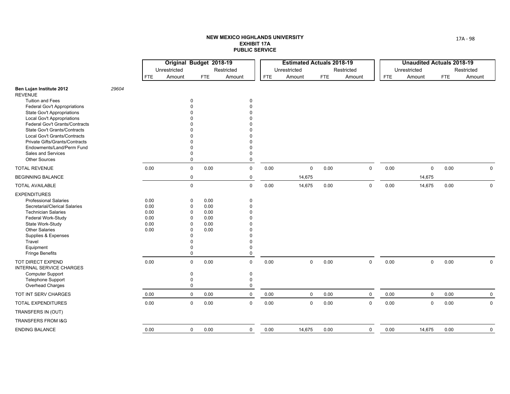|                                                                 |       |              | Original Budget 2018-19 |              |             |            | <b>Estimated Actuals 2018-19</b> |            |             |            | <b>Unaudited Actuals 2018-19</b> |      |             |
|-----------------------------------------------------------------|-------|--------------|-------------------------|--------------|-------------|------------|----------------------------------|------------|-------------|------------|----------------------------------|------|-------------|
|                                                                 |       |              | Unrestricted            |              | Restricted  |            | Unrestricted                     |            | Restricted  |            | Unrestricted                     |      | Restricted  |
|                                                                 |       | <b>FTE</b>   | Amount                  | FTE          | Amount      | <b>FTE</b> | Amount                           | <b>FTE</b> | Amount      | <b>FTE</b> | Amount                           | FTE  | Amount      |
| Ben Lujan Institute 2012<br><b>REVENUE</b>                      | 29604 |              |                         |              |             |            |                                  |            |             |            |                                  |      |             |
| <b>Tuition and Fees</b>                                         |       |              | $\mathbf 0$             |              | 0           |            |                                  |            |             |            |                                  |      |             |
| <b>Federal Gov't Appropriations</b>                             |       |              |                         |              | $\Omega$    |            |                                  |            |             |            |                                  |      |             |
| <b>State Gov't Appropriations</b><br>Local Gov't Appropriations |       |              |                         |              |             |            |                                  |            |             |            |                                  |      |             |
| Federal Gov't Grants/Contracts                                  |       |              |                         |              |             |            |                                  |            |             |            |                                  |      |             |
| <b>State Gov't Grants/Contracts</b>                             |       |              |                         |              |             |            |                                  |            |             |            |                                  |      |             |
| Local Gov't Grants/Contracts                                    |       |              |                         |              |             |            |                                  |            |             |            |                                  |      |             |
| <b>Private Gifts/Grants/Contracts</b>                           |       |              |                         |              |             |            |                                  |            |             |            |                                  |      |             |
| Endowments/Land/Perm Fund                                       |       |              |                         |              | $\Omega$    |            |                                  |            |             |            |                                  |      |             |
| <b>Sales and Services</b><br><b>Other Sources</b>               |       |              | $\Omega$<br>$\Omega$    |              | 0<br>0      |            |                                  |            |             |            |                                  |      |             |
| <b>TOTAL REVENUE</b>                                            |       | 0.00         | $\mathsf 0$             | 0.00         | $\mathsf 0$ | 0.00       | $\mathbf 0$                      | 0.00       | $\mathbf 0$ | 0.00       | $\mathbf 0$                      | 0.00 | $\mathbf 0$ |
| <b>BEGINNING BALANCE</b>                                        |       |              | 0                       |              | 0           |            | 14,675                           |            |             |            | 14,675                           |      |             |
| <b>TOTAL AVAILABLE</b>                                          |       |              | $\mathbf 0$             |              | $\mathbf 0$ | 0.00       | 14,675                           | 0.00       | $\mathbf 0$ | 0.00       | 14,675                           | 0.00 | $\mathbf 0$ |
| <b>EXPENDITURES</b>                                             |       |              |                         |              |             |            |                                  |            |             |            |                                  |      |             |
| <b>Professional Salaries</b>                                    |       | 0.00         | $\mathbf 0$             | 0.00         | 0           |            |                                  |            |             |            |                                  |      |             |
| Secretarial/Clerical Salaries                                   |       | 0.00         | $\mathbf 0$             | 0.00         | 0           |            |                                  |            |             |            |                                  |      |             |
| <b>Technician Salaries</b>                                      |       | 0.00         | $\mathbf 0$             | 0.00         | $\Omega$    |            |                                  |            |             |            |                                  |      |             |
| Federal Work-Study<br>State Work-Study                          |       | 0.00<br>0.00 | 0<br>$\mathbf 0$        | 0.00<br>0.00 | U           |            |                                  |            |             |            |                                  |      |             |
| <b>Other Salaries</b>                                           |       | 0.00         | $\Omega$                | 0.00         |             |            |                                  |            |             |            |                                  |      |             |
| Supplies & Expenses                                             |       |              | $\Omega$                |              |             |            |                                  |            |             |            |                                  |      |             |
| Travel                                                          |       |              | 0                       |              | 0           |            |                                  |            |             |            |                                  |      |             |
| Equipment                                                       |       |              | $\Omega$                |              | 0           |            |                                  |            |             |            |                                  |      |             |
| <b>Fringe Benefits</b>                                          |       |              | $\mathbf 0$             |              | 0           |            |                                  |            |             |            |                                  |      |             |
| TOT DIRECT EXPEND<br>INTERNAL SERVICE CHARGES                   |       | 0.00         | $\mathbf 0$             | 0.00         | $\mathbf 0$ | 0.00       | $\mathbf 0$                      | 0.00       | $\mathbf 0$ | 0.00       | $\mathbf 0$                      | 0.00 | $\mathbf 0$ |
| <b>Computer Support</b>                                         |       |              | $\mathbf 0$             |              | 0           |            |                                  |            |             |            |                                  |      |             |
| <b>Telephone Support</b>                                        |       |              | $\mathbf 0$             |              | 0           |            |                                  |            |             |            |                                  |      |             |
| Overhead Charges                                                |       |              | $\mathbf 0$             |              | 0           |            |                                  |            |             |            |                                  |      |             |
| TOT INT SERV CHARGES                                            |       | 0.00         | $\mathbf 0$             | 0.00         | $\mathbf 0$ | 0.00       | $\mathbf 0$                      | 0.00       | $\mathbf 0$ | 0.00       | $\mathbf 0$                      | 0.00 | 0           |
| <b>TOTAL EXPENDITURES</b>                                       |       | 0.00         | $\mathbf 0$             | 0.00         | $\mathbf 0$ | 0.00       | $\mathbf 0$                      | 0.00       | $\mathbf 0$ | 0.00       | $\mathbf 0$                      | 0.00 | $\Omega$    |
| TRANSFERS IN (OUT)                                              |       |              |                         |              |             |            |                                  |            |             |            |                                  |      |             |
| <b>TRANSFERS FROM I&amp;G</b>                                   |       |              |                         |              |             |            |                                  |            |             |            |                                  |      |             |
| <b>ENDING BALANCE</b>                                           |       | 0.00         | $\mathbf 0$             | 0.00         | $\mathbf 0$ | 0.00       | 14,675                           | 0.00       | $\mathbf 0$ | 0.00       | 14,675                           | 0.00 | $\mathbf 0$ |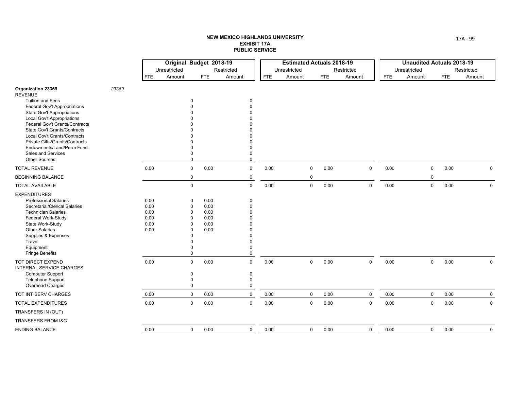|                                                              |       |              | Original Budget 2018-19    |              |                      |            | <b>Estimated Actuals 2018-19</b> |                         |            |                         |            | <b>Unaudited Actuals 2018-19</b> |             |            |              |
|--------------------------------------------------------------|-------|--------------|----------------------------|--------------|----------------------|------------|----------------------------------|-------------------------|------------|-------------------------|------------|----------------------------------|-------------|------------|--------------|
|                                                              |       |              | Unrestricted               |              | Restricted           |            | Unrestricted                     |                         |            | Restricted              |            | Unrestricted                     |             |            | Restricted   |
|                                                              |       | <b>FTE</b>   | Amount                     | FTE          | Amount               | <b>FTE</b> | Amount                           |                         | <b>FTE</b> | Amount                  | <b>FTE</b> | Amount                           |             | <b>FTE</b> | Amount       |
| <b>Organization 23369</b><br><b>REVENUE</b>                  | 23369 |              |                            |              |                      |            |                                  |                         |            |                         |            |                                  |             |            |              |
| <b>Tuition and Fees</b>                                      |       |              | $\Omega$                   |              | 0                    |            |                                  |                         |            |                         |            |                                  |             |            |              |
| <b>Federal Gov't Appropriations</b>                          |       |              |                            |              | $\Omega$             |            |                                  |                         |            |                         |            |                                  |             |            |              |
| <b>State Gov't Appropriations</b>                            |       |              |                            |              |                      |            |                                  |                         |            |                         |            |                                  |             |            |              |
| Local Gov't Appropriations<br>Federal Gov't Grants/Contracts |       |              |                            |              |                      |            |                                  |                         |            |                         |            |                                  |             |            |              |
| <b>State Gov't Grants/Contracts</b>                          |       |              |                            |              |                      |            |                                  |                         |            |                         |            |                                  |             |            |              |
| Local Gov't Grants/Contracts                                 |       |              |                            |              |                      |            |                                  |                         |            |                         |            |                                  |             |            |              |
| Private Gifts/Grants/Contracts                               |       |              |                            |              |                      |            |                                  |                         |            |                         |            |                                  |             |            |              |
| Endowments/Land/Perm Fund                                    |       |              |                            |              | $\Omega$             |            |                                  |                         |            |                         |            |                                  |             |            |              |
| Sales and Services<br><b>Other Sources</b>                   |       |              | $\Omega$<br>$\Omega$       |              | 0<br>$\mathbf 0$     |            |                                  |                         |            |                         |            |                                  |             |            |              |
| <b>TOTAL REVENUE</b>                                         |       | 0.00         | $\mathsf 0$                | 0.00         | $\mathsf 0$          | 0.00       |                                  | $\mathbf 0$             | 0.00       | $\mathbf 0$             | 0.00       |                                  | $\mathbf 0$ | 0.00       | $\mathbf 0$  |
| <b>BEGINNING BALANCE</b>                                     |       |              | $\mathbf 0$                |              | $\mathbf 0$          |            |                                  | 0                       |            |                         |            |                                  | $\mathbf 0$ |            |              |
| <b>TOTAL AVAILABLE</b>                                       |       |              | $\mathsf 0$                |              | $\mathsf 0$          | 0.00       |                                  | $\mathsf{O}\phantom{0}$ | 0.00       | $\mathbf 0$             | 0.00       |                                  | $\mathbf 0$ | 0.00       | $\mathbf 0$  |
| <b>EXPENDITURES</b>                                          |       |              |                            |              |                      |            |                                  |                         |            |                         |            |                                  |             |            |              |
| <b>Professional Salaries</b>                                 |       | 0.00         | 0                          | 0.00         | 0                    |            |                                  |                         |            |                         |            |                                  |             |            |              |
| Secretarial/Clerical Salaries                                |       | 0.00         | 0                          | 0.00         | $\Omega$             |            |                                  |                         |            |                         |            |                                  |             |            |              |
| <b>Technician Salaries</b><br>Federal Work-Study             |       | 0.00<br>0.00 | $\mathbf 0$<br>$\mathbf 0$ | 0.00<br>0.00 | $\Omega$<br>$\Omega$ |            |                                  |                         |            |                         |            |                                  |             |            |              |
| State Work-Study                                             |       | 0.00         | $\Omega$                   | 0.00         |                      |            |                                  |                         |            |                         |            |                                  |             |            |              |
| <b>Other Salaries</b>                                        |       | 0.00         | $\Omega$                   | 0.00         | $\Omega$             |            |                                  |                         |            |                         |            |                                  |             |            |              |
| Supplies & Expenses                                          |       |              | $\Omega$                   |              | $\Omega$             |            |                                  |                         |            |                         |            |                                  |             |            |              |
| Travel                                                       |       |              | $\Omega$                   |              | $\Omega$             |            |                                  |                         |            |                         |            |                                  |             |            |              |
| Equipment                                                    |       |              | $\Omega$                   |              | $\pmb{0}$            |            |                                  |                         |            |                         |            |                                  |             |            |              |
| <b>Fringe Benefits</b>                                       |       |              | $\Omega$                   |              | $\mathbf 0$          |            |                                  |                         |            |                         |            |                                  |             |            |              |
| TOT DIRECT EXPEND<br>INTERNAL SERVICE CHARGES                |       | 0.00         | $\mathbf 0$                | 0.00         | $\mathbf 0$          | 0.00       |                                  | $\mathbf 0$             | 0.00       | $\mathbf 0$             | 0.00       |                                  | $\mathbf 0$ | 0.00       | $\mathbf 0$  |
| <b>Computer Support</b>                                      |       |              | $\mathbf 0$                |              | 0                    |            |                                  |                         |            |                         |            |                                  |             |            |              |
| <b>Telephone Support</b>                                     |       |              | $\mathbf 0$                |              | 0                    |            |                                  |                         |            |                         |            |                                  |             |            |              |
| Overhead Charges                                             |       |              | $\mathbf 0$                |              | $\pmb{0}$            |            |                                  |                         |            |                         |            |                                  |             |            |              |
| TOT INT SERV CHARGES                                         |       | 0.00         | $\mathbf 0$                | 0.00         | $\mathbf 0$          | 0.00       |                                  | 0                       | 0.00       | 0                       | 0.00       |                                  | $\mathbf 0$ | 0.00       | 0            |
| TOTAL EXPENDITURES                                           |       | 0.00         | $\mathbf 0$                | 0.00         | $\mathbf 0$          | 0.00       |                                  | 0                       | 0.00       | $\mathbf 0$             | 0.00       |                                  | $\mathbf 0$ | 0.00       | $\mathbf{0}$ |
| TRANSFERS IN (OUT)                                           |       |              |                            |              |                      |            |                                  |                         |            |                         |            |                                  |             |            |              |
| TRANSFERS FROM I&G                                           |       |              |                            |              |                      |            |                                  |                         |            |                         |            |                                  |             |            |              |
| <b>ENDING BALANCE</b>                                        |       | 0.00         | $\mathbf 0$                | 0.00         | $\mathbf 0$          | 0.00       |                                  | $\mathsf{O}$            | 0.00       | $\mathsf{O}\phantom{0}$ | 0.00       |                                  | $\mathbf 0$ | 0.00       | $\mathbf 0$  |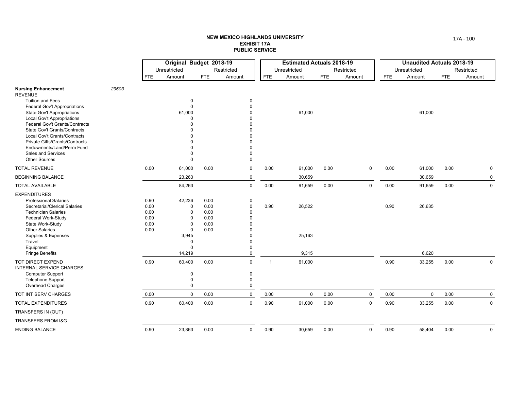|                                                                                                                                                                                                                                                                              |       |                                              | Original Budget 2018-19<br>Unrestricted                                                            |                                              | Restricted                                                                                         |                | <b>Estimated Actuals 2018-19</b><br>Unrestricted |            | Restricted  |            | <b>Unaudited Actuals 2018-19</b><br>Unrestricted |            | Restricted  |
|------------------------------------------------------------------------------------------------------------------------------------------------------------------------------------------------------------------------------------------------------------------------------|-------|----------------------------------------------|----------------------------------------------------------------------------------------------------|----------------------------------------------|----------------------------------------------------------------------------------------------------|----------------|--------------------------------------------------|------------|-------------|------------|--------------------------------------------------|------------|-------------|
|                                                                                                                                                                                                                                                                              |       | <b>FTE</b>                                   | Amount                                                                                             | <b>FTE</b>                                   | Amount                                                                                             | <b>FTE</b>     | Amount                                           | <b>FTE</b> | Amount      | <b>FTE</b> | Amount                                           | <b>FTE</b> | Amount      |
| <b>Nursing Enhancement</b><br><b>REVENUE</b>                                                                                                                                                                                                                                 | 29603 |                                              |                                                                                                    |                                              |                                                                                                    |                |                                                  |            |             |            |                                                  |            |             |
| <b>Tuition and Fees</b><br><b>Federal Gov't Appropriations</b><br><b>State Gov't Appropriations</b><br><b>Local Gov't Appropriations</b><br>Federal Gov't Grants/Contracts<br>State Gov't Grants/Contracts<br>Local Gov't Grants/Contracts<br>Private Gifts/Grants/Contracts |       |                                              | $\mathbf 0$<br>$\mathbf 0$<br>61,000                                                               |                                              | $\mathbf 0$<br>$\Omega$<br>$\Omega$<br>$\Omega$                                                    |                | 61,000                                           |            |             |            | 61,000                                           |            |             |
| Endowments/Land/Perm Fund<br>Sales and Services<br><b>Other Sources</b>                                                                                                                                                                                                      |       |                                              | $\Omega$<br>$\Omega$                                                                               |                                              | $\Omega$<br>$\Omega$<br>$\Omega$                                                                   |                |                                                  |            |             |            |                                                  |            |             |
| <b>TOTAL REVENUE</b>                                                                                                                                                                                                                                                         |       | 0.00                                         | 61,000                                                                                             | 0.00                                         | $\mathbf 0$                                                                                        | 0.00           | 61,000                                           | 0.00       | $\mathbf 0$ | 0.00       | 61,000                                           | 0.00       | 0           |
| <b>BEGINNING BALANCE</b>                                                                                                                                                                                                                                                     |       |                                              | 23,263                                                                                             |                                              | $\mathbf 0$                                                                                        |                | 30,659                                           |            |             |            | 30,659                                           |            | $\mathbf 0$ |
| <b>TOTAL AVAILABLE</b>                                                                                                                                                                                                                                                       |       |                                              | 84,263                                                                                             |                                              | $\mathbf 0$                                                                                        | 0.00           | 91,659                                           | 0.00       | $\mathbf 0$ | 0.00       | 91,659                                           | 0.00       | $\mathbf 0$ |
| <b>EXPENDITURES</b><br><b>Professional Salaries</b><br>Secretarial/Clerical Salaries<br><b>Technician Salaries</b><br>Federal Work-Study<br>State Work-Study<br><b>Other Salaries</b><br>Supplies & Expenses<br>Travel<br>Equipment                                          |       | 0.90<br>0.00<br>0.00<br>0.00<br>0.00<br>0.00 | 42,236<br>0<br>$\mathbf 0$<br>$\Omega$<br>$\Omega$<br>$\mathbf 0$<br>3,945<br>$\Omega$<br>$\Omega$ | 0.00<br>0.00<br>0.00<br>0.00<br>0.00<br>0.00 | $\mathbf 0$<br>$\mathbf 0$<br>$\Omega$<br>$\Omega$<br>$\Omega$<br>$\Omega$<br>$\Omega$<br>$\Omega$ | 0.90           | 26,522<br>25,163                                 |            |             | 0.90       | 26,635                                           |            |             |
| <b>Fringe Benefits</b><br><b>TOT DIRECT EXPEND</b>                                                                                                                                                                                                                           |       | 0.90                                         | 14,219<br>60,400                                                                                   | 0.00                                         | $\mathbf 0$<br>$\mathbf 0$                                                                         | $\overline{1}$ | 9,315<br>61,000                                  |            |             | 0.90       | 6,620<br>33,255                                  | 0.00       | $\mathbf 0$ |
| <b>INTERNAL SERVICE CHARGES</b><br><b>Computer Support</b><br><b>Telephone Support</b><br>Overhead Charges                                                                                                                                                                   |       |                                              | $\mathbf 0$<br>$\Omega$<br>$\mathbf 0$                                                             |                                              | 0<br>$\mathbf 0$<br>0                                                                              |                |                                                  |            |             |            |                                                  |            |             |
| TOT INT SERV CHARGES                                                                                                                                                                                                                                                         |       | 0.00                                         | $\Omega$                                                                                           | 0.00                                         | $\mathbf 0$                                                                                        | 0.00           | 0                                                | 0.00       | $\mathbf 0$ | 0.00       | 0                                                | 0.00       | $\mathbf 0$ |
| TOTAL EXPENDITURES                                                                                                                                                                                                                                                           |       | 0.90                                         | 60,400                                                                                             | 0.00                                         | $\mathbf 0$                                                                                        | 0.90           | 61,000                                           | 0.00       | $\mathsf 0$ | 0.90       | 33,255                                           | 0.00       | $\mathbf 0$ |
| TRANSFERS IN (OUT)                                                                                                                                                                                                                                                           |       |                                              |                                                                                                    |                                              |                                                                                                    |                |                                                  |            |             |            |                                                  |            |             |
| <b>TRANSFERS FROM I&amp;G</b>                                                                                                                                                                                                                                                |       |                                              |                                                                                                    |                                              |                                                                                                    |                |                                                  |            |             |            |                                                  |            |             |
| <b>ENDING BALANCE</b>                                                                                                                                                                                                                                                        |       | 0.90                                         | 23,863                                                                                             | 0.00                                         | $\mathbf 0$                                                                                        | 0.90           | 30,659                                           | 0.00       | $\mathbf 0$ | 0.90       | 58,404                                           | 0.00       | $\mathbf 0$ |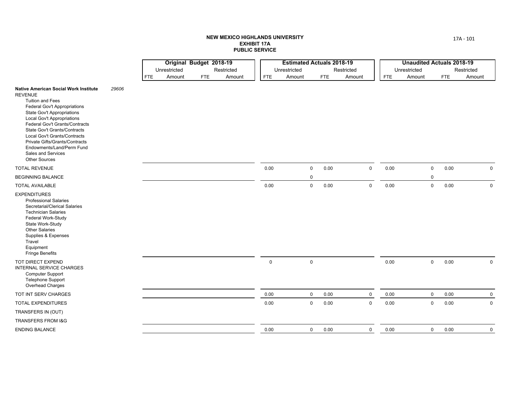|                                                                                                                                                                                                                                                                                                                                                                                                                    |       |            | Original Budget 2018-19 |            |            |              |             | <b>Estimated Actuals 2018-19</b> |             |              |              | <b>Unaudited Actuals 2018-19</b> |              |
|--------------------------------------------------------------------------------------------------------------------------------------------------------------------------------------------------------------------------------------------------------------------------------------------------------------------------------------------------------------------------------------------------------------------|-------|------------|-------------------------|------------|------------|--------------|-------------|----------------------------------|-------------|--------------|--------------|----------------------------------|--------------|
|                                                                                                                                                                                                                                                                                                                                                                                                                    |       |            | Unrestricted            |            | Restricted | Unrestricted |             |                                  | Restricted  | Unrestricted |              |                                  | Restricted   |
|                                                                                                                                                                                                                                                                                                                                                                                                                    |       | <b>FTE</b> | Amount                  | <b>FTE</b> | Amount     | <b>FTE</b>   | Amount      | <b>FTE</b>                       | Amount      | <b>FTE</b>   | Amount       | <b>FTE</b>                       | Amount       |
| <b>Native American Social Work Institute</b><br><b>REVENUE</b><br><b>Tuition and Fees</b><br>Federal Gov't Appropriations<br><b>State Gov't Appropriations</b><br>Local Gov't Appropriations<br>Federal Gov't Grants/Contracts<br><b>State Gov't Grants/Contracts</b><br>Local Gov't Grants/Contracts<br>Private Gifts/Grants/Contracts<br>Endowments/Land/Perm Fund<br>Sales and Services<br><b>Other Sources</b> | 29606 |            |                         |            |            |              |             |                                  |             |              |              |                                  |              |
| <b>TOTAL REVENUE</b>                                                                                                                                                                                                                                                                                                                                                                                               |       |            |                         |            |            | 0.00         | $\mathbf 0$ | 0.00                             | $\mathbf 0$ | 0.00         | $\mathbf 0$  | 0.00                             | $\mathbf 0$  |
| <b>BEGINNING BALANCE</b>                                                                                                                                                                                                                                                                                                                                                                                           |       |            |                         |            |            |              | $\mathbf 0$ |                                  |             |              | 0            |                                  |              |
| <b>TOTAL AVAILABLE</b>                                                                                                                                                                                                                                                                                                                                                                                             |       |            |                         |            |            | 0.00         | $\mathbf 0$ | 0.00                             | $\mathbf 0$ | 0.00         | $\mathsf{O}$ | 0.00                             | $\mathbf 0$  |
| <b>EXPENDITURES</b><br><b>Professional Salaries</b><br>Secretarial/Clerical Salaries<br><b>Technician Salaries</b><br>Federal Work-Study<br>State Work-Study<br><b>Other Salaries</b><br>Supplies & Expenses<br>Travel<br>Equipment<br><b>Fringe Benefits</b>                                                                                                                                                      |       |            |                         |            |            |              |             |                                  |             |              |              |                                  |              |
| TOT DIRECT EXPEND<br>INTERNAL SERVICE CHARGES<br><b>Computer Support</b><br><b>Telephone Support</b><br>Overhead Charges                                                                                                                                                                                                                                                                                           |       |            |                         |            |            | $\mathsf 0$  | $\mathbf 0$ |                                  |             | 0.00         | 0            | 0.00                             | $\mathbf 0$  |
| TOT INT SERV CHARGES                                                                                                                                                                                                                                                                                                                                                                                               |       |            |                         |            |            | 0.00         | $\mathsf 0$ | 0.00                             | $\pmb{0}$   | 0.00         | $\mathsf{O}$ | 0.00                             | $\mathsf{O}$ |
| <b>TOTAL EXPENDITURES</b>                                                                                                                                                                                                                                                                                                                                                                                          |       |            |                         |            |            | 0.00         | $\mathbf 0$ | 0.00                             | $\mathbf 0$ | 0.00         | 0            | 0.00                             | 0            |
| TRANSFERS IN (OUT)                                                                                                                                                                                                                                                                                                                                                                                                 |       |            |                         |            |            |              |             |                                  |             |              |              |                                  |              |
| TRANSFERS FROM I&G                                                                                                                                                                                                                                                                                                                                                                                                 |       |            |                         |            |            |              |             |                                  |             |              |              |                                  |              |
| <b>ENDING BALANCE</b>                                                                                                                                                                                                                                                                                                                                                                                              |       |            |                         |            |            | 0.00         | $\mathbf 0$ | 0.00                             | $\mathbf 0$ | 0.00         | 0            | 0.00                             | $\mathsf{O}$ |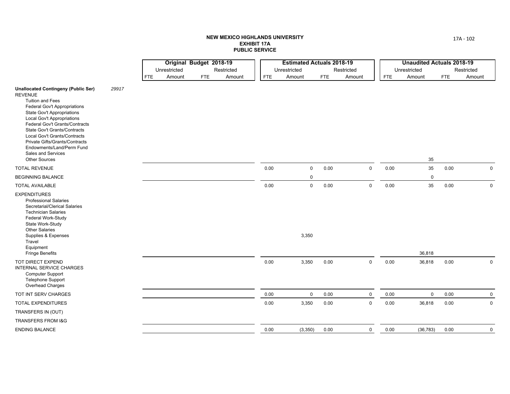|                                                                                                                                                                                                                                                                                                                                                                                                                                |       |            | Original Budget 2018-19 |            |            |      | <b>Estimated Actuals 2018-19</b> |      |             |      | <b>Unaudited Actuals 2018-19</b> |            |             |
|--------------------------------------------------------------------------------------------------------------------------------------------------------------------------------------------------------------------------------------------------------------------------------------------------------------------------------------------------------------------------------------------------------------------------------|-------|------------|-------------------------|------------|------------|------|----------------------------------|------|-------------|------|----------------------------------|------------|-------------|
|                                                                                                                                                                                                                                                                                                                                                                                                                                |       |            | Unrestricted            |            | Restricted |      | Unrestricted                     |      | Restricted  |      | Unrestricted                     |            | Restricted  |
|                                                                                                                                                                                                                                                                                                                                                                                                                                |       | <b>FTE</b> | Amount                  | <b>FTE</b> | Amount     | FTE  | Amount                           | FTE  | Amount      | FTE  | Amount                           | <b>FTE</b> | Amount      |
| <b>Unallocated Contingeny (Public Ser)</b><br><b>REVENUE</b><br>Tuition and Fees<br><b>Federal Gov't Appropriations</b><br><b>State Gov't Appropriations</b><br><b>Local Gov't Appropriations</b><br>Federal Gov't Grants/Contracts<br><b>State Gov't Grants/Contracts</b><br>Local Gov't Grants/Contracts<br>Private Gifts/Grants/Contracts<br>Endowments/Land/Perm Fund<br><b>Sales and Services</b><br><b>Other Sources</b> | 29917 |            |                         |            |            |      |                                  |      |             |      | 35                               |            |             |
| <b>TOTAL REVENUE</b>                                                                                                                                                                                                                                                                                                                                                                                                           |       |            |                         |            |            | 0.00 | $\mathsf 0$                      | 0.00 | $\mathbf 0$ | 0.00 | 35                               | 0.00       | $\mathsf 0$ |
| <b>BEGINNING BALANCE</b>                                                                                                                                                                                                                                                                                                                                                                                                       |       |            |                         |            |            |      | $\mathbf 0$                      |      |             |      | $\mathbf 0$                      |            |             |
| <b>TOTAL AVAILABLE</b>                                                                                                                                                                                                                                                                                                                                                                                                         |       |            |                         |            |            | 0.00 | $\mathbf 0$                      | 0.00 | $\mathbf 0$ | 0.00 | 35                               | 0.00       | $\mathbf 0$ |
| <b>EXPENDITURES</b><br><b>Professional Salaries</b><br>Secretarial/Clerical Salaries<br><b>Technician Salaries</b><br>Federal Work-Study<br>State Work-Study<br>Other Salaries<br>Supplies & Expenses<br>Travel<br>Equipment<br><b>Fringe Benefits</b>                                                                                                                                                                         |       |            |                         |            |            |      | 3,350                            |      |             |      | 36,818                           |            |             |
| TOT DIRECT EXPEND<br>INTERNAL SERVICE CHARGES<br><b>Computer Support</b><br><b>Telephone Support</b><br>Overhead Charges                                                                                                                                                                                                                                                                                                       |       |            |                         |            |            | 0.00 | 3,350                            | 0.00 | $\mathbf 0$ | 0.00 | 36,818                           | 0.00       | $\mathbf 0$ |
| TOT INT SERV CHARGES                                                                                                                                                                                                                                                                                                                                                                                                           |       |            |                         |            |            | 0.00 | $\mathsf 0$                      | 0.00 | $\mathbf 0$ | 0.00 | $\mathbf 0$                      | 0.00       | $\mathbf 0$ |
| <b>TOTAL EXPENDITURES</b>                                                                                                                                                                                                                                                                                                                                                                                                      |       |            |                         |            |            | 0.00 | 3,350                            | 0.00 | $\mathbf 0$ | 0.00 | 36,818                           | 0.00       | $\mathbf 0$ |
| TRANSFERS IN (OUT)                                                                                                                                                                                                                                                                                                                                                                                                             |       |            |                         |            |            |      |                                  |      |             |      |                                  |            |             |
| <b>TRANSFERS FROM I&amp;G</b>                                                                                                                                                                                                                                                                                                                                                                                                  |       |            |                         |            |            |      |                                  |      |             |      |                                  |            |             |
| <b>ENDING BALANCE</b>                                                                                                                                                                                                                                                                                                                                                                                                          |       |            |                         |            |            | 0.00 | (3, 350)                         | 0.00 | $\mathbf 0$ | 0.00 | (36, 783)                        | 0.00       | $\mathbf 0$ |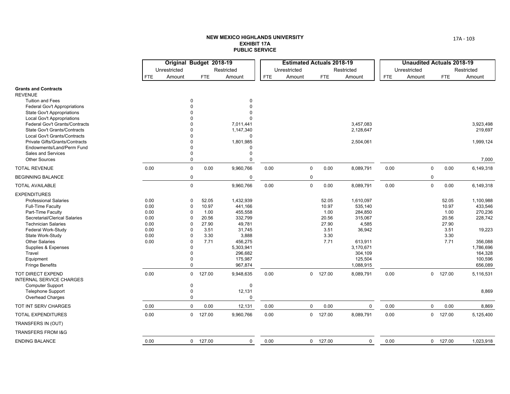|                                                                     |      | Original Budget 2018-19 |            |                        |            | <b>Estimated Actuals 2018-19</b> |             |            |                      |            | <b>Unaudited Actuals 2018-19</b> |   |            |                      |
|---------------------------------------------------------------------|------|-------------------------|------------|------------------------|------------|----------------------------------|-------------|------------|----------------------|------------|----------------------------------|---|------------|----------------------|
|                                                                     |      | Unrestricted            |            | Restricted             |            | Unrestricted                     |             |            | Restricted           |            | Unrestricted                     |   |            | Restricted           |
|                                                                     | FTE  | Amount                  | <b>FTE</b> | Amount                 | <b>FTE</b> | Amount                           |             | <b>FTE</b> | Amount               | <b>FTE</b> | Amount                           |   | <b>FTE</b> | Amount               |
| <b>Grants and Contracts</b>                                         |      |                         |            |                        |            |                                  |             |            |                      |            |                                  |   |            |                      |
| <b>REVENUE</b>                                                      |      |                         |            |                        |            |                                  |             |            |                      |            |                                  |   |            |                      |
| <b>Tuition and Fees</b>                                             |      | $\Omega$                |            | $\mathbf 0$            |            |                                  |             |            |                      |            |                                  |   |            |                      |
| <b>Federal Gov't Appropriations</b>                                 |      |                         |            | $\Omega$               |            |                                  |             |            |                      |            |                                  |   |            |                      |
| <b>State Gov't Appropriations</b>                                   |      |                         |            | $\Omega$               |            |                                  |             |            |                      |            |                                  |   |            |                      |
| <b>Local Gov't Appropriations</b><br>Federal Gov't Grants/Contracts |      |                         |            |                        |            |                                  |             |            | 3,457,083            |            |                                  |   |            | 3,923,498            |
| <b>State Gov't Grants/Contracts</b>                                 |      | $\Omega$                |            | 7,011,441<br>1,147,340 |            |                                  |             |            | 2,128,647            |            |                                  |   |            | 219,697              |
| Local Gov't Grants/Contracts                                        |      |                         |            | $\Omega$               |            |                                  |             |            |                      |            |                                  |   |            |                      |
| Private Gifts/Grants/Contracts                                      |      | $\Omega$                |            | 1,801,985              |            |                                  |             |            | 2,504,061            |            |                                  |   |            | 1,999,124            |
| Endowments/Land/Perm Fund                                           |      | $\Omega$                |            | $\Omega$               |            |                                  |             |            |                      |            |                                  |   |            |                      |
| Sales and Services                                                  |      | 0                       |            | $\Omega$               |            |                                  |             |            |                      |            |                                  |   |            |                      |
| <b>Other Sources</b>                                                |      | $\mathbf 0$             |            | $\Omega$               |            |                                  |             |            |                      |            |                                  |   |            | 7,000                |
| <b>TOTAL REVENUE</b>                                                | 0.00 | $\mathbf 0$             | 0.00       | 9,960,766              | 0.00       |                                  | $\mathbf 0$ | 0.00       | 8,089,791            | 0.00       |                                  | 0 | 0.00       | 6,149,318            |
| <b>BEGINNING BALANCE</b>                                            |      | $\mathbf 0$             |            | $\mathbf 0$            |            |                                  | $\mathbf 0$ |            |                      |            |                                  | 0 |            |                      |
| <b>TOTAL AVAILABLE</b>                                              |      | $\pmb{0}$               |            | 9,960,766              | 0.00       |                                  | $\mathbf 0$ | 0.00       | 8,089,791            | 0.00       |                                  | 0 | 0.00       | 6,149,318            |
| <b>EXPENDITURES</b>                                                 |      |                         |            |                        |            |                                  |             |            |                      |            |                                  |   |            |                      |
| <b>Professional Salaries</b>                                        | 0.00 | $\mathbf 0$             | 52.05      | 1,432,939              |            |                                  |             | 52.05      | 1,610,097            |            |                                  |   | 52.05      | 1,100,988            |
| <b>Full-Time Faculty</b>                                            | 0.00 | $\Omega$                | 10.97      | 441,166                |            |                                  |             | 10.97      | 535,140              |            |                                  |   | 10.97      | 433,546              |
| Part-Time Faculty                                                   | 0.00 | $\Omega$                | 1.00       | 455,558                |            |                                  |             | 1.00       | 284,850              |            |                                  |   | 1.00       | 270,236              |
| Secretarial/Clerical Salaries                                       | 0.00 | $\Omega$                | 20.56      | 332,799                |            |                                  |             | 20.56      | 315,067              |            |                                  |   | 20.56      | 228,742              |
| <b>Technician Salaries</b>                                          | 0.00 | $\Omega$                | 27.90      | 49,781                 |            |                                  |             | 27.90      | 4,585                |            |                                  |   | 27.90      |                      |
| Federal Work-Study                                                  | 0.00 | $\Omega$                | 3.51       | 31,745                 |            |                                  |             | 3.51       | 36,942               |            |                                  |   | 3.51       | 19,223               |
| State Work-Study                                                    | 0.00 | $\Omega$                | 3.30       | 3,888                  |            |                                  |             | 3.30       |                      |            |                                  |   | 3.30       |                      |
| <b>Other Salaries</b>                                               | 0.00 | $\Omega$<br>$\Omega$    | 7.71       | 456,275                |            |                                  |             | 7.71       | 613,911              |            |                                  |   | 7.71       | 356,088              |
| Supplies & Expenses<br>Travel                                       |      | $\Omega$                |            | 5,303,941<br>296,682   |            |                                  |             |            | 3,170,671<br>304,109 |            |                                  |   |            | 1,786,696<br>164,328 |
| Equipment                                                           |      | $\Omega$                |            | 175,987                |            |                                  |             |            | 125,504              |            |                                  |   |            | 100,596              |
| <b>Fringe Benefits</b>                                              |      | $\mathbf 0$             |            | 967,874                |            |                                  |             |            | 1,088,915            |            |                                  |   |            | 656,089              |
|                                                                     | 0.00 |                         |            |                        |            |                                  |             |            |                      |            |                                  |   |            |                      |
| TOT DIRECT EXPEND<br><b>INTERNAL SERVICE CHARGES</b>                |      | $\mathbf 0$             | 127.00     | 9,948,635              | 0.00       |                                  |             | $0$ 127.00 | 8,089,791            | 0.00       |                                  |   | $0$ 127.00 | 5,116,531            |
| <b>Computer Support</b>                                             |      | $\mathbf 0$             |            | $\mathbf 0$            |            |                                  |             |            |                      |            |                                  |   |            |                      |
| <b>Telephone Support</b>                                            |      | $\mathbf 0$             |            | 12,131                 |            |                                  |             |            |                      |            |                                  |   |            | 8,869                |
| Overhead Charges                                                    |      | $\mathbf 0$             |            | $\Omega$               |            |                                  |             |            |                      |            |                                  |   |            |                      |
| TOT INT SERV CHARGES                                                | 0.00 | $\mathbf 0$             | 0.00       | 12,131                 | 0.00       |                                  | $\mathbf 0$ | 0.00       | $\mathbf 0$          | 0.00       |                                  | 0 | 0.00       | 8,869                |
| TOTAL EXPENDITURES                                                  | 0.00 | $\mathbf 0$             | 127.00     | 9,960,766              | 0.00       |                                  |             | $0$ 127.00 | 8,089,791            | 0.00       |                                  |   | $0$ 127.00 | 5,125,400            |
| TRANSFERS IN (OUT)                                                  |      |                         |            |                        |            |                                  |             |            |                      |            |                                  |   |            |                      |
| TRANSFERS FROM I&G                                                  |      |                         |            |                        |            |                                  |             |            |                      |            |                                  |   |            |                      |
| <b>ENDING BALANCE</b>                                               | 0.00 |                         | $0$ 127.00 | 0                      | 0.00       |                                  |             | $0$ 127.00 | $\mathbf 0$          | 0.00       |                                  |   | $0$ 127.00 | 1,023,918            |
|                                                                     |      |                         |            |                        |            |                                  |             |            |                      |            |                                  |   |            |                      |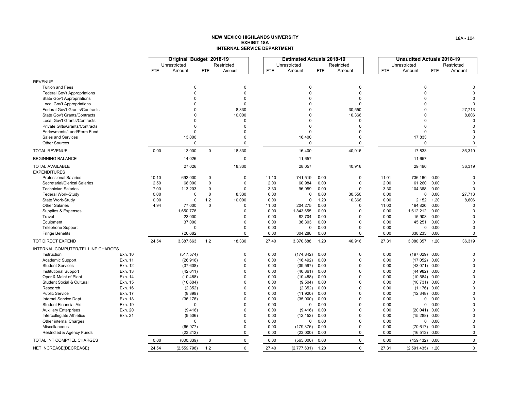|                                               |         |            | Original Budget 2018-19 |             |             |            | <b>Estimated Actuals 2018-19</b> |            |             |            | <b>Unaudited Actuals 2018-19</b> |            |             |
|-----------------------------------------------|---------|------------|-------------------------|-------------|-------------|------------|----------------------------------|------------|-------------|------------|----------------------------------|------------|-------------|
|                                               |         |            | Unrestricted            |             | Restricted  |            | Unrestricted                     |            | Restricted  |            | Unrestricted                     |            | Restricted  |
|                                               |         | <b>FTE</b> | Amount                  | <b>FTE</b>  | Amount      | <b>FTE</b> | Amount                           | <b>FTE</b> | Amount      | <b>FTE</b> | Amount                           | <b>FTE</b> | Amount      |
| <b>REVENUE</b>                                |         |            |                         |             |             |            |                                  |            |             |            |                                  |            |             |
| <b>Tuition and Fees</b>                       |         |            | $\mathbf 0$             |             | $\Omega$    |            | $\mathbf 0$                      |            | 0           |            | 0                                |            |             |
| Federal Gov't Appropriations                  |         |            | $\Omega$                |             | $\Omega$    |            | $\Omega$                         |            | $\Omega$    |            | $\Omega$                         |            |             |
| <b>State Gov't Appropriations</b>             |         |            | $\Omega$                |             | $\Omega$    |            | $\Omega$                         |            | $\Omega$    |            | $\Omega$                         |            |             |
| Local Gov't Appropriations                    |         |            | $\Omega$                |             | $\Omega$    |            | $\Omega$                         |            | $\Omega$    |            | $\Omega$                         |            | $\Omega$    |
| Federal Gov't Grants/Contracts                |         |            | $\Omega$                |             | 8,330       |            | $\Omega$                         |            | 30,550      |            | $\Omega$                         |            | 27,713      |
| State Gov't Grants/Contracts                  |         |            | $\Omega$                |             | 10,000      |            | $\Omega$                         |            | 10,366      |            | $\mathbf 0$                      |            | 8,606       |
| Local Gov't Grants/Contracts                  |         |            | $\Omega$                |             | $\Omega$    |            | O                                |            | $\Omega$    |            | $\Omega$                         |            | $\Omega$    |
| Private Gifts/Grants/Contracts                |         |            | $\Omega$                |             | $\Omega$    |            | $\Omega$                         |            | $\Omega$    |            | $\Omega$                         |            | $\Omega$    |
| Endowments/Land/Perm Fund                     |         |            | $\Omega$                |             | $\Omega$    |            | $\Omega$                         |            | $\Omega$    |            | $\Omega$                         |            | $\Omega$    |
| Sales and Services                            |         |            | 13,000                  |             | $\Omega$    |            | 16,400                           |            | $\Omega$    |            | 17,833                           |            | $\Omega$    |
| <b>Other Sources</b>                          |         |            | $\Omega$                |             | $\Omega$    |            | $\Omega$                         |            | $\mathbf 0$ |            | $\Omega$                         |            | $\Omega$    |
| <b>TOTAL REVENUE</b>                          |         | 0.00       | 13,000                  | $\mathbf 0$ | 18,330      |            | 16,400                           |            | 40,916      |            | 17,833                           |            | 36,319      |
| <b>BEGINNING BALANCE</b>                      |         |            | 14,026                  |             | $\mathbf 0$ |            | 11,657                           |            |             |            | 11,657                           |            |             |
| <b>TOTAL AVAILABLE</b><br><b>EXPENDITURES</b> |         |            | 27,026                  |             | 18,330      |            | 28,057                           |            | 40,916      |            | 29,490                           |            | 36,319      |
| <b>Professional Salaries</b>                  |         | 10.10      | 692,000                 | $\mathbf 0$ | $\Omega$    | 11.10      | 741,519                          | 0.00       | $\Omega$    | 11.01      | 736,160                          | 0.00       | $\Omega$    |
| Secretarial/Clerical Salaries                 |         | 2.50       | 68,000                  | $\mathbf 0$ | $\mathbf 0$ | 2.00       | 60,984                           | 0.00       | $\Omega$    | 2.00       | 61,260                           | 0.00       | $\Omega$    |
| <b>Technician Salaries</b>                    |         | 7.00       | 113,203                 | $\Omega$    | $\Omega$    | 3.30       | 96,959                           | 0.00       | $\Omega$    | 3.30       | 104,368                          | 0.00       | $\Omega$    |
| Federal Work-Study                            |         | 0.00       | 0                       | $\mathbf 0$ | 8,330       | 0.00       | 0                                | 0.00       | 30,550      | 0.00       |                                  | 0 0.00     | 27,713      |
| State Work-Study                              |         | 0.00       | $\Omega$                | 1.2         | 10,000      | 0.00       | $\Omega$                         | 1.20       | 10,366      | 0.00       | 2,152                            | 1.20       | 8,606       |
| <b>Other Salaries</b>                         |         | 4.94       | 77,000                  | $\mathbf 0$ | $\Omega$    | 11.00      | 204,275                          | 0.00       | $\Omega$    | 11.00      | 164,820                          | 0.00       | $\Omega$    |
| Supplies & Expenses                           |         |            | 1,650,778               |             | $\Omega$    | 0.00       | 1,843,655                        | 0.00       | $\Omega$    | 0.00       | 1,612,212                        | 0.00       | $\Omega$    |
| Travel                                        |         |            | 23,000                  |             | $\Omega$    | 0.00       | 82,704                           | 0.00       | $\Omega$    | 0.00       | 15,903                           | 0.00       |             |
| Equipment                                     |         |            | 37,000                  |             | $\Omega$    | 0.00       | 36,303                           | 0.00       | $\Omega$    | 0.00       | 45,251                           | 0.00       | $\Omega$    |
| <b>Telephone Support</b>                      |         |            | $\Omega$                |             | $\Omega$    | 0.00       | 0                                | 0.00       | $\Omega$    | 0.00       |                                  | 0 0.00     | $\Omega$    |
| <b>Fringe Benefits</b>                        |         |            | 726,682                 |             | $\mathbf 0$ | 0.00       | 304,288                          | 0.00       | 0           | 0.00       | 338,233                          | 0.00       | $\Omega$    |
| TOT DIRECT EXPEND                             |         | 24.54      | 3,387,663               | 1.2         | 18,330      | 27.40      | 3,370,688                        | 1.20       | 40,916      | 27.31      | 3,080,357 1.20                   |            | 36,319      |
| INTERNAL COMPUTER/TEL LINE CHARGES            |         |            |                         |             |             |            |                                  |            |             |            |                                  |            |             |
| Instruction                                   | Exh. 10 |            | (517, 574)              |             | $\Omega$    | 0.00       | (174, 842)                       | 0.00       | $\Omega$    | 0.00       | $(197,029)$ 0.00                 |            | $\Omega$    |
| Academic Support                              | Exh. 11 |            | (26, 916)               |             | $\Omega$    | 0.00       | (16, 492)                        | 0.00       | $\Omega$    | 0.00       | $(17,052)$ 0.00                  |            | $\Omega$    |
| <b>Student Services</b>                       | Exh. 12 |            | (37,608)                |             | $\Omega$    | 0.00       | (39, 597)                        | 0.00       | $\Omega$    | 0.00       | $(43,071)$ 0.00                  |            | $\Omega$    |
| Institutional Support                         | Exh. 13 |            | (42, 611)               |             | $\Omega$    | 0.00       | (40, 861)                        | 0.00       | $\Omega$    | 0.00       | $(44,982)$ 0.00                  |            | $\Omega$    |
| Oper & Maint of Plant                         | Exh. 14 |            | (10, 488)               |             | $\Omega$    | 0.00       | (10, 488)                        | 0.00       | $\Omega$    | 0.00       | $(10,584)$ 0.00                  |            | $\Omega$    |
| Student Social & Cultural                     | Exh. 15 |            | (10, 604)               |             | $\Omega$    | 0.00       | (9, 504)                         | 0.00       | $\Omega$    | 0.00       | $(10,731)$ 0.00                  |            | $\Omega$    |
| Research                                      | Exh. 16 |            | (2, 352)                |             | $\Omega$    | 0.00       | (2, 352)                         | 0.00       | $\Omega$    | 0.00       | $(1, 176)$ 0.00                  |            |             |
| <b>Public Service</b>                         | Exh. 17 |            | (8, 399)                |             | $\Omega$    | 0.00       | (11, 920)                        | 0.00       | $\Omega$    | 0.00       | $(12,348)$ 0.00                  |            | $\Omega$    |
| Internal Service Dept.                        | Exh. 18 |            | (36, 176)               |             | $\Omega$    | 0.00       | (35,000)                         | 0.00       | $\Omega$    | 0.00       | 0                                | 0.00       |             |
| Student Financial Aid                         | Exh. 19 |            | $\mathbf 0$             |             | $\Omega$    | 0.00       | $\Omega$                         | 0.00       | $\Omega$    | 0.00       |                                  | 0 0.00     |             |
| <b>Auxiliary Enterprises</b>                  | Exh. 20 |            | (9, 416)                |             | $\Omega$    | 0.00       | (9, 416)                         | 0.00       | $\Omega$    | 0.00       | $(20,041)$ 0.00                  |            | ∩           |
| Intercollegiate Athletics                     | Exh. 21 |            | (9,506)                 |             | $\Omega$    | 0.00       | (12, 152)                        | 0.00       | $\Omega$    | 0.00       | $(15,288)$ 0.00                  |            |             |
| Other internal Charges                        |         |            | $\Omega$                |             | $\Omega$    | 0.00       | 0                                | 0.00       | $\Omega$    | 0.00       |                                  | 0 0.00     | $\Omega$    |
| Miscellaneous                                 |         |            | (65, 977)               |             | $\Omega$    | 0.00       | (179, 376)                       | 0.00       | $\Omega$    | 0.00       | $(70, 617)$ 0.00                 |            | $\Omega$    |
| Restricted & Agency Funds                     |         |            | (23, 212)               |             | $\Omega$    | 0.00       | (23,000)                         | 0.00       | 0           | 0.00       | $(16, 513)$ 0.00                 |            | $\mathbf 0$ |
| TOTAL INT COMP/TEL CHARGES                    |         | 0.00       | (800, 839)              | $\Omega$    | 0           | 0.00       | (565,000)                        | 0.00       | $\mathbf 0$ | 0.00       | $(459, 432)$ 0.00                |            | $\mathbf 0$ |
| NET INCREASE(DECREASE)                        |         | 24.54      | (2,559,798)             | 1.2         | $\Omega$    | 27.40      | (2,777,631)                      | 1.20       | $\Omega$    | 27.31      | $(2,591,435)$ 1.20               |            | $\Omega$    |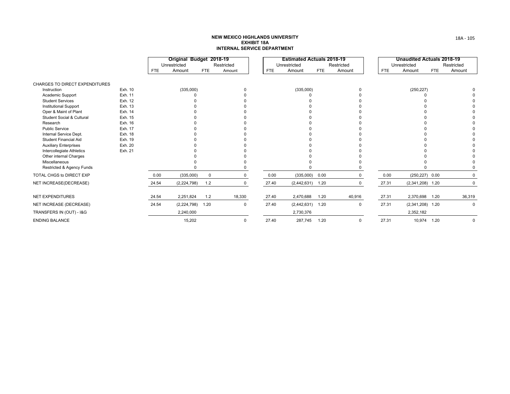|                                            |         |            | Original Budget 2018-19<br>Unrestricted |            | Restricted |       | <b>Estimated Actuals 2018-19</b><br>Unrestricted |            | Restricted |            | <b>Unaudited Actuals 2018-19</b><br>Unrestricted |            | Restricted |
|--------------------------------------------|---------|------------|-----------------------------------------|------------|------------|-------|--------------------------------------------------|------------|------------|------------|--------------------------------------------------|------------|------------|
|                                            |         | <b>FTE</b> | Amount                                  | <b>FTE</b> | Amount     | FTE   | Amount                                           | <b>FTE</b> | Amount     | <b>FTE</b> | Amount                                           | <b>FTE</b> | Amount     |
| <b>CHARGES TO DIRECT EXPENDITURES</b>      |         |            |                                         |            |            |       |                                                  |            |            |            |                                                  |            |            |
| Instruction                                | Exh. 10 |            | (335,000)                               |            |            |       | (335,000)                                        |            |            |            | (250, 227)                                       |            |            |
| Academic Support                           | Exh. 11 |            |                                         |            |            |       |                                                  |            |            |            |                                                  |            |            |
| <b>Student Services</b>                    | Exh. 12 |            |                                         |            |            |       |                                                  |            |            |            |                                                  |            |            |
| <b>Institutional Support</b>               | Exh. 13 |            |                                         |            |            |       |                                                  |            |            |            |                                                  |            |            |
| Oper & Maint of Plant                      | Exh. 14 |            |                                         |            |            |       |                                                  |            |            |            |                                                  |            |            |
| <b>Student Social &amp; Cultural</b>       | Exh. 15 |            |                                         |            |            |       |                                                  |            |            |            |                                                  |            |            |
| Research                                   | Exh. 16 |            |                                         |            |            |       |                                                  |            |            |            |                                                  |            |            |
| <b>Public Service</b>                      | Exh. 17 |            |                                         |            |            |       |                                                  |            |            |            |                                                  |            |            |
| Internal Service Dept.                     | Exh. 18 |            |                                         |            |            |       |                                                  |            |            |            |                                                  |            |            |
| <b>Student Financial Aid</b>               | Exh. 19 |            |                                         |            |            |       |                                                  |            |            |            |                                                  |            |            |
| <b>Auxiliary Enterprises</b>               | Exh. 20 |            |                                         |            |            |       |                                                  |            |            |            |                                                  |            |            |
| Intercollegiate Athletics                  | Exh. 21 |            |                                         |            |            |       |                                                  |            |            |            |                                                  |            |            |
| Other internal Charges                     |         |            |                                         |            |            |       |                                                  |            |            |            |                                                  |            |            |
| Miscellaneous<br>Restricted & Agency Funds |         |            |                                         |            |            |       |                                                  |            |            |            |                                                  |            |            |
| TOTAL CHGS to DIRECT EXP                   |         | 0.00       | (335,000)                               | $\Omega$   |            | 0.00  | $(335,000)$ 0.00                                 |            |            | 0.00       | $(250, 227)$ 0.00                                |            |            |
| NET INCREASE(DECREASE)                     |         | 24.54      | (2,224,798)                             | 1.2        | 0          | 27.40 | $(2,442,631)$ 1.20                               |            |            | 27.31      | $(2,341,208)$ 1.20                               |            | 0          |
| <b>NET EXPENDITURES</b>                    |         | 24.54      | 2,251,824                               | 1.2        | 18,330     | 27.40 | 2,470,688                                        | 1.20       | 40,916     | 27.31      | 2,370,698                                        | 1.20       | 36,319     |
| NET INCREASE (DECREASE)                    |         | 24.54      | (2, 224, 798)                           | 1.20       | 0          | 27.40 | (2,442,631)                                      | 1.20       | $\Omega$   | 27.31      | $(2,341,208)$ 1.20                               |            | $\Omega$   |
| TRANSFERS IN (OUT) - I&G                   |         |            | 2,240,000                               |            |            |       | 2,730,376                                        |            |            |            | 2,352,182                                        |            |            |
| <b>ENDING BALANCE</b>                      |         |            | 15,202                                  |            |            | 27.40 | 287,745                                          | 1.20       |            | 27.31      | 10.974                                           | 1.20       | $\Omega$   |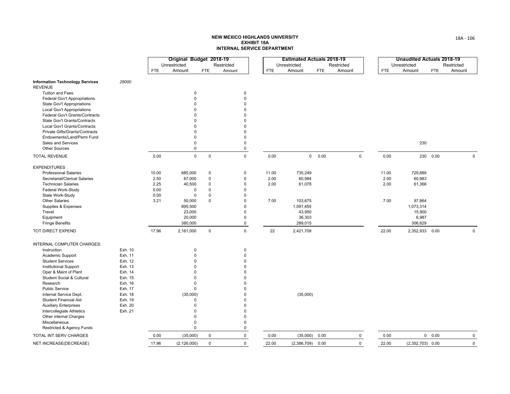|                                                          |         |            | Original Budget 2018-19 |                     |                            |            | <b>Estimated Actuals 2018-19</b> |            |             |            | <b>Unaudited Actuals 2018-19</b> |            |              |
|----------------------------------------------------------|---------|------------|-------------------------|---------------------|----------------------------|------------|----------------------------------|------------|-------------|------------|----------------------------------|------------|--------------|
|                                                          |         |            | Unrestricted            |                     | Restricted                 |            | Unrestricted                     |            | Restricted  |            | Unrestricted                     |            | Restricted   |
|                                                          |         | <b>FTE</b> | Amount                  | <b>FTE</b>          | Amount                     | <b>FTE</b> | Amount                           | <b>FTE</b> | Amount      | <b>FTE</b> | Amount                           | <b>FTE</b> | Amount       |
| <b>Information Technology Services</b><br><b>REVENUE</b> | 28000   |            |                         |                     |                            |            |                                  |            |             |            |                                  |            |              |
| <b>Tuition and Fees</b>                                  |         |            | 0                       |                     | $\mathbf 0$                |            |                                  |            |             |            |                                  |            |              |
| Federal Gov't Appropriations                             |         |            | 0                       |                     | $\mathbf 0$                |            |                                  |            |             |            |                                  |            |              |
| <b>State Gov't Appropriations</b>                        |         |            | $\Omega$                |                     | $\mathbf 0$                |            |                                  |            |             |            |                                  |            |              |
| Local Gov't Appropriations                               |         |            | $\Omega$                |                     | $\Omega$                   |            |                                  |            |             |            |                                  |            |              |
| Federal Gov't Grants/Contracts                           |         |            | $\Omega$                |                     | $\mathbf 0$                |            |                                  |            |             |            |                                  |            |              |
| State Gov't Grants/Contracts                             |         |            | $\Omega$                |                     | $\Omega$                   |            |                                  |            |             |            |                                  |            |              |
| Local Gov't Grants/Contracts                             |         |            | $\Omega$                |                     | $\Omega$                   |            |                                  |            |             |            |                                  |            |              |
| Private Gifts/Grants/Contracts                           |         |            | $\Omega$                |                     | $\Omega$                   |            |                                  |            |             |            |                                  |            |              |
| Endowments/Land/Perm Fund                                |         |            | $\Omega$                |                     | $\Omega$                   |            |                                  |            |             |            |                                  |            |              |
| Sales and Services                                       |         |            | $\Omega$                |                     | $\mathbf 0$                |            |                                  |            |             |            | 230                              |            |              |
| <b>Other Sources</b>                                     |         |            | 0                       |                     | $\mathbf 0$                |            |                                  |            |             |            |                                  |            |              |
| <b>TOTAL REVENUE</b>                                     |         | 0.00       | $\mathsf 0$             | $\mathsf{O}\xspace$ | $\mathsf 0$                | 0.00       |                                  | 0 0.00     | $\mathsf 0$ | 0.00       |                                  | 230 0.00   | $\pmb{0}$    |
| <b>EXPENDITURES</b>                                      |         |            |                         |                     |                            |            |                                  |            |             |            |                                  |            |              |
| <b>Professional Salaries</b>                             |         | 10.00      | 685,000                 | $\pmb{0}$           | $\pmb{0}$                  | 11.00      | 735,249                          |            |             | 11.00      | 729,889                          |            |              |
| Secretarial/Clerical Salaries                            |         | 2.50       | 67,000                  | $\pmb{0}$           | $\mathbf 0$                | 2.00       | 60,984                           |            |             | 2.00       | 60,983                           |            |              |
| <b>Technician Salaries</b>                               |         | 2.25       | 40,500                  | $\Omega$            | $\Omega$                   | 2.00       | 61,078                           |            |             | 2.00       | 61,366                           |            |              |
| Federal Work-Study                                       |         | 0.00       | 0                       | $\mathbf 0$         | $\mathbf 0$                |            |                                  |            |             |            |                                  |            |              |
| State Work-Study                                         |         | 0.00       | $\mathbf 0$             | $\mathbf 0$         | $\mathbf 0$                |            |                                  |            |             |            |                                  |            |              |
| <b>Other Salaries</b>                                    |         | 3.21       | 50,000                  | $\mathbf 0$         | $\Omega$                   | 7.00       | 103,675                          |            |             | 7.00       | 97,864                           |            |              |
| Supplies & Expenses                                      |         |            | 895,500                 |                     | $\mathbf 0$                |            | 1,091,455                        |            |             |            | 1,073,314                        |            |              |
| Travel                                                   |         |            | 23,000                  |                     | $\mathbf 0$                |            | 43,950                           |            |             |            | 15,900                           |            |              |
| Equipment                                                |         |            | 20,000                  |                     | $\mathbf 0$                |            | 36,303                           |            |             |            | 6,987                            |            |              |
| <b>Fringe Benefits</b>                                   |         |            | 380,000                 |                     | $\mathbf 0$                |            | 289,015                          |            |             |            | 306,629                          |            |              |
| TOT DIRECT EXPEND                                        |         | 17.96      | 2,161,000               | $\mathbf 0$         | $\mathbf 0$                | 22         | 2,421,709                        |            |             | 22.00      | 2,352,933 0.00                   |            | $\mathbf 0$  |
| INTERNAL COMPUTER CHARGES:                               |         |            |                         |                     |                            |            |                                  |            |             |            |                                  |            |              |
| Instruction                                              | Exh. 10 |            | 0                       |                     | $\mathbf 0$                |            |                                  |            |             |            |                                  |            |              |
| Academic Support                                         | Exh. 11 |            | $\mathbf 0$             |                     | $\mathbf 0$                |            |                                  |            |             |            |                                  |            |              |
| <b>Student Services</b>                                  | Exh. 12 |            | $\Omega$                |                     | $\mathbf 0$                |            |                                  |            |             |            |                                  |            |              |
| <b>Institutional Support</b>                             | Exh. 13 |            | $\Omega$                |                     | $\Omega$                   |            |                                  |            |             |            |                                  |            |              |
| Oper & Maint of Plant                                    | Exh. 14 |            | $\Omega$                |                     | $\Omega$                   |            |                                  |            |             |            |                                  |            |              |
| Student Social & Cultural                                | Exh. 15 |            | 0                       |                     | $\Omega$                   |            |                                  |            |             |            |                                  |            |              |
| Research                                                 | Exh. 16 |            | 0                       |                     | $\Omega$                   |            |                                  |            |             |            |                                  |            |              |
| <b>Public Service</b>                                    | Exh. 17 |            | 0                       |                     | $\Omega$                   |            |                                  |            |             |            |                                  |            |              |
| Internal Service Dept.                                   | Exh. 18 |            | (35,000)                |                     | $\Omega$                   |            | (35,000)                         |            |             |            |                                  |            |              |
| <b>Student Financial Aid</b>                             | Exh. 19 |            | $\Omega$                |                     | $\Omega$                   |            |                                  |            |             |            |                                  |            |              |
| <b>Auxiliary Enterprises</b>                             | Exh. 20 |            | $\Omega$                |                     | $\Omega$                   |            |                                  |            |             |            |                                  |            |              |
| Intercollegiate Athletics                                | Exh. 21 |            | 0                       |                     | $\Omega$                   |            |                                  |            |             |            |                                  |            |              |
| Other internal Charges                                   |         |            | 0                       |                     | $\Omega$                   |            |                                  |            |             |            |                                  |            |              |
| Miscellaneous                                            |         |            | 0                       |                     | $\Omega$                   |            |                                  |            |             |            |                                  |            |              |
| Restricted & Agency Funds<br>TOTAL INT SERV CHARGES      |         | 0.00       | $\mathbf 0$<br>(35,000) | $\mathbf 0$         | $\mathbf 0$<br>$\mathbf 0$ | 0.00       | (35,000)                         | 0.00       | $\mathbf 0$ | 0.00       |                                  | 0 0.00     | $\mathsf{O}$ |
|                                                          |         |            |                         |                     |                            |            |                                  |            |             |            |                                  |            |              |
| NET INCREASE(DECREASE)                                   |         | 17.96      | (2, 126, 000)           | $\mathbf 0$         | $\mathbf 0$                | 22.00      | (2,386,709)                      | 0.00       | $\mathbf 0$ | 22.00      | $(2,352,703)$ 0.00               |            | $\mathbf 0$  |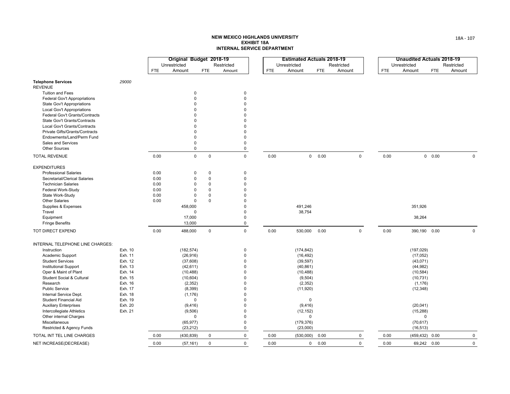|                                             |         |            | Original Budget 2018-19 |             |             |            | <b>Estimated Actuals 2018-19</b> |            |             |            |                   | <b>Unaudited Actuals 2018-19</b> |             |
|---------------------------------------------|---------|------------|-------------------------|-------------|-------------|------------|----------------------------------|------------|-------------|------------|-------------------|----------------------------------|-------------|
|                                             |         |            | Unrestricted            |             | Restricted  |            | Unrestricted                     | Restricted |             |            | Unrestricted      | Restricted                       |             |
|                                             |         | <b>FTE</b> | Amount                  | <b>FTE</b>  | Amount      | <b>FTE</b> | Amount                           | <b>FTE</b> | Amount      | <b>FTE</b> | Amount            | Amount<br><b>FTE</b>             |             |
| <b>Telephone Services</b><br><b>REVENUE</b> | 29000   |            |                         |             |             |            |                                  |            |             |            |                   |                                  |             |
| <b>Tuition and Fees</b>                     |         |            | $\Omega$                |             | $\mathbf 0$ |            |                                  |            |             |            |                   |                                  |             |
| Federal Gov't Appropriations                |         |            | $\Omega$                |             | 0           |            |                                  |            |             |            |                   |                                  |             |
| State Gov't Appropriations                  |         |            | $\Omega$                |             | $\Omega$    |            |                                  |            |             |            |                   |                                  |             |
| Local Gov't Appropriations                  |         |            | $\Omega$                |             | $\Omega$    |            |                                  |            |             |            |                   |                                  |             |
| Federal Gov't Grants/Contracts              |         |            | O                       |             | $\Omega$    |            |                                  |            |             |            |                   |                                  |             |
| State Gov't Grants/Contracts                |         |            | U                       |             | $\Omega$    |            |                                  |            |             |            |                   |                                  |             |
| Local Gov't Grants/Contracts                |         |            | O                       |             | $\Omega$    |            |                                  |            |             |            |                   |                                  |             |
| Private Gifts/Grants/Contracts              |         |            | $\Omega$                |             | $\Omega$    |            |                                  |            |             |            |                   |                                  |             |
| Endowments/Land/Perm Fund                   |         |            | $\mathbf 0$             |             | $\mathbf 0$ |            |                                  |            |             |            |                   |                                  |             |
| Sales and Services                          |         |            | 0                       |             | $\Omega$    |            |                                  |            |             |            |                   |                                  |             |
| <b>Other Sources</b>                        |         |            | 0                       |             | $\mathsf 0$ |            |                                  |            |             |            |                   |                                  |             |
| <b>TOTAL REVENUE</b>                        |         | 0.00       | $\mathsf 0$             | $\mathsf 0$ | $\mathbf 0$ | 0.00       | $\mathbf 0$                      | 0.00       | $\mathbf 0$ | 0.00       |                   | 0 0.00                           | $\Omega$    |
| <b>EXPENDITURES</b>                         |         |            |                         |             |             |            |                                  |            |             |            |                   |                                  |             |
| <b>Professional Salaries</b>                |         | 0.00       | $\mathbf 0$             | $\pmb{0}$   | $\mathbf 0$ |            |                                  |            |             |            |                   |                                  |             |
| Secretarial/Clerical Salaries               |         | 0.00       | 0                       | $\pmb{0}$   | $\mathsf 0$ |            |                                  |            |             |            |                   |                                  |             |
| <b>Technician Salaries</b>                  |         | 0.00       | 0                       | $\mathbf 0$ | $\Omega$    |            |                                  |            |             |            |                   |                                  |             |
| Federal Work-Study                          |         | 0.00       | $\Omega$                | $\mathbf 0$ | $\Omega$    |            |                                  |            |             |            |                   |                                  |             |
| State Work-Study                            |         | 0.00       | $\Omega$                | $\mathbf 0$ | $\Omega$    |            |                                  |            |             |            |                   |                                  |             |
| <b>Other Salaries</b>                       |         | 0.00       | 0                       | $\mathbf 0$ | $\Omega$    |            |                                  |            |             |            |                   |                                  |             |
| Supplies & Expenses                         |         |            | 458,000                 |             | $\Omega$    |            | 491,246                          |            |             |            | 351,926           |                                  |             |
| Travel                                      |         |            | $\Omega$                |             | $\Omega$    |            | 38,754                           |            |             |            |                   |                                  |             |
| Equipment                                   |         |            | 17,000                  |             | $\Omega$    |            |                                  |            |             |            | 38,264            |                                  |             |
| <b>Fringe Benefits</b>                      |         |            | 13,000                  |             | $\pmb{0}$   |            |                                  |            |             |            |                   |                                  |             |
| TOT DIRECT EXPEND                           |         | 0.00       | 488,000                 | $\mathbf 0$ | $\mathbf 0$ | 0.00       | 530,000                          | 0.00       | $\pmb{0}$   | 0.00       | 390,190 0.00      |                                  | $\Omega$    |
| INTERNAL TELEPHONE LINE CHARGES:            |         |            |                         |             |             |            |                                  |            |             |            |                   |                                  |             |
| Instruction                                 | Exh. 10 |            | (182, 574)              |             | 0           |            | (174, 842)                       |            |             |            | (197, 029)        |                                  |             |
| Academic Support                            | Exh. 11 |            | (26, 916)               |             | $\mathbf 0$ |            | (16, 492)                        |            |             |            | (17,052)          |                                  |             |
| <b>Student Services</b>                     | Exh. 12 |            | (37,608)                |             | $\Omega$    |            | (39, 597)                        |            |             |            | (43,071)          |                                  |             |
| Institutional Support                       | Exh. 13 |            | (42, 611)               |             | $\Omega$    |            | (40, 861)                        |            |             |            | (44, 982)         |                                  |             |
| Oper & Maint of Plant                       | Exh. 14 |            | (10, 488)               |             | $\Omega$    |            | (10, 488)                        |            |             |            | (10, 584)         |                                  |             |
| Student Social & Cultural                   | Exh. 15 |            | (10, 604)               |             | $\Omega$    |            | (9,504)                          |            |             |            | (10, 731)         |                                  |             |
| Research                                    | Exh. 16 |            | (2, 352)                |             | $\Omega$    |            | (2, 352)                         |            |             |            | (1, 176)          |                                  |             |
| <b>Public Service</b>                       | Exh. 17 |            | (8,399)                 |             | $\Omega$    |            | (11, 920)                        |            |             |            | (12, 348)         |                                  |             |
| Internal Service Dept.                      | Exh. 18 |            | (1, 176)                |             | $\Omega$    |            |                                  |            |             |            |                   |                                  |             |
| <b>Student Financial Aid</b>                | Exh. 19 |            | $\mathbf 0$             |             | $\Omega$    |            | $\mathbf 0$                      |            |             |            |                   |                                  |             |
| <b>Auxiliary Enterprises</b>                | Exh. 20 |            | (9, 416)                |             | $\Omega$    |            | (9, 416)                         |            |             |            | (20, 041)         |                                  |             |
| Intercollegiate Athletics                   | Exh. 21 |            | (9,506)                 |             | $\Omega$    |            | (12, 152)                        |            |             |            | (15, 288)         |                                  |             |
| Other internal Charges                      |         |            | $\mathbf 0$             |             | $\Omega$    |            | $\Omega$                         |            |             |            | $\Omega$          |                                  |             |
| Miscellaneous                               |         |            | (65, 977)               |             | $\mathbf 0$ |            | (179, 376)                       |            |             |            | (70, 617)         |                                  |             |
| Restricted & Agency Funds                   |         |            | (23, 212)               |             | $\mathsf 0$ |            | (23,000)                         |            |             |            | (16, 513)         |                                  |             |
| TOTAL INT TEL LINE CHARGES                  |         | 0.00       | (430, 839)              | $\mathbf 0$ | 0           | 0.00       | (530,000)                        | 0.00       | $\mathbf 0$ | 0.00       | $(459, 432)$ 0.00 |                                  | $\mathbf 0$ |
| NET INCREASE(DECREASE)                      |         | 0.00       | (57, 161)               | $\mathbf 0$ | $\Omega$    | 0.00       | $\mathbf{0}$                     | 0.00       | $\mathbf 0$ | 0.00       | 69,242 0.00       |                                  | $\mathbf 0$ |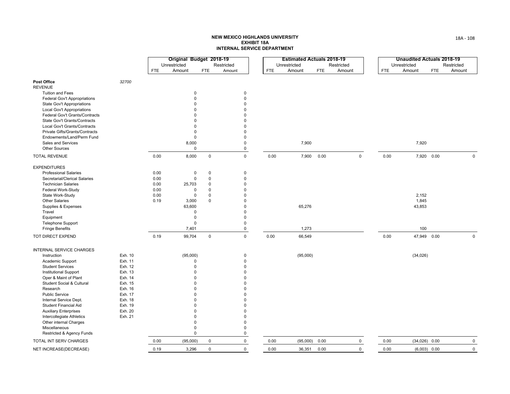|                                                 |                    |              | Original Budget 2018-19 |                         |                         |            |              | <b>Estimated Actuals 2018-19</b> |             |            |                 | <b>Unaudited Actuals 2018-19</b> |             |
|-------------------------------------------------|--------------------|--------------|-------------------------|-------------------------|-------------------------|------------|--------------|----------------------------------|-------------|------------|-----------------|----------------------------------|-------------|
|                                                 |                    |              | Unrestricted            |                         | Restricted              |            | Unrestricted | Restricted                       |             |            | Unrestricted    | Restricted                       |             |
|                                                 |                    | <b>FTE</b>   | Amount                  | <b>FTE</b>              | Amount                  | <b>FTE</b> | Amount       | Amount<br><b>FTE</b>             |             | <b>FTE</b> | Amount          | <b>FTE</b>                       | Amount      |
| Post Office<br><b>REVENUE</b>                   | 32700              |              |                         |                         |                         |            |              |                                  |             |            |                 |                                  |             |
| <b>Tuition and Fees</b>                         |                    |              | 0                       |                         | $\mathbf 0$             |            |              |                                  |             |            |                 |                                  |             |
| Federal Gov't Appropriations                    |                    |              | $\mathbf 0$             |                         | $\mathbf 0$             |            |              |                                  |             |            |                 |                                  |             |
| State Gov't Appropriations                      |                    |              | $\Omega$                |                         | $\mathbf 0$             |            |              |                                  |             |            |                 |                                  |             |
| Local Gov't Appropriations                      |                    |              | $\Omega$                |                         | $\Omega$                |            |              |                                  |             |            |                 |                                  |             |
| Federal Gov't Grants/Contracts                  |                    |              | $\Omega$                |                         | $\Omega$                |            |              |                                  |             |            |                 |                                  |             |
| State Gov't Grants/Contracts                    |                    |              | $\Omega$                |                         | $\Omega$                |            |              |                                  |             |            |                 |                                  |             |
| Local Gov't Grants/Contracts                    |                    |              | $\Omega$                |                         | $\mathbf 0$             |            |              |                                  |             |            |                 |                                  |             |
| Private Gifts/Grants/Contracts                  |                    |              | $\mathbf 0$             |                         | $\Omega$<br>$\Omega$    |            |              |                                  |             |            |                 |                                  |             |
| Endowments/Land/Perm Fund<br>Sales and Services |                    |              | $\mathbf 0$<br>8,000    |                         | $\mathbf 0$             |            | 7,900        |                                  |             |            | 7,920           |                                  |             |
| <b>Other Sources</b>                            |                    |              | $\mathbf 0$             |                         | 0                       |            |              |                                  |             |            |                 |                                  |             |
| <b>TOTAL REVENUE</b>                            |                    | 0.00         | 8,000                   | $\mathbf 0$             | $\mathbf 0$             | 0.00       | 7,900        | 0.00                             | $\pmb{0}$   | 0.00       | 7,920 0.00      |                                  | $\mathbf 0$ |
| <b>EXPENDITURES</b>                             |                    |              |                         |                         |                         |            |              |                                  |             |            |                 |                                  |             |
| <b>Professional Salaries</b>                    |                    | 0.00         | 0                       | 0                       | $\mathbf 0$             |            |              |                                  |             |            |                 |                                  |             |
| Secretarial/Clerical Salaries                   |                    | 0.00         | 0                       | $\mathsf 0$             | $\mathbf 0$             |            |              |                                  |             |            |                 |                                  |             |
| <b>Technician Salaries</b>                      |                    | 0.00         | 25,703                  | $\mathbf 0$             | $\mathbf 0$             |            |              |                                  |             |            |                 |                                  |             |
| Federal Work-Study<br>State Work-Study          |                    | 0.00<br>0.00 | 0<br>$\mathbf 0$        | $\mathbf 0$<br>$\Omega$ | $\mathbf 0$<br>$\Omega$ |            |              |                                  |             |            | 2,152           |                                  |             |
| <b>Other Salaries</b>                           |                    | 0.19         | 3,000                   | $\mathbf 0$             | $\mathbf 0$             |            |              |                                  |             |            | 1,845           |                                  |             |
| Supplies & Expenses                             |                    |              | 63,600                  |                         | $\mathbf 0$             |            | 65,276       |                                  |             |            | 43,853          |                                  |             |
| Travel                                          |                    |              | 0                       |                         | $\Omega$                |            |              |                                  |             |            |                 |                                  |             |
| Equipment                                       |                    |              | 0                       |                         | $\Omega$                |            |              |                                  |             |            |                 |                                  |             |
| Telephone Support                               |                    |              | 0                       |                         | $\mathbf 0$             |            |              |                                  |             |            |                 |                                  |             |
| <b>Fringe Benefits</b>                          |                    |              | 7,401                   |                         | $\mathbf 0$             |            | 1,273        |                                  |             |            | 100             |                                  |             |
| TOT DIRECT EXPEND                               |                    | 0.19         | 99,704                  | $\mathbf 0$             | $\mathbf 0$             | 0.00       | 66,549       |                                  |             | 0.00       | 47,949 0.00     |                                  | $\mathbf 0$ |
| INTERNAL SERVICE CHARGES                        |                    |              |                         |                         |                         |            |              |                                  |             |            |                 |                                  |             |
| Instruction                                     | Exh. 10            |              | (95,000)                |                         | $\pmb{0}$               |            | (95,000)     |                                  |             |            | (34, 026)       |                                  |             |
| Academic Support                                | Exh. 11            |              | 0                       |                         | $\Omega$                |            |              |                                  |             |            |                 |                                  |             |
| <b>Student Services</b>                         | Exh. 12            |              | $\mathbf 0$             |                         | $\mathbf 0$             |            |              |                                  |             |            |                 |                                  |             |
| <b>Institutional Support</b>                    | Exh. 13            |              | $\Omega$                |                         | $\mathbf 0$             |            |              |                                  |             |            |                 |                                  |             |
| Oper & Maint of Plant                           | Exh. 14            |              | $\Omega$                |                         | $\Omega$                |            |              |                                  |             |            |                 |                                  |             |
| <b>Student Social &amp; Cultural</b>            | Exh. 15            |              | $\Omega$                |                         | $\Omega$                |            |              |                                  |             |            |                 |                                  |             |
| Research                                        | Exh. 16            |              | $\Omega$<br>$\Omega$    |                         | $\Omega$                |            |              |                                  |             |            |                 |                                  |             |
| <b>Public Service</b><br>Internal Service Dept. | Exh. 17<br>Exh. 18 |              | $\Omega$                |                         | $\mathbf 0$<br>$\Omega$ |            |              |                                  |             |            |                 |                                  |             |
| Student Financial Aid                           | Exh. 19            |              | 0                       |                         | $\mathbf 0$             |            |              |                                  |             |            |                 |                                  |             |
| <b>Auxiliary Enterprises</b>                    | Exh. 20            |              | $\mathbf 0$             |                         | $\mathbf 0$             |            |              |                                  |             |            |                 |                                  |             |
| Intercollegiate Athletics                       | Exh. 21            |              | $\Omega$                |                         | $\Omega$                |            |              |                                  |             |            |                 |                                  |             |
| Other internal Charges                          |                    |              | $\mathbf 0$             |                         | $\mathbf 0$             |            |              |                                  |             |            |                 |                                  |             |
| Miscellaneous                                   |                    |              | 0                       |                         | $\mathbf 0$             |            |              |                                  |             |            |                 |                                  |             |
| Restricted & Agency Funds                       |                    |              | $\Omega$                |                         | $\mathbf 0$             |            |              |                                  |             |            |                 |                                  |             |
| TOTAL INT SERV CHARGES                          |                    | 0.00         | (95,000)                | $\mathsf{O}$            | $\mathbf 0$             | 0.00       | (95,000)     | 0.00                             | $\mathbf 0$ | 0.00       | $(34,026)$ 0.00 |                                  | $\mathbf 0$ |
| NET INCREASE(DECREASE)                          |                    | 0.19         | 3,296                   | $\mathbf 0$             | $\Omega$                | 0.00       | 36,351       | 0.00                             | $\mathbf 0$ | 0.00       | $(6,003)$ 0.00  |                                  | $\mathbf 0$ |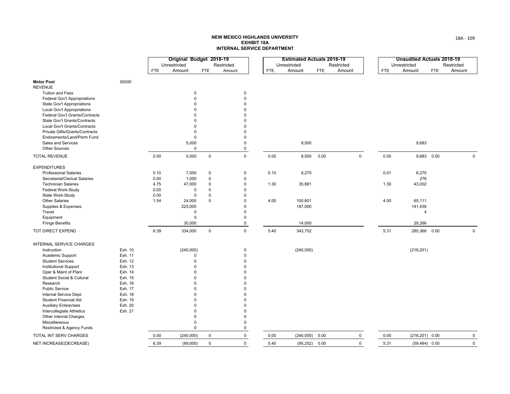#### **NEW MEXICO HIGHLANDS UNIVERSITY EXHIBIT 18AINTERNAL SERVICE DEPARTMENT**

|                                                 |         |      | Original Budget 2018-19 |             |            |                            |      | <b>Estimated Actuals 2018-19</b> |            |             |             | <b>Unaudited Actuals 2018-19</b> |            |             |
|-------------------------------------------------|---------|------|-------------------------|-------------|------------|----------------------------|------|----------------------------------|------------|-------------|-------------|----------------------------------|------------|-------------|
|                                                 |         |      | Unrestricted            |             | Restricted |                            |      | Unrestricted                     |            | Restricted  |             | Unrestricted                     |            | Restricted  |
|                                                 |         | FTE  | Amount                  | <b>FTE</b>  | Amount     |                            | FTE  | Amount                           | <b>FTE</b> | Amount      | ${\sf FTE}$ | Amount                           | <b>FTE</b> | Amount      |
|                                                 |         |      |                         |             |            |                            |      |                                  |            |             |             |                                  |            |             |
| <b>Motor Pool</b>                               | 95000   |      |                         |             |            |                            |      |                                  |            |             |             |                                  |            |             |
| <b>REVENUE</b>                                  |         |      |                         |             |            |                            |      |                                  |            |             |             |                                  |            |             |
| <b>Tuition and Fees</b>                         |         |      | $\mathbf 0$             |             |            | $\mathbf 0$                |      |                                  |            |             |             |                                  |            |             |
| <b>Federal Gov't Appropriations</b>             |         |      | $\mathbf 0$             |             |            | $\mathsf 0$                |      |                                  |            |             |             |                                  |            |             |
| <b>State Gov't Appropriations</b>               |         |      | 0                       |             |            | $\Omega$                   |      |                                  |            |             |             |                                  |            |             |
| Local Gov't Appropriations                      |         |      | $\Omega$                |             |            | $\Omega$                   |      |                                  |            |             |             |                                  |            |             |
| Federal Gov't Grants/Contracts                  |         |      | n                       |             |            | $\Omega$                   |      |                                  |            |             |             |                                  |            |             |
| State Gov't Grants/Contracts                    |         |      | n                       |             |            | $\Omega$                   |      |                                  |            |             |             |                                  |            |             |
| Local Gov't Grants/Contracts                    |         |      | $\Omega$<br>$\Omega$    |             |            | $\mathbf 0$<br>$\mathbf 0$ |      |                                  |            |             |             |                                  |            |             |
| Private Gifts/Grants/Contracts                  |         |      | $\mathbf 0$             |             |            | $\Omega$                   |      |                                  |            |             |             |                                  |            |             |
| Endowments/Land/Perm Fund<br>Sales and Services |         |      | 5,000                   |             |            | $\mathsf 0$                |      | 8,500                            |            |             |             | 9,683                            |            |             |
| Other Sources                                   |         |      | $\mathbf 0$             |             |            | 0                          |      |                                  |            |             |             |                                  |            |             |
|                                                 |         |      |                         |             |            |                            |      |                                  |            |             |             |                                  |            |             |
| <b>TOTAL REVENUE</b>                            |         | 0.00 | 5,000                   | $\mathbf 0$ |            | $\mathsf 0$                | 0.00 | 8,500                            | 0.00       | $\mathsf 0$ | 0.00        | 9,683 0.00                       |            | $\pmb{0}$   |
| <b>EXPENDITURES</b>                             |         |      |                         |             |            |                            |      |                                  |            |             |             |                                  |            |             |
| <b>Professional Salaries</b>                    |         | 0.10 | 7,000                   | $\mathbf 0$ |            | $\mathsf 0$                | 0.10 | 6,270                            |            |             | 0.01        | 6,270                            |            |             |
| Secretarial/Clerical Salaries                   |         | 0.00 | 1,000                   | $\pmb{0}$   |            | $\mathbf 0$                |      |                                  |            |             |             | 276                              |            |             |
| <b>Technician Salaries</b>                      |         | 4.75 | 47,000                  | $\Omega$    |            | $\mathbf 0$                | 1.30 | 35,881                           |            |             | 1.30        | 43,002                           |            |             |
| Federal Work-Study                              |         | 0.00 | 0                       | $\mathbf 0$ |            | $\mathbf 0$                |      |                                  |            |             |             |                                  |            |             |
| State Work-Study                                |         | 0.00 | $\Omega$                | $\Omega$    |            | $\Omega$                   |      |                                  |            |             |             |                                  |            |             |
| <b>Other Salaries</b>                           |         | 1.54 | 24,000                  | $\mathbf 0$ |            | $\mathsf 0$                | 4.00 | 100,601                          |            |             | 4.00        | 65,111                           |            |             |
| Supplies & Expenses                             |         |      | 225,000                 |             |            | $\mathbf 0$                |      | 187,000                          |            |             |             | 141,439                          |            |             |
| Travel                                          |         |      | $\mathbf 0$             |             |            | $\Omega$                   |      |                                  |            |             |             | $\overline{4}$                   |            |             |
| Equipment                                       |         |      | $\mathsf 0$             |             |            | $\mathbf 0$                |      |                                  |            |             |             |                                  |            |             |
| <b>Fringe Benefits</b>                          |         |      | 30,000                  |             |            | 0                          |      | 14,000                           |            |             |             | 29,266                           |            |             |
| TOT DIRECT EXPEND                               |         | 6.39 | 334,000                 | $\mathsf 0$ |            | $\mathbf 0$                | 5.40 | 343,752                          |            |             | 5.31        | 285,368 0.00                     |            | $\mathbf 0$ |
| INTERNAL SERVICE CHARGES                        |         |      |                         |             |            |                            |      |                                  |            |             |             |                                  |            |             |
| Instruction                                     | Exh. 10 |      | (240,000)               |             |            | 0                          |      | (240,000)                        |            |             |             | (216, 201)                       |            |             |
| Academic Support                                | Exh. 11 |      | $\Omega$                |             |            | $\mathbf 0$                |      |                                  |            |             |             |                                  |            |             |
| <b>Student Services</b>                         | Exh. 12 |      | $\mathsf 0$             |             |            | $\mathbf 0$                |      |                                  |            |             |             |                                  |            |             |
| <b>Institutional Support</b>                    | Exh. 13 |      | $\Omega$                |             |            | $\mathbf 0$                |      |                                  |            |             |             |                                  |            |             |
| Oper & Maint of Plant                           | Exh. 14 |      | $\Omega$                |             |            | $\Omega$                   |      |                                  |            |             |             |                                  |            |             |
| Student Social & Cultural                       | Exh. 15 |      | $\Omega$                |             |            | $\mathbf 0$                |      |                                  |            |             |             |                                  |            |             |
| Research                                        | Exh. 16 |      | $\Omega$                |             |            | $\mathbf 0$                |      |                                  |            |             |             |                                  |            |             |
| Public Service                                  | Exh. 17 |      | $\Omega$                |             |            | $\mathbf 0$                |      |                                  |            |             |             |                                  |            |             |
| Internal Service Dept.                          | Exh. 18 |      | 0                       |             |            | $\mathbf 0$                |      |                                  |            |             |             |                                  |            |             |
| <b>Student Financial Aid</b>                    | Exh. 19 |      | $\Omega$                |             |            | $\Omega$                   |      |                                  |            |             |             |                                  |            |             |
| <b>Auxiliary Enterprises</b>                    | Exh. 20 |      | $\Omega$                |             |            | $\mathbf 0$                |      |                                  |            |             |             |                                  |            |             |
| Intercollegiate Athletics                       | Exh. 21 |      | 0                       |             |            | $\Omega$                   |      |                                  |            |             |             |                                  |            |             |
| Other internal Charges                          |         |      | $\Omega$                |             |            | $\mathbf 0$                |      |                                  |            |             |             |                                  |            |             |
| Miscellaneous                                   |         |      | $\mathbf 0$             |             |            | $\mathbf 0$                |      |                                  |            |             |             |                                  |            |             |
| Restricted & Agency Funds                       |         |      | $\mathbf 0$             |             |            | $\mathbf 0$                |      |                                  |            |             |             |                                  |            |             |
| TOTAL INT SERV CHARGES                          |         | 0.00 | (240,000)               | $\mathsf 0$ |            | 0                          | 0.00 | (240,000)                        | 0.00       | $\mathbf 0$ | 0.00        | $(216, 201)$ 0.00                |            | $\mathsf 0$ |
| NET INCREASE(DECREASE)                          |         | 6.39 | (89,000)                | 0           |            | $\mathbf 0$                | 5.40 | (95, 252)                        | 0.00       | $\mathbf 0$ | 5.31        | $(59, 484)$ 0.00                 |            | $\mathsf 0$ |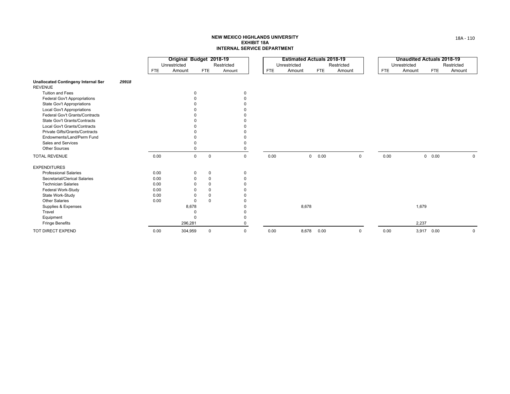#### **NEW MEXICO HIGHLANDS UNIVERSITY EXHIBIT 18AINTERNAL SERVICE DEPARTMENT**

|                                                              |       |            | Original Budget 2018-19 |                            |            |             |            | <b>Estimated Actuals 2018-19</b> |            |            |            | <b>Unaudited Actuals 2018-19</b> |               |             |
|--------------------------------------------------------------|-------|------------|-------------------------|----------------------------|------------|-------------|------------|----------------------------------|------------|------------|------------|----------------------------------|---------------|-------------|
|                                                              |       |            | Unrestricted            |                            | Restricted |             |            | Unrestricted                     |            | Restricted |            | Unrestricted                     |               | Restricted  |
|                                                              |       | <b>FTE</b> | Amount                  | <b>FTE</b>                 | Amount     |             | <b>FTE</b> | Amount                           | <b>FTE</b> | Amount     | <b>FTE</b> | Amount                           | <b>FTE</b>    | Amount      |
| <b>Unallocated Contingeny Internal Ser</b><br><b>REVENUE</b> | 29918 |            |                         |                            |            |             |            |                                  |            |            |            |                                  |               |             |
| <b>Tuition and Fees</b>                                      |       |            |                         | $\Omega$                   |            | 0           |            |                                  |            |            |            |                                  |               |             |
| Federal Gov't Appropriations                                 |       |            |                         |                            |            | O           |            |                                  |            |            |            |                                  |               |             |
| <b>State Gov't Appropriations</b>                            |       |            |                         |                            |            |             |            |                                  |            |            |            |                                  |               |             |
| Local Gov't Appropriations                                   |       |            |                         |                            |            |             |            |                                  |            |            |            |                                  |               |             |
| Federal Gov't Grants/Contracts                               |       |            |                         |                            |            |             |            |                                  |            |            |            |                                  |               |             |
| State Gov't Grants/Contracts                                 |       |            |                         |                            |            |             |            |                                  |            |            |            |                                  |               |             |
| Local Gov't Grants/Contracts                                 |       |            |                         |                            |            |             |            |                                  |            |            |            |                                  |               |             |
| Private Gifts/Grants/Contracts                               |       |            |                         |                            |            |             |            |                                  |            |            |            |                                  |               |             |
| Endowments/Land/Perm Fund                                    |       |            |                         |                            |            |             |            |                                  |            |            |            |                                  |               |             |
| Sales and Services                                           |       |            |                         |                            |            | $\Omega$    |            |                                  |            |            |            |                                  |               |             |
| <b>Other Sources</b>                                         |       |            |                         |                            |            | 0           |            |                                  |            |            |            |                                  |               |             |
| <b>TOTAL REVENUE</b>                                         |       | 0.00       |                         | $\mathbf 0$<br>$\mathbf 0$ |            | $\mathbf 0$ | 0.00       | $\mathbf 0$                      | 0.00       | 0          | 0.00       |                                  | $0\quad 0.00$ | $\mathbf 0$ |
| <b>EXPENDITURES</b>                                          |       |            |                         |                            |            |             |            |                                  |            |            |            |                                  |               |             |
| <b>Professional Salaries</b>                                 |       | 0.00       |                         | $\mathbf 0$<br>$\mathbf 0$ |            | $\mathbf 0$ |            |                                  |            |            |            |                                  |               |             |
| Secretarial/Clerical Salaries                                |       | 0.00       |                         | $\mathbf 0$<br>$\mathbf 0$ |            | $\Omega$    |            |                                  |            |            |            |                                  |               |             |
| <b>Technician Salaries</b>                                   |       | 0.00       |                         | $\mathbf 0$                |            |             |            |                                  |            |            |            |                                  |               |             |
| Federal Work-Study                                           |       | 0.00       |                         | $\Omega$                   |            |             |            |                                  |            |            |            |                                  |               |             |
| State Work-Study                                             |       | 0.00       |                         | $\mathbf 0$                |            |             |            |                                  |            |            |            |                                  |               |             |
| <b>Other Salaries</b>                                        |       | 0.00       |                         | $\Omega$<br>$\Omega$       |            |             |            |                                  |            |            |            |                                  |               |             |
| Supplies & Expenses                                          |       |            | 8,678                   |                            |            |             |            | 8,678                            |            |            |            | 1,679                            |               |             |
| Travel                                                       |       |            |                         |                            |            |             |            |                                  |            |            |            |                                  |               |             |
| Equipment                                                    |       |            |                         | $\Omega$                   |            |             |            |                                  |            |            |            |                                  |               |             |
| <b>Fringe Benefits</b>                                       |       |            | 296,281                 |                            |            | $\Omega$    |            |                                  |            |            |            | 2,237                            |               |             |
| TOT DIRECT EXPEND                                            |       | 0.00       | 304,959                 | $\mathbf 0$                |            | $\mathbf 0$ | 0.00       | 8,678                            | 0.00       | 0          | 0.00       | 3,917                            | 0.00          | 0           |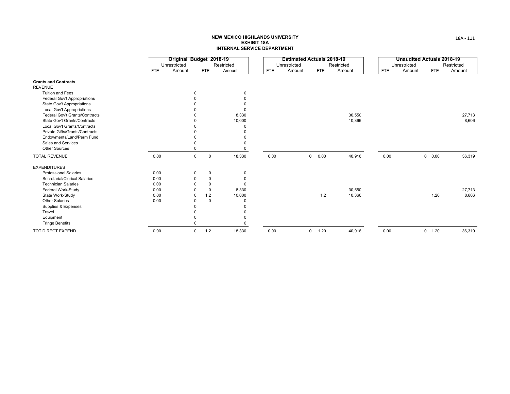#### **NEW MEXICO HIGHLANDS UNIVERSITY EXHIBIT 18AINTERNAL SERVICE DEPARTMENT**

|                                     |            | Original Budget 2018-19<br>Unrestricted |             | Restricted |      | <b>Estimated Actuals 2018-19</b><br>Unrestricted |                        | Restricted |      | <b>Unaudited Actuals 2018-19</b><br>Unrestricted |            | Restricted |
|-------------------------------------|------------|-----------------------------------------|-------------|------------|------|--------------------------------------------------|------------------------|------------|------|--------------------------------------------------|------------|------------|
|                                     | <b>FTE</b> | Amount                                  | <b>FTE</b>  | Amount     | FTE  | Amount                                           | <b>FTE</b>             | Amount     | FTE  | Amount                                           | <b>FTE</b> | Amount     |
| <b>Grants and Contracts</b>         |            |                                         |             |            |      |                                                  |                        |            |      |                                                  |            |            |
| <b>REVENUE</b>                      |            |                                         |             |            |      |                                                  |                        |            |      |                                                  |            |            |
| <b>Tuition and Fees</b>             |            |                                         |             | 0          |      |                                                  |                        |            |      |                                                  |            |            |
| <b>Federal Gov't Appropriations</b> |            |                                         |             |            |      |                                                  |                        |            |      |                                                  |            |            |
| <b>State Gov't Appropriations</b>   |            |                                         |             |            |      |                                                  |                        |            |      |                                                  |            |            |
| Local Gov't Appropriations          |            |                                         |             | $\Omega$   |      |                                                  |                        |            |      |                                                  |            |            |
| Federal Gov't Grants/Contracts      |            |                                         |             | 8,330      |      |                                                  |                        | 30,550     |      |                                                  |            | 27,713     |
| State Gov't Grants/Contracts        |            |                                         |             | 10,000     |      |                                                  |                        | 10,366     |      |                                                  |            | 8,606      |
| Local Gov't Grants/Contracts        |            |                                         |             | O          |      |                                                  |                        |            |      |                                                  |            |            |
| Private Gifts/Grants/Contracts      |            |                                         |             |            |      |                                                  |                        |            |      |                                                  |            |            |
| Endowments/Land/Perm Fund           |            |                                         |             |            |      |                                                  |                        |            |      |                                                  |            |            |
| Sales and Services                  |            |                                         |             |            |      |                                                  |                        |            |      |                                                  |            |            |
| <b>Other Sources</b>                |            |                                         |             |            |      |                                                  |                        |            |      |                                                  |            |            |
| <b>TOTAL REVENUE</b>                | 0.00       | $\mathbf 0$                             | $\mathbf 0$ | 18,330     | 0.00 |                                                  | $\overline{0}$<br>0.00 | 40,916     | 0.00 |                                                  | 0 0.00     | 36,319     |
| <b>EXPENDITURES</b>                 |            |                                         |             |            |      |                                                  |                        |            |      |                                                  |            |            |
| <b>Professional Salaries</b>        | 0.00       | $\mathbf 0$                             | 0           | 0          |      |                                                  |                        |            |      |                                                  |            |            |
| Secretarial/Clerical Salaries       | 0.00       | $\Omega$                                | $\mathbf 0$ | $\Omega$   |      |                                                  |                        |            |      |                                                  |            |            |
| <b>Technician Salaries</b>          | 0.00       |                                         | $\Omega$    | $\Omega$   |      |                                                  |                        |            |      |                                                  |            |            |
| Federal Work-Study                  | 0.00       |                                         | $\Omega$    | 8,330      |      |                                                  |                        | 30,550     |      |                                                  |            | 27,713     |
| State Work-Study                    | 0.00       | $\Omega$                                | 1.2         | 10,000     |      |                                                  | 1.2                    | 10,366     |      |                                                  | 1.20       | 8,606      |
| <b>Other Salaries</b>               | 0.00       | 0                                       | $\Omega$    | $\Omega$   |      |                                                  |                        |            |      |                                                  |            |            |
| Supplies & Expenses                 |            |                                         |             |            |      |                                                  |                        |            |      |                                                  |            |            |
| Travel                              |            |                                         |             |            |      |                                                  |                        |            |      |                                                  |            |            |
| Equipment                           |            |                                         |             |            |      |                                                  |                        |            |      |                                                  |            |            |
| <b>Fringe Benefits</b>              |            |                                         |             |            |      |                                                  |                        |            |      |                                                  |            |            |
| TOT DIRECT EXPEND                   | 0.00       | $\mathbf 0$                             | 1.2         | 18,330     | 0.00 |                                                  | 1.20<br>$\mathbf 0$    | 40,916     | 0.00 |                                                  | $0$ 1.20   | 36,319     |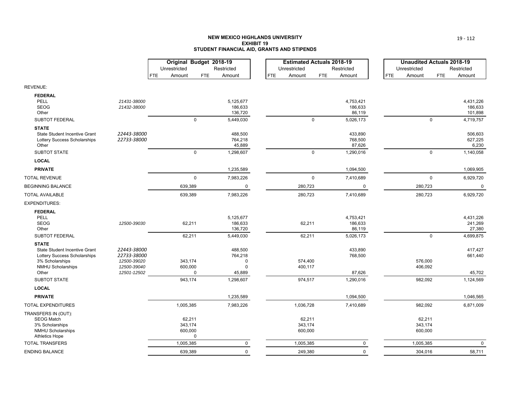### **NEW MEXICO HIGHLANDS UNIVERSITYEXHIBIT 19STUDENT FINANCIAL AID, GRANTS AND STIPENDS**

|                                                      |                            | Original Budget 2018-19 |             |                      |            | <b>Estimated Actuals 2018-19</b> |             |                      |            | <b>Unaudited Actuals 2018-19</b> |             |                      |
|------------------------------------------------------|----------------------------|-------------------------|-------------|----------------------|------------|----------------------------------|-------------|----------------------|------------|----------------------------------|-------------|----------------------|
|                                                      |                            | Unrestricted            |             | Restricted           |            | Unrestricted                     |             | Restricted           |            | Unrestricted                     |             | Restricted           |
|                                                      |                            | FTE<br>Amount           | <b>FTE</b>  | Amount               | <b>FTE</b> | Amount                           | <b>FTE</b>  | Amount               | <b>FTE</b> | Amount                           | <b>FTE</b>  | Amount               |
| REVENUE:                                             |                            |                         |             |                      |            |                                  |             |                      |            |                                  |             |                      |
| <b>FEDERAL</b>                                       |                            |                         |             |                      |            |                                  |             |                      |            |                                  |             |                      |
| PELL<br><b>SEOG</b>                                  | 21431-38000<br>21432-38000 |                         |             | 5,125,677<br>186,633 |            |                                  |             | 4,753,421<br>186,633 |            |                                  |             | 4,431,226<br>186,633 |
| Other                                                |                            |                         |             | 136,720              |            |                                  |             | 86,119               |            |                                  |             | 101,898              |
| SUBTOT FEDERAL                                       |                            |                         | $\Omega$    | 5,449,030            |            |                                  | $\Omega$    | 5,026,173            |            |                                  | $\mathbf 0$ | 4,719,757            |
| <b>STATE</b>                                         |                            |                         |             |                      |            |                                  |             |                      |            |                                  |             |                      |
| State Student Incentive Grant                        | 22443-38000                |                         |             | 488,500              |            |                                  |             | 433,890              |            |                                  |             | 506,603              |
| Lottery Success Scholarships<br>Other                | 22733-38000                |                         |             | 764,218<br>45,889    |            |                                  |             | 768,500<br>87,626    |            |                                  |             | 627,225<br>6,230     |
| SUBTOT STATE                                         |                            |                         | $\Omega$    | 1,298,607            |            |                                  | $\mathbf 0$ | 1,290,016            |            |                                  | $\mathbf 0$ | 1,140,058            |
| <b>LOCAL</b>                                         |                            |                         |             |                      |            |                                  |             |                      |            |                                  |             |                      |
| <b>PRIVATE</b>                                       |                            |                         |             | 1,235,589            |            |                                  |             | 1,094,500            |            |                                  |             | 1,069,905            |
| TOTAL REVENUE                                        |                            |                         | $\mathbf 0$ | 7,983,226            |            |                                  | $\mathbf 0$ | 7,410,689            |            |                                  | $\mathbf 0$ | 6,929,720            |
| <b>BEGINNING BALANCE</b>                             |                            | 639,389                 |             | $\pmb{0}$            |            | 280,723                          |             | 0                    |            | 280,723                          |             | $\mathbf 0$          |
| TOTAL AVAILABLE                                      |                            | 639,389                 |             | 7,983,226            |            | 280,723                          |             | 7,410,689            |            | 280,723                          |             | 6,929,720            |
| EXPENDITURES:                                        |                            |                         |             |                      |            |                                  |             |                      |            |                                  |             |                      |
| <b>FEDERAL</b>                                       |                            |                         |             |                      |            |                                  |             |                      |            |                                  |             |                      |
| <b>PELL</b>                                          |                            |                         |             | 5,125,677            |            |                                  |             | 4,753,421            |            |                                  |             | 4,431,226            |
| <b>SEOG</b>                                          | 12500-39030                | 62,211                  |             | 186,633              |            | 62,211                           |             | 186,633              |            |                                  |             | 241,269              |
| Other                                                |                            |                         |             | 136,720              |            |                                  |             | 86,119               |            |                                  |             | 27,380               |
| SUBTOT FEDERAL                                       |                            | 62,211                  |             | 5,449,030            |            | 62,211                           |             | 5,026,173            |            |                                  | $\mathbf 0$ | 4,699,875            |
| <b>STATE</b><br><b>State Student Incentive Grant</b> | 22443-38000                |                         |             | 488,500              |            |                                  |             | 433,890              |            |                                  |             | 417,427              |
| Lottery Success Scholarships                         | 22733-38000                |                         |             | 764,218              |            |                                  |             | 768,500              |            |                                  |             | 661,440              |
| 3% Scholarships                                      | 12500-39020                | 343,174                 |             | $\Omega$             |            | 574,400                          |             |                      |            | 576,000                          |             |                      |
| NMHU Scholarships                                    | 12500-39040                | 600,000                 |             | $\mathbf 0$          |            | 400,117                          |             |                      |            | 406,092                          |             |                      |
| Other                                                | 12501-12502                |                         | $\Omega$    | 45,889               |            |                                  |             | 87,626               |            |                                  |             | 45,702               |
| SUBTOT STATE                                         |                            | 943,174                 |             | 1,298,607            |            | 974,517                          |             | 1,290,016            |            | 982,092                          |             | 1,124,569            |
| <b>LOCAL</b>                                         |                            |                         |             |                      |            |                                  |             |                      |            |                                  |             |                      |
| <b>PRIVATE</b>                                       |                            |                         |             | 1,235,589            |            |                                  |             | 1,094,500            |            |                                  |             | 1,046,565            |
| <b>TOTAL EXPENDITURES</b>                            |                            | 1,005,385               |             | 7,983,226            |            | 1,036,728                        |             | 7,410,689            |            | 982,092                          |             | 6,871,009            |
| TRANSFERS IN (OUT):<br><b>SEOG Match</b>             |                            | 62,211                  |             |                      |            | 62,211                           |             |                      |            | 62,211                           |             |                      |
| 3% Scholarships                                      |                            | 343,174                 |             |                      |            | 343,174                          |             |                      |            | 343,174                          |             |                      |
| <b>NMHU Scholarships</b>                             |                            | 600,000                 |             |                      |            | 600,000                          |             |                      |            | 600,000                          |             |                      |
| <b>Athletics Hope</b>                                |                            |                         | $\mathbf 0$ |                      |            |                                  |             |                      |            |                                  |             |                      |
| <b>TOTAL TRANSFERS</b>                               |                            | 1,005,385               |             | $\mathbf 0$          |            | 1,005,385                        |             | 0                    |            | 1,005,385                        |             | $\mathbf 0$          |
| ENDING BALANCE                                       |                            | 639,389                 |             | $\mathbf 0$          |            | 249,380                          |             | $\mathbf 0$          |            | 304,016                          |             | 58,711               |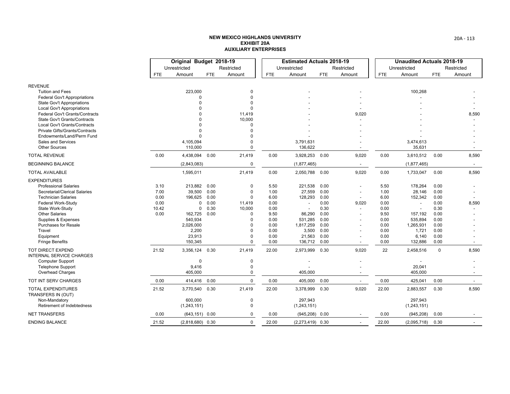|                                                                     |            | Original Budget 2018-19 |            |                      |              | <b>Estimated Actuals 2018-19</b> |              |                          |              | <b>Unaudited Actuals 2018-19</b> |              |            |
|---------------------------------------------------------------------|------------|-------------------------|------------|----------------------|--------------|----------------------------------|--------------|--------------------------|--------------|----------------------------------|--------------|------------|
|                                                                     |            | Unrestricted            |            | Restricted           |              | Unrestricted                     |              | Restricted               |              | Unrestricted                     |              | Restricted |
|                                                                     | <b>FTE</b> | Amount                  | <b>FTE</b> | Amount               | <b>FTE</b>   | Amount                           | <b>FTE</b>   | Amount                   | <b>FTE</b>   | Amount                           | <b>FTE</b>   | Amount     |
| <b>REVENUE</b>                                                      |            |                         |            |                      |              |                                  |              |                          |              |                                  |              |            |
| <b>Tuition and Fees</b>                                             |            | 223,000                 |            | 0                    |              |                                  |              |                          |              | 100,268                          |              |            |
| Federal Gov't Appropriations                                        |            | $\Omega$                |            | $\Omega$             |              |                                  |              |                          |              |                                  |              |            |
| <b>State Gov't Appropriations</b>                                   |            | O                       |            |                      |              |                                  |              |                          |              |                                  |              |            |
| <b>Local Gov't Appropriations</b>                                   |            |                         |            |                      |              |                                  |              |                          |              |                                  |              |            |
| Federal Gov't Grants/Contracts                                      |            |                         |            | 11,419<br>10,000     |              |                                  |              | 9,020                    |              |                                  |              | 8,590      |
| <b>State Gov't Grants/Contracts</b><br>Local Gov't Grants/Contracts |            | O                       |            | ŋ                    |              |                                  |              |                          |              |                                  |              |            |
| Private Gifts/Grants/Contracts                                      |            | U                       |            | O                    |              |                                  |              |                          |              |                                  |              |            |
| Endowments/Land/Perm Fund                                           |            | $\Omega$                |            | $\Omega$             |              |                                  |              |                          |              |                                  |              |            |
| Sales and Services                                                  |            | 4,105,094               |            |                      |              | 3,791,631                        |              |                          |              | 3,474,613                        |              |            |
| <b>Other Sources</b>                                                |            | 110,000                 |            | 0                    |              | 136,622                          |              |                          |              | 35,631                           |              |            |
| <b>TOTAL REVENUE</b>                                                | 0.00       | 4,438,094               | 0.00       | 21,419               | 0.00         | 3,928,253 0.00                   |              | 9,020                    | 0.00         | 3,610,512                        | 0.00         | 8,590      |
| <b>BEGINNING BALANCE</b>                                            |            | (2,843,083)             |            | $\Omega$             |              | (1,877,465)                      |              | $\overline{\phantom{a}}$ |              | (1,877,465)                      |              |            |
| <b>TOTAL AVAILABLE</b>                                              |            | 1,595,011               |            | 21,419               | 0.00         | 2,050,788 0.00                   |              | 9,020                    | 0.00         | 1,733,047                        | 0.00         | 8,590      |
| <b>EXPENDITURES</b>                                                 |            |                         |            |                      |              |                                  |              |                          |              |                                  |              |            |
| <b>Professional Salaries</b>                                        | 3.10       | 213,882                 | 0.00       | 0                    | 5.50         | 221,538                          | 0.00         |                          | 5.50         | 178,264                          | 0.00         |            |
| Secretarial/Clerical Salaries                                       | 7.00       | 39,500                  | 0.00       | $\mathbf 0$          | 1.00         | 27,559                           | 0.00         | $\overline{a}$           | 1.00         | 28,146                           | 0.00         |            |
| <b>Technician Salaries</b>                                          | 0.00       | 196,625                 | 0.00       | $\Omega$             | 6.00         | 128,293                          | 0.00         |                          | 6.00         | 152,342                          | 0.00         |            |
| Federal Work-Study                                                  | 0.00       | 0                       | 0.00       | 11,419               | 0.00         |                                  | 0.00         | 9,020                    | 0.00         | $\blacksquare$                   | 0.00         | 8,590      |
| State Work-Study                                                    | 10.42      | 0                       | 0.30       | 10,000               | 0.00         | $\overline{\phantom{a}}$         | 0.30         |                          | 0.00         |                                  | 0.30         |            |
| <b>Other Salaries</b><br>Supplies & Expenses                        | 0.00       | 162,725<br>540,934      | 0.00       | $\Omega$<br>$\Omega$ | 9.50<br>0.00 | 86,290<br>531,285                | 0.00<br>0.00 | $\overline{a}$           | 9.50<br>0.00 | 157,192<br>535,894               | 0.00<br>0.00 |            |
| <b>Purchases for Resale</b>                                         |            | 2,026,000               |            | $\Omega$             | 0.00         | 1,817,259                        | 0.00         |                          | 0.00         | 1,265,931                        | 0.00         |            |
| Travel                                                              |            | 2,200                   |            | 0                    | 0.00         | 3,500                            | 0.00         | $\overline{\phantom{a}}$ | 0.00         | 1,721                            | 0.00         |            |
| Equipment                                                           |            | 23,913                  |            | $\Omega$             | 0.00         | 21,563                           | 0.00         |                          | 0.00         | 6,140                            | 0.00         |            |
| <b>Fringe Benefits</b>                                              |            | 150,345                 |            | $\Omega$             | 0.00         | 136,712                          | 0.00         |                          | 0.00         | 132,886                          | 0.00         |            |
| <b>TOT DIRECT EXPEND</b><br><b>INTERNAL SERVICE CHARGES</b>         | 21.52      | 3,356,124               | 0.30       | 21,419               | 22.00        | 2,973,999 0.30                   |              | 9,020                    | 22           | 2,458,516                        | $\mathbf 0$  | 8,590      |
| <b>Computer Support</b>                                             |            | $\mathbf 0$             |            | 0                    |              |                                  |              |                          |              |                                  |              |            |
| <b>Telephone Support</b>                                            |            | 9,416                   |            | $\Omega$             |              |                                  |              |                          |              | 20,041                           |              |            |
| Overhead Charges                                                    |            | 405,000                 |            | $\Omega$             |              | 405,000                          |              |                          |              | 405,000                          |              |            |
| TOT INT SERV CHARGES                                                | 0.00       | 414,416                 | 0.00       | $\Omega$             | 0.00         | 405,000 0.00                     |              | $\overline{\phantom{a}}$ | 0.00         | 425,041                          | 0.00         | $\sim$     |
| <b>TOTAL EXPENDITURES</b><br>TRANSFERS IN (OUT)                     | 21.52      | 3,770,540 0.30          |            | 21,419               | 22.00        | 3,378,999 0.30                   |              | 9,020                    | 22.00        | 2,883,557                        | 0.30         | 8,590      |
| Non-Mandatory                                                       |            | 600,000                 |            | $\mathbf 0$          |              | 297,943                          |              |                          |              | 297,943                          |              |            |
| <b>Retirement of Indebtedness</b>                                   |            | (1,243,151)             |            | $\Omega$             |              | (1, 243, 151)                    |              |                          |              | (1,243,151)                      |              |            |
| <b>NET TRANSFERS</b>                                                | 0.00       | $(643, 151)$ 0.00       |            | $\Omega$             | 0.00         | $(945, 208)$ 0.00                |              |                          | 0.00         | (945, 208)                       | 0.00         |            |
| <b>ENDING BALANCE</b>                                               | 21.52      | $(2,818,680)$ 0.30      |            | $\Omega$             | 22.00        | $(2,273,419)$ 0.30               |              |                          | 22.00        | (2,095,718)                      | 0.30         |            |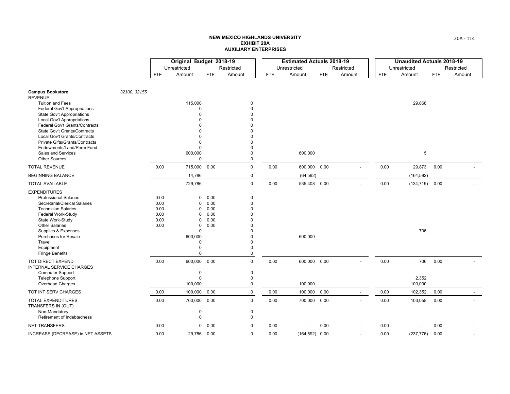|                                                                                                    | Original Budget 2018-19 |                                  |                      |                                  |            | <b>Estimated Actuals 2018-19</b> |            |                          |            | <b>Unaudited Actuals 2018-19</b> |            |            |
|----------------------------------------------------------------------------------------------------|-------------------------|----------------------------------|----------------------|----------------------------------|------------|----------------------------------|------------|--------------------------|------------|----------------------------------|------------|------------|
|                                                                                                    |                         | Unrestricted                     |                      | Restricted                       |            | Unrestricted                     |            | Restricted               |            | Unrestricted                     |            | Restricted |
|                                                                                                    | <b>FTE</b>              | Amount                           | FTE.                 | Amount                           | <b>FTE</b> | Amount                           | <b>FTE</b> | Amount                   | <b>FTE</b> | Amount                           | <b>FTE</b> | Amount     |
| 32100, 32155<br><b>Campus Bookstore</b><br><b>REVENUE</b>                                          |                         |                                  |                      |                                  |            |                                  |            |                          |            |                                  |            |            |
| <b>Tuition and Fees</b><br><b>Federal Gov't Appropriations</b>                                     |                         | 115,000<br>$\Omega$              |                      | 0<br>$\Omega$                    |            |                                  |            |                          |            | 29,868                           |            |            |
| <b>State Gov't Appropriations</b><br><b>Local Gov't Appropriations</b>                             |                         | $\Omega$                         |                      | $\Omega$<br>ŋ                    |            |                                  |            |                          |            |                                  |            |            |
| Federal Gov't Grants/Contracts<br>State Gov't Grants/Contracts                                     |                         |                                  |                      | $\Omega$                         |            |                                  |            |                          |            |                                  |            |            |
| <b>Local Gov't Grants/Contracts</b><br>Private Gifts/Grants/Contracts<br>Endowments/Land/Perm Fund |                         | $\Omega$                         |                      | $\Omega$<br>ŋ                    |            |                                  |            |                          |            |                                  |            |            |
| Sales and Services<br><b>Other Sources</b>                                                         |                         | 600,000<br>$\Omega$              |                      | $\Omega$<br>0                    |            | 600,000                          |            |                          |            | 5                                |            |            |
| <b>TOTAL REVENUE</b>                                                                               | 0.00                    | 715,000                          | 0.00                 | $\mathbf 0$                      | 0.00       | 600,000 0.00                     |            |                          | 0.00       | 29,873                           | 0.00       |            |
| <b>BEGINNING BALANCE</b>                                                                           |                         | 14,786                           |                      | 0                                |            | (64, 592)                        |            |                          |            | (164, 592)                       |            |            |
| <b>TOTAL AVAILABLE</b>                                                                             |                         | 729,786                          |                      | $\mathbf 0$                      | 0.00       | 535,408 0.00                     |            |                          | 0.00       | (134, 719)                       | 0.00       |            |
| <b>EXPENDITURES</b><br><b>Professional Salaries</b>                                                | 0.00                    | 0                                | 0.00                 | 0                                |            |                                  |            |                          |            |                                  |            |            |
| Secretarial/Clerical Salaries<br><b>Technician Salaries</b>                                        | 0.00<br>0.00            | $\Omega$<br>$\Omega$<br>$\Omega$ | 0.00<br>0.00         | $\Omega$<br>$\Omega$<br>$\Omega$ |            |                                  |            |                          |            |                                  |            |            |
| Federal Work-Study<br>State Work-Study<br><b>Other Salaries</b>                                    | 0.00<br>0.00<br>0.00    | $\Omega$<br>0                    | 0.00<br>0.00<br>0.00 | ŋ<br>$\Omega$                    |            |                                  |            |                          |            |                                  |            |            |
| Supplies & Expenses<br><b>Purchases for Resale</b>                                                 |                         | $\Omega$<br>600,000              |                      | $\Omega$<br>$\Omega$             |            | 600,000                          |            |                          |            | 706                              |            |            |
| Travel<br>Equipment                                                                                |                         | $\Omega$<br>$\Omega$             |                      | $\Omega$<br>0                    |            |                                  |            |                          |            |                                  |            |            |
| <b>Fringe Benefits</b>                                                                             |                         | $\Omega$                         |                      | 0                                |            |                                  |            |                          |            |                                  |            |            |
| TOT DIRECT EXPEND<br><b>INTERNAL SERVICE CHARGES</b>                                               | 0.00                    | 600,000                          | 0.00                 | $\mathbf 0$                      | 0.00       | 600,000 0.00                     |            |                          | 0.00       | 706                              | 0.00       |            |
| <b>Computer Support</b>                                                                            |                         | 0<br>$\Omega$                    |                      | 0<br>$\mathbf 0$                 |            |                                  |            |                          |            | 2,352                            |            |            |
| <b>Telephone Support</b><br><b>Overhead Charges</b>                                                |                         | 100,000                          |                      | $\mathbf 0$                      |            | 100,000                          |            |                          |            | 100,000                          |            |            |
| TOT INT SERV CHARGES                                                                               | 0.00                    | 100,000                          | 0.00                 | $\mathbf 0$                      | 0.00       | 100,000                          | 0.00       | $\overline{\phantom{a}}$ | 0.00       | 102,352                          | 0.00       |            |
| <b>TOTAL EXPENDITURES</b><br>TRANSFERS IN (OUT)                                                    | 0.00                    | 700,000                          | 0.00                 | $\Omega$                         | 0.00       | 700,000 0.00                     |            |                          | 0.00       | 103,058                          | 0.00       |            |
| Non-Mandatory<br>Retirement of Indebtedness                                                        |                         | 0<br>0                           |                      | 0<br>$\mathbf 0$                 |            |                                  |            |                          |            |                                  |            |            |
| <b>NET TRANSFERS</b>                                                                               | 0.00                    | $\mathbf{0}$                     | 0.00                 | $\mathbf 0$                      | 0.00       | $\overline{\phantom{a}}$         | 0.00       | $\overline{\phantom{a}}$ | 0.00       | $\overline{\phantom{a}}$         | 0.00       |            |
| INCREASE (DECREASE) in NET ASSETS                                                                  | 0.00                    | 29,786 0.00                      |                      | $\mathbf 0$                      | 0.00       | $(164, 592)$ 0.00                |            | $\overline{\phantom{a}}$ | 0.00       | (237, 776)                       | 0.00       |            |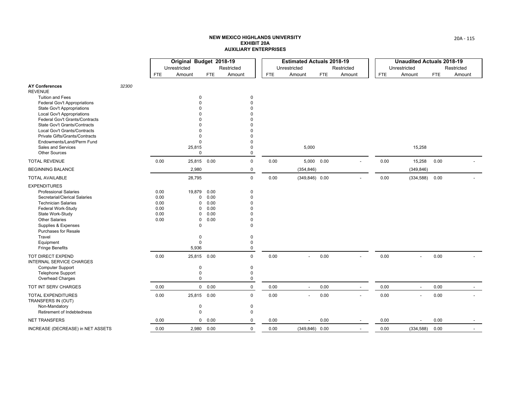|                                                                |       |            | Original Budget 2018-19 |            |             |            | <b>Estimated Actuals 2018-19</b> |            |                |            | <b>Unaudited Actuals 2018-19</b> |            |            |
|----------------------------------------------------------------|-------|------------|-------------------------|------------|-------------|------------|----------------------------------|------------|----------------|------------|----------------------------------|------------|------------|
|                                                                |       |            | Unrestricted            |            | Restricted  |            | Unrestricted                     |            | Restricted     |            | Unrestricted                     |            | Restricted |
|                                                                |       | <b>FTE</b> | Amount                  | <b>FTE</b> | Amount      | <b>FTE</b> | Amount                           | <b>FTE</b> | Amount         | <b>FTE</b> | Amount                           | <b>FTE</b> | Amount     |
| <b>AY Conferences</b>                                          | 32300 |            |                         |            |             |            |                                  |            |                |            |                                  |            |            |
| <b>REVENUE</b>                                                 |       |            |                         |            |             |            |                                  |            |                |            |                                  |            |            |
| <b>Tuition and Fees</b>                                        |       |            | $\Omega$                |            | $\mathbf 0$ |            |                                  |            |                |            |                                  |            |            |
| <b>Federal Gov't Appropriations</b>                            |       |            |                         |            | $\Omega$    |            |                                  |            |                |            |                                  |            |            |
| <b>State Gov't Appropriations</b>                              |       |            |                         |            |             |            |                                  |            |                |            |                                  |            |            |
| <b>Local Gov't Appropriations</b>                              |       |            |                         |            |             |            |                                  |            |                |            |                                  |            |            |
| Federal Gov't Grants/Contracts<br>State Gov't Grants/Contracts |       |            |                         |            |             |            |                                  |            |                |            |                                  |            |            |
| Local Gov't Grants/Contracts                                   |       |            |                         |            |             |            |                                  |            |                |            |                                  |            |            |
| Private Gifts/Grants/Contracts                                 |       |            | $\Omega$                |            |             |            |                                  |            |                |            |                                  |            |            |
| Endowments/Land/Perm Fund                                      |       |            | $\Omega$                |            |             |            |                                  |            |                |            |                                  |            |            |
| Sales and Services                                             |       |            | 25,815                  |            | 0           |            | 5,000                            |            |                |            | 15,258                           |            |            |
| <b>Other Sources</b>                                           |       |            | $\mathbf 0$             |            | 0           |            |                                  |            |                |            |                                  |            |            |
| <b>TOTAL REVENUE</b>                                           |       | 0.00       | 25,815                  | 0.00       | $\mathbf 0$ | 0.00       | 5,000 0.00                       |            |                | 0.00       | 15,258                           | 0.00       |            |
| <b>BEGINNING BALANCE</b>                                       |       |            | 2,980                   |            | 0           |            | (354, 846)                       |            |                |            | (349, 846)                       |            |            |
| <b>TOTAL AVAILABLE</b>                                         |       |            | 28,795                  |            | $\Omega$    | 0.00       | $(349, 846)$ 0.00                |            |                | 0.00       | (334, 588)                       | 0.00       |            |
| <b>EXPENDITURES</b>                                            |       |            |                         |            |             |            |                                  |            |                |            |                                  |            |            |
| <b>Professional Salaries</b>                                   |       | 0.00       | 19,879                  | 0.00       | 0           |            |                                  |            |                |            |                                  |            |            |
| Secretarial/Clerical Salaries                                  |       | 0.00       | 0                       | 0.00       | $\Omega$    |            |                                  |            |                |            |                                  |            |            |
| <b>Technician Salaries</b>                                     |       | 0.00       | $\Omega$                | 0.00       | $\Omega$    |            |                                  |            |                |            |                                  |            |            |
| Federal Work-Study                                             |       | 0.00       | $\Omega$                | 0.00       |             |            |                                  |            |                |            |                                  |            |            |
| State Work-Study                                               |       | 0.00       | $\Omega$                | 0.00       |             |            |                                  |            |                |            |                                  |            |            |
| <b>Other Salaries</b>                                          |       | 0.00       | 0                       | 0.00       | O           |            |                                  |            |                |            |                                  |            |            |
| Supplies & Expenses                                            |       |            | $\mathbf 0$             |            | $\Omega$    |            |                                  |            |                |            |                                  |            |            |
| <b>Purchases for Resale</b>                                    |       |            |                         |            |             |            |                                  |            |                |            |                                  |            |            |
| Travel                                                         |       |            | $\mathbf 0$             |            | 0           |            |                                  |            |                |            |                                  |            |            |
| Equipment                                                      |       |            | 0<br>5,936              |            | 0<br>0      |            |                                  |            |                |            |                                  |            |            |
| <b>Fringe Benefits</b>                                         |       |            |                         |            |             |            |                                  |            |                |            |                                  |            |            |
| <b>TOT DIRECT EXPEND</b><br>INTERNAL SERVICE CHARGES           |       | 0.00       | 25,815                  | 0.00       | $\mathbf 0$ | 0.00       |                                  | 0.00       |                | 0.00       | $\overline{a}$                   | 0.00       |            |
| <b>Computer Support</b>                                        |       |            | $\mathbf 0$             |            | 0           |            |                                  |            |                |            |                                  |            |            |
| <b>Telephone Support</b>                                       |       |            | $\mathbf 0$             |            | $\mathbf 0$ |            |                                  |            |                |            |                                  |            |            |
| <b>Overhead Charges</b>                                        |       |            | $\mathbf 0$             |            | 0           |            |                                  |            |                |            |                                  |            |            |
| TOT INT SERV CHARGES                                           |       | 0.00       | $\mathbf 0$             | 0.00       | $\mathbf 0$ | 0.00       | $\overline{a}$                   | 0.00       | $\blacksquare$ | 0.00       | $\overline{\phantom{a}}$         | 0.00       |            |
| <b>TOTAL EXPENDITURES</b><br>TRANSFERS IN (OUT)                |       | 0.00       | 25,815 0.00             |            | $\mathbf 0$ | 0.00       |                                  | 0.00       |                | 0.00       |                                  | 0.00       |            |
| Non-Mandatory                                                  |       |            | $\mathbf 0$             |            | $\mathbf 0$ |            |                                  |            |                |            |                                  |            |            |
| Retirement of Indebtedness                                     |       |            | $\mathbf 0$             |            | 0           |            |                                  |            |                |            |                                  |            |            |
| <b>NET TRANSFERS</b>                                           |       | 0.00       | $\mathbf 0$             | 0.00       | $\mathbf 0$ | 0.00       |                                  | 0.00       |                | 0.00       |                                  | 0.00       |            |
| INCREASE (DECREASE) in NET ASSETS                              |       | 0.00       | 2,980 0.00              |            | $\mathbf 0$ | 0.00       | $(349, 846)$ 0.00                |            |                | 0.00       | (334, 588)                       | 0.00       |            |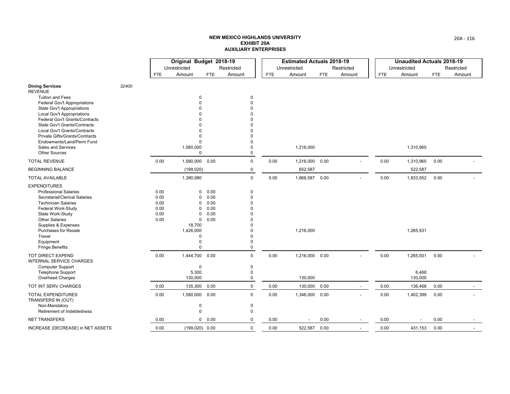|                                                             |       |      | Original Budget 2018-19 |            |             |      | <b>Estimated Actuals 2018-19</b> |            |                          |      | <b>Unaudited Actuals 2018-19</b> |            |            |
|-------------------------------------------------------------|-------|------|-------------------------|------------|-------------|------|----------------------------------|------------|--------------------------|------|----------------------------------|------------|------------|
|                                                             |       |      | Unrestricted            |            | Restricted  |      | Unrestricted                     |            | Restricted               |      | Unrestricted                     |            | Restricted |
|                                                             |       | FTE  | Amount                  | <b>FTE</b> | Amount      | FTE. | Amount                           | <b>FTE</b> | Amount                   | FTE  | Amount                           | <b>FTE</b> | Amount     |
| <b>Dining Services</b><br><b>REVENUE</b>                    | 32400 |      |                         |            |             |      |                                  |            |                          |      |                                  |            |            |
| <b>Tuition and Fees</b>                                     |       |      | 0                       |            | $\mathbf 0$ |      |                                  |            |                          |      |                                  |            |            |
| Federal Gov't Appropriations                                |       |      | $\Omega$                |            | $\Omega$    |      |                                  |            |                          |      |                                  |            |            |
| <b>State Gov't Appropriations</b>                           |       |      |                         |            | $\Omega$    |      |                                  |            |                          |      |                                  |            |            |
| <b>Local Gov't Appropriations</b>                           |       |      |                         |            |             |      |                                  |            |                          |      |                                  |            |            |
| Federal Gov't Grants/Contracts                              |       |      |                         |            |             |      |                                  |            |                          |      |                                  |            |            |
| State Gov't Grants/Contracts                                |       |      |                         |            |             |      |                                  |            |                          |      |                                  |            |            |
| Local Gov't Grants/Contracts                                |       |      | O<br>0                  |            |             |      |                                  |            |                          |      |                                  |            |            |
| Private Gifts/Grants/Contracts<br>Endowments/Land/Perm Fund |       |      | $\mathbf 0$             |            | $\Omega$    |      |                                  |            |                          |      |                                  |            |            |
| Sales and Services                                          |       |      | 1,580,000               |            | $\Omega$    |      | 1,216,000                        |            |                          |      | 1,310,965                        |            |            |
| <b>Other Sources</b>                                        |       |      | $\mathbf 0$             |            | $\mathbf 0$ |      |                                  |            |                          |      |                                  |            |            |
| <b>TOTAL REVENUE</b>                                        |       | 0.00 | 1,580,000               | 0.00       | $\mathbf 0$ | 0.00 | 1,216,000 0.00                   |            |                          | 0.00 | 1,310,965                        | 0.00       |            |
| <b>BEGINNING BALANCE</b>                                    |       |      | (199, 020)              |            | 0           |      | 652,587                          |            |                          |      | 522,587                          |            |            |
| <b>TOTAL AVAILABLE</b>                                      |       |      | 1,380,980               |            | $\mathbf 0$ | 0.00 | 1,868,587 0.00                   |            |                          | 0.00 | 1,833,552                        | 0.00       |            |
| <b>EXPENDITURES</b>                                         |       |      |                         |            |             |      |                                  |            |                          |      |                                  |            |            |
| <b>Professional Salaries</b>                                |       | 0.00 | 0                       | 0.00       | $\mathbf 0$ |      |                                  |            |                          |      |                                  |            |            |
| Secretarial/Clerical Salaries                               |       | 0.00 | 0                       | 0.00       | $\Omega$    |      |                                  |            |                          |      |                                  |            |            |
| <b>Technician Salaries</b>                                  |       | 0.00 | 0                       | 0.00       | $\Omega$    |      |                                  |            |                          |      |                                  |            |            |
| <b>Federal Work-Study</b>                                   |       | 0.00 | 0                       | 0.00       | n           |      |                                  |            |                          |      |                                  |            |            |
| State Work-Study                                            |       | 0.00 | 0                       | 0.00       | O           |      |                                  |            |                          |      |                                  |            |            |
| <b>Other Salaries</b>                                       |       | 0.00 | $\mathbf 0$             | 0.00       |             |      |                                  |            |                          |      |                                  |            |            |
| Supplies & Expenses                                         |       |      | 18,700                  |            |             |      |                                  |            |                          |      |                                  |            |            |
| <b>Purchases for Resale</b>                                 |       |      | 1,426,000               |            | n           |      | 1,216,000                        |            |                          |      | 1,265,931                        |            |            |
| Travel                                                      |       |      | $\mathbf 0$             |            | $\Omega$    |      |                                  |            |                          |      |                                  |            |            |
| Equipment                                                   |       |      | 0                       |            | $\Omega$    |      |                                  |            |                          |      |                                  |            |            |
| <b>Fringe Benefits</b>                                      |       |      | $\mathbf 0$             |            | $\Omega$    |      |                                  |            |                          |      |                                  |            |            |
| <b>TOT DIRECT EXPEND</b><br><b>INTERNAL SERVICE CHARGES</b> |       | 0.00 | 1,444,700               | 0.00       | $\mathbf 0$ | 0.00 | 1,216,000 0.00                   |            |                          | 0.00 | 1,265,931                        | 0.00       |            |
| <b>Computer Support</b>                                     |       |      | 0                       |            | 0           |      |                                  |            |                          |      |                                  |            |            |
| Telephone Support                                           |       |      | 5,300                   |            | $\mathbf 0$ |      |                                  |            |                          |      | 6,468                            |            |            |
| <b>Overhead Charges</b>                                     |       |      | 130,000                 |            | $\mathbf 0$ |      | 130,000                          |            |                          |      | 130,000                          |            |            |
| TOT INT SERV CHARGES                                        |       | 0.00 | 135,300                 | 0.00       | $\mathbf 0$ | 0.00 | 130,000 0.00                     |            | $\overline{\phantom{a}}$ | 0.00 | 136,468                          | 0.00       | $\sim$     |
| <b>TOTAL EXPENDITURES</b><br>TRANSFERS IN (OUT)             |       | 0.00 | 1,580,000               | 0.00       | $\mathbf 0$ | 0.00 | 1,346,000 0.00                   |            |                          | 0.00 | 1,402,399                        | 0.00       |            |
| Non-Mandatory                                               |       |      | $\mathbf 0$             |            | 0           |      |                                  |            |                          |      |                                  |            |            |
| Retirement of Indebtedness                                  |       |      | 0                       |            | 0           |      |                                  |            |                          |      |                                  |            |            |
| <b>NET TRANSFERS</b>                                        |       | 0.00 |                         | 0 0.00     | 0           | 0.00 | $\overline{a}$                   | 0.00       |                          | 0.00 |                                  | 0.00       |            |
| INCREASE (DECREASE) in NET ASSETS                           |       | 0.00 | $(199,020)$ 0.00        |            | $\mathbf 0$ | 0.00 | 522,587                          | 0.00       |                          | 0.00 | 431,153                          | 0.00       |            |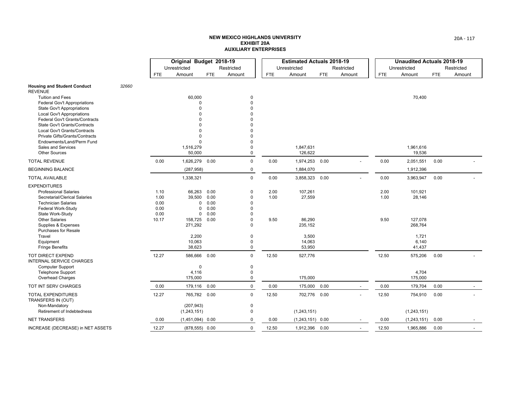|                                                              |       | Original Budget 2018-19 |                    |      |             |            | <b>Estimated Actuals 2018-19</b> |            |                          |            | <b>Unaudited Actuals 2018-19</b> |      |                |
|--------------------------------------------------------------|-------|-------------------------|--------------------|------|-------------|------------|----------------------------------|------------|--------------------------|------------|----------------------------------|------|----------------|
|                                                              |       |                         | Unrestricted       |      | Restricted  |            | Unrestricted                     |            | Restricted               |            | Unrestricted                     |      | Restricted     |
|                                                              |       | FTE                     | Amount             | FTE  | Amount      | <b>FTE</b> | Amount                           | <b>FTE</b> | Amount                   | <b>FTE</b> | Amount                           | FTE  | Amount         |
| <b>Housing and Student Conduct</b><br><b>REVENUE</b>         | 32660 |                         |                    |      |             |            |                                  |            |                          |            |                                  |      |                |
| <b>Tuition and Fees</b>                                      |       |                         | 60,000             |      | 0           |            |                                  |            |                          |            | 70,400                           |      |                |
| <b>Federal Gov't Appropriations</b>                          |       |                         |                    |      | $\Omega$    |            |                                  |            |                          |            |                                  |      |                |
| <b>State Gov't Appropriations</b>                            |       |                         |                    |      |             |            |                                  |            |                          |            |                                  |      |                |
| Local Gov't Appropriations                                   |       |                         |                    |      |             |            |                                  |            |                          |            |                                  |      |                |
| Federal Gov't Grants/Contracts                               |       |                         |                    |      |             |            |                                  |            |                          |            |                                  |      |                |
| State Gov't Grants/Contracts<br>Local Gov't Grants/Contracts |       |                         |                    |      |             |            |                                  |            |                          |            |                                  |      |                |
| Private Gifts/Grants/Contracts                               |       |                         | $\Omega$           |      |             |            |                                  |            |                          |            |                                  |      |                |
| Endowments/Land/Perm Fund                                    |       |                         | $\Omega$           |      |             |            |                                  |            |                          |            |                                  |      |                |
| Sales and Services                                           |       |                         | 1,516,279          |      | $\Omega$    |            | 1,847,631                        |            |                          |            | 1,961,616                        |      |                |
| <b>Other Sources</b>                                         |       |                         | 50,000             |      | $\Omega$    |            | 126,622                          |            |                          |            | 19,536                           |      |                |
| <b>TOTAL REVENUE</b>                                         |       | 0.00                    | 1,626,279          | 0.00 | $\Omega$    | 0.00       | 1,974,253 0.00                   |            |                          | 0.00       | 2,051,551                        | 0.00 |                |
| <b>BEGINNING BALANCE</b>                                     |       |                         | (287, 958)         |      | 0           |            | 1,884,070                        |            |                          |            | 1,912,396                        |      |                |
| <b>TOTAL AVAILABLE</b>                                       |       |                         | 1,338,321          |      | $\Omega$    | 0.00       | 3,858,323 0.00                   |            |                          | 0.00       | 3,963,947                        | 0.00 |                |
| <b>EXPENDITURES</b>                                          |       |                         |                    |      |             |            |                                  |            |                          |            |                                  |      |                |
| <b>Professional Salaries</b>                                 |       | 1.10                    | 66,263             | 0.00 | 0           | 2.00       | 107,261                          |            |                          | 2.00       | 101,921                          |      |                |
| Secretarial/Clerical Salaries                                |       | 1.00                    | 39,500             | 0.00 | $\Omega$    | 1.00       | 27,559                           |            |                          | 1.00       | 28,146                           |      |                |
| <b>Technician Salaries</b>                                   |       | 0.00                    | $\Omega$           | 0.00 | $\Omega$    |            |                                  |            |                          |            |                                  |      |                |
| Federal Work-Study                                           |       | 0.00                    | 0                  | 0.00 | $\Omega$    |            |                                  |            |                          |            |                                  |      |                |
| State Work-Study                                             |       | 0.00                    | 0                  | 0.00 | O           |            |                                  |            |                          |            |                                  |      |                |
| <b>Other Salaries</b>                                        |       | 10.17                   | 158,725            | 0.00 | 0           | 9.50       | 86,290                           |            |                          | 9.50       | 127,078                          |      |                |
| Supplies & Expenses                                          |       |                         | 271,292            |      | $\Omega$    |            | 235,152                          |            |                          |            | 268,764                          |      |                |
| Purchases for Resale                                         |       |                         |                    |      | $\Omega$    |            |                                  |            |                          |            |                                  |      |                |
| Travel<br>Equipment                                          |       |                         | 2,200<br>10,063    |      | $\Omega$    |            | 3,500<br>14,063                  |            |                          |            | 1,721<br>6,140                   |      |                |
| <b>Fringe Benefits</b>                                       |       |                         | 38,623             |      | $\Omega$    |            | 53,950                           |            |                          |            | 41,437                           |      |                |
| TOT DIRECT EXPEND                                            |       | 12.27                   | 586,666            | 0.00 | $\mathbf 0$ | 12.50      | 527,776                          |            |                          | 12.50      | 575,206                          | 0.00 |                |
| <b>INTERNAL SERVICE CHARGES</b>                              |       |                         |                    |      |             |            |                                  |            |                          |            |                                  |      |                |
| <b>Computer Support</b>                                      |       |                         | 0                  |      | 0           |            |                                  |            |                          |            |                                  |      |                |
| <b>Telephone Support</b>                                     |       |                         | 4,116              |      | 0           |            |                                  |            |                          |            | 4,704                            |      |                |
| Overhead Charges                                             |       |                         | 175,000            |      | $\mathbf 0$ |            | 175,000                          |            |                          |            | 175,000                          |      |                |
| TOT INT SERV CHARGES                                         |       | 0.00                    | 179,116            | 0.00 | $\mathbf 0$ | 0.00       | 175,000 0.00                     |            | $\overline{\phantom{a}}$ | 0.00       | 179,704                          | 0.00 | $\blacksquare$ |
| <b>TOTAL EXPENDITURES</b><br>TRANSFERS IN (OUT)              |       | 12.27                   | 765,782 0.00       |      | $\mathbf 0$ | 12.50      | 702,776 0.00                     |            |                          | 12.50      | 754,910                          | 0.00 |                |
| Non-Mandatory                                                |       |                         | (207, 943)         |      | $\mathbf 0$ |            |                                  |            |                          |            |                                  |      |                |
| Retirement of Indebtedness                                   |       |                         | (1,243,151)        |      | $\mathbf 0$ |            | (1,243,151)                      |            |                          |            | (1, 243, 151)                    |      |                |
| <b>NET TRANSFERS</b>                                         |       | 0.00                    | $(1,451,094)$ 0.00 |      | 0           | 0.00       | $(1,243,151)$ 0.00               |            |                          | 0.00       | (1, 243, 151)                    | 0.00 |                |
| INCREASE (DECREASE) in NET ASSETS                            |       | 12.27                   | $(878, 555)$ 0.00  |      | $\mathbf 0$ | 12.50      | 1,912,396 0.00                   |            | $\overline{a}$           | 12.50      | 1,965,886                        | 0.00 |                |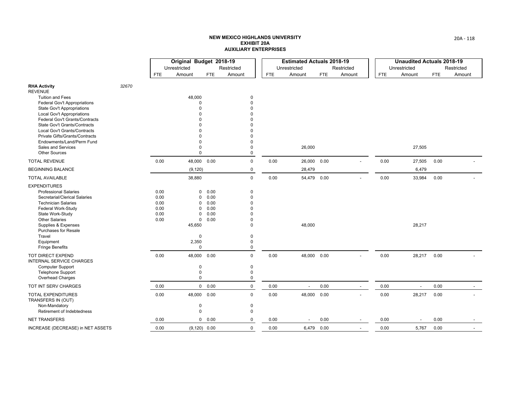|                                                                |       |      | Original Budget 2018-19 |            |             |      | <b>Estimated Actuals 2018-19</b> |            |                          |      | <b>Unaudited Actuals 2018-19</b> |            |            |
|----------------------------------------------------------------|-------|------|-------------------------|------------|-------------|------|----------------------------------|------------|--------------------------|------|----------------------------------|------------|------------|
|                                                                |       |      | Unrestricted            |            | Restricted  |      | Unrestricted                     |            | Restricted               |      | Unrestricted                     |            | Restricted |
|                                                                |       | FTE  | Amount                  | <b>FTE</b> | Amount      | FTE  | Amount                           | <b>FTE</b> | Amount                   | FTE  | Amount                           | <b>FTE</b> | Amount     |
| <b>RHA Activity</b><br><b>REVENUE</b>                          | 32670 |      |                         |            |             |      |                                  |            |                          |      |                                  |            |            |
| <b>Tuition and Fees</b>                                        |       |      | 48,000                  |            | $\mathbf 0$ |      |                                  |            |                          |      |                                  |            |            |
| Federal Gov't Appropriations                                   |       |      | $\Omega$                |            | $\Omega$    |      |                                  |            |                          |      |                                  |            |            |
| <b>State Gov't Appropriations</b>                              |       |      |                         |            | $\Omega$    |      |                                  |            |                          |      |                                  |            |            |
| <b>Local Gov't Appropriations</b>                              |       |      |                         |            | $\Omega$    |      |                                  |            |                          |      |                                  |            |            |
| Federal Gov't Grants/Contracts<br>State Gov't Grants/Contracts |       |      |                         |            |             |      |                                  |            |                          |      |                                  |            |            |
| Local Gov't Grants/Contracts                                   |       |      |                         |            |             |      |                                  |            |                          |      |                                  |            |            |
| Private Gifts/Grants/Contracts                                 |       |      | n                       |            | n           |      |                                  |            |                          |      |                                  |            |            |
| Endowments/Land/Perm Fund                                      |       |      | 0                       |            | $\Omega$    |      |                                  |            |                          |      |                                  |            |            |
| Sales and Services                                             |       |      | 0                       |            | 0           |      | 26,000                           |            |                          |      | 27,505                           |            |            |
| <b>Other Sources</b>                                           |       |      | $\mathbf 0$             |            | $\mathbf 0$ |      |                                  |            |                          |      |                                  |            |            |
| <b>TOTAL REVENUE</b>                                           |       | 0.00 | 48,000                  | 0.00       | $\mathbf 0$ | 0.00 | 26,000 0.00                      |            |                          | 0.00 | 27,505                           | 0.00       |            |
| <b>BEGINNING BALANCE</b>                                       |       |      | (9, 120)                |            | 0           |      | 28,479                           |            |                          |      | 6,479                            |            |            |
| <b>TOTAL AVAILABLE</b>                                         |       |      | 38,880                  |            | $\mathbf 0$ | 0.00 | 54,479 0.00                      |            |                          | 0.00 | 33,984                           | 0.00       |            |
| <b>EXPENDITURES</b>                                            |       |      |                         |            |             |      |                                  |            |                          |      |                                  |            |            |
| <b>Professional Salaries</b>                                   |       | 0.00 | 0                       | 0.00       | $\mathbf 0$ |      |                                  |            |                          |      |                                  |            |            |
| Secretarial/Clerical Salaries                                  |       | 0.00 | 0                       | 0.00       | $\Omega$    |      |                                  |            |                          |      |                                  |            |            |
| <b>Technician Salaries</b>                                     |       | 0.00 | 0                       | 0.00       | $\Omega$    |      |                                  |            |                          |      |                                  |            |            |
| <b>Federal Work-Study</b>                                      |       | 0.00 | 0                       | 0.00       | O           |      |                                  |            |                          |      |                                  |            |            |
| State Work-Study                                               |       | 0.00 | 0                       | 0.00       | O           |      |                                  |            |                          |      |                                  |            |            |
| <b>Other Salaries</b>                                          |       | 0.00 | $\mathbf 0$             | 0.00       | $\Omega$    |      |                                  |            |                          |      |                                  |            |            |
| Supplies & Expenses<br><b>Purchases for Resale</b>             |       |      | 45,650                  |            | $\Omega$    |      | 48,000                           |            |                          |      | 28,217                           |            |            |
| Travel                                                         |       |      | $\mathbf 0$             |            | $\mathbf 0$ |      |                                  |            |                          |      |                                  |            |            |
| Equipment                                                      |       |      | 2,350                   |            | $\mathbf 0$ |      |                                  |            |                          |      |                                  |            |            |
| <b>Fringe Benefits</b>                                         |       |      | $\mathbf 0$             |            | $\mathbf 0$ |      |                                  |            |                          |      |                                  |            |            |
| <b>TOT DIRECT EXPEND</b><br><b>INTERNAL SERVICE CHARGES</b>    |       | 0.00 | 48,000                  | 0.00       | $\mathbf 0$ | 0.00 | 48,000 0.00                      |            |                          | 0.00 | 28,217                           | 0.00       |            |
| <b>Computer Support</b>                                        |       |      | 0                       |            | 0           |      |                                  |            |                          |      |                                  |            |            |
| <b>Telephone Support</b>                                       |       |      | 0                       |            | $\mathbf 0$ |      |                                  |            |                          |      |                                  |            |            |
| Overhead Charges                                               |       |      | 0                       |            | $\mathbf 0$ |      |                                  |            |                          |      |                                  |            |            |
| TOT INT SERV CHARGES                                           |       | 0.00 |                         | 0 0.00     | $\mathbf 0$ | 0.00 | $\overline{\phantom{a}}$         | 0.00       | $\overline{\phantom{a}}$ | 0.00 | $\overline{\phantom{a}}$         | 0.00       | $\sim$     |
| <b>TOTAL EXPENDITURES</b><br>TRANSFERS IN (OUT)                |       | 0.00 | 48,000                  | 0.00       | $\mathbf 0$ | 0.00 | 48,000 0.00                      |            |                          | 0.00 | 28,217                           | 0.00       |            |
| Non-Mandatory                                                  |       |      | 0                       |            | 0           |      |                                  |            |                          |      |                                  |            |            |
| Retirement of Indebtedness                                     |       |      | 0                       |            | 0           |      |                                  |            |                          |      |                                  |            |            |
| <b>NET TRANSFERS</b>                                           |       | 0.00 |                         | 0 0.00     | 0           | 0.00 | $\blacksquare$                   | 0.00       |                          | 0.00 | $\overline{\phantom{a}}$         | 0.00       |            |
| INCREASE (DECREASE) in NET ASSETS                              |       | 0.00 | $(9,120)$ 0.00          |            | $\mathbf 0$ | 0.00 |                                  | 6,479 0.00 | $\overline{\phantom{a}}$ | 0.00 | 5,767                            | 0.00       |            |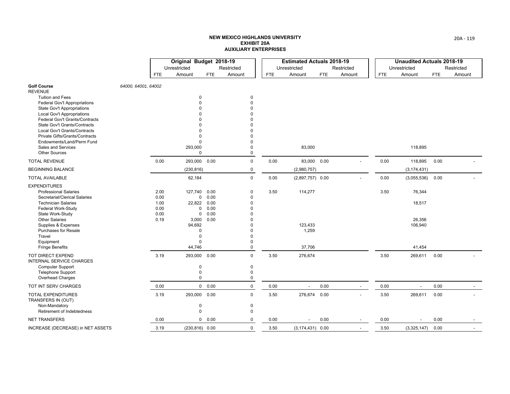|                                                                |                     | Original Budget 2018-19 |                   |            |               |      | <b>Estimated Actuals 2018-19</b> |            |            |      | <b>Unaudited Actuals 2018-19</b> |            |            |
|----------------------------------------------------------------|---------------------|-------------------------|-------------------|------------|---------------|------|----------------------------------|------------|------------|------|----------------------------------|------------|------------|
|                                                                |                     |                         | Unrestricted      |            | Restricted    |      | Unrestricted                     |            | Restricted |      | Unrestricted                     |            | Restricted |
|                                                                |                     | <b>FTE</b>              | Amount            | <b>FTE</b> | Amount        | FTE  | Amount                           | <b>FTE</b> | Amount     | FTE  | Amount                           | <b>FTE</b> | Amount     |
| <b>Golf Course</b><br><b>REVENUE</b>                           | 64000, 64001, 64002 |                         |                   |            |               |      |                                  |            |            |      |                                  |            |            |
| <b>Tuition and Fees</b>                                        |                     |                         | 0                 |            | 0             |      |                                  |            |            |      |                                  |            |            |
| <b>Federal Gov't Appropriations</b>                            |                     |                         | $\Omega$          |            | $\Omega$      |      |                                  |            |            |      |                                  |            |            |
| <b>State Gov't Appropriations</b>                              |                     |                         | ŋ                 |            | $\Omega$      |      |                                  |            |            |      |                                  |            |            |
| <b>Local Gov't Appropriations</b>                              |                     |                         |                   |            | n<br>$\Omega$ |      |                                  |            |            |      |                                  |            |            |
| Federal Gov't Grants/Contracts<br>State Gov't Grants/Contracts |                     |                         | n                 |            | $\Omega$      |      |                                  |            |            |      |                                  |            |            |
| Local Gov't Grants/Contracts                                   |                     |                         | 0                 |            | $\Omega$      |      |                                  |            |            |      |                                  |            |            |
| Private Gifts/Grants/Contracts                                 |                     |                         | $\Omega$          |            | $\Omega$      |      |                                  |            |            |      |                                  |            |            |
| Endowments/Land/Perm Fund                                      |                     |                         | $\mathbf 0$       |            | $\Omega$      |      |                                  |            |            |      |                                  |            |            |
| Sales and Services                                             |                     |                         | 293,000           |            | $\Omega$      |      | 83,000                           |            |            |      | 118,895                          |            |            |
| <b>Other Sources</b>                                           |                     |                         | 0                 |            | $\mathbf 0$   |      |                                  |            |            |      |                                  |            |            |
| <b>TOTAL REVENUE</b>                                           |                     | 0.00                    | 293,000           | 0.00       | $\mathbf 0$   | 0.00 | 83,000 0.00                      |            |            | 0.00 | 118,895                          | 0.00       |            |
| <b>BEGINNING BALANCE</b>                                       |                     |                         | (230, 816)        |            | $\mathbf 0$   |      | (2,980,757)                      |            |            |      | (3, 174, 431)                    |            |            |
| <b>TOTAL AVAILABLE</b>                                         |                     |                         | 62,184            |            | $\mathbf 0$   | 0.00 | $(2,897,757)$ 0.00               |            |            | 0.00 | (3,055,536)                      | 0.00       |            |
| <b>EXPENDITURES</b>                                            |                     |                         |                   |            |               |      |                                  |            |            |      |                                  |            |            |
| <b>Professional Salaries</b>                                   |                     | 2.00                    | 127,740           | 0.00       | $\Omega$      | 3.50 | 114,277                          |            |            | 3.50 | 76,344                           |            |            |
| Secretarial/Clerical Salaries                                  |                     | 0.00                    | 0                 | 0.00       | $\Omega$      |      |                                  |            |            |      |                                  |            |            |
| <b>Technician Salaries</b>                                     |                     | 1.00                    | 22,822            | 0.00       | $\Omega$      |      |                                  |            |            |      | 18,517                           |            |            |
| Federal Work-Study                                             |                     | 0.00                    | 0                 | 0.00       | $\Omega$      |      |                                  |            |            |      |                                  |            |            |
| State Work-Study                                               |                     | 0.00                    | 0                 | 0.00       |               |      |                                  |            |            |      |                                  |            |            |
| <b>Other Salaries</b><br>Supplies & Expenses                   |                     | 0.19                    | 3,000<br>94,692   | 0.00       |               |      | 123,433                          |            |            |      | 26,356<br>106,940                |            |            |
| <b>Purchases for Resale</b>                                    |                     |                         | $\Omega$          |            | $\Omega$      |      | 1,259                            |            |            |      |                                  |            |            |
| Travel                                                         |                     |                         | 0                 |            | $\Omega$      |      |                                  |            |            |      |                                  |            |            |
| Equipment                                                      |                     |                         | 0                 |            | $\Omega$      |      |                                  |            |            |      |                                  |            |            |
| <b>Fringe Benefits</b>                                         |                     |                         | 44,746            |            | $\mathbf 0$   |      | 37,706                           |            |            |      | 41,454                           |            |            |
| <b>TOT DIRECT EXPEND</b><br><b>INTERNAL SERVICE CHARGES</b>    |                     | 3.19                    | 293,000           | 0.00       | $\Omega$      | 3.50 | 276,674                          |            |            | 3.50 | 269,611                          | 0.00       |            |
| <b>Computer Support</b>                                        |                     |                         | 0                 |            | 0             |      |                                  |            |            |      |                                  |            |            |
| <b>Telephone Support</b>                                       |                     |                         | 0                 |            | $\mathbf 0$   |      |                                  |            |            |      |                                  |            |            |
| Overhead Charges                                               |                     |                         | 0                 |            | $\mathbf 0$   |      |                                  |            |            |      |                                  |            |            |
| TOT INT SERV CHARGES                                           |                     | 0.00                    |                   | 0 0.00     | $\mathbf 0$   | 0.00 | $\overline{\phantom{a}}$         | 0.00       |            | 0.00 | $\overline{\phantom{a}}$         | 0.00       |            |
| <b>TOTAL EXPENDITURES</b><br>TRANSFERS IN (OUT)                |                     | 3.19                    | 293,000           | 0.00       | $\mathbf 0$   | 3.50 | 276,674 0.00                     |            |            | 3.50 | 269,611                          | 0.00       |            |
| Non-Mandatory                                                  |                     |                         | 0                 |            | $\mathbf 0$   |      |                                  |            |            |      |                                  |            |            |
| Retirement of Indebtedness                                     |                     |                         | 0                 |            | $\mathbf 0$   |      |                                  |            |            |      |                                  |            |            |
| <b>NET TRANSFERS</b>                                           |                     | 0.00                    | 0                 | 0.00       | $\mathbf 0$   | 0.00 |                                  | 0.00       |            | 0.00 |                                  | 0.00       |            |
| INCREASE (DECREASE) in NET ASSETS                              |                     | 3.19                    | $(230, 816)$ 0.00 |            | $\mathbf 0$   | 3.50 | $(3, 174, 431)$ 0.00             |            |            | 3.50 | (3,325,147)                      | 0.00       |            |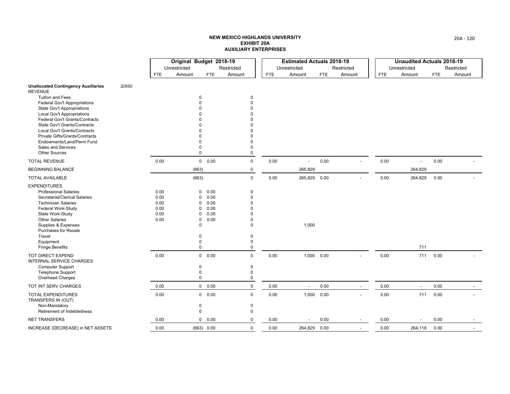|                                                                |       | Original Budget 2018-19 |              |                     |             |            | <b>Estimated Actuals 2018-19</b> |            |                |            | <b>Unaudited Actuals 2018-19</b> |            |            |
|----------------------------------------------------------------|-------|-------------------------|--------------|---------------------|-------------|------------|----------------------------------|------------|----------------|------------|----------------------------------|------------|------------|
|                                                                |       |                         | Unrestricted |                     | Restricted  |            | Unrestricted                     |            | Restricted     |            | Unrestricted                     |            | Restricted |
|                                                                |       | <b>FTE</b>              | Amount       | <b>FTE</b>          | Amount      | <b>FTE</b> | Amount                           | <b>FTE</b> | Amount         | <b>FTE</b> | Amount                           | <b>FTE</b> | Amount     |
| <b>Unallocated Contingency Auxiliaries</b><br><b>REVENUE</b>   | 32650 |                         |              |                     |             |            |                                  |            |                |            |                                  |            |            |
| <b>Tuition and Fees</b>                                        |       |                         |              | $\Omega$            | $\mathbf 0$ |            |                                  |            |                |            |                                  |            |            |
| <b>Federal Gov't Appropriations</b>                            |       |                         |              |                     | $\Omega$    |            |                                  |            |                |            |                                  |            |            |
| <b>State Gov't Appropriations</b>                              |       |                         |              |                     |             |            |                                  |            |                |            |                                  |            |            |
| <b>Local Gov't Appropriations</b>                              |       |                         |              |                     |             |            |                                  |            |                |            |                                  |            |            |
| Federal Gov't Grants/Contracts                                 |       |                         |              |                     |             |            |                                  |            |                |            |                                  |            |            |
| <b>State Gov't Grants/Contracts</b>                            |       |                         |              |                     |             |            |                                  |            |                |            |                                  |            |            |
| Local Gov't Grants/Contracts<br>Private Gifts/Grants/Contracts |       |                         |              |                     | $\Omega$    |            |                                  |            |                |            |                                  |            |            |
| Endowments/Land/Perm Fund                                      |       |                         |              |                     | $\Omega$    |            |                                  |            |                |            |                                  |            |            |
| <b>Sales and Services</b>                                      |       |                         |              | O                   | $\Omega$    |            |                                  |            |                |            |                                  |            |            |
| <b>Other Sources</b>                                           |       |                         |              | $\mathbf 0$         | 0           |            |                                  |            |                |            |                                  |            |            |
| <b>TOTAL REVENUE</b>                                           |       | 0.00                    |              | 0 0.00              | $\mathbf 0$ | 0.00       |                                  | 0.00       |                | 0.00       | $\overline{a}$                   | 0.00       |            |
| <b>BEGINNING BALANCE</b>                                       |       |                         | (663)        |                     | $\mathbf 0$ |            | 265,829                          |            |                |            | 264,829                          |            |            |
| <b>TOTAL AVAILABLE</b>                                         |       |                         | (663)        |                     | $\mathbf 0$ | 0.00       | 265,829 0.00                     |            |                | 0.00       | 264,829                          | 0.00       |            |
| <b>EXPENDITURES</b>                                            |       |                         |              |                     |             |            |                                  |            |                |            |                                  |            |            |
| <b>Professional Salaries</b>                                   |       | 0.00                    |              | 0.00<br>0           | $\mathbf 0$ |            |                                  |            |                |            |                                  |            |            |
| Secretarial/Clerical Salaries                                  |       | 0.00                    |              | 0.00<br>$\Omega$    | $\Omega$    |            |                                  |            |                |            |                                  |            |            |
| <b>Technician Salaries</b>                                     |       | 0.00                    |              | 0.00<br>O           | $\Omega$    |            |                                  |            |                |            |                                  |            |            |
| Federal Work-Study                                             |       | 0.00                    |              | 0.00<br>$\Omega$    |             |            |                                  |            |                |            |                                  |            |            |
| State Work-Study                                               |       | 0.00                    |              | 0.00<br>O           |             |            |                                  |            |                |            |                                  |            |            |
| <b>Other Salaries</b>                                          |       | 0.00                    |              | 0.00<br>$\mathbf 0$ | $\Omega$    |            |                                  |            |                |            |                                  |            |            |
| Supplies & Expenses<br><b>Purchases for Resale</b>             |       |                         |              | 0                   | $\Omega$    |            | 1,000                            |            |                |            |                                  |            |            |
| Travel                                                         |       |                         |              | n                   | $\Omega$    |            |                                  |            |                |            |                                  |            |            |
| Equipment                                                      |       |                         |              | 0                   | $\Omega$    |            |                                  |            |                |            |                                  |            |            |
| <b>Fringe Benefits</b>                                         |       |                         |              | $\mathbf 0$         | 0           |            |                                  |            |                |            | 711                              |            |            |
| TOT DIRECT EXPEND<br><b>INTERNAL SERVICE CHARGES</b>           |       | 0.00                    |              | 0 0.00              | $\mathbf 0$ | 0.00       | 1,000 0.00                       |            |                | 0.00       | 711                              | 0.00       |            |
| <b>Computer Support</b>                                        |       |                         |              | 0                   | 0           |            |                                  |            |                |            |                                  |            |            |
| <b>Telephone Support</b>                                       |       |                         |              | 0                   | 0           |            |                                  |            |                |            |                                  |            |            |
| Overhead Charges                                               |       |                         |              | $\mathbf 0$         | $\mathbf 0$ |            |                                  |            |                |            |                                  |            |            |
| TOT INT SERV CHARGES                                           |       | 0.00                    |              | 0 0.00              | $\mathsf 0$ | 0.00       | $\overline{\phantom{a}}$         | 0.00       | $\blacksquare$ | 0.00       | $\overline{\phantom{a}}$         | 0.00       |            |
| <b>TOTAL EXPENDITURES</b><br>TRANSFERS IN (OUT)                |       | 0.00                    |              | 0 0.00              | $\mathbf 0$ | 0.00       | 1,000 0.00                       |            |                | 0.00       | 711                              | 0.00       |            |
| Non-Mandatory                                                  |       |                         |              | 0                   | 0           |            |                                  |            |                |            |                                  |            |            |
| Retirement of Indebtedness                                     |       |                         |              | 0                   | $\Omega$    |            |                                  |            |                |            |                                  |            |            |
| <b>NET TRANSFERS</b>                                           |       | 0.00                    |              | 0<br>0.00           | 0           | 0.00       |                                  | 0.00       |                | 0.00       |                                  | 0.00       |            |
| INCREASE (DECREASE) in NET ASSETS                              |       | 0.00                    |              | (663) 0.00          | $\mathbf 0$ | 0.00       | 264,829 0.00                     |            |                | 0.00       | 264,118                          | 0.00       |            |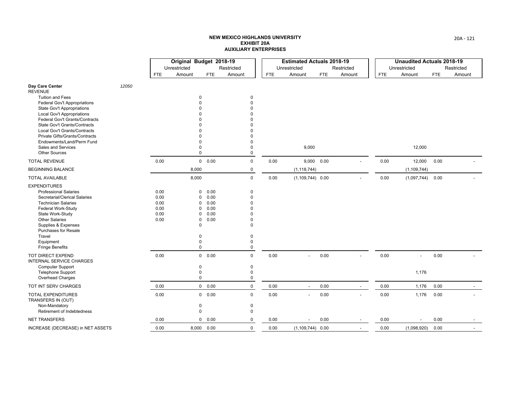|                                                                |       |            | Original Budget 2018-19 |              |                      |            | <b>Estimated Actuals 2018-19</b> |      |                |            | <b>Unaudited Actuals 2018-19</b> |            |            |
|----------------------------------------------------------------|-------|------------|-------------------------|--------------|----------------------|------------|----------------------------------|------|----------------|------------|----------------------------------|------------|------------|
|                                                                |       |            | Unrestricted            |              | Restricted           |            | Unrestricted                     |      | Restricted     |            | Unrestricted                     |            | Restricted |
|                                                                |       | <b>FTE</b> | Amount                  | <b>FTE</b>   | Amount               | <b>FTE</b> | Amount                           | FTE  | Amount         | <b>FTE</b> | Amount                           | <b>FTE</b> | Amount     |
| Day Care Center<br><b>REVENUE</b>                              | 12050 |            |                         |              |                      |            |                                  |      |                |            |                                  |            |            |
| <b>Tuition and Fees</b>                                        |       |            | 0                       |              | $\pmb{0}$            |            |                                  |      |                |            |                                  |            |            |
| <b>Federal Gov't Appropriations</b>                            |       |            |                         |              | $\Omega$             |            |                                  |      |                |            |                                  |            |            |
| <b>State Gov't Appropriations</b>                              |       |            |                         |              | O                    |            |                                  |      |                |            |                                  |            |            |
| Local Gov't Appropriations                                     |       |            |                         |              |                      |            |                                  |      |                |            |                                  |            |            |
| Federal Gov't Grants/Contracts<br>State Gov't Grants/Contracts |       |            |                         |              |                      |            |                                  |      |                |            |                                  |            |            |
| Local Gov't Grants/Contracts                                   |       |            |                         |              |                      |            |                                  |      |                |            |                                  |            |            |
| Private Gifts/Grants/Contracts                                 |       |            | O                       |              | $\Omega$             |            |                                  |      |                |            |                                  |            |            |
| Endowments/Land/Perm Fund                                      |       |            | 0                       |              | $\Omega$             |            |                                  |      |                |            |                                  |            |            |
| Sales and Services                                             |       |            | 0                       |              | 0                    |            | 9,000                            |      |                |            | 12,000                           |            |            |
| <b>Other Sources</b>                                           |       |            | $\mathbf 0$             |              | 0                    |            |                                  |      |                |            |                                  |            |            |
| <b>TOTAL REVENUE</b>                                           |       | 0.00       |                         | 0 0.00       | $\mathbf 0$          | 0.00       | 9,000 0.00                       |      |                | 0.00       | 12,000                           | 0.00       |            |
| <b>BEGINNING BALANCE</b>                                       |       |            | 8,000                   |              | $\pmb{0}$            |            | (1, 118, 744)                    |      |                |            | (1, 109, 744)                    |            |            |
| <b>TOTAL AVAILABLE</b>                                         |       |            | 8,000                   |              | $\mathbf 0$          | 0.00       | $(1, 109, 744)$ 0.00             |      |                | 0.00       | (1,097,744)                      | 0.00       |            |
| <b>EXPENDITURES</b>                                            |       |            |                         |              |                      |            |                                  |      |                |            |                                  |            |            |
| <b>Professional Salaries</b>                                   |       | 0.00       | 0                       | 0.00         | $\mathbf 0$          |            |                                  |      |                |            |                                  |            |            |
| Secretarial/Clerical Salaries                                  |       | 0.00       | 0                       | 0.00         | $\Omega$             |            |                                  |      |                |            |                                  |            |            |
| <b>Technician Salaries</b>                                     |       | 0.00       | 0                       | 0.00         | $\Omega$             |            |                                  |      |                |            |                                  |            |            |
| Federal Work-Study                                             |       | 0.00       | 0                       | 0.00         | O                    |            |                                  |      |                |            |                                  |            |            |
| State Work-Study<br><b>Other Salaries</b>                      |       | 0.00       | 0                       | 0.00<br>0.00 | $\Omega$<br>$\Omega$ |            |                                  |      |                |            |                                  |            |            |
| Supplies & Expenses                                            |       | 0.00       | $\mathbf 0$<br>0        |              | $\Omega$             |            |                                  |      |                |            |                                  |            |            |
| <b>Purchases for Resale</b>                                    |       |            |                         |              |                      |            |                                  |      |                |            |                                  |            |            |
| Travel                                                         |       |            | $\Omega$                |              | 0                    |            |                                  |      |                |            |                                  |            |            |
| Equipment                                                      |       |            | 0                       |              | $\Omega$             |            |                                  |      |                |            |                                  |            |            |
| <b>Fringe Benefits</b>                                         |       |            | 0                       |              | 0                    |            |                                  |      |                |            |                                  |            |            |
| TOT DIRECT EXPEND<br><b>INTERNAL SERVICE CHARGES</b>           |       | 0.00       |                         | 0 0.00       | $\mathbf 0$          | 0.00       |                                  | 0.00 |                | 0.00       | $\overline{\phantom{a}}$         | 0.00       |            |
| <b>Computer Support</b>                                        |       |            | 0                       |              | 0                    |            |                                  |      |                |            |                                  |            |            |
| Telephone Support                                              |       |            | 0                       |              | 0                    |            |                                  |      |                |            | 1,176                            |            |            |
| Overhead Charges                                               |       |            | 0                       |              | $\mathbf 0$          |            |                                  |      |                |            |                                  |            |            |
| TOT INT SERV CHARGES                                           |       | 0.00       |                         | 0 0.00       | $\pmb{0}$            | 0.00       | $\blacksquare$                   | 0.00 |                | 0.00       | 1,176                            | 0.00       |            |
| <b>TOTAL EXPENDITURES</b><br>TRANSFERS IN (OUT)                |       | 0.00       |                         | 0 0.00       | $\mathbf 0$          | 0.00       | $\overline{a}$                   | 0.00 |                | 0.00       | 1,176                            | 0.00       |            |
| Non-Mandatory                                                  |       |            | 0                       |              | $\mathbf 0$          |            |                                  |      |                |            |                                  |            |            |
| Retirement of Indebtedness                                     |       |            | 0                       |              | $\mathbf 0$          |            |                                  |      |                |            |                                  |            |            |
| <b>NET TRANSFERS</b>                                           |       | 0.00       | 0                       | 0.00         | 0                    | 0.00       |                                  | 0.00 |                | 0.00       |                                  | 0.00       |            |
| INCREASE (DECREASE) in NET ASSETS                              |       | 0.00       |                         | 8,000 0.00   | $\mathbf 0$          | 0.00       | $(1, 109, 744)$ 0.00             |      | $\overline{a}$ | 0.00       | (1,098,920)                      | 0.00       |            |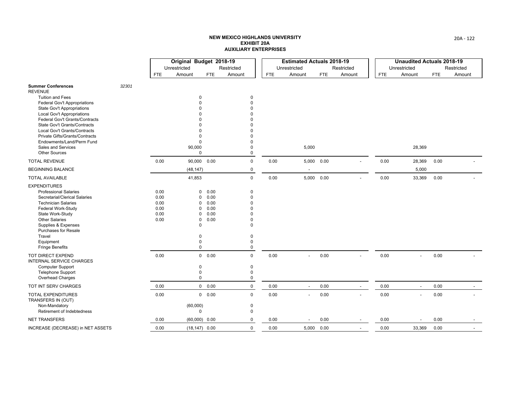|                                                                     |       |            | Original Budget 2018-19 |            |              |      | <b>Estimated Actuals 2018-19</b> |            |            |      | <b>Unaudited Actuals 2018-19</b> |            |            |
|---------------------------------------------------------------------|-------|------------|-------------------------|------------|--------------|------|----------------------------------|------------|------------|------|----------------------------------|------------|------------|
|                                                                     |       |            | Unrestricted            |            | Restricted   |      | Unrestricted                     |            | Restricted |      | Unrestricted                     |            | Restricted |
|                                                                     |       | <b>FTE</b> | Amount                  | <b>FTE</b> | Amount       | FTE  | Amount                           | <b>FTE</b> | Amount     | FTE  | Amount                           | <b>FTE</b> | Amount     |
| <b>Summer Conferences</b><br><b>REVENUE</b>                         | 32301 |            |                         |            |              |      |                                  |            |            |      |                                  |            |            |
| <b>Tuition and Fees</b>                                             |       |            | 0                       |            | 0            |      |                                  |            |            |      |                                  |            |            |
| <b>Federal Gov't Appropriations</b>                                 |       |            | O                       |            | $\Omega$     |      |                                  |            |            |      |                                  |            |            |
| <b>State Gov't Appropriations</b>                                   |       |            |                         |            | $\Omega$     |      |                                  |            |            |      |                                  |            |            |
| <b>Local Gov't Appropriations</b>                                   |       |            |                         |            | n            |      |                                  |            |            |      |                                  |            |            |
| Federal Gov't Grants/Contracts                                      |       |            |                         |            |              |      |                                  |            |            |      |                                  |            |            |
| State Gov't Grants/Contracts<br><b>Local Gov't Grants/Contracts</b> |       |            | 0                       |            | $\Omega$     |      |                                  |            |            |      |                                  |            |            |
| Private Gifts/Grants/Contracts                                      |       |            | 0                       |            | $\Omega$     |      |                                  |            |            |      |                                  |            |            |
| Endowments/Land/Perm Fund                                           |       |            | $\mathbf 0$             |            | $\Omega$     |      |                                  |            |            |      |                                  |            |            |
| Sales and Services                                                  |       |            | 90,000                  |            | 0            |      | 5,000                            |            |            |      | 28,369                           |            |            |
| <b>Other Sources</b>                                                |       |            | $\mathbf 0$             |            | $\mathbf 0$  |      |                                  |            |            |      |                                  |            |            |
| <b>TOTAL REVENUE</b>                                                |       | 0.00       | 90,000                  | 0.00       | $\mathbf 0$  | 0.00 | 5,000 0.00                       |            |            | 0.00 | 28,369                           | 0.00       |            |
| <b>BEGINNING BALANCE</b>                                            |       |            | (48, 147)               |            | $\mathbf 0$  |      | $\overline{\phantom{a}}$         |            |            |      | 5,000                            |            |            |
| <b>TOTAL AVAILABLE</b>                                              |       |            | 41,853                  |            | $\mathbf 0$  | 0.00 | 5,000 0.00                       |            |            | 0.00 | 33,369                           | 0.00       |            |
| <b>EXPENDITURES</b>                                                 |       |            |                         |            |              |      |                                  |            |            |      |                                  |            |            |
| <b>Professional Salaries</b>                                        |       | 0.00       | 0                       | 0.00       | $\mathbf 0$  |      |                                  |            |            |      |                                  |            |            |
| Secretarial/Clerical Salaries                                       |       | 0.00       | 0                       | 0.00       | $\Omega$     |      |                                  |            |            |      |                                  |            |            |
| <b>Technician Salaries</b>                                          |       | 0.00       | 0                       | 0.00       | $\Omega$     |      |                                  |            |            |      |                                  |            |            |
| Federal Work-Study                                                  |       | 0.00       | 0                       | 0.00       | n            |      |                                  |            |            |      |                                  |            |            |
| State Work-Study                                                    |       | 0.00       | 0                       | 0.00       | $\Omega$     |      |                                  |            |            |      |                                  |            |            |
| <b>Other Salaries</b>                                               |       | 0.00       | 0                       | 0.00       | $\Omega$     |      |                                  |            |            |      |                                  |            |            |
| Supplies & Expenses                                                 |       |            | 0                       |            | $\Omega$     |      |                                  |            |            |      |                                  |            |            |
| <b>Purchases for Resale</b><br>Travel                               |       |            | 0                       |            | $\mathbf 0$  |      |                                  |            |            |      |                                  |            |            |
| Equipment                                                           |       |            | 0                       |            | $\mathbf 0$  |      |                                  |            |            |      |                                  |            |            |
| <b>Fringe Benefits</b>                                              |       |            | $\mathbf 0$             |            | $\mathbf 0$  |      |                                  |            |            |      |                                  |            |            |
| <b>TOT DIRECT EXPEND</b><br><b>INTERNAL SERVICE CHARGES</b>         |       | 0.00       |                         | 0 0.00     | $\mathbf 0$  | 0.00 | $\overline{\phantom{a}}$         | 0.00       |            | 0.00 | $\overline{\phantom{a}}$         | 0.00       |            |
| Computer Support                                                    |       |            | 0                       |            | $\mathbf 0$  |      |                                  |            |            |      |                                  |            |            |
| <b>Telephone Support</b>                                            |       |            | 0                       |            | $\mathbf 0$  |      |                                  |            |            |      |                                  |            |            |
| Overhead Charges                                                    |       |            | 0                       |            | $\mathbf 0$  |      |                                  |            |            |      |                                  |            |            |
| TOT INT SERV CHARGES                                                |       | 0.00       |                         | 0 0.00     | $\mathbf 0$  | 0.00 | $\overline{\phantom{a}}$         | 0.00       |            | 0.00 | $\overline{\phantom{a}}$         | 0.00       |            |
| <b>TOTAL EXPENDITURES</b><br>TRANSFERS IN (OUT)                     |       | 0.00       |                         | 0 0.00     | $\mathbf{0}$ | 0.00 | $\overline{\phantom{a}}$         | 0.00       |            | 0.00 | $\blacksquare$                   | 0.00       |            |
| Non-Mandatory                                                       |       |            | (60,000)                |            | $\mathbf 0$  |      |                                  |            |            |      |                                  |            |            |
| Retirement of Indebtedness                                          |       |            | 0                       |            | $\mathbf 0$  |      |                                  |            |            |      |                                  |            |            |
| <b>NET TRANSFERS</b>                                                |       | 0.00       | $(60,000)$ 0.00         |            | $\mathbf 0$  | 0.00 |                                  | 0.00       |            | 0.00 |                                  | 0.00       |            |
| INCREASE (DECREASE) in NET ASSETS                                   |       | 0.00       | $(18, 147)$ 0.00        |            | $\mathbf 0$  | 0.00 | 5,000 0.00                       |            |            | 0.00 | 33,369                           | 0.00       |            |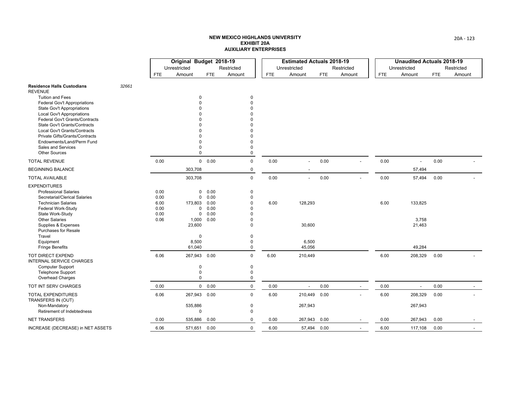|                                                                       |       |      | Original Budget 2018-19 |            |                      |      | <b>Estimated Actuals 2018-19</b> |            |            |      | <b>Unaudited Actuals 2018-19</b> |            |            |
|-----------------------------------------------------------------------|-------|------|-------------------------|------------|----------------------|------|----------------------------------|------------|------------|------|----------------------------------|------------|------------|
|                                                                       |       |      | Unrestricted            |            | Restricted           |      | Unrestricted                     |            | Restricted |      | Unrestricted                     |            | Restricted |
|                                                                       |       | FTE  | Amount                  | <b>FTE</b> | Amount               | FTE  | Amount                           | <b>FTE</b> | Amount     | FTE  | Amount                           | <b>FTE</b> | Amount     |
| <b>Residence Halls Custodians</b><br><b>REVENUE</b>                   | 32661 |      |                         |            |                      |      |                                  |            |            |      |                                  |            |            |
| <b>Tuition and Fees</b>                                               |       |      | 0                       |            | $\mathbf 0$          |      |                                  |            |            |      |                                  |            |            |
| <b>Federal Gov't Appropriations</b>                                   |       |      | U                       |            | $\Omega$             |      |                                  |            |            |      |                                  |            |            |
| <b>State Gov't Appropriations</b>                                     |       |      |                         |            | $\Omega$             |      |                                  |            |            |      |                                  |            |            |
| <b>Local Gov't Appropriations</b>                                     |       |      |                         |            | $\Omega$             |      |                                  |            |            |      |                                  |            |            |
| Federal Gov't Grants/Contracts<br><b>State Gov't Grants/Contracts</b> |       |      |                         |            | n                    |      |                                  |            |            |      |                                  |            |            |
| Local Gov't Grants/Contracts                                          |       |      |                         |            | n                    |      |                                  |            |            |      |                                  |            |            |
| Private Gifts/Grants/Contracts                                        |       |      | n                       |            | $\Omega$             |      |                                  |            |            |      |                                  |            |            |
| Endowments/Land/Perm Fund                                             |       |      | 0                       |            | $\Omega$             |      |                                  |            |            |      |                                  |            |            |
| <b>Sales and Services</b>                                             |       |      | 0                       |            | 0                    |      |                                  |            |            |      |                                  |            |            |
| <b>Other Sources</b>                                                  |       |      | 0                       |            | $\mathbf 0$          |      |                                  |            |            |      |                                  |            |            |
| <b>TOTAL REVENUE</b>                                                  |       | 0.00 |                         | 0 0.00     | $\mathbf 0$          | 0.00 |                                  | 0.00       |            | 0.00 |                                  | 0.00       |            |
| <b>BEGINNING BALANCE</b>                                              |       |      | 303,708                 |            | $\mathbf 0$          |      |                                  |            |            |      | 57,494                           |            |            |
| <b>TOTAL AVAILABLE</b>                                                |       |      | 303,708                 |            | $\mathbf{0}$         | 0.00 | $\overline{a}$                   | 0.00       |            | 0.00 | 57,494                           | 0.00       |            |
| <b>EXPENDITURES</b>                                                   |       |      |                         |            |                      |      |                                  |            |            |      |                                  |            |            |
| <b>Professional Salaries</b>                                          |       | 0.00 | 0                       | 0.00       | $\mathbf 0$          |      |                                  |            |            |      |                                  |            |            |
| Secretarial/Clerical Salaries                                         |       | 0.00 | 0                       | 0.00       | 0                    |      |                                  |            |            |      |                                  |            |            |
| <b>Technician Salaries</b>                                            |       | 6.00 | 173,803                 | 0.00       | $\mathbf 0$          | 6.00 | 128,293                          |            |            | 6.00 | 133,825                          |            |            |
| Federal Work-Study                                                    |       | 0.00 | 0                       | 0.00       | $\Omega$             |      |                                  |            |            |      |                                  |            |            |
| State Work-Study                                                      |       | 0.00 | 0                       | 0.00       | $\Omega$             |      |                                  |            |            |      |                                  |            |            |
| <b>Other Salaries</b>                                                 |       | 0.06 | 1,000                   | 0.00       | $\Omega$<br>$\Omega$ |      |                                  |            |            |      | 3,758                            |            |            |
| Supplies & Expenses<br><b>Purchases for Resale</b>                    |       |      | 23,600                  |            |                      |      | 30,600                           |            |            |      | 21,463                           |            |            |
| Travel                                                                |       |      | $\mathbf 0$             |            | $\mathbf 0$          |      |                                  |            |            |      |                                  |            |            |
| Equipment                                                             |       |      | 8,500                   |            | 0                    |      | 6,500                            |            |            |      |                                  |            |            |
| <b>Fringe Benefits</b>                                                |       |      | 61,040                  |            | 0                    |      | 45,056                           |            |            |      | 49,284                           |            |            |
| <b>TOT DIRECT EXPEND</b><br><b>INTERNAL SERVICE CHARGES</b>           |       | 6.06 | 267,943                 | 0.00       | $\mathbf 0$          | 6.00 | 210,449                          |            |            | 6.00 | 208,329                          | 0.00       |            |
| <b>Computer Support</b>                                               |       |      | 0                       |            | $\mathbf 0$          |      |                                  |            |            |      |                                  |            |            |
| <b>Telephone Support</b>                                              |       |      | 0                       |            | $\mathbf 0$          |      |                                  |            |            |      |                                  |            |            |
| Overhead Charges                                                      |       |      | 0                       |            | $\mathbf 0$          |      |                                  |            |            |      |                                  |            |            |
| TOT INT SERV CHARGES                                                  |       | 0.00 |                         | 0 0.00     | $\mathbf 0$          | 0.00 | $\sim$                           | 0.00       |            | 0.00 | $\blacksquare$                   | 0.00       |            |
| TOTAL EXPENDITURES<br>TRANSFERS IN (OUT)                              |       | 6.06 | 267,943 0.00            |            | $\mathbf 0$          | 6.00 | 210,449 0.00                     |            |            | 6.00 | 208,329                          | 0.00       |            |
| Non-Mandatory                                                         |       |      | 535,886                 |            | $\mathbf 0$          |      | 267,943                          |            |            |      | 267,943                          |            |            |
| Retirement of Indebtedness                                            |       |      | $\mathbf 0$             |            | 0                    |      |                                  |            |            |      |                                  |            |            |
| <b>NET TRANSFERS</b>                                                  |       | 0.00 | 535,886                 | 0.00       | $\mathbf 0$          | 0.00 | 267,943                          | 0.00       |            | 0.00 | 267,943                          | 0.00       |            |
| INCREASE (DECREASE) in NET ASSETS                                     |       | 6.06 | 571,651                 | 0.00       | $\mathbf 0$          | 6.00 | 57,494 0.00                      |            |            | 6.00 | 117,108                          | 0.00       |            |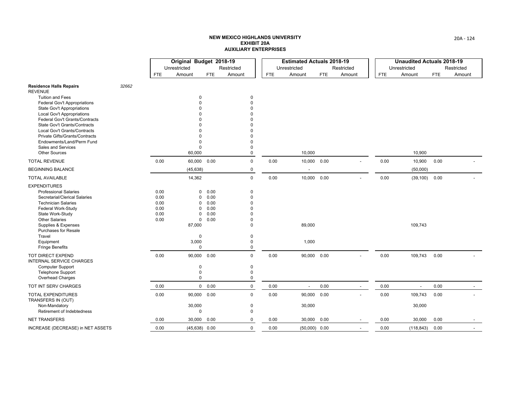|                                                                |       |            | Original Budget 2018-19 |              |                      |      | <b>Estimated Actuals 2018-19</b> |      |            |      | <b>Unaudited Actuals 2018-19</b> |            |            |
|----------------------------------------------------------------|-------|------------|-------------------------|--------------|----------------------|------|----------------------------------|------|------------|------|----------------------------------|------------|------------|
|                                                                |       |            | Unrestricted            |              | Restricted           |      | Unrestricted                     |      | Restricted |      | Unrestricted                     |            | Restricted |
|                                                                |       | <b>FTE</b> | Amount                  | <b>FTE</b>   | Amount               | FTE  | Amount                           | FTE. | Amount     | FTE  | Amount                           | <b>FTE</b> | Amount     |
| <b>Residence Halls Repairs</b><br><b>REVENUE</b>               | 32662 |            |                         |              |                      |      |                                  |      |            |      |                                  |            |            |
| <b>Tuition and Fees</b>                                        |       |            | $\mathbf 0$             |              | 0                    |      |                                  |      |            |      |                                  |            |            |
| Federal Gov't Appropriations                                   |       |            |                         |              | $\Omega$             |      |                                  |      |            |      |                                  |            |            |
| <b>State Gov't Appropriations</b>                              |       |            |                         |              | $\Omega$             |      |                                  |      |            |      |                                  |            |            |
| Local Gov't Appropriations                                     |       |            |                         |              | O                    |      |                                  |      |            |      |                                  |            |            |
| Federal Gov't Grants/Contracts<br>State Gov't Grants/Contracts |       |            |                         |              | ŋ<br>ŋ               |      |                                  |      |            |      |                                  |            |            |
| Local Gov't Grants/Contracts                                   |       |            |                         |              | $\Omega$             |      |                                  |      |            |      |                                  |            |            |
| Private Gifts/Grants/Contracts                                 |       |            |                         |              | O                    |      |                                  |      |            |      |                                  |            |            |
| Endowments/Land/Perm Fund                                      |       |            | $\Omega$                |              | 0                    |      |                                  |      |            |      |                                  |            |            |
| Sales and Services                                             |       |            | $\Omega$                |              | 0                    |      |                                  |      |            |      |                                  |            |            |
| <b>Other Sources</b>                                           |       |            | 60,000                  |              | 0                    |      | 10,000                           |      |            |      | 10,900                           |            |            |
| <b>TOTAL REVENUE</b>                                           |       | 0.00       | 60,000                  | 0.00         | $\mathbf 0$          | 0.00 | 10,000 0.00                      |      |            | 0.00 | 10,900                           | 0.00       |            |
| <b>BEGINNING BALANCE</b>                                       |       |            | (45, 638)               |              | $\mathbf 0$          |      | $\overline{\phantom{a}}$         |      |            |      | (50,000)                         |            |            |
| <b>TOTAL AVAILABLE</b>                                         |       |            | 14,362                  |              | $\mathbf 0$          | 0.00 | 10,000 0.00                      |      |            | 0.00 | $(39, 100)$ 0.00                 |            |            |
| <b>EXPENDITURES</b>                                            |       |            |                         |              |                      |      |                                  |      |            |      |                                  |            |            |
| <b>Professional Salaries</b>                                   |       | 0.00       | $\Omega$                | 0.00         | 0                    |      |                                  |      |            |      |                                  |            |            |
| Secretarial/Clerical Salaries                                  |       | 0.00       | 0                       | 0.00         | $\Omega$             |      |                                  |      |            |      |                                  |            |            |
| <b>Technician Salaries</b>                                     |       | 0.00       | $\Omega$                | 0.00         | $\Omega$             |      |                                  |      |            |      |                                  |            |            |
| Federal Work-Study                                             |       | 0.00       | $\Omega$                | 0.00         | O                    |      |                                  |      |            |      |                                  |            |            |
| State Work-Study<br><b>Other Salaries</b>                      |       | 0.00       | $\Omega$                | 0.00<br>0.00 | $\Omega$<br>$\Omega$ |      |                                  |      |            |      |                                  |            |            |
| Supplies & Expenses                                            |       | 0.00       | 0<br>87,000             |              | $\Omega$             |      | 89,000                           |      |            |      | 109,743                          |            |            |
| <b>Purchases for Resale</b>                                    |       |            |                         |              |                      |      |                                  |      |            |      |                                  |            |            |
| Travel                                                         |       |            | $\mathbf 0$             |              | 0                    |      |                                  |      |            |      |                                  |            |            |
| Equipment                                                      |       |            | 3,000                   |              | 0                    |      | 1,000                            |      |            |      |                                  |            |            |
| <b>Fringe Benefits</b>                                         |       |            | $\mathbf 0$             |              | 0                    |      |                                  |      |            |      |                                  |            |            |
| TOT DIRECT EXPEND<br><b>INTERNAL SERVICE CHARGES</b>           |       | 0.00       | 90,000                  | 0.00         | $\mathbf 0$          | 0.00 | 90,000 0.00                      |      |            | 0.00 | 109,743                          | 0.00       |            |
| <b>Computer Support</b>                                        |       |            | 0                       |              | $\mathbf 0$          |      |                                  |      |            |      |                                  |            |            |
| <b>Telephone Support</b>                                       |       |            | 0                       |              | 0                    |      |                                  |      |            |      |                                  |            |            |
| Overhead Charges                                               |       |            | 0                       |              | 0                    |      |                                  |      |            |      |                                  |            |            |
| TOT INT SERV CHARGES                                           |       | 0.00       | $\mathbf 0$             | 0.00         | $\mathbf 0$          | 0.00 | $\sim$                           | 0.00 |            | 0.00 | $\blacksquare$                   | 0.00       |            |
| TOTAL EXPENDITURES<br>TRANSFERS IN (OUT)                       |       | 0.00       | 90,000                  | 0.00         | $\mathsf{O}$         | 0.00 | 90,000 0.00                      |      |            | 0.00 | 109,743                          | 0.00       |            |
| Non-Mandatory                                                  |       |            | 30,000                  |              | 0                    |      | 30,000                           |      |            |      | 30,000                           |            |            |
| Retirement of Indebtedness                                     |       |            | 0                       |              | 0                    |      |                                  |      |            |      |                                  |            |            |
| <b>NET TRANSFERS</b>                                           |       | 0.00       | 30,000                  | 0.00         | 0                    | 0.00 | 30,000                           | 0.00 |            | 0.00 | 30,000                           | 0.00       |            |
| INCREASE (DECREASE) in NET ASSETS                              |       | 0.00       | $(45, 638)$ 0.00        |              | $\mathbf 0$          | 0.00 | $(50,000)$ 0.00                  |      |            | 0.00 | (118, 843)                       | 0.00       |            |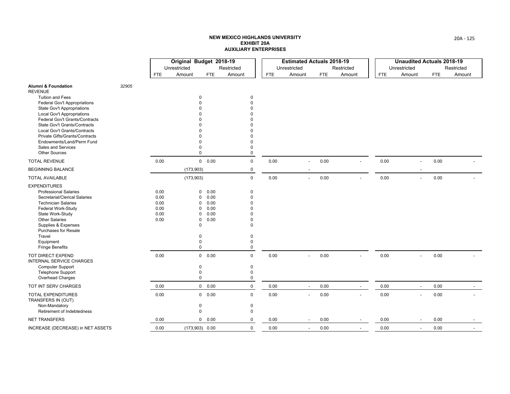|                                                                     |       |            | Original Budget 2018-19 |                        |             |            | <b>Estimated Actuals 2018-19</b> |            |                          |            | <b>Unaudited Actuals 2018-19</b> |      |            |
|---------------------------------------------------------------------|-------|------------|-------------------------|------------------------|-------------|------------|----------------------------------|------------|--------------------------|------------|----------------------------------|------|------------|
|                                                                     |       |            | Unrestricted            |                        | Restricted  |            | Unrestricted                     |            | Restricted               |            | Unrestricted                     |      | Restricted |
|                                                                     |       | <b>FTE</b> | Amount                  | FTE                    | Amount      | <b>FTE</b> | Amount                           | <b>FTE</b> | Amount                   | <b>FTE</b> | Amount                           | FTE. | Amount     |
| <b>Alumni &amp; Foundation</b><br><b>REVENUE</b>                    | 32905 |            |                         |                        |             |            |                                  |            |                          |            |                                  |      |            |
| <b>Tuition and Fees</b>                                             |       |            |                         | $\mathbf 0$            | 0           |            |                                  |            |                          |            |                                  |      |            |
| <b>Federal Gov't Appropriations</b>                                 |       |            |                         |                        | $\Omega$    |            |                                  |            |                          |            |                                  |      |            |
| <b>State Gov't Appropriations</b>                                   |       |            |                         |                        |             |            |                                  |            |                          |            |                                  |      |            |
| <b>Local Gov't Appropriations</b>                                   |       |            |                         |                        |             |            |                                  |            |                          |            |                                  |      |            |
| Federal Gov't Grants/Contracts                                      |       |            |                         |                        |             |            |                                  |            |                          |            |                                  |      |            |
| <b>State Gov't Grants/Contracts</b><br>Local Gov't Grants/Contracts |       |            |                         |                        | ŋ           |            |                                  |            |                          |            |                                  |      |            |
| Private Gifts/Grants/Contracts                                      |       |            |                         |                        | U           |            |                                  |            |                          |            |                                  |      |            |
| Endowments/Land/Perm Fund                                           |       |            |                         |                        | $\Omega$    |            |                                  |            |                          |            |                                  |      |            |
| Sales and Services                                                  |       |            |                         | $\Omega$               | $\Omega$    |            |                                  |            |                          |            |                                  |      |            |
| <b>Other Sources</b>                                                |       |            |                         | $\mathbf 0$            | 0           |            |                                  |            |                          |            |                                  |      |            |
| <b>TOTAL REVENUE</b>                                                |       | 0.00       |                         | 0 0.00                 | $\mathbf 0$ | 0.00       |                                  | 0.00       |                          | 0.00       | $\overline{\phantom{a}}$         | 0.00 |            |
| <b>BEGINNING BALANCE</b>                                            |       |            | (173, 903)              |                        | $\mathbf 0$ |            |                                  |            |                          |            |                                  |      |            |
| <b>TOTAL AVAILABLE</b>                                              |       |            | (173,903)               |                        | $\Omega$    | 0.00       | $\overline{a}$                   | 0.00       |                          | 0.00       | $\overline{\phantom{a}}$         | 0.00 |            |
| <b>EXPENDITURES</b>                                                 |       |            |                         |                        |             |            |                                  |            |                          |            |                                  |      |            |
| <b>Professional Salaries</b>                                        |       | 0.00       |                         | 0.00<br>$\mathbf 0$    | $\Omega$    |            |                                  |            |                          |            |                                  |      |            |
| Secretarial/Clerical Salaries                                       |       | 0.00       |                         | 0.00<br>0              | $\Omega$    |            |                                  |            |                          |            |                                  |      |            |
| <b>Technician Salaries</b>                                          |       | 0.00       |                         | 0.00<br>0              | $\Omega$    |            |                                  |            |                          |            |                                  |      |            |
| Federal Work-Study                                                  |       | 0.00       |                         | 0.00<br>0              |             |            |                                  |            |                          |            |                                  |      |            |
| State Work-Study                                                    |       | 0.00       |                         | 0.00<br>O              |             |            |                                  |            |                          |            |                                  |      |            |
| <b>Other Salaries</b>                                               |       | 0.00       |                         | 0.00<br>0              | $\Omega$    |            |                                  |            |                          |            |                                  |      |            |
| Supplies & Expenses                                                 |       |            |                         | $\mathbf 0$            | $\Omega$    |            |                                  |            |                          |            |                                  |      |            |
| <b>Purchases for Resale</b><br>Travel                               |       |            |                         | $\Omega$               | $\Omega$    |            |                                  |            |                          |            |                                  |      |            |
| Equipment                                                           |       |            |                         | 0                      | $\Omega$    |            |                                  |            |                          |            |                                  |      |            |
| <b>Fringe Benefits</b>                                              |       |            |                         | $\mathbf 0$            | $\Omega$    |            |                                  |            |                          |            |                                  |      |            |
| <b>TOT DIRECT EXPEND</b><br><b>INTERNAL SERVICE CHARGES</b>         |       | 0.00       |                         | $\overline{0}$<br>0.00 | $\mathbf 0$ | 0.00       |                                  | 0.00       |                          | 0.00       | $\overline{a}$                   | 0.00 |            |
| <b>Computer Support</b>                                             |       |            |                         | 0                      | 0           |            |                                  |            |                          |            |                                  |      |            |
| <b>Telephone Support</b>                                            |       |            |                         | $\mathbf 0$            | 0           |            |                                  |            |                          |            |                                  |      |            |
| Overhead Charges                                                    |       |            |                         | $\mathbf 0$            | $\mathbf 0$ |            |                                  |            |                          |            |                                  |      |            |
| TOT INT SERV CHARGES                                                |       | 0.00       |                         | 0 0.00                 | $\mathbf 0$ | 0.00       | $\sim$                           | 0.00       | $\overline{\phantom{a}}$ | 0.00       | $\overline{\phantom{a}}$         | 0.00 |            |
| TOTAL EXPENDITURES<br>TRANSFERS IN (OUT)                            |       | 0.00       |                         | 0 0.00                 | $\mathsf 0$ | 0.00       | $\sim$                           | 0.00       |                          | 0.00       | $\blacksquare$                   | 0.00 |            |
| Non-Mandatory                                                       |       |            |                         | $\mathbf 0$            | 0           |            |                                  |            |                          |            |                                  |      |            |
| Retirement of Indebtedness                                          |       |            |                         | $\mathbf 0$            | 0           |            |                                  |            |                          |            |                                  |      |            |
| <b>NET TRANSFERS</b>                                                |       | 0.00       |                         | $\mathbf 0$<br>0.00    | 0           | 0.00       |                                  | 0.00       |                          | 0.00       |                                  | 0.00 |            |
| INCREASE (DECREASE) in NET ASSETS                                   |       | 0.00       |                         | $(173,903)$ 0.00       | $\mathbf 0$ | 0.00       | $\overline{\phantom{a}}$         | 0.00       | $\overline{a}$           | 0.00       | $\overline{\phantom{a}}$         | 0.00 |            |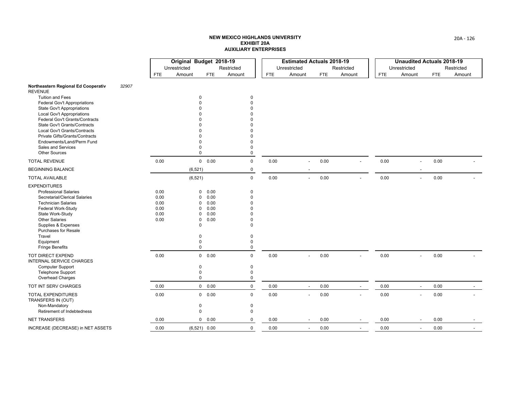|                                                                       |       |            | Original Budget 2018-19 |                |             |      | <b>Estimated Actuals 2018-19</b> |            |                          |            | <b>Unaudited Actuals 2018-19</b> |            |            |
|-----------------------------------------------------------------------|-------|------------|-------------------------|----------------|-------------|------|----------------------------------|------------|--------------------------|------------|----------------------------------|------------|------------|
|                                                                       |       |            | Unrestricted            |                | Restricted  |      | Unrestricted                     |            | Restricted               |            | Unrestricted                     |            | Restricted |
|                                                                       |       | <b>FTE</b> | Amount                  | <b>FTE</b>     | Amount      | FTE  | Amount                           | <b>FTE</b> | Amount                   | <b>FTE</b> | Amount                           | <b>FTE</b> | Amount     |
| Northeastern Regional Ed Cooperativ<br><b>REVENUE</b>                 | 32907 |            |                         |                |             |      |                                  |            |                          |            |                                  |            |            |
| <b>Tuition and Fees</b>                                               |       |            | <sup>0</sup>            |                | 0           |      |                                  |            |                          |            |                                  |            |            |
| <b>Federal Gov't Appropriations</b>                                   |       |            |                         |                | $\Omega$    |      |                                  |            |                          |            |                                  |            |            |
| <b>State Gov't Appropriations</b>                                     |       |            |                         |                |             |      |                                  |            |                          |            |                                  |            |            |
| <b>Local Gov't Appropriations</b>                                     |       |            |                         |                |             |      |                                  |            |                          |            |                                  |            |            |
| Federal Gov't Grants/Contracts<br><b>State Gov't Grants/Contracts</b> |       |            |                         |                |             |      |                                  |            |                          |            |                                  |            |            |
| Local Gov't Grants/Contracts                                          |       |            |                         |                |             |      |                                  |            |                          |            |                                  |            |            |
| Private Gifts/Grants/Contracts                                        |       |            |                         |                | $\Omega$    |      |                                  |            |                          |            |                                  |            |            |
| Endowments/Land/Perm Fund                                             |       |            |                         |                | $\Omega$    |      |                                  |            |                          |            |                                  |            |            |
| <b>Sales and Services</b>                                             |       |            | O                       |                | $\Omega$    |      |                                  |            |                          |            |                                  |            |            |
| <b>Other Sources</b>                                                  |       |            | $\mathbf 0$             |                | 0           |      |                                  |            |                          |            |                                  |            |            |
| <b>TOTAL REVENUE</b>                                                  |       | 0.00       |                         | 0 0.00         | $\mathbf 0$ | 0.00 |                                  | 0.00       |                          | 0.00       | $\overline{\phantom{a}}$         | 0.00       |            |
| <b>BEGINNING BALANCE</b>                                              |       |            | (6, 521)                |                | $\mathbf 0$ |      |                                  |            |                          |            |                                  |            |            |
| <b>TOTAL AVAILABLE</b>                                                |       |            | (6, 521)                |                | $\mathbf 0$ | 0.00 | $\sim$                           | 0.00       |                          | 0.00       | $\overline{a}$                   | 0.00       |            |
| <b>EXPENDITURES</b>                                                   |       |            |                         |                |             |      |                                  |            |                          |            |                                  |            |            |
| <b>Professional Salaries</b>                                          |       | 0.00       | 0                       | 0.00           | $\Omega$    |      |                                  |            |                          |            |                                  |            |            |
| Secretarial/Clerical Salaries                                         |       | 0.00       | <sup>0</sup>            | 0.00           | $\Omega$    |      |                                  |            |                          |            |                                  |            |            |
| <b>Technician Salaries</b>                                            |       | 0.00       | 0                       | 0.00           | $\Omega$    |      |                                  |            |                          |            |                                  |            |            |
| Federal Work-Study                                                    |       | 0.00       | 0                       | 0.00           |             |      |                                  |            |                          |            |                                  |            |            |
| State Work-Study                                                      |       | 0.00       | $\Omega$                | 0.00           |             |      |                                  |            |                          |            |                                  |            |            |
| <b>Other Salaries</b>                                                 |       | 0.00       | $\mathbf 0$             | 0.00           | $\Omega$    |      |                                  |            |                          |            |                                  |            |            |
| Supplies & Expenses<br><b>Purchases for Resale</b>                    |       |            | $\Omega$                |                | $\Omega$    |      |                                  |            |                          |            |                                  |            |            |
| Travel                                                                |       |            | O                       |                | $\Omega$    |      |                                  |            |                          |            |                                  |            |            |
| Equipment                                                             |       |            | 0                       |                | $\Omega$    |      |                                  |            |                          |            |                                  |            |            |
| <b>Fringe Benefits</b>                                                |       |            | $\mathbf 0$             |                | $\Omega$    |      |                                  |            |                          |            |                                  |            |            |
| TOT DIRECT EXPEND<br><b>INTERNAL SERVICE CHARGES</b>                  |       | 0.00       |                         | 0 0.00         | $\mathbf 0$ | 0.00 | $\overline{\phantom{a}}$         | 0.00       |                          | 0.00       | $\overline{\phantom{a}}$         | 0.00       |            |
| <b>Computer Support</b>                                               |       |            | 0                       |                | 0           |      |                                  |            |                          |            |                                  |            |            |
| <b>Telephone Support</b>                                              |       |            | $\Omega$                |                | $\Omega$    |      |                                  |            |                          |            |                                  |            |            |
| Overhead Charges                                                      |       |            | $\mathbf 0$             |                | 0           |      |                                  |            |                          |            |                                  |            |            |
| TOT INT SERV CHARGES                                                  |       | 0.00       |                         | 0 0.00         | $\mathsf 0$ | 0.00 | $\overline{\phantom{a}}$         | 0.00       | $\blacksquare$           | 0.00       | $\overline{\phantom{a}}$         | 0.00       |            |
| <b>TOTAL EXPENDITURES</b><br>TRANSFERS IN (OUT)                       |       | 0.00       |                         | 0 0.00         | $\mathbf 0$ | 0.00 | $\sim$                           | 0.00       |                          | 0.00       | $\overline{\phantom{a}}$         | 0.00       |            |
| Non-Mandatory                                                         |       |            | 0                       |                | 0           |      |                                  |            |                          |            |                                  |            |            |
| Retirement of Indebtedness                                            |       |            | $\mathbf 0$             |                | $\mathbf 0$ |      |                                  |            |                          |            |                                  |            |            |
| NET TRANSFERS                                                         |       | 0.00       | $\mathbf 0$             | 0.00           | 0           | 0.00 |                                  | 0.00       |                          | 0.00       |                                  | 0.00       |            |
| INCREASE (DECREASE) in NET ASSETS                                     |       | 0.00       |                         | $(6,521)$ 0.00 | $\mathbf 0$ | 0.00 | $\sim$                           | 0.00       | $\overline{\phantom{a}}$ | 0.00       | $\overline{\phantom{a}}$         | 0.00       |            |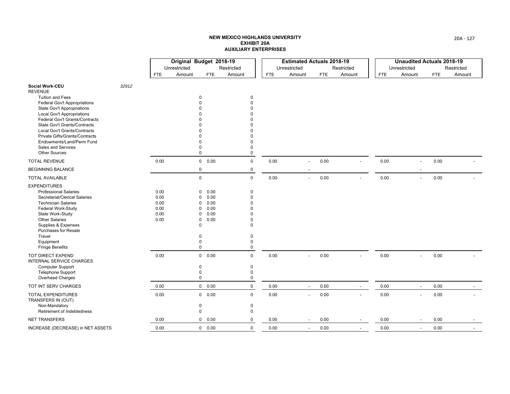|                                                                |       |            | Original Budget 2018-19 |                        |             |      | <b>Estimated Actuals 2018-19</b> |            |                          |            | <b>Unaudited Actuals 2018-19</b> |            |            |        |
|----------------------------------------------------------------|-------|------------|-------------------------|------------------------|-------------|------|----------------------------------|------------|--------------------------|------------|----------------------------------|------------|------------|--------|
|                                                                |       |            | Unrestricted            |                        | Restricted  |      | Unrestricted                     |            | Restricted               |            | Unrestricted                     |            | Restricted |        |
|                                                                |       | <b>FTE</b> | Amount                  | <b>FTE</b>             | Amount      | FTE  | Amount                           | <b>FTE</b> | Amount                   | <b>FTE</b> | Amount                           | <b>FTE</b> |            | Amount |
| <b>Social Work-CEU</b><br><b>REVENUE</b>                       | 32912 |            |                         |                        |             |      |                                  |            |                          |            |                                  |            |            |        |
| <b>Tuition and Fees</b>                                        |       |            |                         | $\Omega$               | 0           |      |                                  |            |                          |            |                                  |            |            |        |
| <b>Federal Gov't Appropriations</b>                            |       |            |                         |                        | $\Omega$    |      |                                  |            |                          |            |                                  |            |            |        |
| <b>State Gov't Appropriations</b>                              |       |            |                         |                        |             |      |                                  |            |                          |            |                                  |            |            |        |
| <b>Local Gov't Appropriations</b>                              |       |            |                         |                        |             |      |                                  |            |                          |            |                                  |            |            |        |
| Federal Gov't Grants/Contracts<br>State Gov't Grants/Contracts |       |            |                         |                        |             |      |                                  |            |                          |            |                                  |            |            |        |
| Local Gov't Grants/Contracts                                   |       |            |                         |                        |             |      |                                  |            |                          |            |                                  |            |            |        |
| Private Gifts/Grants/Contracts                                 |       |            |                         |                        |             |      |                                  |            |                          |            |                                  |            |            |        |
| Endowments/Land/Perm Fund                                      |       |            |                         |                        | $\Omega$    |      |                                  |            |                          |            |                                  |            |            |        |
| Sales and Services                                             |       |            |                         | 0                      | $\Omega$    |      |                                  |            |                          |            |                                  |            |            |        |
| <b>Other Sources</b>                                           |       |            |                         | $\mathbf 0$            | 0           |      |                                  |            |                          |            |                                  |            |            |        |
| <b>TOTAL REVENUE</b>                                           |       | 0.00       |                         | 0 0.00                 | $\mathbf 0$ | 0.00 | $\overline{\phantom{a}}$         | 0.00       |                          | 0.00       | $\overline{\phantom{a}}$         | 0.00       |            |        |
| <b>BEGINNING BALANCE</b>                                       |       |            |                         | $\mathbf 0$            | $\mathbf 0$ |      |                                  |            |                          |            |                                  |            |            |        |
| <b>TOTAL AVAILABLE</b>                                         |       |            |                         | $\mathbf 0$            | $\Omega$    | 0.00 | $\overline{a}$                   | 0.00       |                          | 0.00       | $\overline{a}$                   | 0.00       |            |        |
| <b>EXPENDITURES</b>                                            |       |            |                         |                        |             |      |                                  |            |                          |            |                                  |            |            |        |
| <b>Professional Salaries</b>                                   |       | 0.00       |                         | 0.00<br>$\Omega$       | $\Omega$    |      |                                  |            |                          |            |                                  |            |            |        |
| Secretarial/Clerical Salaries                                  |       | 0.00       |                         | 0.00<br>O              | $\Omega$    |      |                                  |            |                          |            |                                  |            |            |        |
| <b>Technician Salaries</b>                                     |       | 0.00       |                         | 0.00<br>U              |             |      |                                  |            |                          |            |                                  |            |            |        |
| Federal Work-Study                                             |       | 0.00       |                         | 0.00<br>0              |             |      |                                  |            |                          |            |                                  |            |            |        |
| State Work-Study                                               |       | 0.00       |                         | 0.00<br>0              |             |      |                                  |            |                          |            |                                  |            |            |        |
| <b>Other Salaries</b>                                          |       | 0.00       |                         | 0.00<br>0              | $\Omega$    |      |                                  |            |                          |            |                                  |            |            |        |
| Supplies & Expenses                                            |       |            |                         | $\mathbf 0$            | $\Omega$    |      |                                  |            |                          |            |                                  |            |            |        |
| <b>Purchases for Resale</b><br>Travel                          |       |            |                         | $\Omega$               | $\Omega$    |      |                                  |            |                          |            |                                  |            |            |        |
| Equipment                                                      |       |            |                         | 0                      | $\Omega$    |      |                                  |            |                          |            |                                  |            |            |        |
| <b>Fringe Benefits</b>                                         |       |            |                         | $\mathbf 0$            | $\Omega$    |      |                                  |            |                          |            |                                  |            |            |        |
| TOT DIRECT EXPEND                                              |       | 0.00       |                         | 0 0.00                 | $\mathbf 0$ | 0.00 |                                  | 0.00       |                          | 0.00       | $\overline{\phantom{a}}$         | 0.00       |            |        |
| <b>INTERNAL SERVICE CHARGES</b>                                |       |            |                         |                        |             |      |                                  |            |                          |            |                                  |            |            |        |
| <b>Computer Support</b>                                        |       |            |                         | 0                      | 0           |      |                                  |            |                          |            |                                  |            |            |        |
| <b>Telephone Support</b>                                       |       |            |                         | 0                      | $\mathbf 0$ |      |                                  |            |                          |            |                                  |            |            |        |
| Overhead Charges                                               |       |            |                         | $\mathbf 0$            | 0           |      |                                  |            |                          |            |                                  |            |            |        |
| TOT INT SERV CHARGES                                           |       | 0.00       |                         | 0 0.00                 | $\mathsf 0$ | 0.00 | $\overline{\phantom{a}}$         | 0.00       | $\overline{\phantom{a}}$ | 0.00       | $\overline{\phantom{a}}$         | 0.00       |            |        |
| <b>TOTAL EXPENDITURES</b>                                      |       | 0.00       |                         | 0 0.00                 | $\mathbf 0$ | 0.00 | $\blacksquare$                   | 0.00       |                          | 0.00       | $\blacksquare$                   | 0.00       |            |        |
| TRANSFERS IN (OUT)                                             |       |            |                         |                        |             |      |                                  |            |                          |            |                                  |            |            |        |
| Non-Mandatory                                                  |       |            |                         | $\mathbf 0$            | $\mathbf 0$ |      |                                  |            |                          |            |                                  |            |            |        |
| Retirement of Indebtedness                                     |       |            |                         | $\mathbf 0$            | 0           |      |                                  |            |                          |            |                                  |            |            |        |
| <b>NET TRANSFERS</b>                                           |       | 0.00       |                         | $\overline{0}$<br>0.00 | $\mathbf 0$ | 0.00 |                                  | 0.00       |                          | 0.00       |                                  | 0.00       |            |        |
| INCREASE (DECREASE) in NET ASSETS                              |       | 0.00       |                         | 0 0.00                 | $\mathbf 0$ | 0.00 | $\sim$                           | 0.00       | $\overline{\phantom{a}}$ | 0.00       | $\overline{\phantom{a}}$         | 0.00       |            |        |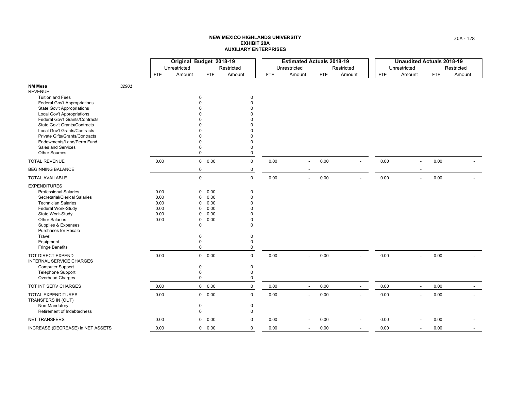|                                                                                                                                                                                                                                                                                              |       |                                              | Original Budget 2018-19 |                                                                                                                                  |                                                                                          |            | <b>Estimated Actuals 2018-19</b> |            |                          |            | <b>Unaudited Actuals 2018-19</b> |      |            |        |
|----------------------------------------------------------------------------------------------------------------------------------------------------------------------------------------------------------------------------------------------------------------------------------------------|-------|----------------------------------------------|-------------------------|----------------------------------------------------------------------------------------------------------------------------------|------------------------------------------------------------------------------------------|------------|----------------------------------|------------|--------------------------|------------|----------------------------------|------|------------|--------|
|                                                                                                                                                                                                                                                                                              |       |                                              | Unrestricted            |                                                                                                                                  | Restricted                                                                               |            | Unrestricted                     |            | Restricted               |            | Unrestricted                     |      | Restricted |        |
|                                                                                                                                                                                                                                                                                              |       | <b>FTE</b>                                   | Amount                  | FTE                                                                                                                              | Amount                                                                                   | <b>FTE</b> | Amount                           | <b>FTE</b> | Amount                   | <b>FTE</b> | Amount                           | FTE. |            | Amount |
| <b>NM Mesa</b><br><b>REVENUE</b>                                                                                                                                                                                                                                                             | 32901 |                                              |                         |                                                                                                                                  |                                                                                          |            |                                  |            |                          |            |                                  |      |            |        |
| <b>Tuition and Fees</b><br><b>Federal Gov't Appropriations</b><br><b>State Gov't Appropriations</b><br><b>Local Gov't Appropriations</b><br>Federal Gov't Grants/Contracts<br><b>State Gov't Grants/Contracts</b><br>Local Gov't Grants/Contracts<br>Private Gifts/Grants/Contracts          |       |                                              |                         | $\mathbf 0$                                                                                                                      | 0<br>$\Omega$<br>ŋ<br>U                                                                  |            |                                  |            |                          |            |                                  |      |            |        |
| Endowments/Land/Perm Fund<br>Sales and Services<br><b>Other Sources</b>                                                                                                                                                                                                                      |       |                                              |                         | $\Omega$<br>$\mathbf 0$                                                                                                          | $\Omega$<br>$\Omega$<br>$\mathbf 0$                                                      |            |                                  |            |                          |            |                                  |      |            |        |
| <b>TOTAL REVENUE</b>                                                                                                                                                                                                                                                                         |       | 0.00                                         |                         | 0 0.00                                                                                                                           | $\mathbf 0$                                                                              | 0.00       | $\overline{\phantom{a}}$         | 0.00       |                          | 0.00       | $\overline{\phantom{a}}$         | 0.00 |            |        |
| <b>BEGINNING BALANCE</b>                                                                                                                                                                                                                                                                     |       |                                              |                         | $\mathsf{O}\xspace$                                                                                                              | $\mathbf 0$                                                                              |            |                                  |            |                          |            |                                  |      |            |        |
| <b>TOTAL AVAILABLE</b>                                                                                                                                                                                                                                                                       |       |                                              |                         | $\mathbf 0$                                                                                                                      | $\Omega$                                                                                 | 0.00       | $\overline{a}$                   | 0.00       |                          | 0.00       | $\overline{\phantom{a}}$         | 0.00 |            |        |
| <b>EXPENDITURES</b><br><b>Professional Salaries</b><br>Secretarial/Clerical Salaries<br><b>Technician Salaries</b><br>Federal Work-Study<br>State Work-Study<br><b>Other Salaries</b><br>Supplies & Expenses<br><b>Purchases for Resale</b><br>Travel<br>Equipment<br><b>Fringe Benefits</b> |       | 0.00<br>0.00<br>0.00<br>0.00<br>0.00<br>0.00 |                         | 0.00<br>$\Omega$<br>0.00<br>O<br>0.00<br>0<br>0.00<br>0<br>0.00<br>0<br>0.00<br>0<br>$\mathbf 0$<br>$\Omega$<br>0<br>$\mathbf 0$ | $\Omega$<br>$\Omega$<br>$\Omega$<br>$\Omega$<br>$\mathbf 0$<br>0<br>$\Omega$<br>$\Omega$ |            |                                  |            |                          |            |                                  |      |            |        |
| <b>TOT DIRECT EXPEND</b><br><b>INTERNAL SERVICE CHARGES</b><br><b>Computer Support</b><br><b>Telephone Support</b><br>Overhead Charges                                                                                                                                                       |       | 0.00                                         |                         | $\overline{0}$<br>0.00<br>0<br>$\mathbf 0$<br>$\mathbf 0$                                                                        | $\mathbf 0$<br>0<br>0<br>$\mathbf 0$                                                     | 0.00       |                                  | 0.00       |                          | 0.00       | $\overline{a}$                   | 0.00 |            |        |
| TOT INT SERV CHARGES                                                                                                                                                                                                                                                                         |       | 0.00                                         |                         | 0 0.00                                                                                                                           | $\mathbf 0$                                                                              | 0.00       | $\sim$                           | 0.00       | $\overline{\phantom{a}}$ | 0.00       | $\overline{\phantom{a}}$         |      | 0.00       |        |
| TOTAL EXPENDITURES<br>TRANSFERS IN (OUT)<br>Non-Mandatory                                                                                                                                                                                                                                    |       | 0.00                                         |                         | 0 0.00<br>$\mathbf 0$                                                                                                            | $\mathsf 0$<br>0                                                                         | 0.00       | $\blacksquare$                   | 0.00       |                          | 0.00       | $\blacksquare$                   | 0.00 |            |        |
| Retirement of Indebtedness                                                                                                                                                                                                                                                                   |       |                                              |                         | $\mathbf 0$                                                                                                                      | 0                                                                                        |            |                                  |            |                          |            |                                  |      |            |        |
| <b>NET TRANSFERS</b>                                                                                                                                                                                                                                                                         |       | 0.00                                         |                         | $\mathbf 0$<br>0.00                                                                                                              | 0                                                                                        | 0.00       |                                  | 0.00       |                          | 0.00       |                                  | 0.00 |            |        |
| INCREASE (DECREASE) in NET ASSETS                                                                                                                                                                                                                                                            |       | 0.00                                         |                         | 0 0.00                                                                                                                           | $\mathbf 0$                                                                              | 0.00       | $\overline{\phantom{a}}$         | 0.00       | $\overline{a}$           | 0.00       | $\overline{\phantom{a}}$         | 0.00 |            |        |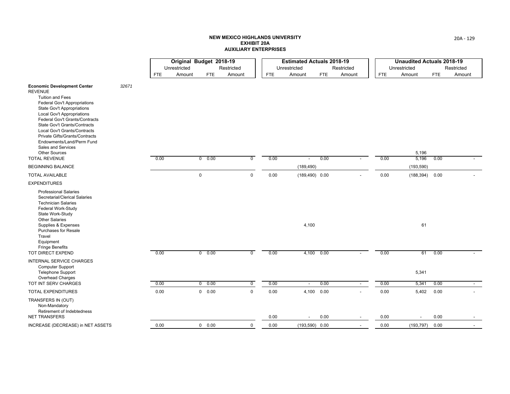|                                                                                                                                                                                                                                                                                                                                                                                                                    |       |            | Original Budget 2018-19 |                        |                |            |      | <b>Estimated Actuals 2018-19</b> |            |            |            | <b>Unaudited Actuals 2018-19</b> |            |            |
|--------------------------------------------------------------------------------------------------------------------------------------------------------------------------------------------------------------------------------------------------------------------------------------------------------------------------------------------------------------------------------------------------------------------|-------|------------|-------------------------|------------------------|----------------|------------|------|----------------------------------|------------|------------|------------|----------------------------------|------------|------------|
|                                                                                                                                                                                                                                                                                                                                                                                                                    |       |            | Unrestricted            |                        | Restricted     |            |      | Unrestricted                     |            | Restricted |            | Unrestricted                     |            | Restricted |
|                                                                                                                                                                                                                                                                                                                                                                                                                    |       | <b>FTE</b> | Amount                  | <b>FTE</b>             | Amount         | <b>FTE</b> |      | Amount                           | <b>FTE</b> | Amount     | <b>FTE</b> | Amount                           | <b>FTE</b> | Amount     |
| <b>Economic Development Center</b><br><b>REVENUE</b><br><b>Tuition and Fees</b><br>Federal Gov't Appropriations<br>State Gov't Appropriations<br><b>Local Gov't Appropriations</b><br>Federal Gov't Grants/Contracts<br>State Gov't Grants/Contracts<br>Local Gov't Grants/Contracts<br>Private Gifts/Grants/Contracts<br>Endowments/Land/Perm Fund<br>Sales and Services<br>Other Sources<br><b>TOTAL REVENUE</b> | 32671 | 0.00       |                         | 0.00<br>$\overline{0}$ | $\overline{0}$ |            | 0.00 | $\overline{a}$                   | 0.00       |            | 0.00       | 5,196<br>5,196                   | 0.00       |            |
| <b>BEGINNING BALANCE</b>                                                                                                                                                                                                                                                                                                                                                                                           |       |            |                         |                        |                |            |      | (189, 490)                       |            |            |            | (193, 590)                       |            |            |
| <b>TOTAL AVAILABLE</b>                                                                                                                                                                                                                                                                                                                                                                                             |       |            |                         | 0                      | $\mathbf 0$    |            | 0.00 | $(189, 490)$ 0.00                |            |            | 0.00       | (188, 394)                       | 0.00       |            |
| <b>EXPENDITURES</b>                                                                                                                                                                                                                                                                                                                                                                                                |       |            |                         |                        |                |            |      |                                  |            |            |            |                                  |            |            |
| <b>Professional Salaries</b><br>Secretarial/Clerical Salaries<br><b>Technician Salaries</b><br>Federal Work-Study<br>State Work-Study<br><b>Other Salaries</b><br>Supplies & Expenses<br>Purchases for Resale<br>Travel                                                                                                                                                                                            |       |            |                         |                        |                |            |      | 4,100                            |            |            |            | 61                               |            |            |
| Equipment<br><b>Fringe Benefits</b>                                                                                                                                                                                                                                                                                                                                                                                |       |            |                         |                        |                |            |      |                                  |            |            |            |                                  |            |            |
| TOT DIRECT EXPEND                                                                                                                                                                                                                                                                                                                                                                                                  |       | 0.00       |                         | 0.00<br>$\mathbf{0}$   | $\overline{0}$ |            | 0.00 |                                  | 4,100 0.00 |            | 0.00       | 61                               | 0.00       |            |
| <b>INTERNAL SERVICE CHARGES</b><br><b>Computer Support</b><br><b>Telephone Support</b><br>Overhead Charges                                                                                                                                                                                                                                                                                                         |       |            |                         |                        |                |            |      |                                  |            |            |            | 5,341                            |            |            |
| TOT INT SERV CHARGES                                                                                                                                                                                                                                                                                                                                                                                               |       | 0.00       |                         | 0.00<br>$\mathbf 0$    | $\overline{0}$ |            | 0.00 | $\overline{\phantom{a}}$         | 0.00       | $\sim$     | 0.00       | 5,341                            | 0.00       | $\sim$     |
| <b>TOTAL EXPENDITURES</b>                                                                                                                                                                                                                                                                                                                                                                                          |       | 0.00       |                         | 0 0.00                 | $\mathbf 0$    |            | 0.00 |                                  | 4,100 0.00 |            | 0.00       | 5,402                            | 0.00       |            |
| TRANSFERS IN (OUT)<br>Non-Mandatory<br>Retirement of Indebtedness                                                                                                                                                                                                                                                                                                                                                  |       |            |                         |                        |                |            |      |                                  |            |            |            |                                  |            |            |
| <b>NET TRANSFERS</b>                                                                                                                                                                                                                                                                                                                                                                                               |       |            |                         |                        |                |            | 0.00 | $\overline{a}$                   | 0.00       |            | 0.00       |                                  | 0.00       |            |
| INCREASE (DECREASE) in NET ASSETS                                                                                                                                                                                                                                                                                                                                                                                  |       | 0.00       |                         | 0 0.00                 | $\mathbf 0$    |            | 0.00 | $(193,590)$ 0.00                 |            |            | 0.00       | (193, 797)                       | 0.00       |            |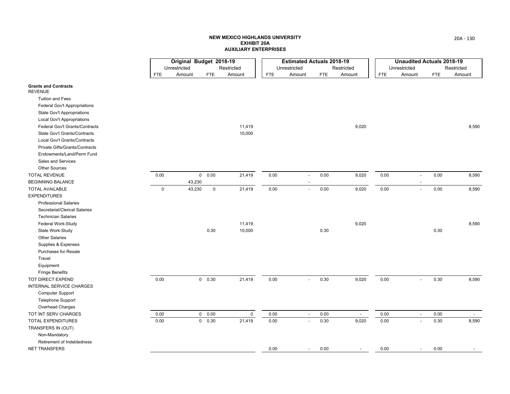|                                               |             | Original Budget 2018-19<br>Unrestricted |               | Restricted  |            | <b>Estimated Actuals 2018-19</b><br>Unrestricted |            | Restricted               |            | <b>Unaudited Actuals 2018-19</b><br>Unrestricted |            | Restricted |
|-----------------------------------------------|-------------|-----------------------------------------|---------------|-------------|------------|--------------------------------------------------|------------|--------------------------|------------|--------------------------------------------------|------------|------------|
|                                               | <b>FTE</b>  | Amount                                  | <b>FTE</b>    | Amount      | <b>FTE</b> | Amount                                           | <b>FTE</b> | Amount                   | <b>FTE</b> | Amount                                           | <b>FTE</b> | Amount     |
| <b>Grants and Contracts</b><br><b>REVENUE</b> |             |                                         |               |             |            |                                                  |            |                          |            |                                                  |            |            |
| <b>Tuition and Fees</b>                       |             |                                         |               |             |            |                                                  |            |                          |            |                                                  |            |            |
| Federal Gov't Appropriations                  |             |                                         |               |             |            |                                                  |            |                          |            |                                                  |            |            |
| State Gov't Appropriations                    |             |                                         |               |             |            |                                                  |            |                          |            |                                                  |            |            |
| Local Gov't Appropriations                    |             |                                         |               |             |            |                                                  |            |                          |            |                                                  |            |            |
| Federal Gov't Grants/Contracts                |             |                                         |               | 11,419      |            |                                                  |            | 9,020                    |            |                                                  |            | 8,590      |
| State Gov't Grants/Contracts                  |             |                                         |               | 10,000      |            |                                                  |            |                          |            |                                                  |            |            |
| Local Gov't Grants/Contracts                  |             |                                         |               |             |            |                                                  |            |                          |            |                                                  |            |            |
| Private Gifts/Grants/Contracts                |             |                                         |               |             |            |                                                  |            |                          |            |                                                  |            |            |
| Endowments/Land/Perm Fund                     |             |                                         |               |             |            |                                                  |            |                          |            |                                                  |            |            |
| Sales and Services                            |             |                                         |               |             |            |                                                  |            |                          |            |                                                  |            |            |
| <b>Other Sources</b>                          |             |                                         |               |             |            |                                                  |            |                          |            |                                                  |            |            |
| <b>TOTAL REVENUE</b>                          | 0.00        |                                         | 0 0.00        | 21,419      | 0.00       | $\overline{\phantom{a}}$                         | 0.00       | 9,020                    | 0.00       | $\overline{\phantom{a}}$                         | 0.00       | 8,590      |
| <b>BEGINNING BALANCE</b>                      |             | 43,230                                  |               |             |            |                                                  |            |                          |            |                                                  |            |            |
| <b>TOTAL AVAILABLE</b>                        | $\mathsf 0$ | 43,230                                  | $\pmb{0}$     | 21,419      | 0.00       | $\blacksquare$                                   | 0.00       | 9,020                    | 0.00       | $\overline{\phantom{a}}$                         | 0.00       | 8,590      |
| <b>EXPENDITURES</b>                           |             |                                         |               |             |            |                                                  |            |                          |            |                                                  |            |            |
| <b>Professional Salaries</b>                  |             |                                         |               |             |            |                                                  |            |                          |            |                                                  |            |            |
| Secretarial/Clerical Salaries                 |             |                                         |               |             |            |                                                  |            |                          |            |                                                  |            |            |
| <b>Technician Salaries</b>                    |             |                                         |               |             |            |                                                  |            |                          |            |                                                  |            |            |
| Federal Work-Study                            |             |                                         |               | 11,419      |            |                                                  |            | 9,020                    |            |                                                  |            | 8,590      |
| State Work-Study                              |             |                                         | 0.30          | 10,000      |            |                                                  | 0.30       |                          |            |                                                  | 0.30       |            |
| <b>Other Salaries</b>                         |             |                                         |               |             |            |                                                  |            |                          |            |                                                  |            |            |
| Supplies & Expenses                           |             |                                         |               |             |            |                                                  |            |                          |            |                                                  |            |            |
| <b>Purchases for Resale</b>                   |             |                                         |               |             |            |                                                  |            |                          |            |                                                  |            |            |
| Travel                                        |             |                                         |               |             |            |                                                  |            |                          |            |                                                  |            |            |
| Equipment                                     |             |                                         |               |             |            |                                                  |            |                          |            |                                                  |            |            |
| <b>Fringe Benefits</b>                        |             |                                         |               |             |            |                                                  |            |                          |            |                                                  |            |            |
| <b>TOT DIRECT EXPEND</b>                      | 0.00        |                                         | 0 0.30        | 21,419      | 0.00       | $\blacksquare$                                   | 0.30       | 9,020                    | 0.00       | $\overline{\phantom{a}}$                         | 0.30       | 8,590      |
| <b>INTERNAL SERVICE CHARGES</b>               |             |                                         |               |             |            |                                                  |            |                          |            |                                                  |            |            |
| Computer Support                              |             |                                         |               |             |            |                                                  |            |                          |            |                                                  |            |            |
| Telephone Support                             |             |                                         |               |             |            |                                                  |            |                          |            |                                                  |            |            |
| Overhead Charges                              |             |                                         |               |             |            |                                                  |            |                          |            |                                                  |            |            |
| TOT INT SERV CHARGES                          | 0.00        |                                         | 0 0.00        | $\mathbf 0$ | 0.00       | $\blacksquare$                                   | 0.00       | $\overline{\phantom{a}}$ | 0.00       | $\overline{\phantom{a}}$                         | 0.00       |            |
| <b>TOTAL EXPENDITURES</b>                     | 0.00        |                                         | $0\quad 0.30$ | 21,419      | 0.00       | $\overline{\phantom{a}}$                         | 0.30       | 9,020                    | 0.00       | $\overline{\phantom{a}}$                         | 0.30       | 8,590      |
| TRANSFERS IN (OUT)                            |             |                                         |               |             |            |                                                  |            |                          |            |                                                  |            |            |
| Non-Mandatory                                 |             |                                         |               |             |            |                                                  |            |                          |            |                                                  |            |            |
| Retirement of Indebtedness                    |             |                                         |               |             |            |                                                  |            |                          |            |                                                  |            |            |
| <b>NET TRANSFERS</b>                          |             |                                         |               |             | 0.00       | $\sim$                                           | 0.00       | $\overline{\phantom{0}}$ | 0.00       | $\overline{\phantom{a}}$                         | 0.00       |            |
|                                               |             |                                         |               |             |            |                                                  |            |                          |            |                                                  |            |            |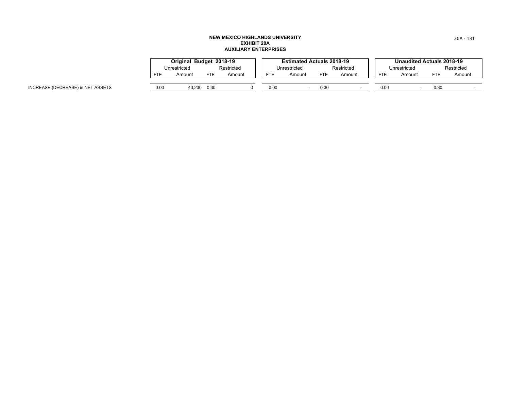|            | Original Budget 2018-19 |      |            |            | <b>Estimated Actuals 2018-19</b> |      |            |            | Unaudited Actuals 2018-19 |      |            |
|------------|-------------------------|------|------------|------------|----------------------------------|------|------------|------------|---------------------------|------|------------|
|            | Unrestricted            |      | Restricted |            | Unrestricted                     |      | Restricted |            | Unrestricted              |      | Restricted |
| <b>FTE</b> | Amount                  | FTE  | Amount     | <b>FTE</b> | Amount                           | FTE  | Amount     | <b>FTE</b> | Amount                    | FTE  | Amount     |
|            |                         |      |            |            |                                  |      |            |            |                           |      |            |
| 0.00       | 43.230                  | 0.30 |            | 0.00       |                                  | D.30 |            | 0.00       |                           | 0.30 |            |

INCREASE (DECREASE) in NET ASSETS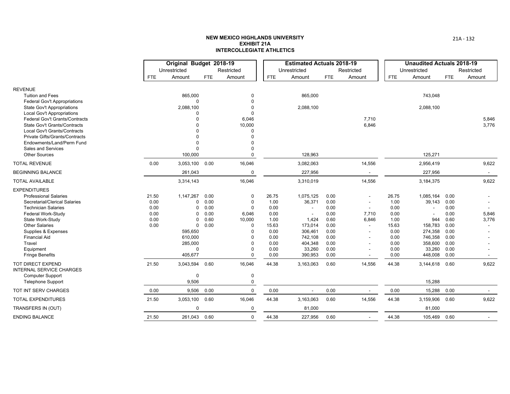|                                                                |              | Original Budget 2018-19 |              |                 |              | <b>Estimated Actuals 2018-19</b> |              |                |              | <b>Unaudited Actuals 2018-19</b> |              |                |
|----------------------------------------------------------------|--------------|-------------------------|--------------|-----------------|--------------|----------------------------------|--------------|----------------|--------------|----------------------------------|--------------|----------------|
|                                                                |              | Unrestricted            |              | Restricted      |              | Unrestricted                     |              | Restricted     |              | Unrestricted                     |              | Restricted     |
|                                                                | <b>FTE</b>   | Amount                  | <b>FTE</b>   | Amount          | FTE          | Amount                           | <b>FTE</b>   | Amount         | <b>FTE</b>   | Amount                           | <b>FTE</b>   | Amount         |
| <b>REVENUE</b>                                                 |              |                         |              |                 |              |                                  |              |                |              |                                  |              |                |
| <b>Tuition and Fees</b>                                        |              | 865,000                 |              | 0               |              | 865,000                          |              |                |              | 743,048                          |              |                |
| <b>Federal Gov't Appropriations</b>                            |              | $\Omega$                |              | $\Omega$        |              |                                  |              |                |              |                                  |              |                |
| <b>State Gov't Appropriations</b>                              |              | 2,088,100               |              |                 |              | 2,088,100                        |              |                |              | 2,088,100                        |              |                |
| Local Gov't Appropriations                                     |              | $\Omega$                |              | $\Omega$        |              |                                  |              |                |              |                                  |              |                |
| Federal Gov't Grants/Contracts<br>State Gov't Grants/Contracts |              | $\Omega$<br>$\Omega$    |              | 6,046<br>10,000 |              |                                  |              | 7,710<br>6,846 |              |                                  |              | 5,846<br>3,776 |
| Local Gov't Grants/Contracts                                   |              |                         |              | $\Omega$        |              |                                  |              |                |              |                                  |              |                |
| <b>Private Gifts/Grants/Contracts</b>                          |              |                         |              | $\Omega$        |              |                                  |              |                |              |                                  |              |                |
| Endowments/Land/Perm Fund                                      |              |                         |              |                 |              |                                  |              |                |              |                                  |              |                |
| <b>Sales and Services</b>                                      |              | $\Omega$                |              |                 |              |                                  |              |                |              |                                  |              |                |
| <b>Other Sources</b>                                           |              | 100,000                 |              | $\Omega$        |              | 128,963                          |              |                |              | 125,271                          |              |                |
| <b>TOTAL REVENUE</b>                                           | 0.00         | 3,053,100               | 0.00         | 16,046          |              | 3,082,063                        |              | 14,556         |              | 2,956,419                        |              | 9,622          |
| <b>BEGINNING BALANCE</b>                                       |              | 261,043                 |              | $\mathbf 0$     |              | 227,956                          |              |                |              | 227,956                          |              | $\sim$         |
| <b>TOTAL AVAILABLE</b>                                         |              | 3,314,143               |              | 16,046          |              | 3,310,019                        |              | 14,556         |              | 3,184,375                        |              | 9,622          |
| <b>EXPENDITURES</b>                                            |              |                         |              |                 |              |                                  |              |                |              |                                  |              |                |
| <b>Professional Salaries</b>                                   | 21.50        | 1,147,267               | 0.00         | $\mathbf 0$     | 26.75        | 1,075,125                        | 0.00         |                | 26.75        | 1,085,164                        | 0.00         |                |
| Secretarial/Clerical Salaries                                  | 0.00         | 0                       | 0.00         | $\Omega$        | 1.00         | 36,371                           | 0.00         |                | 1.00         | 39,143                           | 0.00         |                |
| <b>Technician Salaries</b>                                     | 0.00         | $\Omega$                | 0.00         | $\Omega$        | 0.00         | $\sim$                           | 0.00         | $\sim$         | 0.00         | $\blacksquare$                   | 0.00         |                |
| Federal Work-Study<br>State Work-Study                         | 0.00<br>0.00 | 0<br>$\Omega$           | 0.00<br>0.60 | 6,046<br>10,000 | 0.00<br>1.00 | 1,424                            | 0.00<br>0.60 | 7,710<br>6,846 | 0.00<br>1.00 | 944                              | 0.00<br>0.60 | 5,846<br>3,776 |
| <b>Other Salaries</b>                                          | 0.00         | $\mathbf 0$             | 0.00         | $\mathbf 0$     | 15.63        | 173,014                          | 0.00         | $\sim$         | 15.63        | 158,783                          | 0.00         |                |
| Supplies & Expenses                                            |              | 595,650                 |              | $\Omega$        | 0.00         | 306,461                          | 0.00         |                | 0.00         | 274,358                          | 0.00         |                |
| <b>Financial Aid</b>                                           |              | 610,000                 |              | $\Omega$        | 0.00         | 742,108                          | 0.00         |                | 0.00         | 746,358                          | 0.00         |                |
| Travel                                                         |              | 285,000                 |              | $\Omega$        | 0.00         | 404,348                          | 0.00         |                | 0.00         | 358,600                          | 0.00         |                |
| Equipment                                                      |              | $\Omega$                |              | $\Omega$        | 0.00         | 33,260                           | 0.00         |                | 0.00         | 33,260                           | 0.00         |                |
| <b>Fringe Benefits</b>                                         |              | 405,677                 |              | $\Omega$        | 0.00         | 390,953                          | 0.00         |                | 0.00         | 448,008                          | 0.00         |                |
| TOT DIRECT EXPEND<br><b>INTERNAL SERVICE CHARGES</b>           | 21.50        | 3,043,594               | 0.60         | 16,046          | 44.38        | 3,163,063                        | 0.60         | 14,556         | 44.38        | 3,144,618                        | 0.60         | 9,622          |
| <b>Computer Support</b>                                        |              | $\mathbf 0$             |              | $\pmb{0}$       |              |                                  |              |                |              |                                  |              |                |
| <b>Telephone Support</b>                                       |              | 9,506                   |              | $\mathbf 0$     |              |                                  |              |                |              | 15,288                           |              |                |
| TOT INT SERV CHARGES                                           | 0.00         | 9,506                   | 0.00         | $\mathbf 0$     | 0.00         |                                  | 0.00         |                | 0.00         | 15,288                           | 0.00         |                |
| <b>TOTAL EXPENDITURES</b>                                      | 21.50        | 3,053,100               | 0.60         | 16,046          | 44.38        | 3,163,063                        | 0.60         | 14,556         | 44.38        | 3,159,906                        | 0.60         | 9,622          |
| TRANSFERS IN (OUT)                                             |              | $\mathbf 0$             |              | $\mathbf 0$     |              | 81,000                           |              |                |              | 81,000                           |              |                |
| <b>ENDING BALANCE</b>                                          | 21.50        | 261,043 0.60            |              | $\mathbf 0$     | 44.38        | 227,956                          | 0.60         |                | 44.38        | 105,469 0.60                     |              |                |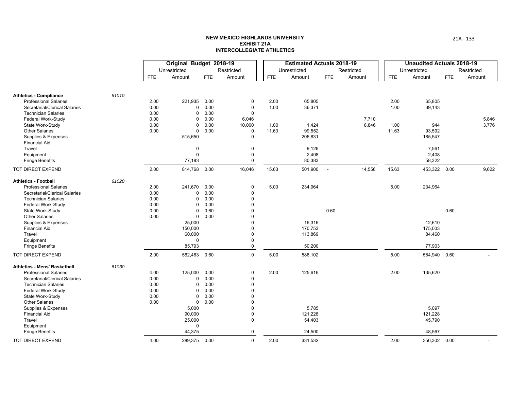|                                     |       |            | Original Budget 2018-19 |            |             |            | <b>Estimated Actuals 2018-19</b> |        |            |       | <b>Unaudited Actuals 2018-19</b> |            |            |
|-------------------------------------|-------|------------|-------------------------|------------|-------------|------------|----------------------------------|--------|------------|-------|----------------------------------|------------|------------|
|                                     |       |            | Unrestricted            |            | Restricted  |            | Unrestricted                     |        | Restricted |       | Unrestricted                     |            | Restricted |
|                                     |       | <b>FTE</b> | Amount                  | <b>FTE</b> | Amount      | <b>FTE</b> | Amount                           | FTE    | Amount     | FTE   | Amount                           | <b>FTE</b> | Amount     |
|                                     |       |            |                         |            |             |            |                                  |        |            |       |                                  |            |            |
| <b>Athletics - Compliance</b>       | 61010 |            |                         |            |             |            |                                  |        |            |       |                                  |            |            |
| <b>Professional Salaries</b>        |       | 2.00       | 221,935                 | 0.00       | 0           | 2.00       | 65,805                           |        |            | 2.00  | 65,805                           |            |            |
| Secretarial/Clerical Salaries       |       | 0.00       | $\mathbf 0$             | 0.00       | $\mathbf 0$ | 1.00       | 36,371                           |        |            | 1.00  | 39,143                           |            |            |
| <b>Technician Salaries</b>          |       | 0.00       | 0                       | 0.00       | 0           |            |                                  |        |            |       |                                  |            |            |
| Federal Work-Study                  |       | 0.00       | $\mathbf 0$             | 0.00       | 6,046       |            |                                  |        | 7,710      |       |                                  |            | 5,846      |
| State Work-Study                    |       | 0.00       | $\mathbf 0$             | 0.00       | 10,000      | 1.00       | 1,424                            |        | 6,846      | 1.00  | 944                              |            | 3,776      |
| <b>Other Salaries</b>               |       | 0.00       | $\mathbf 0$             | 0.00       | 0           | 11.63      | 99,552                           |        |            | 11.63 | 93,592                           |            |            |
| Supplies & Expenses                 |       |            | 515,650                 |            | $\Omega$    |            | 206,831                          |        |            |       | 185,547                          |            |            |
| <b>Financial Aid</b>                |       |            |                         |            |             |            |                                  |        |            |       |                                  |            |            |
| Travel                              |       |            | $\pmb{0}$               |            | $\Omega$    |            | 9,126                            |        |            |       | 7,561                            |            |            |
| Equipment                           |       |            | $\mathsf 0$             |            | $\mathbf 0$ |            | 2,408                            |        |            |       | 2,408                            |            |            |
| <b>Fringe Benefits</b>              |       |            | 77,183                  |            | $\mathbf 0$ |            | 80,383                           |        |            |       | 58,322                           |            |            |
| TOT DIRECT EXPEND                   |       | 2.00       | 814,768 0.00            |            | 16,046      | 15.63      | 501,900                          | $\sim$ | 14,556     | 15.63 | 453,322 0.00                     |            | 9,622      |
| <b>Athletics - Football</b>         | 61020 |            |                         |            |             |            |                                  |        |            |       |                                  |            |            |
| <b>Professional Salaries</b>        |       | 2.00       | 241,670                 | 0.00       | 0           | 5.00       | 234,964                          |        |            | 5.00  | 234,964                          |            |            |
| Secretarial/Clerical Salaries       |       | 0.00       | 0                       | 0.00       | $\Omega$    |            |                                  |        |            |       |                                  |            |            |
| <b>Technician Salaries</b>          |       | 0.00       | $\mathbf 0$             | 0.00       | $\Omega$    |            |                                  |        |            |       |                                  |            |            |
| Federal Work-Study                  |       | 0.00       | $\mathbf 0$             | 0.00       | $\Omega$    |            |                                  |        |            |       |                                  |            |            |
| State Work-Study                    |       | 0.00       | $\mathbf 0$             | 0.60       |             |            |                                  | 0.60   |            |       |                                  | 0.60       |            |
| <b>Other Salaries</b>               |       | 0.00       | $\Omega$                | 0.00       |             |            |                                  |        |            |       |                                  |            |            |
| Supplies & Expenses                 |       |            | 25,000                  |            |             |            | 16,316                           |        |            |       | 12,610                           |            |            |
| <b>Financial Aid</b>                |       |            | 150,000                 |            |             |            | 170,753                          |        |            |       | 175,003                          |            |            |
|                                     |       |            |                         |            | $\Omega$    |            |                                  |        |            |       |                                  |            |            |
| Travel                              |       |            | 60,000                  |            |             |            | 113,869                          |        |            |       | 84,460                           |            |            |
| Equipment                           |       |            | $\Omega$                |            | $\Omega$    |            |                                  |        |            |       |                                  |            |            |
| <b>Fringe Benefits</b>              |       |            | 85,793                  |            | $\mathbf 0$ |            | 50,200                           |        |            |       | 77,903                           |            |            |
| TOT DIRECT EXPEND                   |       | 2.00       | 562,463 0.60            |            | $\mathbf 0$ | 5.00       | 586,102                          |        |            | 5.00  | 584,940                          | 0.60       |            |
| <b>Athletics - Mens' Basketball</b> | 61030 |            |                         |            |             |            |                                  |        |            |       |                                  |            |            |
| <b>Professional Salaries</b>        |       | 4.00       | 125,000                 | 0.00       | 0           | 2.00       | 125,616                          |        |            | 2.00  | 135,620                          |            |            |
| Secretarial/Clerical Salaries       |       | 0.00       | $\Omega$                | 0.00       | $\Omega$    |            |                                  |        |            |       |                                  |            |            |
| <b>Technician Salaries</b>          |       | 0.00       | 0                       | 0.00       | $\Omega$    |            |                                  |        |            |       |                                  |            |            |
| Federal Work-Study                  |       | 0.00       | $\mathbf 0$             | 0.00       | $\Omega$    |            |                                  |        |            |       |                                  |            |            |
| State Work-Study                    |       | 0.00       | $\mathbf 0$             | 0.00       |             |            |                                  |        |            |       |                                  |            |            |
| <b>Other Salaries</b>               |       | 0.00       | $\mathbf 0$             | 0.00       |             |            |                                  |        |            |       |                                  |            |            |
| Supplies & Expenses                 |       |            | 5,000                   |            |             |            | 5,785                            |        |            |       | 5,097                            |            |            |
| <b>Financial Aid</b>                |       |            | 90,000                  |            | $\Omega$    |            | 121,228                          |        |            |       | 121,228                          |            |            |
| Travel                              |       |            | 25,000                  |            | $\Omega$    |            | 54,403                           |        |            |       | 45,790                           |            |            |
| Equipment                           |       |            | $\Omega$                |            |             |            |                                  |        |            |       |                                  |            |            |
| <b>Fringe Benefits</b>              |       |            | 44,375                  |            | 0           |            | 24,500                           |        |            |       | 48,567                           |            |            |
| <b>TOT DIRECT EXPEND</b>            |       | 4.00       | 289,375 0.00            |            | $\mathbf 0$ | 2.00       | 331,532                          |        |            | 2.00  | 356,302 0.00                     |            |            |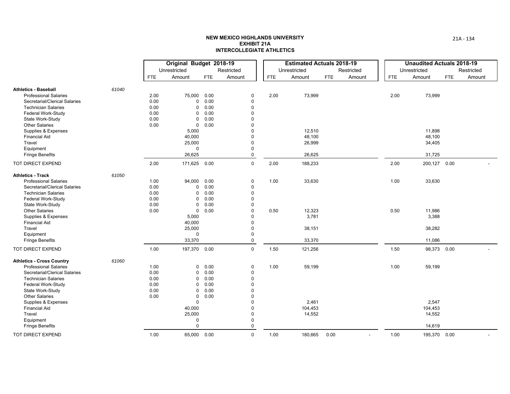|                                  |       |            | Original Budget 2018-19 |            |             |             |            | <b>Estimated Actuals 2018-19</b> |      |            |            | <b>Unaudited Actuals 2018-19</b> |            |            |
|----------------------------------|-------|------------|-------------------------|------------|-------------|-------------|------------|----------------------------------|------|------------|------------|----------------------------------|------------|------------|
|                                  |       |            | Unrestricted            |            | Restricted  |             |            | Unrestricted                     |      | Restricted |            | Unrestricted                     |            | Restricted |
|                                  |       | <b>FTE</b> | Amount                  | <b>FTE</b> | Amount      |             | <b>FTE</b> | Amount                           | FTE  | Amount     | <b>FTE</b> | Amount                           | <b>FTE</b> | Amount     |
| <b>Athletics - Baseball</b>      | 61040 |            |                         |            |             |             |            |                                  |      |            |            |                                  |            |            |
| <b>Professional Salaries</b>     |       | 2.00       | 75,000                  | 0.00       |             | $\mathbf 0$ | 2.00       | 73,999                           |      |            | 2.00       | 73,999                           |            |            |
| Secretarial/Clerical Salaries    |       | 0.00       | 0                       | 0.00       | $\mathbf 0$ |             |            |                                  |      |            |            |                                  |            |            |
| <b>Technician Salaries</b>       |       | 0.00       | 0                       | 0.00       |             | $\Omega$    |            |                                  |      |            |            |                                  |            |            |
| Federal Work-Study               |       | 0.00       | 0                       | 0.00       |             | $\Omega$    |            |                                  |      |            |            |                                  |            |            |
| State Work-Study                 |       | 0.00       | 0                       | 0.00       |             | $\Omega$    |            |                                  |      |            |            |                                  |            |            |
| <b>Other Salaries</b>            |       | 0.00       | $\mathbf 0$             | 0.00       |             | $\Omega$    |            |                                  |      |            |            |                                  |            |            |
| Supplies & Expenses              |       |            | 5,000                   |            |             | 0           |            | 12,510                           |      |            |            | 11,898                           |            |            |
| <b>Financial Aid</b>             |       |            | 40,000                  |            |             | $\Omega$    |            | 48,100                           |      |            |            | 48,100                           |            |            |
| Travel                           |       |            | 25,000                  |            |             | $\mathbf 0$ |            | 26,999                           |      |            |            | 34,405                           |            |            |
| Equipment                        |       |            | 0                       |            |             | $\mathbf 0$ |            |                                  |      |            |            |                                  |            |            |
| <b>Fringe Benefits</b>           |       |            | 26,625                  |            |             | 0           |            | 26,625                           |      |            |            | 31,725                           |            |            |
| <b>TOT DIRECT EXPEND</b>         |       | 2.00       | 171,625 0.00            |            |             | $\mathbf 0$ | 2.00       | 188,233                          |      |            | 2.00       | 200,127 0.00                     |            |            |
| <b>Athletics - Track</b>         | 61050 |            |                         |            |             |             |            |                                  |      |            |            |                                  |            |            |
| <b>Professional Salaries</b>     |       | 1.00       | 94,000 0.00             |            |             | 0           | 1.00       | 33,630                           |      |            | 1.00       | 33,630                           |            |            |
| Secretarial/Clerical Salaries    |       | 0.00       | $\mathbf{0}$            | 0.00       |             | $\pmb{0}$   |            |                                  |      |            |            |                                  |            |            |
| <b>Technician Salaries</b>       |       | 0.00       | 0                       | 0.00       |             | $\mathbf 0$ |            |                                  |      |            |            |                                  |            |            |
| Federal Work-Study               |       | 0.00       | 0                       | 0.00       |             | $\mathbf 0$ |            |                                  |      |            |            |                                  |            |            |
| State Work-Study                 |       | 0.00       | 0                       | 0.00       |             | $\mathbf 0$ |            |                                  |      |            |            |                                  |            |            |
| <b>Other Salaries</b>            |       | 0.00       | $\mathbf 0$             | 0.00       |             | $\Omega$    | 0.50       | 12,323                           |      |            | 0.50       | 11,986                           |            |            |
| Supplies & Expenses              |       |            | 5,000                   |            |             | $\Omega$    |            | 3,781                            |      |            |            | 3,388                            |            |            |
| <b>Financial Aid</b>             |       |            | 40,000                  |            |             | $\Omega$    |            |                                  |      |            |            |                                  |            |            |
| Travel                           |       |            | 25,000                  |            |             | $\Omega$    |            | 38,151                           |      |            |            | 38,282                           |            |            |
| Equipment                        |       |            | 0                       |            |             | $\Omega$    |            |                                  |      |            |            |                                  |            |            |
| <b>Fringe Benefits</b>           |       |            | 33,370                  |            |             | $\mathbf 0$ |            | 33,370                           |      |            |            | 11,086                           |            |            |
| TOT DIRECT EXPEND                |       | 1.00       | 197,370 0.00            |            |             | $\mathbf 0$ | 1.50       | 121,256                          |      |            | 1.50       | 98,373 0.00                      |            |            |
| <b>Athletics - Cross Country</b> | 61060 |            |                         |            |             |             |            |                                  |      |            |            |                                  |            |            |
| <b>Professional Salaries</b>     |       | 1.00       | 0                       | 0.00       |             | $\mathbf 0$ | 1.00       | 59,199                           |      |            | 1.00       | 59,199                           |            |            |
| Secretarial/Clerical Salaries    |       | 0.00       | $\mathbf{0}$            | 0.00       |             | $\mathbf 0$ |            |                                  |      |            |            |                                  |            |            |
| <b>Technician Salaries</b>       |       | 0.00       | 0                       | 0.00       |             | $\Omega$    |            |                                  |      |            |            |                                  |            |            |
| Federal Work-Study               |       | 0.00       | 0                       | 0.00       |             | $\Omega$    |            |                                  |      |            |            |                                  |            |            |
| State Work-Study                 |       | 0.00       | 0                       | 0.00       |             | $\Omega$    |            |                                  |      |            |            |                                  |            |            |
| <b>Other Salaries</b>            |       | 0.00       | $\mathbf 0$             | 0.00       |             | n           |            |                                  |      |            |            |                                  |            |            |
| Supplies & Expenses              |       |            | $\mathbf{0}$            |            |             | $\Omega$    |            | 2,461                            |      |            |            | 2,547                            |            |            |
| <b>Financial Aid</b>             |       |            | 40,000                  |            |             | $\Omega$    |            | 104,453                          |      |            |            | 104,453                          |            |            |
| Travel                           |       |            | 25,000                  |            |             | $\Omega$    |            | 14,552                           |      |            |            | 14,552                           |            |            |
| Equipment                        |       |            | $\mathbf 0$             |            |             | $\Omega$    |            |                                  |      |            |            |                                  |            |            |
| <b>Fringe Benefits</b>           |       |            | $\Omega$                |            |             | $\mathbf 0$ |            |                                  |      |            |            | 14,619                           |            |            |
| TOT DIRECT EXPEND                |       | 1.00       | 65,000 0.00             |            |             | $\mathbf 0$ | 1.00       | 180,665                          | 0.00 |            | 1.00       | 195,370 0.00                     |            |            |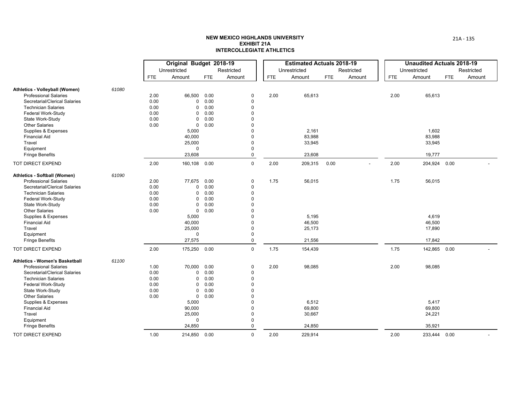|                                       |       |            | Original Budget 2018-19 |            |             |            | <b>Estimated Actuals 2018-19</b> |      |            |            | <b>Unaudited Actuals 2018-19</b> |            |            |
|---------------------------------------|-------|------------|-------------------------|------------|-------------|------------|----------------------------------|------|------------|------------|----------------------------------|------------|------------|
|                                       |       |            | Unrestricted            |            | Restricted  |            | Unrestricted                     |      | Restricted |            | Unrestricted                     |            | Restricted |
|                                       |       | <b>FTE</b> | Amount                  | <b>FTE</b> | Amount      | <b>FTE</b> | Amount                           | FTE  | Amount     | <b>FTE</b> | Amount                           | <b>FTE</b> | Amount     |
| Athletics - Volleyball (Women)        | 61080 |            |                         |            |             |            |                                  |      |            |            |                                  |            |            |
| <b>Professional Salaries</b>          |       | 2.00       | 66,500                  | 0.00       | 0           | 2.00       | 65,613                           |      |            | 2.00       | 65,613                           |            |            |
| Secretarial/Clerical Salaries         |       | 0.00       | $\Omega$                | 0.00       | $\mathbf 0$ |            |                                  |      |            |            |                                  |            |            |
| <b>Technician Salaries</b>            |       | 0.00       | $\Omega$                | 0.00       | $\Omega$    |            |                                  |      |            |            |                                  |            |            |
| Federal Work-Study                    |       | 0.00       | 0                       | 0.00       | $\Omega$    |            |                                  |      |            |            |                                  |            |            |
| State Work-Study                      |       | 0.00       | $\mathbf 0$             | 0.00       | $\Omega$    |            |                                  |      |            |            |                                  |            |            |
| <b>Other Salaries</b>                 |       | 0.00       | $\mathbf 0$             | 0.00       | $\Omega$    |            |                                  |      |            |            |                                  |            |            |
| Supplies & Expenses                   |       |            | 5,000                   |            | 0           |            | 2,161                            |      |            |            | 1,602                            |            |            |
| <b>Financial Aid</b>                  |       |            | 40,000                  |            | $\Omega$    |            | 83,988                           |      |            |            | 83,988                           |            |            |
| Travel                                |       |            | 25,000                  |            | $\Omega$    |            | 33,945                           |      |            |            | 33,945                           |            |            |
| Equipment                             |       |            | $\Omega$                |            | $\Omega$    |            |                                  |      |            |            |                                  |            |            |
| <b>Fringe Benefits</b>                |       |            | 23,608                  |            | $\mathbf 0$ |            | 23,608                           |      |            |            | 19,777                           |            |            |
| TOT DIRECT EXPEND                     |       | 2.00       | 160,108 0.00            |            | $\mathsf 0$ | 2.00       | 209,315                          | 0.00 |            | 2.00       | 204,924 0.00                     |            |            |
| Athletics - Softball (Women)          | 61090 |            |                         |            |             |            |                                  |      |            |            |                                  |            |            |
| <b>Professional Salaries</b>          |       | 2.00       | 77,675                  | 0.00       | $\pmb{0}$   | 1.75       | 56,015                           |      |            | 1.75       | 56,015                           |            |            |
| Secretarial/Clerical Salaries         |       | 0.00       | $\Omega$                | 0.00       | $\mathbf 0$ |            |                                  |      |            |            |                                  |            |            |
| <b>Technician Salaries</b>            |       | 0.00       | 0                       | 0.00       | $\Omega$    |            |                                  |      |            |            |                                  |            |            |
| Federal Work-Study                    |       | 0.00       | 0                       | 0.00       | $\Omega$    |            |                                  |      |            |            |                                  |            |            |
| State Work-Study                      |       | 0.00       | 0                       | 0.00       | $\Omega$    |            |                                  |      |            |            |                                  |            |            |
| <b>Other Salaries</b>                 |       | 0.00       | $\mathbf 0$             | 0.00       | $\Omega$    |            |                                  |      |            |            |                                  |            |            |
| Supplies & Expenses                   |       |            | 5,000                   |            | $\Omega$    |            | 5,195                            |      |            |            | 4,619                            |            |            |
| <b>Financial Aid</b>                  |       |            | 40,000                  |            | $\Omega$    |            | 46,500                           |      |            |            | 46,500                           |            |            |
| Travel                                |       |            | 25,000                  |            | $\mathbf 0$ |            | 25,173                           |      |            |            | 17,890                           |            |            |
| Equipment                             |       |            | $\Omega$                |            | $\mathbf 0$ |            |                                  |      |            |            |                                  |            |            |
| <b>Fringe Benefits</b>                |       |            | 27,575                  |            | $\mathsf 0$ |            | 21,556                           |      |            |            | 17,842                           |            |            |
| TOT DIRECT EXPEND                     |       | 2.00       | 175,250                 | 0.00       | $\mathbf 0$ | 1.75       | 154,439                          |      |            | 1.75       | 142,865 0.00                     |            |            |
| <b>Athletics - Women's Basketball</b> | 61100 |            |                         |            |             |            |                                  |      |            |            |                                  |            |            |
| <b>Professional Salaries</b>          |       | 1.00       | 70,000                  | 0.00       | $\mathbf 0$ | 2.00       | 98,085                           |      |            | 2.00       | 98,085                           |            |            |
| Secretarial/Clerical Salaries         |       | 0.00       | $\Omega$                | 0.00       | 0           |            |                                  |      |            |            |                                  |            |            |
| <b>Technician Salaries</b>            |       | 0.00       | 0                       | 0.00       | $\Omega$    |            |                                  |      |            |            |                                  |            |            |
| Federal Work-Study                    |       | 0.00       | 0                       | 0.00       | $\Omega$    |            |                                  |      |            |            |                                  |            |            |
| State Work-Study                      |       | 0.00       | 0                       | 0.00       | 0           |            |                                  |      |            |            |                                  |            |            |
| <b>Other Salaries</b>                 |       | 0.00       | $\mathbf 0$             | 0.00       | $\Omega$    |            |                                  |      |            |            |                                  |            |            |
| Supplies & Expenses                   |       |            | 5,000                   |            | $\Omega$    |            | 6,512                            |      |            |            | 5,417                            |            |            |
| <b>Financial Aid</b>                  |       |            | 90,000                  |            | $\Omega$    |            | 69,800                           |      |            |            | 69,800                           |            |            |
| Travel                                |       |            | 25,000                  |            | $\Omega$    |            | 30,667                           |      |            |            | 24,221                           |            |            |
| Equipment                             |       |            | $\Omega$                |            | 0           |            |                                  |      |            |            |                                  |            |            |
| <b>Fringe Benefits</b>                |       |            | 24,850                  |            | $\mathbf 0$ |            | 24,850                           |      |            |            | 35,921                           |            |            |
| TOT DIRECT EXPEND                     |       | 1.00       | 214,850 0.00            |            | $\mathbf 0$ | 2.00       | 229,914                          |      |            | 2.00       | 233,444 0.00                     |            |            |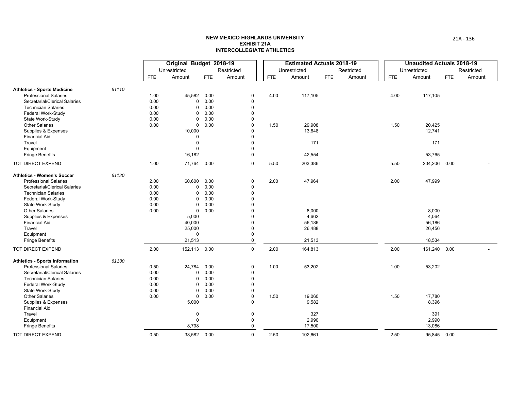|                                       |       |            | Original Budget 2018-19 |            |             |            | <b>Estimated Actuals 2018-19</b> |     |            |            | <b>Unaudited Actuals 2018-19</b> |            |            |
|---------------------------------------|-------|------------|-------------------------|------------|-------------|------------|----------------------------------|-----|------------|------------|----------------------------------|------------|------------|
|                                       |       |            | Unrestricted            |            | Restricted  |            | Unrestricted                     |     | Restricted |            | Unrestricted                     |            | Restricted |
|                                       |       | <b>FTE</b> | Amount                  | <b>FTE</b> | Amount      | <b>FTE</b> | Amount                           | FTE | Amount     | <b>FTE</b> | Amount                           | <b>FTE</b> | Amount     |
| <b>Athletics - Sports Medicine</b>    | 61110 |            |                         |            |             |            |                                  |     |            |            |                                  |            |            |
| <b>Professional Salaries</b>          |       | 1.00       | 45,582 0.00             |            | $\mathbf 0$ | 4.00       | 117,105                          |     |            | 4.00       | 117,105                          |            |            |
| Secretarial/Clerical Salaries         |       | 0.00       | 0                       | 0.00       | $\mathbf 0$ |            |                                  |     |            |            |                                  |            |            |
| <b>Technician Salaries</b>            |       | 0.00       | $\mathbf 0$             | 0.00       | $\mathbf 0$ |            |                                  |     |            |            |                                  |            |            |
| Federal Work-Study                    |       | 0.00       | 0                       | 0.00       | $\mathbf 0$ |            |                                  |     |            |            |                                  |            |            |
| State Work-Study                      |       | 0.00       | $\mathbf 0$             | 0.00       | $\mathbf 0$ |            |                                  |     |            |            |                                  |            |            |
| <b>Other Salaries</b>                 |       | 0.00       | $\mathbf 0$             | 0.00       | $\Omega$    | 1.50       | 29,908                           |     |            | 1.50       | 20,425                           |            |            |
| Supplies & Expenses                   |       |            | 10,000                  |            | $\Omega$    |            | 13,648                           |     |            |            | 12,741                           |            |            |
| <b>Financial Aid</b>                  |       |            | $\Omega$                |            | $\Omega$    |            |                                  |     |            |            |                                  |            |            |
| Travel                                |       |            | $\mathbf 0$             |            | $\mathbf 0$ |            | 171                              |     |            |            | 171                              |            |            |
| Equipment                             |       |            | $\Omega$                |            | $\mathbf 0$ |            |                                  |     |            |            |                                  |            |            |
| <b>Fringe Benefits</b>                |       |            | 16,182                  |            | $\mathbf 0$ |            | 42,554                           |     |            |            | 53,765                           |            |            |
| TOT DIRECT EXPEND                     |       | 1.00       | 71,764 0.00             |            | $\mathbf 0$ | 5.50       | 203,386                          |     |            | 5.50       | 204,206 0.00                     |            |            |
| <b>Athletics - Women's Soccer</b>     | 61120 |            |                         |            |             |            |                                  |     |            |            |                                  |            |            |
| <b>Professional Salaries</b>          |       | 2.00       | 60,600 0.00             |            | $\mathbf 0$ | 2.00       | 47,964                           |     |            | 2.00       | 47,999                           |            |            |
| Secretarial/Clerical Salaries         |       | 0.00       | 0                       | 0.00       | $\mathbf 0$ |            |                                  |     |            |            |                                  |            |            |
| <b>Technician Salaries</b>            |       | 0.00       | 0                       | 0.00       | $\mathbf 0$ |            |                                  |     |            |            |                                  |            |            |
| Federal Work-Study                    |       | 0.00       | 0                       | 0.00       | $\Omega$    |            |                                  |     |            |            |                                  |            |            |
| State Work-Study                      |       | 0.00       | 0                       | 0.00       | $\Omega$    |            |                                  |     |            |            |                                  |            |            |
| <b>Other Salaries</b>                 |       | 0.00       | $\mathbf 0$             | 0.00       | $\Omega$    |            | 8,000                            |     |            |            | 8,000                            |            |            |
| Supplies & Expenses                   |       |            | 5,000                   |            | $\Omega$    |            | 4,662                            |     |            |            | 4,064                            |            |            |
| <b>Financial Aid</b>                  |       |            | 40,000                  |            | $\Omega$    |            | 56,186                           |     |            |            | 56,186                           |            |            |
| Travel                                |       |            | 25,000                  |            | $\mathbf 0$ |            | 26,488                           |     |            |            | 26,456                           |            |            |
| Equipment                             |       |            | $\Omega$                |            | $\mathbf 0$ |            |                                  |     |            |            |                                  |            |            |
| <b>Fringe Benefits</b>                |       |            | 21,513                  |            | $\mathsf 0$ |            | 21,513                           |     |            |            | 18,534                           |            |            |
| TOT DIRECT EXPEND                     |       | 2.00       | 152,113 0.00            |            | $\mathbf 0$ | 2.00       | 164,813                          |     |            | 2.00       | 161,240 0.00                     |            |            |
| <b>Athletics - Sports Information</b> | 61130 |            |                         |            |             |            |                                  |     |            |            |                                  |            |            |
| <b>Professional Salaries</b>          |       | 0.50       | 24,784                  | 0.00       | $\mathbf 0$ | 1.00       | 53,202                           |     |            | 1.00       | 53,202                           |            |            |
| Secretarial/Clerical Salaries         |       | 0.00       | 0                       | 0.00       | $\mathbf 0$ |            |                                  |     |            |            |                                  |            |            |
| <b>Technician Salaries</b>            |       | 0.00       | $\mathbf 0$             | 0.00       | $\mathbf 0$ |            |                                  |     |            |            |                                  |            |            |
| Federal Work-Study                    |       | 0.00       | $\mathbf 0$             | 0.00       | $\mathbf 0$ |            |                                  |     |            |            |                                  |            |            |
| State Work-Study                      |       | 0.00       | 0                       | 0.00       | $\mathbf 0$ |            |                                  |     |            |            |                                  |            |            |
| <b>Other Salaries</b>                 |       | 0.00       | $\mathbf 0$             | 0.00       | $\mathbf 0$ | 1.50       | 19,060                           |     |            | 1.50       | 17,780                           |            |            |
| Supplies & Expenses                   |       |            | 5,000                   |            | $\Omega$    |            | 9,582                            |     |            |            | 8,396                            |            |            |
| <b>Financial Aid</b>                  |       |            |                         |            |             |            |                                  |     |            |            |                                  |            |            |
| Travel                                |       |            | $\mathbf 0$             |            | $\mathbf 0$ |            | 327                              |     |            |            | 391                              |            |            |
| Equipment                             |       |            | $\Omega$                |            | $\mathbf 0$ |            | 2,990                            |     |            |            | 2,990                            |            |            |
| <b>Fringe Benefits</b>                |       |            | 8,798                   |            | $\Omega$    |            | 17,500                           |     |            |            | 13,086                           |            |            |
| TOT DIRECT EXPEND                     |       | 0.50       | 38,582 0.00             |            | $\mathsf 0$ | 2.50       | 102,661                          |     |            | 2.50       | 95,845 0.00                      |            |            |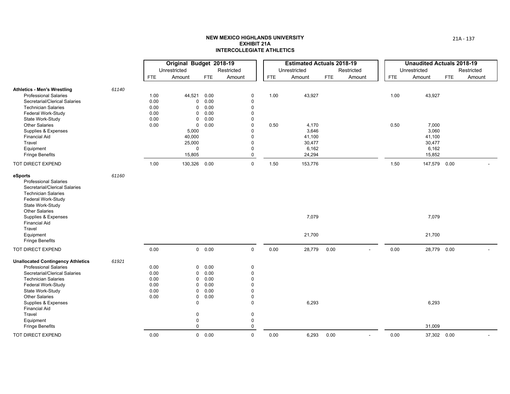|                                             |       |              | Original Budget 2018-19  |               |                  |            | <b>Estimated Actuals 2018-19</b> |      |            |      | <b>Unaudited Actuals 2018-19</b> |     |            |
|---------------------------------------------|-------|--------------|--------------------------|---------------|------------------|------------|----------------------------------|------|------------|------|----------------------------------|-----|------------|
|                                             |       |              | Unrestricted             |               | Restricted       |            | Unrestricted                     |      | Restricted |      | Unrestricted                     |     | Restricted |
|                                             |       | <b>FTE</b>   | Amount                   | <b>FTE</b>    | Amount           | <b>FTE</b> | Amount                           | FTE  | Amount     | FTE  | Amount                           | FTE | Amount     |
| <b>Athletics - Men's Wrestling</b>          | 61140 |              |                          |               |                  |            |                                  |      |            |      |                                  |     |            |
| <b>Professional Salaries</b>                |       | 1.00         | 44,521 0.00              |               | $\pmb{0}$        | 1.00       | 43,927                           |      |            | 1.00 | 43,927                           |     |            |
| Secretarial/Clerical Salaries               |       | 0.00         | 0                        | 0.00          | $\mathbf 0$      |            |                                  |      |            |      |                                  |     |            |
| <b>Technician Salaries</b>                  |       | 0.00         | $\mathbf 0$              | 0.00          | $\mathbf 0$      |            |                                  |      |            |      |                                  |     |            |
| Federal Work-Study<br>State Work-Study      |       | 0.00<br>0.00 | 0<br>0                   | 0.00<br>0.00  | $\mathbf 0$<br>0 |            |                                  |      |            |      |                                  |     |            |
| <b>Other Salaries</b>                       |       | 0.00         | $\mathbf 0$              | 0.00          | $\mathbf 0$      | 0.50       | 4,170                            |      |            | 0.50 | 7,000                            |     |            |
| Supplies & Expenses                         |       |              | 5,000                    |               | $\Omega$         |            | 3,646                            |      |            |      | 3,060                            |     |            |
| <b>Financial Aid</b>                        |       |              | 40,000                   |               | $\Omega$         |            | 41,100                           |      |            |      | 41,100                           |     |            |
| Travel                                      |       |              | 25,000                   |               | $\Omega$         |            | 30,477                           |      |            |      | 30,477                           |     |            |
| Equipment                                   |       |              | $\Omega$                 |               | $\mathbf 0$      |            | 6,162                            |      |            |      | 6,162                            |     |            |
| <b>Fringe Benefits</b>                      |       |              | 15,805                   |               | $\mathbf 0$      |            | 24,294                           |      |            |      | 15,852                           |     |            |
| TOT DIRECT EXPEND                           |       | 1.00         | 130,326 0.00             |               | $\mathsf 0$      | 1.50       | 153,776                          |      |            | 1.50 | 147,579 0.00                     |     |            |
| eSports                                     | 61160 |              |                          |               |                  |            |                                  |      |            |      |                                  |     |            |
| <b>Professional Salaries</b>                |       |              |                          |               |                  |            |                                  |      |            |      |                                  |     |            |
| Secretarial/Clerical Salaries               |       |              |                          |               |                  |            |                                  |      |            |      |                                  |     |            |
| <b>Technician Salaries</b>                  |       |              |                          |               |                  |            |                                  |      |            |      |                                  |     |            |
| Federal Work-Study                          |       |              |                          |               |                  |            |                                  |      |            |      |                                  |     |            |
| State Work-Study                            |       |              |                          |               |                  |            |                                  |      |            |      |                                  |     |            |
| <b>Other Salaries</b>                       |       |              |                          |               |                  |            |                                  |      |            |      |                                  |     |            |
| Supplies & Expenses<br><b>Financial Aid</b> |       |              |                          |               |                  |            | 7,079                            |      |            |      | 7,079                            |     |            |
| Travel                                      |       |              |                          |               |                  |            |                                  |      |            |      |                                  |     |            |
| Equipment                                   |       |              |                          |               |                  |            | 21,700                           |      |            |      | 21,700                           |     |            |
| <b>Fringe Benefits</b>                      |       |              |                          |               |                  |            |                                  |      |            |      |                                  |     |            |
| TOT DIRECT EXPEND                           |       | 0.00         |                          | 0 0.00        | $\mathbf 0$      | 0.00       | 28,779                           | 0.00 |            | 0.00 | 28,779 0.00                      |     |            |
| <b>Unallocated Contingency Athletics</b>    | 61921 |              |                          |               |                  |            |                                  |      |            |      |                                  |     |            |
| <b>Professional Salaries</b>                |       | 0.00         | $\Omega$                 | 0.00          | $\mathbf 0$      |            |                                  |      |            |      |                                  |     |            |
| Secretarial/Clerical Salaries               |       | 0.00         | $\mathbf 0$              | 0.00          | $\mathbf 0$      |            |                                  |      |            |      |                                  |     |            |
| <b>Technician Salaries</b>                  |       | 0.00         | 0                        | 0.00          | $\mathbf 0$      |            |                                  |      |            |      |                                  |     |            |
| Federal Work-Study                          |       | 0.00         | $\mathbf 0$              | 0.00          | $\Omega$         |            |                                  |      |            |      |                                  |     |            |
| State Work-Study                            |       | 0.00         | 0                        | 0.00          | $\mathbf 0$      |            |                                  |      |            |      |                                  |     |            |
| <b>Other Salaries</b>                       |       | 0.00         | $\pmb{0}$                | 0.00          | $\mathbf 0$      |            |                                  |      |            |      |                                  |     |            |
| Supplies & Expenses                         |       |              | $\mathbf 0$              |               | $\mathbf 0$      |            | 6,293                            |      |            |      | 6,293                            |     |            |
| <b>Financial Aid</b>                        |       |              |                          |               |                  |            |                                  |      |            |      |                                  |     |            |
| Travel                                      |       |              | 0                        |               | $\pmb{0}$        |            |                                  |      |            |      |                                  |     |            |
| Equipment                                   |       |              | $\pmb{0}$<br>$\mathbf 0$ |               | 0<br>$\mathbf 0$ |            |                                  |      |            |      | 31,009                           |     |            |
| <b>Fringe Benefits</b><br>TOT DIRECT EXPEND |       | 0.00         |                          | $0\quad 0.00$ | $\mathsf 0$      | 0.00       | 6,293                            | 0.00 |            | 0.00 | 37,302 0.00                      |     |            |
|                                             |       |              |                          |               |                  |            |                                  |      |            |      |                                  |     |            |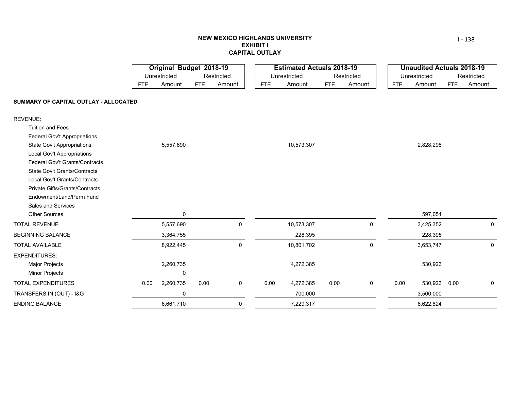### **NEW MEXICO HIGHLANDS UNIVERSITY EXHIBIT ICAPITAL OUTLAY**

|                                       |            | Original Budget 2018-19 |            |            |            | <b>Estimated Actuals 2018-19</b> |            |             |            | <b>Unaudited Actuals 2018-19</b> |            |             |
|---------------------------------------|------------|-------------------------|------------|------------|------------|----------------------------------|------------|-------------|------------|----------------------------------|------------|-------------|
|                                       |            | Unrestricted            |            | Restricted |            | Unrestricted                     |            | Restricted  |            | Unrestricted                     |            | Restricted  |
|                                       | <b>FTE</b> | Amount                  | <b>FTE</b> | Amount     | <b>FTE</b> | Amount                           | <b>FTE</b> | Amount      | <b>FTE</b> | Amount                           | <b>FTE</b> | Amount      |
| SUMMARY OF CAPITAL OUTLAY - ALLOCATED |            |                         |            |            |            |                                  |            |             |            |                                  |            |             |
| <b>REVENUE:</b>                       |            |                         |            |            |            |                                  |            |             |            |                                  |            |             |
| <b>Tuition and Fees</b>               |            |                         |            |            |            |                                  |            |             |            |                                  |            |             |
| <b>Federal Gov't Appropriations</b>   |            |                         |            |            |            |                                  |            |             |            |                                  |            |             |
| <b>State Gov't Appropriations</b>     |            | 5,557,690               |            |            |            | 10,573,307                       |            |             |            | 2,828,298                        |            |             |
| <b>Local Gov't Appropriations</b>     |            |                         |            |            |            |                                  |            |             |            |                                  |            |             |
| <b>Federal Gov't Grants/Contracts</b> |            |                         |            |            |            |                                  |            |             |            |                                  |            |             |
| <b>State Gov't Grants/Contracts</b>   |            |                         |            |            |            |                                  |            |             |            |                                  |            |             |
| Local Gov't Grants/Contracts          |            |                         |            |            |            |                                  |            |             |            |                                  |            |             |
| Private Gifts/Grants/Contracts        |            |                         |            |            |            |                                  |            |             |            |                                  |            |             |
| Endowment/Land/Perm Fund              |            |                         |            |            |            |                                  |            |             |            |                                  |            |             |
| Sales and Services                    |            |                         |            |            |            |                                  |            |             |            |                                  |            |             |
| <b>Other Sources</b>                  |            | 0                       |            |            |            |                                  |            |             |            | 597,054                          |            |             |
| <b>TOTAL REVENUE</b>                  |            | 5,557,690               |            | 0          |            | 10,573,307                       |            | 0           |            | 3,425,352                        |            | 0           |
| <b>BEGINNING BALANCE</b>              |            | 3,364,755               |            |            |            | 228,395                          |            |             |            | 228,395                          |            |             |
| <b>TOTAL AVAILABLE</b>                |            | 8,922,445               |            | 0          |            | 10,801,702                       |            | $\mathbf 0$ |            | 3,653,747                        |            | $\mathbf 0$ |
| <b>EXPENDITURES:</b>                  |            |                         |            |            |            |                                  |            |             |            |                                  |            |             |
| Major Projects                        |            | 2,260,735               |            |            |            | 4,272,385                        |            |             |            | 530,923                          |            |             |
| <b>Minor Projects</b>                 |            | 0                       |            |            |            |                                  |            |             |            |                                  |            |             |
| TOTAL EXPENDITURES                    | 0.00       | 2,260,735               | 0.00       | 0          | 0.00       | 4,272,385                        | 0.00       | 0           | 0.00       | 530,923                          | 0.00       | $\mathbf 0$ |
| TRANSFERS IN (OUT) - I&G              |            | $\mathbf 0$             |            |            |            | 700,000                          |            |             |            | 3,500,000                        |            |             |
| ENDING BALANCE                        |            | 6,661,710               |            | 0          |            | 7,229,317                        |            |             |            | 6,622,824                        |            |             |

I ‐ 138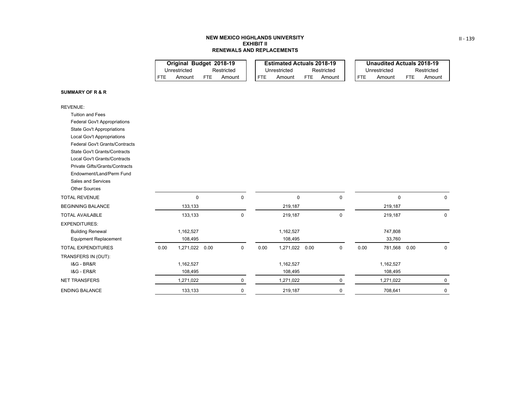#### **NEW MEXICO HIGHLANDS UNIVERSITY EXHIBIT IIRENEWALS AND REPLACEMENTS**

|     | Original Budget 2018-19 |     |            |     | <b>Estimated Actuals 2018-19</b> |     |            |            | Unaudited Actuals 2018-19 |     |            |
|-----|-------------------------|-----|------------|-----|----------------------------------|-----|------------|------------|---------------------------|-----|------------|
|     | Unrestricted            |     | Restricted |     | Unrestricted                     |     | Restricted |            | Unrestricted              |     | Restricted |
| FTF | Amount                  | FTF | Amount     | FTE | Amount                           | FTE | Amount     | <b>FTE</b> | Amount                    | FTF | Amount     |

#### **SUMMARY OF R & R**

| <b>REVENUE:</b>                       |      |           |      |             |      |             |      |   |      |             |      |             |
|---------------------------------------|------|-----------|------|-------------|------|-------------|------|---|------|-------------|------|-------------|
| <b>Tuition and Fees</b>               |      |           |      |             |      |             |      |   |      |             |      |             |
| Federal Gov't Appropriations          |      |           |      |             |      |             |      |   |      |             |      |             |
| <b>State Gov't Appropriations</b>     |      |           |      |             |      |             |      |   |      |             |      |             |
| <b>Local Gov't Appropriations</b>     |      |           |      |             |      |             |      |   |      |             |      |             |
| <b>Federal Gov't Grants/Contracts</b> |      |           |      |             |      |             |      |   |      |             |      |             |
| <b>State Gov't Grants/Contracts</b>   |      |           |      |             |      |             |      |   |      |             |      |             |
| <b>Local Gov't Grants/Contracts</b>   |      |           |      |             |      |             |      |   |      |             |      |             |
| Private Gifts/Grants/Contracts        |      |           |      |             |      |             |      |   |      |             |      |             |
| Endowment/Land/Perm Fund              |      |           |      |             |      |             |      |   |      |             |      |             |
| <b>Sales and Services</b>             |      |           |      |             |      |             |      |   |      |             |      |             |
| <b>Other Sources</b>                  |      |           |      |             |      |             |      |   |      |             |      |             |
| <b>TOTAL REVENUE</b>                  |      | 0         |      | $\mathbf 0$ |      | $\mathbf 0$ |      | 0 |      | $\mathbf 0$ |      | $\mathbf 0$ |
| <b>BEGINNING BALANCE</b>              |      | 133,133   |      |             |      | 219,187     |      |   |      | 219,187     |      |             |
| <b>TOTAL AVAILABLE</b>                |      | 133,133   |      | $\pmb{0}$   |      | 219,187     |      | 0 |      | 219,187     |      | $\mathbf 0$ |
| <b>EXPENDITURES:</b>                  |      |           |      |             |      |             |      |   |      |             |      |             |
| <b>Building Renewal</b>               |      | 1,162,527 |      |             |      | 1,162,527   |      |   |      | 747,808     |      |             |
| <b>Equipment Replacement</b>          |      | 108,495   |      |             |      | 108,495     |      |   |      | 33,760      |      |             |
| <b>TOTAL EXPENDITURES</b>             | 0.00 | 1,271,022 | 0.00 | 0           | 0.00 | 1,271,022   | 0.00 | 0 | 0.00 | 781,568     | 0.00 | 0           |
| TRANSFERS IN (OUT):                   |      |           |      |             |      |             |      |   |      |             |      |             |
| <b>1&amp;G - BR&amp;R</b>             |      | 1,162,527 |      |             |      | 1,162,527   |      |   |      | 1,162,527   |      |             |
| <b>1&amp;G - ER&amp;R</b>             |      | 108,495   |      |             |      | 108,495     |      |   |      | 108,495     |      |             |
| <b>NET TRANSFERS</b>                  |      | 1,271,022 |      | 0           |      | 1,271,022   |      | 0 |      | 1,271,022   |      | 0           |
| <b>ENDING BALANCE</b>                 |      | 133,133   |      | 0           |      | 219,187     |      | 0 |      | 708,641     |      | 0           |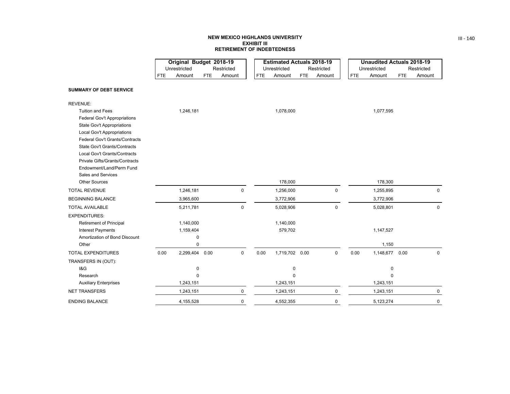### **NEW MEXICO HIGHLANDS UNIVERSITYEXHIBIT III RETIREMENT OF INDEBTEDNESS**

ш. **College** 

and the state of the

|                                                            |            | Original Budget 2018-19 |     |             |            | <b>Estimated Actuals 2018-19</b> |     |             |            | <b>Unaudited Actuals 2018-19</b> |            |             |
|------------------------------------------------------------|------------|-------------------------|-----|-------------|------------|----------------------------------|-----|-------------|------------|----------------------------------|------------|-------------|
|                                                            |            | Unrestricted            |     | Restricted  |            | Unrestricted                     |     | Restricted  |            | Unrestricted                     |            | Restricted  |
|                                                            | <b>FTE</b> | Amount                  | FTE | Amount      | <b>FTE</b> | Amount                           | FTE | Amount      | <b>FTE</b> | Amount                           | <b>FTE</b> | Amount      |
| <b>SUMMARY OF DEBT SERVICE</b>                             |            |                         |     |             |            |                                  |     |             |            |                                  |            |             |
| REVENUE:                                                   |            |                         |     |             |            |                                  |     |             |            |                                  |            |             |
| <b>Tuition and Fees</b>                                    |            | 1,246,181               |     |             |            | 1,078,000                        |     |             |            | 1,077,595                        |            |             |
| Federal Gov't Appropriations                               |            |                         |     |             |            |                                  |     |             |            |                                  |            |             |
| <b>State Gov't Appropriations</b>                          |            |                         |     |             |            |                                  |     |             |            |                                  |            |             |
| Local Gov't Appropriations                                 |            |                         |     |             |            |                                  |     |             |            |                                  |            |             |
| <b>Federal Gov't Grants/Contracts</b>                      |            |                         |     |             |            |                                  |     |             |            |                                  |            |             |
| <b>State Gov't Grants/Contracts</b>                        |            |                         |     |             |            |                                  |     |             |            |                                  |            |             |
| Local Gov't Grants/Contracts                               |            |                         |     |             |            |                                  |     |             |            |                                  |            |             |
| Private Gifts/Grants/Contracts<br>Endowment/Land/Perm Fund |            |                         |     |             |            |                                  |     |             |            |                                  |            |             |
| Sales and Services                                         |            |                         |     |             |            |                                  |     |             |            |                                  |            |             |
| <b>Other Sources</b>                                       |            |                         |     |             |            | 178,000                          |     |             |            | 178,300                          |            |             |
| <b>TOTAL REVENUE</b>                                       |            | 1,246,181               |     | 0           |            | 1,256,000                        |     | $\pmb{0}$   |            | 1,255,895                        |            | $\mathbf 0$ |
| <b>BEGINNING BALANCE</b>                                   |            | 3,965,600               |     |             |            | 3,772,906                        |     |             |            | 3,772,906                        |            |             |
|                                                            |            |                         |     |             |            |                                  |     |             |            |                                  |            |             |
| <b>TOTAL AVAILABLE</b>                                     |            | 5,211,781               |     | 0           |            | 5,028,906                        |     | $\mathbf 0$ |            | 5,028,801                        |            | $\mathbf 0$ |
| <b>EXPENDITURES:</b>                                       |            |                         |     |             |            |                                  |     |             |            |                                  |            |             |
| <b>Retirement of Principal</b>                             |            | 1,140,000               |     |             |            | 1,140,000                        |     |             |            |                                  |            |             |
| <b>Interest Payments</b>                                   |            | 1,159,404               |     |             |            | 579,702                          |     |             |            | 1,147,527                        |            |             |
| Amortization of Bond Discount                              |            | 0                       |     |             |            |                                  |     |             |            |                                  |            |             |
| Other                                                      |            | $\mathbf 0$             |     |             |            |                                  |     |             |            | 1,150                            |            |             |
| TOTAL EXPENDITURES                                         | 0.00       | 2,299,404 0.00          |     | $\mathbf 0$ | 0.00       | 1,719,702 0.00                   |     | $\mathbf 0$ | 0.00       | 1,148,677 0.00                   |            | $\Omega$    |
| TRANSFERS IN (OUT):                                        |            |                         |     |             |            |                                  |     |             |            |                                  |            |             |
| 18G                                                        |            | 0                       |     |             |            | 0                                |     |             |            | 0                                |            |             |
| Research                                                   |            | $\mathbf 0$             |     |             |            | $\mathbf 0$                      |     |             |            | $\Omega$                         |            |             |
| <b>Auxiliary Enterprises</b>                               |            | 1,243,151               |     |             |            | 1,243,151                        |     |             |            | 1,243,151                        |            |             |
| <b>NET TRANSFERS</b>                                       |            | 1,243,151               |     | $\mathbf 0$ |            | 1,243,151                        |     | $\mathbf 0$ |            | 1,243,151                        |            | $\mathbf 0$ |
| <b>ENDING BALANCE</b>                                      |            | 4,155,528               |     | 0           |            | 4,552,355                        |     | 0           |            | 5,123,274                        |            | 0           |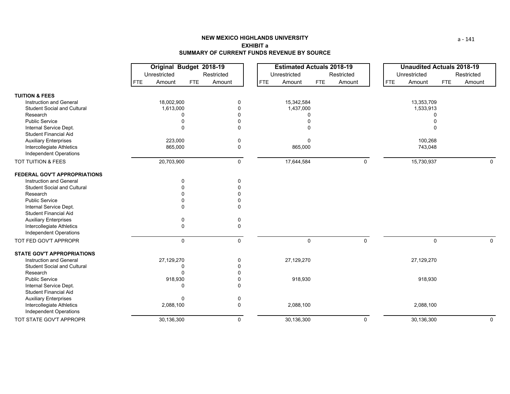|                                    |                      | Original Budget 2018-19 | <b>Estimated Actuals 2018-19</b>   |              | <b>Unaudited Actuals 2018-19</b> |                      |
|------------------------------------|----------------------|-------------------------|------------------------------------|--------------|----------------------------------|----------------------|
|                                    | Unrestricted         | Restricted              | Unrestricted                       | Restricted   | Unrestricted                     | Restricted           |
|                                    | Amount<br><b>FTE</b> | Amount<br><b>FTE</b>    | <b>FTE</b><br>Amount<br><b>FTE</b> | Amount       | Amount<br><b>FTE</b>             | <b>FTE</b><br>Amount |
| <b>TUITION &amp; FEES</b>          |                      |                         |                                    |              |                                  |                      |
| <b>Instruction and General</b>     | 18,002,900           | 0                       | 15,342,584                         |              | 13,353,709                       |                      |
| <b>Student Social and Cultural</b> | 1,613,000            | 0                       | 1,437,000                          |              | 1,533,913                        |                      |
| Research                           | 0                    | 0                       | 0                                  |              | $\Omega$                         |                      |
| <b>Public Service</b>              | $\Omega$             | 0                       |                                    |              |                                  |                      |
| Internal Service Dept.             | $\Omega$             | 0                       | $\Omega$                           |              | $\Omega$                         |                      |
| <b>Student Financial Aid</b>       |                      |                         |                                    |              |                                  |                      |
| <b>Auxiliary Enterprises</b>       | 223,000              | 0                       | 0                                  |              | 100,268                          |                      |
| Intercollegiate Athletics          | 865,000              | 0                       | 865,000                            |              | 743,048                          |                      |
| Independent Operations             |                      |                         |                                    |              |                                  |                      |
| TOT TUITION & FEES                 | 20,703,900           | 0                       | 17,644,584                         | 0            | 15,730,937                       | $\mathbf 0$          |
| FEDERAL GOV'T APPROPRIATIONS       |                      |                         |                                    |              |                                  |                      |
| Instruction and General            | 0                    | 0                       |                                    |              |                                  |                      |
| <b>Student Social and Cultural</b> | $\Omega$             |                         |                                    |              |                                  |                      |
| Research                           |                      |                         |                                    |              |                                  |                      |
| <b>Public Service</b>              | $\Omega$             | 0                       |                                    |              |                                  |                      |
| Internal Service Dept.             | $\Omega$             | U                       |                                    |              |                                  |                      |
| <b>Student Financial Aid</b>       |                      |                         |                                    |              |                                  |                      |
| <b>Auxiliary Enterprises</b>       | 0                    | 0                       |                                    |              |                                  |                      |
| Intercollegiate Athletics          | 0                    | 0                       |                                    |              |                                  |                      |
| Independent Operations             |                      |                         |                                    |              |                                  |                      |
| TOT FED GOV'T APPROPR              | $\mathbf 0$          | 0                       | $\Omega$                           | $\mathbf{0}$ | $\mathbf{0}$                     | $\Omega$             |
| <b>STATE GOV'T APPROPRIATIONS</b>  |                      |                         |                                    |              |                                  |                      |
| <b>Instruction and General</b>     | 27,129,270           | 0                       | 27,129,270                         |              | 27,129,270                       |                      |
| <b>Student Social and Cultural</b> | 0                    | U                       |                                    |              |                                  |                      |
| Research                           | $\Omega$             |                         |                                    |              |                                  |                      |
| <b>Public Service</b>              | 918,930              | 0                       | 918,930                            |              | 918,930                          |                      |
| Internal Service Dept.             | 0                    | 0                       |                                    |              |                                  |                      |
| <b>Student Financial Aid</b>       |                      |                         |                                    |              |                                  |                      |
| <b>Auxiliary Enterprises</b>       | $\mathbf 0$          | 0                       |                                    |              |                                  |                      |
| Intercollegiate Athletics          | 2,088,100            | 0                       | 2,088,100                          |              | 2,088,100                        |                      |
| <b>Independent Operations</b>      |                      |                         |                                    |              |                                  |                      |
| TOT STATE GOV'T APPROPR            | 30,136,300           | 0                       | 30,136,300                         | $\mathbf 0$  | 30,136,300                       | $\mathbf 0$          |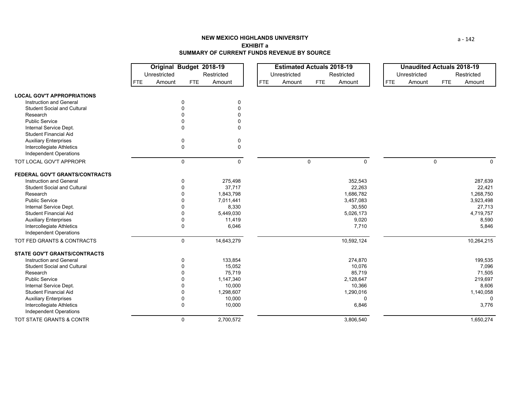|                                                        |            | Original Budget 2018-19 |              |             |            | <b>Estimated Actuals 2018-19</b> |             |            |            | <b>Unaudited Actuals 2018-19</b> |             |            |
|--------------------------------------------------------|------------|-------------------------|--------------|-------------|------------|----------------------------------|-------------|------------|------------|----------------------------------|-------------|------------|
|                                                        |            | Unrestricted            |              | Restricted  |            | Unrestricted                     |             | Restricted |            | Unrestricted                     |             | Restricted |
|                                                        | <b>FTE</b> | Amount                  | <b>FTE</b>   | Amount      | <b>FTE</b> | Amount                           | <b>FTE</b>  | Amount     | <b>FTE</b> | Amount                           | <b>FTE</b>  | Amount     |
| <b>LOCAL GOV'T APPROPRIATIONS</b>                      |            |                         |              |             |            |                                  |             |            |            |                                  |             |            |
| Instruction and General                                |            |                         | 0            | 0           |            |                                  |             |            |            |                                  |             |            |
| <b>Student Social and Cultural</b>                     |            |                         | O            | $\Omega$    |            |                                  |             |            |            |                                  |             |            |
| Research                                               |            |                         | ŋ            | ∩           |            |                                  |             |            |            |                                  |             |            |
| <b>Public Service</b>                                  |            |                         | $\Omega$     | 0           |            |                                  |             |            |            |                                  |             |            |
| Internal Service Dept.<br><b>Student Financial Aid</b> |            |                         | 0            | $\Omega$    |            |                                  |             |            |            |                                  |             |            |
| <b>Auxiliary Enterprises</b>                           |            |                         | 0            | 0           |            |                                  |             |            |            |                                  |             |            |
| Intercollegiate Athletics                              |            |                         | $\pmb{0}$    | $\mathbf 0$ |            |                                  |             |            |            |                                  |             |            |
| <b>Independent Operations</b>                          |            |                         |              |             |            |                                  |             |            |            |                                  |             |            |
| TOT LOCAL GOV'T APPROPR                                |            |                         | $\mathsf 0$  | 0           |            |                                  | $\mathbf 0$ | 0          |            |                                  | $\mathbf 0$ | 0          |
| FEDERAL GOV'T GRANTS/CONTRACTS                         |            |                         |              |             |            |                                  |             |            |            |                                  |             |            |
| <b>Instruction and General</b>                         |            |                         | $\mathbf 0$  | 275,498     |            |                                  |             | 352,543    |            |                                  |             | 287,639    |
| <b>Student Social and Cultural</b>                     |            |                         | $\Omega$     | 37,717      |            |                                  |             | 22,263     |            |                                  |             | 22,421     |
| Research                                               |            |                         | $\Omega$     | 1,843,798   |            |                                  |             | 1,686,782  |            |                                  |             | 1,268,750  |
| <b>Public Service</b>                                  |            |                         | <sup>0</sup> | 7,011,441   |            |                                  |             | 3,457,083  |            |                                  |             | 3,923,498  |
| Internal Service Dept.                                 |            |                         | 0            | 8,330       |            |                                  |             | 30,550     |            |                                  |             | 27,713     |
| <b>Student Financial Aid</b>                           |            |                         | 0            | 5,449,030   |            |                                  |             | 5,026,173  |            |                                  |             | 4,719,757  |
| <b>Auxiliary Enterprises</b>                           |            |                         | $\mathbf{0}$ | 11,419      |            |                                  |             | 9,020      |            |                                  |             | 8,590      |
| Intercollegiate Athletics                              |            |                         | 0            | 6,046       |            |                                  |             | 7,710      |            |                                  |             | 5,846      |
| <b>Independent Operations</b>                          |            |                         |              |             |            |                                  |             |            |            |                                  |             |            |
| TOT FED GRANTS & CONTRACTS                             |            |                         | $\mathbf 0$  | 14,643,279  |            |                                  |             | 10,592,124 |            |                                  |             | 10,264,215 |
| <b>STATE GOV'T GRANTS/CONTRACTS</b>                    |            |                         |              |             |            |                                  |             |            |            |                                  |             |            |
| <b>Instruction and General</b>                         |            |                         | $\mathbf 0$  | 133,854     |            |                                  |             | 274,870    |            |                                  |             | 199,535    |
| <b>Student Social and Cultural</b>                     |            |                         | $\Omega$     | 15,052      |            |                                  |             | 10,076     |            |                                  |             | 7,096      |
| Research                                               |            |                         | ŋ            | 75,719      |            |                                  |             | 85,719     |            |                                  |             | 71,505     |
| <b>Public Service</b>                                  |            |                         |              | 1,147,340   |            |                                  |             | 2,128,647  |            |                                  |             | 219,697    |
| Internal Service Dept.                                 |            |                         | 0            | 10,000      |            |                                  |             | 10,366     |            |                                  |             | 8,606      |
| <b>Student Financial Aid</b>                           |            |                         | 0            | 1,298,607   |            |                                  |             | 1,290,016  |            |                                  |             | 1,140,058  |
| <b>Auxiliary Enterprises</b>                           |            |                         | 0            | 10,000      |            |                                  |             | $\Omega$   |            |                                  |             | $\Omega$   |
| Intercollegiate Athletics                              |            |                         | $\mathbf 0$  | 10,000      |            |                                  |             | 6,846      |            |                                  |             | 3,776      |
| <b>Independent Operations</b>                          |            |                         |              |             |            |                                  |             |            |            |                                  |             |            |
| TOT STATE GRANTS & CONTR                               |            |                         | $\mathbf 0$  | 2,700,572   |            |                                  |             | 3,806,540  |            |                                  |             | 1,650,274  |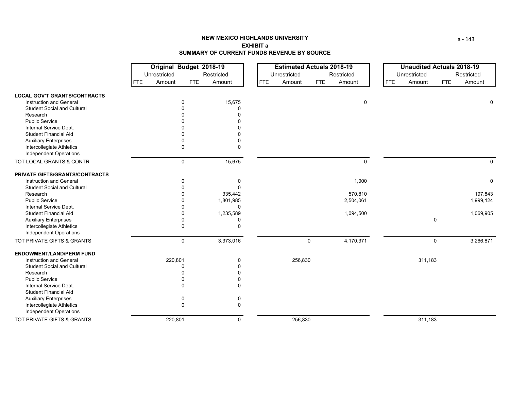|                                     | Original Budget 2018-19 |              |              | <b>Estimated Actuals 2018-19</b> |            |              |            | <b>Unaudited Actuals 2018-19</b> |             |             |
|-------------------------------------|-------------------------|--------------|--------------|----------------------------------|------------|--------------|------------|----------------------------------|-------------|-------------|
|                                     | Unrestricted            |              | Restricted   | Unrestricted                     |            | Restricted   |            | Unrestricted                     |             | Restricted  |
|                                     | Amount<br>FTE           | <b>FTE</b>   | Amount       | <b>FTE</b><br>Amount             | <b>FTE</b> | Amount       | <b>FTE</b> | Amount                           | <b>FTE</b>  | Amount      |
| <b>LOCAL GOV'T GRANTS/CONTRACTS</b> |                         |              |              |                                  |            |              |            |                                  |             |             |
| Instruction and General             | 0                       |              | 15,675       |                                  |            | 0            |            |                                  |             | 0           |
| <b>Student Social and Cultural</b>  |                         |              | $\Omega$     |                                  |            |              |            |                                  |             |             |
| Research                            |                         |              | $\Omega$     |                                  |            |              |            |                                  |             |             |
| <b>Public Service</b>               |                         |              |              |                                  |            |              |            |                                  |             |             |
| Internal Service Dept.              |                         |              |              |                                  |            |              |            |                                  |             |             |
| <b>Student Financial Aid</b>        |                         |              |              |                                  |            |              |            |                                  |             |             |
| <b>Auxiliary Enterprises</b>        |                         |              | $\Omega$     |                                  |            |              |            |                                  |             |             |
| Intercollegiate Athletics           | 0                       |              | $\Omega$     |                                  |            |              |            |                                  |             |             |
| <b>Independent Operations</b>       |                         |              |              |                                  |            |              |            |                                  |             |             |
| TOT LOCAL GRANTS & CONTR            |                         | $\mathbf 0$  | 15,675       |                                  |            | $\mathbf{0}$ |            |                                  |             | $\mathbf 0$ |
| PRIVATE GIFTS/GRANTS/CONTRACTS      |                         |              |              |                                  |            |              |            |                                  |             |             |
| <b>Instruction and General</b>      |                         |              | 0            |                                  |            | 1,000        |            |                                  |             | 0           |
| <b>Student Social and Cultural</b>  |                         |              | $\Omega$     |                                  |            |              |            |                                  |             |             |
| Research                            |                         |              | 335,442      |                                  |            | 570,810      |            |                                  |             | 197,843     |
| <b>Public Service</b>               |                         |              | 1,801,985    |                                  |            | 2,504,061    |            |                                  |             | 1,999,124   |
| Internal Service Dept.              |                         |              | $\Omega$     |                                  |            |              |            |                                  |             |             |
| <b>Student Financial Aid</b>        |                         |              | 1,235,589    |                                  |            | 1,094,500    |            |                                  |             | 1,069,905   |
| <b>Auxiliary Enterprises</b>        |                         |              | 0            |                                  |            |              |            |                                  | 0           |             |
| Intercollegiate Athletics           |                         | $\mathbf{0}$ | $\Omega$     |                                  |            |              |            |                                  |             |             |
| Independent Operations              |                         |              |              |                                  |            |              |            |                                  |             |             |
| TOT PRIVATE GIFTS & GRANTS          |                         | $\mathsf 0$  | 3,373,016    |                                  | 0          | 4,170,371    |            |                                  | $\mathbf 0$ | 3,266,871   |
| <b>ENDOWMENT/LAND/PERM FUND</b>     |                         |              |              |                                  |            |              |            |                                  |             |             |
| <b>Instruction and General</b>      | 220,801                 |              | $\mathbf{0}$ | 256,830                          |            |              |            | 311,183                          |             |             |
| <b>Student Social and Cultural</b>  |                         |              | $\Omega$     |                                  |            |              |            |                                  |             |             |
| Research                            |                         |              | $\Omega$     |                                  |            |              |            |                                  |             |             |
| <b>Public Service</b>               |                         |              | $\Omega$     |                                  |            |              |            |                                  |             |             |
| Internal Service Dept.              |                         |              | $\Omega$     |                                  |            |              |            |                                  |             |             |
| <b>Student Financial Aid</b>        |                         |              |              |                                  |            |              |            |                                  |             |             |
| <b>Auxiliary Enterprises</b>        |                         |              | 0            |                                  |            |              |            |                                  |             |             |
| Intercollegiate Athletics           | $\Omega$                |              | 0            |                                  |            |              |            |                                  |             |             |
| Independent Operations              |                         |              |              |                                  |            |              |            |                                  |             |             |
| TOT PRIVATE GIFTS & GRANTS          | 220,801                 |              | 0            | 256,830                          |            |              |            | 311,183                          |             |             |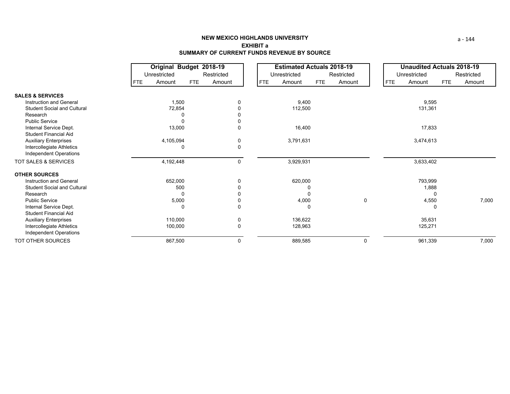|                                    | Original Budget 2018-19 |           |            |            |   | <b>Estimated Actuals 2018-19</b> |           |            |        |   | <b>Unaudited Actuals 2018-19</b> |              |            |            |  |
|------------------------------------|-------------------------|-----------|------------|------------|---|----------------------------------|-----------|------------|--------|---|----------------------------------|--------------|------------|------------|--|
|                                    | Unrestricted            |           |            | Restricted |   | Unrestricted                     |           | Restricted |        |   |                                  | Unrestricted |            | Restricted |  |
|                                    | <b>FTE</b>              | Amount    | <b>FTE</b> | Amount     |   | <b>FTE</b>                       | Amount    | <b>FTE</b> | Amount |   | <b>FTE</b>                       | Amount       | <b>FTE</b> | Amount     |  |
| <b>SALES &amp; SERVICES</b>        |                         |           |            |            |   |                                  |           |            |        |   |                                  |              |            |            |  |
| <b>Instruction and General</b>     | 1,500                   |           |            | 0          |   |                                  | 9,400     |            |        |   | 9,595                            |              |            |            |  |
| <b>Student Social and Cultural</b> |                         | 72,854    |            |            |   |                                  | 112,500   |            |        |   |                                  | 131,361      |            |            |  |
| Research                           |                         |           | 0          |            |   |                                  |           |            |        |   |                                  |              |            |            |  |
| <b>Public Service</b>              |                         |           | 0          |            |   |                                  |           |            |        |   |                                  |              |            |            |  |
| Internal Service Dept.             |                         | 13,000    |            |            | 0 |                                  | 16,400    |            |        |   |                                  | 17,833       |            |            |  |
| <b>Student Financial Aid</b>       |                         |           |            |            |   |                                  |           |            |        |   |                                  |              |            |            |  |
| <b>Auxiliary Enterprises</b>       |                         | 4,105,094 |            |            | 0 |                                  | 3,791,631 |            |        |   |                                  | 3,474,613    |            |            |  |
| Intercollegiate Athletics          |                         |           | $\Omega$   |            | 0 |                                  |           |            |        |   |                                  |              |            |            |  |
| Independent Operations             |                         |           |            |            |   |                                  |           |            |        |   |                                  |              |            |            |  |
| TOT SALES & SERVICES               |                         | 4,192,448 |            |            | 0 |                                  | 3,929,931 |            |        |   |                                  | 3,633,402    |            |            |  |
| <b>OTHER SOURCES</b>               |                         |           |            |            |   |                                  |           |            |        |   |                                  |              |            |            |  |
| Instruction and General            |                         | 652,000   |            |            | 0 |                                  | 620,000   |            |        |   |                                  | 793,999      |            |            |  |
| <b>Student Social and Cultural</b> |                         | 500       |            |            |   |                                  |           |            |        |   |                                  | 1,888        |            |            |  |
| Research                           |                         |           | $\Omega$   |            |   |                                  | $\Omega$  |            |        |   |                                  |              |            |            |  |
| <b>Public Service</b>              |                         | 5,000     |            |            |   |                                  | 4,000     |            |        | 0 |                                  | 4,550        |            | 7,000      |  |
| Internal Service Dept.             |                         |           | 0          |            | 0 |                                  |           | 0          |        |   |                                  |              | 0          |            |  |
| <b>Student Financial Aid</b>       |                         |           |            |            |   |                                  |           |            |        |   |                                  |              |            |            |  |
| <b>Auxiliary Enterprises</b>       |                         | 110,000   |            |            | 0 |                                  | 136,622   |            |        |   |                                  | 35,631       |            |            |  |
| Intercollegiate Athletics          |                         | 100,000   |            |            | 0 |                                  | 128,963   |            |        |   |                                  | 125,271      |            |            |  |
| Independent Operations             |                         |           |            |            |   |                                  |           |            |        |   |                                  |              |            |            |  |
| TOT OTHER SOURCES                  |                         | 867,500   |            |            | 0 |                                  | 889,585   |            |        | 0 |                                  | 961,339      |            | 7,000      |  |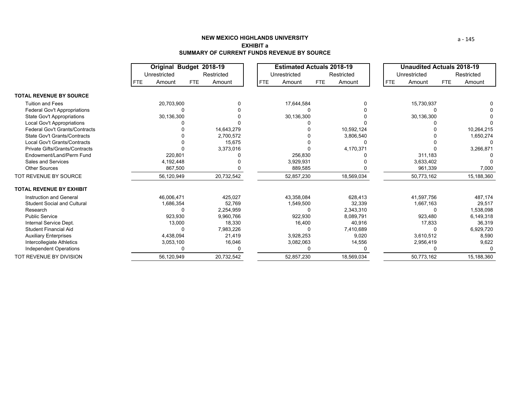## **NEW MEXICO HIGHLANDS UNIVERSITYEXHIBIT aSUMMARY OF CURRENT FUNDS REVENUE BY SOURCE**

|                                       | Original Budget 2018-19 |              |     | <b>Estimated Actuals 2018-19</b> |  |            |              |            | Unaudited Actuals 2018-19 |                      |         |     |            |
|---------------------------------------|-------------------------|--------------|-----|----------------------------------|--|------------|--------------|------------|---------------------------|----------------------|---------|-----|------------|
|                                       |                         | Unrestricted |     | Restricted                       |  |            | Unrestricted |            | Restricted                | Unrestricted         |         |     | Restricted |
|                                       | FTE.                    | Amount       | FTE | Amount                           |  | <b>FTE</b> | Amount       | <b>FTE</b> | Amount                    | <b>FTE</b><br>Amount |         | FTE | Amount     |
| <b>TOTAL REVENUE BY SOURCE</b>        |                         |              |     |                                  |  |            |              |            |                           |                      |         |     |            |
| <b>Tuition and Fees</b>               |                         | 20,703,900   |     |                                  |  |            | 17,644,584   |            |                           | 15,730,937           |         |     |            |
| Federal Gov't Appropriations          |                         |              |     |                                  |  |            |              |            |                           |                      |         |     |            |
| <b>State Gov't Appropriations</b>     |                         | 30,136,300   |     |                                  |  |            | 30,136,300   |            |                           | 30,136,300           |         |     |            |
| Local Gov't Appropriations            |                         |              |     |                                  |  |            |              |            |                           |                      |         |     |            |
| <b>Federal Gov't Grants/Contracts</b> |                         |              |     | 14,643,279                       |  |            |              |            | 10,592,124                |                      |         |     | 10,264,215 |
| <b>State Gov't Grants/Contracts</b>   |                         |              |     | 2,700,572                        |  |            |              |            | 3,806,540                 |                      |         |     | 1,650,274  |
| <b>Local Gov't Grants/Contracts</b>   |                         |              |     | 15,675                           |  |            |              |            |                           |                      |         |     |            |
| <b>Private Gifts/Grants/Contracts</b> |                         |              |     | 3,373,016                        |  |            |              |            | 4,170,371                 |                      |         |     | 3,266,871  |
| Endowment/Land/Perm Fund              |                         | 220,801      |     |                                  |  |            | 256,830      |            |                           |                      | 311,183 |     |            |
| Sales and Services                    |                         | 4,192,448    |     |                                  |  |            | 3,929,931    |            |                           | 3,633,402            |         |     |            |
| <b>Other Sources</b>                  |                         | 867,500      |     |                                  |  |            | 889,585      |            |                           |                      | 961,339 |     | 7,000      |
| TOT REVENUE BY SOURCE                 |                         | 56,120,949   |     | 20,732,542                       |  |            | 52,857,230   |            | 18,569,034                | 50,773,162           |         |     | 15,188,360 |
| <b>TOTAL REVENUE BY EXHIBIT</b>       |                         |              |     |                                  |  |            |              |            |                           |                      |         |     |            |
| Instruction and General               |                         | 46.006.471   |     | 425,027                          |  |            | 43,358,084   |            | 628,413                   | 41,597,756           |         |     | 487,174    |
| <b>Student Social and Cultural</b>    |                         | 1,686,354    |     | 52.769                           |  |            | 1,549,500    |            | 32,339                    | 1,667,163            |         |     | 29,517     |
| Research                              |                         |              |     | 2,254,959                        |  |            |              |            | 2,343,310                 |                      |         |     | 1,538,098  |
| <b>Public Service</b>                 |                         | 923,930      |     | 9,960,766                        |  |            | 922,930      |            | 8,089,791                 |                      | 923,480 |     | 6,149,318  |
| Internal Service Dept.                |                         | 13,000       |     | 18,330                           |  |            | 16,400       |            | 40,916                    |                      | 17,833  |     | 36,319     |
| <b>Student Financial Aid</b>          |                         |              |     | 7,983,226                        |  |            |              |            | 7,410,689                 |                      |         |     | 6,929,720  |
| <b>Auxiliary Enterprises</b>          |                         | 4,438,094    |     | 21,419                           |  |            | 3,928,253    |            | 9,020                     | 3,610,512            |         |     | 8,590      |
| Intercollegiate Athletics             |                         | 3,053,100    |     | 16,046                           |  |            | 3,082,063    |            | 14,556                    | 2,956,419            |         |     | 9,622      |
| Independent Operations                |                         |              |     |                                  |  |            |              |            |                           |                      |         |     |            |
| TOT REVENUE BY DIVISION               |                         | 56.120.949   |     | 20,732,542                       |  |            | 52.857.230   |            | 18.569.034                | 50.773.162           |         |     | 15.188.360 |

a ‐ 145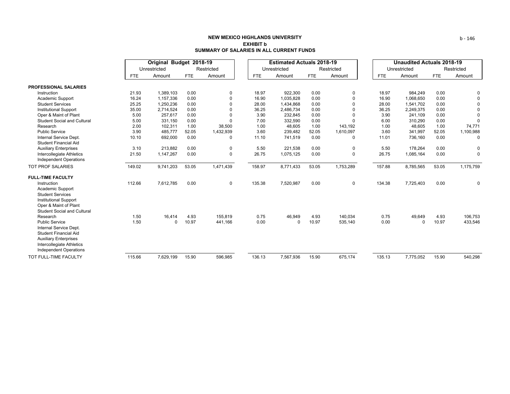|                                                                                                                                                                        |            | Original Budget 2018-19 |            |              |            | <b>Estimated Actuals 2018-19</b> |       |            | <b>Unaudited Actuals 2018-19</b> |              |       |             |
|------------------------------------------------------------------------------------------------------------------------------------------------------------------------|------------|-------------------------|------------|--------------|------------|----------------------------------|-------|------------|----------------------------------|--------------|-------|-------------|
|                                                                                                                                                                        |            | Unrestricted            |            | Restricted   |            | Unrestricted                     |       | Restricted |                                  | Unrestricted |       | Restricted  |
|                                                                                                                                                                        | <b>FTE</b> | Amount                  | <b>FTE</b> | Amount       | <b>FTE</b> | Amount                           | FTE   | Amount     | <b>FTE</b>                       | Amount       | FTE   | Amount      |
| <b>PROFESSIONAL SALARIES</b>                                                                                                                                           |            |                         |            |              |            |                                  |       |            |                                  |              |       |             |
| Instruction                                                                                                                                                            | 21.93      | 1,389,103               | 0.00       | 0            | 18.97      | 922,300                          | 0.00  | $\Omega$   | 18.97                            | 984,249      | 0.00  | 0           |
| Academic Support                                                                                                                                                       | 16.24      | 1,157,336               | 0.00       | <sup>0</sup> | 16.90      | 1,035,828                        | 0.00  |            | 16.90                            | 1,068,650    | 0.00  | 0           |
| <b>Student Services</b>                                                                                                                                                | 25.25      | 1,250,236               | 0.00       |              | 28.00      | 1,434,868                        | 0.00  |            | 28.00                            | 1.541.702    | 0.00  | $\Omega$    |
| <b>Institutional Support</b>                                                                                                                                           | 35.00      | 2,714,524               | 0.00       |              | 36.25      | 2,486,734                        | 0.00  |            | 36.25                            | 2,249,375    | 0.00  | $\Omega$    |
| Oper & Maint of Plant                                                                                                                                                  | 5.00       | 257,617                 | 0.00       |              | 3.90       | 232,845                          | 0.00  |            | 3.90                             | 241.109      | 0.00  | $\Omega$    |
| <b>Student Social and Cultural</b>                                                                                                                                     | 5.00       | 331,150                 | 0.00       | $\Omega$     | 7.00       | 332,590                          | 0.00  |            | 6.00                             | 310,290      | 0.00  | $\Omega$    |
| Research                                                                                                                                                               | 2.00       | 102,311                 | 1.00       | 38,500       | 1.00       | 48,605                           | 1.00  | 143,192    | 1.00                             | 48,605       | 1.00  | 74,771      |
| <b>Public Service</b>                                                                                                                                                  | 3.90       | 485,777                 | 52.05      | 1,432,939    | 3.60       | 239,482                          | 52.05 | 1,610,097  | 3.60                             | 341,997      | 52.05 | 1,100,988   |
| Internal Service Dept.<br><b>Student Financial Aid</b>                                                                                                                 | 10.10      | 692,000                 | 0.00       | $\Omega$     | 11.10      | 741,519                          | 0.00  | $\Omega$   | 11.01                            | 736,160      | 0.00  | 0           |
| <b>Auxiliary Enterprises</b>                                                                                                                                           | 3.10       | 213,882                 | 0.00       | 0            | 5.50       | 221,538                          | 0.00  | 0          | 5.50                             | 178,264      | 0.00  | 0           |
| Intercollegiate Athletics<br>Independent Operations                                                                                                                    | 21.50      | 1,147,267               | 0.00       | $\mathbf 0$  | 26.75      | 1,075,125                        | 0.00  | $\Omega$   | 26.75                            | 1,085,164    | 0.00  | $\mathbf 0$ |
| <b>TOT PROF SALARIES</b>                                                                                                                                               | 149.02     | 9,741,203               | 53.05      | 1,471,439    | 158.97     | 8,771,433                        | 53.05 | 1,753,289  | 157.88                           | 8,785,565    | 53.05 | 1,175,759   |
| <b>FULL-TIME FACULTY</b>                                                                                                                                               |            |                         |            |              |            |                                  |       |            |                                  |              |       |             |
| Instruction<br>Academic Support<br><b>Student Services</b><br><b>Institutional Support</b><br>Oper & Maint of Plant<br><b>Student Social and Cultural</b>              | 112.66     | 7,612,785               | 0.00       | $\mathbf 0$  | 135.38     | 7,520,987                        | 0.00  | 0          | 134.38                           | 7,725,403    | 0.00  | 0           |
| Research                                                                                                                                                               | 1.50       | 16,414                  | 4.93       | 155,819      | 0.75       | 46,949                           | 4.93  | 140,034    | 0.75                             | 49,649       | 4.93  | 106,753     |
| <b>Public Service</b><br>Internal Service Dept.<br>Student Financial Aid<br><b>Auxiliary Enterprises</b><br>Intercollegiate Athletics<br><b>Independent Operations</b> | 1.50       | $\Omega$                | 10.97      | 441,166      | 0.00       | $\Omega$                         | 10.97 | 535,140    | 0.00                             | $\Omega$     | 10.97 | 433,546     |
| TOT FULL-TIME FACULTY                                                                                                                                                  | 115.66     | 7.629.199               | 15.90      | 596.985      | 136.13     | 7,567,936                        | 15.90 | 675.174    | 135.13                           | 7,775,052    | 15.90 | 540,298     |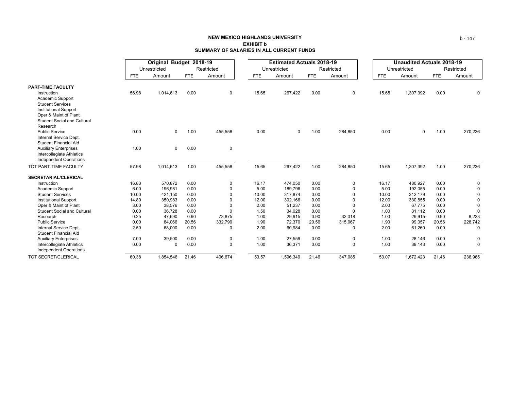|                                                            | Original Budget 2018-19 |              |            |             |            | <b>Estimated Actuals 2018-19</b> |            |             | <b>Unaudited Actuals 2018-19</b> |              |            |          |  |
|------------------------------------------------------------|-------------------------|--------------|------------|-------------|------------|----------------------------------|------------|-------------|----------------------------------|--------------|------------|----------|--|
|                                                            |                         | Unrestricted |            | Restricted  |            | Unrestricted                     |            | Restricted  |                                  | Unrestricted | Restricted |          |  |
|                                                            | <b>FTE</b>              | Amount       | <b>FTE</b> | Amount      | <b>FTE</b> | Amount                           | <b>FTE</b> | Amount      | <b>FTE</b>                       | Amount       | <b>FTE</b> | Amount   |  |
| <b>PART-TIME FACULTY</b>                                   |                         |              |            |             |            |                                  |            |             |                                  |              |            |          |  |
| Instruction                                                | 56.98                   | 1,014,613    | 0.00       | 0           | 15.65      | 267,422                          | 0.00       | 0           | 15.65                            | 1,307,392    | 0.00       | 0        |  |
| Academic Support                                           |                         |              |            |             |            |                                  |            |             |                                  |              |            |          |  |
| <b>Student Services</b>                                    |                         |              |            |             |            |                                  |            |             |                                  |              |            |          |  |
| <b>Institutional Support</b>                               |                         |              |            |             |            |                                  |            |             |                                  |              |            |          |  |
| Oper & Maint of Plant                                      |                         |              |            |             |            |                                  |            |             |                                  |              |            |          |  |
| <b>Student Social and Cultural</b>                         |                         |              |            |             |            |                                  |            |             |                                  |              |            |          |  |
| Research                                                   |                         |              |            |             |            |                                  |            |             |                                  |              |            |          |  |
| <b>Public Service</b>                                      | 0.00                    | 0            | 1.00       | 455,558     | 0.00       | $\mathbf 0$                      | 1.00       | 284,850     | 0.00                             | $\mathbf 0$  | 1.00       | 270,236  |  |
| Internal Service Dept.<br><b>Student Financial Aid</b>     |                         |              |            |             |            |                                  |            |             |                                  |              |            |          |  |
| <b>Auxiliary Enterprises</b>                               | 1.00                    | $\mathbf 0$  | 0.00       | $\mathbf 0$ |            |                                  |            |             |                                  |              |            |          |  |
| Intercollegiate Athletics                                  |                         |              |            |             |            |                                  |            |             |                                  |              |            |          |  |
| <b>Independent Operations</b>                              |                         |              |            |             |            |                                  |            |             |                                  |              |            |          |  |
|                                                            |                         |              |            |             |            |                                  |            |             |                                  |              |            |          |  |
| TOT PART-TIME FACULTY                                      | 57.98                   | 1,014,613    | 1.00       | 455,558     | 15.65      | 267,422                          | 1.00       | 284,850     | 15.65                            | 1,307,392    | 1.00       | 270,236  |  |
| <b>SECRETARIAL/CLERICAL</b>                                |                         |              |            |             |            |                                  |            |             |                                  |              |            |          |  |
| Instruction                                                | 16.83                   | 570,872      | 0.00       | 0           | 16.17      | 474,050                          | 0.00       | 0           | 16.17                            | 480,927      | 0.00       | 0        |  |
| Academic Support                                           | 6.00                    | 196,981      | 0.00       | $\Omega$    | 5.00       | 189,796                          | 0.00       | $\Omega$    | 5.00                             | 192,055      | 0.00       | $\Omega$ |  |
| <b>Student Services</b>                                    | 10.00                   | 421,150      | 0.00       | $\Omega$    | 10.00      | 317,874                          | 0.00       | $\Omega$    | 10.00                            | 312,179      | 0.00       | $\Omega$ |  |
| <b>Institutional Support</b>                               | 14.80                   | 350,983      | 0.00       | $\Omega$    | 12.00      | 302,166                          | 0.00       | $\Omega$    | 12.00                            | 330,855      | 0.00       | $\Omega$ |  |
| Oper & Maint of Plant                                      | 3.00                    | 38,576       | 0.00       | $\Omega$    | 2.00       | 51,237                           | 0.00       | $\Omega$    | 2.00                             | 67,775       | 0.00       | $\Omega$ |  |
| <b>Student Social and Cultural</b>                         | 0.00                    | 36,728       | 0.00       | $\Omega$    | 1.50       | 34,028                           | 0.00       | $\Omega$    | 1.00                             | 31,112       | 0.00       | $\Omega$ |  |
| Research                                                   | 0.25                    | 47,690       | 0.90       | 73,875      | 1.00       | 29,915                           | 0.90       | 32,018      | 1.00                             | 29,915       | 0.90       | 8,223    |  |
| <b>Public Service</b>                                      | 0.00                    | 84,066       | 20.56      | 332,799     | 1.90       | 72,370                           | 20.56      | 315,067     | 1.90                             | 99,057       | 20.56      | 228,742  |  |
| Internal Service Dept.                                     | 2.50                    | 68,000       | 0.00       | 0           | 2.00       | 60,984                           | 0.00       | 0           | 2.00                             | 61,260       | 0.00       | $\Omega$ |  |
| <b>Student Financial Aid</b>                               |                         |              |            |             |            |                                  |            |             |                                  |              |            |          |  |
| <b>Auxiliary Enterprises</b>                               | 7.00                    | 39,500       | 0.00       | 0           | 1.00       | 27,559                           | 0.00       | 0           | 1.00                             | 28,146       | 0.00       | 0        |  |
| Intercollegiate Athletics<br><b>Independent Operations</b> | 0.00                    | $\Omega$     | 0.00       | $\Omega$    | 1.00       | 36,371                           | 0.00       | $\mathbf 0$ | 1.00                             | 39,143       | 0.00       | $\Omega$ |  |
| TOT SECRET/CLERICAL                                        | 60.38                   | 1.854.546    | 21.46      | 406.674     | 53.57      | 1.596.349                        | 21.46      | 347.085     | 53.07                            | 1,672,423    | 21.46      | 236.965  |  |

b ‐ 147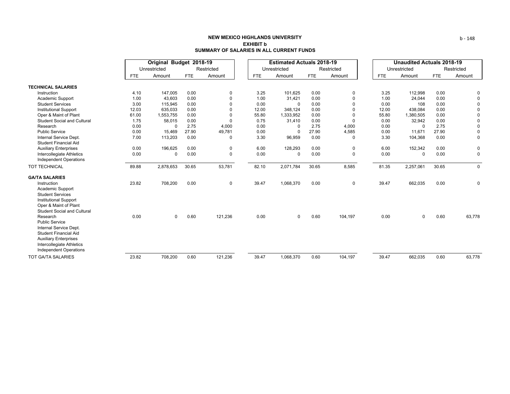|                                                                                                                                                                                           |            | Original Budget 2018-19 |            |            |            | <b>Estimated Actuals 2018-19</b> |            |             | <b>Unaudited Actuals 2018-19</b> |              |            |              |  |
|-------------------------------------------------------------------------------------------------------------------------------------------------------------------------------------------|------------|-------------------------|------------|------------|------------|----------------------------------|------------|-------------|----------------------------------|--------------|------------|--------------|--|
|                                                                                                                                                                                           |            | Unrestricted            |            | Restricted |            | Unrestricted                     |            | Restricted  |                                  | Unrestricted |            | Restricted   |  |
|                                                                                                                                                                                           | <b>FTE</b> | Amount                  | <b>FTE</b> | Amount     | <b>FTE</b> | Amount                           | <b>FTE</b> | Amount      | <b>FTE</b>                       | Amount       | <b>FTE</b> | Amount       |  |
| <b>TECHNICAL SALARIES</b>                                                                                                                                                                 |            |                         |            |            |            |                                  |            |             |                                  |              |            |              |  |
| Instruction                                                                                                                                                                               | 4.10       | 147,005                 | 0.00       | 0          | 3.25       | 101,625                          | 0.00       | 0           | 3.25                             | 112,998      | 0.00       | 0            |  |
| Academic Support                                                                                                                                                                          | 1.00       | 43,603                  | 0.00       |            | 1.00       | 31,421                           | 0.00       | $\Omega$    | 1.00                             | 24,044       | 0.00       | $\Omega$     |  |
| <b>Student Services</b>                                                                                                                                                                   | 3.00       | 115,945                 | 0.00       |            | 0.00       | $\Omega$                         | 0.00       | 0           | 0.00                             | 108          | 0.00       | $\Omega$     |  |
| <b>Institutional Support</b>                                                                                                                                                              | 12.03      | 635,033                 | 0.00       |            | 12.00      | 348.124                          | 0.00       | $\Omega$    | 12.00                            | 438,084      | 0.00       | <sup>0</sup> |  |
| Oper & Maint of Plant                                                                                                                                                                     | 61.00      | 1,553,755               | 0.00       |            | 55.80      | 1,333,952                        | 0.00       | $\Omega$    | 55.80                            | 1,380,505    | 0.00       | $\Omega$     |  |
| <b>Student Social and Cultural</b>                                                                                                                                                        | 1.75       | 58,015                  | 0.00       | O          | 0.75       | 31,410                           | 0.00       | $\Omega$    | 0.00                             | 32,942       | 0.00       | 0            |  |
| Research                                                                                                                                                                                  | 0.00       | $\Omega$                | 2.75       | 4,000      | 0.00       | $\Omega$                         | 2.75       | 4,000       | 0.00                             | $\Omega$     | 2.75       | $\Omega$     |  |
| <b>Public Service</b>                                                                                                                                                                     | 0.00       | 15,469                  | 27.90      | 49,781     | 0.00       | $\Omega$                         | 27.90      | 4,585       | 0.00                             | 11,671       | 27.90      | 0            |  |
| Internal Service Dept.<br><b>Student Financial Aid</b>                                                                                                                                    | 7.00       | 113,203                 | 0.00       | $\Omega$   | 3.30       | 96,959                           | 0.00       | $\Omega$    | 3.30                             | 104,368      | 0.00       | 0            |  |
| <b>Auxiliary Enterprises</b>                                                                                                                                                              | 0.00       | 196,625                 | 0.00       | 0          | 6.00       | 128,293                          | 0.00       | 0           | 6.00                             | 152,342      | 0.00       | 0            |  |
| Intercollegiate Athletics<br><b>Independent Operations</b>                                                                                                                                | 0.00       | 0                       | 0.00       | 0          | 0.00       | $\Omega$                         | 0.00       | $\Omega$    | 0.00                             | 0            | 0.00       | 0            |  |
| TOT TECHNICAL                                                                                                                                                                             | 89.88      | 2,878,653               | 30.65      | 53,781     | 82.10      | 2,071,784                        | 30.65      | 8,585       | 81.35                            | 2,257,061    | 30.65      | 0            |  |
| <b>GA/TA SALARIES</b>                                                                                                                                                                     |            |                         |            |            |            |                                  |            |             |                                  |              |            |              |  |
| Instruction<br>Academic Support<br><b>Student Services</b><br><b>Institutional Support</b><br>Oper & Maint of Plant<br><b>Student Social and Cultural</b>                                 | 23.82      | 708,200                 | 0.00       | 0          | 39.47      | 1,068,370                        | 0.00       | $\mathbf 0$ | 39.47                            | 662,035      | 0.00       | 0            |  |
| Research<br><b>Public Service</b><br>Internal Service Dept.<br><b>Student Financial Aid</b><br><b>Auxiliary Enterprises</b><br>Intercollegiate Athletics<br><b>Independent Operations</b> | 0.00       | $\mathbf 0$             | 0.60       | 121,236    | 0.00       | 0                                | 0.60       | 104,197     | 0.00                             | $\mathbf 0$  | 0.60       | 63,778       |  |
| <b>TOT GA/TA SALARIES</b>                                                                                                                                                                 | 23.82      | 708,200                 | 0.60       | 121,236    | 39.47      | 1,068,370                        | 0.60       | 104,197     | 39.47                            | 662,035      | 0.60       | 63,778       |  |

b ‐ 148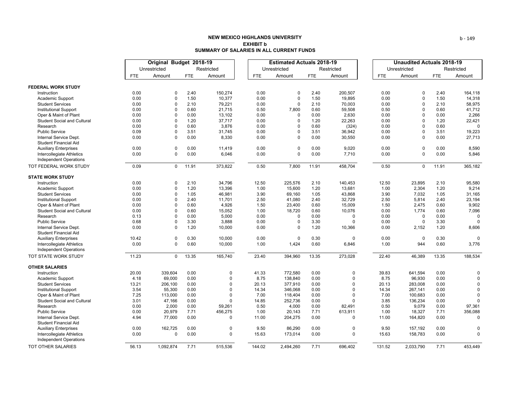|                                    | Original Budget 2018-19 |              |            | <b>Estimated Actuals 2018-19</b> |            |              |            |             | <b>Unaudited Actuals 2018-19</b> |            |              |            |             |
|------------------------------------|-------------------------|--------------|------------|----------------------------------|------------|--------------|------------|-------------|----------------------------------|------------|--------------|------------|-------------|
|                                    |                         | Unrestricted |            | Restricted                       |            | Unrestricted |            | Restricted  |                                  |            | Unrestricted |            | Restricted  |
|                                    | FTE                     | Amount       | <b>FTE</b> | Amount                           | <b>FTE</b> | Amount       | <b>FTE</b> | Amount      |                                  | <b>FTE</b> | Amount       | <b>FTE</b> | Amount      |
|                                    |                         |              |            |                                  |            |              |            |             |                                  |            |              |            |             |
| <b>FEDERAL WORK STUDY</b>          |                         |              |            |                                  |            |              |            |             |                                  |            |              |            |             |
| Instruction                        | 0.00                    | $\Omega$     | 2.40       | 150,274                          | 0.00       | $\Omega$     | 2.40       | 200,507     |                                  | 0.00       | $\mathbf 0$  | 2.40       | 164,118     |
| Academic Support                   | 0.00                    | $\mathbf 0$  | 1.50       | 10,377                           | 0.00       | $\mathbf 0$  | 1.50       | 19,895      |                                  | 0.00       | 0            | 1.50       | 14,318      |
| <b>Student Services</b>            | 0.00                    | 0            | 2.10       | 79,221                           | 0.00       | $\mathbf 0$  | 2.10       | 70,003      |                                  | 0.00       | $\mathbf 0$  | 2.10       | 58,975      |
| <b>Institutional Support</b>       | 0.00                    | $\mathbf 0$  | 0.60       | 21,715                           | 0.50       | 7,800        | 0.60       | 59,508      |                                  | 0.50       | 0            | 0.60       | 41,712      |
| Oper & Maint of Plant              | 0.00                    | $\Omega$     | 0.00       | 13,102                           | 0.00       | 0            | 0.00       | 2,630       |                                  | 0.00       | $\mathbf 0$  | 0.00       | 2,266       |
| <b>Student Social and Cultural</b> | 0.00                    | $\Omega$     | 1.20       | 37,717                           | 0.00       | $\Omega$     | 1.20       | 22,263      |                                  | 0.00       | $\mathbf 0$  | 1.20       | 22,421      |
| Research                           | 0.00                    | $\Omega$     | 0.60       | 3,876                            | 0.00       | $\mathbf{0}$ | 0.60       | (324)       |                                  | 0.00       | $\Omega$     | 0.60       | $\Omega$    |
| <b>Public Service</b>              | 0.09                    | $\Omega$     | 3.51       | 31,745                           | 0.00       | $\mathbf{0}$ | 3.51       | 36,942      |                                  | 0.00       | $\mathbf 0$  | 3.51       | 19,223      |
| Internal Service Dept.             | 0.00                    | $\mathbf 0$  | 0.00       | 8,330                            | 0.00       | $\mathbf{0}$ | 0.00       | 30,550      |                                  | 0.00       | $\Omega$     | 0.00       | 27,713      |
| <b>Student Financial Aid</b>       |                         |              |            |                                  |            |              |            |             |                                  |            |              |            |             |
| <b>Auxiliary Enterprises</b>       | 0.00                    | $\mathbf 0$  | 0.00       | 11,419                           | 0.00       | $\pmb{0}$    | 0.00       | 9,020       |                                  | 0.00       | 0            | 0.00       | 8,590       |
| Intercollegiate Athletics          | 0.00                    | 0            | 0.00       | 6,046                            | 0.00       | $\Omega$     | 0.00       | 7,710       |                                  | 0.00       | $\mathbf 0$  | 0.00       | 5,846       |
| <b>Independent Operations</b>      |                         |              |            |                                  |            |              |            |             |                                  |            |              |            |             |
| TOT FEDERAL WORK STUDY             | 0.09                    | $\mathbf 0$  | 11.91      | 373,822                          | 0.50       | 7,800        | 11.91      | 458,704     |                                  | 0.50       | $\mathbf 0$  | 11.91      | 365,182     |
| <b>STATE WORK STUDY</b>            |                         |              |            |                                  |            |              |            |             |                                  |            |              |            |             |
| Instruction                        | 0.00                    | $\mathbf 0$  | 2.10       | 34,796                           | 12.50      | 225,576      | 2.10       | 140,453     |                                  | 12.50      | 23,895       | 2.10       | 95,580      |
| Academic Support                   | 0.00                    | $\mathbf 0$  | 1.20       | 13,396                           | 1.00       | 15,600       | 1.20       | 13,681      |                                  | 1.00       | 2,304        | 1.20       | 9,214       |
| <b>Student Services</b>            | 0.00                    | $\Omega$     | 1.05       | 46,981                           | 3.90       | 69,160       | 1.05       | 43,868      |                                  | 3.90       | 7,032        | 1.05       | 31,165      |
| <b>Institutional Support</b>       | 0.00                    | $\Omega$     | 2.40       | 11,701                           | 2.50       | 41,080       | 2.40       | 32,729      |                                  | 2.50       | 5,814        | 2.40       | 23,194      |
| Oper & Maint of Plant              | 0.00                    | $\Omega$     | 0.60       | 4,926                            | 1.50       | 23,400       | 0.60       | 15,009      |                                  | 1.50       | 2,475        | 0.60       | 9,902       |
| <b>Student Social and Cultural</b> | 0.00                    | $\mathbf 0$  | 0.60       | 15,052                           | 1.00       | 18,720       | 0.60       | 10,076      |                                  | 0.00       | 1,774        | 0.60       | 7,096       |
| Research                           | 0.13                    | $\Omega$     | 0.00       | 5,000                            | 0.00       | $\mathbf 0$  | 0.00       | $\mathbf 0$ |                                  | 0.00       | $\mathbf 0$  | 0.00       | 0           |
| <b>Public Service</b>              | 0.68                    | $\mathbf 0$  | 3.30       | 3,888                            | 0.00       | $\mathbf 0$  | 3.30       | $\Omega$    |                                  | 0.00       | $\mathbf 0$  | 3.30       | $\Omega$    |
| Internal Service Dept.             | 0.00                    | $\Omega$     | 1.20       | 10,000                           | 0.00       | $\Omega$     | 1.20       | 10,366      |                                  | 0.00       | 2,152        | 1.20       | 8,606       |
| <b>Student Financial Aid</b>       |                         |              |            |                                  |            |              |            |             |                                  |            |              |            |             |
| <b>Auxiliary Enterprises</b>       | 10.42                   | 0            | 0.30       | 10,000                           | 0.00       | $\mathbf 0$  | 0.30       | $\mathbf 0$ |                                  | 0.00       | 0            | 0.30       | 0           |
| Intercollegiate Athletics          | 0.00                    | $\mathbf 0$  | 0.60       | 10,000                           | 1.00       | 1,424        | 0.60       | 6,846       |                                  | 1.00       | 944          | 0.60       | 3,776       |
| <b>Independent Operations</b>      |                         |              |            |                                  |            |              |            |             |                                  |            |              |            |             |
| TOT STATE WORK STUDY               | 11.23                   | $\Omega$     | 13.35      | 165,740                          | 23.40      | 394,960      | 13.35      | 273,028     |                                  | 22.40      | 46,389       | 13.35      | 188,534     |
| <b>OTHER SALARIES</b>              |                         |              |            |                                  |            |              |            |             |                                  |            |              |            |             |
| Instruction                        | 20.00                   | 339,604      | 0.00       | 0                                | 41.33      | 772,580      | 0.00       | 0           |                                  | 39.83      | 641,594      | 0.00       | 0           |
| Academic Support                   | 4.18                    | 69,000       | 0.00       | 0                                | 8.75       | 138,840      | 0.00       | $\Omega$    |                                  | 8.75       | 96,930       | 0.00       | 0           |
| <b>Student Services</b>            | 13.21                   | 206,100      | 0.00       | $\Omega$                         | 20.13      | 377,910      | 0.00       | $\Omega$    |                                  | 20.13      | 283,008      | 0.00       | $\Omega$    |
| <b>Institutional Support</b>       | 3.54                    | 55,300       | 0.00       | $\Omega$                         | 14.34      | 346,068      | 0.00       | $\Omega$    |                                  | 14.34      | 267,141      | 0.00       | $\Omega$    |
| Oper & Maint of Plant              | 7.25                    | 113,000      | 0.00       | $\Omega$                         | 7.00       | 118,404      | 0.00       | $\Omega$    |                                  | 7.00       | 100,683      | 0.00       | $\Omega$    |
| <b>Student Social and Cultural</b> | 3.01                    | 47,166       | 0.00       | $\Omega$                         | 14.85      | 252,736      | 0.00       | $\Omega$    |                                  | 3.85       | 136,234      | 0.00       | $\Omega$    |
| Research                           | 0.00                    | 2,000        | 0.00       | 59,261                           | 0.50       | 4,000        | 0.00       | 82,491      |                                  | 0.50       | 9,079        | 0.00       | 97,361      |
| <b>Public Service</b>              | 0.00                    | 20,979       | 7.71       | 456,275                          | 1.00       | 20,143       | 7.71       | 613,911     |                                  | 1.00       | 18,327       | 7.71       | 356,088     |
| Internal Service Dept.             | 4.94                    | 77,000       | 0.00       | 0                                | 11.00      | 204,275      | 0.00       | $\mathbf 0$ |                                  | 11.00      | 164,820      | 0.00       | $\mathbf 0$ |
| <b>Student Financial Aid</b>       |                         |              |            |                                  |            |              |            |             |                                  |            |              |            |             |
| <b>Auxiliary Enterprises</b>       | 0.00                    | 162,725      | 0.00       | 0                                | 9.50       | 86,290       | 0.00       | $\mathbf 0$ |                                  | 9.50       | 157,192      | 0.00       | $\Omega$    |
| Intercollegiate Athletics          | 0.00                    | $\mathbf 0$  | 0.00       | $\mathbf 0$                      | 15.63      | 173,014      | 0.00       | $\Omega$    |                                  | 15.63      | 158,783      | 0.00       | $\Omega$    |
| <b>Independent Operations</b>      |                         |              |            |                                  |            |              |            |             |                                  |            |              |            |             |
| <b>TOT OTHER SALARIES</b>          | 56.13                   | 1.092.874    | 7.71       | 515.536                          | 144.02     | 2.494.260    | 7.71       | 696.402     |                                  | 131.52     | 2.033.790    | 7.71       | 453.449     |

b ‐ 149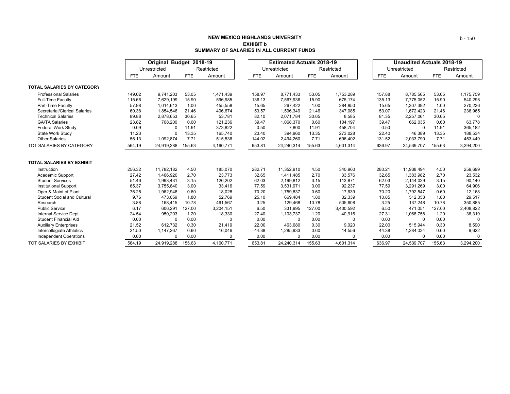|                                    |        | Original Budget 2018-19 |            |            |            | <b>Estimated Actuals 2018-19</b> |            |            | <b>Unaudited Actuals 2018-19</b> |              |            |            |
|------------------------------------|--------|-------------------------|------------|------------|------------|----------------------------------|------------|------------|----------------------------------|--------------|------------|------------|
|                                    |        | Unrestricted            |            | Restricted |            | Unrestricted                     |            | Restricted |                                  | Unrestricted |            | Restricted |
|                                    | FTE    | Amount                  | <b>FTE</b> | Amount     | <b>FTE</b> | Amount                           | <b>FTE</b> | Amount     | <b>FTE</b>                       | Amount       | <b>FTE</b> | Amount     |
| <b>TOTAL SALARIES BY CATEGORY</b>  |        |                         |            |            |            |                                  |            |            |                                  |              |            |            |
| <b>Professional Salaries</b>       | 149.02 | 9,741,203               | 53.05      | 1,471,439  | 158.97     | 8,771,433                        | 53.05      | 1,753,289  | 157.88                           | 8,785,565    | 53.05      | 1,175,759  |
| <b>Full-Time Faculty</b>           | 115.66 | 7,629,199               | 15.90      | 596.985    | 136.13     | 7,567,936                        | 15.90      | 675,174    | 135.13                           | 7.775.052    | 15.90      | 540,298    |
| Part-Time Faculty                  | 57.98  | 1,014,613               | 1.00       | 455,558    | 15.65      | 267,422                          | 1.00       | 284,850    | 15.65                            | 1,307,392    | 1.00       | 270,236    |
| Secretarial/Clerical Salaries      | 60.38  | 1,854,546               | 21.46      | 406,674    | 53.57      | 1,596,349                        | 21.46      | 347,085    | 53.07                            | 1,672,423    | 21.46      | 236,965    |
| <b>Technical Salaries</b>          | 89.88  | 2,878,653               | 30.65      | 53,781     | 82.10      | 2,071,784                        | 30.65      | 8,585      | 81.35                            | 2,257,061    | 30.65      |            |
| <b>GA/TA Salaries</b>              | 23.82  | 708,200                 | 0.60       | 121,236    | 39.47      | 1,068,370                        | 0.60       | 104,197    | 39.47                            | 662,035      | 0.60       | 63,778     |
| <b>Federal Work Study</b>          | 0.09   |                         | 11.91      | 373,822    | 0.50       | 7,800                            | 11.91      | 458,704    | 0.50                             | $\Omega$     | 11.91      | 365,182    |
| State Work Study                   | 11.23  |                         | 13.35      | 165,740    | 23.40      | 394,960                          | 13.35      | 273,028    | 22.40                            | 46,389       | 13.35      | 188,534    |
| <b>Other Salaries</b>              | 56.13  | 1,092,874               | 7.71       | 515,536    | 144.02     | 2,494,260                        | 7.71       | 696,402    | 131.52                           | 2,033,790    | 7.71       | 453,449    |
| TOT SALARIES BY CATEGORY           | 564.19 | 24,919,288              | 155.63     | 4,160,771  | 653.81     | 24,240,314                       | 155.63     | 4,601,314  | 636.97                           | 24,539,707   | 155.63     | 3,294,200  |
| <b>TOTAL SALARIES BY EXHIBIT</b>   |        |                         |            |            |            |                                  |            |            |                                  |              |            |            |
| Instruction                        | 256.32 | 11,782,182              | 4.50       | 185,070    | 282.71     | 11,352,910                       | 4.50       | 340,960    | 280.21                           | 11,938,494   | 4.50       | 259,699    |
| Academic Support                   | 27.42  | 1,466,920               | 2.70       | 23,773     | 32.65      | 1,411,485                        | 2.70       | 33,576     | 32.65                            | 1,383,982    | 2.70       | 23,532     |
| <b>Student Services</b>            | 51.46  | 1,993,431               | 3.15       | 126,202    | 62.03      | 2,199,812                        | 3.15       | 113,871    | 62.03                            | 2,144,029    | 3.15       | 90,140     |
| <b>Institutional Support</b>       | 65.37  | 3,755,840               | 3.00       | 33,416     | 77.59      | 3,531,971                        | 3.00       | 92,237     | 77.59                            | 3,291,269    | 3.00       | 64,906     |
| Oper & Maint of Plant              | 76.25  | 1,962,948               | 0.60       | 18,028     | 70.20      | 1,759,837                        | 0.60       | 17,639     | 70.20                            | 1,792,547    | 0.60       | 12,168     |
| <b>Student Social and Cultural</b> | 9.76   | 473,059                 | 1.80       | 52,769     | 25.10      | 669,484                          | 1.80       | 32,339     | 10.85                            | 512,353      | 1.80       | 29,517     |
| Research                           | 3.88   | 168,415                 | 10.78      | 461,567    | 3.25       | 129,468                          | 10.78      | 505,608    | 3.25                             | 137,248      | 10.78      | 350,885    |
| <b>Public Service</b>              | 6.17   | 606,291                 | 127.00     | 3,204,151  | 6.50       | 331,995                          | 127.00     | 3,400,592  | 6.50                             | 471,051      | 127.00     | 2,408,822  |
| Internal Service Dept.             | 24.54  | 950,203                 | 1.20       | 18,330     | 27.40      | 1,103,737                        | 1.20       | 40,916     | 27.31                            | 1,068,758    | 1.20       | 36,319     |
| <b>Student Financial Aid</b>       | 0.00   | $\Omega$                | 0.00       | $\Omega$   | 0.00       | <sup>0</sup>                     | 0.00       | $\Omega$   | 0.00                             | <sup>0</sup> | 0.00       | $\Omega$   |
| <b>Auxiliary Enterprises</b>       | 21.52  | 612,732                 | 0.30       | 21,419     | 22.00      | 463.680                          | 0.30       | 9,020      | 22.00                            | 515,944      | 0.30       | 8,590      |
| Intercollegiate Athletics          | 21.50  | 1,147,267               | 0.60       | 16,046     | 44.38      | 1,285,933                        | 0.60       | 14,556     | 44.38                            | 1,284,034    | 0.60       | 9,622      |
| <b>Independent Operations</b>      | 0.00   | $\Omega$                | 0.00       | $\Omega$   | 0.00       | $\Omega$                         | 0.00       | 0          | 0.00                             | U            | 0.00       | 0          |
| TOT SALARIES BY EXHIBIT            | 564.19 | 24.919.288              | 155.63     | 4.160.771  | 653.81     | 24,240,314                       | 155.63     | 4.601.314  | 636.97                           | 24,539,707   | 155.63     | 3,294,200  |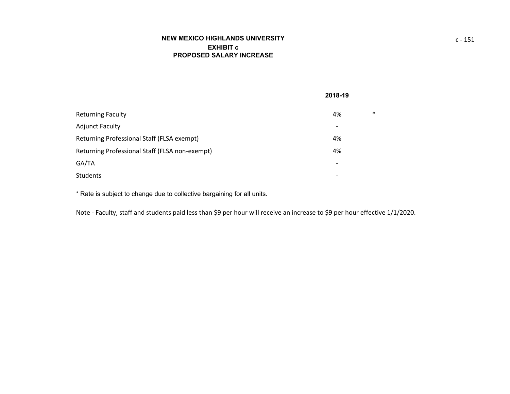# **NEW MEXICO HIGHLANDS UNIVERSITYEXHIBIT cPROPOSED SALARY INCREASE**

|                                                | 2018-19                  |
|------------------------------------------------|--------------------------|
| <b>Returning Faculty</b>                       | $\ast$<br>4%             |
| <b>Adjunct Faculty</b>                         | $\overline{\phantom{a}}$ |
| Returning Professional Staff (FLSA exempt)     | 4%                       |
| Returning Professional Staff (FLSA non-exempt) | 4%                       |
| GA/TA                                          | $\overline{\phantom{a}}$ |
| Students                                       | $\overline{\phantom{a}}$ |

\* Rate is subject to change due to collective bargaining for all units.

Note ‐ Faculty, staff and students paid less than \$9 per hour will receive an increase to \$9 per hour effective 1/1/2020.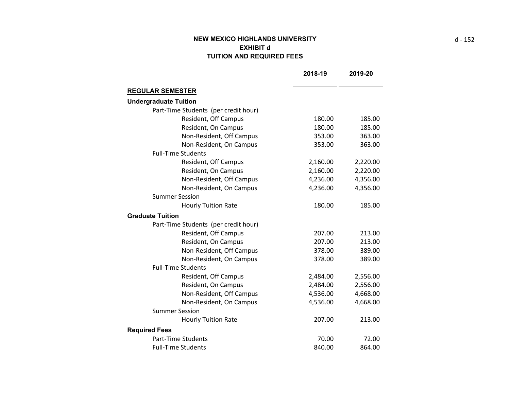# **NEW MEXICO HIGHLANDS UNIVERSITY EXHIBIT d TUITION AND REQUIRED FEES**

|                                      | 2018-19  | 2019-20  |
|--------------------------------------|----------|----------|
| <b>REGULAR SEMESTER</b>              |          |          |
| <b>Undergraduate Tuition</b>         |          |          |
| Part-Time Students (per credit hour) |          |          |
| Resident, Off Campus                 | 180.00   | 185.00   |
| Resident, On Campus                  | 180.00   | 185.00   |
| Non-Resident, Off Campus             | 353.00   | 363.00   |
| Non-Resident, On Campus              | 353.00   | 363.00   |
| <b>Full-Time Students</b>            |          |          |
| Resident, Off Campus                 | 2,160.00 | 2,220.00 |
| Resident, On Campus                  | 2,160.00 | 2,220.00 |
| Non-Resident, Off Campus             | 4,236.00 | 4,356.00 |
| Non-Resident, On Campus              | 4,236.00 | 4,356.00 |
| <b>Summer Session</b>                |          |          |
| <b>Hourly Tuition Rate</b>           | 180.00   | 185.00   |
| <b>Graduate Tuition</b>              |          |          |
| Part-Time Students (per credit hour) |          |          |
| Resident, Off Campus                 | 207.00   | 213.00   |
| Resident, On Campus                  | 207.00   | 213.00   |
| Non-Resident, Off Campus             | 378.00   | 389.00   |
| Non-Resident, On Campus              | 378.00   | 389.00   |
| <b>Full-Time Students</b>            |          |          |
| Resident, Off Campus                 | 2,484.00 | 2,556.00 |
| Resident, On Campus                  | 2,484.00 | 2,556.00 |
| Non-Resident, Off Campus             | 4,536.00 | 4,668.00 |
| Non-Resident, On Campus              | 4,536.00 | 4,668.00 |
| <b>Summer Session</b>                |          |          |
| <b>Hourly Tuition Rate</b>           | 207.00   | 213.00   |
| <b>Required Fees</b>                 |          |          |
| <b>Part-Time Students</b>            | 70.00    | 72.00    |
| <b>Full-Time Students</b>            | 840.00   | 864.00   |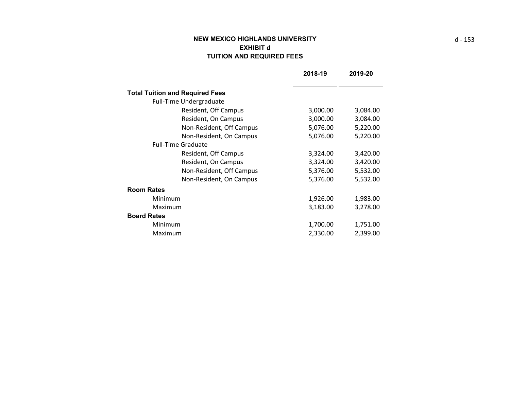# **NEW MEXICO HIGHLANDS UNIVERSITY EXHIBIT d TUITION AND REQUIRED FEES**

|                                        | 2018-19  | 2019-20  |
|----------------------------------------|----------|----------|
|                                        |          |          |
| <b>Total Tuition and Required Fees</b> |          |          |
| Full-Time Undergraduate                |          |          |
| Resident, Off Campus                   | 3,000.00 | 3,084.00 |
| Resident, On Campus                    | 3,000.00 | 3,084.00 |
| Non-Resident, Off Campus               | 5,076.00 | 5,220.00 |
| Non-Resident, On Campus                | 5,076.00 | 5,220.00 |
| <b>Full-Time Graduate</b>              |          |          |
| Resident, Off Campus                   | 3,324.00 | 3,420.00 |
| Resident, On Campus                    | 3,324.00 | 3,420.00 |
| Non-Resident, Off Campus               | 5,376.00 | 5,532.00 |
| Non-Resident, On Campus                | 5,376.00 | 5,532.00 |
| <b>Room Rates</b>                      |          |          |
| Minimum                                | 1,926.00 | 1,983.00 |
| Maximum                                | 3,183.00 | 3,278.00 |
| <b>Board Rates</b>                     |          |          |
| Minimum                                | 1,700.00 | 1,751.00 |
| Maximum                                | 2,330.00 | 2,399.00 |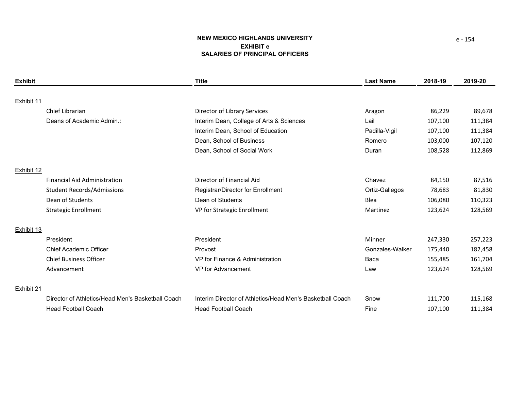## **NEW MEXICO HIGHLANDS UNIVERSITY EXHIBIT eSALARIES OF PRINCIPAL OFFICERS**

| <b>Exhibit</b> |                                                   | <b>Title</b>                                              | <b>Last Name</b> | 2018-19 | 2019-20 |
|----------------|---------------------------------------------------|-----------------------------------------------------------|------------------|---------|---------|
|                |                                                   |                                                           |                  |         |         |
| Exhibit 11     |                                                   |                                                           |                  |         |         |
|                | Chief Librarian                                   | Director of Library Services                              | Aragon           | 86,229  | 89,678  |
|                | Deans of Academic Admin.:                         | Interim Dean, College of Arts & Sciences                  | Lail             | 107,100 | 111,384 |
|                |                                                   | Interim Dean, School of Education                         | Padilla-Vigil    | 107,100 | 111,384 |
|                |                                                   | Dean, School of Business                                  | Romero           | 103,000 | 107,120 |
|                |                                                   | Dean, School of Social Work                               | Duran            | 108,528 | 112,869 |
| Exhibit 12     |                                                   |                                                           |                  |         |         |
|                | <b>Financial Aid Administration</b>               | Director of Financial Aid                                 | Chavez           | 84,150  | 87,516  |
|                | <b>Student Records/Admissions</b>                 | Registrar/Director for Enrollment                         | Ortiz-Gallegos   | 78,683  | 81,830  |
|                | Dean of Students                                  | Dean of Students                                          | Blea             | 106,080 | 110,323 |
|                | <b>Strategic Enrollment</b>                       | VP for Strategic Enrollment                               | Martinez         | 123,624 | 128,569 |
| Exhibit 13     |                                                   |                                                           |                  |         |         |
|                | President                                         | President                                                 | Minner           | 247,330 | 257,223 |
|                | <b>Chief Academic Officer</b>                     | Provost                                                   | Gonzales-Walker  | 175,440 | 182,458 |
|                | <b>Chief Business Officer</b>                     | VP for Finance & Administration                           | Baca             | 155,485 | 161,704 |
|                | Advancement                                       | VP for Advancement                                        | Law              | 123,624 | 128,569 |
| Exhibit 21     |                                                   |                                                           |                  |         |         |
|                | Director of Athletics/Head Men's Basketball Coach | Interim Director of Athletics/Head Men's Basketball Coach | Snow             | 111,700 | 115,168 |
|                | <b>Head Football Coach</b>                        | <b>Head Football Coach</b>                                | Fine             | 107.100 | 111,384 |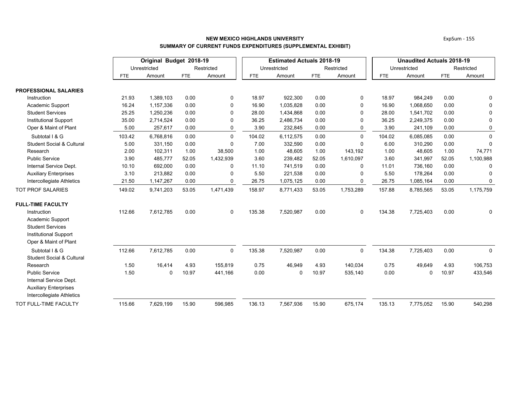|                                      |            | Original Budget 2018-19 |            |             |            | <b>Estimated Actuals 2018-19</b> |            | <b>Unaudited Actuals 2018-19</b> |        |              |            |             |
|--------------------------------------|------------|-------------------------|------------|-------------|------------|----------------------------------|------------|----------------------------------|--------|--------------|------------|-------------|
|                                      |            | Unrestricted            |            | Restricted  |            | Unrestricted                     |            | Restricted                       |        | Unrestricted |            | Restricted  |
|                                      | <b>FTE</b> | Amount                  | <b>FTE</b> | Amount      | <b>FTE</b> | Amount                           | <b>FTE</b> | Amount                           | FTE    | Amount       | <b>FTE</b> | Amount      |
| <b>PROFESSIONAL SALARIES</b>         |            |                         |            |             |            |                                  |            |                                  |        |              |            |             |
| Instruction                          | 21.93      | 1,389,103               | 0.00       | 0           | 18.97      | 922,300                          | 0.00       | 0                                | 18.97  | 984,249      | 0.00       | 0           |
| Academic Support                     | 16.24      | 1,157,336               | 0.00       | 0           | 16.90      | 1,035,828                        | 0.00       | $\Omega$                         | 16.90  | 1,068,650    | 0.00       | $\mathbf 0$ |
| <b>Student Services</b>              | 25.25      | 1,250,236               | 0.00       | $\Omega$    | 28.00      | 1,434,868                        | 0.00       | $\Omega$                         | 28.00  | 1,541,702    | 0.00       | 0           |
| <b>Institutional Support</b>         | 35.00      | 2,714,524               | 0.00       | 0           | 36.25      | 2,486,734                        | 0.00       | 0                                | 36.25  | 2,249,375    | 0.00       | 0           |
| Oper & Maint of Plant                | 5.00       | 257,617                 | 0.00       | 0           | 3.90       | 232,845                          | 0.00       | 0                                | 3.90   | 241,109      | 0.00       | 0           |
| Subtotal I & G                       | 103.42     | 6,768,816               | 0.00       | $\Omega$    | 104.02     | 6,112,575                        | 0.00       | $\Omega$                         | 104.02 | 6,085,085    | 0.00       | $\mathbf 0$ |
| <b>Student Social &amp; Cultural</b> | 5.00       | 331,150                 | 0.00       | 0           | 7.00       | 332,590                          | 0.00       | $\Omega$                         | 6.00   | 310,290      | 0.00       | $\Omega$    |
| Research                             | 2.00       | 102,311                 | 1.00       | 38,500      | 1.00       | 48,605                           | 1.00       | 143,192                          | 1.00   | 48,605       | 1.00       | 74,771      |
| <b>Public Service</b>                | 3.90       | 485,777                 | 52.05      | 1,432,939   | 3.60       | 239,482                          | 52.05      | 1,610,097                        | 3.60   | 341,997      | 52.05      | 1,100,988   |
| Internal Service Dept.               | 10.10      | 692,000                 | 0.00       | $\Omega$    | 11.10      | 741,519                          | 0.00       | $\Omega$                         | 11.01  | 736,160      | 0.00       | $\Omega$    |
| <b>Auxiliary Enterprises</b>         | 3.10       | 213,882                 | 0.00       | 0           | 5.50       | 221,538                          | 0.00       | 0                                | 5.50   | 178,264      | 0.00       | $\Omega$    |
| Intercollegiate Athletics            | 21.50      | 1,147,267               | 0.00       | 0           | 26.75      | 1,075,125                        | 0.00       | 0                                | 26.75  | 1,085,164    | 0.00       | 0           |
| <b>TOT PROF SALARIES</b>             | 149.02     | 9,741,203               | 53.05      | 1,471,439   | 158.97     | 8,771,433                        | 53.05      | 1,753,289                        | 157.88 | 8,785,565    | 53.05      | 1,175,759   |
| <b>FULL-TIME FACULTY</b>             |            |                         |            |             |            |                                  |            |                                  |        |              |            |             |
| Instruction                          | 112.66     | 7,612,785               | 0.00       | $\mathbf 0$ | 135.38     | 7,520,987                        | 0.00       | $\mathbf 0$                      | 134.38 | 7,725,403    | 0.00       | 0           |
| Academic Support                     |            |                         |            |             |            |                                  |            |                                  |        |              |            |             |
| <b>Student Services</b>              |            |                         |            |             |            |                                  |            |                                  |        |              |            |             |
| <b>Institutional Support</b>         |            |                         |            |             |            |                                  |            |                                  |        |              |            |             |
| Oper & Maint of Plant                |            |                         |            |             |            |                                  |            |                                  |        |              |            |             |
| Subtotal I & G                       | 112.66     | 7,612,785               | 0.00       | 0           | 135.38     | 7,520,987                        | 0.00       | 0                                | 134.38 | 7,725,403    | 0.00       | $\mathbf 0$ |
| <b>Student Social &amp; Cultural</b> |            |                         |            |             |            |                                  |            |                                  |        |              |            |             |
| Research                             | 1.50       | 16,414                  | 4.93       | 155,819     | 0.75       | 46,949                           | 4.93       | 140,034                          | 0.75   | 49,649       | 4.93       | 106,753     |
| <b>Public Service</b>                | 1.50       | $\Omega$                | 10.97      | 441,166     | 0.00       | 0                                | 10.97      | 535,140                          | 0.00   | 0            | 10.97      | 433,546     |
| Internal Service Dept.               |            |                         |            |             |            |                                  |            |                                  |        |              |            |             |
| <b>Auxiliary Enterprises</b>         |            |                         |            |             |            |                                  |            |                                  |        |              |            |             |
| Intercollegiate Athletics            |            |                         |            |             |            |                                  |            |                                  |        |              |            |             |
| TOT FULL-TIME FACULTY                | 115.66     | 7,629,199               | 15.90      | 596,985     | 136.13     | 7,567,936                        | 15.90      | 675,174                          | 135.13 | 7,775,052    | 15.90      | 540,298     |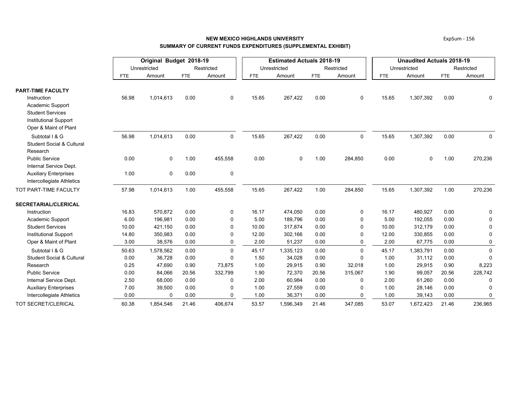## **NEW MEXICO HIGHLANDS UNIVERSITYSUMMARY OF CURRENT FUNDS EXPENDITURES (SUPPLEMENTAL EXHIBIT)**

|                                      |            | Original Budget 2018-19 |            |              |            | <b>Estimated Actuals 2018-19</b> |            |              | <b>Unaudited Actuals 2018-19</b> |              |            |              |  |
|--------------------------------------|------------|-------------------------|------------|--------------|------------|----------------------------------|------------|--------------|----------------------------------|--------------|------------|--------------|--|
|                                      |            | Unrestricted            |            | Restricted   |            | Unrestricted                     |            | Restricted   |                                  | Unrestricted |            | Restricted   |  |
|                                      | <b>FTE</b> | Amount                  | <b>FTE</b> | Amount       | <b>FTE</b> | Amount                           | <b>FTE</b> | Amount       | <b>FTE</b>                       | Amount       | <b>FTE</b> | Amount       |  |
| <b>PART-TIME FACULTY</b>             |            |                         |            |              |            |                                  |            |              |                                  |              |            |              |  |
| Instruction                          | 56.98      | 1,014,613               | 0.00       | 0            | 15.65      | 267,422                          | 0.00       | 0            | 15.65                            | 1,307,392    | 0.00       | 0            |  |
| Academic Support                     |            |                         |            |              |            |                                  |            |              |                                  |              |            |              |  |
| <b>Student Services</b>              |            |                         |            |              |            |                                  |            |              |                                  |              |            |              |  |
| <b>Institutional Support</b>         |            |                         |            |              |            |                                  |            |              |                                  |              |            |              |  |
| Oper & Maint of Plant                |            |                         |            |              |            |                                  |            |              |                                  |              |            |              |  |
| Subtotal I & G                       | 56.98      | 1,014,613               | 0.00       | $\mathbf 0$  | 15.65      | 267,422                          | 0.00       | 0            | 15.65                            | 1,307,392    | 0.00       | 0            |  |
| <b>Student Social &amp; Cultural</b> |            |                         |            |              |            |                                  |            |              |                                  |              |            |              |  |
| Research                             |            |                         |            |              |            |                                  |            |              |                                  |              |            |              |  |
| <b>Public Service</b>                | 0.00       | $\mathbf 0$             | 1.00       | 455,558      | 0.00       | $\mathbf 0$                      | 1.00       | 284,850      | 0.00                             | $\mathbf 0$  | 1.00       | 270,236      |  |
| Internal Service Dept.               |            |                         |            |              |            |                                  |            |              |                                  |              |            |              |  |
| <b>Auxiliary Enterprises</b>         | 1.00       | $\mathbf 0$             | 0.00       | 0            |            |                                  |            |              |                                  |              |            |              |  |
| Intercollegiate Athletics            |            |                         |            |              |            |                                  |            |              |                                  |              |            |              |  |
| TOT PART-TIME FACULTY                | 57.98      | 1,014,613               | 1.00       | 455,558      | 15.65      | 267,422                          | 1.00       | 284,850      | 15.65                            | 1,307,392    | 1.00       | 270,236      |  |
| <b>SECRETARIAL/CLERICAL</b>          |            |                         |            |              |            |                                  |            |              |                                  |              |            |              |  |
| Instruction                          | 16.83      | 570,872                 | 0.00       | $\mathbf 0$  | 16.17      | 474,050                          | 0.00       | 0            | 16.17                            | 480,927      | 0.00       | 0            |  |
| Academic Support                     | 6.00       | 196,981                 | 0.00       | $\mathbf 0$  | 5.00       | 189,796                          | 0.00       | $\mathbf{0}$ | 5.00                             | 192,055      | 0.00       | $\Omega$     |  |
| <b>Student Services</b>              | 10.00      | 421,150                 | 0.00       | $\mathbf{0}$ | 10.00      | 317,874                          | 0.00       | 0            | 10.00                            | 312,179      | 0.00       | 0            |  |
| Institutional Support                | 14.80      | 350,983                 | 0.00       | $\Omega$     | 12.00      | 302,166                          | 0.00       | 0            | 12.00                            | 330,855      | 0.00       | $\Omega$     |  |
| Oper & Maint of Plant                | 3.00       | 38,576                  | 0.00       | 0            | 2.00       | 51,237                           | 0.00       | 0            | 2.00                             | 67,775       | 0.00       | 0            |  |
| Subtotal I & G                       | 50.63      | 1,578,562               | 0.00       | $\Omega$     | 45.17      | 1,335,123                        | 0.00       | $\Omega$     | 45.17                            | 1,383,791    | 0.00       | $\mathbf 0$  |  |
| <b>Student Social &amp; Cultural</b> | 0.00       | 36,728                  | 0.00       | $\Omega$     | 1.50       | 34,028                           | 0.00       | $\Omega$     | 1.00                             | 31,112       | 0.00       | $\Omega$     |  |
| Research                             | 0.25       | 47,690                  | 0.90       | 73,875       | 1.00       | 29,915                           | 0.90       | 32,018       | 1.00                             | 29,915       | 0.90       | 8,223        |  |
| <b>Public Service</b>                | 0.00       | 84,066                  | 20.56      | 332,799      | 1.90       | 72,370                           | 20.56      | 315,067      | 1.90                             | 99,057       | 20.56      | 228,742      |  |
| Internal Service Dept.               | 2.50       | 68,000                  | 0.00       | $\Omega$     | 2.00       | 60,984                           | 0.00       | $\mathbf{0}$ | 2.00                             | 61,260       | 0.00       | $\Omega$     |  |
| <b>Auxiliary Enterprises</b>         | 7.00       | 39,500                  | 0.00       | 0            | 1.00       | 27,559                           | 0.00       | $\mathbf{0}$ | 1.00                             | 28,146       | 0.00       | $\mathbf{0}$ |  |
| Intercollegiate Athletics            | 0.00       | $\mathbf 0$             | 0.00       | $\Omega$     | 1.00       | 36,371                           | 0.00       | $\Omega$     | 1.00                             | 39,143       | 0.00       | 0            |  |
| TOT SECRET/CLERICAL                  | 60.38      | 1,854,546               | 21.46      | 406,674      | 53.57      | 1,596,349                        | 21.46      | 347,085      | 53.07                            | 1,672,423    | 21.46      | 236,965      |  |

ExpSum ‐ 156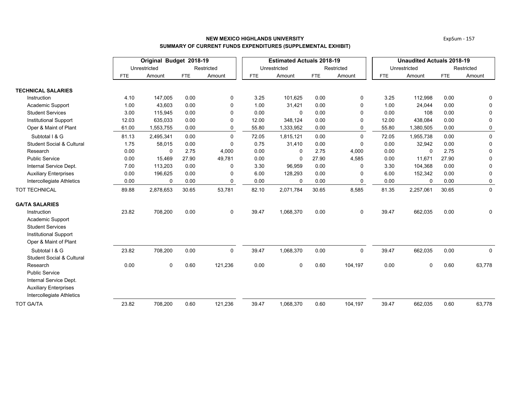|                                                           |            | Original Budget 2018-19 |       |             | <b>Estimated Actuals 2018-19</b> |              |            | <b>Unaudited Actuals 2018-19</b> |            |              |            |             |
|-----------------------------------------------------------|------------|-------------------------|-------|-------------|----------------------------------|--------------|------------|----------------------------------|------------|--------------|------------|-------------|
|                                                           |            | Unrestricted            |       | Restricted  |                                  | Unrestricted |            | Restricted                       |            | Unrestricted |            | Restricted  |
|                                                           | <b>FTE</b> | Amount                  | FTE   | Amount      | FTE                              | Amount       | <b>FTE</b> | Amount                           | <b>FTE</b> | Amount       | <b>FTE</b> | Amount      |
| <b>TECHNICAL SALARIES</b>                                 |            |                         |       |             |                                  |              |            |                                  |            |              |            |             |
| Instruction                                               | 4.10       | 147,005                 | 0.00  | 0           | 3.25                             | 101,625      | 0.00       | 0                                | 3.25       | 112,998      | 0.00       | 0           |
| Academic Support                                          | 1.00       | 43,603                  | 0.00  | $\Omega$    | 1.00                             | 31,421       | 0.00       | $\Omega$                         | 1.00       | 24,044       | 0.00       | $\mathbf 0$ |
| <b>Student Services</b>                                   | 3.00       | 115,945                 | 0.00  | 0           | 0.00                             | $\mathbf 0$  | 0.00       | $\Omega$                         | 0.00       | 108          | 0.00       | 0           |
| <b>Institutional Support</b>                              | 12.03      | 635,033                 | 0.00  | 0           | 12.00                            | 348,124      | 0.00       | $\mathbf{0}$                     | 12.00      | 438,084      | 0.00       | 0           |
| Oper & Maint of Plant                                     | 61.00      | 1,553,755               | 0.00  | 0           | 55.80                            | 1,333,952    | 0.00       | $\Omega$                         | 55.80      | 1,380,505    | 0.00       | 0           |
| Subtotal I & G                                            | 81.13      | 2,495,341               | 0.00  | $\Omega$    | 72.05                            | 1,815,121    | 0.00       | $\Omega$                         | 72.05      | 1,955,738    | 0.00       | $\mathbf 0$ |
| <b>Student Social &amp; Cultural</b>                      | 1.75       | 58,015                  | 0.00  | 0           | 0.75                             | 31,410       | 0.00       | $\Omega$                         | 0.00       | 32,942       | 0.00       | 0           |
| Research                                                  | 0.00       | $\mathbf{0}$            | 2.75  | 4,000       | 0.00                             | 0            | 2.75       | 4,000                            | 0.00       | $\mathbf 0$  | 2.75       | $\mathsf 0$ |
| <b>Public Service</b>                                     | 0.00       | 15,469                  | 27.90 | 49,781      | 0.00                             | $\mathbf 0$  | 27.90      | 4,585                            | 0.00       | 11,671       | 27.90      | 0           |
| Internal Service Dept.                                    | 7.00       | 113,203                 | 0.00  | 0           | 3.30                             | 96,959       | 0.00       | $\Omega$                         | 3.30       | 104,368      | 0.00       | 0           |
| <b>Auxiliary Enterprises</b>                              | 0.00       | 196,625                 | 0.00  | 0           | 6.00                             | 128,293      | 0.00       | $\Omega$                         | 6.00       | 152,342      | 0.00       | 0           |
| Intercollegiate Athletics                                 | 0.00       | 0                       | 0.00  | 0           | 0.00                             | 0            | 0.00       | $\mathbf{0}$                     | 0.00       | $\Omega$     | 0.00       | 0           |
| TOT TECHNICAL                                             | 89.88      | 2,878,653               | 30.65 | 53,781      | 82.10                            | 2,071,784    | 30.65      | 8,585                            | 81.35      | 2,257,061    | 30.65      | $\mathbf 0$ |
| <b>GA/TA SALARIES</b>                                     |            |                         |       |             |                                  |              |            |                                  |            |              |            |             |
| Instruction<br>Academic Support                           | 23.82      | 708,200                 | 0.00  | $\mathbf 0$ | 39.47                            | 1,068,370    | 0.00       | $\mathbf 0$                      | 39.47      | 662,035      | 0.00       | 0           |
| <b>Student Services</b>                                   |            |                         |       |             |                                  |              |            |                                  |            |              |            |             |
| <b>Institutional Support</b>                              |            |                         |       |             |                                  |              |            |                                  |            |              |            |             |
| Oper & Maint of Plant                                     |            |                         |       |             |                                  |              |            |                                  |            |              |            |             |
| Subtotal I & G<br><b>Student Social &amp; Cultural</b>    | 23.82      | 708,200                 | 0.00  | $\mathbf 0$ | 39.47                            | 1,068,370    | 0.00       | $\mathbf 0$                      | 39.47      | 662,035      | 0.00       | $\mathbf 0$ |
| Research                                                  | 0.00       | $\mathbf 0$             | 0.60  | 121,236     | 0.00                             | 0            | 0.60       | 104,197                          | 0.00       | 0            | 0.60       | 63,778      |
| <b>Public Service</b>                                     |            |                         |       |             |                                  |              |            |                                  |            |              |            |             |
| Internal Service Dept.                                    |            |                         |       |             |                                  |              |            |                                  |            |              |            |             |
| <b>Auxiliary Enterprises</b><br>Intercollegiate Athletics |            |                         |       |             |                                  |              |            |                                  |            |              |            |             |
| <b>TOT GA/TA</b>                                          | 23.82      | 708,200                 | 0.60  | 121,236     | 39.47                            | 1,068,370    | 0.60       | 104,197                          | 39.47      | 662,035      | 0.60       | 63,778      |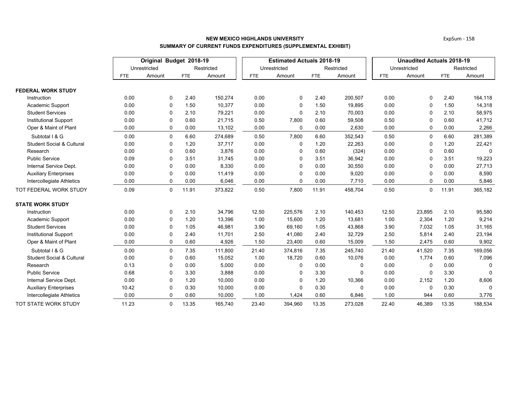|                                      |            | Original Budget 2018-19 |            |            | <b>Estimated Actuals 2018-19</b> |              |            | <b>Unaudited Actuals 2018-19</b> |            |              |            |              |
|--------------------------------------|------------|-------------------------|------------|------------|----------------------------------|--------------|------------|----------------------------------|------------|--------------|------------|--------------|
|                                      |            | Unrestricted            |            | Restricted |                                  | Unrestricted |            | Restricted                       |            | Unrestricted |            | Restricted   |
|                                      | <b>FTE</b> | Amount                  | <b>FTE</b> | Amount     | FTE.                             | Amount       | <b>FTE</b> | Amount                           | <b>FTE</b> | Amount       | <b>FTE</b> | Amount       |
| <b>FEDERAL WORK STUDY</b>            |            |                         |            |            |                                  |              |            |                                  |            |              |            |              |
| Instruction                          | 0.00       | 0                       | 2.40       | 150,274    | 0.00                             | 0            | 2.40       | 200,507                          | 0.00       | 0            | 2.40       | 164,118      |
| Academic Support                     | 0.00       | $\mathbf 0$             | 1.50       | 10,377     | 0.00                             | 0            | 1.50       | 19,895                           | 0.00       | $\mathbf 0$  | 1.50       | 14,318       |
| <b>Student Services</b>              | 0.00       | $\mathbf 0$             | 2.10       | 79,221     | 0.00                             | 0            | 2.10       | 70,003                           | 0.00       | $\Omega$     | 2.10       | 58,975       |
| <b>Institutional Support</b>         | 0.00       | 0                       | 0.60       | 21,715     | 0.50                             | 7,800        | 0.60       | 59,508                           | 0.50       | $\mathbf{0}$ | 0.60       | 41,712       |
| Oper & Maint of Plant                | 0.00       | 0                       | 0.00       | 13,102     | 0.00                             | 0            | 0.00       | 2,630                            | 0.00       | 0            | 0.00       | 2,266        |
| Subtotal I & G                       | 0.00       | $\mathbf 0$             | 6.60       | 274,689    | 0.50                             | 7,800        | 6.60       | 352,543                          | 0.50       | $\mathbf 0$  | 6.60       | 281,389      |
| <b>Student Social &amp; Cultural</b> | 0.00       | $\mathbf 0$             | 1.20       | 37,717     | 0.00                             | 0            | 1.20       | 22,263                           | 0.00       | 0            | 1.20       | 22,421       |
| Research                             | 0.00       | $\mathbf 0$             | 0.60       | 3,876      | 0.00                             | 0            | 0.60       | (324)                            | 0.00       | $\mathbf 0$  | 0.60       | $\Omega$     |
| <b>Public Service</b>                | 0.09       | 0                       | 3.51       | 31,745     | 0.00                             | 0            | 3.51       | 36,942                           | 0.00       | $\Omega$     | 3.51       | 19,223       |
| Internal Service Dept.               | 0.00       | $\mathbf 0$             | 0.00       | 8,330      | 0.00                             | 0            | 0.00       | 30,550                           | 0.00       | $\Omega$     | 0.00       | 27,713       |
| <b>Auxiliary Enterprises</b>         | 0.00       | 0                       | 0.00       | 11,419     | 0.00                             | 0            | 0.00       | 9,020                            | 0.00       | $\mathbf{0}$ | 0.00       | 8,590        |
| Intercollegiate Athletics            | 0.00       | 0                       | 0.00       | 6,046      | 0.00                             | 0            | 0.00       | 7,710                            | 0.00       | $\mathbf{0}$ | 0.00       | 5,846        |
| TOT FEDERAL WORK STUDY               | 0.09       | $\mathbf 0$             | 11.91      | 373,822    | 0.50                             | 7,800        | 11.91      | 458,704                          | 0.50       | $\mathbf 0$  | 11.91      | 365,182      |
| <b>STATE WORK STUDY</b>              |            |                         |            |            |                                  |              |            |                                  |            |              |            |              |
| Instruction                          | 0.00       | 0                       | 2.10       | 34,796     | 12.50                            | 225,576      | 2.10       | 140,453                          | 12.50      | 23,895       | 2.10       | 95,580       |
| Academic Support                     | 0.00       | $\mathbf 0$             | 1.20       | 13,396     | 1.00                             | 15,600       | 1.20       | 13,681                           | 1.00       | 2,304        | 1.20       | 9,214        |
| <b>Student Services</b>              | 0.00       | $\mathbf 0$             | 1.05       | 46,981     | 3.90                             | 69,160       | 1.05       | 43,868                           | 3.90       | 7,032        | 1.05       | 31,165       |
| <b>Institutional Support</b>         | 0.00       | 0                       | 2.40       | 11,701     | 2.50                             | 41,080       | 2.40       | 32,729                           | 2.50       | 5,814        | 2.40       | 23,194       |
| Oper & Maint of Plant                | 0.00       | 0                       | 0.60       | 4,926      | 1.50                             | 23,400       | 0.60       | 15,009                           | 1.50       | 2,475        | 0.60       | 9,902        |
| Subtotal I & G                       | 0.00       | 0                       | 7.35       | 111,800    | 21.40                            | 374,816      | 7.35       | 245,740                          | 21.40      | 41,520       | 7.35       | 169,056      |
| <b>Student Social &amp; Cultural</b> | 0.00       | 0                       | 0.60       | 15,052     | 1.00                             | 18,720       | 0.60       | 10,076                           | 0.00       | 1,774        | 0.60       | 7,096        |
| Research                             | 0.13       | 0                       | 0.00       | 5,000      | 0.00                             | 0            | 0.00       | $\Omega$                         | 0.00       | $\mathbf 0$  | 0.00       | $\Omega$     |
| <b>Public Service</b>                | 0.68       | 0                       | 3.30       | 3,888      | 0.00                             | 0            | 3.30       | $\Omega$                         | 0.00       | 0            | 3.30       | $\Omega$     |
| Internal Service Dept.               | 0.00       | 0                       | 1.20       | 10,000     | 0.00                             | 0            | 1.20       | 10,366                           | 0.00       | 2,152        | 1.20       | 8,606        |
| <b>Auxiliary Enterprises</b>         | 10.42      | $\mathbf 0$             | 0.30       | 10,000     | 0.00                             | 0            | 0.30       | $\Omega$                         | 0.00       | $\mathbf 0$  | 0.30       | $\mathbf{0}$ |
| Intercollegiate Athletics            | 0.00       | 0                       | 0.60       | 10,000     | 1.00                             | 1,424        | 0.60       | 6,846                            | 1.00       | 944          | 0.60       | 3,776        |
| TOT STATE WORK STUDY                 | 11.23      | $\mathbf 0$             | 13.35      | 165,740    | 23.40                            | 394,960      | 13.35      | 273,028                          | 22.40      | 46,389       | 13.35      | 188,534      |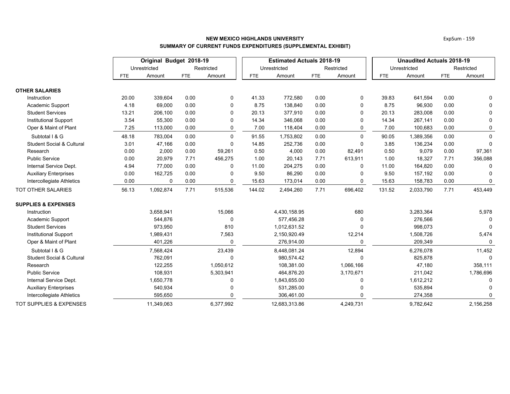|                                      |            | Original Budget 2018-19 |            |            | <b>Estimated Actuals 2018-19</b> |               |            | <b>Unaudited Actuals 2018-19</b> |            |              |            |              |
|--------------------------------------|------------|-------------------------|------------|------------|----------------------------------|---------------|------------|----------------------------------|------------|--------------|------------|--------------|
|                                      |            | Unrestricted            |            | Restricted |                                  | Unrestricted  |            | Restricted                       |            | Unrestricted |            | Restricted   |
|                                      | <b>FTE</b> | Amount                  | <b>FTE</b> | Amount     | <b>FTE</b>                       | Amount        | <b>FTE</b> | Amount                           | <b>FTE</b> | Amount       | <b>FTE</b> | Amount       |
| <b>OTHER SALARIES</b>                |            |                         |            |            |                                  |               |            |                                  |            |              |            |              |
| Instruction                          | 20.00      | 339,604                 | 0.00       | 0          | 41.33                            | 772,580       | 0.00       | 0                                | 39.83      | 641,594      | 0.00       | $\Omega$     |
| Academic Support                     | 4.18       | 69,000                  | 0.00       | 0          | 8.75                             | 138,840       | 0.00       | 0                                | 8.75       | 96,930       | 0.00       | $\Omega$     |
| <b>Student Services</b>              | 13.21      | 206,100                 | 0.00       | $\Omega$   | 20.13                            | 377,910       | 0.00       | $\Omega$                         | 20.13      | 283,008      | 0.00       | 0            |
| <b>Institutional Support</b>         | 3.54       | 55,300                  | 0.00       | 0          | 14.34                            | 346,068       | 0.00       |                                  | 14.34      | 267,141      | 0.00       | 0            |
| Oper & Maint of Plant                | 7.25       | 113,000                 | 0.00       | 0          | 7.00                             | 118,404       | 0.00       | 0                                | 7.00       | 100,683      | 0.00       | 0            |
| Subtotal I & G                       | 48.18      | 783,004                 | 0.00       | $\Omega$   | 91.55                            | 1,753,802     | 0.00       | $\Omega$                         | 90.05      | 1,389,356    | 0.00       | $\Omega$     |
| <b>Student Social &amp; Cultural</b> | 3.01       | 47,166                  | 0.00       | 0          | 14.85                            | 252,736       | 0.00       | $\Omega$                         | 3.85       | 136,234      | 0.00       | $\Omega$     |
| Research                             | 0.00       | 2,000                   | 0.00       | 59,261     | 0.50                             | 4,000         | 0.00       | 82,491                           | 0.50       | 9,079        | 0.00       | 97,361       |
| <b>Public Service</b>                | 0.00       | 20,979                  | 7.71       | 456,275    | 1.00                             | 20,143        | 7.71       | 613,911                          | 1.00       | 18,327       | 7.71       | 356,088      |
| Internal Service Dept.               | 4.94       | 77,000                  | 0.00       | 0          | 11.00                            | 204,275       | 0.00       | $\Omega$                         | 11.00      | 164,820      | 0.00       | $\Omega$     |
| <b>Auxiliary Enterprises</b>         | 0.00       | 162,725                 | 0.00       | 0          | 9.50                             | 86,290        | 0.00       |                                  | 9.50       | 157,192      | 0.00       |              |
| Intercollegiate Athletics            | 0.00       | 0                       | 0.00       | 0          | 15.63                            | 173,014       | 0.00       | 0                                | 15.63      | 158,783      | 0.00       | 0            |
| TOT OTHER SALARIES                   | 56.13      | 1,092,874               | 7.71       | 515,536    | 144.02                           | 2,494,260     | 7.71       | 696,402                          | 131.52     | 2,033,790    | 7.71       | 453,449      |
| <b>SUPPLIES &amp; EXPENSES</b>       |            |                         |            |            |                                  |               |            |                                  |            |              |            |              |
| Instruction                          |            | 3,658,941               |            | 15,066     |                                  | 4,430,158.95  |            | 680                              |            | 3,283,364    |            | 5,978        |
| Academic Support                     |            | 544,876                 |            | $\Omega$   |                                  | 577,456.28    |            |                                  |            | 276,566      |            |              |
| <b>Student Services</b>              |            | 973,950                 |            | 810        |                                  | 1,012,631.52  |            |                                  |            | 998,073      |            | $\Omega$     |
| <b>Institutional Support</b>         |            | 1,989,431               |            | 7,563      |                                  | 2,150,920.49  |            | 12,214                           |            | 1,508,726    |            | 5,474        |
| Oper & Maint of Plant                |            | 401,226                 |            | $\Omega$   |                                  | 276,914.00    |            |                                  |            | 209,349      |            | $\mathbf{0}$ |
| Subtotal I & G                       |            | 7,568,424               |            | 23,439     |                                  | 8,448,081.24  |            | 12,894                           |            | 6,276,078    |            | 11,452       |
| <b>Student Social &amp; Cultural</b> |            | 762,091                 |            | $\Omega$   |                                  | 980,574.42    |            | $\Omega$                         |            | 825,878      |            | $\Omega$     |
| Research                             |            | 122,255                 |            | 1,050,612  |                                  | 108,381.00    |            | 1,066,166                        |            | 47,180       |            | 358,111      |
| <b>Public Service</b>                |            | 108,931                 |            | 5,303,941  |                                  | 464,876.20    |            | 3,170,671                        |            | 211,042      |            | 1,786,696    |
| Internal Service Dept.               |            | 1,650,778               |            | 0          |                                  | 1,843,655.00  |            |                                  |            | 1,612,212    |            | 0            |
| <b>Auxiliary Enterprises</b>         |            | 540,934                 |            | 0          |                                  | 531,285.00    |            |                                  |            | 535,894      |            |              |
| Intercollegiate Athletics            |            | 595,650                 |            | $\Omega$   |                                  | 306,461.00    |            |                                  |            | 274,358      |            |              |
| <b>TOT SUPPLIES &amp; EXPENSES</b>   |            | 11,349,063              |            | 6,377,992  |                                  | 12,683,313.86 |            | 4,249,731                        |            | 9,782,642    |            | 2,156,258    |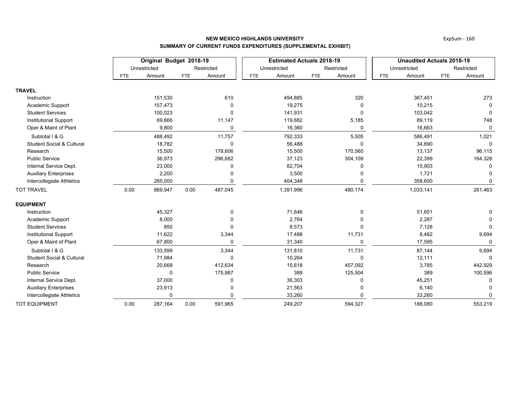|                                      |            | Original Budget 2018-19 |            |            |            | <b>Estimated Actuals 2018-19</b> |            |            | <b>Unaudited Actuals 2018-19</b> |              |            |              |  |
|--------------------------------------|------------|-------------------------|------------|------------|------------|----------------------------------|------------|------------|----------------------------------|--------------|------------|--------------|--|
|                                      |            | Unrestricted            |            | Restricted |            | Unrestricted                     |            | Restricted |                                  | Unrestricted |            | Restricted   |  |
|                                      | <b>FTE</b> | Amount                  | <b>FTE</b> | Amount     | <b>FTE</b> | Amount                           | <b>FTE</b> | Amount     | <b>FTE</b>                       | Amount       | <b>FTE</b> | Amount       |  |
| <b>TRAVEL</b>                        |            |                         |            |            |            |                                  |            |            |                                  |              |            |              |  |
| Instruction                          |            | 151,530                 |            | 610        |            | 494,885                          |            | 320        |                                  | 367,451      |            | 273          |  |
| Academic Support                     |            | 157,473                 |            | $\Omega$   |            | 19,275                           |            |            |                                  | 10,215       |            | 0            |  |
| <b>Student Services</b>              |            | 100,023                 |            | 0          |            | 141,931                          |            | $\Omega$   |                                  | 103,042      |            | 0            |  |
| <b>Institutional Support</b>         |            | 69,666                  |            | 11,147     |            | 119,882                          |            | 5,185      |                                  | 89,119       |            | 748          |  |
| Oper & Maint of Plant                |            | 9,800                   |            | $\Omega$   |            | 16,360                           |            | $\Omega$   |                                  | 16,663       |            | $\Omega$     |  |
| Subtotal I & G                       |            | 488,492                 |            | 11,757     |            | 792,333                          |            | 5,505      |                                  | 586,491      |            | 1,021        |  |
| <b>Student Social &amp; Cultural</b> |            | 18,782                  |            | $\Omega$   |            | 56,488                           |            | $\Omega$   |                                  | 34,890       |            | 0            |  |
| Research                             |            | 15,500                  |            | 178,606    |            | 15,500                           |            | 170,560    |                                  | 13,137       |            | 96,115       |  |
| <b>Public Service</b>                |            | 36,973                  |            | 296,682    |            | 37,123                           |            | 304,109    |                                  | 22,399       |            | 164,328      |  |
| Internal Service Dept.               |            | 23,000                  |            | 0          |            | 82,704                           |            |            |                                  | 15,903       |            | 0            |  |
| <b>Auxiliary Enterprises</b>         |            | 2,200                   |            |            |            | 3,500                            |            |            |                                  | 1,721        |            |              |  |
| Intercollegiate Athletics            |            | 285,000                 |            | $\Omega$   |            | 404,348                          |            |            |                                  | 358,600      |            | $\Omega$     |  |
| <b>TOT TRAVEL</b>                    | 0.00       | 869,947                 | 0.00       | 487,045    |            | 1,391,996                        |            | 480,174    |                                  | 1,033,141    |            | 261,463      |  |
| <b>EQUIPMENT</b>                     |            |                         |            |            |            |                                  |            |            |                                  |              |            |              |  |
| Instruction                          |            | 45,327                  |            | 0          |            | 71,646                           |            | $\Omega$   |                                  | 51,651       |            | 0            |  |
| Academic Support                     |            | 8,000                   |            |            |            | 2,764                            |            |            |                                  | 2,287        |            |              |  |
| <b>Student Services</b>              |            | 850                     |            | $\Omega$   |            | 8,573                            |            |            |                                  | 7,128        |            | $\mathbf{0}$ |  |
| <b>Institutional Support</b>         |            | 11,622                  |            | 3,344      |            | 17,488                           |            | 11,731     |                                  | 8,482        |            | 9,694        |  |
| Oper & Maint of Plant                |            | 67,800                  |            | $\Omega$   |            | 31,340                           |            | $\Omega$   |                                  | 17,595       |            | $\Omega$     |  |
| Subtotal I & G                       |            | 133,599                 |            | 3,344      |            | 131,810                          |            | 11,731     |                                  | 87,144       |            | 9,694        |  |
| <b>Student Social &amp; Cultural</b> |            | 71,984                  |            | $\Omega$   |            | 10,264                           |            | $\Omega$   |                                  | 12,111       |            | $\Omega$     |  |
| Research                             |            | 20,668                  |            | 412,634    |            | 15,618                           |            | 457,092    |                                  | 3,785        |            | 442,929      |  |
| <b>Public Service</b>                |            | $\Omega$                |            | 175,987    |            | 389                              |            | 125,504    |                                  | 389          |            | 100,596      |  |
| Internal Service Dept.               |            | 37,000                  |            | 0          |            | 36,303                           |            |            |                                  | 45,251       |            |              |  |
| <b>Auxiliary Enterprises</b>         |            | 23,913                  |            |            |            | 21,563                           |            |            |                                  | 6,140        |            |              |  |
| Intercollegiate Athletics            |            |                         |            | ŋ          |            | 33,260                           |            |            |                                  | 33,260       |            |              |  |
| <b>TOT EQUIPMENT</b>                 | 0.00       | 287,164                 | 0.00       | 591,965    |            | 249,207                          |            | 594,327    |                                  | 188,080      |            | 553,219      |  |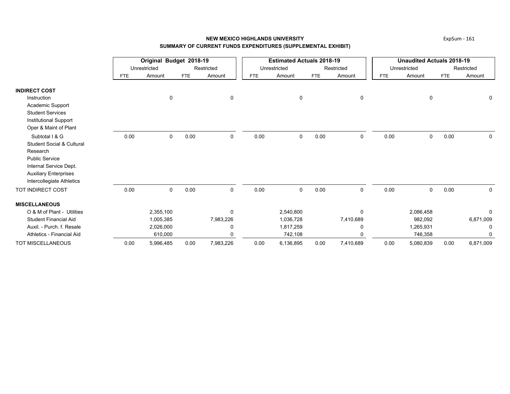|                              |            | Original Budget 2018-19 |            |             | <b>Estimated Actuals 2018-19</b> |              |            | <b>Unaudited Actuals 2018-19</b> |            |              |            |             |
|------------------------------|------------|-------------------------|------------|-------------|----------------------------------|--------------|------------|----------------------------------|------------|--------------|------------|-------------|
|                              |            | Unrestricted            |            | Restricted  |                                  | Unrestricted |            | Restricted                       |            | Unrestricted |            | Restricted  |
|                              | <b>FTE</b> | Amount                  | <b>FTE</b> | Amount      | FTE                              | Amount       | <b>FTE</b> | Amount                           | <b>FTE</b> | Amount       | <b>FTE</b> | Amount      |
| <b>INDIRECT COST</b>         |            |                         |            |             |                                  |              |            |                                  |            |              |            |             |
| Instruction                  |            | 0                       |            | $\mathbf 0$ |                                  | 0            |            | 0                                |            | 0            |            | 0           |
| Academic Support             |            |                         |            |             |                                  |              |            |                                  |            |              |            |             |
| <b>Student Services</b>      |            |                         |            |             |                                  |              |            |                                  |            |              |            |             |
| <b>Institutional Support</b> |            |                         |            |             |                                  |              |            |                                  |            |              |            |             |
| Oper & Maint of Plant        |            |                         |            |             |                                  |              |            |                                  |            |              |            |             |
| Subtotal I & G               | 0.00       | 0                       | 0.00       | $\mathbf 0$ | 0.00                             | 0            | 0.00       | 0                                | 0.00       | 0            | 0.00       | $\mathbf 0$ |
| Student Social & Cultural    |            |                         |            |             |                                  |              |            |                                  |            |              |            |             |
| Research                     |            |                         |            |             |                                  |              |            |                                  |            |              |            |             |
| <b>Public Service</b>        |            |                         |            |             |                                  |              |            |                                  |            |              |            |             |
| Internal Service Dept.       |            |                         |            |             |                                  |              |            |                                  |            |              |            |             |
| <b>Auxiliary Enterprises</b> |            |                         |            |             |                                  |              |            |                                  |            |              |            |             |
| Intercollegiate Athletics    |            |                         |            |             |                                  |              |            |                                  |            |              |            |             |
| TOT INDIRECT COST            | 0.00       | $\mathbf 0$             | 0.00       | 0           | 0.00                             | 0            | 0.00       | $\mathbf 0$                      | 0.00       | $\mathbf 0$  | 0.00       | $\mathbf 0$ |
| <b>MISCELLANEOUS</b>         |            |                         |            |             |                                  |              |            |                                  |            |              |            |             |
| O & M of Plant - Utilities   |            | 2,355,100               |            | 0           |                                  | 2,540,800    |            | 0                                |            | 2,086,458    |            | 0           |
| <b>Student Financial Aid</b> |            | 1,005,385               |            | 7,983,226   |                                  | 1,036,728    |            | 7,410,689                        |            | 982,092      |            | 6,871,009   |
| Auxil. - Purch. f. Resale    |            | 2,026,000               |            | $\Omega$    |                                  | 1,817,259    |            | 0                                |            | 1,265,931    |            | 0           |
| Athletics - Financial Aid    |            | 610,000                 |            | 0           |                                  | 742,108      |            | U                                |            | 746,358      |            | 0           |
| <b>TOT MISCELLANEOUS</b>     | 0.00       | 5,996,485               | 0.00       | 7,983,226   | 0.00                             | 6,136,895    | 0.00       | 7,410,689                        | 0.00       | 5,080,839    | 0.00       | 6,871,009   |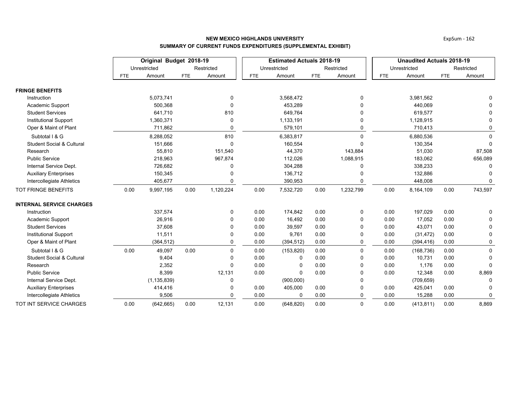|                                      |            | Original Budget 2018-19 |            |              | <b>Estimated Actuals 2018-19</b> |              |            | <b>Unaudited Actuals 2018-19</b> |            |              |            |             |
|--------------------------------------|------------|-------------------------|------------|--------------|----------------------------------|--------------|------------|----------------------------------|------------|--------------|------------|-------------|
|                                      |            | Unrestricted            |            | Restricted   |                                  | Unrestricted |            | Restricted                       |            | Unrestricted |            | Restricted  |
|                                      | <b>FTE</b> | Amount                  | <b>FTE</b> | Amount       | FTE                              | Amount       | <b>FTE</b> | Amount                           | <b>FTE</b> | Amount       | <b>FTE</b> | Amount      |
| <b>FRINGE BENEFITS</b>               |            |                         |            |              |                                  |              |            |                                  |            |              |            |             |
| Instruction                          |            | 5,073,741               |            | 0            |                                  | 3,568,472    |            | 0                                |            | 3,981,562    |            |             |
| Academic Support                     |            | 500,368                 |            | $\Omega$     |                                  | 453,289      |            | $\mathbf 0$                      |            | 440,069      |            |             |
| <b>Student Services</b>              |            | 641,710                 |            | 810          |                                  | 649,764      |            | 0                                |            | 619,577      |            | $\Omega$    |
| <b>Institutional Support</b>         |            | 1,360,371               |            | 0            |                                  | 1,133,191    |            | 0                                |            | 1,128,915    |            | 0           |
| Oper & Maint of Plant                |            | 711,862                 |            | 0            |                                  | 579,101      |            | 0                                |            | 710,413      |            | 0           |
| Subtotal I & G                       |            | 8,288,052               |            | 810          |                                  | 6,383,817    |            | $\Omega$                         |            | 6,880,536    |            | $\Omega$    |
| <b>Student Social &amp; Cultural</b> |            | 151,666                 |            | $\mathbf 0$  |                                  | 160,554      |            | $\Omega$                         |            | 130,354      |            | $\Omega$    |
| Research                             |            | 55,810                  |            | 151,540      |                                  | 44,370       |            | 143,884                          |            | 51,030       |            | 87,508      |
| <b>Public Service</b>                |            | 218,963                 |            | 967,874      |                                  | 112,026      |            | 1,088,915                        |            | 183,062      |            | 656,089     |
| Internal Service Dept.               |            | 726,682                 |            | $\Omega$     |                                  | 304,288      |            | $\Omega$                         |            | 338,233      |            | $\Omega$    |
| <b>Auxiliary Enterprises</b>         |            | 150,345                 |            |              |                                  | 136,712      |            |                                  |            | 132,886      |            |             |
| Intercollegiate Athletics            |            | 405,677                 |            | 0            |                                  | 390,953      |            | 0                                |            | 448,008      |            | 0           |
| <b>TOT FRINGE BENEFITS</b>           | 0.00       | 9,997,195               | 0.00       | 1,120,224    | 0.00                             | 7,532,720    | 0.00       | 1,232,799                        | 0.00       | 8,164,109    | 0.00       | 743,597     |
| <b>INTERNAL SERVICE CHARGES</b>      |            |                         |            |              |                                  |              |            |                                  |            |              |            |             |
| Instruction                          |            | 337,574                 |            | $\mathbf{0}$ | 0.00                             | 174,842      | 0.00       | 0                                | 0.00       | 197,029      | 0.00       | $\Omega$    |
| Academic Support                     |            | 26,916                  |            | $\Omega$     | 0.00                             | 16,492       | 0.00       | 0                                | 0.00       | 17,052       | 0.00       | 0           |
| <b>Student Services</b>              |            | 37,608                  |            | $\Omega$     | 0.00                             | 39,597       | 0.00       | $\Omega$                         | 0.00       | 43,071       | 0.00       | $\Omega$    |
| <b>Institutional Support</b>         |            | 11,511                  |            | 0            | 0.00                             | 9,761        | 0.00       | 0                                | 0.00       | (31, 472)    | 0.00       | 0           |
| Oper & Maint of Plant                |            | (364, 512)              |            | 0            | 0.00                             | (394, 512)   | 0.00       | 0                                | 0.00       | (394, 416)   | 0.00       | 0           |
| Subtotal I & G                       | 0.00       | 49,097                  | 0.00       | $\Omega$     | 0.00                             | (153, 820)   | 0.00       | $\Omega$                         | 0.00       | (168, 736)   | 0.00       | $\mathbf 0$ |
| <b>Student Social &amp; Cultural</b> |            | 9,404                   |            | 0            | 0.00                             | 0            | 0.00       | 0                                | 0.00       | 10,731       | 0.00       | 0           |
| Research                             |            | 2,352                   |            | $\Omega$     | 0.00                             | 0            | 0.00       | 0                                | 0.00       | 1,176        | 0.00       | $\Omega$    |
| <b>Public Service</b>                |            | 8,399                   |            | 12,131       | 0.00                             | $\Omega$     | 0.00       | $\Omega$                         | 0.00       | 12,348       | 0.00       | 8,869       |
| Internal Service Dept.               |            | (1, 135, 839)           |            | 0            |                                  | (900,000)    |            | $\mathbf{0}$                     |            | (709, 659)   |            | $\Omega$    |
| <b>Auxiliary Enterprises</b>         |            | 414,416                 |            | $\Omega$     | 0.00                             | 405,000      | 0.00       | $\mathbf 0$                      | 0.00       | 425,041      | 0.00       |             |
| Intercollegiate Athletics            |            | 9,506                   |            | $\Omega$     | 0.00                             | 0            | 0.00       | 0                                | 0.00       | 15,288       | 0.00       | 0           |
| TOT INT SERVICE CHARGES              | 0.00       | (642, 665)              | 0.00       | 12,131       | 0.00                             | (648, 820)   | 0.00       | $\mathbf 0$                      | 0.00       | (413, 811)   | 0.00       | 8,869       |